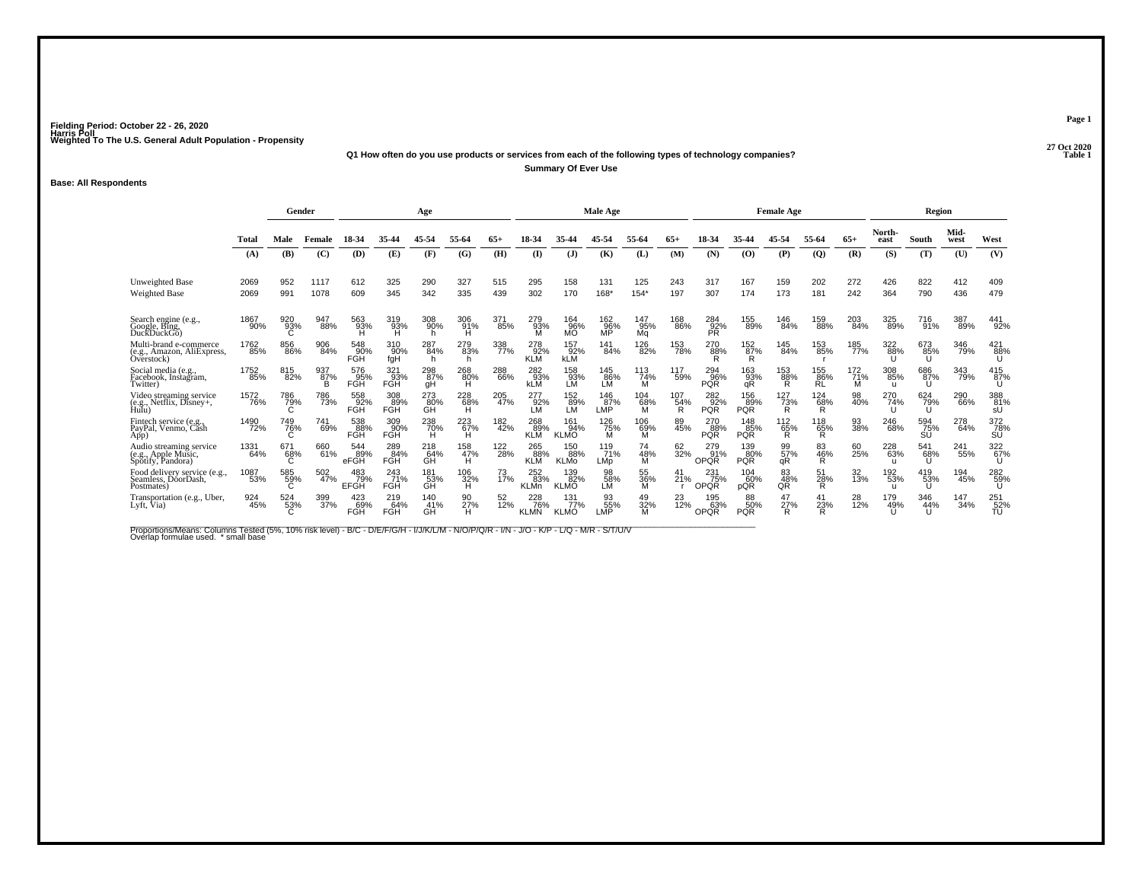### **27 Oct 2020Q1 How often do you use products or services from each of the following types of technology companies?Summary Of Ever Use**

**Base: All Respondents**

|                                                                     |                     |                 | Gender          |                           |                          | Age              |                                         |            |                           |                           | <b>Male Age</b>   |                  |                 |                           |                          | <b>Female Age</b>     |                         |                 |                            | Region           |              |                  |
|---------------------------------------------------------------------|---------------------|-----------------|-----------------|---------------------------|--------------------------|------------------|-----------------------------------------|------------|---------------------------|---------------------------|-------------------|------------------|-----------------|---------------------------|--------------------------|-----------------------|-------------------------|-----------------|----------------------------|------------------|--------------|------------------|
|                                                                     | Total               | Male            | Female          | 18-34                     | 35-44                    |                  | 55-64                                   |            |                           |                           |                   | 55-64            | 65+             |                           |                          |                       | 55-64                   | $65+$           | North-<br>east             | South            | Mid-<br>west | West             |
|                                                                     | (A)                 | (B)             | (C)             | (D)                       | (E)                      | (F)              | (G)                                     | (H)        | $($ $\Gamma$              | $\mathbf{J}$              | (K)               | (L)              | (M)             | (N)                       | (0)                      | (P)                   | $\mathbf{Q}$            | (R)             | (S)                        | (T)              | (U)          | (V)              |
| <b>Unweighted Base</b><br><b>Weighted Base</b>                      | 2069<br>2069        | 952<br>991      | 1117<br>1078    | 612<br>609                | 325<br>345               | 290<br>342       | 327<br>335                              | 515<br>439 | 295<br>302                | 158<br>170                | 131<br>168*       | 125<br>$154*$    | 243<br>197      | 317<br>307                | 167<br>174               | 159<br>173            | 202<br>181              | 272<br>242      | 426<br>364                 | 822<br>790       | 412<br>436   | 409<br>479       |
|                                                                     |                     |                 |                 |                           |                          |                  |                                         |            |                           |                           |                   |                  |                 |                           |                          |                       |                         |                 |                            |                  |              |                  |
| Search engine (e.g.,<br>Google, Bing,<br>DuckDuckGo)                | 1867<br>90%         | 920<br>93%<br>С | 947<br>88%      | 563<br>93%<br>Ή           | 319<br>93%<br>H          | 308<br>90%<br>h  | 306<br>-91%<br>H                        | 371<br>85% | 279<br>-93%<br>M          | 164<br>96%<br><b>MO</b>   | 162<br>%§<br>MP   | 147<br>95%<br>Mq | 168<br>86%      | 284<br>$\frac{92}{PR}$    | 155<br>89%               | 146<br>84%            | 159<br>88%              | 203<br>84%      | 325<br>89%                 | 716<br>91%       | 387<br>89%   | 441<br>92%       |
| Multi-brand e-commerce<br>(e.g., Amazon, AliExpress,<br>Overstock)  | 1762<br>85%         | 856<br>86%      | 906<br>84%      | 548<br>90%<br><b>FGH</b>  | 310<br>90%<br>fgH        | 287<br>84%<br>h  | 279<br>83%<br>h                         | 338<br>77% | 278<br>92%<br><b>KLM</b>  | 157<br>92%<br><b>kLM</b>  | 141<br>84%        | 126<br>82%       | 153<br>78%      | 270<br>88%<br>R           | 152<br>87%<br>R          | 145<br>84%            | 153<br>85%              | 185<br>77%      | 322<br>88%                 | 673<br>85%       | 346<br>79%   | 421<br>88%       |
| Social media (e.g.,<br>Facebook, Instagram,<br>Twitter)             | 1752<br>85%         | 815<br>82%      | 937<br>87%<br>в | 576<br>95%<br><b>FGH</b>  | 321<br>93%<br>FGH        | 298<br>87%<br>gH | $^{268}_{80\%}$                         | 288<br>66% | 282<br>93%<br><b>kLM</b>  | 158<br>93%<br>LM          | 145<br>86%<br>LM  | 113<br>74%<br>м  | 117<br>59%      | 294<br>96%<br><b>PQR</b>  | 163<br>93%<br>qR         | 153<br>88%<br>R       | 155<br>86%<br><b>RL</b> | 172<br>71%<br>М | 308<br>85%<br>u            | 686<br>87%<br>U  | 343<br>79%   | 415<br>87%<br>U  |
| Video streaming service<br>(e.g., Netflix, Disney+,<br>Hulu)        | <sup>1572</sup> 76% | 786<br>79%<br>С | 786<br>73%      | 558<br>92%<br><b>FGH</b>  | 308<br>89%<br><b>FGH</b> | 273<br>80%<br>GH | $^{228}_{\substack{68\%\\ \mathrm{H}}}$ | 205<br>47% | 277<br>92%<br><b>LM</b>   | 152<br>89%<br>LM          | 146<br>87%<br>LMP | 104<br>68%<br>м  | 107<br>54%<br>R | 282<br>92%<br><b>PQR</b>  | 156<br>89%<br><b>PQR</b> | 127<br>73%<br>R       | <sup>124</sup> 68%<br>R | 98<br>40%       | 270<br>74%                 | 624<br>79%<br>U  | 290<br>66%   | 388<br>81%<br>sU |
| Fintech service (e.g.<br>PayPal, Venmo, Cash<br>App)                | 1490<br>72%         | 749<br>76%      | 741<br>69%      | 538<br>88%<br>FGH         | 309<br>90%<br>FGH        | 238<br>70%<br>H  | $^{223}_{67\%}$                         | 182<br>42% | 268<br>89%<br><b>KLM</b>  | 161<br>94%<br><b>KLMO</b> | 126<br>75%<br>м   | 106<br>69%<br>м  | 89<br>45%       | 270<br>88%<br><b>PQR</b>  | 148<br>85%<br><b>PQR</b> | 112<br>$\frac{65}{R}$ | 118<br>65%<br>R         | 93<br>38%       | 246<br>68%                 | 594<br>75%<br>SU | 278<br>64%   | 372<br>78%<br>ŚŨ |
| Audio streaming service<br>(e.g., Apple Music,<br>Spotify, Pandora) | 1331<br>64%         | 671<br>68%<br>C | 660<br>61%      | 544<br>89%<br>eFGH        | 289<br>84%<br><b>FGH</b> | 218<br>64%<br>ĞĤ | 158<br>47%<br>H                         | 122<br>28% | 265<br>88%<br><b>KLM</b>  | 150<br>88%<br><b>KLMo</b> | 119<br>71%<br>LMp | 74<br>48%<br>м   | 62<br>32%       | 279<br>91%<br><b>OPQR</b> | 139<br>80%<br><b>PQR</b> | 99<br>57%<br>αR       | 83<br>46%<br>R          | 60<br>25%       | 228<br>63%<br>$\mathbf{u}$ | 541<br>68%       | 241<br>55%   | 322<br>67%<br>U  |
| Food delivery service (e.g.,<br>Seamless. DóorDash.<br>Postmates)   | 1087<br>53%         | 585<br>59%<br>C | 502<br>47%      | 483<br>79%<br><b>EFGH</b> | 243<br>71%<br><b>FGH</b> | 181<br>53%<br>ĞĤ | 106<br>32%<br>Ή                         | 73<br>17%  | 252<br>83%<br><b>KLMn</b> | 139<br>82%<br><b>KLMO</b> | 98<br>58%<br>LM   | 55<br>36%<br>м   | 41<br>21%       | 231<br>75%<br>OPQR        | 104<br>60%<br>pQR        | 83<br>48%<br>QŘ       | 51<br>28%<br>R          | 32<br>13%       | 192<br>53%<br>$\mathbf{u}$ | 419<br>53%<br>U  | 194<br>45%   | 282<br>59%<br>U  |
| Transportation (e.g., Uber,<br>Lyft, Via)                           | 924<br>45%          | 524<br>53%      | 399<br>37%      | 423<br>69%<br>FGH         | 219<br>64%<br><b>FGH</b> | 140<br>41%<br>GH | 90<br>27%<br>н                          | 52<br>12%  | 228<br>76%<br><b>KLMN</b> | 131<br>77%<br><b>KLMO</b> | 93<br>55%<br>LMP  | 49<br>32%<br>M   | 23<br>12%       | 195<br>63%<br><b>OPQR</b> | 88<br>50%<br><b>PQR</b>  | 47<br>27%<br>R        | 23%<br>R                | 28<br>12%       | 179<br>49%                 | 346<br>44%       | 147<br>34%   | 251<br>52%<br>TU |

Proportions/Means: Columns Tested (5%, 10% risk level) - B/C - D/E/F/G/H - I/J/K/L/M - N/O/P/Q/R - I/N - J/O - K/P - L/Q - M/R - S/T/U/V<br>Overlap formulae used. \*small base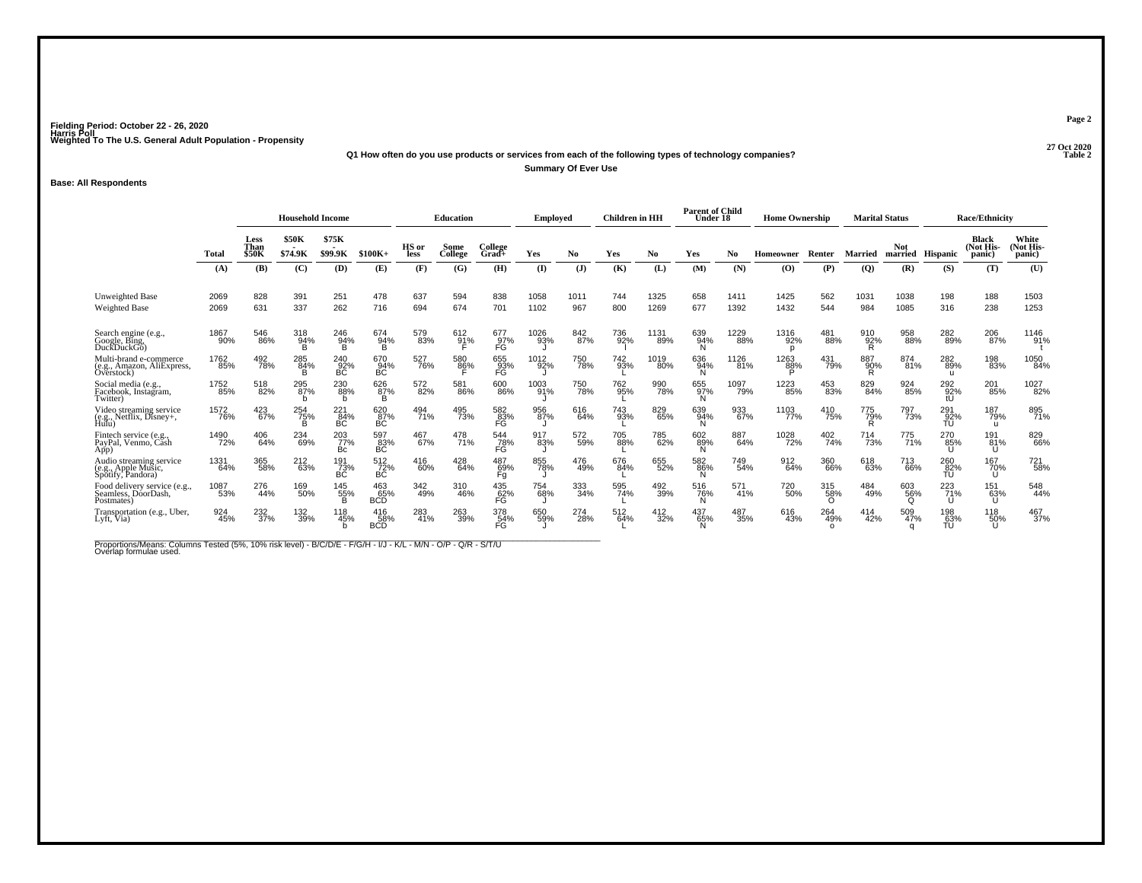**27 Oct 2020Q1 How often do you use products or services from each of the following types of technology companies?Summary Of Ever Use**

**Base: All Respondents**

|                                                                     |              |                              | <b>Household Income</b> |                  |                          |               | <b>Education</b> |                               | Employed     |                | <b>Children</b> in HH |              | <b>Parent of Child</b><br>Under 18 |              | <b>Home Ownership</b> |                        |                 | <b>Marital Status</b> |                  | <b>Race/Ethnicity</b>               |                              |
|---------------------------------------------------------------------|--------------|------------------------------|-------------------------|------------------|--------------------------|---------------|------------------|-------------------------------|--------------|----------------|-----------------------|--------------|------------------------------------|--------------|-----------------------|------------------------|-----------------|-----------------------|------------------|-------------------------------------|------------------------------|
|                                                                     | Total        | Less<br>Than<br><b>\$50K</b> | \$50K<br>\$74.9K        | \$75K<br>\$99.9K | $$100K+$                 | HS or<br>less | Some<br>College  | College<br>Grad+              | Yes          | N <sub>0</sub> | Yes                   | No           | Yes                                | No           | Homeowner             | Renter                 | Married         | Not.<br>married       | Hispanic         | <b>Black</b><br>(Not His-<br>panic) | White<br>(Not His-<br>panic) |
|                                                                     | (A)          | (B)                          | (C)                     | (D)              | (E)                      | (F)           | (G)              | (H)                           | $\bf(I)$     | (J)            | (K)                   | (L)          | (M)                                | (N)          | $\bf{(O)}$            | (P)                    | (Q)             | (R)                   | (S)              | (T)                                 | (U)                          |
| <b>Unweighted Base</b><br><b>Weighted Base</b>                      | 2069<br>2069 | 828<br>631                   | 391<br>337              | 251<br>262       | 478<br>716               | 637<br>694    | 594<br>674       | 838<br>701                    | 1058<br>1102 | 1011<br>967    | 744<br>800            | 1325<br>1269 | 658<br>677                         | 1411<br>1392 | 1425<br>1432          | 562<br>544             | 1031<br>984     | 1038<br>1085          | 198<br>316       | 188<br>238                          | 1503<br>1253                 |
|                                                                     |              |                              |                         |                  |                          |               |                  |                               |              |                |                       |              |                                    |              |                       |                        |                 |                       |                  |                                     |                              |
| Search engine (e.g., Google, Bing,<br>DuckDuckGo)                   | 1867<br>90%  | 546<br>86%                   | 318<br>94%<br>в         | 246<br>94%<br>B  | 674<br>94%<br>B          | 579<br>83%    | 612<br>91%       | 677<br>97%<br>FĠ              | 1026<br>93%  | 842<br>87%     | 736<br>92%            | 1131<br>89%  | 639<br>94%<br>N                    | 1229<br>88%  | 1316<br>92%<br>n      | 481<br>88%             | 910<br>92%<br>R | 958<br>88%            | 282<br>89%       | 206<br>87%                          | 1146<br>91%                  |
| Multi-brand e-commerce<br>(e.g., Amazon, AliExpress,<br>Overstock)  | 1762<br>85%  | 492<br>78%                   | 285<br>84%<br>в         | 240<br>92%<br>BC | 670<br>BC                | 527<br>76%    | 580<br>86%       | 655<br>93%<br>FG              | 1012<br>92%  | 750<br>78%     | 742<br>93%            | 1019<br>80%  | 636<br>94%<br>N                    | 1126<br>81%  | 1263<br>88%<br>D      | 431<br>79%             | 887<br>90%<br>R | 874<br>81%            | 282<br>89%       | 198<br>83%                          | 1050<br>84%                  |
| Social media (e.g.,<br>Facebook, Instagram,<br>Twitter)             | 1752<br>85%  | 518<br>82%                   | 295<br>87%<br>b         | 230<br>88%<br>b  | 626<br>87%<br>B          | 572<br>82%    | 581<br>86%       | 600<br>86%                    | 1003<br>91%  | 750<br>78%     | 762<br>95%            | 990<br>78%   | 655<br>97%<br>N                    | 1097<br>79%  | 1223<br>85%           | 453<br>83%             | 829<br>84%      | 924<br>85%            | 292<br>92%       | 201<br>85%                          | 1027<br>82%                  |
| Video streaming service<br>(e.g., Netflix, Disney+,<br>Hulu)        | 1572<br>76%  | 423<br>67%                   | 254<br>75%<br>B         | 221<br>84%<br>BC | 620<br>87%<br>BC         | 494<br>71%    | 495<br>73%       | 582<br>83%<br>FG              | 956<br>87%   | 616<br>64%     | 743<br>93%            | 829<br>65%   | 639<br>94%<br>N                    | 933<br>67%   | 1103<br>77%           | 410<br>75%             | 775<br>79%<br>R | 797<br>73%            | 291<br>92%<br>TU | 187<br>79%<br>u                     | 895<br>71%                   |
| Fintech service (e.g.,<br>PayPal, Venmo, Cash<br>App)               | 1490<br>72%  | 406<br>64%                   | 234<br>69%              | 203<br>77%<br>Bc | 597<br>83%<br>BC         | 467<br>67%    | 478<br>71%       | 544<br>78%<br>FĞ              | 917<br>83%   | 572<br>59%     | 705<br>88%            | 785<br>62%   | 602<br>89%<br>N                    | 887<br>64%   | 1028<br>72%           | 402<br>74%             | 714<br>73%      | 775<br>71%            | 270<br>85%       | 191<br>81%<br>U                     | 829<br>66%                   |
| Audio streaming service<br>(e.g., Apple Music,<br>Spotify, Pandora) | 1331<br>64%  | 365<br>58%                   | 212<br>63%              | 191<br>73%<br>ВĆ | 512<br>72%<br>BC         | 416<br>60%    | 428<br>64%       | 487<br>69%<br>Fg              | 855<br>78%   | 476<br>49%     | 676<br>84%            | 655<br>52%   | 582<br>86%<br>N                    | 749<br>54%   | 912<br>64%            | 360<br>66%             | 618<br>63%      | 713<br>66%            | 260<br>82%<br>TU | 167<br>70%<br>U                     | <sup>721</sup> 58%           |
| Food delivery service (e.g.,<br>Seamless, DóorDash,<br>Postmates)   | 1087<br>53%  | 276<br>44%                   | 169<br>50%              | 145<br>55%<br>в  | 463<br>65%<br><b>BCD</b> | 342<br>49%    | 310<br>46%       | 435<br>62%<br>FĞ              | 754<br>68%   | 333<br>34%     | 595<br>74%            | 492<br>39%   | 516<br>76%<br>N                    | 571<br>41%   | 720<br>50%            | 315<br>58%<br>$\Omega$ | 484<br>49%      | 603<br>56%            | 223<br>71%<br>U  | 151<br>63%<br>U                     | 548<br>44%                   |
| Transportation (e.g., Uber,<br>Lyft, Via)                           | 924<br>45%   | 232<br>37%                   | 132<br>39%              | 118<br>45%       | 416<br>58%<br><b>BCD</b> | 283<br>41%    | 263<br>39%       | 378<br>54%<br>FG <sup>1</sup> | 650<br>59%   | 274<br>28%     | 512<br>64%            | 412<br>32%   | 437<br>65%<br>N                    | 487<br>35%   | 616<br>43%            | 264<br>49%<br>$\Omega$ | 414<br>42%      | 509<br>47%            | 198<br>63%<br>TU | 118<br>50%<br>U                     | 467<br>37%                   |

Proportions/Means: Columns Tested (5%, 10% risk level) - B/C/D/E - F/G/H - I/J - K/L - M/N - O/P - Q/R - S/T/U<br>Overlap formulae used.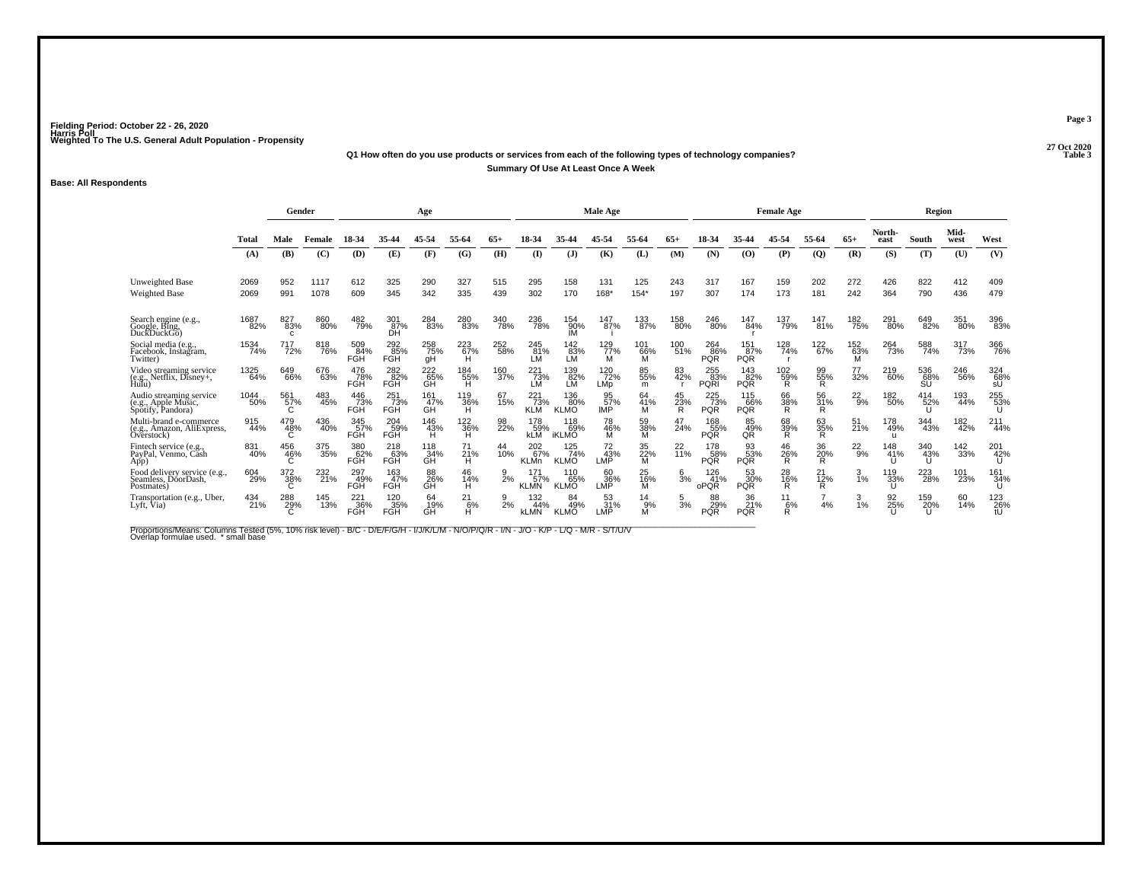### **27 Oct 2020Q1 How often do you use products or services from each of the following types of technology companies?Summary Of Use At Least Once A Week**

#### **Base: All Respondents**

|                                                                     |             |                 | Gender     |                          |                          | Age              |                 |            |                           |                            | <b>Male Age</b>   |                 |                |                           |                          | <b>Female Age</b> |                |                 |                 | Region           |              |                    |
|---------------------------------------------------------------------|-------------|-----------------|------------|--------------------------|--------------------------|------------------|-----------------|------------|---------------------------|----------------------------|-------------------|-----------------|----------------|---------------------------|--------------------------|-------------------|----------------|-----------------|-----------------|------------------|--------------|--------------------|
|                                                                     | Total       | Male            | Female     | 18-34                    | 35-44                    |                  | 55-64           |            |                           |                            | 45-54             |                 |                |                           |                          |                   | 55-64          | $65+$           | North-<br>east  | South            | Mid-<br>west | West               |
|                                                                     | (A)         | (B)             | (C)        | (D)                      | (E)                      | (F)              | (G)             | (H)        | $($ $\Gamma$              | $(\mathbf{J})$             | (K)               | (L)             | (M)            | (N)                       | (0)                      | (P)               | $\overline{Q}$ | (R)             | (S)             | (T)              | (U)          | (V)                |
| Unweighted Base                                                     | 2069        | 952             | 1117       | 612                      | 325                      | 290              | 327             | 515        | 295                       | 158                        | 131               | 125             | 243            | 317                       | 167                      | 159               | 202            | 272             | 426             | 822              | 412          | 409                |
| <b>Weighted Base</b>                                                | 2069        | 991             | 1078       | 609                      | 345                      | 342              | 335             | 439        | 302                       | 170                        | 168*              | $154*$          | 197            | 307                       | 174                      | 173               | 181            | 242             | 364             | 790              | 436          | 479                |
| Search engine (e.g.,<br>Google, Bing, DuckDuckGo)                   | 1687<br>82% | 827<br>83%<br>C | 860<br>80% | 482<br>79%               | 301<br>$\overline{87}$ % | 284<br>83%       | 280<br>83%      | 340<br>78% | 236<br>78%                | 154<br>90%<br>IМ           | 147<br>87%        | 133<br>87%      | 158<br>80%     | 246<br>80%                | 147<br>84%               | 137<br>79%        | 147<br>81%     | 182<br>75%      | 291<br>80%      | 649<br>82%       | 351<br>80%   | 396<br>83%         |
| Social media (e.g.,<br>Facebook, Instagram,<br>Twitter)             | 1534<br>74% | 717<br>72%      | 818<br>76% | 509<br>84%<br><b>FGH</b> | 292<br>85%<br>FGH        | 258<br>75%<br>gН | 223<br>67%<br>H | 252<br>58% | 245<br>81%<br>LM          | 142<br>83%<br>LM           | 129 77%<br>М      | 101<br>66%<br>м | 100<br>51%     | 264<br>86%<br><b>PQR</b>  | 151<br>87%<br><b>PQR</b> | 128<br>74%        | 122<br>67%     | 152<br>63%<br>M | 264<br>73%      | 588<br>74%       | 317<br>73%   | 366<br>76%         |
| Video streaming service<br>(e.g., Netflix, Disney+,<br>Hulu)        | 1325<br>64% | 649<br>66%      | 676<br>63% | 476<br>78%<br>FGH        | 282<br>82%<br>FGH        | 222<br>65%<br>GH | 184<br>55%<br>Ή | 160<br>37% | 221<br>73%<br>LM          | 139<br>82%<br>LМ           | 120<br>72%<br>LMp | 85<br>55%<br>m  | 83<br>42%      | 255<br>83%<br><b>PQRI</b> | 143<br>82%<br><b>PQR</b> | 102<br>59%<br>R   | 99<br>55%<br>R | 77<br>32%       | 219<br>60%      | 536<br>68%<br>ŚŬ | 246<br>56%   | $\frac{324}{68\%}$ |
| Audio streaming service<br>(e.g., Apple Music,<br>Spotify, Pandora) | 1044<br>50% | 561<br>57%<br>C | 483<br>45% | 446<br>73%<br><b>FGH</b> | 251<br>73%<br><b>FGH</b> | 161<br>47%<br>GH | 119<br>36%<br>H | 67<br>15%  | 221<br>73%<br><b>KLM</b>  | 136<br>80%<br><b>KLMO</b>  | 95<br>57%<br>IMP  | 64<br>41%<br>M  | 45<br>23%<br>R | 225<br>73%<br><b>PQR</b>  | 115<br>66%<br><b>PQR</b> | 66<br>38%<br>R    | 56<br>31%<br>R | $^{22}_{9%}$    | 182<br>50%      | 414<br>52%       | 193<br>44%   | 255<br>53%<br>U    |
| Multi-brand e-commerce<br>(e.g., Amazon, AliExpress,<br>Overstock)  | 915<br>44%  | 479<br>48%      | 436<br>40% | 345<br>57%<br>FGH        | 204<br>59%<br>FGH        | 146<br>43%<br>н  | 122<br>36%<br>H | 98<br>22%  | 178<br>59%<br><b>KLM</b>  | 118<br>69%<br><b>iKLMO</b> | 78<br>46%<br>М    | 59<br>38%<br>M  | 47<br>24%      | 168<br>55%<br><b>PQR</b>  | 85<br>49%<br>QŘ          | 68<br>39%<br>R.   | 63<br>35%<br>R | 51<br>21%       | 178<br>49%<br>u | 344<br>43%       | 182<br>42%   | 211<br>44%         |
| Fintech service (e.g.<br>PayPal, Venmo, Căsh<br>App)                | 831<br>40%  | 456<br>46%      | 375<br>35% | 380<br>62%<br><b>FGH</b> | 218<br>63%<br>FGH        | 118<br>34%<br>GH | 71<br>21%<br>н  | 44<br>10%  | 202<br>67%<br><b>KLMn</b> | 125<br>74%<br><b>KLMO</b>  | 72<br>43%<br>LMP  | 35<br>22%<br>M  | 22<br>11%      | 178<br>58%<br><b>PQR</b>  | 93<br>53%<br><b>PQR</b>  | 46<br>26%<br>Ŕ    | 36<br>20%<br>R | $^{22}_{9%}$    | 148<br>41%      | 340<br>43%       | 142<br>33%   | 201<br>42%         |
| Food delivery service (e.g.,<br>Seamless, DóorDash,<br>Postmates)   | 604<br>29%  | 372<br>38%<br>С | 232<br>21% | 297<br>49%<br>FGH        | 163<br>47%<br>FGH        | 88<br>26%<br>GH  | 46<br>14%<br>н  | 9<br>2%    | 171<br>57%<br><b>KLMN</b> | 110<br>65%<br><b>KLMO</b>  | 60<br>36%<br>LMP  | 25<br>16%<br>м  | 3%             | 126<br>41%<br>oPQR        | 53<br>30%<br><b>PQR</b>  | 28<br>16%<br>R.   | 21<br>12%<br>R | 3<br>1%         | 119<br>33%      | 223<br>28%       | 101<br>23%   | 161<br>34%<br>U    |
| Transportation (e.g., Uber,<br>Lyft, Via)                           | 434<br>21%  | 288<br>29%      | 145<br>13% | 221<br>36%<br>FGH        | 120<br>35%<br><b>FGH</b> | 64<br>19%<br>GĤ  | 21<br>6%<br>н   | 2%         | 132<br>44%<br><b>kLMN</b> | 84<br>49%<br><b>KLMO</b>   | 53<br>31%<br>LMP  | 14<br>9%<br>Μ   | 3%             | 88<br>29%<br><b>PQR</b>   | 36<br>21%<br><b>PQR</b>  | 11<br>6%<br>R     | 4%             | 3<br>1%         | 92<br>25%       | 159<br>20%       | 60<br>14%    | 123<br>26%         |

Proportions/Means: Columns Tested (5%, 10% risk level) - B/C - D/E/F/G/H - I/J/K/L/M - N/O/P/Q/R - I/N - J/O - K/P - L/Q - M/R - S/T/U/V<br>Overlap formulae used. \*small base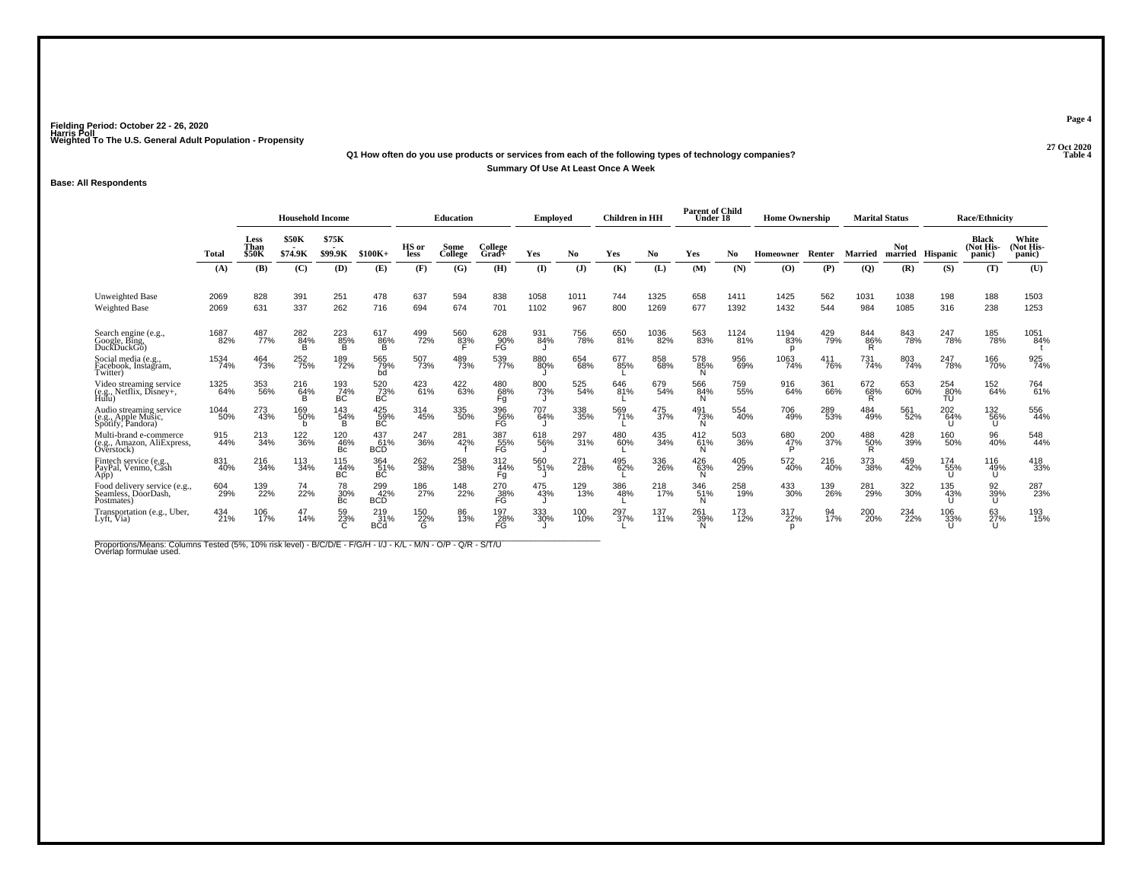### **27 Oct 2020Q1 How often do you use products or services from each of the following types of technology companies?Summary Of Use At Least Once A Week**

#### **Base: All Respondents**

|                                                                     |              | <b>Household Income</b>             |                         |                         |                          |                 | <b>Education</b>    |                  | <b>Employed</b> |                         | <b>Children</b> in HH |              | <b>Parent of Child</b><br>Under 18 |              | <b>Home Ownership</b> |            | <b>Marital Status</b> |                         |                     | <b>Race/Ethnicity</b>        |                             |
|---------------------------------------------------------------------|--------------|-------------------------------------|-------------------------|-------------------------|--------------------------|-----------------|---------------------|------------------|-----------------|-------------------------|-----------------------|--------------|------------------------------------|--------------|-----------------------|------------|-----------------------|-------------------------|---------------------|------------------------------|-----------------------------|
|                                                                     | Total        | <b>Less</b><br>Than<br><b>\$50K</b> | <b>\$50K</b><br>\$74.9K | \$75K<br>\$99.9K        | $$100K+$                 | HS or<br>less   | Some<br>College     | College<br>Grad+ | Yes             | No.                     | Yes                   | No           | Yes                                | No           | <b>Homeowner</b>      | Renter     | Married               | Not<br>married Hispanic |                     | Black<br>(Not His-<br>panic) | White<br>Not His-<br>panic) |
|                                                                     | (A)          | (B)                                 | (C)                     | (D)                     | (E)                      | (F)             | (G)                 | (H)              | (I)             | $(\mathbf{J})$          | (K)                   | (L)          | (M)                                | (N)          | (O)                   | (P)        | $\overline{Q}$        | (R)                     | (S)                 | (T)                          | (U)                         |
| Unweighted Base<br><b>Weighted Base</b>                             | 2069<br>2069 | 828<br>631                          | 391<br>337              | 251<br>262              | 478<br>716               | 637<br>694      | 594<br>674          | 838<br>701       | 1058<br>1102    | 1011<br>967             | 744<br>800            | 1325<br>1269 | 658<br>677                         | 1411<br>1392 | 1425<br>1432          | 562<br>544 | 1031<br>984           | 1038<br>1085            | 198<br>316          | 188<br>238                   | 1503<br>1253                |
| Search engine (e.g.,<br>Google, Bing,<br>DuckDuckGo)                | 1687<br>82%  | 487<br>77%                          | 282<br>84%<br>B         | 223<br>85%<br>в         | 617<br>86%<br>в          | 499<br>72%      | 560<br>8 <u>3</u> % | 628<br>90%<br>FĠ | 931<br>84%      | 756<br>78%              | 650<br>81%            | 1036<br>82%  | 563<br>83%                         | 1124<br>81%  | 1194<br>83%<br>n      | 429<br>79% | 844<br>86%<br>R       | 843<br>78%              | 247<br>78%          | 185<br>78%                   | 1051<br>84%                 |
| Social media (e.g.,<br>Facebook, Instagram,<br>Twitter)             | 1534<br>74%  | 464<br>73%                          | 252<br>75%              | 189<br>72%              | 565<br>79%<br>bd         | 507<br>73%      | 489<br>73%          | 539<br>77%       | 880<br>80%      | 654<br>68%              | 677<br>85%            | 858<br>68%   | 578<br>85%<br>N                    | 956<br>69%   | 1063<br>74%           | 411<br>76% | 731<br>74%            | 803<br>74%              | 247<br>78%          | 166<br>70%                   | 925<br>74%                  |
| Video streaming service<br>(e.g., Netflix, Disney+,<br>Hulu)        | 1325<br>64%  | 353<br>56%                          | 216<br>64%<br>B         | 193<br>74%<br>ВC        | 520<br>73%<br>ВC         | 423<br>61%      | 422<br>63%          | 480<br>68%<br>Fg | 800<br>73%      | 525<br>54%              | 646<br>81%            | 679<br>54%   | 566<br>84%<br>N                    | 759<br>55%   | 916<br>64%            | 361<br>66% | 672<br>68%<br>R       | 653<br>60%              | 254<br>$-80%$<br>TU | 152<br>64%                   | 764<br>61%                  |
| Audio streaming service<br>(e.g., Apple Music,<br>Spotify, Pandora) | 1044<br>50%  | 273<br>43%                          | 169<br>50%<br>b         | 143<br>54%<br>B         | $^{425}_{-59\%}$ BC      | 314<br>45%      | 335<br>50%          | 396<br>56%<br>FG | 707<br>64%      | 338<br>35%              | 569<br>71%            | 475<br>37%   | 491<br>73%<br>Ñ                    | 554<br>40%   | 706<br>49%            | 289<br>53% | 484<br>49%            | 561<br>52%              | 202<br>64%          | 132<br>56%<br>U              | 556<br>44%                  |
| Multi-brand e-commerce<br>(e.g., Amazon, AliExpress,<br>Overstock)  | 915<br>44%   | $^{213}_{34\%}$                     | 122<br>36%              | 120<br>46%<br>Bc        | 437<br>61%<br><b>BCD</b> | 247<br>36%      | 281<br>42%          | 387<br>55%<br>FG | 618<br>56%      | 297<br>31%              | 480<br>60%            | 435<br>34%   | 412<br>61%<br>N                    | 503<br>36%   | 680<br>47%<br>P       | 200<br>37% | 488<br>50%<br>R       | 428<br>39%              | 160<br>50%          | 96<br>40%                    | 548<br>44%                  |
| Fintech service (e.g.<br>PayPal, Venmo, Cash<br>App)                | 831<br>40%   | 216<br>34%                          | 113<br>34%              | 115<br>44%<br><b>BC</b> | 364<br>51%<br>ВĆ         | 262<br>38%      | 258<br>38%          | 312<br>44%<br>Fg | 560<br>51%      | 271<br>28%              | 495<br>62%            | 336<br>26%   | 426<br>63%                         | 405<br>29%   | 572<br>40%            | 216<br>40% | 373<br>38%            | 459<br>42%              | 174<br>55%          | 116<br>49%<br>Ū              | 418<br>33%                  |
| Food delivery service (e.g.,<br>Seamless, DóorDash,<br>Postmates)   | 604<br>29%   | 139<br>22%                          | 74<br>22%               | 78<br>30%<br>Bc         | 299<br>42%<br><b>BCD</b> | 186<br>27%      | 148<br>22%          | 270<br>38%<br>FG | 475<br>43%      | 129<br>$\overline{1}3%$ | 386<br>48%            | 218<br>17%   | 346<br>51%                         | 258<br>19%   | 433<br>30%            | 139<br>26% | 281<br>29%            | 322<br>30%              | 135<br>43%          | 92<br>39%<br>U               | 287<br>23%                  |
| Transportation (e.g., Uber,<br>Lyft, Via)                           | 434<br>21%   | 106<br>17%                          | 47<br>14%               | 59<br>23%               | 219<br>31%<br><b>BCd</b> | 150<br>22%<br>G | 86<br>13%           | 197<br>28%<br>FG | 333<br>30%      | 100<br>10%              | 297<br>37%            | 137<br>11%   | 261<br>39%                         | 173<br>12%   | 317<br>22%            | 94<br>17%  | 200<br>20%            | 234<br>22%              | 106<br>33%          | 63<br>27%<br>U               | 193<br>15%                  |

Proportions/Means: Columns Tested (5%, 10% risk level) - B/C/D/E - F/G/H - I/J - K/L - M/N - O/P - Q/R - S/T/U<br>Overlap formulae used.

**Page 4**

**P** Table 4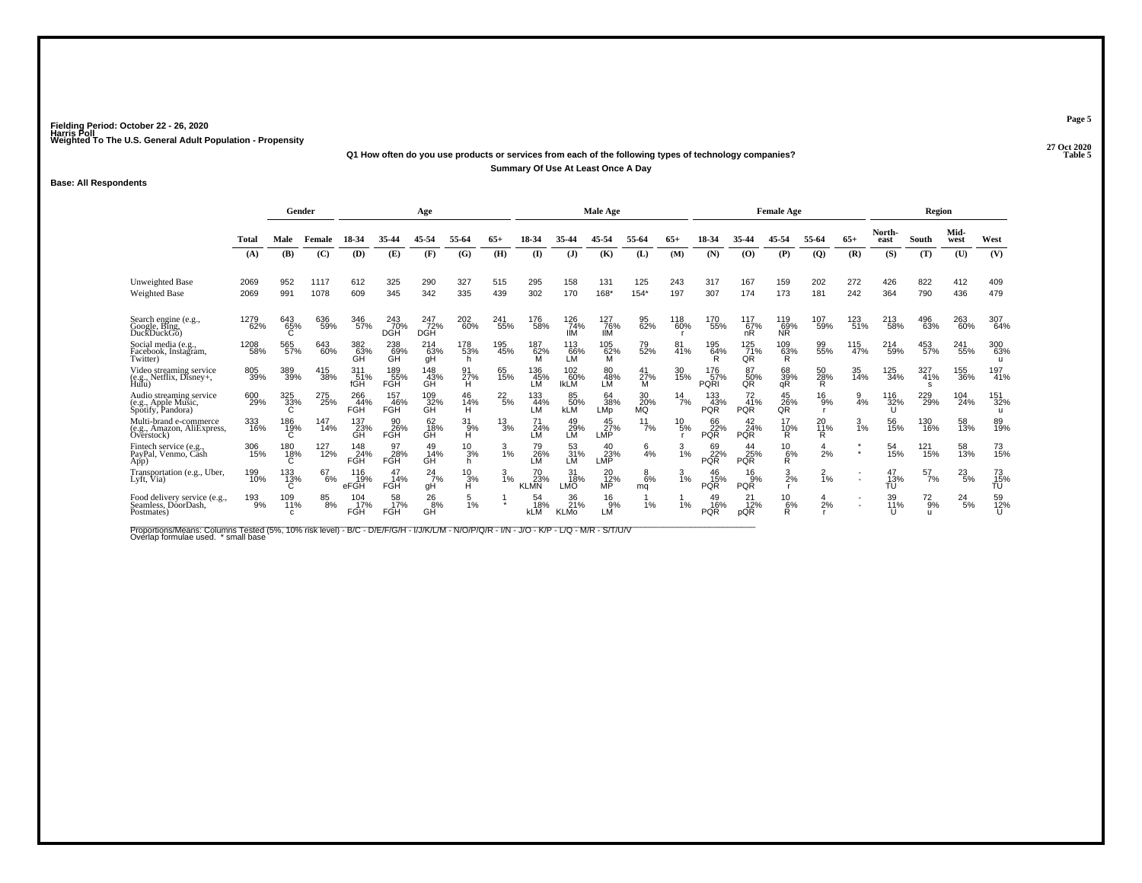### **27 Oct 2020Q1 How often do you use products or services from each of the following types of technology companies?Summary Of Use At Least Once A Day**

#### **Base: All Respondents**

|                                                                     |             | Gender           |            |                          |                          | Age                      |                    |                 |                          |                           | <b>Male Age</b>               |                       |                 |                          |                                 | <b>Female Age</b>      |                       |            |                 | Region            |               |                 |
|---------------------------------------------------------------------|-------------|------------------|------------|--------------------------|--------------------------|--------------------------|--------------------|-----------------|--------------------------|---------------------------|-------------------------------|-----------------------|-----------------|--------------------------|---------------------------------|------------------------|-----------------------|------------|-----------------|-------------------|---------------|-----------------|
|                                                                     | Total       | Male             | Female     | 18-34                    | 35-44                    |                          | 55-64              |                 |                          |                           |                               |                       | $65+$           | 18-34                    | 35-44                           | 45-54                  | 55-64                 | $65+$      | North-<br>east  | South             | Mid-<br>west  | West            |
|                                                                     | (A)         | (B)              | (C)        | (D)                      | (E)                      | (F)                      | (G)                | (H)             | (I)                      | (J)                       | (K)                           | (L)                   | (M)             | (N)                      | (0)                             | (P)                    | $\overline{Q}$        | (R)        | (S)             | (T)               | (U)           | (V)             |
| <b>Unweighted Base</b>                                              | 2069        | 952              | 1117       | 612                      | 325                      | 290                      | 327                | 515             | 295                      | 158                       | 131                           | 125                   | 243             | 317                      | 167                             | 159                    | 202                   | 272        | 426             | 822               | 412           | 409             |
| Weighted Base                                                       | 2069        | 991              | 1078       | 609                      | 345                      | 342                      | 335                | 439             | 302                      | 170                       | 168*                          | $154*$                | 197             | 307                      | 174                             | 173                    | 181                   | 242        | 364             | 790               | 436           | 479             |
| Search engine (e.g.,<br>Google, Bing,<br>DuckDuckGo)                | 1279<br>62% | 643<br>65%       | 636<br>59% | 346<br>57%               | 243<br>70%<br><b>DGH</b> | 247<br>72%<br><b>DGH</b> | 202<br>60%         | 241<br>55%      | 176<br>58%               | 126<br>74%<br><b>IIM</b>  | 127<br>76%<br>IIМ             | 95<br>62%             | 118<br>60%      | 170<br>55%               | 117<br>67%<br>nR                | 119<br>69%<br>NŘ       | 107<br>59%            | 123<br>51% | 213<br>58%      | 496<br>63%        | 263<br>60%    | 307<br>64%      |
| Social media (e.g.,<br>Facebook, Instagram,<br>Twitter)             | 1208<br>58% | 565<br>57%       | 643<br>60% | 382<br>63%<br>GH         | 238<br>69%<br>GH         | 214<br>63%<br>qΗ         | 178<br>53%<br>h    | 195<br>45%      | 187<br>62%               | 113<br>66%<br>LМ          | 105<br>62%<br>м               | 79<br>52%             | 81<br>41%       | 195<br>64%               | 125<br>71%<br>QR                | 109<br>63%<br>R.       | 99<br>55%             | 115<br>47% | 214<br>59%      | 453<br>57%        | 241<br>55%    | 300<br>63%      |
| Video streaming service<br>(e.g., Netflix, Disney+, Hulu)           | 805<br>39%  | 389<br>39%       | 415<br>38% | 311<br>51%<br>fGH        | 189<br>55%<br>FGH        | 148<br>43%<br>GH         | 91<br>27%<br>н     | 65<br>15%       | 136<br>45%<br>LM         | 102<br>60%<br><b>IKLM</b> | 80<br>48%<br>LÑ               | 41<br>27%<br>м        | 30<br>15%       | 176<br>57%<br>PQRI       | 87<br>50%<br>QR                 | 68<br>39%<br>qR        | 50<br>28%<br>R        | 35<br>14%  | 125<br>34%      | 327<br>41%<br>s   | 155<br>36%    | 197<br>41%      |
| Audio streaming service<br>(e.g., Apple Music,<br>Spotify, Pandora) | 600<br>29%  | 325<br>33%<br>C  | 275<br>25% | 266<br>44%<br>FGH        | 157<br>46%<br><b>FGH</b> | 109<br>32%<br>GH         | 46<br>14%<br>н     | $^{22}_{5\%}$   | 133<br>44%<br>LМ         | 85<br>50%<br><b>kLM</b>   | 64<br>38%<br>LMp              | 30 <sub>%</sub><br>MQ | $^{14}$ 7%      | 133<br>43%<br><b>PQR</b> | $^{72}_{41\%}$<br><b>PQR</b>    | $^{45}_{26\%}$ QR      | $^{16}_{9%}$          | 9<br>4%    | 116<br>32%      | 229<br>29%        | 104<br>24%    | 151<br>32%<br>u |
| Multi-brand e-commerce<br>(e.g., Amazon, AliExpress,<br>Overstock)  | 333<br>16%  | 186<br>19%<br>C  | 147<br>14% | 137<br>23%<br>GH         | 90<br>26%<br>FGH         | 62<br>18%<br>GH          | $31_{9%}$<br>Ĥ     | $\frac{13}{3%}$ | 24%<br>LМ                | 49<br>29%<br>LM           | 45<br>27%<br>LMP              | 11<br>7%              | $^{10}_{\ 5\%}$ | 66<br>22%<br><b>PQR</b>  | $\frac{42}{24\%}$<br><b>PQR</b> | 17<br>$\frac{10\%}{R}$ | 20<br><b>11%</b><br>R | 3<br>1%    | 56<br>15%       | 130<br>16%        | 58<br>13%     | 89<br>19%       |
| Fintech service (e.g.,<br>PayPal, Venmo, Cash<br>App)               | 306<br>15%  | 180<br>18%<br>Ć  | 127<br>12% | 148<br>24%<br><b>FGH</b> | 97<br>28%<br>FĞĤ         | 49<br>14%<br>GH          | $^{10}_{3\%}$<br>h | $\frac{3}{1\%}$ | 79<br>26%<br>LМ          | 53<br>31%<br>LМ           | 40<br>23%<br>LMP              | $\frac{6}{4}$ %       | $\frac{3}{1\%}$ | 69<br>22%<br><b>PQR</b>  | 44<br>25%<br><b>PQR</b>         | $^{10}_{6\%}$<br>R.    | 2%                    | $\star$    | 54<br>15%       | 121<br>15%        | 58<br>13%     | 73<br>15%       |
| Transportation (e.g., Uber,<br>Lyft, Via)                           | 199<br>10%  | 133<br>13%<br>C  | 67<br>6%   | 116<br>19%<br>eFGH       | 47<br>14%<br><b>FGH</b>  | 24<br>7%<br>qΗ           | $^{10}_{3\%}$<br>н | $\frac{3}{1\%}$ | 70<br>23%<br><b>KLMN</b> | 31<br>18%<br>LMÓ          | 20<br>$\overline{12}\%$<br>MP | $^{8}_{6\%}$<br>mq    | $\frac{3}{1\%}$ | 46<br>15%<br><b>PQR</b>  | $^{16}_{9%}$<br><b>PQR</b>      | $\frac{3}{2\%}$        | $\frac{2}{1}$ %       |            | 47<br>13%<br>TÚ | 57<br>7%          | $^{23}_{5\%}$ | 73<br>15%<br>TU |
| Food delivery service (e.g.,<br>Seamless, DóorDash,<br>Postmates)   | 193<br>9%   | 109<br>11%<br>C. | 85<br>8%   | 104<br>17%<br>FGH        | 58<br>17%<br><b>FGH</b>  | $^{26}_{8\%}$<br>GH      | $\frac{5}{1%}$     |                 | 54<br>18%<br><b>kLM</b>  | 36<br>21%<br><b>KLMo</b>  | 16<br>9%<br>LM                | 1%                    | 1%              | 49<br>16%<br><b>PQR</b>  | 21<br>12%<br>pQR                | 10<br>6%<br>R          | 2%                    |            | 39<br>11%       | $^{72}_{9%}$<br>u | 24<br>5%      | 59<br>12%       |

Proportions/Means: Columns Tested (5%, 10% risk level) - B/C - D/E/F/G/H - I/J/K/L/M - N/O/P/Q/R - I/N - J/O - K/P - L/Q - M/R - S/T/U/V<br>Overlap formulae used. \*small base

**Page 5**

**Table 5**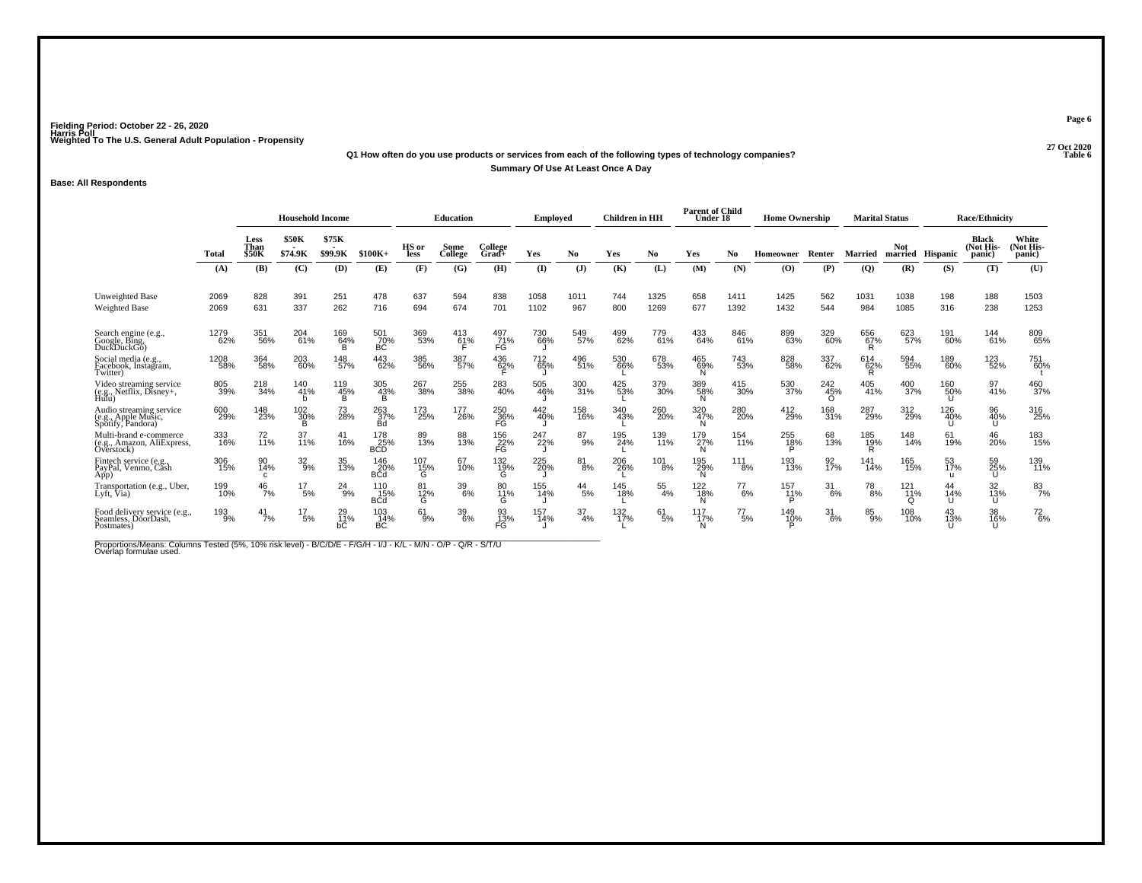#### **27 Oct 2020Q1 How often do you use products or services from each of the following types of technology companies? Table 6 Summary Of Use At Least Once A Day**

#### **Base: All Respondents**

|                                                                     |              |                              | <b>Household Income</b> |                        |                          |                 | <b>Education</b> |                  | <b>Employed</b> |                  | Children in HH |               | <b>Parent of Child</b><br>Under 18 |               | <b>Home Ownership</b> |                        |                 | <b>Marital Status</b>  |                  | <b>Race/Ethnicity</b>        |                              |
|---------------------------------------------------------------------|--------------|------------------------------|-------------------------|------------------------|--------------------------|-----------------|------------------|------------------|-----------------|------------------|----------------|---------------|------------------------------------|---------------|-----------------------|------------------------|-----------------|------------------------|------------------|------------------------------|------------------------------|
|                                                                     | Total        | Less<br>Than<br><b>\$50K</b> | <b>\$50K</b><br>\$74.9K | \$75K<br>\$99.9K       | $$100K+$                 | HS or<br>less   | Some<br>College  | College<br>Grad+ | Yes             | No.              | Yes            | No            | Yes                                | No.           | Homeowner             | Renter                 | <b>Married</b>  | <b>Not</b>             | married Hispanic | Black<br>(Not His-<br>panic) | White<br>(Not His-<br>panic) |
|                                                                     | (A)          | (B)                          | (C)                     | (D)                    | (E)                      | (F)             | (G)              | (H)              | (I)             | $(\mathbf{J})$   | (K)            | (L)           | (M)                                | (N)           | (O)                   | (P)                    | (Q)             | (R)                    | (S)              | (T)                          | (U)                          |
| <b>Unweighted Base</b><br><b>Weighted Base</b>                      | 2069<br>2069 | 828<br>631                   | 391<br>337              | 251<br>262             | 478<br>716               | 637<br>694      | 594<br>674       | 838<br>701       | 1058<br>1102    | 1011<br>967      | 744<br>800     | 1325<br>1269  | 658<br>677                         | 1411<br>1392  | 1425<br>1432          | 562<br>544             | 1031<br>984     | 1038<br>1085           | 198<br>316       | 188<br>238                   | 1503<br>1253                 |
| Search engine (e.g.,<br>Google, Bing,<br>DuckDuckGo)                | 1279<br>62%  | 351<br>56%                   | 204<br>61%              | 169<br>64%             | 501<br>70%<br>ВĆ         | 369<br>53%      | 413<br>61%       | 497<br>71%<br>FG | 730<br>66%      | 549<br>57%       | 499<br>62%     | 779<br>61%    | 433<br>64%                         | 846<br>61%    | 899<br>63%            | 329<br>60%             | 656<br>67%<br>R | 623<br>57%             | 191<br>60%       | 144<br>61%                   | 809<br>65%                   |
| Social media (e.g.,<br>Facebook, Instagram,<br>Twitter)             | 1208<br>58%  | 364<br>58%                   | 203<br>60%              | 148<br>57%             | 443<br>62%               | 385<br>56%      | 387<br>57%       | 436<br>62%       | 712<br>65%      | 496<br>51%       | 530<br>66%     | 678<br>53%    | 465<br>69%                         | 743<br>53%    | 828<br>58%            | 337<br>62%             | 614<br>62%<br>R | 594<br>55%             | 189<br>60%       | 123<br>52%                   | 751<br>60%                   |
| Video streaming service<br>(e.g., Netflix, Disney+,<br>Hulu)        | 805<br>39%   | 218<br>34%                   | 140<br>41%<br>b         | 119<br>45%<br><b>B</b> | 305<br>43%<br>B          | 267<br>38%      | 255<br>38%       | 283<br>40%       | 505<br>46%      | 300<br>31%       | 425<br>53%     | 379<br>30%    | 389<br>58%<br>N                    | 415<br>30%    | 530<br>37%            | 242<br>45%<br>$\Omega$ | 405<br>41%      | 400<br>37%             | 160<br>50%<br>ш  | 97<br>41%                    | 460<br>37%                   |
| Audio streaming service<br>(e.g., Apple Music,<br>Spotify, Pandora) | 600<br>29%   | 148<br>23%                   | 102<br>30%<br>B         | 73<br>28%              | 263<br>37%<br>Bd         | 173<br>25%      | 177<br>26%       | 250<br>36%<br>FĞ | 442<br>40%      | 158<br>16%       | 340<br>43%     | 260<br>20%    | 320<br>47%                         | 280<br>20%    | 412<br>29%            | 168<br>31%             | 287<br>29%      | 312<br>29%             | 126<br>40%       | 96<br>40%<br>U               | 316<br>25%                   |
| Multi-brand e-commerce<br>(e.g., Amazon, AliExpress,<br>Overstock)  | 333<br>16%   | 72<br>11%                    | 37<br>11%               | 41<br>16%              | 178<br>25%               | 89<br>13%       | 88<br>13%        | 156<br>$22%$ FG  | 247<br>22%      | 87<br>9%         | 195<br>24%     | 139<br>11%    | 179<br>27%                         | 154<br>11%    | 255<br>18%            | 68<br>13%              | 185<br>19%<br>R | 148<br>14%             | 61<br>19%        | 46<br>20%                    | 183<br>15%                   |
| Fintech service (e.g.<br>PayPal, Venmo, Cash<br>App)                | 306<br>15%   | 90<br>14%<br>C               | $32\atop 9\%$           | 35<br>13%              | 146<br>20%<br><b>BCd</b> | 107<br>15%<br>G | 67<br>10%        | 132<br>19%<br>Ġ  | 225<br>20%      | $\frac{81}{8\%}$ | 206<br>26%     | 101<br>-8%    | 195<br>29%<br>N                    | 111<br>8%     | 193<br>13%            | 92<br>17%              | 141<br>14%      | 165<br>15%             | 53<br>17%        | 59<br>25%<br>U               | 139<br>11%                   |
| Transportation (e.g., Uber,<br>Lyft, Via)                           | 199<br>10%   | $\frac{46}{7%}$              | $^{17}_{5\%}$           | $^{24}_{9\%}$          | 110<br>15%<br><b>BCd</b> | 81<br>12%<br>G  | 39<br>6%         | 80<br>11%<br>G   | 155<br>14%      | $^{44}_{\ 5\%}$  | 145<br>18%     | 55<br>4%      | 122<br>18%                         | $^{77}_{6\%}$ | 157<br>11%            | $\frac{31}{6\%}$       | $^{78}_{8\%}$   | 121<br>11%<br>$\Omega$ | 14%              | 32<br>13%<br>U               | $\frac{83}{7%}$              |
| Food delivery service (e.g.,<br>Seamless, DóorDash.<br>Postmates)   | 193<br>9%    | $^{41}_{7\%}$                | $^{17}_{5\%}$           | 29<br>11%<br>bС        | 103<br>14%<br>ВC         | $61_{9\%}$      | 39<br>6%         | 93<br>13%<br>FG  | 157<br>14%      | 37<br>4%         | 132<br>17%     | $^{61}_{5\%}$ | 117<br>17%<br>N                    | 77<br>5%      | 149<br>10%<br>P       | 31<br>-6%              | 85<br>9%        | 108<br>10%             | 43<br>13%        | 38<br>16%<br>U               | $^{72}_{6\%}$                |

Proportions/Means: Columns Tested (5%, 10% risk level) - B/C/D/E - F/G/H - I/J - K/L - M/N - O/P - Q/R - S/T/U<br>Overlap formulae used.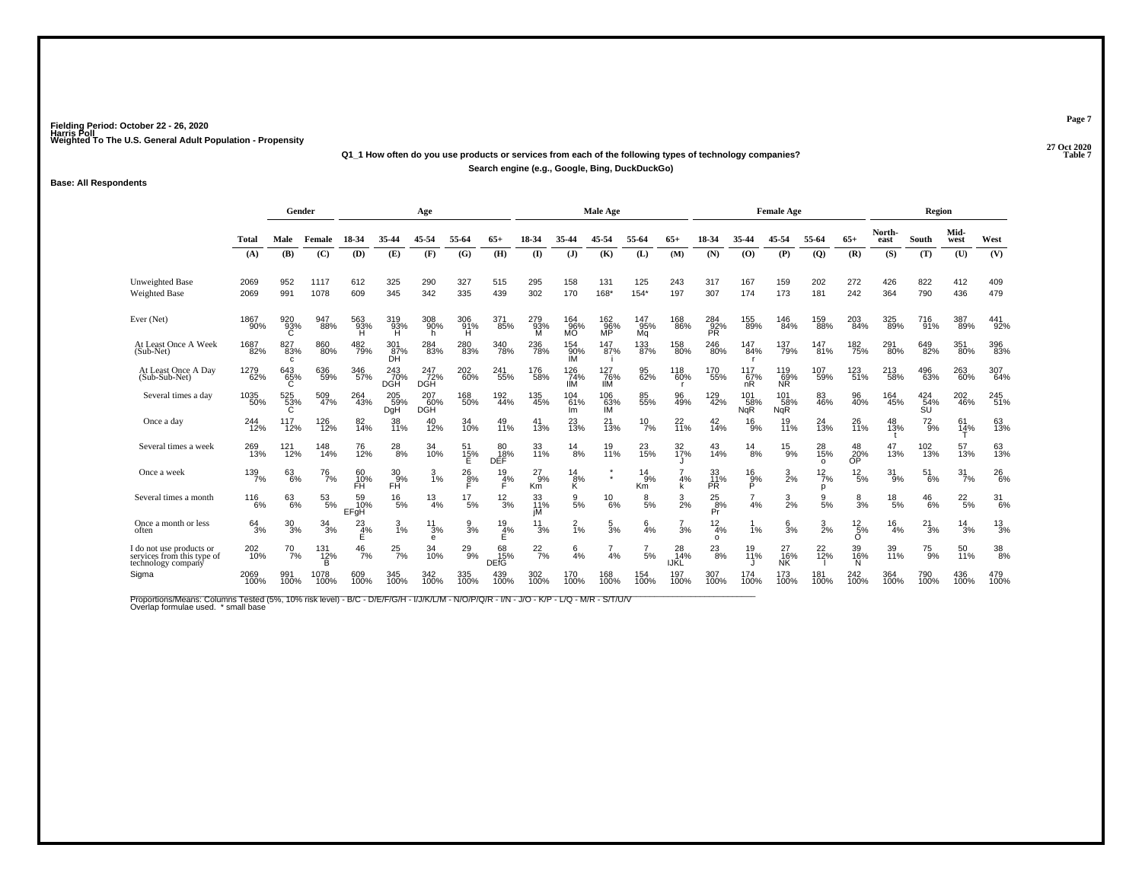### **27 Oct 2020Q1\_1 How often do you use products or services from each of the following types of technology companies?Search engine (e.g., Google, Bing, DuckDuckGo)**

#### **Base: All Respondents**

|                                                                              |                | Gender                     |                       |                        |                      | Age                      |                 |                         |                   |                                            | Male Age          |                             |                          |                        |                          | <b>Female Age</b>        |                       |                            |                 | Region            |               |                  |
|------------------------------------------------------------------------------|----------------|----------------------------|-----------------------|------------------------|----------------------|--------------------------|-----------------|-------------------------|-------------------|--------------------------------------------|-------------------|-----------------------------|--------------------------|------------------------|--------------------------|--------------------------|-----------------------|----------------------------|-----------------|-------------------|---------------|------------------|
|                                                                              | <b>Total</b>   | Male                       | Female                | 18-34                  | 35-44                | 45-54                    | 55-64           | 65+                     | 18-34             | 35-44                                      | 45-54             | 55-64                       | $65+$                    | 18-34                  | 35-44                    | 45-54                    | 55-64                 | $65+$                      | North-<br>east  | South             | Mid-<br>west  | West             |
|                                                                              | (A)            | (B)                        | (C)                   | (D)                    | (E)                  | (F)                      | (G)             | (H)                     | $($ $\Gamma$      | (1)                                        | (K)               | (L)                         | (M)                      | (N)                    | (0)                      | (P)                      | (Q)                   | (R)                        | (S)             | (T)               | (U)           | (V)              |
| Unweighted Base<br>Weighted Base                                             | 2069<br>2069   | 952<br>991                 | 1117<br>1078          | 612<br>609             | 325<br>345           | 290<br>342               | 327<br>335      | 515<br>439              | 295<br>302        | 158<br>170                                 | 131<br>168*       | 125<br>$154*$               | 243<br>197               | 317<br>307             | 167<br>174               | 159<br>173               | 202<br>181            | 272<br>242                 | 426<br>364      | 822<br>790        | 412<br>436    | 409<br>479       |
| Ever (Net)                                                                   | 1867<br>90%    | 920<br>93%<br>C            | 947<br>88%            | 563<br>93%<br>H        | 319<br>93%<br>H      | 308<br>90%<br>h          | 306<br>91%<br>Ή | 371<br>85%              | 279<br>93%<br>M   | 164<br>96%<br>МÕ                           | 162<br>96%<br>MP  | 147<br>95%<br>Mq            | 168<br>86%               | $^{284}_{92\%}$ PR     | 155<br>89%               | 146<br>84%               | 159<br>88%            | $\substack{203 \\ 84\%}$   | 325<br>89%      | 716<br>91%        | 387<br>89%    | 441<br>92%       |
| At Least Once A Week<br>(Sub-Net)                                            | 1687<br>82%    | 827<br>83%<br>$\mathbf{C}$ | 860<br>80%            | 482<br>79%             | 301<br>87%<br>DH     | 284<br>83%               | 280<br>83%      | 340<br>78%              | 236<br>78%        | 154<br>90%<br>IM                           | 147<br>87%        | 133<br>87%                  | 158<br>80%               | $^{246}_{\,\,80\%}$    | 147<br>84%               | 137<br>79%               | 147<br>31%            | 182<br>75%                 | 291<br>80%      | 649<br>82%        | 351<br>80%    | 396<br>83%       |
| At Least Once A Day<br>(Sub-Sub-Net)                                         | 1279<br>62%    | 643<br>65%                 | 636<br>59%            | 346<br>57%             | 243<br>70%<br>DGH    | 247<br>72%<br>DGH        | 202<br>60%      | 241<br>55%              | 176<br>58%        | 126<br>74%<br>IIM                          | 127<br>76%<br>IIM | 95<br>62%                   | 118<br>60%               | 170<br>55%             | 117<br>67%<br>nR         | 119<br>69%<br>NR         | 107<br>59%            | 123<br>51%                 | 213<br>58%      | 496<br>63%        | 263<br>60%    | 307<br>64%       |
| Several times a day                                                          | 1035<br>50%    | 525<br>53%<br>C            | 509<br>47%            | 264<br>43%             | 205<br>59%<br>DgH    | 207<br>60%<br><b>DGH</b> | 168<br>50%      | 192<br>44%              | 135<br>45%        | 104<br>61%<br>Im                           | 106<br>63%<br>IM  | 85<br>55%                   | 96<br>49%                | 129<br>42%             | 101<br>58%<br><b>NgR</b> | 101<br>58%<br><b>NgR</b> | 83<br>46%             | 96<br>40%                  | 164<br>45%      | 424<br>54%<br>SÜ. | 202<br>46%    | 245<br>51%       |
| Once a day                                                                   | 244<br>12%     | 117<br>12%                 | 126<br>12%            | 82<br>14%              | 38<br>11%            | 40<br>12%                | 34<br>10%       | 49<br>11%               | 41<br>13%         | 23<br>13%                                  | 21<br>13%         | $^{10}_{7\%}$               | $^{22}_{11\%}$           | $^{42}_{14\%}$         | $^{16}_{9\%}$            | 19<br>11%                | 24<br>13%             | 26<br>11%                  | 48<br>13%       | $^{72}_{9\%}$     | 61<br>14%     | 63<br>13%        |
| Several times a week                                                         | 269<br>13%     | 121<br>$\frac{1}{2%}$      | 148<br>14%            | 76<br>12%              | $^{28}_{8\%}$        | 34<br>10%                | 51<br>15%       | 80<br>18%<br>DEF        | 33<br>11%         | $^{14}_{8\%}$                              | 19<br>11%         | 23<br>15%                   | 32 <sub>0%</sub>         | 43<br>14%              | $^{14}_{8\%}$            | $^{15}_{9\%}$            | 28<br>15%<br>$\Omega$ | 48<br>20%<br>ŌP            | 47<br>13%       | 102<br>13%        | 57<br>13%     | 63<br>13%        |
| Once a week                                                                  | 139<br>7%      | $^{63}_{6\%}$              | $^{76}_{7\%}$         | 60<br>10%<br>FH        | $^{30}_{.9\%}$<br>FĤ | $\frac{3}{1%}$           | $^{26}_{8\%}$   | $\frac{19}{4%}$         | 27<br>$-9%$<br>Km | $\overset{14}{\underset{\mathsf{K}}{8\%}}$ |                   | 14<br>9%<br>Km <sup>1</sup> | 4%<br>k                  | 33<br>11%<br><b>PR</b> | 16<br>$\frac{9}{5}$      | $\frac{3}{2\%}$          | $^{12}_{7\%}$<br>n    | $^{12}_{\ 5\%}$            | 31<br>9%        | 51<br>6%          | 31<br>7%      | $^{26}_{6\%}$    |
| Several times a month                                                        | $^{116}_{6\%}$ | 63/6%                      | $^{53}_{\ 5\%}$       | 59<br>10%<br>EFgH      | $^{16}_{5\%}$        | $\frac{13}{4\%}$         | $^{17}_{\ 5\%}$ | $\frac{12}{3%}$         | 33<br>11%<br>iM   | 9<br>5%                                    | $^{10}_{6\%}$     | 8<br>5%                     | $\frac{3}{2\%}$          | $^{25}_{8\%}$<br>Pr    | 4%                       | $\frac{3}{2%}$           | 9<br>5%               | $\frac{8}{3%}$             | $^{18}_{\ 5\%}$ | $^{46}_{6\%}$     | $^{22}_{5\%}$ | $\frac{31}{6\%}$ |
| Once a month or less<br>often                                                | $64 \atop 3\%$ | $^{30}_{3\%}$              | $\frac{34}{3%}$       | $\frac{23}{4\%}$<br>E. | $\frac{3}{1\%}$      | 11<br>3%<br>e            | $\frac{9}{3}$ % | $\frac{19}{4%}$         | 11<br>3%          | $\frac{2}{1}$ %                            | $\frac{5}{3%}$    | $\frac{6}{4\%}$             | 3%                       | 12<br>4%<br>$\circ$    | 1%                       | 6<br>3%                  | $\frac{3}{2\%}$       | $^{12}_{\ 5\%}$<br>$\circ$ | 16<br>4%        | $^{21}_{3\%}$     | 14<br>3%      | $^{13}_{3\%}$    |
| I do not use products or<br>services from this type of<br>technology company | 202<br>10%     | 70<br>7%                   | 131<br>$\frac{12}{B}$ | 46<br>7%               | 25<br>7%             | 34<br>10%                | 29<br>9%        | 68<br>bu<br>15%<br>DEfG | $^{22}_{7\%}$     | 6<br>4%                                    | 4%                | 5%                          | 28<br>14%<br><b>IJKL</b> | 23<br>8%               | 19<br>11%                | 27<br>16%<br>ΝŘ.         | $^{22}_{12\%}$        | 39<br>16%<br>N             | 39<br>11%       | $^{75}_{9\%}$     | 50<br>11%     | $\frac{38}{8\%}$ |
| Sigma                                                                        | 2069<br>100%   | 991<br>100%                | 1078<br>100%          | 609<br>100%            | 345<br>100%          | 342<br>100%              | 335<br>100%     | 439<br>100%             | 302<br>100%       | 170<br>100%                                | 168<br>100%       | 154<br>100%                 | 197<br>100%              | 307<br>100%            | 174<br>100%              | 173<br>100%              | 181<br>100%           | 242<br>100%                | 364<br>100%     | 790<br>100%       | 436<br>100%   | 479<br>100%      |

Proportions/Means: Columns Tested (5%, 10% risk level) - B/C - D/E/F/G/H - I/J/K/L/M - N/O/P/Q/R - I/N - J/O - K/P - L/Q - M/R - S/T/U/V<br>Overlap formulae used. \*small base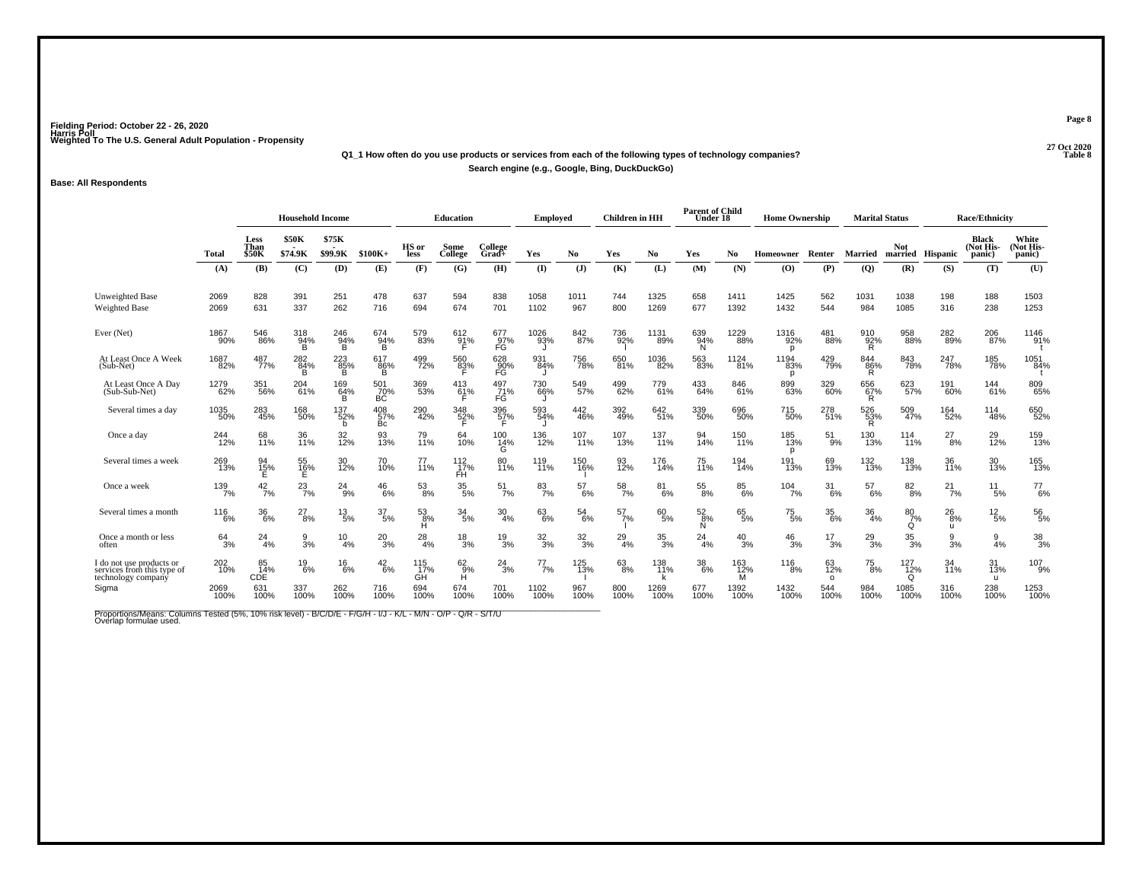#### **27 Oct 2020Q1\_1 How often do you use products or services from each of the following types of technology companies? Table 8 Search engine (e.g., Google, Bing, DuckDuckGo)**

#### **Base: All Respondents**

|                                                                              |                |                                     | <b>Household Income</b> |                  |                  |                          | <b>Education</b>                   |                         | Employed         |                 | <b>Children</b> in HH |                 | <b>Parent of Child</b><br>Under 18 |                           | <b>Home Ownership</b>     |                       | <b>Marital Status</b> |                                     |                               | <b>Race/Ethnicity</b>               |                             |
|------------------------------------------------------------------------------|----------------|-------------------------------------|-------------------------|------------------|------------------|--------------------------|------------------------------------|-------------------------|------------------|-----------------|-----------------------|-----------------|------------------------------------|---------------------------|---------------------------|-----------------------|-----------------------|-------------------------------------|-------------------------------|-------------------------------------|-----------------------------|
|                                                                              | <b>Total</b>   | <b>Less</b><br>Than<br><b>\$50K</b> | \$50K<br>\$74.9K        | \$75K<br>\$99.9K | $$100K+$         | HS or<br>less            | Some<br>College                    | College<br>$Grad +$     | Yes              | N <sub>0</sub>  | Yes                   | No              | Yes                                | No                        | Homeowner                 | Renter                | <b>Married</b>        | Not                                 | married Hispanic              | <b>Black</b><br>(Not His-<br>panic) | White<br>Not His-<br>panic) |
|                                                                              | (A)            | (B)                                 | (C)                     | (D)              | (E)              | (F)                      | (G)                                | (H)                     | $($ I            | $(\mathbf{J})$  | (K)                   | (L)             | (M)                                | (N)                       | (O)                       | (P)                   | $\overline{Q}$        | (R)                                 | (S)                           | (T)                                 | (U)                         |
| Unweighted Base<br><b>Weighted Base</b>                                      | 2069<br>2069   | 828<br>631                          | 391<br>337              | 251<br>262       | 478<br>716       | 637<br>694               | 594<br>674                         | 838<br>701              | 1058<br>1102     | 1011<br>967     | 744<br>800            | 1325<br>1269    | 658<br>677                         | 1411<br>1392              | 1425<br>1432              | 562<br>544            | 1031<br>984           | 1038<br>1085                        | 198<br>316                    | 188<br>238                          | 1503<br>1253                |
| Ever (Net)                                                                   | 1867<br>90%    | 546<br>86%                          | 318<br>94%<br>B         | 246<br>94%<br>B  | 674<br>94%<br>B  | 579<br>83%               | 612<br>91%                         | 677<br>97%<br>FG        | 1026<br>93%      | 842<br>87%      | 736<br>92%            | 1131<br>89%     | 639<br>94%<br>N                    | 1229<br>88%               | 1316<br>92%<br>p          | 481<br>88%            | 910<br>92%<br>R.      | 958<br>88%                          | 282<br>89%                    | 206<br>87%                          | 1146<br>91%                 |
| At Least Once A Week<br>(Sub-Net)                                            | 1687<br>82%    | 487<br>77%                          | 282<br>84%<br>B         | 223<br>85%<br>B. | 617<br>86%<br>B  | 499<br>72%               | 560<br>8 <u>3</u> %                | 628<br>90%<br>FG        | 931<br>84%       | 756<br>78%      | 650<br>81%            | 1036<br>82%     | 563<br>83%                         | 1124<br>$\overline{8}$ 1% | 1194<br>83%<br>p          | 429<br>79%            | 844<br>86%<br>R       | 843<br>78%                          | 247<br>78%                    | 185<br>78%                          | 1051<br>84%                 |
| At Least Once A Day<br>(Sub-Sub-Net)                                         | 1279<br>62%    | 351<br>56%                          | 204<br>61%              | 169<br>64%<br>B  | 501<br>70%<br>ВC | 369<br>53%               | $^{413}_{61\%}$                    | 497<br>71%<br>FG        | 730<br>66%       | 549<br>57%      | 499<br>62%            | 779<br>61%      | 433<br>64%                         | 846<br>61%                | 899<br>63%                | 329<br>60%            | 656<br>67%<br>R       | 623<br>57%                          | 191<br>60%                    | 144<br>61%                          | 809<br>65%                  |
| Several times a day                                                          | 1035<br>50%    | 283<br>45%                          | 168<br>50%              | 137<br>52%<br>b. | 408<br>57%<br>Bс | 290<br>42%               | 348<br>52%                         | 396<br>57%              | 593<br>54%       | 442<br>46%      | 392<br>49%            | 642<br>51%      | 339<br>50%                         | 696<br>50%                | 715<br>50%                | 278<br>51%            | 526<br>53%<br>R       | 509<br>47%                          | 164<br>52%                    | 114<br>48%                          | 650<br>52%                  |
| Once a day                                                                   | 244<br>12%     | 68<br>11%                           | 36<br>11%               | 32 <sub>%</sub>  | 93<br>13%        | 79<br>11%                | 64<br>10%                          | 100<br>$\frac{14\%}{G}$ | 136<br>12%       | $^{107}_{11\%}$ | 107<br>13%            | 137<br>11%      | 94<br>14%                          | 150<br>11%                | 185<br>13%<br>p           | 51<br>9%              | 130<br>13%            | $114$<br>$11%$                      | $^{27}_{8\%}$                 | 29<br>12%                           | 159<br>13%                  |
| Several times a week                                                         | 269<br>13%     | 94<br>15%                           | 55<br>16%               | 30<br>12%        | 70 <sub>%</sub>  | $^{77}_{11\%}$           | $^{112}_{17\%}$<br>FH <sup>1</sup> | 80<br>11%               | 119<br>11%       | 150<br>16%      | 93<br>12%             | 176<br>14%      | 75<br>11%                          | 194<br>14%                | 191<br>13%                | 69<br>13%             | 132<br>13%            | 138<br>13%                          | 36<br>11%                     | 30<br>13%                           | 165<br>13%                  |
| Once a week                                                                  | 139<br>7%      | $\frac{42}{7\%}$                    | $^{23}_{7\%}$           | 24<br>-9%        | $^{46}_{6\%}$    | $^{53}_{8\%}$            | $^{35}_{\ 5\%}$                    | $^{51}_{7\%}$           | $^{83}_{7\%}$    | $^{57}_{6\%}$   | $\frac{58}{7\%}$      | $^{81}_{6\%}$   | $^{55}_{\,8\%}$                    | 85<br>6%                  | $104 \atop 7\%$           | 31<br>6%              | 57<br>6%              | $8^{2}_{8\%}$                       | $^{21}_{7\%}$                 | 11<br>$-5%$                         | $^{77}_{6\%}$               |
| Several times a month                                                        | $^{116}_{6\%}$ | 36 <sub>6%</sub>                    | $^{27}_{8\%}$           | $^{13}_{\ 5\%}$  | $\frac{37}{5\%}$ | $^{53}_{8\%}$<br>н       | $\frac{34}{5\%}$                   | $\frac{30}{4\%}$        | 63<br>6%         | $^{54}_{6\%}$   | $^{57}_{7\%}$         | $^{60}_{5\%}$   | $\frac{52}{8%}$<br>N               | 65<br>5%                  | $^{75}_{\ 5\%}$           | $\frac{35}{6\%}$      | $\frac{36}{4\%}$      | $^{80}_{7\%}$<br>Q                  | $^{26}_{8\%}$<br>$\mathbf{H}$ | $^{12}_{\ 5\%}$                     | $^{56}_{\ 5\%}$             |
| Once a month or less<br>often                                                | $^{64}_{3\%}$  | 24<br>4%                            | $\frac{9}{3%}$          | $\frac{10}{4%}$  | $^{20}_{3\%}$    | $^{28}_{4\%}$            | $^{18}_{3\%}$                      | $^{19}_{3\%}$           | $\frac{32}{3\%}$ | $\frac{32}{3%}$ | $^{29}_{4\%}$         | $^{35}_{\ 3\%}$ | 24<br>4%                           | $^{40}_{3\%}$             | $^{46}_{3\%}$             | $\frac{17}{3\%}$      | $^{29}_{3\%}$         | $\frac{35}{3\%}$                    | g<br>3%                       | $\frac{9}{4%}$                      | $^{38}_{3\%}$               |
| I do not use products or<br>services from this type of<br>technology company | 202<br>10%     | 85<br>14%<br>CDE                    | $^{19}_{6\%}$           | $^{16}_{6\%}$    | $^{42}_{6\%}$    | $\frac{115}{17\%}$<br>GĤ | $^{62}_{9\%}$                      | $^{24}_{3\%}$           | $^{77}_{7\%}$    | 125<br>13%      | $^{63}_{8\%}$         | 138<br>11%      | $\frac{38}{6\%}$                   | 163<br>12%<br>ΪM          | $^{116}_{\phantom{1}8\%}$ | 63<br>12%<br>$\Omega$ | $^{75}_{8\%}$         | 127<br>$\frac{1}{12\%}$<br>$\Omega$ | 34<br>11%                     | 31<br>13%<br>$\mathbf{u}$           | 107<br>9%                   |
| Sigma                                                                        | 2069<br>100%   | 631<br>100%                         | 337<br>100%             | 262<br>100%      | 716<br>100%      | 694<br>100%              | 674<br>100%                        | 701<br>100%             | 1102<br>100%     | 967<br>100%     | 800<br>100%           | 1269<br>100%    | 677<br>100%                        | 1392<br>100%              | 1432<br>100%              | 544<br>100%           | 984<br>100%           | 1085<br>100%                        | 316<br>100%                   | 238<br>100%                         | 1253<br>100%                |

Proportions/Means: Columns Tested (5%, 10% risk level) - B/C/D/E - F/G/H - I/J - K/L - M/N - O/P - Q/R - S/T/U<br>Overlap formulae used.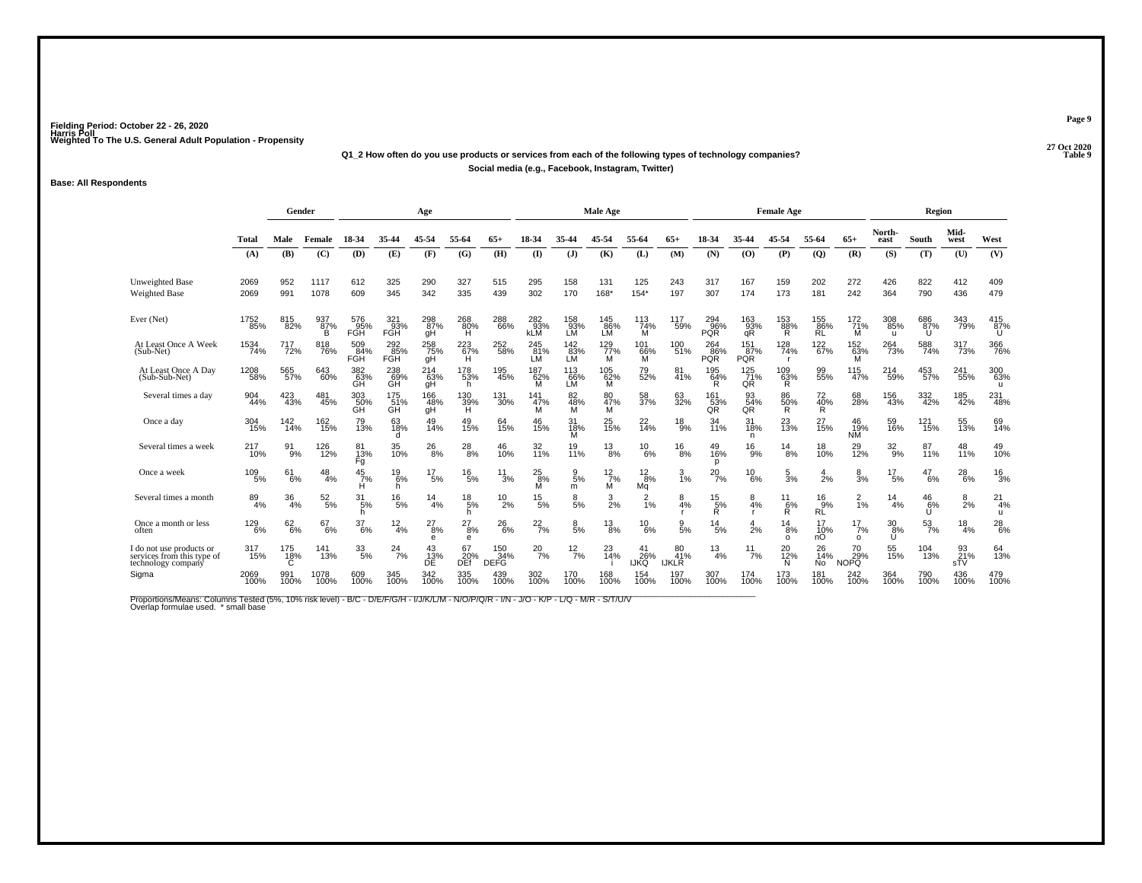### **27 Oct 2020Q1\_2 How often do you use products or services from each of the following types of technology companies?Social media (e.g., Facebook, Instagram, Twitter)**

#### **Base: All Respondents**

|                                                                              |              | Gender                 |                         |                         |                     | Age               |                      |                           |                          |                     | Male Age                   |                          |                           |                               |                       | <b>Female Age</b>     |                     |                              |                 | Region             |                          |                    |
|------------------------------------------------------------------------------|--------------|------------------------|-------------------------|-------------------------|---------------------|-------------------|----------------------|---------------------------|--------------------------|---------------------|----------------------------|--------------------------|---------------------------|-------------------------------|-----------------------|-----------------------|---------------------|------------------------------|-----------------|--------------------|--------------------------|--------------------|
|                                                                              | <b>Total</b> | Male                   | Female                  | 18-34                   | 35-44               | 45-54             | 55-64                | 65+                       | 18-34                    | 35-44               | 45-54                      | 55-64                    | $65+$                     | 18-34                         | 35-44                 | 45-54                 | 55-64               | $65+$                        | North-<br>east  | South              | Mid-<br>west             | West               |
|                                                                              | (A)          | (B)                    | (C)                     | (D)                     | (E)                 | (F)               | (G)                  | (H)                       | $($ $\Gamma$             | (J)                 | (K)                        | (L)                      | (M)                       | (N)                           | (O)                   | (P)                   | $\mathbf{Q}$        | (R)                          | (S)             | (T)                | (U)                      | (V)                |
| <b>Unweighted Base</b><br><b>Weighted Base</b>                               | 2069<br>2069 | 952<br>991             | 1117<br>1078            | 612<br>609              | 325<br>345          | 290<br>342        | 327<br>335           | 515<br>439                | 295<br>302               | 158<br>170          | 131<br>168*                | 125<br>$154*$            | 243<br>197                | 317<br>307                    | 167<br>174            | 159<br>173            | 202<br>181          | 272<br>242                   | 426<br>364      | 822<br>790         | 412<br>436               | 409<br>479         |
| Ever (Net)                                                                   | 1752<br>85%  | 815<br>82%             | 937<br>87%<br>B         | 576<br>95%<br>FGH       | $^{321}_{93\%}$ FGH | 298<br>87%<br>gH  | $^{268}_{80\%}$      | 288<br>66%                | 282<br>93%<br><b>KLM</b> | 158<br>93%<br>LM    | 145<br>86%<br>LM           | 113<br>74%<br>M          | 117<br>59%                | $^{294}_{96\%}$<br><b>PQR</b> | 163<br>93%<br>qR      | 153<br>88%<br>R       | 155<br>86%<br>ŔĹ    | $\frac{172}{71\%}$<br>M      | 308<br>85%<br>u | 686<br>87%<br>U    | 343<br>79%               | 415<br>87%<br>U    |
| At Least Once A Week<br>(Sub-Net)                                            | 1534<br>74%  | 717<br>72%             | 818<br>76%              | 509<br>84%<br>FGH       | 292<br>85%<br>FĞH   | 258<br>75%<br>gH  | $^{223}_{67\%}$      | 252<br>58%                | 245<br>81%<br>LM         | 142<br>83%<br>LM    | $^{129}$<br>$^{77}\%$<br>м | 101<br>66%<br>M          | 100<br>51%                | 264<br>86%<br><b>PQR</b>      | 151<br>87%<br>PQR     | 128<br>74%<br>- r     | 122<br>67%          | $^{152}_{63\%}$ M            | 264<br>73%      | 588<br>74%         | 317<br>73%               | 366<br>76%         |
| At Least Once A Day<br>(Sub-Sub-Net)                                         | 1208<br>58%  | 565<br>57%             | 643<br>60%              | 382<br>63%<br>GH        | 238<br>69%<br>GH    | 214<br>63%<br>gH  | 178<br>53%<br>h      | 195<br>45%                | 187<br>62%<br>м          | 113<br>66%<br>LM    | 105<br>62%<br>M            | 79<br>52%                | 81<br>$\frac{7}{4}$       | 195<br>64%                    | $^{125}_{71\%}$<br>QR | $^{109}_{63\%}$       | 99<br>55%           | 115<br>47%                   | $^{214}_{59\%}$ | 453<br>57%         | $\substack{241 \\ 55\%}$ | 300<br>63%<br>u    |
| Several times a day                                                          | 904<br>44%   | 423<br>43%             | 481<br>45%              | 303<br>50%<br><b>GH</b> | 175<br>51%<br>GH    | 166<br>48%<br>qΗ  | 130<br>39%<br>H      | 131<br>30%                | 141<br>47%<br>M          | 82<br>48%<br>м      | 80<br>47%<br>М             | 58<br>37%                | 63<br>32%                 | 161<br>53%<br>QR              | 93<br>54%<br>QR       | 86<br>50%<br>R        | 72<br>40%<br>R      | 68<br>28%                    | 156<br>43%      | 332<br>42%         | 185<br>42%               | 231<br>48%         |
| Once a day                                                                   | 304<br>15%   | $\frac{142}{14\%}$     | 162<br>15%              | 79<br>13%               | 63<br>18%<br>d      | 49<br>14%         | 49<br>15%            | 64<br>15%                 | 46<br>15%                | 31<br>18%<br>M      | 25<br>15%                  | 22<br>14%                | $^{18}_{9%}$              | 34<br>11%                     | 31<br>18%<br>n        | 23<br>13%             | 27<br>15%           | 46<br>19%<br>NM <sup>®</sup> | 59<br>16%       | 121<br>15%         | 55<br>13%                | 69<br>14%          |
| Several times a week                                                         | 217<br>10%   | 91<br>9%               | 126<br>$\frac{1}{12\%}$ | 81<br>13%<br>Fg         | 35<br>10%           | $^{26}_{\,\,8\%}$ | $^{28}_{8\%}$        | 46<br>10%                 | 32<br>11%                | 19<br>11%           | $^{13}_{8\%}$              | $^{10}_{6\%}$            | $^{16}_{8\%}$             | 49<br>16%<br>D                | 16<br>9%              | $\frac{14}{8%}$       | 18<br>10%           | 29<br>12%                    | $\frac{32}{9%}$ | 87<br>11%          | 48<br>11%                | 49<br>10%          |
| Once a week                                                                  | 109<br>5%    | 61<br>6%               | 48<br>4%                | 45<br>7%<br>н           | $^{19}_{6\%}$<br>h  | $^{17}_{\ 5\%}$   | $^{16}_{5\%}$        | $\frac{11}{3%}$           | $^{25}_{8\%}$<br>М       | $\frac{9}{5%}$<br>m | $\frac{12}{7\%}$<br>м      | $\frac{12}{8%}$<br>Mg    | $\frac{3}{1\%}$           | $^{20}_{7\%}$                 | 10<br>6%              | $\frac{5}{3%}$        | 4<br>2%             | $\frac{8}{3%}$               | 17<br>5%        | 47<br>6%           | 28<br>$-6%$              | $^{16}_{3\%}$      |
| Several times a month                                                        | 89<br>4%     | 36<br>4%               | $\frac{52}{5\%}$        | $\frac{31}{5\%}$<br>h   | $^{16}_{5\%}$       | $\frac{14}{4\%}$  | $^{18}_{\ 5\%}$<br>h | $^{10}_{2\%}$             | $^{15}_{5\%}$            | $\frac{8}{5\%}$     | $\frac{3}{2}$ %            | $^{2}_{1\%}$             | $\frac{8}{4%}$            | $\frac{15}{5\%}$<br>Ŕ         | $\frac{8}{4%}$        | $\frac{11}{6%}$<br>Ŕ. | $^{16}_{9\%}$<br>RĹ | $\frac{2}{1%}$               | 14<br>4%        | $^{46}_{6\%}$<br>Ū | $\frac{8}{2%}$           | $^{21}_{4\%}$<br>u |
| Once a month or less<br>often                                                | 129<br>6%    | 62<br>$\overline{6}$ % | 67<br>6%                | 37<br>6%                | $\frac{12}{4%}$     | 27<br>8%<br>e     | 27<br>8%<br>e        | $^{26}_{6\%}$             | $^{22}_{7\%}$            | $\frac{8}{5%}$      | $^{13}_{8\%}$              | $^{10}_{6\%}$            | $\frac{9}{5\%}$           | 14<br>5%                      | 4<br>2%               | 14<br>8%<br>O         | 17<br>10%<br>nO     | 17<br>7%<br>$\circ$          | 30<br>8%<br>U   | $^{53}_{7\%}$      | 18<br>4%                 | $^{28}_{6\%}$      |
| I do not use products or<br>services from this type of<br>technology company | 317<br>15%   | 175<br>18%             | 141<br>13%              | 33<br>5%                | $^{24}_{7\%}$       | 43<br>13%<br>DÊ   | 67<br>20%<br>DEf     | 150<br>34%<br><b>DEFG</b> | 20<br>7%                 | $\frac{12}{7%}$     | 23<br>14%                  | 41<br>26%<br><b>IJKQ</b> | 80<br>41%<br><b>IJKLR</b> | 13<br>4%                      | 11<br>7%              | 20<br>12%<br>N        | 26<br>14%<br>No     | 70<br>29%<br>NOPO            | 55<br>15%       | 104<br>13%         | 93<br>$\frac{21}{5}$ %   | 64<br>13%          |
| Sigma                                                                        | 2069<br>100% | 991<br>100%            | 1078<br>100%            | 609<br>100%             | 345<br>100%         | 342<br>100%       | 335<br>100%          | 439<br>100%               | 302<br>100%              | 170<br>100%         | 168<br>100%                | 154<br>100%              | 197<br>100%               | 307<br>100%                   | 174<br>100%           | 173<br>100%           | 181<br>100%         | 242<br>100%                  | 364<br>100%     | 790<br>100%        | 436<br>100%              | 479<br>100%        |

Proportions/Means: Columns Tested (5%, 10% risk level) - B/C - D/E/F/G/H - I/J/K/L/M - N/O/P/Q/R - I/N - J/O - K/P - L/Q - M/R - S/T/U/V<br>Overlap formulae used. \*small base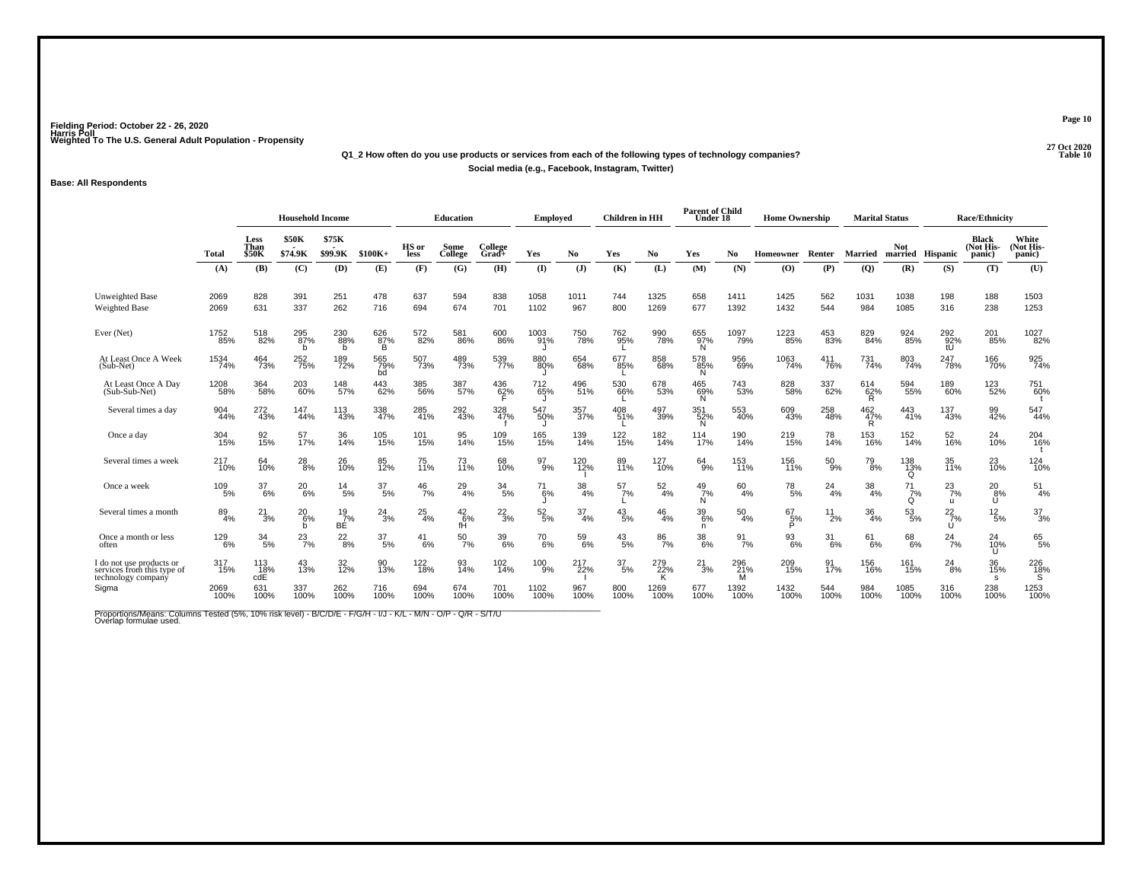### **27 Oct 2020Q1\_2 How often do you use products or services from each of the following types of technology companies?Social media (e.g., Facebook, Instagram, Twitter)**

#### **Base: All Respondents**

|                                                                              |                  |                                | <b>Household Income</b> |                     |                  |               | <b>Education</b>    |                     | Employed         |                  | <b>Children</b> in HH |                  | <b>Parent of Child</b><br>Under 18 |                  | <b>Home Ownership</b> |                  | <b>Marital Status</b>   |                                |                           | <b>Race/Ethnicity</b>               |                              |
|------------------------------------------------------------------------------|------------------|--------------------------------|-------------------------|---------------------|------------------|---------------|---------------------|---------------------|------------------|------------------|-----------------------|------------------|------------------------------------|------------------|-----------------------|------------------|-------------------------|--------------------------------|---------------------------|-------------------------------------|------------------------------|
|                                                                              | <b>Total</b>     | <b>Less</b><br>Than<br>\$50K   | <b>\$50K</b><br>\$74.9K | \$75K<br>\$99.9K    | $$100K+$         | HS or<br>less | Some<br>College     | College<br>$Grad +$ | Yes              | N <sub>0</sub>   | Yes                   | No               | Yes                                | No               | Homeowner             | Renter           | <b>Married</b>          | <b>Not</b><br>married Hispanic |                           | <b>Black</b><br>(Not His-<br>panic) | White<br>(Not His-<br>panic) |
|                                                                              | (A)              | (B)                            | (C)                     | (D)                 | (E)              | (F)           | (G)                 | (H)                 | $($ $\Gamma$     | $(\mathbf{J})$   | (K)                   | (L)              | (M)                                | (N)              | (O)                   | (P)              | (Q)                     | (R)                            | (S)                       | (T)                                 | (U)                          |
| Unweighted Base<br><b>Weighted Base</b>                                      | 2069<br>2069     | 828<br>631                     | 391<br>337              | 251<br>262          | 478<br>716       | 637<br>694    | 594<br>674          | 838<br>701          | 1058<br>1102     | 1011<br>967      | 744<br>800            | 1325<br>1269     | 658<br>677                         | 1411<br>1392     | 1425<br>1432          | 562<br>544       | 1031<br>984             | 1038<br>1085                   | 198<br>316                | 188<br>238                          | 1503<br>1253                 |
| Ever (Net)                                                                   | 1752<br>85%      | 518<br>82%                     | 295<br>87%<br>b         | 230<br>88%<br>h     | 626<br>87%<br>B  | 572<br>82%    | 581<br>86%          | 600<br>86%          | 1003<br>91%      | 750<br>78%       | 762<br>95%            | 990<br>78%       | 655<br>97%<br>'N.                  | 1097<br>79%      | 1223<br>85%           | 453<br>83%       | 829<br>84%              | 924<br>85%                     | 292 <sub>92%</sub><br>tU  | 201<br>85%                          | 1027<br>82%                  |
| At Least Once A Week<br>(Sub-Net)                                            | 1534<br>74%      | 464<br>73%                     | 252<br>75%              | 189<br>72%          | 565<br>79%<br>bd | 507<br>73%    | 489<br>73%          | 539<br>77%          | 880<br>80%       | 654<br>68%       | 677<br>85%            | 858<br>68%       | 578<br>85%<br>N                    | 956<br>69%       | 1063<br>74%           | 411<br>76%       | 731<br>74%              | 803<br>74%                     | 247<br>78%                | 166<br>70%                          | 925<br>74%                   |
| At Least Once A Day<br>(Sub-Sub-Net)                                         | 1208<br>58%      | 364<br>58%                     | 203<br>60%              | 148<br>57%          | 443<br>62%       | 385<br>56%    | 387<br>57%          | 436<br>62%          | 712<br>65%       | 496<br>51%       | 530<br>66%            | 678<br>53%       | 465<br>69%<br>N.                   | 743<br>53%       | 828<br>58%            | 337<br>62%       | 614<br>62%<br>R         | 594<br>55%                     | 189<br>60%                | 123<br>52%                          | 751<br>60%                   |
| Several times a day                                                          | 904<br>44%       | 272<br>43%                     | 147<br>44%              | 113<br>43%          | 338<br>47%       | 285<br>41%    | 292<br>43%          | 328<br>47%          | 547<br>50%       | 357<br>37%       | 408<br>51%            | 497<br>39%       | 351<br>52%<br>N.                   | 553<br>40%       | 609<br>43%            | 258<br>48%       | $\frac{462}{47\%}$<br>R | 443<br>41%                     | 137<br>43%                | 99<br>42%                           | 547<br>44%                   |
| Once a day                                                                   | 304<br>15%       | 92<br>15%                      | 57<br>17%               | 36<br>14%           | 105<br>15%       | 101<br>15%    | 95<br>14%           | 109<br>15%          | 165<br>15%       | 139<br>14%       | 122<br>15%            | 182<br>14%       | 114<br>17%                         | 190<br>14%       | 219<br>15%            | 78<br>14%        | 153<br>16%              | 152<br>14%                     | 52<br>16%                 | $^{24}_{10\%}$                      | 204<br>16%                   |
| Several times a week                                                         | 217<br>10%       | 64<br>10%                      | $^{28}_{8\%}$           | 26<br>10%           | 85<br>12%        | 75<br>11%     | 73<br>11%           | 68<br>10%           | $^{97}_{9\%}$    | 120<br>12%       | 89<br>11%             | 127<br>10%       | $^{64}_{9\%}$                      | 153<br>11%       | 156<br>11%            | $^{50}_{9\%}$    | 79 <sub>8%</sub>        | 138<br>13%<br>$\Omega$         | 35<br>11%                 | 23<br>10%                           | 124<br>10%                   |
| Once a week                                                                  | 109<br>5%        | 37<br>$-6%$                    | $^{20}_{6\%}$           | 14<br>5%            | 37<br>5%         | $^{46}_{7\%}$ | $^{29}_{4\%}$       | $^{34}_{5\%}$       | 6%               | $\frac{38}{4\%}$ | 57<br>7%              | $\frac{52}{4\%}$ | $^{49}_{7\%}$<br>N                 | 60<br>4%         | $^{78}_{\ 5\%}$       | 24<br>4%         | 38<br>4%                | $^{71}_{7\%}$<br>Q             | $^{23}_{7\%}$<br><b>U</b> | 20 <sub>8%</sub><br>Ü               | $^{51}_{4\%}$                |
| Several times a month                                                        | $\frac{89}{4\%}$ | $^{21}_{3\%}$                  | $^{20}_{6\%}$<br>b      | $^{19}_{7\%}$<br>BE | $^{24}_{3\%}$    | $^{25}_{4\%}$ | $^{42}_{6\%}$<br>fH | $^{22}_{3\%}$       | $\frac{52}{5\%}$ | $\frac{37}{4\%}$ | $^{43}_{\ 5\%}$       | 46<br>4%         | $\frac{39}{6\%}$<br>n              | $^{50}_{4\%}$    | $^{67}_{-5\%}$<br>P   | 11<br>2%         | $\frac{36}{4\%}$        | $53\phantom{.0}5\%$            | $^{22}_{7\%}$<br>IJ       | $^{12}_{\ 5\%}$                     | $\frac{37}{3%}$              |
| Once a month or less<br>often                                                | 129<br>6%        | $\frac{34}{5\%}$               | $^{23}_{7\%}$           | $^{22}_{8\%}$       | $^{37}_{\ 5\%}$  | $^{41}_{6\%}$ | $^{50}_{7\%}$       | 39<br>6%            | $^{70}_{6\%}$    | 59<br>6%         | $^{43}_{\ 5\%}$       | 86<br>7%         | $\substack{38 \\ 6\%}$             | $\frac{91}{7\%}$ | $^{93}_{6\%}$         | $\frac{31}{6\%}$ | $^{61}_{6\%}$           | 68<br>6%                       | $^{24}_{7\%}$             | $^{24}_{10\%}$<br>U                 | 65<br>5%                     |
| I do not use products or<br>services from this type of<br>technology company | 317<br>15%       | 113<br>$\frac{18}{\text{cdE}}$ | 43<br>13%               | 32 <sub>%</sub>     | 90<br>13%        | 122<br>18%    | 93<br>14%           | 102<br>14%          | 100<br>9%        | 217<br>22%       | $\frac{37}{5\%}$      | 279<br>22%<br>ĸ  | $^{21}_{3\%}$                      | 296<br>21%<br>M  | 209<br>15%            | 91<br>17%        | 156<br>16%              | 161<br>15%                     | 24<br>8%                  | 36<br>15%<br><b>S</b>               | $^{226}_{18\%}$              |
| Sigma                                                                        | 2069<br>100%     | 631<br>100%                    | 337<br>100%             | 262<br>100%         | 716<br>100%      | 694<br>100%   | 674<br>100%         | 701<br>100%         | 1102<br>100%     | 967<br>100%      | 800<br>100%           | 1269<br>100%     | 677<br>100%                        | 1392<br>100%     | 1432<br>100%          | 544<br>100%      | 984<br>100%             | 1085<br>100%                   | 316<br>100%               | 238<br>100%                         | 1253<br>100%                 |

Proportions/Means: Columns Tested (5%, 10% risk level) - B/C/D/E - F/G/H - I/J - K/L - M/N - O/P - Q/R - S/T/U<br>Overlap formulae used.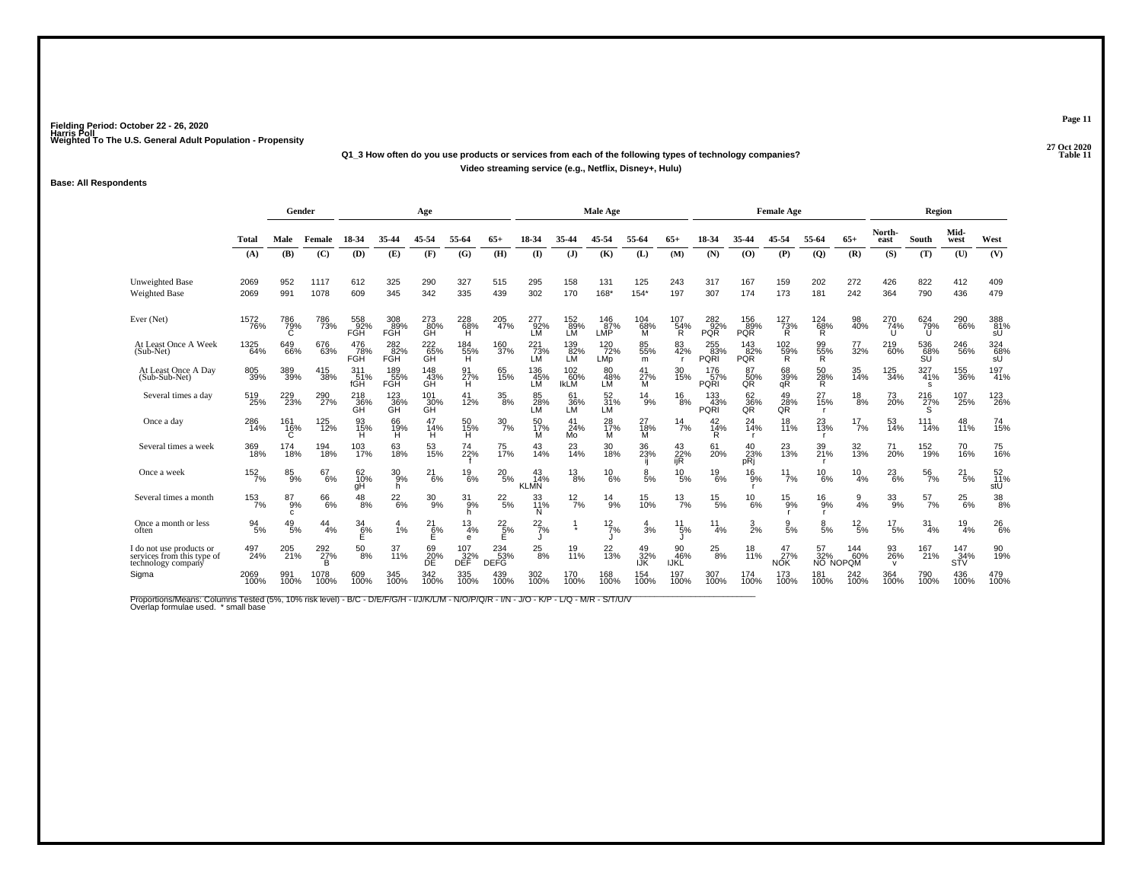### **27 Oct 2020Q1\_3 How often do you use products or services from each of the following types of technology companies?Video streaming service (e.g., Netflix, Disney+, Hulu)**

#### **Base: All Respondents**

|                                                                              |                  | Gender                           |                  |                   |                                              | Age                           |                                       |                      |                          |                           | Male Age                  |                  |                       |                           |                   | <b>Female Age</b>             |                       |                 |                          | Region           |                    |                          |
|------------------------------------------------------------------------------|------------------|----------------------------------|------------------|-------------------|----------------------------------------------|-------------------------------|---------------------------------------|----------------------|--------------------------|---------------------------|---------------------------|------------------|-----------------------|---------------------------|-------------------|-------------------------------|-----------------------|-----------------|--------------------------|------------------|--------------------|--------------------------|
|                                                                              | Total            | Male                             | Female           | 18-34             | 35-44                                        | 45-54                         | 55-64                                 | 65+                  | 18-34                    | 35-44                     | 45-54                     | 55-64            | $65+$                 | 18-34                     | 35-44             | 45-54                         | 55-64                 | $65+$           | North-<br>east           | South            | Mid-<br>west       | West                     |
|                                                                              | (A)              | (B)                              | (C)              | (D)               | (E)                                          | (F)                           | (G)                                   | (H)                  | $($ $\Gamma$             | (J)                       | (K)                       | (L)              | (M)                   | (N)                       | (O)               | (P)                           | $\mathbf{Q}$          | (R)             | (S)                      | (T)              | (U)                | (V)                      |
| <b>Unweighted Base</b><br><b>Weighted Base</b>                               | 2069<br>2069     | 952<br>991                       | 1117<br>1078     | 612<br>609        | 325<br>345                                   | 290<br>342                    | 327<br>335                            | 515<br>439           | 295<br>302               | 158<br>170                | 131<br>168*               | 125<br>$154*$    | 243<br>197            | 317<br>307                | 167<br>174        | 159<br>173                    | 202<br>181            | 272<br>242      | 426<br>364               | 822<br>790       | 412<br>436         | 409<br>479               |
| Ever (Net)                                                                   | 1572<br>76%      | 786<br>$\tilde{C}^{\tilde{9}\%}$ | 786<br>73%       | 558<br>92%<br>FGH | 308<br>89%<br>FGH                            | $^{273}_{\,80\%}$ GH          | 228<br>68%<br>H                       | $^{205}_{47\%}$      | 277<br>92%<br>LM         | 152<br>89%<br>LM          | $\frac{146}{87}\%$<br>LMP | 104<br>68%<br>M  | 107<br>$\frac{54}{8}$ | 282<br>92%<br><b>PQR</b>  | 156<br>89%<br>PQR | 127<br>73%<br>R               | $^{124}_{68\%}$       | 98<br>40%       | 270<br>74%               | 624 79%<br>U     | 290<br>66%         | 388<br>81%<br>sÛ         |
| At Least Once A Week<br>(Sub-Net)                                            | 1325<br>64%      | 649<br>66%                       | 676<br>63%       | 476<br>78%<br>FGH | $\overset{282}{\underset{\text{FGH}}{82\%}}$ | 222<br>65%<br>GH              | $^{184}_{\substack{55\%\\ \text{H}}}$ | 160<br>37%           | $^{221}_{73\%}$ LM       | 139<br>82%<br>LM          | 120<br>72%<br>LMp         | 85<br>55%<br>m   | 83<br>42%             | 255<br>83%<br><b>PQRI</b> | 143<br>82%<br>PQR | $^{102}_{\substack{59\%\\R}}$ | 99<br>55%<br>R        | 77<br>32%       | 219<br>60%               | 536<br>68%<br>SU | 246<br>56%         | $\frac{324}{68\%}$       |
| At Least Once A Day<br>(Sub-Sub-Net)                                         | 805<br>39%       | 389<br>39%                       | 415<br>38%       | 311<br>51%<br>fGH | 189<br>55%<br>FGH                            | 148<br>$\frac{43}{\text{GH}}$ | 91<br>27%<br>н                        | 65<br>15%            | 136<br>45%<br>LM         | 102<br>60%<br><b>IKLM</b> | 80<br>$\frac{48}{10}$     | 41<br>27%<br>м   | 30<br>15%             | 176<br>57%<br><b>PQRI</b> | 87<br>50%<br>QŘ   | 68<br>39%<br>qR               | 50<br>28%<br>R        | 35<br>14%       | 125<br>34%               | 327<br>41%<br>s  | <sup>155</sup> 36% | 197<br>41%               |
| Several times a day                                                          | 519<br>25%       | 229<br>23%                       | 290<br>27%       | 218<br>36%<br>GH  | 123<br>36%<br><b>GH</b>                      | 101<br>30%<br>GH              | 41<br>12%                             | $\frac{35}{8\%}$     | 85<br>28%<br>LМ          | 61<br>36%<br>LM           | 52<br>31%<br>LM           | $^{14}_{9\%}$    | $^{16}_{8\%}$         | 133<br>43%<br>PQRI        | 62<br>36%<br>QR   | 49<br>28%<br>QR               | 27<br>15%             | $^{18}_{8\%}$   | 73<br>20%                | 216<br>27%<br>S  | 107<br>25%         | 123<br>26%               |
| Once a day                                                                   | 286<br>14%       | 161<br>16%                       | 125<br>12%       | 93<br>15%<br>н    | 66<br>19%<br>н                               | 47<br>14%<br>н                | 50<br>15%<br>H                        | $\frac{30}{7\%}$     | 50<br>17%<br>М           | 41<br>24%<br>Mo           | 28<br>17%<br>м            | 27<br>18%<br>м   | $\frac{14}{7%}$       | $^{42}_{14\%}$<br>R       | $^{24}_{14\%}$    | 18<br>11%                     | 23<br>13%             | $^{17}_{7\%}$   | 53<br>14%                | 111<br>14%       | 48<br>11%          | 74<br>15%                |
| Several times a week                                                         | 369<br>18%       | 174<br>18%                       | 194<br>18%       | 103<br>17%        | 63<br>18%                                    | 53<br>15%                     | 74<br>22%                             | 75<br>17%            | 43<br>14%                | 23<br>14%                 | 30<br>18%                 | 36<br>23%        | 43<br>22%<br>ijR      | 61<br>20%                 | 40<br>23%<br>pRi  | 23<br>13%                     | 39<br>21%             | 32<br>13%       | 71<br>20%                | 152<br>19%       | 70<br>16%          | 75<br>16%                |
| Once a week                                                                  | 152/7%           | 85<br>9%                         | 67<br>6%         | 62<br>10%<br>qΗ   | $\frac{30}{9%}$<br>h                         | $^{21}_{6\%}$                 | $^{19}_{6\%}$                         | $^{20}_{5\%}$        | 43<br>14%<br><b>KLMN</b> | $^{13}_{8\%}$             | $^{10}_{6\%}$             | 8<br>5%          | 10<br>5%              | $^{19}_{6\%}$             | 16<br>`ğ%         | $^{11}_{7\%}$                 | 10<br>6%              | 10<br>4%        | $^{23}_{6\%}$            | $\frac{56}{7\%}$ | 21<br>5%           | $\frac{52}{11}$ %<br>stU |
| Several times a month                                                        | $153 \atop 7\%$  | $^{87}_{9%}$<br>C                | 66<br>6%         | $^{48}_{8\%}$     | $^{22}_{6\%}$                                | $\frac{30}{9\%}$              | $\frac{31}{9%}$<br>h                  | $^{22}_{5\%}$        | 33<br>11%<br>N           | $\frac{12}{7%}$           | $^{14}_{9\%}$             | 15<br>10%        | $^{13}_{7\%}$         | $^{15}_{5\%}$             | $^{10}_{6\%}$     | $^{15}_{9\%}$                 | $^{16}_{9\%}$         | $\frac{9}{4\%}$ | $^{33}_{9\%}$            | $^{57}_{7\%}$    | $^{25}_{6\%}$      | $^{38}_{\ 8\%}$          |
| Once a month or less<br>often                                                | $\frac{94}{5\%}$ | 49<br>5%                         | 44<br>4%         | 34<br>6%<br>Е     | 4<br>1%                                      | 21<br>6%                      | 13<br>4%<br>e                         | $^{22}_{\ 5\%}$<br>Е | $^{22}_{7\%}$            | $\star$                   | $^{12}_{7\%}$             | 4<br>3%          | 11<br>5%              | 11<br>4%                  | $\frac{3}{2\%}$   | $\frac{9}{5\%}$               | $\frac{8}{5%}$        | $^{12}_{\ 5\%}$ | 17<br>5%                 | 31<br>4%         | 19<br>4%           | $^{26}_{6\%}$            |
| I do not use products or<br>services from this type of<br>technology company | 497<br>24%       | 205<br>21%                       | 292<br>27%<br>B. | 50<br>8%          | 37<br>11%                                    | 69<br>20%<br>ĎĚ               | 107<br>$\frac{32}{2}$                 | 234<br>53%<br>DEFG   | 25<br>8%                 | 19<br>11%                 | 22<br>13%                 | 49<br>32%<br>IJŔ | 90<br>46%<br>IJKL     | $^{25}_{\,\,8\%}$         | 18<br>11%         | 47<br>27%<br>NOK              | 57<br>32%<br>NO NOPOM | 144<br>60%      | 93<br>26%<br>$\mathbf v$ | 167<br>21%       | 147<br>34%<br>SŤV  | 90<br>19%                |
| Sigma                                                                        | 2069<br>100%     | 991<br>100%                      | 1078<br>100%     | 609<br>100%       | 345<br>100%                                  | 342<br>100%                   | 335<br>100%                           | 439<br>100%          | 302<br>100%              | 170<br>100%               | 168<br>100%               | 154<br>100%      | 197<br>100%           | 307<br>100%               | 174<br>100%       | 173<br>100%                   | 181<br>100%           | 242<br>100%     | 364<br>100%              | 790<br>100%      | 436<br>100%        | 479<br>100%              |

Proportions/Means: Columns Tested (5%, 10% risk level) - B/C - D/E/F/G/H - I/J/K/L/M - N/O/P/Q/R - I/N - J/O - K/P - L/Q - M/R - S/T/U/V<br>Overlap formulae used. \*small base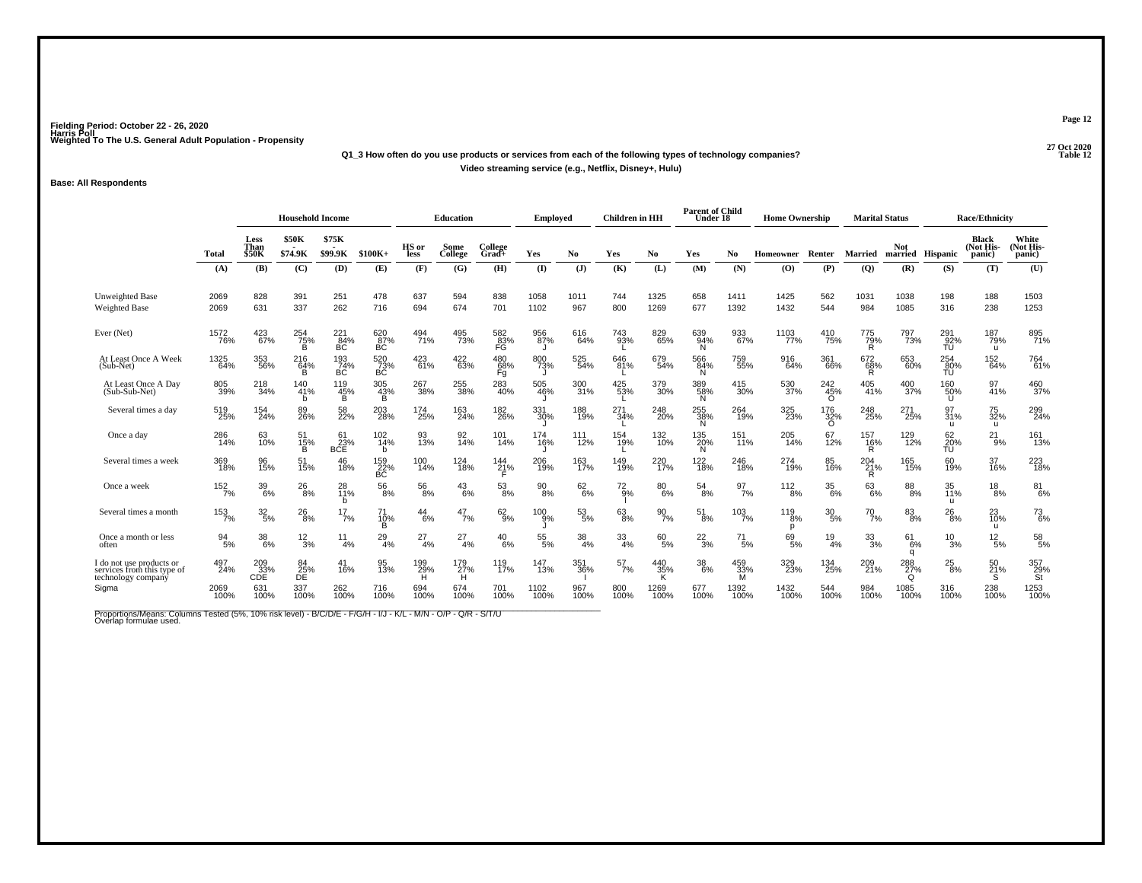### **27 Oct 2020Q1\_3 How often do you use products or services from each of the following types of technology companies?Video streaming service (e.g., Netflix, Disney+, Hulu)**

#### **Base: All Respondents**

|                                                                              |                  |                              | <b>Household Income</b> |                  |                  |                 | <b>Education</b> |                    | <b>Employed</b> |                  | <b>Children</b> in HH |                  | <b>Parent of Child</b><br>Under 18 |                 | <b>Home Ownership</b> |                        | <b>Marital Status</b> |                                |                           | <b>Race/Ethnicity</b>               |                              |
|------------------------------------------------------------------------------|------------------|------------------------------|-------------------------|------------------|------------------|-----------------|------------------|--------------------|-----------------|------------------|-----------------------|------------------|------------------------------------|-----------------|-----------------------|------------------------|-----------------------|--------------------------------|---------------------------|-------------------------------------|------------------------------|
|                                                                              | Total            | Less<br>Than<br><b>\$50K</b> | <b>\$50K</b><br>\$74.9K | \$75K<br>\$99.9K | $$100K+$         | HS or<br>less   | Some<br>College  | College<br>Grad+   | Yes             | No               | Yes                   | No.              | Yes                                | No.             | Homeowner             | Renter                 | <b>Married</b>        | <b>Not</b><br>married Hispanic |                           | <b>Black</b><br>(Not His-<br>panic) | White<br>(Not His-<br>panic) |
|                                                                              | (A)              | (B)                          | (C)                     | (D)              | (E)              | (F)             | (G)              | (H)                | (I)             | (J)              | (K)                   | (L)              | (M)                                | (N)             | (O)                   | (P)                    | (Q)                   | (R)                            | (S)                       | (T)                                 | (U)                          |
| Unweighted Base<br><b>Weighted Base</b>                                      | 2069<br>2069     | 828<br>631                   | 391<br>337              | 251<br>262       | 478<br>716       | 637<br>694      | 594<br>674       | 838<br>701         | 1058<br>1102    | 1011<br>967      | 744<br>800            | 1325<br>1269     | 658<br>677                         | 1411<br>1392    | 1425<br>1432          | 562<br>544             | 1031<br>984           | 1038<br>1085                   | 198<br>316                | 188<br>238                          | 1503<br>1253                 |
| Ever (Net)                                                                   | 1572<br>76%      | 423<br>67%                   | 254<br>75%<br>в         | $^{221}_{84\%}$  | 620<br>87%<br>BC | 494<br>71%      | 495<br>73%       | 582<br>83%<br>FG   | 956<br>87%      | 616<br>64%       | 743<br>93%            | 829<br>65%       | 639<br>94%<br>'N.                  | 933<br>67%      | 1103<br>77%           | 410<br>75%             | 775<br>79%<br>Ŕ       | 797<br>73%                     | 291<br>92%<br>TU          | 187<br>79%<br>u                     | 895<br>71%                   |
| At Least Once A Week<br>(Sub-Net)                                            | 1325<br>64%      | 353<br>56%                   | 216<br>64%<br>B         | 193<br>74%<br>BC | 520<br>73%<br>BC | 423<br>61%      | 422<br>63%       | 480<br>68%<br>Fg   | 800<br>73%      | 525<br>54%       | 646<br>81%            | 679<br>54%       | 566<br>84%<br>N                    | 759<br>55%      | 916<br>64%            | 361<br>66%             | 672<br>68%<br>R       | 653<br>60%                     | 254<br>80%<br>TÚ          | $^{152}_{64\%}$                     | 764<br>61%                   |
| At Least Once A Day<br>(Sub-Sub-Net)                                         | 805<br>39%       | 218<br>34%                   | 140<br>41%<br>b         | 119<br>45%<br>B  | 305<br>43%<br>в  | 267<br>38%      | 255<br>38%       | 283<br>40%         | 505<br>46%      | 300<br>31%       | 425<br>53%            | 379<br>30%       | 389<br>58%<br>N.                   | 415<br>30%      | 530<br>37%            | 242<br>45%<br>$\Omega$ | 405<br>41%            | 400<br>37%                     | 160<br>50%<br>U           | 97<br>41%                           | 460<br>37%                   |
| Several times a day                                                          | 519<br>25%       | 154<br>24%                   | 89<br>26%               | 58<br>22%        | 203<br>28%       | 174<br>25%      | 163<br>24%       | 182<br>26%         | 331<br>30%      | 188<br>19%       | 271<br>34%            | 248<br>20%       | 255<br>38%<br>N.                   | 264<br>19%      | 325<br>23%            | 176<br>32%<br>O        | 248<br>25%            | 271<br>25%                     | 97<br>31%<br>u            | 75<br>32%<br>u                      | 299<br>24%                   |
| Once a day                                                                   | 286<br>14%       | 63<br>10%                    | 51<br>$\frac{15}{B}$    | 61<br>BCE        | 102<br>14%<br>h  | 93<br>13%       | 92<br>14%        | 101<br>14%         | 174<br>16%      | 111<br>12%       | 154<br>19%            | 132<br>10%       | 135<br>20%<br>N                    | 151<br>11%      | 205<br>14%            | 67<br>12%              | 157<br>16%<br>R       | 129<br>12%                     | 62<br>$\frac{20}{10}$ %   | $^{21}_{9\%}$                       | 161<br>13%                   |
| Several times a week                                                         | 369<br>18%       | 96<br>15%                    | 51<br>15%               | 46<br>18%        | 159<br>22%<br>BC | 100<br>14%      | 124<br>18%       | $^{144}_{21\%}$    | 206<br>19%      | 163<br>17%       | 149<br>19%            | 220<br>17%       | 122<br>18%                         | 246<br>18%      | 274<br>19%            | 85<br>16%              | 204<br>21%<br>R       | 165<br>15%                     | 60<br>19%                 | 37<br>16%                           | 223<br>18%                   |
| Once a week                                                                  | 152<br>7%        | 39<br>6%                     | $^{26}_{8\%}$           | 28<br>11%<br>h   | $^{56}_{\ 8\%}$  | $^{56}_{\ 8\%}$ | 43<br>6%         | $^{53}_{8\%}$      | $^{90}_{8\%}$   | $^{62}_{6\%}$    | $^{72}_{9%}$          | 80<br>6%         | 54<br>8%                           | 97<br>7%        | $^{112}_{8\%}$        | $^{35}_{\ 6\%}$        | $^{63}_{6\%}$         | $\substack{88 \\ 8\%}$         | 35<br>11%<br>$\mathbf{u}$ | $^{18}_{8\%}$                       | 81<br>6%                     |
| Several times a month                                                        | $153 \atop 7\%$  | $\frac{32}{5\%}$             | $^{26}_{\,\,8\%}$       | $^{17}_{7\%}$    | 71<br>10%<br>в   | $^{44}_{6\%}$   | $^{47}_{7\%}$    | $62\phantom{.}9\%$ | $^{100}_{9\%}$  | $\frac{53}{5\%}$ | $^{63}_{8\%}$         | $\frac{90}{7\%}$ | $^{51}_{\,8\%}$                    | $^{103}_{7\%}$  | $^{119}_{8\%}$<br>D   | $\frac{30}{5\%}$       | $^{70}_{7\%}$         | $\substack{83 \\ 8\%}$         | 26<br>$-8%$               | 23<br>10%<br>u                      | $^{73}_{6\%}$                |
| Once a month or less<br>often                                                | $\frac{94}{5\%}$ | $\frac{38}{6\%}$             | $\frac{12}{3%}$         | 11<br>4%         | $^{29}_{4\%}$    | $^{27}_{4\%}$   | $^{27}_{4\%}$    | $^{40}_{6\%}$      | $55\%$ 5%       | $\frac{38}{4\%}$ | $\frac{33}{4%}$       | 60<br>5%         | $^{22}_{3\%}$                      | $^{71}_{5\%}$   | 69<br>5%              | 19<br>4%               | $\frac{33}{3%}$       | $^{61}_{6\%}$<br>q             | $^{10}_{3\%}$             | $^{12}_{\ 5\%}$                     | $5\%_{5\%}$                  |
| I do not use products or<br>services from this type of<br>technology company | 497<br>24%       | $^{209}_{33\%}$ CDE          | 84<br>25%<br>DE         | 41<br>16%        | 95<br>13%        | 199%            | 179<br>27%<br>Н  | 119<br>17%         | 147<br>13%      | 351<br>36%       | $^{57}_{7\%}$         | 440<br>35%<br>κ  | $38\atop 6\%$                      | 459<br>33%<br>M | 329<br>23%            | 134<br>25%             | 209<br>21%            | 288<br>27%<br>$\Omega$         | 25<br>8%                  | 50<br>21%                           | 357<br>29%<br>St             |
| Sigma                                                                        | 2069<br>100%     | 631<br>100%                  | 337<br>100%             | 262<br>100%      | 716<br>100%      | 694<br>100%     | 674<br>100%      | 701<br>100%        | 1102<br>100%    | 967<br>100%      | 800<br>100%           | 1269<br>100%     | 677<br>100%                        | 1392<br>100%    | 1432<br>100%          | 544<br>100%            | 984<br>100%           | 1085<br>100%                   | 316<br>100%               | 238<br>100%                         | 1253<br>100%                 |

Proportions/Means: Columns Tested (5%, 10% risk level) - B/C/D/E - F/G/H - I/J - K/L - M/N - O/P - Q/R - S/T/U<br>Overlap formulae used.

**Page 12**

**P** Table 12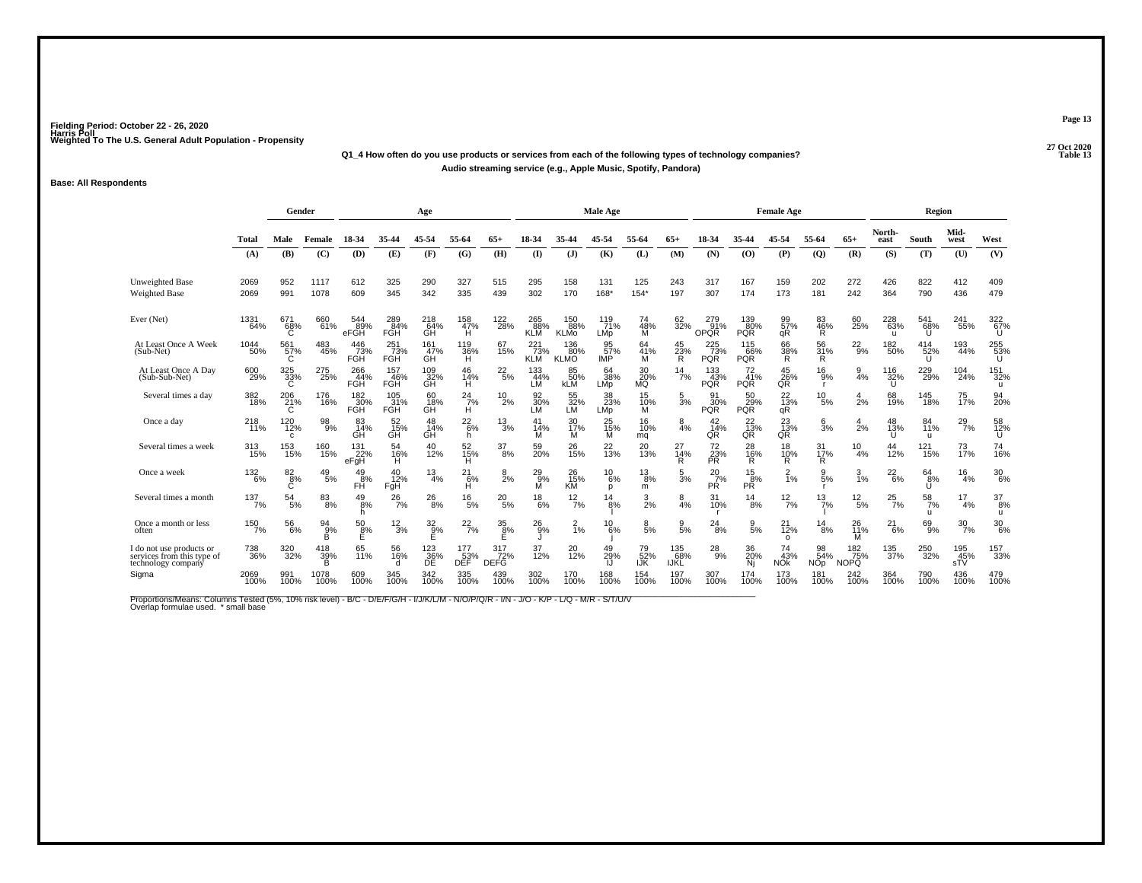#### **27 Oct 2020Q1\_4 How often do you use products or services from each of the following types of technology companies?P** Table 13 **Audio streaming service (e.g., Apple Music, Spotify, Pandora)**

#### **Base: All Respondents**

|                                                                              |                    | Gender                          |                       |                          |                          | Age                  |                            |                    |                          |                           | <b>Male Age</b>         |                    |                            |                                  |                               | <b>Female Age</b>         |                                |                           |                 | Region                |                   |                       |
|------------------------------------------------------------------------------|--------------------|---------------------------------|-----------------------|--------------------------|--------------------------|----------------------|----------------------------|--------------------|--------------------------|---------------------------|-------------------------|--------------------|----------------------------|----------------------------------|-------------------------------|---------------------------|--------------------------------|---------------------------|-----------------|-----------------------|-------------------|-----------------------|
|                                                                              | <b>Total</b>       | Male                            | Female                | 18-34                    | 35-44                    | 45-54                | 55-64                      | $65+$              | 18-34                    | 35-44                     | 45-54                   | 55-64              | $65+$                      | 18-34                            | 35-44                         | 45-54                     | 55-64                          | $65+$                     | North-<br>east  | South                 | Mid-<br>west      | West                  |
|                                                                              | (A)                | (B)                             | (C)                   | (D)                      | (E)                      | (F)                  | (G)                        | (H)                | $($ I                    | (J)                       | (K)                     | (L)                | (M)                        | (N)                              | (0)                           | (P)                       | $\overline{Q}$                 | (R)                       | (S)             | (T)                   | (U)               | (V)                   |
| <b>Unweighted Base</b><br>Weighted Base                                      | 2069<br>2069       | 952<br>991                      | 1117<br>1078          | 612<br>609               | 325<br>345               | 290<br>342           | 327<br>335                 | 515<br>439         | 295<br>302               | 158<br>170                | 131<br>168*             | 125<br>154*        | 243<br>197                 | 317<br>307                       | 167<br>174                    | 159<br>173                | 202<br>181                     | 272<br>242                | 426<br>364      | 822<br>790            | 412<br>436        | 409<br>479            |
| Ever (Net)                                                                   | 1331<br>64%        | 671<br>$\overset{68}{\text{c}}$ | 660<br>61%            | 544<br>89%<br>eFGH       | 289<br>84%<br>FGH        | 218<br>_64%<br>GH    | 158<br>47%<br>Ĥ            | 122<br>28%         | 265<br>88%<br><b>KLM</b> | 150<br>88%<br><b>KLMo</b> | 119<br>71%<br>LMp       | 74<br>48%<br>M     | 62<br>32%                  | 279<br>91%<br>OPQR               | 139<br>80%<br><b>PQR</b>      | 99<br>57%<br>qR           | $^{83}_{\substack{46\% \\ R}}$ | 60<br>25%                 | 228<br>63%<br>ш | 541<br>68%<br>Ш       | 241<br>55%        | 322<br>67%<br>U       |
| At Least Once A Week<br>(Sub-Net)                                            | 1044<br>50%        | 561<br>57%<br>C                 | 483<br>45%            | 446<br>73%<br>FGH        | $^{251}_{73\%}$<br>FGH   | 161<br>47%<br>GH     | 119<br>36%<br>Ή            | 67<br>15%          | 221<br>73%<br><b>KLM</b> | 136<br>80%<br><b>KLMO</b> | 95<br>57%<br><b>IMP</b> | 64<br>41%<br>м     | 45<br>23%<br>Ŕ             | $^{225}_{73\%}$<br><b>PQR</b>    | $^{115}_{66\%}$<br><b>PQR</b> | 66<br>38%<br>R            | 56<br>31%<br>R                 | $^{22}_{9\%}$             | 182<br>50%      | $^{414}_{52\%}$<br>ับ | 193<br>44%        | 255<br>53%<br>U       |
| At Least Once A Day<br>(Sub-Sub-Net)                                         | 600<br>29%         | 325<br>33%<br>C                 | 275<br>25%            | 266<br>44%<br>FGH        | 157<br>46%<br>FGH        | $^{109}_{32\%}$      | 46<br>14%<br>Ή             | $^{22}_{5\%}$      | 133<br>44%<br>LM         | 85<br>50%<br>kLM          | 64<br>38%<br>LMp        | 30<br>20%<br>MQ    | $\frac{14}{7%}$            | $\frac{133}{43\%}$<br><b>PQR</b> | 72<br>41%<br><b>PQR</b>       | $^{45}_{26\%}$ QR         | $^{16}_{9\%}$                  | $\frac{9}{4\%}$           | 116<br>32%      | 229 <sub>%</sub>      | 104<br>24%        | 151<br>32%<br>u       |
| Several times a day                                                          | 382<br>18%         | 206<br>21%<br>C                 | 176<br>16%            | 182<br>30%<br><b>FGH</b> | 105<br>31%<br><b>FGH</b> | 60<br>18%<br>GH      | $^{24}$ <sub>7%</sub><br>H | 10<br>2%           | 92<br>30%<br>LM          | 55<br>32%<br>LM           | 38<br>23%<br>LMp        | 15<br>10%<br>м     | $\frac{5}{3}$ %            | 91<br>30%<br><b>PQR</b>          | 50<br>29%<br><b>PQR</b>       | 22<br>13%<br>qR           | $^{10}_{\ 5\%}$                | 4<br>2%                   | 68<br>19%       | 145<br>18%            | 75<br>17%         | 94<br>20%             |
| Once a day                                                                   | 218<br>11%         | 120<br>12%<br>C                 | 98<br>9%              | 83<br>14%<br>GH          | 52<br>15%<br>GH          | 48<br>14%<br>GH      | $^{22}_{6\%}$<br>h.        | 13<br>3%           | 41<br>14%<br>м           | 30<br>17%<br>м            | 25<br>15%<br>м          | 16<br>10%<br>mq    | 4%                         | 42<br>14%<br>QR                  | $\frac{22}{13\%}$ QR          | $^{23}_{13\%}$ QR         | 6<br>3%                        | 4<br>2%                   | 48<br>13%       | 84<br>11%<br>u        | $^{29}_{7\%}$     | 58<br>12%<br>U        |
| Several times a week                                                         | $\frac{313}{15\%}$ | 153<br>15%                      | 160<br>15%            | 131<br>22%<br>eFgH       | 54<br>16%<br>н           | 40<br>12%            | 52<br>15%<br>н             | 37<br>8%           | 59<br>20%                | 26<br>15%                 | 22<br>13%               | 20<br>13%          | 27<br>$\frac{1}{14%}$<br>R | 72<br>23%<br>PŘ.                 | 28<br>16%<br>R                | 18<br>10%<br>R.           | 31<br>17%<br>R                 | $^{10}_{4\%}$             | 44<br>12%       | $^{121}_{15\%}$       | 73<br>17%         | 74<br>16%             |
| Once a week                                                                  | $^{132}_{6\%}$     | $\frac{82}{8%}$                 | $^{49}_{\ 5\%}$       | 49<br>8%<br>FĤ           | 40<br>12%<br>FgH         | 13<br>4%             | 21<br>6%<br>н              | $\frac{8}{2%}$     | $^{29}_{9\%}$<br>м       | 26<br>15%<br><b>KM</b>    | $^{10}_{6\%}$<br>p      | $^{13}_{8\%}$<br>m | $\frac{5}{3}$ %            | $^{20}_{7\%}$<br>PŔ              | $\frac{15}{8%}$<br>PŘ         | $\frac{2}{1\%}$           | 5%                             | $\frac{3}{1\%}$           | $^{22}_{6\%}$   | 64<br>8%<br>U         | 16<br>4%          | $^{30}_{6\%}$         |
| Several times a month                                                        | 137/7%             | $\frac{54}{5\%}$                |                       | $^{49}_{8\%}$<br>h       | $^{26}_{7\%}$            | $^{26}_{8\%}$        | $^{16}_{5\%}$              | $^{20}_{5\%}$      | $^{18}_{6\%}$            | $^{12}_{7\%}$             | $\frac{14}{8%}$         | $\frac{3}{2}$ %    | $\frac{8}{4%}$             | 31<br>10%                        | $^{14}_{8\%}$                 | $^{12}_{7\%}$             | $^{13}_{7\%}$                  | $^{12}_{\ 5\%}$           | $^{25}_{7\%}$   | $\frac{58}{7\%}$<br>u | 17<br>4%          | $\frac{37}{8\%}$<br>u |
| Once a month or less<br>often                                                | 150<br>7%          | 56<br>$-6%$                     | 94<br>9%<br>в         | $^{50}_{\ 8\%}$<br>Е     | $\frac{12}{3%}$          | $\frac{32}{9%}$<br>E | $^{22}_{7\%}$              | $\frac{35}{8\%}$   | 26<br>$-9%$              | $\frac{2}{1%}$            | $^{10}_{6\%}$           | 8<br>5%            | $\frac{9}{5%}$             | 24<br>-8%                        | $\frac{9}{5\%}$               | $^{21}_{12\%}$<br>$\circ$ | $^{14}_{8\%}$                  | 26<br>11%<br>М            | 21<br>6%        | 69 <sub>9%</sub>      | $\frac{30}{7\%}$  | $^{30}_{6\%}$         |
| I do not use products or<br>services from this type of<br>technology company | 738<br>36%         | 320<br>32%                      | 418<br>$\frac{39}{B}$ | 65<br>11%                | 56<br>16%<br>d           | 123<br>36%<br>ĐĒ     | 177<br>53%<br>DĚĚ          | 317<br>72%<br>DEFG | 37<br>12%                | 20<br>12%                 | 49<br>29%<br>IJ         | 79<br>52%<br>IJK   | 135<br>68%<br>IJKL         | $^{28}_{9\%}$                    | 36<br>20%<br>Nj               | 74<br>43%<br><b>NOK</b>   | 98<br>54%<br><b>NOp</b>        | 182<br>75%<br><b>NOPQ</b> | 135<br>37%      | 250<br>32%            | 195<br>45%<br>sTV | 157<br>33%            |
| Sigma                                                                        | 2069<br>100%       | 991<br>100%                     | 1078<br>100%          | 609<br>100%              | 345<br>100%              | 342<br>100%          | 335<br>100%                | 439<br>100%        | 302<br>100%              | 170<br>100%               | 168<br>100%             | 154<br>100%        | 197<br>100%                | 307<br>100%                      | 174<br>100%                   | 173<br>100%               | 181<br>100%                    | 242<br>100%               | 364<br>100%     | 790<br>100%           | 436<br>100%       | 479<br>100%           |

Proportions/Means: Columns Tested (5%, 10% risk level) - B/C - D/E/F/G/H - I/J/K/L/M - N/O/P/Q/R - I/N - J/O - K/P - L/Q - M/R - S/T/U/V<br>Overlap formulae used. \*small base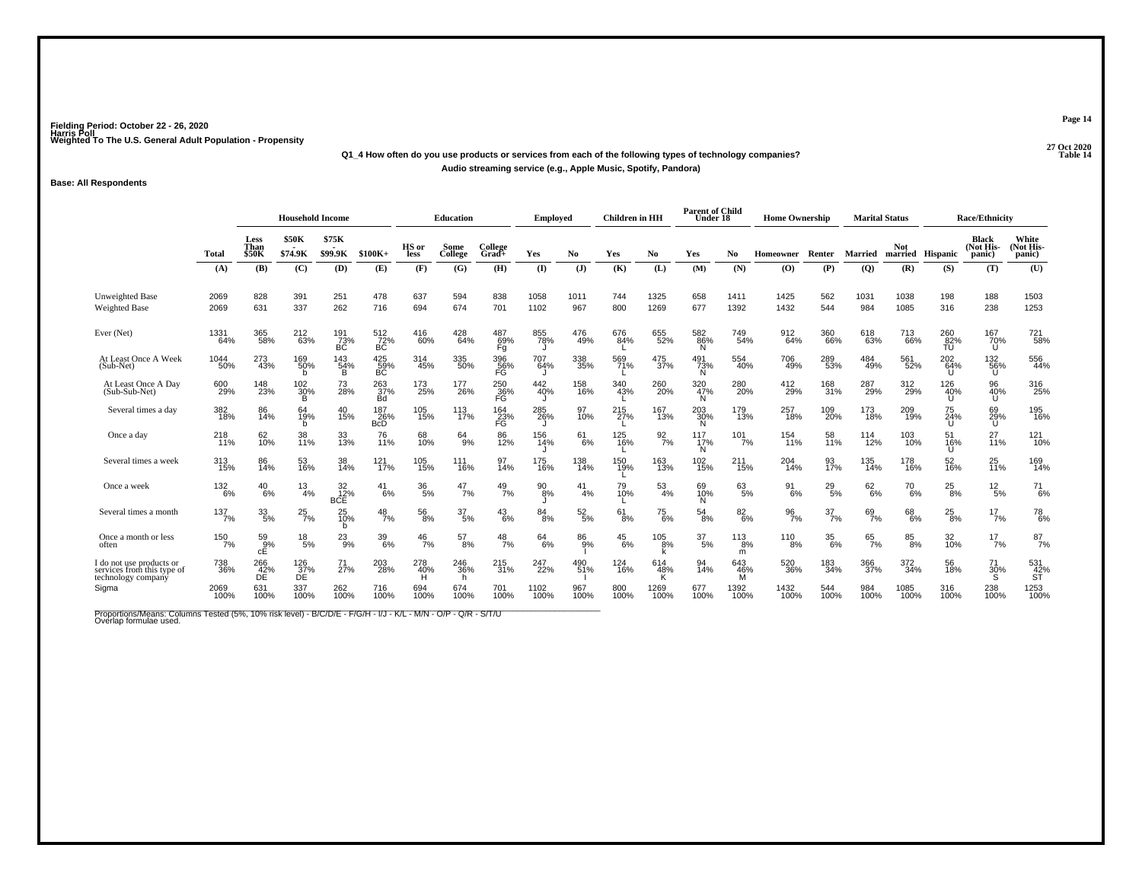### **27 Oct 2020Q1\_4 How often do you use products or services from each of the following types of technology companies?Audio streaming service (e.g., Apple Music, Spotify, Pandora)**

#### **Base: All Respondents**

|                                                                              |                 |                              | <b>Household Income</b> |                               |                          |                 | <b>Education</b>           |                               | <b>Employed</b>  |                  | <b>Children</b> in HH |                  | <b>Parent of Child</b><br>Under 18 |                     | <b>Home Ownership</b> |                  | <b>Marital Status</b> |                         |                  | <b>Race/Ethnicity</b>               |                              |
|------------------------------------------------------------------------------|-----------------|------------------------------|-------------------------|-------------------------------|--------------------------|-----------------|----------------------------|-------------------------------|------------------|------------------|-----------------------|------------------|------------------------------------|---------------------|-----------------------|------------------|-----------------------|-------------------------|------------------|-------------------------------------|------------------------------|
|                                                                              | Total           | Less<br>Than<br><b>\$50K</b> | \$50K<br>\$74.9K        | \$75K<br>\$99.9K              | $$100K+$                 | HS or<br>less   | Some<br>College            | College<br>$Grad +$           | Yes              | No               | Yes                   | No.              | Yes                                | No.                 | Homeowner Renter      |                  | <b>Married</b>        | Not<br>married Hispanic |                  | <b>Black</b><br>(Not His-<br>panic) | White<br>(Not His-<br>panic) |
|                                                                              | (A)             | (B)                          | (C)                     | (D)                           | (E)                      | (F)             | (G)                        | (H)                           | (I)              | (J)              | (K)                   | (L)              | (M)                                | (N)                 | (O)                   | (P)              | (Q)                   | (R)                     | (S)              | (T)                                 | (U)                          |
| Unweighted Base<br><b>Weighted Base</b>                                      | 2069<br>2069    | 828<br>631                   | 391<br>337              | 251<br>262                    | 478<br>716               | 637<br>694      | 594<br>674                 | 838<br>701                    | 1058<br>1102     | 1011<br>967      | 744<br>800            | 1325<br>1269     | 658<br>677                         | 1411<br>1392        | 1425<br>1432          | 562<br>544       | 1031<br>984           | 1038<br>1085            | 198<br>316       | 188<br>238                          | 1503<br>1253                 |
| Ever (Net)                                                                   | 1331<br>64%     | 365<br>58%                   | 212<br>63%              | 191<br>73%<br>BC              | $^{512}_{72\%}$ BC       | $^{416}_{60\%}$ | 428<br>64%                 | 487<br>69%<br>Fg              | 855<br>78%       | 476<br>49%       | 676<br>84%            | 655<br>52%       | 582<br>86%<br>N                    | 749<br>54%          | 912<br>64%            | 360<br>66%       | 618<br>63%            | 713<br>66%              | 260<br>82%<br>TU | 167<br>70%<br>U                     | 721<br>58%                   |
| At Least Once A Week<br>(Sub-Net)                                            | 1044<br>50%     | 273<br>43%                   | 169<br>50%<br>b         | 143<br>54%<br>B.              | 425<br>59%<br>BC         | 314<br>45%      | 335<br>50%                 | 396<br>56%<br>FG              | 707<br>64%       | 338<br>35%       | 569<br>71%            | 475<br>37%       | $^{491}_{73\%}$<br>N               | 554<br>40%          | 706<br>49%            | 289<br>53%       | 484<br>49%            | 561<br>52%              | 202<br>64%<br>U  | 132<br>56%<br>U.                    | 556<br>44%                   |
| At Least Once A Day<br>(Sub-Sub-Net)                                         | 600<br>29%      | 148<br>23%                   | $^{102}_{30\%}$<br>в    | 73<br>28%                     | 263<br>37%<br>Bd         | 173<br>25%      | 177<br>26%                 | 250<br>36%<br>FG              | 442<br>40%<br>IJ | 158<br>16%       | 340<br>43%            | 260<br>20%       | 320<br>47%<br>N                    | 280<br>20%          | 412<br>29%            | 168<br>31%       | 287<br>29%            | 312<br>29%              | 126<br>40%<br>U  | 96<br>40%<br>U                      | 316<br>25%                   |
| Several times a day                                                          | 382<br>18%      | 86<br>14%                    | 64<br>19%<br>b          | 40<br>15%                     | 187<br>26%<br><b>BcD</b> | 105<br>15%      | 113<br>17%                 | 164<br>$\frac{23}{\text{FG}}$ | 285<br>26%       | 97<br>10%        | 215<br>27%            | 167<br>13%       | 203<br>30%<br>N.                   | 179<br>13%          | 257<br>18%            | 109<br>20%       | 173<br>18%            | 209<br>19%              | 75<br>24%<br>U   | 69<br>29%<br>U                      | 195<br>16%                   |
| Once a day                                                                   | $^{218}_{11\%}$ | 62<br>10%                    | 38<br>11%               | 33<br>13%                     | 76<br>11%                | 68<br>10%       | $^{64}_{9\%}$              | 86<br>12%                     | 156<br>14%       | 61<br>$-6%$      | 125<br>16%            | $\frac{92}{7}\%$ | 117<br>17%<br>N                    | $101$ <sub>7%</sub> | 154<br>11%            | 58<br>11%        | 114<br>12%            | 103<br>10%              | 51<br>16%<br>U   | 27<br>11%                           | 121<br>10%                   |
| Several times a week                                                         | 313<br>15%      | 86<br>14%                    | 53<br>16%               | 38<br>14%                     | 121%                     | 105<br>15%      | 111<br>16%                 | 97<br>14%                     | 175<br>16%       | 138<br>14%       | 150<br>19%            | 163<br>13%       | 102<br>15%                         | 211<br>15%          | 204<br>14%            | 93<br>17%        | 135<br>14%            | 178<br>16%              | 52<br>16%        | 25<br>11%                           | 169<br>14%                   |
| Once a week                                                                  | 132<br>6%       | 40<br>6%                     | $\frac{13}{4%}$         | 32 <sub>%</sub><br><b>BCE</b> | 41<br>6%                 | $^{36}_{\ 5\%}$ | 47<br>7%                   | $^{49}_{7\%}$                 | $^{90}_{8\%}$    | 41<br>4%         | 79<br>10%             | $\frac{53}{4\%}$ | 69<br>10%<br>N.                    | 63<br>-5%           | $\frac{91}{6\%}$      | $^{29}_{5\%}$    | 62/6%                 | $^{70}_{6\%}$           | 25<br>8%         | $^{12}_{\ 5\%}$                     | $^{71}_{6\%}$                |
| Several times a month                                                        | 137/7%          | $\frac{33}{5\%}$             | $^{25}_{7\%}$           | 25<br>10%<br>b                | $^{48}_{7\%}$            | $^{56}_{\ 8\%}$ | $\frac{37}{5\%}$           | $^{43}_{6\%}$                 | $\frac{84}{8%}$  | $\frac{52}{5\%}$ | $^{61}_{8\%}$         | $^{75}_{6\%}$    | 54<br>8%                           | 82 <sub>6%</sub>    | $\frac{96}{7\%}$      | $\frac{37}{7\%}$ | $^{69}_{7\%}$         | $^{68}_{6\%}$           | $^{25}_{8\%}$    | $17\frac{7}{12}$ %                  | 78 <sub>6%</sub>             |
| Once a month or less<br>often                                                | 150<br>7%       | 59 <sub>9%</sub><br>сE       | $^{18}_{\ 5\%}$         | $^{23}_{9\%}$                 | 39<br>6%                 | $^{46}_{7\%}$   | $^{57}_{\ 8\%}$            | $^{48}_{7\%}$                 | 64<br>6%         | 86<br>9%         | $^{45}_{6\%}$         | $^{105}_{8\%}$   | $\frac{37}{5\%}$                   | $^{113}_{8\%}$<br>m | $^{110}_{8\%}$        | $\frac{35}{6\%}$ | $65$ <sub>7%</sub>    | $858\%$                 | 32<br>10%        | $17_{7\%}$                          | 87 <sub>7%</sub>             |
| I do not use products or<br>services from this type of<br>technology company | 738<br>36%      | 266<br>$\frac{42}{DE}$       | 126<br>37%<br>DE        | 71 <sub>27%</sub>             | 203<br>28%               | 278<br>40%      | 246<br>36%<br><sub>n</sub> | $^{215}_{31\%}$               | 247<br>22%       | 490<br>51%       | 124<br>16%            | 614<br>48%<br>K  | 94<br>14%                          | 643<br>46%<br>M     | 520<br>36%            | 183<br>34%       | 366<br>37%            | 372<br>34%              | 56<br>18%        | $\frac{71}{30\%}$                   | 531<br>42%<br>ST             |
| Sigma                                                                        | 2069<br>100%    | 631<br>100%                  | 337<br>100%             | 262<br>100%                   | 716<br>100%              | 694<br>100%     | 674<br>100%                | 701<br>100%                   | 1102<br>100%     | 967<br>100%      | 800<br>100%           | 1269<br>100%     | 677<br>100%                        | 1392<br>100%        | 1432<br>100%          | 544<br>100%      | 984<br>100%           | 1085<br>100%            | 316<br>100%      | 238<br>100%                         | 1253<br>100%                 |

Proportions/Means: Columns Tested (5%, 10% risk level) - B/C/D/E - F/G/H - I/J - K/L - M/N - O/P - Q/R - S/T/U<br>Overlap formulae used.

**Page 14**

**P** Table 14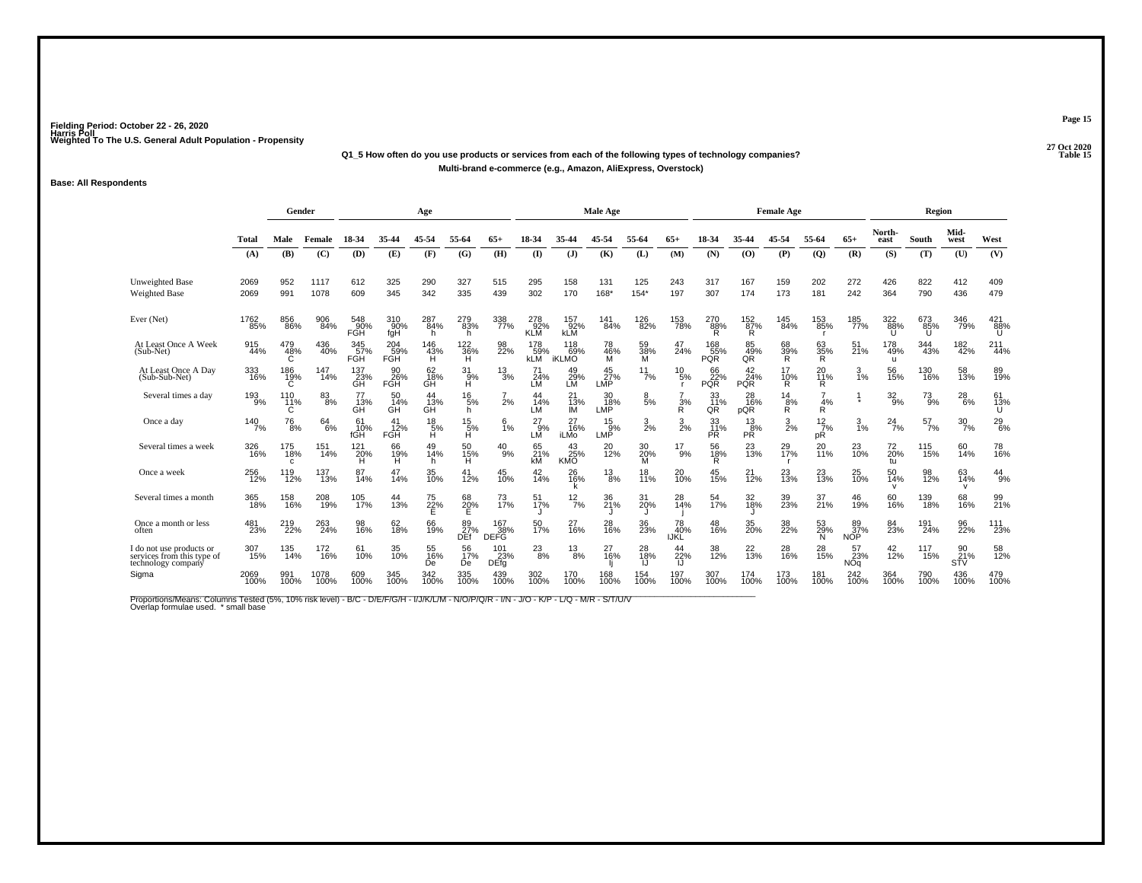#### **27 Oct 2020Q1\_5 How often do you use products or services from each of the following types of technology companies?P** Table 15 **Multi-brand e-commerce (e.g., Amazon, AliExpress, Overstock)**

#### **Base: All Respondents**

|                                                                              |              | Gender               |              |                   |                         | Age             |                                     |                           |                          |                                     | Male Age            |                 |                          |                         |                               | <b>Female Age</b>    |                        |                         |                            | Region          |                                      |                 |
|------------------------------------------------------------------------------|--------------|----------------------|--------------|-------------------|-------------------------|-----------------|-------------------------------------|---------------------------|--------------------------|-------------------------------------|---------------------|-----------------|--------------------------|-------------------------|-------------------------------|----------------------|------------------------|-------------------------|----------------------------|-----------------|--------------------------------------|-----------------|
|                                                                              | Total        | Male                 | Female       | 18-34             | 35-44                   | 45-54           | 55-64                               | $65+$                     | 18-34                    | 35-44                               | 45-54               | 55-64           | $65+$                    | 18-34                   | 35-44                         | 45-54                | 55-64                  | $65+$                   | North-<br>east             | South           | Mid-<br>west                         | West            |
|                                                                              | (A)          | (B)                  | (C)          | (D)               | (E)                     | (F)             | (G)                                 | (H)                       | (I)                      | (J)                                 | (K)                 | (L)             | (M)                      | (N)                     | (0)                           | (P)                  | $\overline{Q}$         | (R)                     | (S)                        | (T)             | (U)                                  | (V)             |
| <b>Unweighted Base</b><br><b>Weighted Base</b>                               | 2069<br>2069 | 952<br>991           | 1117<br>1078 | 612<br>609        | 325<br>345              | 290<br>342      | 327<br>335                          | 515<br>439                | 295<br>302               | 158<br>170                          | 131<br>168*         | 125<br>$154*$   | 243<br>197               | 317<br>307              | 167<br>174                    | 159<br>173           | 202<br>181             | 272<br>242              | 426<br>364                 | 822<br>790      | 412<br>436                           | 409<br>479      |
| Ever (Net)                                                                   | 1762<br>85%  | 856<br>86%           | 906<br>84%   | 548<br>90%<br>FGH | 310<br>90%<br>fgH       | 287<br>84%<br>h | 279<br>83%<br>h                     | 338<br>77%                | 278<br>92%<br><b>KLM</b> | 157<br>92%<br><b>KLM</b>            | 141<br>84%          | 126<br>82%      | 153<br>78%               | 270<br>88%<br>R         | $^{152}_{87\%}$<br>R.         | 145<br>84%           | 153<br>85%             | 185<br>77%              | 322<br>88%                 | 673<br>85%<br>U | 346<br>79%                           | 421<br>88%<br>U |
| At Least Once A Week<br>(Sub-Net)                                            | 915<br>44%   | 479<br>48%<br>Ć      | 436<br>40%   | 345<br>57%<br>FGH | 204<br>59%<br>FĞH       | 146<br>43%<br>H | <sup>122</sup> <sub>36</sub> %<br>Ή | 98<br>22%                 | 178<br>59%<br><b>kLM</b> | $^{118}_{69\%}$<br><b>iKLMO</b>     | 78<br>46%<br>M      | 59<br>38%<br>м  | 47<br>24%                | 168<br>55%<br>PQŘ       | 85<br>49%<br>QŘ               | 68<br>39%<br>R       | 63<br>35%<br>R         | $\frac{51}{21\%}$       | 178<br>49%<br>$\mathbf{u}$ | 344<br>43%      | 182<br>42%                           | 211<br>44%      |
| At Least Once A Day<br>(Sub-Sub-Net)                                         | 333<br>16%   | 186<br>$^{19\%}_{C}$ | 147<br>14%   | 137<br>23%<br>GH  | 90<br>POH<br>FGH        | 62<br>18%<br>GH | 31<br>$H^9$                         | $\frac{13}{3%}$           | 24%<br>LM                | 49<br>29%<br>LM                     | 45<br>$27\%$<br>LMP | $^{11}_{7\%}$   | 10<br>5%                 | 66<br>22%<br><b>PQR</b> | $^{42}_{24\%}$<br><b>PQR</b>  | 17<br>$\frac{10}{R}$ | 20<br><b>11%</b><br>R  | $\frac{3}{1\%}$         | 56<br>15%                  | 130<br>16%      | 58<br>13%                            | 89<br>19%       |
| Several times a day                                                          | 193<br>9%    | 110<br>11%<br>C      | $83\!\%$     | 77<br>13%<br>GĤ   | 50<br>14%<br>GH         | 44<br>13%<br>GH | $^{16}_{5\%}$<br>h.                 | 2%                        | 44<br>14%<br>LM          | 21<br>13%<br>IМ                     | 30<br>18%<br>LMP    | $\frac{8}{5%}$  | 3%<br>R                  | 33<br>11%<br>QR         | 28<br>16%<br>pQR              | $^{14}_{8\%}$<br>R   | 4%<br>R                | $\ddot{\textbf{x}}$     | $^{32}_{9\%}$              | $^{73}_{9\%}$   | $^{28}_{6\%}$                        | 61<br>13%<br>U  |
| Once a day                                                                   | 140<br>7%    | 76<br>8%             | 64<br>6%     | 61<br>10%<br>fGH  | 41<br>12%<br><b>FGH</b> | 18<br>$H^5$     | $^{15}_{\substack{5\%\\H}}$         | 6<br>1%                   | 27<br>-9%<br>LM          | 27<br>$\frac{1}{6%}$<br><b>iLMo</b> | 15<br>$9\%$<br>LMP  | $\frac{3}{2\%}$ | $\frac{3}{2\%}$          | 33<br>11%<br><b>PR</b>  | 13<br>$PR^{\overset{3}{8}\%}$ | $\frac{3}{2\%}$      | $\frac{12}{7}$ %<br>рR | $\frac{3}{1\%}$         | $^{24}$ <sub>7%</sub>      | $^{57}_{7\%}$   | $\frac{30}{7\%}$                     | $^{29}_{6\%}$   |
| Several times a week                                                         | 326<br>16%   | 175<br>18%<br>c      | 151<br>14%   | 121<br>20%<br>н   | 66<br>19%<br>н          | 49<br>14%<br>h. | 50<br>15%<br>Ĥ                      | $^{40}_{9\%}$             | 65<br>21%<br>kM          | 43<br>25%<br><b>KMO</b>             | 20<br>12%           | 30<br>20%<br>M  | 17<br>9%                 | 56<br>18%<br>R          | 23<br>13%                     | 29<br>17%            | 20<br><b>11%</b>       | 23<br>10%               | 72<br>20%<br>tu            | 115<br>15%      | 60<br>14%                            | 78<br>16%       |
| Once a week                                                                  | 256<br>12%   | 119<br>12%           | 137<br>13%   | 87<br>14%         | 47<br>14%               | 35<br>10%       | 41<br>12%                           | 45<br>10%                 | 42<br>14%                | 26<br>16%<br>ĸ                      | $^{13}_{8\%}$       | 18<br>11%       | 20<br>10%                | 45<br>15%               | 21<br>$\frac{1}{2%}$          | 23<br>13%            | 23<br>13%              | 25<br>10%               | 50<br>14%<br>v             | 98<br>12%       | 63<br>14%<br>v                       | 44<br>9%        |
| Several times a month                                                        | 365<br>18%   | 158<br>16%           | 208<br>19%   | 105<br>17%        | 44<br>13%               | 75<br>22%<br>E  | 68<br>20%<br>E                      | 73<br>17%                 | 51<br>17%                | $^{12}_{7\%}$                       | 36<br>21%           | 31<br>20%       | 28<br>14%                | 54<br>17%               | 32<br>18%                     | 39<br>23%            | 37<br>21%              | 46<br>19%               | 60<br>16%                  | 139<br>18%      | 68<br>16%                            | 99<br>21%       |
| Once a month or less<br>often                                                | 481<br>23%   | 219<br>22%           | 263<br>24%   | 98<br>16%         | 62<br>18%               | 66<br>19%       | 89<br>27%<br><b>DEf</b>             | 167<br>38%<br><b>DEFG</b> | 50<br>17%                | 27<br>16%                           | 28<br>16%           | 36<br>23%       | 78<br>40%<br><b>IJKL</b> | 48<br>16%               | 35<br>20%                     | 38<br>22%            | 53<br>29%<br>N         | 89<br>37%<br><b>NOP</b> | 84<br>23%                  | 191<br>24%      | 96<br>22%                            | 111<br>23%      |
| I do not use products or<br>services from this type of<br>technology company | 307<br>15%   | 135<br>14%           | 172<br>16%   | 61<br>10%         | 35<br>10%               | 55<br>16%<br>De | 56<br>17%<br>De                     | 101<br>23%<br>DEfg        | $^{23}_{8\%}$            | $\frac{13}{8%}$                     | 27<br>16%           | 28<br>18%       | 44<br>22%<br>IJ          | 38<br>12%               | 22<br>13%                     | 28<br>16%            | 28<br>15%              | 57<br>23%<br><b>NOq</b> | $^{42}_{12\%}$             | 117<br>15%      | 90<br>s <sub>TV</sub> <sup>21%</sup> | 58<br>12%       |
| Sigma                                                                        | 2069<br>100% | 991<br>100%          | 1078<br>100% | 609<br>100%       | 345<br>100%             | 342<br>100%     | 335<br>100%                         | 439<br>100%               | 302<br>100%              | 170<br>100%                         | 168<br>100%         | 154<br>100%     | 197<br>100%              | 307<br>100%             | 174<br>100%                   | 173<br>100%          | 181<br>100%            | 242<br>100%             | 364<br>100%                | 790<br>100%     | 436<br>100%                          | 479<br>100%     |

Proportions/Means: Columns Tested (5%, 10% risk level) - B/C - D/E/F/G/H - I/J/K/L/M - N/O/P/Q/R - I/N - J/O - K/P - L/Q - M/R - S/T/U/V<br>Overlap formulae used. \*small base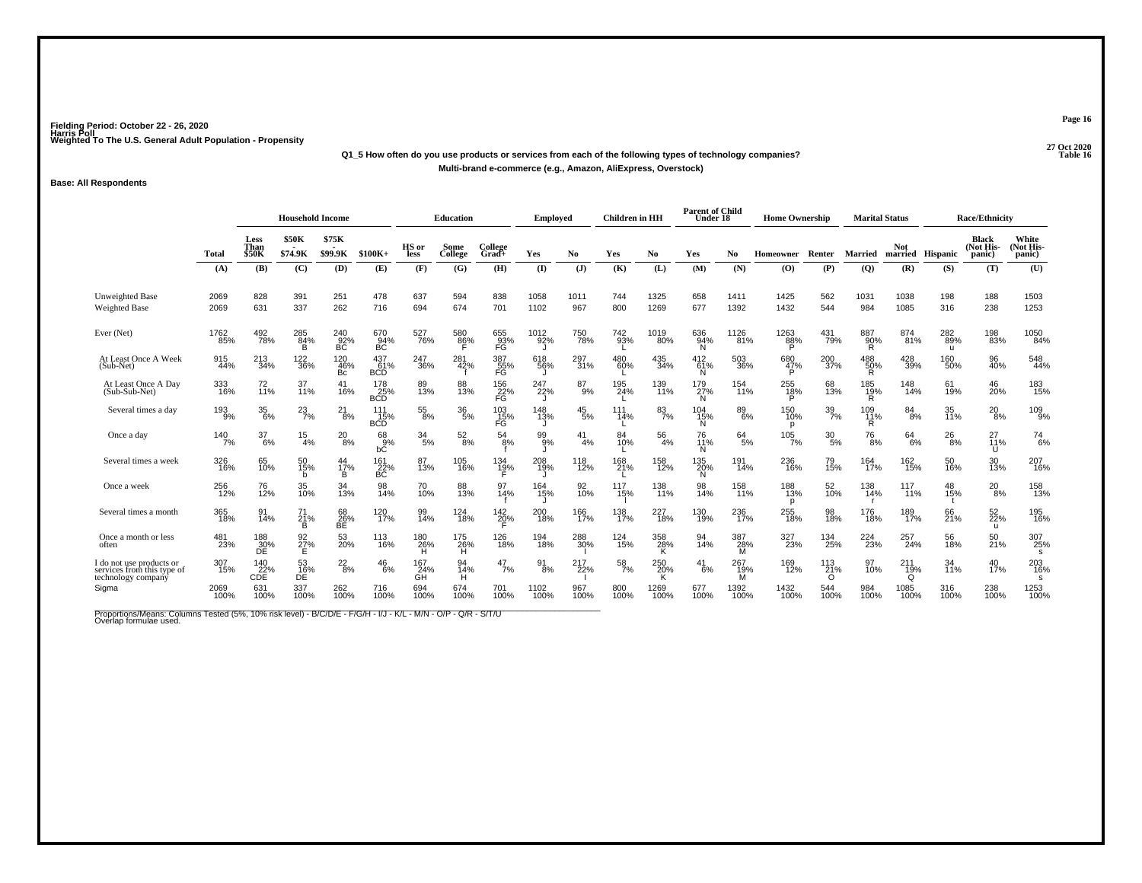### **27 Oct 2020Q1\_5 How often do you use products or services from each of the following types of technology companies?Multi-brand e-commerce (e.g., Amazon, AliExpress, Overstock)**

#### **Base: All Respondents**

|                                                                              |               |                              | <b>Household Income</b> |                     |                          |                               | <b>Education</b> |                                             | <b>Employed</b>  |                | <b>Children</b> in HH |                 | <b>Parent of Child</b><br>Under 18 |                           | <b>Home Ownership</b> |                        | <b>Marital Status</b> |                                |                            | <b>Race/Ethnicity</b>               |                              |
|------------------------------------------------------------------------------|---------------|------------------------------|-------------------------|---------------------|--------------------------|-------------------------------|------------------|---------------------------------------------|------------------|----------------|-----------------------|-----------------|------------------------------------|---------------------------|-----------------------|------------------------|-----------------------|--------------------------------|----------------------------|-------------------------------------|------------------------------|
|                                                                              | Total         | Less<br>Than<br><b>\$50K</b> | <b>\$50K</b><br>\$74.9K | \$75K<br>\$99.9K    | $$100K+$                 | HS or<br>less                 | Some<br>College  | College<br>$Grad +$                         | Yes              | N <sub>0</sub> | Yes                   | No.             | Yes                                | No.                       | Homeowner Renter      |                        | <b>Married</b>        | <b>Not</b><br>married Hispanic |                            | <b>Black</b><br>(Not His-<br>panic) | White<br>(Not His-<br>panic) |
|                                                                              | (A)           | (B)                          | (C)                     | (D)                 | (E)                      | (F)                           | (G)              | (H)                                         | $($ I            | (J)            | (K)                   | (L)             | (M)                                | (N)                       | (O)                   | (P)                    | (Q)                   | (R)                            | (S)                        | (T)                                 | (U)                          |
| Unweighted Base<br><b>Weighted Base</b>                                      | 2069<br>2069  | 828<br>631                   | 391<br>337              | 251<br>262          | 478<br>716               | 637<br>694                    | 594<br>674       | 838<br>701                                  | 1058<br>1102     | 1011<br>967    | 744<br>800            | 1325<br>1269    | 658<br>677                         | 1411<br>1392              | 1425<br>1432          | 562<br>544             | 1031<br>984           | 1038<br>1085                   | 198<br>316                 | 188<br>238                          | 1503<br>1253                 |
| Ever (Net)                                                                   | 1762<br>85%   | 492<br>78%                   | 285<br>84%<br>R         | $^{240}_{-92\%}$ BC | 670<br>BC                | 527<br>76%                    | 580<br>86%       | 655<br>93%<br>FG                            | 1012<br>92%      | 750<br>78%     | 742<br>93%            | 1019<br>80%     | 636<br>94%<br>N                    | 1126<br>$\overline{81}$ % | 1263<br>88%           | 431<br>79%             | 887<br>90%<br>R       | 874<br>81%                     | 282<br>89%<br>$\mathbf{u}$ | 198<br>83%                          | 1050<br>84%                  |
| At Least Once A Week<br>(Sub-Net)                                            | 915<br>44%    | $^{213}_{34\%}$              | <sup>122</sup><br>36%   | 120<br>$-46%$<br>Bc | 437<br>61%<br><b>BCD</b> | 247<br>36%                    | 281<br>42%       | 387<br>55%<br>FG                            | 618<br>56%<br>IJ | 297<br>31%     | 480<br>60%            | 435<br>34%      | 412<br>67%<br>N.                   | 503<br>36%                | 680<br>47%            | 200<br>37%             | 488<br>50%<br>R       | 428<br>39%                     | 160<br>50%                 | 96<br>40%                           | 548<br>44%                   |
| At Least Once A Day<br>(Sub-Sub-Net)                                         | 333<br>16%    | 72<br>11%                    | 37<br>11%               | 41<br>16%           | 178<br>25%<br><b>BCD</b> | 89<br>13%                     | 88<br>13%        | <sup>156</sup> <sub>22</sub> %<br><b>FG</b> | 247<br>22%       | $^{87}_{9\%}$  | 195<br>24%            | 139<br>11%      | 179<br>27%<br>N                    | 154<br>11%                | 255<br>18%<br>P       | 68<br>13%              | 185<br>19%<br>R       | 148<br>14%                     | 61<br>19%                  | 46<br>20%                           | 183<br>15%                   |
| Several times a day                                                          | 193<br>9%     | $\frac{35}{6\%}$             | $^{23}_{7\%}$           | $^{21}_{8\%}$       | 111<br>15%<br><b>BCD</b> | $^{55}_{8\%}$                 | $\frac{36}{5\%}$ | 103<br>15%<br>FG                            | 148<br>13%       | $^{45}_{5\%}$  | 111<br>14%            | 83<br>7%        | 104<br>15%<br>N.                   | 89<br>6%                  | 150<br>10%<br>p       | $\frac{39}{7\%}$       | 109<br>11%<br>R       | $\frac{84}{8%}$                | 35<br>11%                  | $^{20}_{8\%}$                       | 109<br>9%                    |
| Once a day                                                                   | $140$<br>$7%$ | $\frac{37}{6\%}$             | $\frac{15}{4%}$         | $^{20}_{8\%}$       | 68<br>9%<br>bČ           | $\frac{34}{5\%}$              | $^{52}_{\ 8\%}$  | $^{54}_{8\%}$                               | 99<br>99%        | 41<br>4%       | 84<br>10%             | $^{56}_{4\%}$   | 76<br>11%<br>N                     | $^{64}_{5\%}$             | $105$ <sub>7%</sub>   | $^{30}_{\ 5\%}$        | $^{76}_{8\%}$         | $^{64}_{6\%}$                  | $^{26}_{8\%}$              | $^{27}_{11\%}$<br>U                 | $^{74}_{6\%}$                |
| Several times a week                                                         | 326<br>16%    | 65<br>10%                    | 50<br>15%<br>b          | 44<br>17%<br>B      | 161<br>22%<br>BC         | 87<br>13%                     | 105<br>16%       | $^{134}_{19\%}$                             | 208<br>19%       | 118<br>12%     | 168<br>21%            | 158<br>12%      | 135<br>20%<br>N                    | 191<br>14%                | 236<br>16%            | 79<br>15%              | 164<br>17%            | 162<br>15%                     | 50<br>16%                  | 30<br>13%                           | 207<br>16%                   |
| Once a week                                                                  | 256<br>12%    | 76<br>12%                    | 35<br>10%               | 34<br>13%           | 98<br>14%                | 70 <sub>%</sub>               | 88<br>13%        | 97<br>14%                                   | 164<br>15%       | 92<br>10%      | 117<br>15%            | 138<br>11%      | 98<br>14%                          | 158<br>11%                | 188<br>13%<br>p       | 52<br>10%              | 138<br>14%<br>- r     | 117<br>$11\%$                  | 48<br>15%                  | $^{20}_{8\%}$                       | 158<br>13%                   |
| Several times a month                                                        | 365<br>18%    | 91<br>14%                    | 71<br>21%<br>B          | 68<br>26%<br>BÉ.    | 120<br>17%               | 99<br>14%                     | 124<br>18%       | $^{142}_{20\%}$                             | 200<br>18%       | 166<br>17%     | 138<br>17%            | 227<br>18%      | 130<br>19%                         | 236<br>17%                | 255<br>18%            | 98<br>18%              | 176<br>18%            | 189<br>17%                     | 66<br>21%                  | 52 <sub>%</sub><br>u                | 195<br>16%                   |
| Once a month or less<br>often                                                | 481<br>23%    | 188<br>30%<br>ĐĒ.            | $\frac{92}{27}\%$       | 53<br>20%           | 113<br>16%               | 180<br>26%<br>н               | 175<br>26%<br>н  | 126<br>18%                                  | 194<br>18%       | 288<br>30%     | 124<br>15%            | 358<br>28%<br>K | 94<br>14%                          | 387<br>28%<br>M           | 327<br>23%            | 134<br>25%             | 224<br>23%            | 257<br>24%                     | 56<br>18%                  | 50<br>21%                           | 307<br>25%<br>s              |
| I do not use products or<br>services from this type of<br>technology company | 307<br>15%    | 140<br>22%<br><b>CDE</b>     | $^{53}_{16\%}$          | $^{22}_{8\%}$       | $^{46}_{6\%}$            | 167<br>$\overline{GH}^{24\%}$ | 94<br>14%<br>н   | $^{47}_{7\%}$                               | $\frac{91}{8%}$  | 217<br>22%     | $\frac{58}{7\%}$      | 250<br>20%<br>K | 41<br>6%                           | 267<br>19%<br>M           | 169<br>12%            | 113<br>21%<br>$\Omega$ | 97<br>10%             | 211<br>19%<br>∩                | 34<br>11%                  | 40<br>17%                           | 203<br>16%<br>s              |
| Sigma                                                                        | 2069<br>100%  | 631<br>100%                  | 337<br>100%             | 262<br>100%         | 716<br>100%              | 694<br>100%                   | 674<br>100%      | 701<br>100%                                 | 1102<br>100%     | 967<br>100%    | 800<br>100%           | 1269<br>100%    | 677<br>100%                        | 1392<br>100%              | 1432<br>100%          | 544<br>100%            | 984<br>100%           | 1085<br>100%                   | 316<br>100%                | 238<br>100%                         | 1253<br>100%                 |

Proportions/Means: Columns Tested (5%, 10% risk level) - B/C/D/E - F/G/H - I/J - K/L - M/N - O/P - Q/R - S/T/U<br>Overlap formulae used.

**Page 16**

**P** Table 16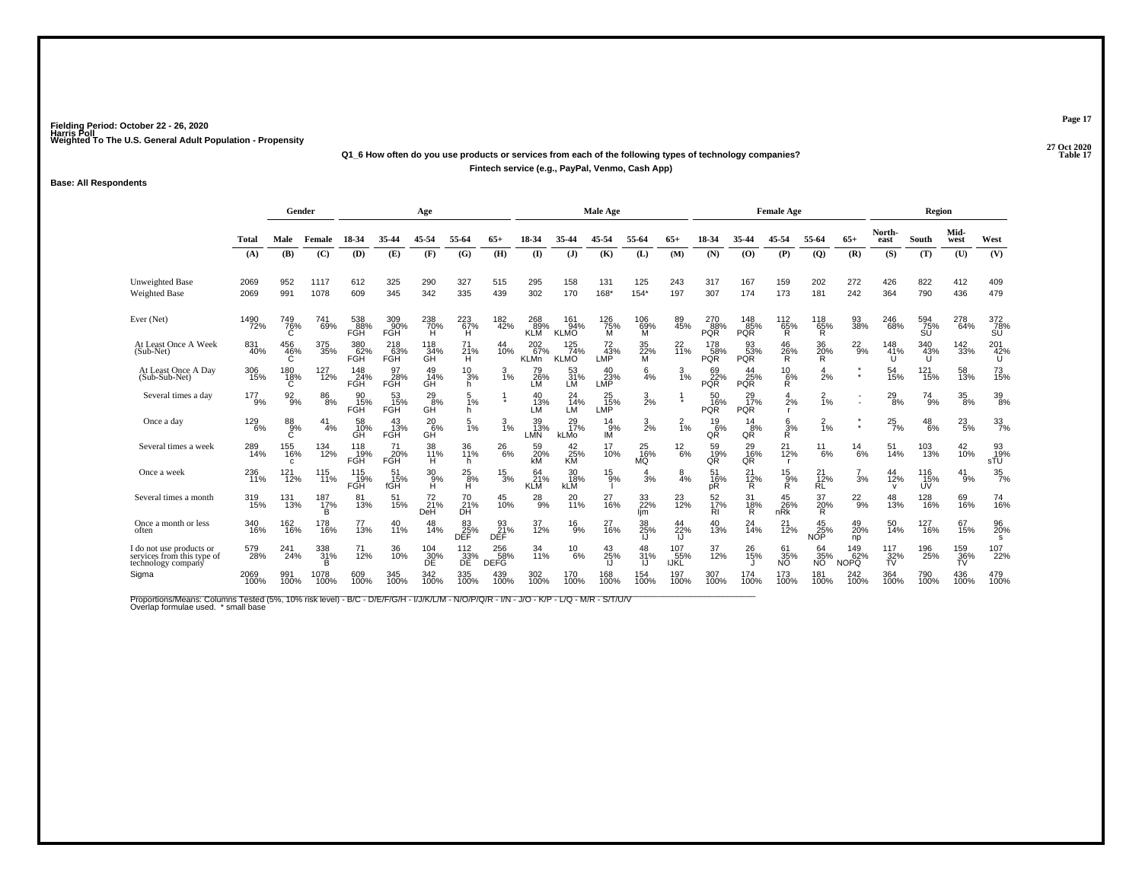#### **27 Oct 2020Q1\_6 How often do you use products or services from each of the following types of technology companies?P** Table 17 **Fintech service (e.g., PayPal, Venmo, Cash App)**

#### **Base: All Respondents**

|                                                                              |              | Gender                  |                        |                         |                         | Age                                  |                         |                         |                           |                                | Male Age         |                       |                    |                               |                              | <b>Female Age</b>            |                            |                         |                           | Region           |                   |                  |
|------------------------------------------------------------------------------|--------------|-------------------------|------------------------|-------------------------|-------------------------|--------------------------------------|-------------------------|-------------------------|---------------------------|--------------------------------|------------------|-----------------------|--------------------|-------------------------------|------------------------------|------------------------------|----------------------------|-------------------------|---------------------------|------------------|-------------------|------------------|
|                                                                              | Total        | Male                    | Female                 | 18-34                   | 35-44                   | 45-54                                | 55-64                   | $65+$                   | 18-34                     | 35-44                          | 45-54            | 55-64                 | $65+$              | 18-34                         | 35-44                        | 45-54                        | 55-64                      | $65+$                   | North-<br>east            | South            | Mid-<br>west      | West             |
|                                                                              | (A)          | (B)                     | (C)                    | (D)                     | (E)                     | (F)                                  | (G)                     | (H)                     | $($ $\Gamma$              | $(\mathbf{J})$                 | (K)              | (L)                   | (M)                | (N)                           | (O)                          | (P)                          | $\mathbf{Q}$               | (R)                     | (S)                       | (T)              | (U)               | (V)              |
| <b>Unweighted Base</b><br><b>Weighted Base</b>                               | 2069<br>2069 | 952<br>991              | 1117<br>1078           | 612<br>609              | 325<br>345              | 290<br>342                           | 327<br>335              | 515<br>439              | 295<br>302                | 158<br>170                     | 131<br>168*      | 125<br>$154*$         | 243<br>197         | 317<br>307                    | 167<br>174                   | 159<br>173                   | 202<br>181                 | 272<br>242              | 426<br>364                | 822<br>790       | 412<br>436        | 409<br>479       |
| Ever (Net)                                                                   | 1490<br>72%  | 749<br>76%              | 741<br>69%             | 538<br>88%<br>FGH       | 309<br>90%<br>FGH       | $^{238}_{70\%}$                      | 223<br>Ή                | 182<br>42%              | 268<br>89%<br><b>KLM</b>  | 161<br>94%<br><b>KLMO</b>      | 126<br>75%<br>M  | 106<br>$\frac{69}{M}$ | 89<br>45%          | 270<br>88%<br><b>PQR</b>      | $^{148}_{85\%}$<br>PQR       | 112<br>$\frac{65}{R}$        | 118<br>$\frac{65}{R}$      | 93<br>38%               | 246<br>68%                | 594<br>75%<br>SU | 278<br>64%        | 372<br>78%<br>SU |
| At Least Once A Week<br>(Sub-Net)                                            | 831<br>40%   | 456<br>46%<br>Ć         | 375<br>35%             | 380<br>62%<br>FĞĤ       | 218<br>63%<br>FGH       | 118<br>_34%<br>GH                    | 71<br>21%<br>н          | 44<br>10%               | 202<br>67%<br><b>KLMn</b> | $^{125}_{74\%}$<br><b>KLMO</b> | 72<br>43%<br>LMP | 35<br>22%<br>м        | $^{22}_{11\%}$     | $^{178}_{58\%}$<br><b>PQR</b> | 93<br>53%<br><b>PQR</b>      | 46<br>26%<br>R.              | 36<br>20%<br>R             | $^{22}_{9\%}$           | 148<br>41%                | 340<br>43%<br>U  | $^{142}_{33\%}$   | 201<br>42%<br>U  |
| At Least Once A Day<br>$(Sub-Sub-Net)$                                       | 306<br>15%   | 180<br>18%<br>C         | 127<br>12%             | 148<br>24%<br>FGH       | 97<br>28%<br><b>FGH</b> | 49<br>14%<br>GH                      | $^{10}_{3\%}$<br>h.     | $\frac{3}{1\%}$         | 79<br>26%<br>LM           | 53<br>31%<br>LМ                | 40<br>23%<br>LMP | $\frac{6}{4%}$        | $\frac{3}{1%}$     | 69<br>22%<br><b>PQR</b>       | 44<br>25%<br>PQR             | $^{10}_{6\%}$<br>Ŕ.          | $\frac{4}{2}$ %            | $\star$<br>$\star$      | 54<br>15%                 | 121<br>15%       | 58<br>13%         | 73<br>15%        |
| Several times a day                                                          | 177<br>9%    | $\frac{92}{9%}$         | $\substack{86 \\ 8\%}$ | 90<br>15%<br><b>FGH</b> | 53<br>15%<br><b>FGH</b> | $^{29}_{8\%}$<br>GH                  | 1%<br>h.                |                         | 40<br>13%<br>LM           | 24<br>$\frac{74}{6}$<br>LM     | 25<br>15%<br>LMP | $\frac{3}{2}$ %       |                    | 50<br>16%<br><b>PQR</b>       | $^{29}_{17\%}$<br><b>PQR</b> | 4<br>2%<br>r.                | $\frac{2}{1\%}$            |                         | $^{29}_{8\%}$             | $^{74}_{9\%}$    | $^{35}_{\,\,8\%}$ | 39<br>8%         |
| Once a day                                                                   | 129<br>6%    | 88<br>9%<br>Ć           | 41<br>4%               | 58<br>10%<br>GH         | 43<br>13%<br><b>FGH</b> | $^{20}_{6\%}$<br>GH                  | 1%                      | 1%                      | 39<br>13%<br>LMN          | 29<br>17%<br>kLMo              | 14<br>9%<br>ΙÑ   | $\frac{3}{2\%}$       | $\frac{2}{1\%}$    | $^{19}_{6\%}$<br>QŘ           | 14<br>8%<br>QR               | $\frac{6}{3}\%$              | $\frac{2}{1%}$             | $\pmb{\ast}$<br>$\star$ | $^{25}_{7\%}$             | 48<br>6%         | $^{23}_{5\%}$     | 33/7%            |
| Several times a week                                                         | 289<br>14%   | 155<br>16%<br>C.        | 134<br>12%             | 118<br>19%<br>FGH       | 71<br>20%<br><b>FGH</b> | 38<br>11%<br>н                       | 36<br>11%<br>h.         | $^{26}_{6\%}$           | 59<br>20%<br>kM           | 42<br>25%<br><b>KM</b>         | 17<br>10%        | 25<br>16%<br>MQ       | $^{12}_{6\%}$      | 59<br>19%<br>QŘ               | 29<br>16%<br>QR              | $^{21}_{12\%}$<br>г          | 11<br>6%                   | $^{14}_{6\%}$           | 51<br>14%                 | 103<br>13%       | 42<br>10%         | 93<br>19%<br>sTÜ |
| Once a week                                                                  | 236<br>71%   | 121<br>$\frac{1}{12\%}$ | 115<br>11%             | 115<br>19%<br>FGH       | 51<br>15%<br>fGH        | $\frac{30}{9%}$<br>Ĥ                 | $^{25}_{8\%}$<br>н      | $^{15}_{3\%}$           | 64<br>21%<br><b>KLM</b>   | 30<br>18%<br><b>kLM</b>        | 15<br>9%         | $\frac{4}{3%}$        | $\frac{8}{4%}$     | 51<br>16%<br>рR               | 21<br>$\frac{12}{R}$         | $^{15}_{\substack{9\%\\R}}$  | 21<br>$\frac{1}{2%}$<br>RL | $\frac{7}{3%}$          | 44<br>12%<br>$\mathsf{V}$ | 116<br>15%<br>UV | 41<br>9%          | $\frac{35}{7\%}$ |
| Several times a month                                                        | 319<br>15%   | 131<br>13%              | 187<br>17%<br>B        | 81<br>13%               | 51<br>15%               | $^{72}_{21\%}$<br>DeH                | 70<br>21%<br>ĐĤ         | 45<br>10%               | $^{28}_{9\%}$             | 20<br>11%                      | 27<br>16%        | 33<br>22%<br>lim      | 23<br>12%          | 52<br>17%<br>RI               | 31<br>18%<br>Ŕ               | 45<br>26%<br>n <sub>RK</sub> | 37<br>20%                  | $^{22}_{9\%}$           | 48<br>13%                 | 128<br>16%       | 69<br>16%         | 74<br>16%        |
| Once a month or less<br>often                                                | 340<br>16%   | 162<br>16%              | 178<br>16%             | 77<br>13%               | 40<br>11%               | 48<br>14%                            | 83<br>25%<br><b>DEF</b> | 93<br>21%<br><b>DEF</b> | 37<br>12%                 | $^{16}_{9\%}$                  | 27<br>16%        | 38<br>25%<br>IJ       | 44<br>22%<br>IJ    | 40<br>13%                     | 24<br>14%                    | 21<br>$\frac{1}{2%}$         | 45<br>25%<br><b>NOP</b>    | 49<br>20%<br>np         | 50<br>14%                 | 127<br>16%       | 67<br>15%         | 96<br>20%<br>s   |
| I do not use products or<br>services from this type of<br>technology company | 579<br>28%   | 241<br>24%              | 338<br>31%<br>B.       | 71<br>12%               | 36<br>10%               | $^{104}_{\substack{30\\ \text{DE}}}$ | 112<br>33%<br>DE        | 256<br>58%<br>DEFG      | 34<br>11%                 | $^{10}_{6\%}$                  | 43<br>25%        | 48<br>31%             | 107<br>55%<br>IJŘĽ | 37<br>12%                     | 26<br>15%                    | 61<br>$\frac{35}{10}$        | 64<br>35%<br>ΝÕ            | 149<br>62%<br>NOPQ      | 117<br>$\frac{32}{10}$    | 196<br>25%       | 159<br>36%<br>ŤŬ  | 107<br>22%       |
| Sigma                                                                        | 2069<br>100% | 991<br>100%             | 1078<br>100%           | 609<br>100%             | 345<br>100%             | 342<br>100%                          | 335<br>100%             | 439<br>100%             | 302<br>100%               | 170<br>100%                    | 168<br>100%      | 154<br>100%           | 197<br>100%        | 307<br>100%                   | 174<br>100%                  | 173<br>100%                  | 181<br>100%                | 242<br>100%             | 364<br>100%               | 790<br>100%      | 436<br>100%       | 479<br>100%      |

Proportions/Means: Columns Tested (5%, 10% risk level) - B/C - D/E/F/G/H - I/J/K/L/M - N/O/P/Q/R - I/N - J/O - K/P - L/Q - M/R - S/T/U/V<br>Overlap formulae used. \*small base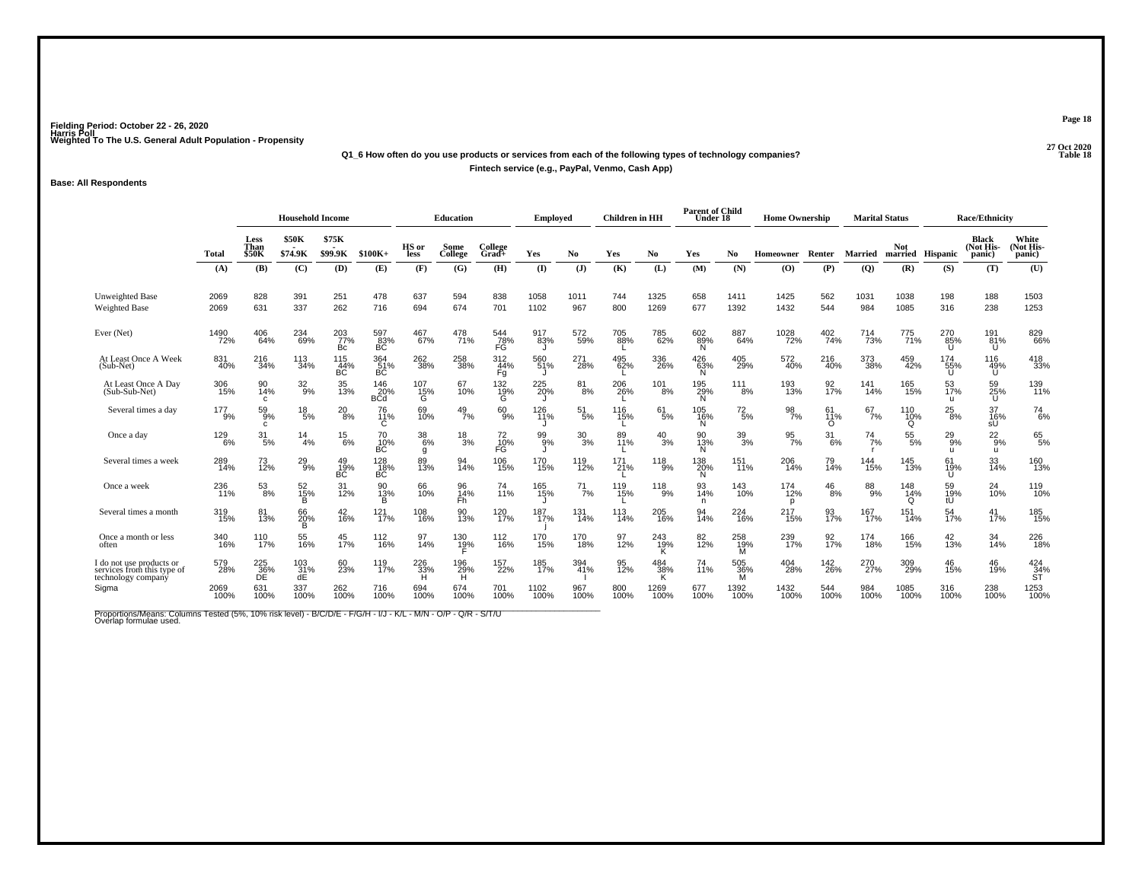### **27 Oct 2020Q1\_6 How often do you use products or services from each of the following types of technology companies?Fintech service (e.g., PayPal, Venmo, Cash App)**

#### **Base: All Respondents**

|                                                                              |                |                              | <b>Household Income</b> |                         |                          |                      | <b>Education</b>    |                    | <b>Employed</b> |                  | <b>Children</b> in HH |                       | <b>Parent of Child</b><br>Under 18 |                 | <b>Home Ownership</b> |                       | <b>Marital Status</b> |                                |                            | Race/Ethnicity               |                                               |
|------------------------------------------------------------------------------|----------------|------------------------------|-------------------------|-------------------------|--------------------------|----------------------|---------------------|--------------------|-----------------|------------------|-----------------------|-----------------------|------------------------------------|-----------------|-----------------------|-----------------------|-----------------------|--------------------------------|----------------------------|------------------------------|-----------------------------------------------|
|                                                                              | <b>Total</b>   | Less<br>Than<br><b>\$50K</b> | <b>\$50K</b><br>\$74.9K | \$75K<br>\$99.9K        | $$100K+$                 | HS or<br>less        | Some<br>College     | College<br>$Grad+$ | Yes             | N <sub>0</sub>   | Yes                   | No                    | Yes                                | No.             | Homeowner             | Renter                | <b>Married</b>        | <b>Not</b><br>married Hispanic |                            | Black<br>(Not His-<br>panic) | White<br>(Not His-<br>panic)                  |
|                                                                              | (A)            | (B)                          | (C)                     | (D)                     | (E)                      | (F)                  | (G)                 | (H)                | $($ I           | (J)              | (K)                   | (L)                   | (M)                                | (N)             | $\bf{(O)}$            | (P)                   | (Q)                   | (R)                            | (S)                        | (T)                          | (U)                                           |
| Unweighted Base<br><b>Weighted Base</b>                                      | 2069<br>2069   | 828<br>631                   | 391<br>337              | 251<br>262              | 478<br>716               | 637<br>694           | 594<br>674          | 838<br>701         | 1058<br>1102    | 1011<br>967      | 744<br>800            | 1325<br>1269          | 658<br>677                         | 1411<br>1392    | 1425<br>1432          | 562<br>544            | 1031<br>984           | 1038<br>1085                   | 198<br>316                 | 188<br>238                   | 1503<br>1253                                  |
| Ever (Net)                                                                   | 1490<br>72%    | 406<br>64%                   | 234<br>69%              | 203<br>77%<br>Bc        | 597<br>$\frac{83}{BC}$   | 467<br>67%           | 478<br>71%          | 544<br>78%<br>FĞ   | 917<br>83%      | 572<br>59%       | 705<br>88%            | 785<br>62%            | $60289\%$<br>N                     | 887<br>64%      | 1028<br>72%           | 402<br>74%            | <sup>714</sup><br>73% | 775<br>71%                     | 270<br>85%<br>$\mathbf{U}$ | 191<br>81%<br>U              | 829<br>66%                                    |
| At Least Once A Week<br>(Sub-Net)                                            | 831<br>40%     | 216<br>34%                   | 113<br>34%              | 115<br>44%<br><b>BC</b> | 364<br>BC                | 262<br>38%           | 258<br>38%          | 312<br>44%<br>Fg   | 560<br>51%      | 271<br>-28%      | 495<br>62%            | 336<br>26%            | 426<br>63%<br>N                    | 405<br>29%      | 572<br>40%            | 216<br>40%            | 373<br>38%            | 459<br>42%                     | 174<br>55%<br>U            | 116<br>49%<br>ΰſ             | 418<br>33%                                    |
| At Least Once A Day<br>(Sub-Sub-Net)                                         | 306<br>15%     | 90<br>14%<br>$\mathbf{C}$    | $32\atop 9\%$           | 35<br>13%               | 146<br>20%<br><b>BCd</b> | 107<br>15%<br>G      | 67<br>10%           | 132<br>19%<br>G    | 225<br>20%      | $\frac{81}{8\%}$ | 206<br>26%            | 101<br>8%             | 195<br>29%<br>N                    | 111<br>8%       | 193<br>13%            | 92 <sub>%</sub>       | 141<br>14%            | 165<br>15%                     | 53<br>17%<br>u             | 59<br>25%<br>U               | 139<br>11%                                    |
| Several times a day                                                          | $^{177}_{9\%}$ | $^{59}_{9\%}$<br>C           | $^{18}_{\ 5\%}$         | $^{20}_{8\%}$           | 76<br>11%<br>С           | 69<br>10%            | $^{49}_{7\%}$       | 60<br>9%           | 126<br>11%      | $\frac{51}{5%}$  | 116<br>15%            | $^{61}_{5\%}$         | 105<br>16%<br>N                    | $^{72}_{\,5\%}$ | 98<br>7%              | 61<br>11%<br>$\Omega$ | $^{67}_{7\%}$         | 110<br>10%<br>Q                | $^{25}_{8\%}$              | 37<br>16%<br>sŰ              | $^{74}_{6\%}$                                 |
| Once a day                                                                   | 129<br>6%      | $\frac{31}{5\%}$             | $\frac{14}{4%}$         | $^{15}_{6\%}$           | $^{70}_{10\%}$<br>BC     | $^{38}_{\ 6\%}$<br>g | $^{18}_{3\%}$       | 72<br>10%<br>FG    | 99<br>9%        | $^{30}_{3\%}$    | 89<br>11%             | $^{40}_{3\%}$         | 90<br>13%<br>N                     | $\frac{39}{3%}$ | $\frac{95}{7\%}$      | $\frac{31}{6\%}$      | $^{74}_{7\%}$         | $^{55}_{\ 5\%}$                | $^{29}_{9\%}$<br>-11       | $^{22}_{9%}$<br>u            | $^{65}_{5\%}$                                 |
| Several times a week                                                         | 289<br>14%     | 73<br>12%                    | $^{29}_{9\%}$           | 49<br>19%<br>BĆ.        | 128<br>18%<br>BC         | 89<br>13%            | 94<br>14%           | 106<br>15%         | 170<br>15%      | 119<br>12%       | 171<br>21%            | $^{118}_{9\%}$        | 138<br>20%<br>N                    | 151<br>11%      | 206<br>14%            | 79<br>14%             | 144<br>15%            | 145<br>13%                     | 61<br>19%                  | 33<br>14%                    | 160<br>13%                                    |
| Once a week                                                                  | 236<br>11%     | $\frac{53}{8\%}$             | 52<br>15%<br>В          | 31<br>12%               | 90<br>13%<br>в           | 66<br>10%            | 96<br>14%<br>Fh     | 74<br>11%          | 165<br>15%      | $^{71}_{7\%}$    | 119<br>15%            | 118<br>9%             | 93<br>14%<br>n                     | 143<br>10%      | 174<br>12%<br>D       | $^{46}_{8\%}$         | 88<br>9%              | 148<br>14%<br>$\Omega$         | 59<br>19%<br>tÚ            | 24<br>10%                    | 119<br>10%                                    |
| Several times a month                                                        | 319<br>15%     | 81<br>13%                    | 66<br>20%<br>B          | 42<br>16%               | 121%                     | 108<br>16%           | 90<br>13%           | 120<br>17%         | 187<br>17%      | 131<br>14%       | 113<br>14%            | 205<br>16%            | 94<br>14%                          | $^{224}_{16\%}$ | 217<br>15%            | 93<br>17%             | 167<br>17%            | 151<br>14%                     | 54<br>17%                  | $^{41}_{17\%}$               | 185<br>15%                                    |
| Once a month or less<br>often                                                | 340<br>16%     | 110<br>17%                   | 55<br>16%               | 45<br>17%               | 112<br>16%               | 97<br>14%            | 130<br>1 <u>9</u> % | 112<br>16%         | 170<br>15%      | 170<br>18%       | 97<br>12%             | 243<br>19%<br>K.      | 82 <sub>%</sub>                    | 258<br>19%<br>M | 239<br>17%            | 92 <sub>%</sub>       | 174<br>18%            | 166<br>15%                     | 42<br>13%                  | 34<br>14%                    | 226<br>18%                                    |
| I do not use products or<br>services from this type of<br>technology company | 579<br>28%     | 225<br>36%<br>ĐĒ             | $^{103}_{31\%}$<br>ďÉ   | 60<br>23%               | 119<br>17%               | 226<br>33%           | 196<br>29%<br>н     | 157<br>22%         | 185<br>17%      | 394<br>41%       | 95<br>12%             | $^{484}_{38\%}$<br>K. | 74<br>11%                          | 505<br>36%<br>M | 404<br>28%            | 142<br>26%            | 270<br>27%            | 309<br>29%                     | 46<br>15%                  | 46<br>19%                    | $\overset{424}{\underset{\mathsf{ST}}{34\%}}$ |
| Sigma                                                                        | 2069<br>100%   | 631<br>100%                  | 337<br>100%             | 262<br>100%             | 716<br>100%              | 694<br>100%          | 674<br>100%         | 701<br>100%        | 1102<br>100%    | 967<br>100%      | 800<br>100%           | 1269<br>100%          | 677<br>100%                        | 1392<br>100%    | 1432<br>100%          | 544<br>100%           | 984<br>100%           | 1085<br>100%                   | 316<br>100%                | 238<br>100%                  | 1253<br>100%                                  |

Proportions/Means: Columns Tested (5%, 10% risk level) - B/C/D/E - F/G/H - I/J - K/L - M/N - O/P - Q/R - S/T/U<br>Overlap formulae used.

**Page 18**

**Table 18**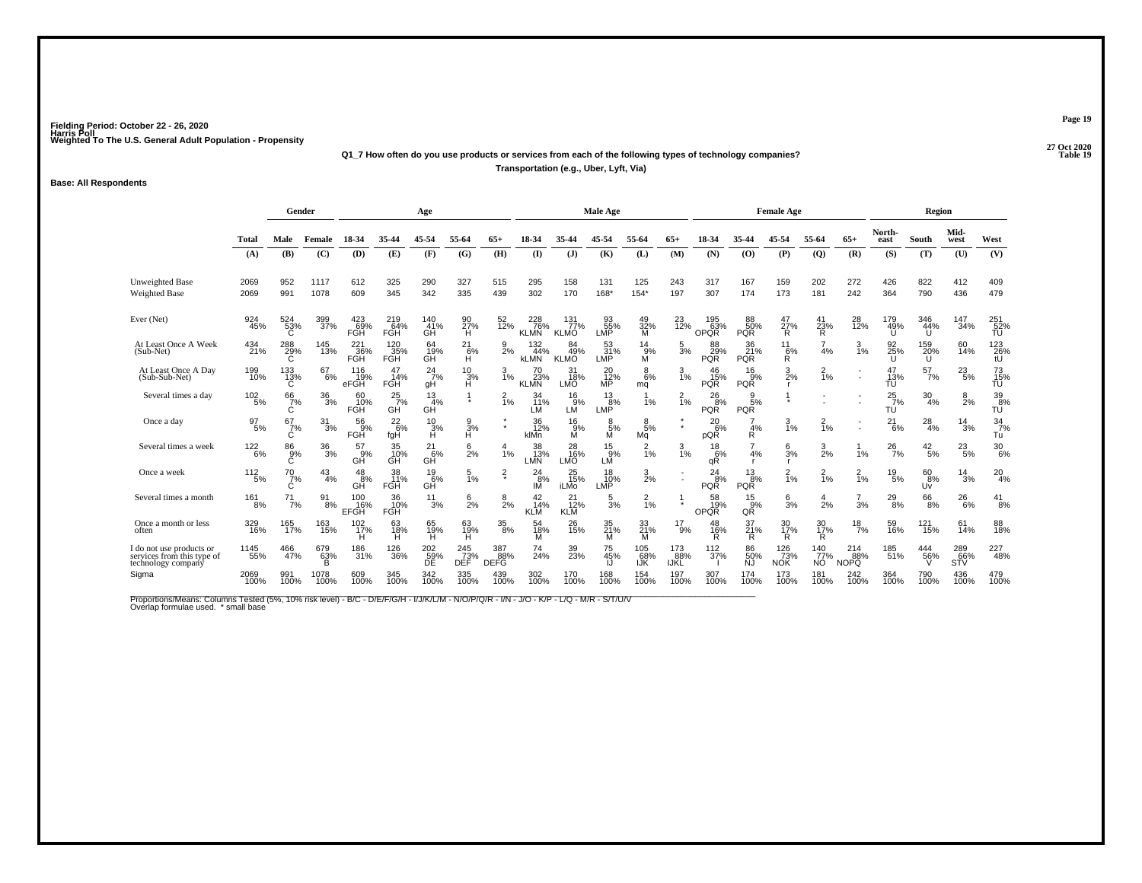#### **27 Oct 2020Q1\_7 How often do you use products or services from each of the following types of technology companies?P** Table 19 **Transportation (e.g., Uber, Lyft, Via)**

#### **Base: All Respondents**

|                                                                              |                  | Gender             |                  |                             |                          | Age                         |                       |                           |                                   |                              | Male Age                |                      |                    |                             |                               | <b>Female Age</b>       |                         |                           |                     | Region           |                   |                        |
|------------------------------------------------------------------------------|------------------|--------------------|------------------|-----------------------------|--------------------------|-----------------------------|-----------------------|---------------------------|-----------------------------------|------------------------------|-------------------------|----------------------|--------------------|-----------------------------|-------------------------------|-------------------------|-------------------------|---------------------------|---------------------|------------------|-------------------|------------------------|
|                                                                              | <b>Total</b>     | Male               | Female           | 18-34                       | 35-44                    | 45-54                       | 55-64                 | $65+$                     | 18-34                             | 35-44                        | 45-54                   | 55-64                | $65+$              | 18-34                       | 35-44                         | 45-54                   | 55-64                   | $65+$                     | North-<br>east      | South            | Mid-<br>west      | West                   |
|                                                                              | (A)              | (B)                | (C)              | (D)                         | (E)                      | (F)                         | (G)                   | (H)                       | $($ $\Gamma$                      | (J)                          | (K)                     | (L)                  | (M)                | (N)                         | (O)                           | (P)                     | $\overline{Q}$          | (R)                       | (S)                 | (T)              | (U)               | (V)                    |
| Unweighted Base<br>Weighted Base                                             | 2069<br>2069     | 952<br>991         | 1117<br>1078     | 612<br>609                  | 325<br>345               | 290<br>342                  | 327<br>335            | 515<br>439                | 295<br>302                        | 158<br>170                   | 131<br>168*             | 125<br>$154*$        | 243<br>197         | 317<br>307                  | 167<br>174                    | 159<br>173              | 202<br>181              | 272<br>242                | 426<br>364          | 822<br>790       | 412<br>436        | 409<br>479             |
| Ever (Net)                                                                   | 924<br>45%       | 524<br>53%<br>C    | 399<br>37%       | 423<br>69%<br><b>FGH</b>    | 219<br>64%<br><b>FGH</b> | $^{140}_{41\%}$<br>GH       | 90<br>27%<br>н        | 52<br>12%                 | $\frac{228}{76\%}$<br><b>KLMN</b> | 131<br>77%<br><b>KLMO</b>    | 93<br>55%<br>LMP        | 49<br>32%<br>M       | 23<br>12%          | 195<br>63%<br>OPQR          | 88<br>50%<br><b>PQR</b>       | 47<br>$\frac{27}{R}$    | 41<br>23%<br>Ŕ          | 28<br>12%                 | 179<br>49%          | 346<br>44%<br>U  | 147<br>34%        | 251<br>52%<br>TU       |
| At Least Once A Week<br>$(Sub-Net)$                                          | 434<br>21%       | 288<br>29%<br>C    | 145<br>13%       | 221<br>36%<br>FGH           | 120<br>35%<br>FGH        | 64<br>19%<br>GĤ             | $^{21}_{6\%}$<br>Ĥ    | $\frac{9}{2%}$            | $\frac{132}{44\%}$<br><b>KLMN</b> | 84<br>49%<br><b>KLMO</b>     | 53<br>31%<br>LMP        | $^{14}_{9\%}$<br>M   | $\frac{5}{3\%}$    | 88<br>29%<br><b>PQR</b>     | 36<br>21%<br><b>PQR</b>       | $^{11}_{6\%}$ R         | 4%                      | $\frac{3}{1%}$            | 92<br>25%           | 159<br>20%<br>Ü  | 60<br>14%         | 123<br>26%<br>tÜ       |
| At Least Once A Day<br>(Sub-Sub-Net)                                         | 199<br>10%       | $^{133}_{13\%}$    | 67<br>6%         | 116<br>19%<br>eFGH          | 47<br>14%<br>FGH         | $^{24}$ <sub>7%</sub><br>qH | $\frac{10}{3%}$<br>Ĥ. | $\frac{3}{1\%}$           | 70<br>23%<br><b>KLMN</b>          | 31<br>18%<br>LMO             | 20<br>12%<br>MP         | $8\%$<br>mq          | 3<br>1%            | 46<br>15%<br><b>PQR</b>     | 16<br>9%<br>PQR               | $\frac{3}{2\%}$         | $\frac{2}{1%}$          |                           | 47<br>13%<br>TÚ     | $^{57}_{7\%}$    | $^{23}_{5\%}$     | 73<br>15%<br>TŨ        |
| Several times a day                                                          | $^{102}_{-5\%}$  | $^{66}_{7\%}$<br>C | $\frac{36}{3%}$  | 60<br>10%<br><b>FGH</b>     | $^{25}_{7\%}$<br>GH      | 13<br>4%<br>GH              |                       | $\frac{2}{1}$ %           | 34<br>11%<br>LM                   | $^{16}_{9%}$<br>LM           | $\frac{13}{8\%}$<br>LMP | 1%                   | $\frac{2}{1\%}$    | $^{26}_{8\%}$<br><b>PQR</b> | 9<br>5%<br><b>PQR</b>         |                         |                         |                           | $^{25}_{7\%}$<br>TU | $\frac{30}{4\%}$ | $\frac{8}{2%}$    | 39 <sub>8%</sub><br>TÚ |
| Once a day                                                                   | $\frac{97}{5\%}$ | 67<br>7%<br>C      | $\frac{31}{3%}$  | $^{56}_{9\%}$<br><b>FGH</b> | $^{22}_{6\%}$<br>fgH     | $\frac{10}{3%}$<br>Ĥ        | 3%<br>Ĥ               | ×                         | 36<br>12%<br>klMn                 | $^{16}_{9\%}$ M              | 5%<br>M                 | $\frac{8}{5%}$<br>Mq | $\star$            | $^{20}_{6\%}$<br>pQR        | 4%<br>R                       | 3<br>1%                 | $\frac{2}{1%}$          |                           | 21<br>6%            | $^{28}_{4\%}$    | 14<br>3%          | $\frac{34}{7}$ %<br>Tu |
| Several times a week                                                         | $122 \atop 6\%$  | 86<br>9%<br>Ć      | $\frac{36}{3%}$  | 57<br>9%<br>GH              | 35<br>10%<br>GĤ          | $^{21}_{6\%}$<br>GĤ         | 6<br>2%               | 1%                        | 38<br>13%<br>LMN                  | 28<br>16%<br>LMO             | 15<br>9%<br>LM          | $\frac{2}{1}$ %      | 3<br>1%            | $\frac{18}{6%}$<br>qŘ       | 4%                            | 6<br>3%<br>$\mathbf{r}$ | $\frac{3}{2\%}$         | 1%                        | $^{26}_{7\%}$       | $^{42}_{\ 5\%}$  | $^{23}_{5\%}$     | $^{30}_{6\%}$          |
| Once a week                                                                  | $112 \atop 5\%$  | $^{70}_{7\%}$<br>С | $^{43}_{4\%}$    | $^{48}_{8\%}$<br>GH         | 38<br>11%<br><b>FGH</b>  | $^{19}_{6\%}$<br>GĤ         | $\frac{5}{1\%}$       | $\frac{2}{3}$             | 24<br>8%<br>ΙM                    | 25<br>15%<br><b>iLMo</b>     | 18<br>10%<br>LMP        | $\frac{3}{2}$ %      |                    | 24<br>8%<br><b>PQR</b>      | $\frac{13}{8%}$<br><b>PQR</b> | $\frac{2}{1\%}$         | $\frac{2}{1%}$          | $\frac{2}{1\%}$           | 19<br>5%            | 60<br>8%<br>Uv   | 14<br>3%          | $^{20}_{4%}$           |
| Several times a month                                                        | $^{161}_{8\%}$   | $^{71}_{7\%}$      | $\frac{91}{8\%}$ | 100<br>16%<br><b>EFGH</b>   | 36<br>10%<br>FGH         | $\frac{11}{3%}$             | $\frac{6}{2}$ %       | $\frac{8}{2%}$            | $^{42}_{14\%}$<br><b>KLM</b>      | $^{21}_{12\%}$<br><b>KLM</b> | $\frac{5}{3}$ %         | $\frac{2}{1}$ %      |                    | 58<br>19%<br>OPQR           | $\frac{15}{9%}$<br>QŘ         | $\frac{6}{3%}$          | $\frac{4}{2}$ %         | $\frac{7}{3%}$            | $^{29}_{8\%}$       | $^{66}_{8\%}$    | $^{26}_{6\%}$     | $^{41}_{8\%}$          |
| Once a month or less<br>often                                                | 329<br>16%       | 165<br>17%         | 163<br>15%       | 102<br>17%<br>н             | 63<br>18%<br>н           | 65<br>19%<br>н              | 63<br>19%<br>н        | $^{35}_{\ 8\%}$           | 54<br>18%<br>М                    | 26<br>15%                    | 35<br>21%<br>M          | 33<br>21%<br>M       | 17<br>9%           | 48<br>16%<br>R              | 37<br>21%<br>R                | 30<br>17%<br>R          | 30<br>17%<br>R          | $18$ <sub>7%</sub>        | 59<br>16%           | 121<br>15%       | 61<br>14%         | 88<br>18%              |
| I do not use products or<br>services from this type of<br>technology company | 1145<br>55%      | 466<br>47%         | 679<br>63%<br>ã  | 186<br>31%                  | 126<br>36%               | 202<br>$\frac{59}{DE}$      | 245<br>73%<br>DÉF     | 387<br>88%<br><b>DEFG</b> | 74<br>24%                         | 39<br>23%                    | 75<br>45%               | 105<br>68%<br>IJŘ    | 173<br>88%<br>IJŘĽ | $\frac{112}{37\%}$          | 86<br>50%<br>NJ               | 126<br>$73\%$<br>NOK    | 140<br>77%<br><b>NO</b> | 214<br>88%<br><b>NOPQ</b> | 185<br>51%          | 444<br>56%       | 289<br>66%<br>SŤŸ | 227<br>48%             |
| Sigma                                                                        | 2069<br>100%     | 991<br>100%        | 1078<br>100%     | 609<br>100%                 | 345<br>100%              | 342<br>100%                 | 335<br>100%           | 439<br>100%               | 302<br>100%                       | 170<br>100%                  | 168<br>100%             | 154<br>100%          | 197<br>100%        | 307<br>100%                 | 174<br>100%                   | 173<br>100%             | 181<br>100%             | 242<br>100%               | 364<br>100%         | 790<br>100%      | 436<br>100%       | 479<br>100%            |

Proportions/Means: Columns Tested (5%, 10% risk level) - B/C - D/E/F/G/H - I/J/K/L/M - N/O/P/Q/R - I/N - J/O - K/P - L/Q - M/R - S/T/U/V<br>Overlap formulae used. \*small base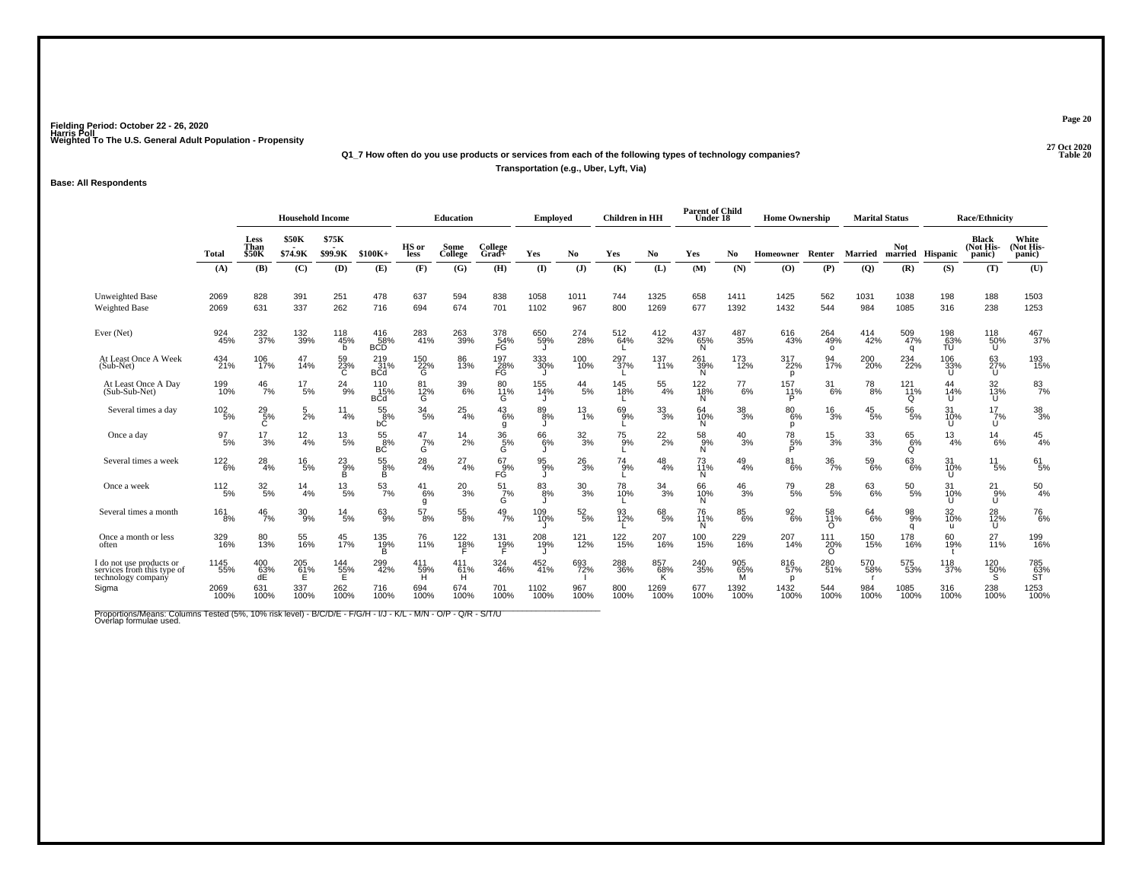**27 Oct 2020Q1\_7 How often do you use products or services from each of the following types of technology companies?**

**Transportation (e.g., Uber, Lyft, Via)**

#### **Base: All Respondents**

|                                                                              |                  |                       | <b>Household Income</b> |                       |                               |                       | <b>Education</b>   |                     | <b>Employed</b>    |                  | <b>Children</b> in HH |                  | <b>Parent of Child</b><br>Under 18 |                 | <b>Home Ownership</b>  |                                 | <b>Marital Status</b> |                                |                           | <b>Race/Ethnicity</b>               |                              |
|------------------------------------------------------------------------------|------------------|-----------------------|-------------------------|-----------------------|-------------------------------|-----------------------|--------------------|---------------------|--------------------|------------------|-----------------------|------------------|------------------------------------|-----------------|------------------------|---------------------------------|-----------------------|--------------------------------|---------------------------|-------------------------------------|------------------------------|
|                                                                              | Total            | Less<br>Than<br>\$50K | <b>\$50K</b><br>\$74.9K | \$75K<br>\$99.9K      | $$100K+$                      | HS or<br>less         | Some<br>College    | College<br>$Grad +$ | Yes                | N <sub>0</sub>   | Yes                   | No               | Yes                                | No.             | Homeowner              | Renter                          | <b>Married</b>        | <b>Not</b><br>married Hispanic |                           | <b>Black</b><br>(Not His-<br>panic) | White<br>(Not His-<br>panic) |
|                                                                              | (A)              | (B)                   | (C)                     | (D)                   | (E)                           | (F)                   | (G)                | (H)                 | $($ I              | (J)              | (K)                   | (L)              | (M)                                | (N)             | $\bf{(O)}$             | (P)                             | (Q)                   | (R)                            | (S)                       | (T)                                 | (U)                          |
| Unweighted Base<br><b>Weighted Base</b>                                      | 2069<br>2069     | 828<br>631            | 391<br>337              | 251<br>262            | 478<br>716                    | 637<br>694            | 594<br>674         | 838<br>701          | 1058<br>1102       | 1011<br>967      | 744<br>800            | 1325<br>1269     | 658<br>677                         | 1411<br>1392    | 1425<br>1432           | 562<br>544                      | 1031<br>984           | 1038<br>1085                   | 198<br>316                | 188<br>238                          | 1503<br>1253                 |
| Ever (Net)                                                                   | 924<br>45%       | 232<br>37%            | 132<br>39%              | 118<br>45%<br>h       | $^{416}_{58\%}$<br>BCD        | 283<br>41%            | 263<br>39%         | 378<br>54%<br>FG    | 650<br>59%         | 274<br>28%       | 512<br>64%            | 412<br>32%       | 437<br>65%<br>N                    | 487<br>35%      | 616<br>43%             | 264<br>49%<br>$\circ$           | 414<br>42%            | 509<br>47%<br>$\Omega$         | 198<br>63%<br>TU          | 118<br>50%<br>υ                     | 467<br>37%                   |
| At Least Once A Week<br>$(Sub-Net)$                                          | 434<br>21%       | 106<br>17%            | 47<br>14%               | 59<br>23%<br>C        | $^{219}_{31\%}$<br><b>BCd</b> | 150<br>22%<br>G       | 86<br>13%          | 197<br>28%<br>FĞ    | 333<br>30%         | 100<br>10%       | 297<br>37%            | 137<br>11%       | 261<br>39%<br>N                    | 173<br>12%      | 317<br>22%<br>p        | 94<br>17%                       | 200<br>20%            | 234<br>22%                     | 106<br>33%<br>U           | 63<br>27%<br>U                      | 193<br>15%                   |
| At Least Once A Day<br>(Sub-Sub-Net)                                         | 199<br>10%       | $^{46}_{7\%}$         | $^{17}_{5\%}$           | $^{24}_{9%}$          | 110<br>15%<br><b>BCd</b>      | 81<br>12%<br>G        | 39<br>6%           | 80<br>11%<br>G      | 155<br>14%         | $^{44}_{\ 5\%}$  | 145<br>18%            | $\frac{55}{4\%}$ | 122<br>18%<br>N.                   | $^{77}_{6\%}$   | 157<br>11%<br>Þ        | $\frac{31}{6\%}$                | $^{78}_{\ 8\%}$       | 121 <sub>1%</sub><br>O         | 44<br>14%<br>U            | 32<br>13%<br>U                      | $\frac{83}{7%}$              |
| Several times a day                                                          | $^{102}_{-5\%}$  | $^{29}_{5\%}$         | $\frac{5}{2%}$          | 11<br>4%              | 55<br>8%<br>bČ                | $\frac{34}{5\%}$      | $^{25}_{4\%}$      | $^{43}_{6\%}$<br>g  | 89<br>8%           | $^{13}_{1\%}$    | 69<br>9%              | $\frac{33}{3\%}$ | 64<br>10%<br>N.                    | $^{38}_{\ 3\%}$ | 80 <sub>6%</sub><br>D  | $^{16}_{3\%}$                   | $^{45}_{5\%}$         | $^{56}_{5\%}$                  | 31<br>10%<br>U            | $\frac{17}{7}\%$<br>U               | $\frac{38}{3%}$              |
| Once a day                                                                   | $\frac{97}{5\%}$ | 17<br>3%              | $\frac{12}{4%}$         | $^{13}_{\ 5\%}$       | $^{55}_{8\%}$<br>ВČ           | $\frac{47}{7}\%$<br>Ġ | $^{14}_{2\%}$      | $\frac{36}{5\%}$    | 66<br>6%           | $\frac{32}{3\%}$ | 75<br>9%              | $^{22}_{2\%}$    | $^{58}_{9\%}$<br>N                 | $^{40}_{3\%}$   | $^{78}_{\frac{5}{96}}$ | $^{15}_{3\%}$                   | $\frac{33}{3\%}$      | 65<br>6%<br>O                  | 13<br>4%                  | $^{14}_{6\%}$                       | $^{45}_{4\%}$                |
| Several times a week                                                         | 122<br>6%        | $^{28}_{4\%}$         | $^{16}_{5\%}$           | $^{23}_{.9\%}$<br>B   | $\frac{55}{8\%}$<br>в         | $^{28}_{4\%}$         | $^{27}_{4\%}$      | $^{67}_{9\%}$<br>FĞ | $^{95}_{9\%}$      | $^{26}_{3\%}$    | $^{74}_{9\%}$         | $^{48}_{4\%}$    | 73<br>11%<br>N.                    | $^{49}_{4\%}$   | $^{81}_{6\%}$          | $\frac{36}{7\%}$                | $^{59}_{6\%}$         | 63/6%                          | 31<br>10%<br>$\mathbf{U}$ | $^{11}_{\ 5\%}$                     | $^{61}_{5\%}$                |
| Once a week                                                                  | $112 \atop 5\%$  | $\frac{32}{5\%}$      | 14<br>4%                | $^{13}_{\ 5\%}$       | $\frac{53}{7\%}$              | 41<br>6%              | $^{20}_{3\%}$      | $^{51}_{7\%}$<br>G  | 83<br>8%           | $^{30}_{3\%}$    | 78<br>10%             | $\frac{34}{3%}$  | 66<br>10%<br>N.                    | $^{46}_{3%}$    | $^{79}_{5\%}$          | $^{28}_{\ 5\%}$                 | $^{63}_{6\%}$         | $^{50}_{5\%}$                  | 31<br>10%<br>U            | $^{21}_{.9\%}$<br>Ű                 | $^{50}_{4\%}$                |
| Several times a month                                                        | $^{161}_{8\%}$   | $^{46}_{7\%}$         | $^{30}_{9\%}$           | $^{14}_{5\%}$         | $63\atop 9\%$                 | 57<br>8%              | $^{55}_{\,8\%}$    | $^{49}_{7\%}$       | 109<br>10%         | $\frac{52}{5\%}$ | 93<br>12%             | 68<br>5%         | 76<br>11%<br>N                     | $^{85}_{6\%}$   | $\frac{92}{6\%}$       | 58<br>11%<br>$\Omega$           | $^{64}_{6\%}$         | $\frac{98}{9%}$<br>$\Omega$    | 32<br>10%<br>$\mathbf{u}$ | 28<br>12%<br>U                      | <sup>76</sup> <sub>6%</sub>  |
| Once a month or less<br>often                                                | 329<br>16%       | 80<br>13%             | 55<br>16%               | 45<br>17%             | 135<br>19%<br>в               | 76<br>11%             | $\frac{122}{18\%}$ | 131<br>19%          | 208<br>19%         | 121<br>12%       | $^{122}_{15\%}$       | 207<br>16%       | 100<br>15%                         | 229<br>16%      | 207<br>14%             | $^{111}_{20\%}$<br><sup>o</sup> | 150<br>15%            | 178<br>16%                     | 60<br>19%                 | 27<br>11%                           | 199<br>16%                   |
| I do not use products or<br>services from this type of<br>technology company | 1145<br>55%      | $^{400}_{63\%}$ dE    | 205<br>61%              | 144<br>$\frac{55}{5}$ | 299<br>42%                    | 411<br>59%            | 411<br>61%         | 324<br>46%          | $\frac{452}{41\%}$ | 693<br>72%       | 288<br>36%            | 857<br>68%<br>K  | 240<br>35%                         | 905<br>65%<br>м | 816<br>57%<br>D        | 280<br>51%                      | 570<br>58%            | 575<br>53%                     | 118<br>37%                | 120<br>$\frac{50}{\text{S}}$        | 785<br>63%<br>ST             |
| Sigma                                                                        | 2069<br>100%     | 631<br>100%           | 337<br>100%             | 262<br>100%           | 716<br>100%                   | 694<br>100%           | 674<br>100%        | 701<br>100%         | 1102<br>100%       | 967<br>100%      | 800<br>100%           | 1269<br>100%     | 677<br>100%                        | 1392<br>100%    | 1432<br>100%           | 544<br>100%                     | 984<br>100%           | 1085<br>100%                   | 316<br>100%               | 238<br>100%                         | 1253<br>100%                 |

Proportions/Means: Columns Tested (5%, 10% risk level) - B/C/D/E - F/G/H - I/J - K/L - M/N - O/P - Q/R - S/T/U<br>Overlap formulae used.

**Page 20**

**Table 20**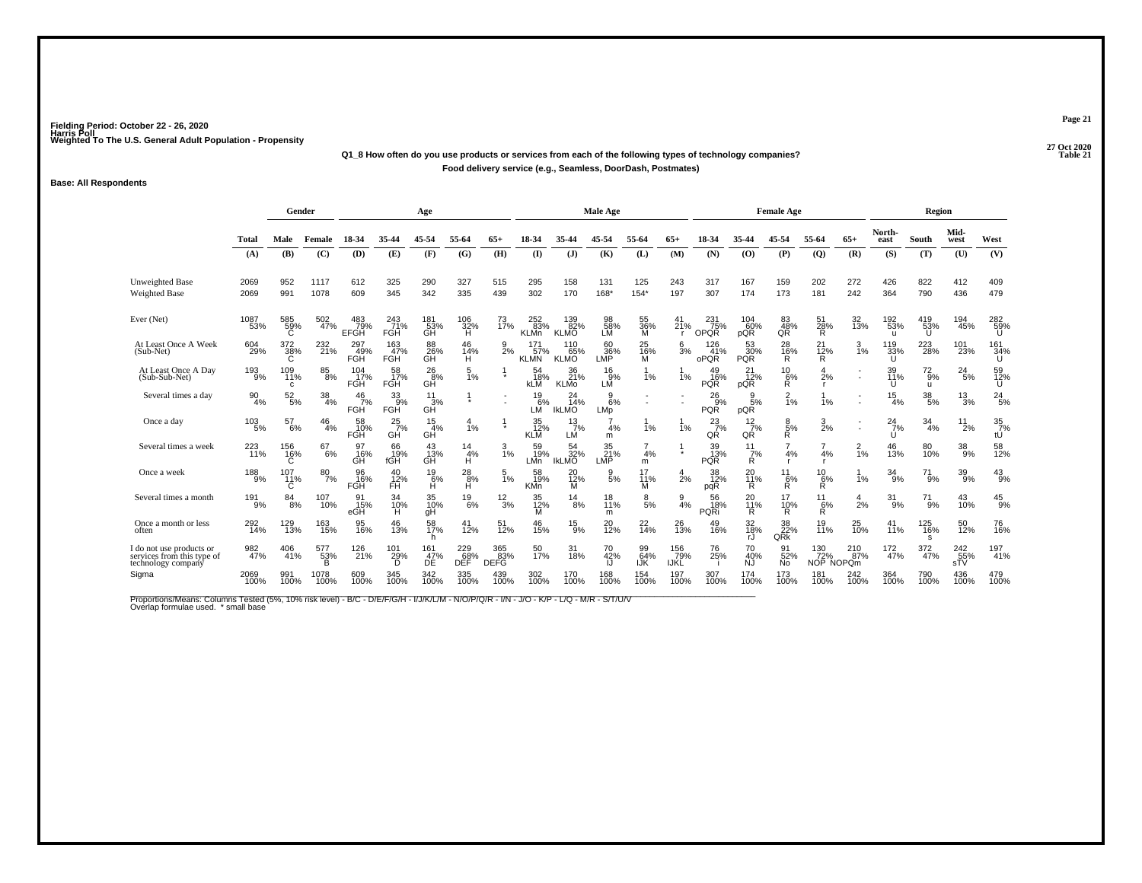### **27 Oct 2020Q1\_8 How often do you use products or services from each of the following types of technology companies?Food delivery service (e.g., Seamless, DoorDash, Postmates)**

#### **Base: All Respondents**

|                                                                              |                  | Gender                  |                       |                         |                           | Age                    |                    |                           |                           |                               | Male Age                |                  |                    |                                |                              | <b>Female Age</b>      |                         |                 |                            | Region              |                                         |                        |
|------------------------------------------------------------------------------|------------------|-------------------------|-----------------------|-------------------------|---------------------------|------------------------|--------------------|---------------------------|---------------------------|-------------------------------|-------------------------|------------------|--------------------|--------------------------------|------------------------------|------------------------|-------------------------|-----------------|----------------------------|---------------------|-----------------------------------------|------------------------|
|                                                                              | Total            | Male                    | Female                | 18-34                   | 35-44                     | 45-54                  | 55-64              | $65+$                     | 18-34                     | 35-44                         | 45-54                   | 55-64            | $65+$              | 18-34                          | 35-44                        | 45-54                  | 55-64                   | $65+$           | North-<br>east             | South               | Mid-<br>west                            | West                   |
|                                                                              | (A)              | (B)                     | (C)                   | (D)                     | (E)                       | (F)                    | (G)                | (H)                       | $($ $\Gamma$              | (J)                           | (K)                     | (L)              | (M)                | (N)                            | (0)                          | (P)                    | $\overline{Q}$          | (R)             | (S)                        | (T)                 | (U)                                     | (V)                    |
| <b>Unweighted Base</b><br><b>Weighted Base</b>                               | 2069<br>2069     | 952<br>991              | 1117<br>1078          | 612<br>609              | 325<br>345                | 290<br>342             | 327<br>335         | 515<br>439                | 295<br>302                | 158<br>170                    | 131<br>168*             | 125<br>$154*$    | 243<br>197         | 317<br>307                     | 167<br>174                   | 159<br>173             | 202<br>181              | 272<br>242      | 426<br>364                 | 822<br>790          | 412<br>436                              | 409<br>479             |
| Ever (Net)                                                                   | 1087<br>53%      | 585<br>58%              | 502<br>47%            | 483<br>79%<br>EFGH      | 243<br>71%<br><b>FGH</b>  | 181<br>53%<br>GH       | 106<br>32%<br>H    | 73<br>17%                 | 252<br>83%<br><b>KLMn</b> | 139<br>82%<br><b>KLMO</b>     | 98<br>58%<br>LM         | 55<br>36%<br>M   | 41<br>21%          | $^{231}_{75\%}$<br><b>OPQR</b> | 104<br>60%<br>pQR            | 83<br>48%<br>QŘ        | 51<br>28%<br>R          | 32<br>13%       | 192<br>53%<br>ш            | 419<br>53%<br>U     | 194<br>45%                              | 282<br>59%<br>U        |
| At Least Once A Week<br>(Sub-Net)                                            | 604<br>29%       | 372<br>38%<br>C         | 232<br>21%            | 297<br>49%<br>FGH       | $\frac{163}{47\%}$<br>FGH | 88<br>26%<br>GĤ        | 46<br>14%<br>H     | $\frac{9}{2}$ %           | 171<br>57%<br><b>KLMN</b> | 110<br>65%<br><b>KLMO</b>     | 60<br>36%<br>LMP        | 25<br>16%<br>M   | $\frac{6}{3}$ %    | 126<br>41%<br>oPQR             | 53<br>30%<br><b>PQR</b>      | 28<br>16%<br>R.        | $^{21}_{12\%}$<br>R.    | $\frac{3}{1\%}$ | 119<br>33%                 | 223<br>28%          | 101<br>23%                              | 161<br>34%<br>U        |
| At Least Once A Day<br>(Sub-Sub-Net)                                         | 193<br>9%        | 109<br>11%<br>C.        | $85\atop8\%$          | 104<br>17%<br>FGH       | 58<br>17%<br><b>FGH</b>   | $^{26}_{8\%}$<br>GĤ    | 1%                 |                           | 54<br>18%<br><b>KLM</b>   | 36<br>21 <sup>%</sup><br>KLMo | 16<br>9%<br>LЙ          | 1%               | 1%                 | 49<br>16%<br><b>PQR</b>        | 21<br>$\frac{1}{2}$ %<br>pQR | $^{10}_{6\%}$          | 2%                      |                 | 39<br>11%<br>U             | $^{72}_{9\%}$<br>u. | 24<br>5%                                | 59<br>12%<br>U         |
| Several times a day                                                          | $\frac{90}{4\%}$ | $52\phantom{.}5\%$      | $\frac{38}{4\%}$      | 46<br>7%<br><b>FGH</b>  | 33<br>9%<br><b>FGH</b>    | 11<br>3%<br>GH         |                    |                           | $^{19}_{6\%}$<br>LM       | 24<br>14%<br><b>IKLMO</b>     | 9<br>6%<br>LMp          |                  |                    | $^{26}_{9\%}$<br><b>PQR</b>    | 9<br>5%<br>pQR               | $\frac{2}{1%}$         | 1%                      |                 | $\frac{15}{4%}$            | $^{38}_{\ 5\%}$     | $^{13}_{3\%}$                           | $^{24}_{5\%}$          |
| Once a day                                                                   | $^{103}_{-5\%}$  | 57<br>6%                | $\frac{46}{4%}$       | 58<br>10%<br>FGH        | $^{25}_{7\%}$<br>GH       | $\frac{15}{4\%}$<br>GH | 1%                 |                           | 35<br>12%<br><b>KLM</b>   | $^{13}_{7\%}$<br>LM           | 4%<br>m                 | 1%               | 1%                 | $\frac{23}{7}\%$<br>QR         | $\frac{12}{7}$ %<br>QŔ       | $\frac{8}{R}$ %        | 3<br>2%                 |                 | $^{24}$ <sub>7%</sub><br>u | 34<br>4%            | 11<br>2%                                | $\frac{35}{7}\%$<br>tU |
| Several times a week                                                         | 223<br>11%       | 156<br>16%<br>Ć         | 67<br>6%              | 97<br>16%<br>GH         | 66<br>19%<br>fGH          | 43 <sub>%</sub><br>GH  | 14<br>4%<br>H      | 3<br>1%                   | 59<br>19%<br>LMn          | 54<br>32%<br><b>IKLMO</b>     | 35<br>21%<br>LMP        | 4%<br>m          |                    | 39<br>13%<br><b>PQR</b>        | 11<br>7%<br>R                | $\overline{7}$<br>4%   | 4%                      | $\frac{2}{1\%}$ | 46<br>13%                  | 80<br>10%           | $\frac{38}{9\%}$                        | 58<br>12%              |
| Once a week                                                                  | $^{188}_{-9\%}$  | 107<br>11%<br>C         | $\frac{80}{7\%}$      | 96<br>16%<br><b>FGH</b> | 40<br>12%<br><b>FH</b>    | $^{19}_{6\%}$<br>н     | $^{28}_{8\%}$<br>н | $\frac{5}{1\%}$           | 58<br>19%<br><b>KMn</b>   | 20<br>$\frac{72}{M}$          | $\frac{9}{5%}$          | 17<br>11%<br>м   | $\frac{4}{2\%}$    | 38<br>12%<br>pqR               | 20<br><b>11%</b><br>R        | 11<br>$R^{6%}$         | 10<br>6%<br>R           | 1%              | 34<br>9%                   | $^{71}_{9\%}$       | 39<br>9%                                | $^{43}_{9\%}$          |
| Several times a month                                                        | $^{191}_{9\%}$   | 84<br>8%                | 107<br>10%            | 91<br>15%<br>eGH        | 34<br>10%<br>Ĥ            | 35<br>10%<br>gН        | $^{19}_{6\%}$      | $\frac{12}{3%}$           | 35<br>12%<br>м            | $\frac{14}{8%}$               | 18<br>11%<br>m          | $\frac{8}{5%}$   | $\frac{9}{4%}$     | 56<br>18%<br>PQRi              | 20<br>11%<br>R               | 17<br>10%<br>Ŕ         | 11<br>6%<br>R           | $\frac{4}{2%}$  | $^{31}_{9\%}$              | $^{71}_{9\%}$       | $^{43}_{10\%}$                          | $^{45}_{9\%}$          |
| Once a month or less<br>often                                                | 292<br>14%       | 129<br>$\frac{1}{13\%}$ | 163<br>15%            | 95<br>16%               | 46<br>13%                 | 58<br>17%<br>h         | 41<br>12%          | 51<br>12%                 | 46<br>15%                 | $^{15}_{9\%}$                 | 20<br>$\overline{12}\%$ | $^{22}_{14\%}$   | 26<br>13%          | 49<br>16%                      | 32<br>18%<br>rJ              | 38<br>22%<br>QRk       | 19<br>11%               | 25<br>10%       | 41<br>11%                  | 125<br>16%<br>s     | 50<br>12%                               | 76<br>16%              |
| I do not use products or<br>services from this type of<br>technology company | 982<br>47%       | 406<br>41%              | 577<br>$\frac{53}{B}$ | 126<br>21%              | 101<br>29%                | 161<br>47%<br>DÊ       | 229<br>68%<br>DĚĚ  | 365<br>83%<br><b>DEFG</b> | 50<br>17%                 | 31<br>18%                     | 70<br>42%               | 99<br>64%<br>IJĶ | 156<br>79%<br>IJKL | 76<br>25%                      | 70<br>40%<br>NJ              | 91<br>52%<br><b>Nο</b> | 130<br>72%<br>NOP NOPOm | 210<br>87%      | 172<br>47%                 | 372<br>47%          | $^{242}_{\substack{55\%\\ \text{sTV}}}$ | 197<br>41%             |
| Sigma                                                                        | 2069<br>100%     | 991<br>100%             | 1078<br>100%          | 609<br>100%             | 345<br>100%               | 342<br>100%            | 335<br>100%        | 439<br>100%               | 302<br>100%               | 170<br>100%                   | 168<br>100%             | 154<br>100%      | 197<br>100%        | 307<br>100%                    | 174<br>100%                  | 173<br>100%            | 181<br>100%             | 242<br>100%     | 364<br>100%                | 790<br>100%         | 436<br>100%                             | 479<br>100%            |

Proportions/Means: Columns Tested (5%, 10% risk level) - B/C - D/E/F/G/H - I/J/K/L/M - N/O/P/Q/R - I/N - J/O - K/P - L/Q - M/R - S/T/U/V<br>Overlap formulae used. \*small base

**P Table 21**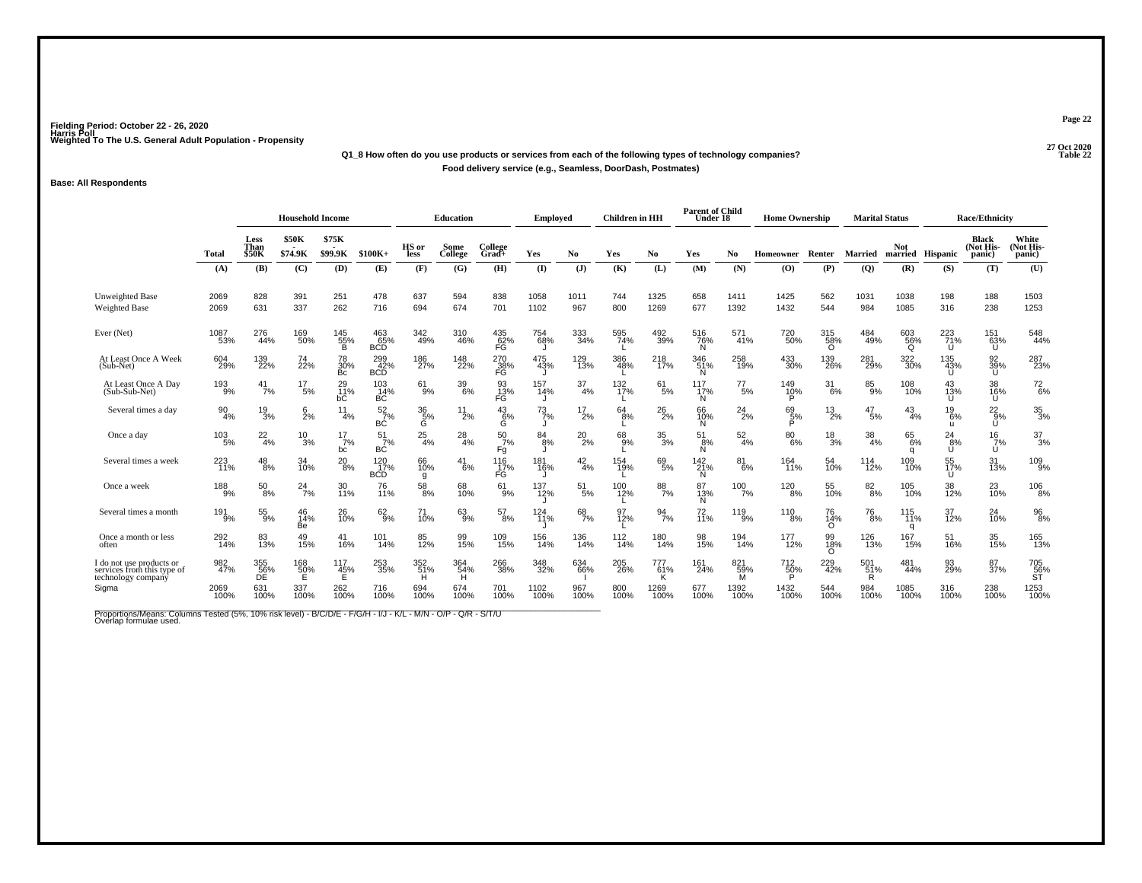### **27 Oct 2020Q1\_8 How often do you use products or services from each of the following types of technology companies?Food delivery service (e.g., Seamless, DoorDash, Postmates)**

#### **Base: All Respondents**

|                                                                              |                  |                                     | <b>Household Income</b> |                  |                               |                       | <b>Education</b> |                       | <b>Employed</b> |                  | <b>Children</b> in HH |                      | <b>Parent of Child</b><br>Under 18 |                  | <b>Home Ownership</b> |                        | <b>Marital Status</b> |                         |                 | <b>Race/Ethnicity</b>               |                              |
|------------------------------------------------------------------------------|------------------|-------------------------------------|-------------------------|------------------|-------------------------------|-----------------------|------------------|-----------------------|-----------------|------------------|-----------------------|----------------------|------------------------------------|------------------|-----------------------|------------------------|-----------------------|-------------------------|-----------------|-------------------------------------|------------------------------|
|                                                                              | <b>Total</b>     | <b>Less</b><br>Than<br><b>\$50K</b> | <b>\$50K</b><br>\$74.9K | \$75K<br>\$99.9K | $$100K+$                      | HS or<br>less         | Some<br>College  | College<br>Grad+      | Yes             | No               | Yes                   | No.                  | Yes                                | No.              | Homeowner             | Renter                 | <b>Married</b>        | Not<br>married Hispanic |                 | <b>Black</b><br>(Not His-<br>panic) | White<br>(Not His-<br>panic) |
|                                                                              | (A)              | (B)                                 | (C)                     | (D)              | (E)                           | (F)                   | (G)              | (H)                   | (I)             | (J)              | (K)                   | (L)                  | (M)                                | (N)              | (O)                   | (P)                    | (Q)                   | (R)                     | (S)             | (T)                                 | (U)                          |
| Unweighted Base<br><b>Weighted Base</b>                                      | 2069<br>2069     | 828<br>631                          | 391<br>337              | 251<br>262       | 478<br>716                    | 637<br>694            | 594<br>674       | 838<br>701            | 1058<br>1102    | 1011<br>967      | 744<br>800            | 1325<br>1269         | 658<br>677                         | 1411<br>1392     | 1425<br>1432          | 562<br>544             | 1031<br>984           | 1038<br>1085            | 198<br>316      | 188<br>238                          | 1503<br>1253                 |
| Ever (Net)                                                                   | 1087<br>53%      | 276<br>44%                          | 169<br>50%              | 145<br>55%<br>B  | $^{463}_{65\%}_{\rm BCD}$     | 342<br>49%            | 310<br>46%       | 435<br>62%<br>FG      | 754<br>68%      | 333<br>34%       | 595<br>74%            | 492<br>39%           | 516<br>76%<br>N                    | 571<br>41%       | 720<br>50%            | 315<br>58%<br>$\Omega$ | 484<br>49%            | 603<br>56%<br>Q         | 223<br>71%<br>U | 151<br>63%<br>υ                     | 548<br>44%                   |
| At Least Once A Week<br>(Sub-Net)                                            | 604<br>29%       | 139<br>22%                          | 74<br>22%               | 78<br>30%<br>Bc  | 299<br>42%<br><b>BCD</b>      | 186<br>27%            | 148<br>22%       | 270<br>38%<br>FG      | 475<br>43%      | 129<br>13%       | 386<br>48%            | 218<br>17%           | 346<br>51%<br>N.                   | 258<br>19%       | $^{433}_{30\%}$       | 139<br>26%             | 281<br>29%            | 322<br>30%              | 135<br>43%<br>U | 92<br>39%<br>U.                     | 287<br>23%                   |
| At Least Once A Day<br>(Sub-Sub-Net)                                         | 193<br>9%        | $^{41}_{7\%}$                       | $^{17}_{\ 5\%}$         | 29<br>11%<br>bС  | $^{103}_{14\%}$<br><b>BC</b>  | $^{61}_{9\%}$         | $\frac{39}{6\%}$ | 93<br>13%<br>FG       | 157<br>14%      | $\frac{37}{4\%}$ | 132 <sub>%</sub>      | 61/5%                | 117<br>17%<br>N                    | $^{77}_{\ 5\%}$  | 149<br>10%<br>P       | 31<br>6%               | $85\over 9%$          | 108<br>10%              | 43<br>13%<br>U  | 38<br>16%<br>U                      | $^{72}_{6\%}$                |
| Several times a day                                                          | $\frac{90}{4\%}$ | $\frac{19}{3%}$                     | $\frac{6}{2}$ %         | 11<br>4%         | $\frac{52}{7}\%$<br>ВĊ        | $\frac{36}{5}\%$<br>Ġ | $^{11}_{2\%}$    | $^{43}_{6\%}$<br>Ğ    | $^{73}_{7\%}$   | $^{17}_{2\%}$    | 64<br>8%              | $^{26}_{2\%}$        | 66<br>10%<br>N.                    | $^{24}_{2\%}$    | 69<br>5%              | $^{13}_{2\%}$          | $^{47}_{\ 5\%}$       | $^{43}_{4\%}$           | 19<br>6%<br>ш   | $^{22}_{9\%}$<br>U                  | $\frac{35}{3\%}$             |
| Once a day                                                                   | $^{103}_{-5\%}$  | $^{22}_{4\%}$                       | $^{10}_{3\%}$           | 17<br>7%<br>bc   | 51<br>7%<br>ВĊ                | $^{25}_{4\%}$         | $^{28}_{4\%}$    | $\frac{50}{7%}$<br>Fg | $84_{8\%}$      | $^{20}_{2\%}$    | 68<br>9%              | $^{35}_{\ 3\%}$      | 51<br>8%<br>N                      | $\frac{52}{4\%}$ | $^{80}_{6\%}$         | $^{18}_{3\%}$          | $\frac{38}{4\%}$      | 65<br>6%<br>a           | 24<br>8%<br>U   | 16<br>7%<br>U                       | $^{37}_{3\%}$                |
| Several times a week                                                         | $^{223}_{11\%}$  | $^{48}_{8\%}$                       | 34<br>10%               | $^{20}_{8\%}$    | $^{120}_{17\%}$<br><b>BCD</b> | 66<br>10%<br>g        | $^{41}_{6\%}$    | 116<br>17%<br>FĠ      | 181<br>16%      | $^{42}_{4\%}$    | 154<br>19%            | 69<br>5%             | $^{142}_{21\%}$<br>N               | $^{81}_{6\%}$    | 164<br>11%            | 54<br>10%              | 114<br>12%            | 109<br>10%              | 55<br>17%<br>U  | 31<br>13%                           | 109<br>9%                    |
| Once a week                                                                  | 188<br>9%        | 50<br>8%                            | $^{24}$ <sub>7%</sub>   | 30<br>11%        | 76<br>11%                     | $^{58}_{\ 8\%}$       | 68<br>10%        | 61<br>9%              | 137<br>12%      | 51<br>5%         | 100<br>12%            | $\frac{88}{7%}$      | 87<br>13%<br>N.                    | 100<br>7%        | 120<br>8%             | 55<br>10%              | $\frac{82}{8%}$       | 105<br>10%              | 38<br>12%       | $^{23}_{10\%}$                      | $^{106}_{\phantom{1}8\%}$    |
| Several times a month                                                        | $^{191}_{9\%}$   | 55<br>9%                            | 46<br>14%<br>Be         | 26<br>10%        | $62\over 9%$                  | 71<br>10%             | 63%              | $^{57}_{8\%}$         | 124<br>71%      | $^{68}_{7\%}$    | 97<br>12%             | $\frac{94}{7\%}$     | 72 <sub>%</sub>                    | 119<br>9%        | $^{110}_{8\%}$        | 76<br>14%<br>$\circ$   | $^{76}_{8\%}$         | $\frac{115}{11\%}$<br>q | 37<br>12%       | 24<br>10%                           | 96<br>8%                     |
| Once a month or less<br>often                                                | 292<br>14%       | 83<br>13%                           | 49<br>15%               | $^{41}_{16\%}$   | 101<br>14%                    | 85<br>12%             | 99<br>15%        | 109<br>15%            | 156<br>14%      | 136<br>14%       | 112<br>14%            | 180<br>14%           | 98<br>15%                          | 194<br>14%       | 177<br>12%            | 99<br>18%<br>$\Omega$  | 126<br>13%            | 167<br>15%              | 51<br>16%       | 35<br>15%                           | 165<br>13%                   |
| I do not use products or<br>services from this type of<br>technology company | 982<br>47%       | 355<br>56%<br>DE                    | $^{168}_{\,50\%}$       | 117<br>45%       | 253<br>35%                    | 352<br>51%            | 364<br>54%<br>н  | 266<br>38%            | 348<br>32%      | 634<br>66%       | 205<br>26%            | $^{777}_{61\%}$<br>к | 161<br>24%                         | 821<br>59%<br>M  | $^{712}_{50\%}$       | 229<br>42%             | 501<br>51%<br>R       | 481<br>44%              | 93<br>29%       | 87<br>37%                           | 705<br>56%<br>ST             |
| Sigma                                                                        | 2069<br>100%     | 631<br>100%                         | 337<br>100%             | 262<br>100%      | 716<br>100%                   | 694<br>100%           | 674<br>100%      | 701<br>100%           | 1102<br>100%    | 967<br>100%      | 800<br>100%           | 1269<br>100%         | 677<br>100%                        | 1392<br>100%     | 1432<br>100%          | 544<br>100%            | 984<br>100%           | 1085<br>100%            | 316<br>100%     | 238<br>100%                         | 1253<br>100%                 |

Proportions/Means: Columns Tested (5%, 10% risk level) - B/C/D/E - F/G/H - I/J - K/L - M/N - O/P - Q/R - S/T/U<br>Overlap formulae used.

**Page 22**

**Parameter 22 Table 22**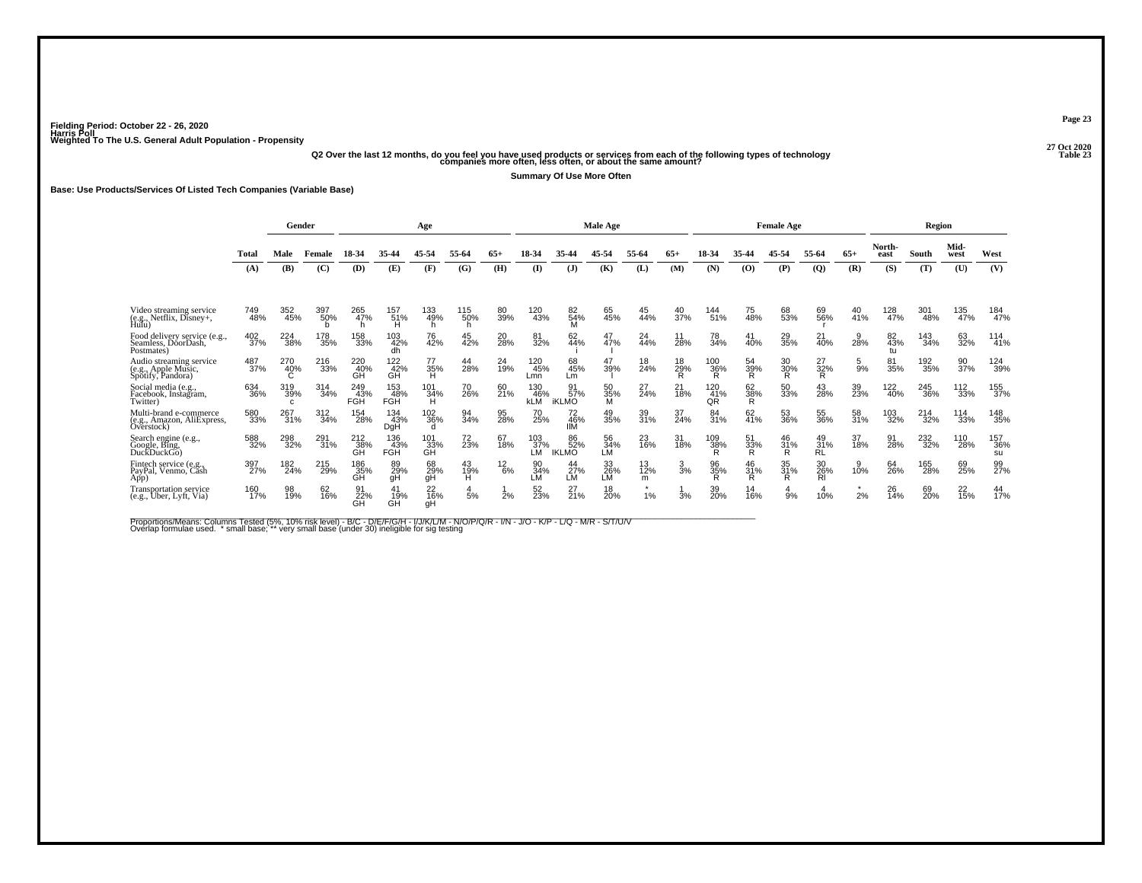### .<br>27 Q2 Over the last 12 months, do you feel you have used products or services from each of the following types of technology<br>23 Companies more often, less often, or about the same amount?

**Summary Of Use More Often**

#### **Base: Use Products/Services Of Listed Tech Companies (Variable Base)**

|                                                                     |            |                  | Gender     |                   |                                | Age                  |                 |               |                          |                           | Male Age                |                |                      |                  |                      | <b>Female Age</b>      |                        |               |                 | Region     |              |                  |
|---------------------------------------------------------------------|------------|------------------|------------|-------------------|--------------------------------|----------------------|-----------------|---------------|--------------------------|---------------------------|-------------------------|----------------|----------------------|------------------|----------------------|------------------------|------------------------|---------------|-----------------|------------|--------------|------------------|
|                                                                     | Total      | Male             | Female     | 18-34             | 35-44                          | 45-54                | 55-64           | $65+$         | 18-34                    | 35-44                     | 45-54                   | 55-64          | $65+$                | 18-34            | 35-44                | 45-54                  | 55-64                  | $65+$         | North-<br>east  | South      | Mid-<br>west | West             |
|                                                                     | (A)        | (B)              | (C)        | (D)               | (E)                            | (F)                  | (G)             | (H)           | $($ I                    | (J)                       | (K)                     | (L)            | (M)                  | (N)              | (O)                  | (P)                    | $\overline{Q}$         | (R)           | (S)             | (T)        | (U)          | (V)              |
| Video streaming service<br>(e.g., Netflix, Disney+,<br>Hulu)        | 749<br>48% | 352<br>45%       | 397<br>50% | 265<br>47%        | 157<br>51%<br>Ĥ                | 133<br>49%           | 115<br>50%<br>h | 80<br>39%     | 120<br>43%               | 82<br>54%<br>ΪM           | 65<br>45%               | 44%            | 40<br>37%            | 144<br>51%       | 75<br>48%            | 68<br>53%              | 69<br>56%              | 40<br>41%     | 128<br>47%      | 301<br>48% | 135<br>47%   | 184<br>47%       |
| Food delivery service (e.g.,<br>Seamless, DóorDash,<br>Postmates)   | 402<br>37% | 224<br>38%       | 178<br>35% | 158<br>33%        | 103<br>42%<br>dh               | 76<br>42%            | 45<br>42%       | 20<br>28%     | 81<br>32%                | 62<br>44%                 | 47%                     | 24<br>44%      | 28%                  | 78<br>34%        | 40%                  | 29<br>35%              | 40%                    | 28%           | 82<br>43%<br>tu | 143<br>34% | 63<br>32%    | $^{114}_{41\%}$  |
| Audio streaming service<br>(e.g., Apple Music,<br>Spotify, Pandora) | 487<br>37% | 270<br>40%       | 216<br>33% | 220<br>40%<br>GĤ  | 122<br>$\overline{42}$ %<br>GH | 77<br>35%            | 44<br>28%       | 24<br>19%     | 120<br>45%<br>Lmn        | 68<br>45%<br>Lm           | 47<br>39%               | 18<br>24%      | 18<br>$\frac{29}{R}$ | 100<br>36%<br>R  | 54<br>$\frac{39}{R}$ | 30<br>$\frac{30\%}{R}$ | 27<br>32%<br>R         | 5<br>9%       | 81<br>35%       | 192<br>35% | 90<br>37%    | 124<br>39%       |
| Social media (e.g.,<br>Facebook, Instagram,<br>Twitter)             | 634<br>36% | 319<br>39%<br>C. | 314<br>34% | 249<br>43%<br>FGH | 153<br>48%<br>FGH              | 101<br>34%<br>Ή      | 70<br>26%       | 60<br>21%     | 130<br>46%<br><b>kLM</b> | 57%<br><b>iKLMO</b>       | 50<br>35%<br>M          | 27<br>24%      | 21<br>18%            | 120<br>41%<br>QR | 62<br>38%<br>R       | 50<br>33%              | 43<br>28%              | 39<br>23%     | 122<br>40%      | 245<br>36% | 112<br>33%   | 155<br>37%       |
| Multi-brand e-commerce<br>(e.g., Amazon, AliExpress,<br>Overstock)  | 580<br>33% | 267<br>31%       | 312<br>34% | 154<br>28%        | 134<br>43%<br>DgH              | 102<br>36%<br>d      | 94<br>34%       | 95<br>28%     | 70<br>25%                | 72<br>46%<br>IIМ          | 49<br>35%               | 39<br>31%      | 37<br>24%            | 84<br>31%        | 62<br>41%            | 53<br>36%              | 55<br>36%              | 58<br>31%     | 103<br>32%      | 214<br>32% | 114<br>33%   | 148<br>35%       |
| Search engine (e.g.,<br>Google, Bing,<br>DuckDuckGo)                | 588<br>32% | 298<br>32%       | 291<br>31% | 212<br>38%<br>ĞĤ  | 136<br>43%<br><b>FGH</b>       | 101<br>33%<br>GH     | 72<br>23%       | 67<br>18%     | 103<br>37%<br>LM.        | 86<br>52%<br><b>IKLMO</b> | 56<br>34%<br>LM         | 23<br>16%      | 31<br>18%            | 109<br>38%<br>R  | 51<br>33%<br>R       | 46<br>31%<br>R         | 49<br>31%<br><b>RL</b> | 37<br>18%     | 91<br>28%       | 232<br>32% | 110<br>28%   | 157<br>36%<br>su |
| Fintech service (e.g.,<br>PayPal, Venmo, Căsh<br>App)               | 397<br>27% | 182<br>24%       | 215<br>29% | 186<br>35%<br>GH  | 89<br>29%<br>gH                | 68<br>29%<br>gH      | 43<br>19%<br>H  | $^{12}_{6\%}$ | 90<br>34%<br>LM          | 44<br>27%<br>LМ           | $\frac{33}{26\%}$<br>LM | 13<br>12%<br>m | $\frac{3}{3}$ %      | 96<br>35%        | 46<br>31%<br>Ŕ       | 35<br>31%<br>R         | 30<br>26%<br>RI        | 9<br>10%      | 64<br>26%       | 165<br>28% | 69<br>25%    | 99<br>27%        |
| Transportation service<br>(e.g., Uber, Lyft, Via)                   | 160<br>17% | 98<br>19%        | 62<br>16%  | 91<br>22%<br>GH   | 41<br>19%<br>GH                | $^{22}_{16\%}$<br>qH | 5%              | 2%            | 52<br>23%                | 27<br>21%                 | 18<br>20%               | $\star$<br>1%  | 3%                   | 39<br>20%        | 14<br>16%            | 9%                     | 10%                    | $\star$<br>2% | 26<br>14%       | 69<br>20%  | 22<br>15%    | $^{44}_{17\%}$   |

Proportions/Means: Columns Tested (5%, 10% risk level) - B/C - D/E/F/G/H - I/J/K/L/M - N/O/P/Q/R - I/N - J/O - K/P - L/Q - M/R - S/T/U/V<br>Overlap formulae used. \*small base; \*very small base (under 30) ineligible for sig t

**Page 23**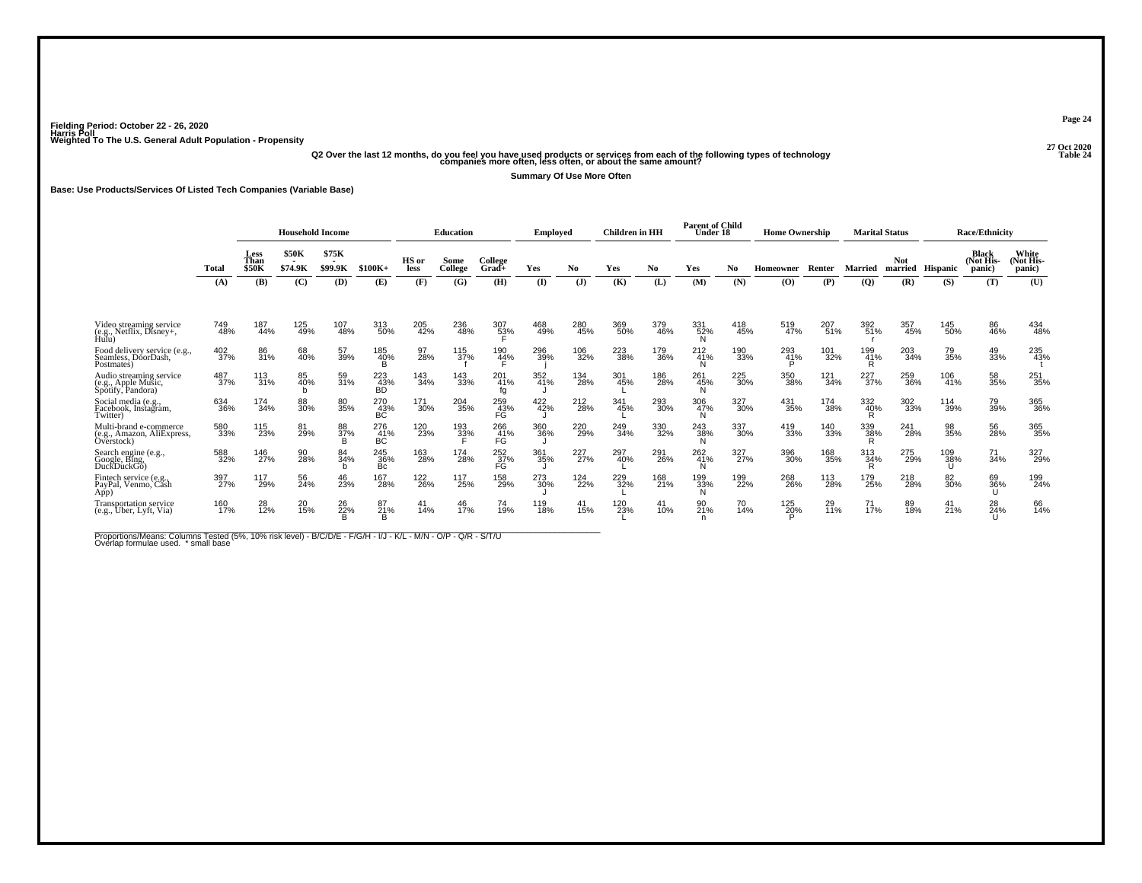# .<br>42 Q20 Over the last 12 months, do you feel you have used products or services from each of the following types of technology<br>42 Companies more often, less often, or about the same amount?

**Summary Of Use More Often**

**Base: Use Products/Services Of Listed Tech Companies (Variable Base)**

|                                                                     |            |                              | <b>Household Income</b> |                  |                    |               | Education       |                          | Employed   |            | <b>Children</b> in HH |            | <b>Parent of Child</b><br>Under 18 |            | <b>Home Ownership</b> |                  | <b>Marital Status</b> |            |                  | <b>Race/Ethnicity</b>        |                              |
|---------------------------------------------------------------------|------------|------------------------------|-------------------------|------------------|--------------------|---------------|-----------------|--------------------------|------------|------------|-----------------------|------------|------------------------------------|------------|-----------------------|------------------|-----------------------|------------|------------------|------------------------------|------------------------------|
|                                                                     | Total      | Less<br>Than<br><b>\$50K</b> | <b>\$50K</b><br>\$74.9K | \$75K<br>\$99.9K | $$100K+$           | HS or<br>less | Some<br>College | College<br>Grad+         | Yes        | No.        | Yes                   | No         | Yes                                | No         | Homeowner             | Renter           | Married               | Not        | married Hispanic | Black<br>(Not His-<br>panic) | White<br>(Not His-<br>panic) |
|                                                                     | (A)        | (B)                          | (C)                     | (D)              | (E)                | (F)           | (G)             | (H)                      | $($ I      | (J)        | (K)                   | (L)        | (M)                                | (N)        | (O)                   | (P)              | (Q)                   | (R)        | (S)              | (T)                          | (U)                          |
| Video streaming service<br>(e.g., Netflix, Disney+,                 | 749<br>48% | 187<br>44%                   | 125<br>49%              | 107<br>48%       | 313<br>50%         | 205<br>42%    | 236<br>48%      | 307<br>5 <u>3</u> %      | 468<br>49% | 280<br>45% | 369<br>50%            | 379<br>46% | 331<br>52%                         | 418<br>45% | 519<br>47%            | 207<br>51%       | 392<br>51%            | 357<br>45% | 145<br>50%       | 86<br>46%                    | 434<br>48%                   |
| Food delivery service (e.g.,<br>Seamless, DoorDash.<br>Postmates)   | 402<br>37% | 86<br>31%                    | 68<br>40%               | 57<br>39%        | 185<br>40%         | 97<br>28%     | 115<br>37%      | 190<br>44%               | 296<br>39% | 106<br>32% | 223<br>38%            | 179<br>36% | 212<br>41%                         | 190<br>33% | 293<br>41%            | 101<br>32%       | 199<br>41%            | 203<br>34% | 79<br>35%        | 49<br>33%                    | 235<br>43%                   |
| Audio streaming service<br>(e.g., Apple Music,<br>Spotify, Pandora) | 487<br>37% | 113<br>31%                   | 85<br>40%<br>b          | 59<br>31%        | 223<br>43%<br>BĎ   | 143<br>34%    | 143<br>33%      | 201<br>41%<br>fg         | 352<br>41% | 134<br>28% | 301<br>45%            | 186<br>28% | 261<br>45%                         | 225<br>30% | 350<br>38%            | 121<br>34%       | 227<br>37%            | 259<br>36% | 106<br>41%       | 58<br>35%                    | 251<br>35%                   |
| Social media (e.g.,<br>Facebook, Instagram,<br>Twitter)             | 634<br>36% | 174<br>34%                   | 88<br>30%               | 80<br>35%        | $^{270}_{43\%}$ BC | 171<br>30%    | 204<br>35%      | 259<br>43%<br>FG         | 422%       | 212<br>28% | 341<br>45%            | 293<br>30% | 306<br>47%                         | 327<br>30% | 431<br>35%            | 174<br>38%       | 332<br>40%<br>R       | 302<br>33% | 114<br>39%       | 79<br>39%                    | 365<br>36%                   |
| Multi-brand e-commerce<br>(e.g., Amazon, AliExpress,<br>Overstock)  | 580<br>33% | 115<br>23%                   | 81<br>29%               | 88<br>37%<br>B   | 276<br>41%<br>ВĆ   | 120<br>23%    | 193<br>33%      | 266<br>41%<br>FĠ         | 360<br>36% | 220<br>29% | 249<br>34%            | 330<br>32% | 243<br>38%                         | 337<br>30% | 419<br>33%            | 140<br>33%       | 339<br>38%<br>R       | 241<br>28% | 98<br>35%        | 56<br>28%                    | 365%                         |
| Search engine (e.g.,<br>Google, Bing,<br>DuckDuckGo)                | 588<br>32% | 146<br>27%                   | 90<br>28%               | 84<br>34%        | 245<br>36%<br>Bc   | 163<br>28%    | 174<br>28%      | $\frac{252}{37}\%$<br>FĠ | 361<br>35% | 227<br>27% | 297<br>40%            | 291<br>26% | 262<br>41%                         | 327<br>27% | 396<br>30%            | 168<br>35%       | 313<br>34%<br>ĸ       | 275<br>29% | 109<br>38%       | 71<br>34%                    | 327<br>29%                   |
| Fintech service (e.g.,<br>PayPal, Venmo, Cash<br>App)               | 397<br>27% | 117<br>29%                   | 56<br>24%               | 46<br>23%        | 167<br>28%         | 122<br>26%    | 117<br>25%      | 158<br>29%               | 273<br>30% | 124<br>22% | 229<br>32%            | 168<br>21% | 199<br>33%                         | 199<br>22% | 268<br>26%            | 113<br>28%       | 179<br>25%            | 218<br>28% | 82<br>30%        | 69<br>36%                    | 199<br>24%                   |
| Transportation service<br>(e.g., Uber, Lyft, Via)                   | 160<br>17% | 28<br>$\overline{12}\%$      | 20<br>15%               | 26<br>22%        | 87<br>21%          | 41<br>14%     | 46<br>17%       | 74<br>19%                | 119<br>18% | 41<br>15%  | 120<br>23%            | 41<br>10%  | 90<br>21 <sup>%</sup>              | 70<br>14%  | 125<br>2 <u>0</u> %   | 29<br><b>11%</b> | $^{71}_{17\%}$        | 89<br>18%  | 41<br>21%        | 28<br>24%                    | 66<br>14%                    |

Proportions/Means: Columns Tested (5%, 10% risk level) - B/C/D/E - F/G/H - I/J - K/L - M/N - O/P - Q/R - S/T/U<br>Overlap formulae used. \*small base

**Page 24**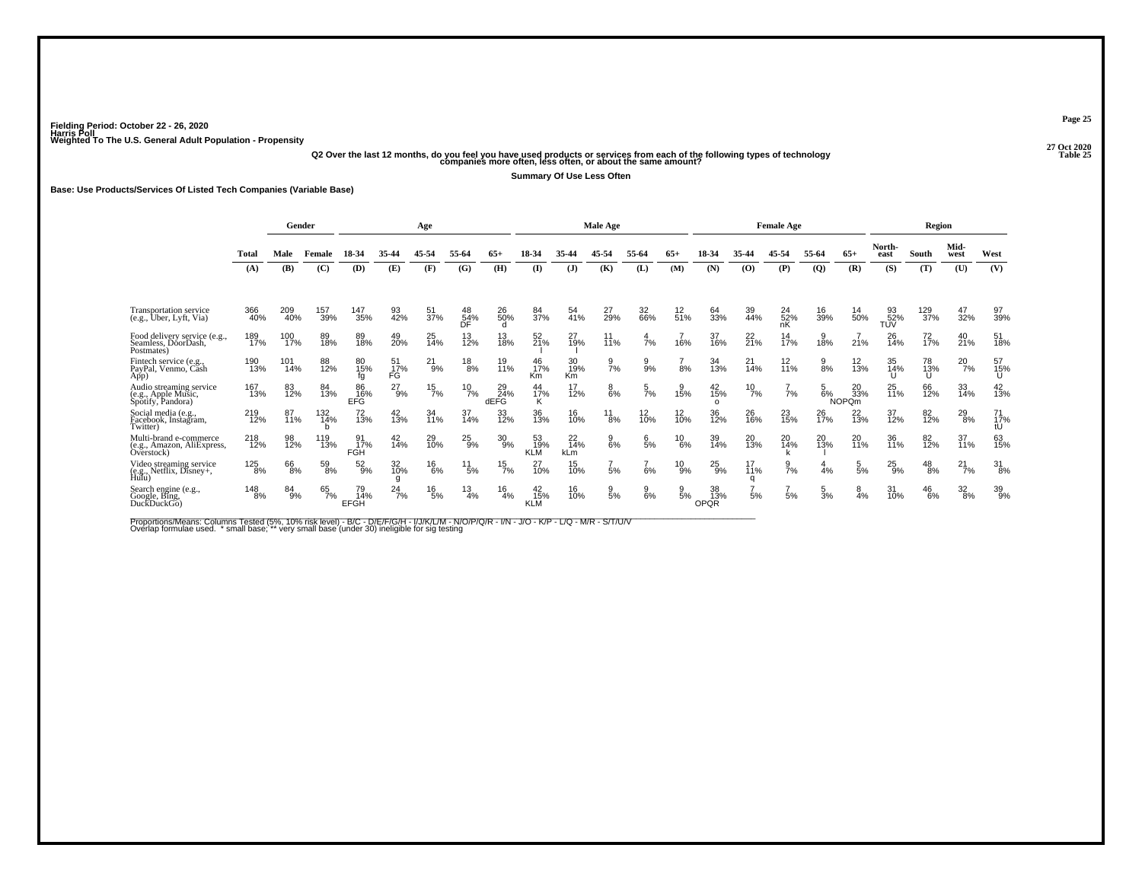.<br>27 Q2 Over the last 12 months, do you feel you have used products or services from each of the following types of technology<br>25 companies more often, less often, or about the same amount?

**Summary Of Use Less Often**

#### **Base: Use Products/Services Of Listed Tech Companies (Variable Base)**

|                                                                     |            |            | Gender     |                          |                       | Age           |                  |                   |                         |                  | Male Age        |                 |                   |                            |                       | <b>Female Age</b> |                 |                           |                  | Region          |                 |                  |
|---------------------------------------------------------------------|------------|------------|------------|--------------------------|-----------------------|---------------|------------------|-------------------|-------------------------|------------------|-----------------|-----------------|-------------------|----------------------------|-----------------------|-------------------|-----------------|---------------------------|------------------|-----------------|-----------------|------------------|
|                                                                     | Total      | Male       | Female     | 18-34                    | 35-44                 | 45-54         | 55-64            | $65+$             | 18-34                   | 35-44            | 45-54           | 55-64           | $65+$             | 18-34                      | 35-44                 | 45-54             | 55-64           | $65+$                     | North-<br>east   | South           | Mid-<br>west    | West             |
|                                                                     | (A)        | (B)        | (C)        | (D)                      | (E)                   | (F)           | (G)              | (H)               | $($ I                   | $\mathbf{J}$     | (K)             | (L)             | (M)               | (N)                        | (0)                   | (P)               | $\mathbf{Q}$    | (R)                       | (S)              | (T)             | (U)             | (V)              |
| <b>Transportation service</b><br>(e.g., Uber, Lyft, Via)            | 366<br>40% | 209<br>40% | 157<br>39% | 147<br>35%               | 93<br>42%             | 51<br>37%     | 48<br>$54\%$     | 26<br>50%         | 84<br>37%               | 54<br>41%        | 27<br>29%       | 32<br>66%       | $^{12}_{51\%}$    | 64<br>33%                  | 39<br>44%             | 24<br>52%<br>nК   | 16<br>39%       | 14<br>50%                 | 93<br>52%<br>TŬV | 129<br>37%      | 47<br>32%       | 97<br>39%        |
| Food delivery service (e.g.,<br>Seamless, DóorDash,<br>Postmates)   | 189<br>17% | 100<br>17% | 89<br>18%  | 89<br>18%                | 49<br>20%             | 25<br>14%     | 13<br>12%        | 13<br>18%         | 52<br>21%               | 27<br>19%        | 11%             | 7%              | 16%               | 37<br>16%                  | $^{22}_{21\%}$        | $\frac{14}{17\%}$ | 18%             | 21%                       | 26<br>14%        | 72 <sub>%</sub> | 40<br>21%       | 51<br>18%        |
| Fintech service (e.g.,<br>PayPal, Venmo, Cash<br>App)               | 190<br>13% | 101<br>14% | 88<br>12%  | 80<br>15%<br>fq          | 51<br>17%<br>FG       | $^{21}_{9\%}$ | $\frac{18}{8%}$  | 19<br>11%         | 46<br>17%<br>Km         | 30<br>19%<br>Km  | 7%              | 9<br>9%         | 8%                | 34<br>13%                  | 21<br>14%             | 12<br>11%         | 8%              | 12<br>13%                 | 35<br>14%        | 78<br>13%<br>U  | 20<br>7%        | 57<br>15%        |
| Audio streaming service<br>(e.g., Apple Music,<br>Spotify, Pandora) | 167<br>13% | 83<br>12%  | 84<br>13%  | 86<br>16%<br>EFG         | $^{27}_{9\%}$         | $^{15}_{7\%}$ | $^{10}_{7\%}$    | 29<br>24%<br>dEFG | 44<br>17%<br>Κ          | 17<br>12%        | $_{6\%}^8$      | $\frac{5}{7}$ % | $3^{9}_{15\%}$    | $^{42}_{15\%}$<br>$\Omega$ | $^{10}_{7\%}$         | 7%                | 5<br>6%         | 20<br>33%<br><b>NOPQm</b> | 25<br>11%        | 66<br>12%       | 33<br>14%       | $^{42}_{13\%}$   |
| Social media (e.g.,<br>Facebook, Instagram,<br>Twitter)             | 219<br>12% | 87<br>11%  | 132<br>14% | 72<br>13%                | 42<br>13%             | 34<br>11%     | 37<br>14%        | 33<br>12%         | 36<br>13%               | 16<br>10%        | 11<br>8%        | 12<br>10%       | $\frac{12}{10\%}$ | 36<br>12%                  | 26<br>16%             | 23<br>15%         | 26<br>17%       | $^{22}_{13\%}$            | 37<br>12%        | 82<br>12%       | $^{29}_{8\%}$   | 71<br>17%        |
| Multi-brand e-commerce<br>(e.g., Amazon, AliExpress,<br>Overstock)  | 218<br>12% | 98<br>12%  | 119<br>13% | 91<br>17%<br><b>FGH</b>  | 42<br>14%             | 29<br>10%     | $^{25}_{9\%}$    | $^{30}_{9\%}$     | 53<br>19%<br><b>KLM</b> | 22<br>14%<br>kLm | $\frac{9}{6}$ % | $\frac{6}{5}$ % | $^{10}_{6\%}$     | 39<br>14%                  | 20<br>13%             | 20<br>14%         | 20<br>13%       | 20<br>11%                 | 36<br>11%        | 82<br>12%       | 37<br>11%       | 63<br>15%        |
| Video streaming service<br>(e.g., Netflix, Disney+,<br>Hulu)        | 125<br>8%  | 66<br>8%   | 59<br>8%   | $\frac{52}{9\%}$         | 32<br>10%             | $^{16}_{6\%}$ | $^{11}_{\ 5\%}$  | $^{15}_{7\%}$     | 27<br>10%               | 15<br>10%        | 5%              | 6%              | $^{10}_{9%}$      | $^{25}_{9\%}$              | 17<br>11%<br>$\Omega$ | $\frac{9}{7}$ %   | 4%              | $\frac{5}{5\%}$           | $^{25}_{9\%}$    | $^{48}_{8\%}$   | $^{21}_{7\%}$   | $\frac{31}{8\%}$ |
| Search engine (e.g., Google, Bing,<br>DuckDuckGo)                   | 148<br>8%  | 84<br>9%   | 65<br>7%   | 79<br>14%<br><b>EFGH</b> | $^{24}$ <sup>7%</sup> | $^{16}_{5\%}$ | $\frac{13}{4\%}$ | $^{16}_{4\%}$     | 42<br>15%<br><b>KLM</b> | 16<br>10%        | $\frac{9}{5%}$  | $\frac{9}{6%}$  | $\frac{9}{5\%}$   | 38<br>13%<br><b>OPQR</b>   | 5%                    | 5%                | $\frac{5}{3\%}$ | $\frac{8}{4%}$            | 31<br>10%        | $^{46}_{6\%}$   | $\frac{32}{8%}$ | 39<br>9%         |

Proportions/Means: Columns Tested (5%, 10% risk level) - B/C - D/E/F/G/H - I/J/K/L/M - N/O/P/Q/R - I/N - J/O - K/P - L/Q - M/R - S/T/U/V<br>Overlap formulae used. \*small base; \*very small base (under 30) ineligible for sig te

**Page 25**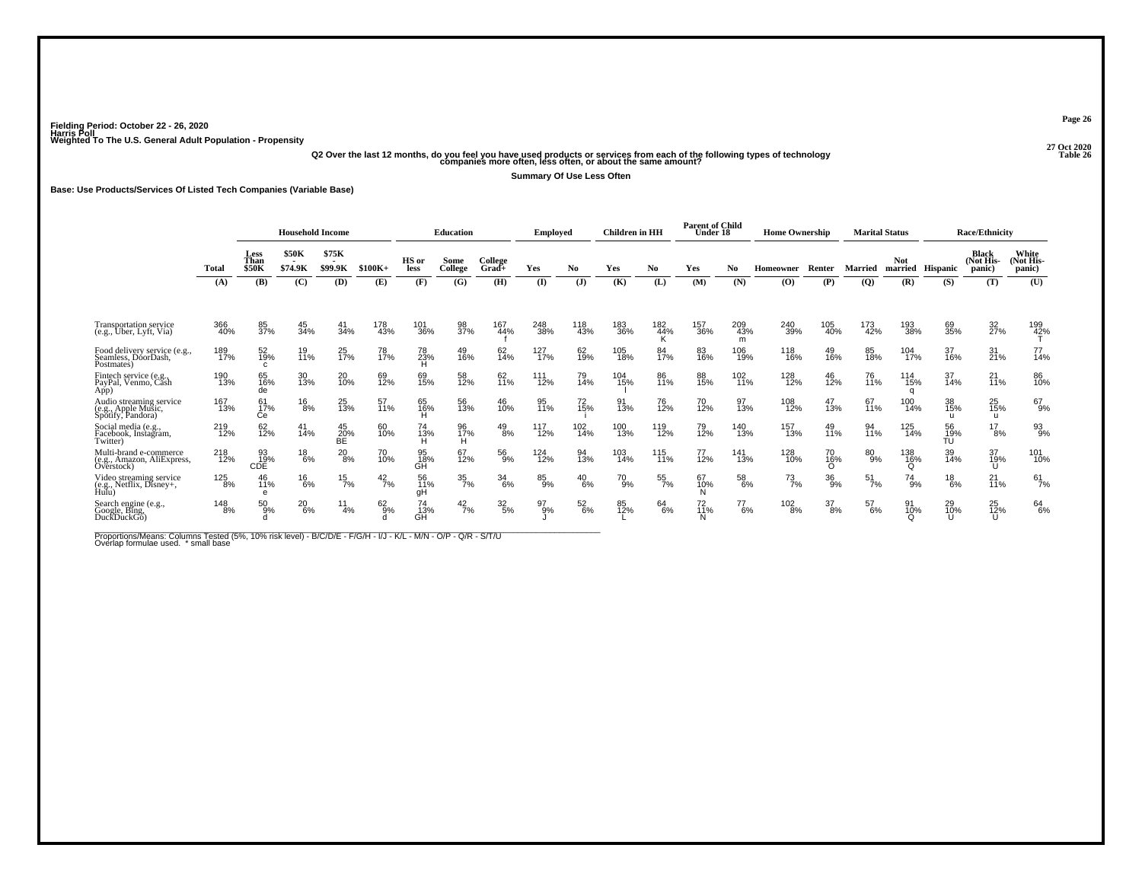# .<br>Q2 Over the last 12 months, do you feel you have used products or services from each of the following types of technology<br>12 companies more often, less often, or about the same amount?

**Summary Of Use Less Often**

**Base: Use Products/Services Of Listed Tech Companies (Variable Base)**

|                                                                     |            | <b>Household Income</b>      |                                |                  |                 |                 | <b>Education</b> |                  | <b>Employed</b> |                 | <b>Children</b> in HH |            | <b>Parent of Child</b><br>Under 18 |                 | <b>Home Ownership</b> |                  | <b>Marital Status</b> |                 |                  | <b>Race/Ethnicity</b>        |                             |
|---------------------------------------------------------------------|------------|------------------------------|--------------------------------|------------------|-----------------|-----------------|------------------|------------------|-----------------|-----------------|-----------------------|------------|------------------------------------|-----------------|-----------------------|------------------|-----------------------|-----------------|------------------|------------------------------|-----------------------------|
|                                                                     | Total      | Less<br>Than<br><b>\$50K</b> | <b>\$50K</b><br><b>\$74.9K</b> | \$75K<br>\$99.9K | $$100K+$        | HS or<br>less   | Some<br>College  | College<br>Grad+ | Yes             | No.             | Yes                   | No.        | Yes                                | No.             | <b>Homeowner</b>      | Renter           | Married               | <b>Not</b>      | married Hispanic | Black<br>(Not His-<br>panic) | White<br>Not His-<br>panic) |
|                                                                     | (A)        | (B)                          | (C)                            | (D)              | (E)             | (F)             | (G)              | (H)              | (I)             | ( <b>J</b> )    | (K)                   | (L)        | (M)                                | (N)             | (0)                   | (P)              | $\overline{Q}$        | (R)             | (S)              | (T)                          | (U)                         |
| <b>Transportation service</b><br>(e.g., Uber, Lyft, Via)            | 366<br>40% | 85<br>37%                    | 45<br>34%                      | 41<br>34%        | 178<br>43%      | 101<br>36%      | 98<br>37%        | 167<br>44%       | 248<br>38%      | 118<br>43%      | 183<br>36%            | 182<br>44% | 157<br>36%                         | 209<br>43%<br>m | 240<br>39%            | 105<br>40%       | 173<br>42%            | 193<br>38%      | 69<br>35%        | 32<br>27%                    | 199<br>42%                  |
| Food delivery service (e.g.,<br>Seamless, DoorDash,<br>Postmates)   | 189<br>17% | 52<br>19%<br>C.              | 19<br>11%                      | 25<br>17%        | 78<br>17%       | 78<br>23%       | 49<br>16%        | 62<br>14%        | 127<br>17%      | 62<br>19%       | 105<br>18%            | 84<br>17%  | 83<br>16%                          | 106<br>19%      | 118<br>16%            | 49<br>16%        | 85<br>18%             | 104<br>17%      | 37<br>16%        | $\frac{31}{21\%}$            | 77<br>14%                   |
| Fintech service (e.g.,<br>PayPal, Venmo, Cash<br>App)               | 190<br>13% | 65<br>16%<br>de              | 30<br>13%                      | 20 <sub>0%</sub> | 69<br>12%       | 69<br>15%       | 58<br>12%        | 62<br>11%        | 111<br>12%      | 79<br>14%       | 104<br>15%            | 86<br>11%  | 88<br>15%                          | 102<br>11%      | 128<br>12%            | 46<br>12%        | 76<br>11%             | $^{114}_{15\%}$ | 37<br>14%        | 21<br>11%                    | 86<br>10%                   |
| Audio streaming service<br>(e.g., Apple Music,<br>Spotify, Pandora) | 167<br>13% | 61<br>17%<br>Сe              | $^{16}_{8\%}$                  | 25<br>13%        | 57<br>11%       | 65<br>16%       | 56<br>13%        | 46<br>10%        | 95<br>11%       | 72<br>15%       | 91<br>13%             | 76<br>12%  | 70<br>12%                          | 97<br>13%       | 108<br>12%            | 47<br>13%        | 67<br>11%             | 100<br>14%      | 38<br>15%<br>-11 | 25 <sub>%</sub><br>u         | 67<br>9%                    |
| Social media (e.g.,<br>Facebook, Instagram,<br>Twitter)             | 219<br>12% | 62<br>12%                    | 41<br>14%                      | 45<br>20%<br>БĚ  | 60<br>10%       | 74<br>13%       | 96<br>17%<br>н   | $^{49}_{8\%}$    | 117<br>12%      | $^{102}_{14\%}$ | 100<br>13%            | 119<br>12% | 79<br>12%                          | 140<br>13%      | 157<br>13%            | 49<br>11%        | 94<br>11%             | 125<br>14%      | 56<br>19%<br>TÚ  | $^{17}_{8\%}$                | 93%                         |
| Multi-brand e-commerce<br>(e.g., Amazon, AliExpress,<br>Overstock)  | 218<br>12% | 93<br>19%<br>CDE             | 18<br>6%                       | $^{20}_{8\%}$    | 70 <sub>%</sub> | 95<br>18%<br>GĤ | 67<br>12%        | 56<br>9%         | 124<br>12%      | 94<br>13%       | 103<br>14%            | 115<br>11% | $^{77}_{12\%}$                     | 141<br>13%      | 128<br>10%            | 70<br>16%        | $^{80}_{9\%}$         | 138<br>16%      | 39<br>14%        | 37<br>19%<br>U               | 101<br>10%                  |
| Video streaming service<br>(e.g., Netflix, Disney+, Hulu)           | 125<br>8%  | 46<br>11%<br>e               | 16<br>6%                       | 15<br>7%         | $^{42}_{7\%}$   | 56<br>11%<br>qΗ | $\frac{35}{7\%}$ | 34<br>6%         | 85<br>9%        | $^{40}_{6\%}$   | 70<br>9%              | 55<br>7%   | 67<br>10%                          | 58<br>6%        | $^{73}_{7\%}$         | 36<br>9%         | 51<br>7%              | 74<br>9%        | $^{18}_{6\%}$    | 21<br>11%                    | $61$ <sub>7%</sub>          |
| Search engine (e.g.,<br>Google, Bing,<br>DuckDuckGo)                | 148<br>8%  | 50<br>9%                     | $^{20}_{6\%}$                  | 11<br>4%         | $62_{9\%}$      | 74<br>13%<br>GĤ | $^{42}_{7\%}$    | $\frac{32}{5\%}$ | 97<br>9%        | $^{52}_{6\%}$   | 85<br>12%             | 64<br>6%   | $^{72}_{11\%}$                     | $^{77}_{6\%}$   | $^{102}_{8\%}$        | $\frac{37}{8\%}$ | 57<br>6%              | 10%             | 29<br>10%        | 25<br>12%<br>U               | 64<br>6%                    |

Proportions/Means: Columns Tested (5%, 10% risk level) - B/C/D/E - F/G/H - I/J - K/L - M/N - O/P - Q/R - S/T/U<br>Overlap formulae used. \*small base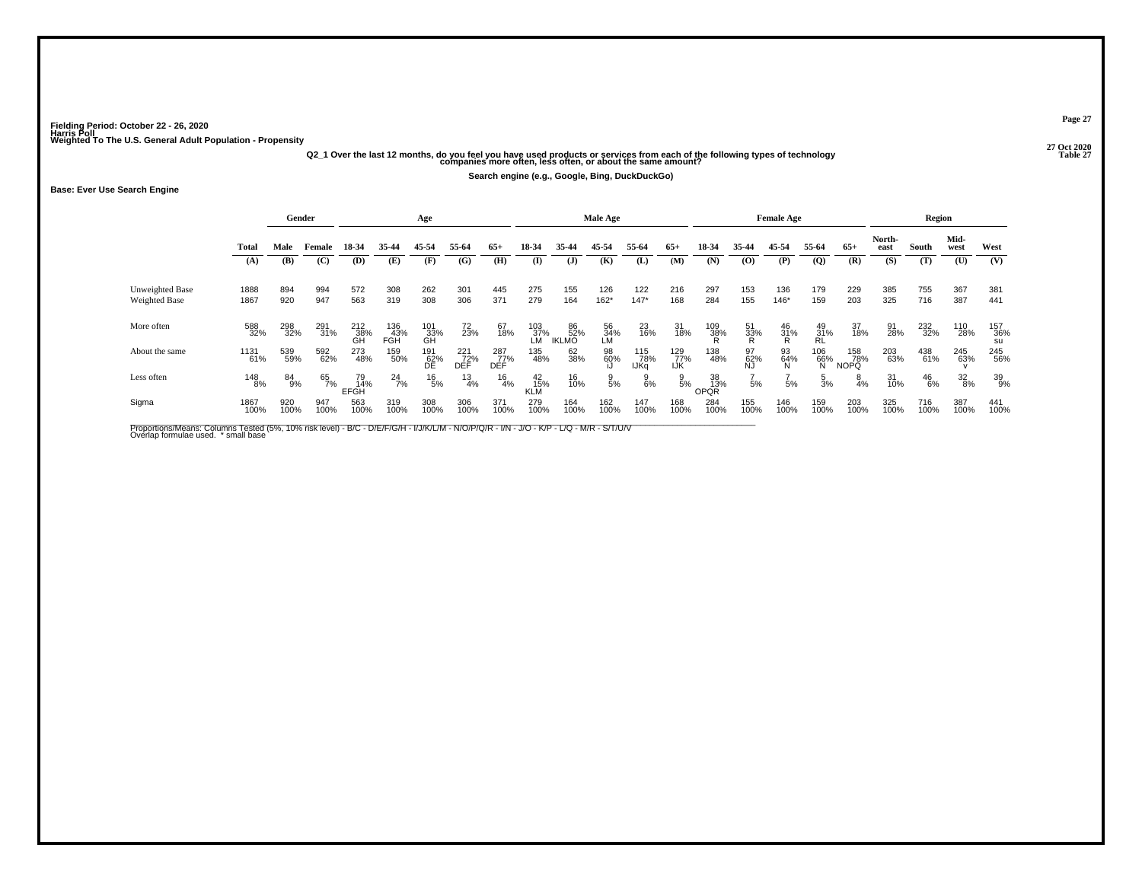# .<br>"27 Q20 Q2\_1 Over the last 12 months, do you feel you have used products or services from each of the following types of technology<br>"21 companies more often, less often, or about the same amount?" companies more often, l

**Search engine (e.g., Google, Bing, DuckDuckGo)**

#### **Base: Ever Use Search Engine**

|                 |              |             | Gender      |                   |                   | Age               |                   |                   |                  |                    | Male Age        |                    |                   |                   |                 | <b>Female Age</b> |                         |                           |                | Region        |                 |                  |
|-----------------|--------------|-------------|-------------|-------------------|-------------------|-------------------|-------------------|-------------------|------------------|--------------------|-----------------|--------------------|-------------------|-------------------|-----------------|-------------------|-------------------------|---------------------------|----------------|---------------|-----------------|------------------|
|                 | <b>Total</b> | Male        | Female      | 18-34             | 35-44             | 45-54             | 55-64             | $65+$             | 18-34            | 35-44              | 45-54           | 55-64              | $65+$             | 18-34             | 35-44           | 45-54             | 55-64                   | $65+$                     | North-<br>east | South         | Mid-<br>west    | West             |
|                 | (A)          | (B)         | (C)         | (D)               | (E)               | (F)               | (G)               | (H)               | $\bf(I)$         | $\mathbf{J}$       | (K)             | (L)                | (M)               | (N)               | (0)             | (P)               | $\overline{Q}$          | (R)                       | (S)            | (T)           | (U)             | (V)              |
| Unweighted Base | 1888         | 894         | 994         | 572               | 308               | 262               | 301               | 445               | 275              | 155                | 126             | 122                | 216               | 297               | 153             | 136               | 179                     | 229                       | 385            | 755           | 367             | 381              |
| Weighted Base   | 1867         | 920         | 947         | 563               | 319               | 308               | 306               | 371               | 279              | 164                | 162*            | $147*$             | 168               | 284               | 155             | 146*              | 159                     | 203                       | 325            | 716           | 387             | 441              |
| More often      | 588<br>32%   | 298<br>32%  | 291<br>31%  | 212<br>38%<br>GH  | 136<br>43%<br>FGH | 101<br>_33%<br>GH | 72<br>23%         | 67<br>18%         | 103<br>37%<br>LM | 86<br>52%<br>IKLMO | 56<br>34%<br>LM | 23<br>16%          | 31<br>18%         | 109<br>38%        | 51<br>33%<br>R  | $^{46}_{31\%}$    | 49<br>31%<br>RL         | 37<br>18%                 | 91<br>28%      | 232<br>32%    | 110<br>28%      | 157<br>36%<br>su |
| About the same  | 1131<br>61%  | 539<br>59%  | 592<br>62%  | 273<br>48%        | 159<br>50%        | 191<br>62%<br>DE  | 221<br>72%<br>DÈF | 287<br>77%<br>DEF | 135<br>48%       | 62<br>38%          | 98<br>60%       | 115<br>78%<br>IJKq | 129<br>77%<br>IJK | 138<br>48%        | 97<br>62%<br>NJ | 93<br>64%<br>N    | $\frac{106}{66\%}$<br>N | 158<br>78%<br><b>NOPQ</b> | 203<br>63%     | 438<br>61%    | 245<br>63%      | 245<br>56%       |
| Less often      | 148<br>8%    | 84<br>9%    | 65<br>7%    | 79<br>14%<br>EFGH | $^{24}_{7\%}$     | $^{16}_{5\%}$     | $\frac{13}{4%}$   | $\frac{16}{4%}$   | 42<br>15%<br>KLM | 16<br>10%          | $\frac{9}{5%}$  | $\frac{9}{6\%}$    | $\frac{9}{5%}$    | 38<br>13%<br>OPQR | 5%              | 5%                | $\frac{5}{3}$ %         | $\frac{8}{4%}$            | 31<br>10%      | $^{46}_{6\%}$ | $\frac{32}{8%}$ | 39<br>9%         |
| Sigma           | 1867<br>100% | 920<br>100% | 947<br>100% | 563<br>100%       | 319<br>100%       | 308<br>100%       | 306<br>100%       | 371<br>100%       | 279<br>100%      | 164<br>100%        | 162<br>100%     | 147<br>100%        | 168<br>100%       | 284<br>100%       | 155<br>100%     | 146<br>100%       | 159<br>100%             | 203<br>100%               | 325<br>100%    | 716<br>100%   | 387<br>100%     | 441<br>100%      |

Proportions/Means: Columns Tested (5%, 10% risk level) - B/C - D/E/F/G/H - I/J/K/L/M - N/O/P/Q/R - I/N - J/O - K/P - L/Q - M/R - S/T/U/V<br>Overlap formulae used. \*small base

**Page 27**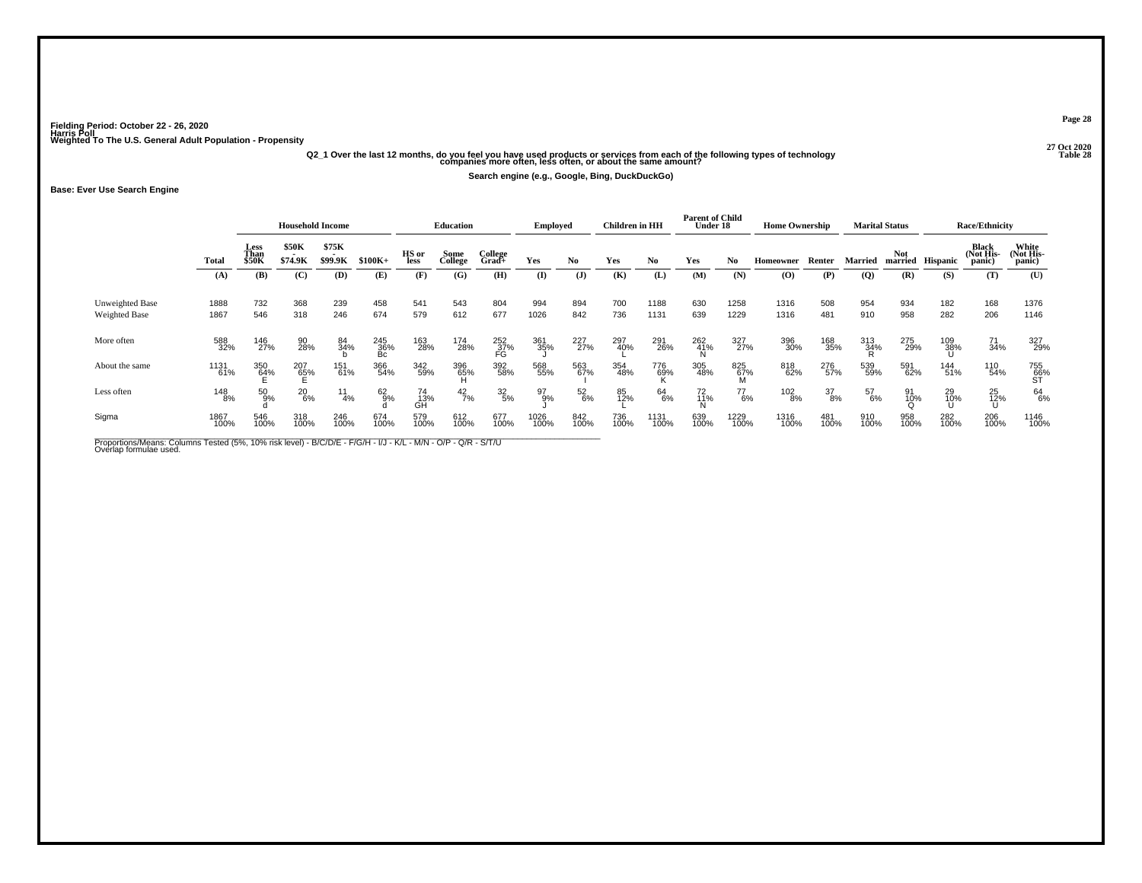## .<br>Q2\_1 Over the last 12 months, do you feel you have used products or services from each of the following types of technology<br>32 companies more often, less often, or about the same amount?

**Search engine (e.g., Google, Bing, DuckDuckGo)**

**Base: Ever Use Search Engine**

|                                         |              |                       | <b>Household Income</b> |                  |                    |                  | <b>Education</b> |                  | <b>Employed</b> |               | <b>Children</b> in HH |                  | <b>Parent of Child</b><br>Under 18 |              | <b>Home Ownership</b> |             |             | <b>Marital Status</b> |             | <b>Race/Ethnicity</b>        |                             |
|-----------------------------------------|--------------|-----------------------|-------------------------|------------------|--------------------|------------------|------------------|------------------|-----------------|---------------|-----------------------|------------------|------------------------------------|--------------|-----------------------|-------------|-------------|-----------------------|-------------|------------------------------|-----------------------------|
|                                         | Total        | Less<br>Than<br>\$50K | \$50K<br>\$74.9K        | \$75K<br>\$99.9K | $$100K+$           | HS or<br>less    | Some<br>College  | College<br>Grad+ | Yes             | No.           | Yes                   | No               | Yes                                | No.          | Homeowner             | Renter      | Married     | Not<br>married        | Hispanic    | Black<br>(Not His-<br>panic) | White<br>Not His-<br>panic) |
|                                         | (A)          | (B)                   | (C)                     | (D)              | (E)                | (F)              | (G)              | (H)              | $($ I           | $\mathbf{J}$  | (K)                   | (L)              | (M)                                | (N)          | (0)                   | (P)         | (Q)         | (R)                   | (S)         | (T)                          | (U)                         |
| Unweighted Base<br><b>Weighted Base</b> | 1888<br>1867 | 732<br>546            | 368<br>318              | 239<br>246       | 458<br>674         | 541<br>579       | 543<br>612       | 804<br>677       | 994<br>1026     | 894<br>842    | 700<br>736            | 1188<br>1131     | 630<br>639                         | 1258<br>1229 | 1316<br>1316          | 508<br>481  | 954<br>910  | 934<br>958            | 182<br>282  | 168<br>206                   | 1376<br>1146                |
| More often                              | 588<br>32%   | 146<br>27%            | 90<br>28%               | 84<br>34%        | $^{245}_{36\%}$ Bc | 163<br>28%       | 174<br>28%       | 252<br>37%<br>FG | 361<br>35%      | 227<br>27%    | 297<br>40%            | 291<br>26%       | 262<br>41%                         | 327<br>27%   | 396<br>30%            | 168<br>35%  | 313<br>34%  | 275<br>29%            | 109<br>38%  | 71<br>34%                    | 327<br>29%                  |
| About the same                          | 1131<br>61%  | 350<br>64%            | 207<br>6 <u>5</u> %     | 151<br>61%       | 366<br>54%         | 342<br>59%       | 396<br>65%       | 392<br>58%       | 568<br>55%      | 563<br>67%    | 354<br>48%            | 776<br>69%<br>r. | 305<br>48%                         | 825<br>67%   | 818<br>62%            | 276<br>57%  | 539<br>59%  | 591<br>62%            | 144<br>51%  | 110<br>54%                   | 755<br>66%<br>ST            |
| Less often                              | 148<br>8%    | $^{50}_{9\%}$         | $^{20}_{6\%}$           | $\frac{11}{4\%}$ | 62<br>9%           | 74<br>_13%<br>GH | $^{42}_{7\%}$    | $\frac{32}{5\%}$ | 97<br>9%        | $^{52}_{6\%}$ | 85<br>12%             | 64<br>6%         | $^{72}_{11\%}$                     | 77<br>6%     | $^{102}_{8\%}$        | 37<br>8%    | 57<br>6%    | $^{91}_{10\%}$        | 29<br>10%   | 25<br>12%                    | 64<br>6%                    |
| Sigma                                   | 1867<br>100% | 546<br>100%           | 318<br>100%             | 246<br>100%      | 674<br>100%        | 579<br>100%      | 612<br>100%      | 677<br>100%      | 1026<br>100%    | 842<br>100%   | 736<br>100%           | 1131<br>100%     | 639<br>100%                        | 1229<br>100% | 1316<br>100%          | 481<br>100% | 910<br>100% | 958<br>100%           | 282<br>100% | 206<br>100%                  | 1146<br>100%                |

Proportions/Means: Columns Tested (5%, 10% risk level) - B/C/D/E - F/G/H - I/J - K/L - M/N - O/P - Q/R - S/T/U<br>Overlap formulae used.

**Page 28**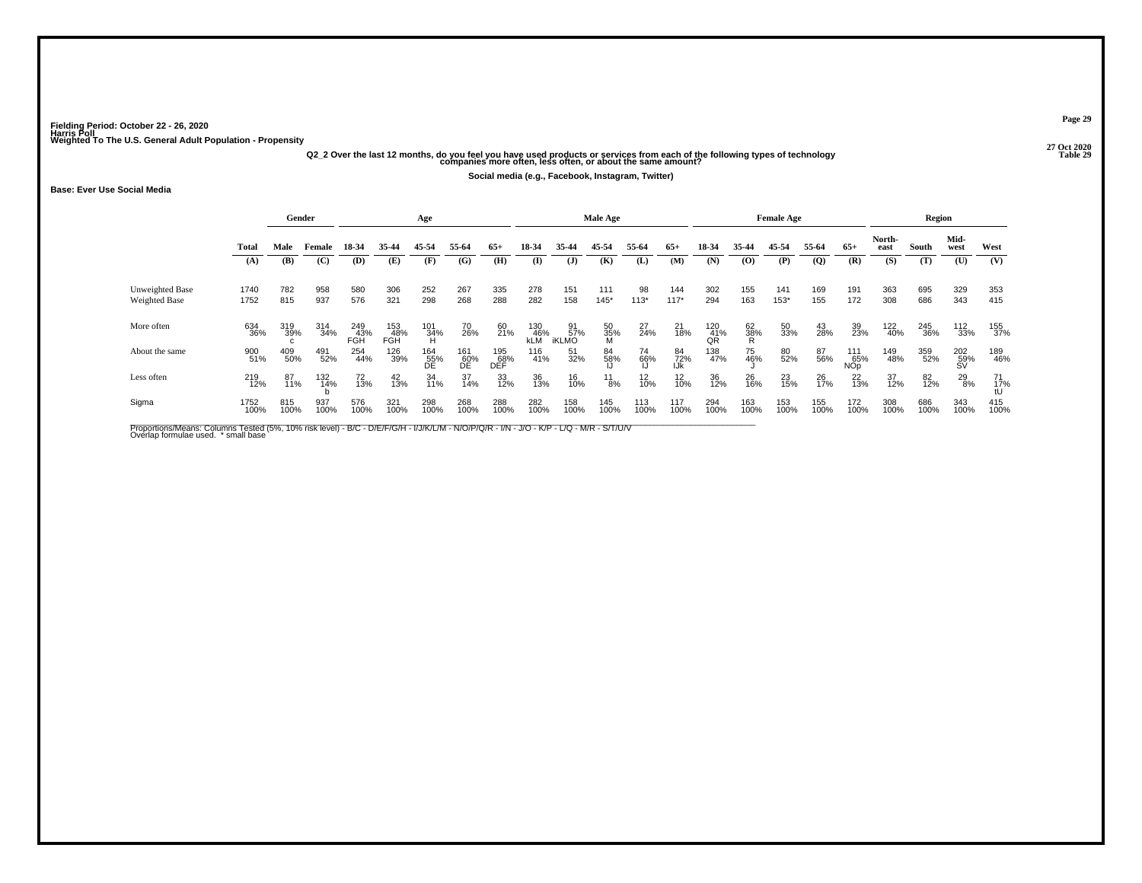# .<br>Q2\_2 Over the last 12 months, do you feel you have used products or services from each of the following types of technology<br>31 companies more often, less often, or about the same amount?

**Social media (e.g., Facebook, Instagram, Twitter)**

#### **Base: Ever Use Social Media**

|                 |              |             | Gender      |                          |                          | Age              |                  |                   |                   |                           | <b>Male Age</b> |                |                  |                    |                | <b>Female Age</b> |              |                                     |                | Region      |                            |             |
|-----------------|--------------|-------------|-------------|--------------------------|--------------------------|------------------|------------------|-------------------|-------------------|---------------------------|-----------------|----------------|------------------|--------------------|----------------|-------------------|--------------|-------------------------------------|----------------|-------------|----------------------------|-------------|
|                 | Total        | Male        | Female      | 18-34                    | 35-44                    | 45-54            | 55-64            | $65+$             | 18-34             | 35-44                     | 45-54           | 55-64          | $65+$            | 18-34              | 35-44          | 45-54             | 55-64        | $65+$                               | North-<br>east | South       | Mid-<br>west               | West        |
|                 | (A)          | (B)         | (C)         | (D)                      | (E)                      | (F)              | (G)              | (H)               | (I)               | $\mathbf{J}$              | (K)             | (L)            | (M)              | (N)                | (0)            | (P)               | $\mathbf{Q}$ | (R)                                 | (S)            | (T)         | $\left( \mathbf{U}\right)$ | (V)         |
| Unweighted Base | 1740         | 782         | 958         | 580                      | 306                      | 252              | 267              | 335               | 278               | 151                       | 111             | 98             | 144              | 302                | 155            | 141               | 169          | 191                                 | 363            | 695         | 329                        | 353         |
| Weighted Base   | 1752         | 815         | 937         | 576                      | 321                      | 298              | 268              | 288               | 282               | 158                       | $145*$          | $113*$         | $117*$           | 294                | 163            | 153*              | 155          | 172                                 | 308            | 686         | 343                        | 415         |
| More often      | 634<br>36%   | 319<br>39%  | 314<br>34%  | 249<br>43%<br><b>FGH</b> | 153<br>48%<br><b>FGH</b> | 101<br>34%<br>H  | 70<br>26%        | 60<br>21%         | 130<br>46%<br>kLM | 91<br>57%<br><b>iKLMO</b> | 50<br>35%<br>M  | $^{27}_{24\%}$ | 21<br>18%        | $^{120}_{41\%}$ QR | 62<br>38%<br>R | 50<br>33%         | 43<br>28%    | 39<br>23%                           | 122<br>40%     | 245<br>36%  | 112<br>33%                 | 155<br>37%  |
| About the same  | 900<br>51%   | 409<br>50%  | 491<br>52%  | 254<br>44%               | 126<br>39%               | 164<br>55%<br>DE | 161<br>60%<br>DE | 195<br>68%<br>DEF | 116<br>41%        | 51<br>32%                 | 84<br>58%       | 74<br>66%      | 84<br>72%<br>IJk | 138<br>47%         | 75<br>46%      | 80<br>52%         | 87<br>56%    | 111<br>65%<br><b>NO<sub>D</sub></b> | 149<br>48%     | 359<br>52%  | 202<br>59%<br>SV           | 189<br>46%  |
| Less often      | 219<br>12%   | 87<br>11%   | 132<br>14%  | 72<br>13%                | $^{42}_{13\%}$           | 34<br>11%        | 37<br>14%        | 33<br>12%         | 36<br>13%         | 16<br>10%                 | $^{11}_{8\%}$   | $^{12}_{10\%}$ | $^{12}_{10\%}$   | 36<br>12%          | 26<br>16%      | 23<br>15%         | 26<br>17%    | $^{22}_{13\%}$                      | 37<br>12%      | 82<br>12%   | $^{29}_{8\%}$              | 71<br>17%   |
| Sigma           | 1752<br>100% | 815<br>100% | 937<br>100% | 576<br>100%              | 321<br>100%              | 298<br>100%      | 268<br>100%      | 288<br>100%       | 282<br>100%       | 158<br>100%               | 145<br>100%     | 113<br>100%    | 117<br>100%      | 294<br>100%        | 163<br>100%    | 153<br>100%       | 155<br>100%  | 172<br>100%                         | 308<br>100%    | 686<br>100% | 343<br>100%                | 415<br>100% |

Proportions/Means: Columns Tested (5%, 10% risk level) - B/C - D/E/F/G/H - I/J/K/L/M - N/O/P/Q/R - I/N - J/O - K/P - L/Q - M/R - S/T/U/V<br>Overlap formulae used. \*small base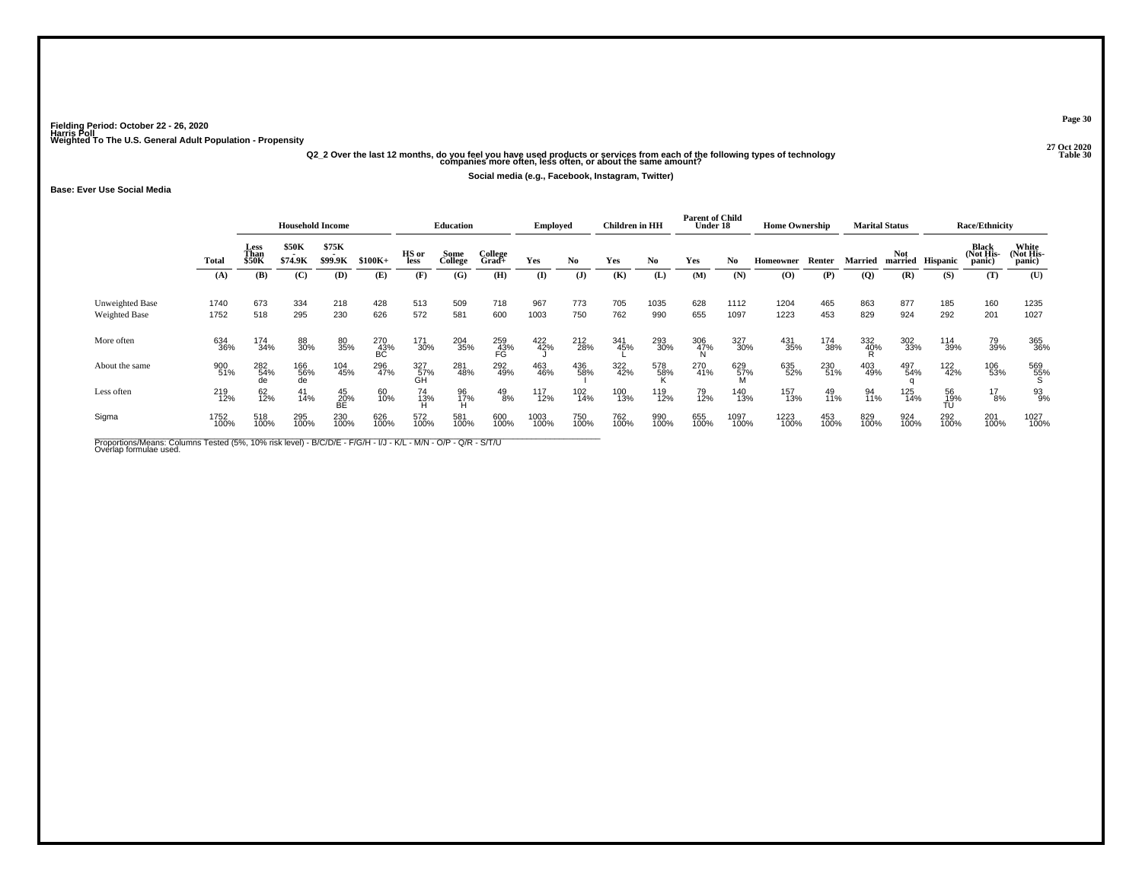# .<br>Q2\_2 Over the last 12 months, do you feel you have used products or services from each of the following types of technology<br>30 companies more often, less often, or about the same amount?

**Social media (e.g., Facebook, Instagram, Twitter)**

#### **Base: Ever Use Social Media**

|                                         |              |                              | <b>Household Income</b> |                   |                  |                  | <b>Education</b> |                  | Employed     |               | <b>Children</b> in HH |             | <b>Parent of Child</b><br>Under 18 |              | <b>Home Ownership</b>                    |             |                 | <b>Marital Status</b> |                  | <b>Race/Ethnicity</b>               |                              |
|-----------------------------------------|--------------|------------------------------|-------------------------|-------------------|------------------|------------------|------------------|------------------|--------------|---------------|-----------------------|-------------|------------------------------------|--------------|------------------------------------------|-------------|-----------------|-----------------------|------------------|-------------------------------------|------------------------------|
|                                         | <b>Total</b> | Less<br>Than<br><b>\$50K</b> | <b>\$50K</b><br>\$74.9K | \$75K<br>\$99.9K  | $$100K+$         | HS or<br>less    | Some<br>College  | College<br>Grad+ | Yes          | No.           | Yes                   | No.         | Yes                                | No           | Homeowner                                | Renter      | Married         | <b>Not</b>            | married Hispanic | <b>Black</b><br>(Not His-<br>panic) | White<br>(Not His-<br>panic) |
|                                         | (A)          | (B)                          | (C)                     | (D)               | (E)              | (F)              | (G)              | (H)              | (I)          | $($ $\bf{J})$ | (K)                   | (L)         | (M)                                | (N)          | $\boldsymbol{\left( \mathbf{O} \right)}$ | (P)         | (Q)             | (R)                   | (S)              | (T)                                 | (U)                          |
| Unweighted Base<br><b>Weighted Base</b> | 1740<br>1752 | 673<br>518                   | 334<br>295              | 218<br>230        | 428<br>626       | 513<br>572       | 509<br>581       | 718<br>600       | 967<br>1003  | 773<br>750    | 705<br>762            | 1035<br>990 | 628<br>655                         | 1112<br>1097 | 1204<br>1223                             | 465<br>453  | 863<br>829      | 877<br>924            | 185<br>292       | 160<br>201                          | 1235<br>1027                 |
| More often                              | 634<br>36%   | 174<br>34%                   | 88<br>30%               | 80<br>35%         | 270<br>43%<br>BC | 171<br>30%       | 204<br>35%       | 259<br>43%<br>FG | 422<br>42%   | 212<br>28%    | 341<br>45%            | 293<br>30%  | 306<br>47%                         | 327<br>30%   | 431<br>35%                               | 174<br>38%  | 332<br>40%<br>R | 302<br>33%            | 114<br>39%       | 79<br>39%                           | 365<br>36%                   |
| About the same                          | 900<br>51%   | 282<br>54%                   | 166<br>56%<br>de        | 104<br>45%        | 296<br>47%       | 327<br>57%<br>GH | 281<br>48%       | 292<br>49%       | 463<br>46%   | 436<br>58%    | 322<br>42%            | 578<br>58%  | 270<br>41%                         | 629<br>57%   | 635<br>52%                               | 230<br>51%  | 403<br>49%      | 497<br>54%            | 122<br>42%       | 106<br>53%                          | 569<br>55%<br>Տ              |
| Less often                              | 219<br>12%   | 62<br>12%                    | 41<br>14%               | 45<br>$20%$<br>BE | 60<br>10%        | 74<br>13%        | 96<br>17%        | $^{49}_{8\%}$    | 117<br>12%   | 102<br>14%    | 100<br>13%            | 119<br>12%  | 79<br>12%                          | 140<br>13%   | 157<br>13%                               | 49<br>11%   | 94<br>11%       | 125<br>14%            | 56<br>19%<br>TÚ  | $^{17}_{8\%}$                       | 93<br>9%                     |
| Sigma                                   | 1752<br>100% | 518<br>100%                  | 295<br>100%             | 230<br>100%       | 626<br>100%      | 572<br>100%      | 581<br>100%      | 600<br>100%      | 1003<br>100% | 750<br>100%   | 762<br>100%           | 990<br>100% | 655<br>100%                        | 1097<br>100% | 1223<br>100%                             | 453<br>100% | 829<br>100%     | 924<br>100%           | 292<br>100%      | 201<br>100%                         | 1027<br>100%                 |

Proportions/Means: Columns Tested (5%, 10% risk level) - B/C/D/E - F/G/H - I/J - K/L - M/N - O/P - Q/R - S/T/U<br>Overlap formulae used.

**Page 30**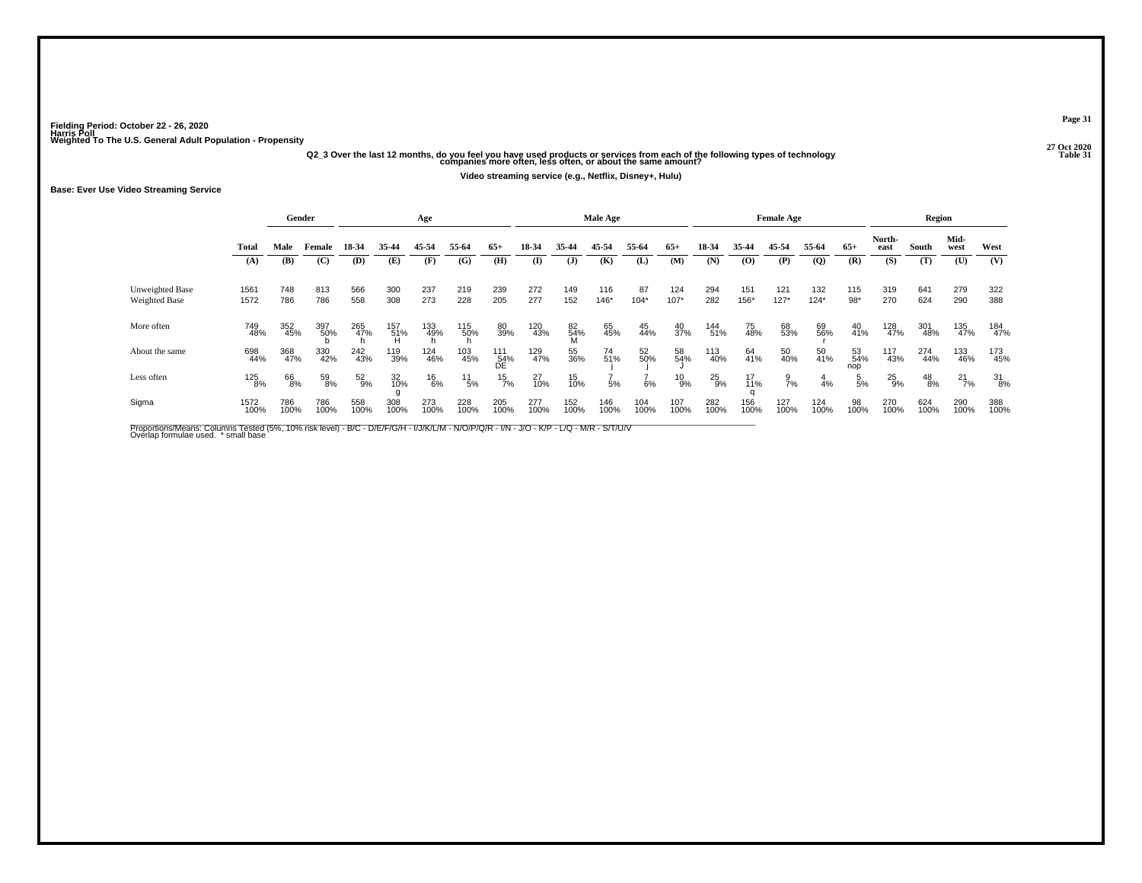## **27 Oct 2020Q2\_3 Over the last 12 months, do you feel you have used products or services from each of the following types of technology Table 31 companies more often, less often, or about the same amount?**

**Video streaming service (e.g., Netflix, Disney+, Hulu)**

#### **Base: Ever Use Video Streaming Service**

|                                  |              | Gender      |             |               |              | Age           |               |                  |             |             | Male Age      |              |               |               |                   | <b>Female Age</b> |                 |                  |                | Region        |               |                  |
|----------------------------------|--------------|-------------|-------------|---------------|--------------|---------------|---------------|------------------|-------------|-------------|---------------|--------------|---------------|---------------|-------------------|-------------------|-----------------|------------------|----------------|---------------|---------------|------------------|
|                                  | Total        | Male        | Female      | 18-34         | 35-44        | 45-54         | 55-64         | $65+$            | 18-34       | 35-44       | 45-54         | 55-64        | $65+$         | 18-34         | 35-44             | 45-54             | 55-64           | $65+$            | North-<br>east | South         | Mid-<br>west  | West             |
|                                  | (A)          | (B)         | (C)         | (D)           | (E)          | (F)           | (G)           | (H)              | (I)         | (J)         | (K)           | (L)          | (M)           | (N)           | (0)               | (P)               | $\overline{Q}$  | (R)              | (S)            | (T)           | (U)           | (V)              |
| Unweighted Base<br>Weighted Base | 1561<br>1572 | 748<br>786  | 813<br>786  | 566<br>558    | 300<br>308   | 237<br>273    | 219<br>228    | 239<br>205       | 272<br>277  | 149<br>152  | 116<br>$146*$ | 87<br>$104*$ | 124<br>$107*$ | 294<br>282    | 151<br>156*       | 121<br>$127*$     | 132<br>$124*$   | 115<br>$98*$     | 319<br>270     | 641<br>624    | 279<br>290    | 322<br>388       |
| More often                       | 749<br>48%   | 352<br>45%  | 397<br>50%  | 265<br>47%    | 157<br>- 51% | 133<br>49%    | 115<br>50%    | 80<br>39%        | 120<br>43%  | 82%         | 65<br>45%     | 45<br>44%    | 40<br>37%     | 144<br>51%    | 75<br>48%         | 68<br>53%         | 69<br>56%       | $^{40}_{41\%}$   | 128<br>47%     | 301<br>48%    | 135<br>47%    | 184<br>47%       |
| About the same                   | 698<br>44%   | 368<br>47%  | 330<br>42%  | 242<br>43%    | 119<br>39%   | 124<br>46%    | 103<br>45%    | 111<br>54%<br>DE | 129<br>47%  | 55<br>36%   | 74<br>51%     | 52<br>50%    | 58<br>54%     | 113<br>40%    | 64<br>41%         | 50<br>40%         | 50<br>41%       | 53<br>54%<br>nop | 117<br>43%     | 274<br>44%    | 133<br>46%    | 173<br>45%       |
| Less often                       | 125<br>8%    | 66<br>8%    | 59<br>8%    | $^{52}_{9\%}$ | 32<br>10%    | $^{16}_{6\%}$ | $^{11}_{5\%}$ | $^{15}_{7\%}$    | 27<br>10%   | 15<br>10%   | 5%            | 6%           | $^{10}_{9%}$  | $^{25}_{9\%}$ | $\frac{17}{11\%}$ | $\frac{9}{7}$ %   | $\frac{4}{4}$ % | $\frac{5}{5}$ %  | $^{25}_{9\%}$  | $^{48}_{8\%}$ | $^{21}_{7\%}$ | $\frac{31}{8\%}$ |
| Sigma                            | 1572<br>100% | 786<br>100% | 786<br>100% | 558<br>100%   | 308<br>100%  | 273<br>100%   | 228<br>100%   | 205<br>100%      | 277<br>100% | 152<br>100% | 146<br>100%   | 104<br>100%  | 107<br>100%   | 282<br>100%   | 156<br>100%       | 127<br>100%       | 124<br>100%     | 98<br>100%       | 270<br>100%    | 624<br>100%   | 290<br>100%   | 388<br>100%      |

Proportions/Means: Columns Tested (5%, 10% risk level) - B/C - D/E/F/G/H - I/J/K/L/M - N/O/P/Q/R - I/N - J/O - K/P - L/Q - M/R - S/T/U/V<br>Overlap formulae used. \*small base

**Page 31**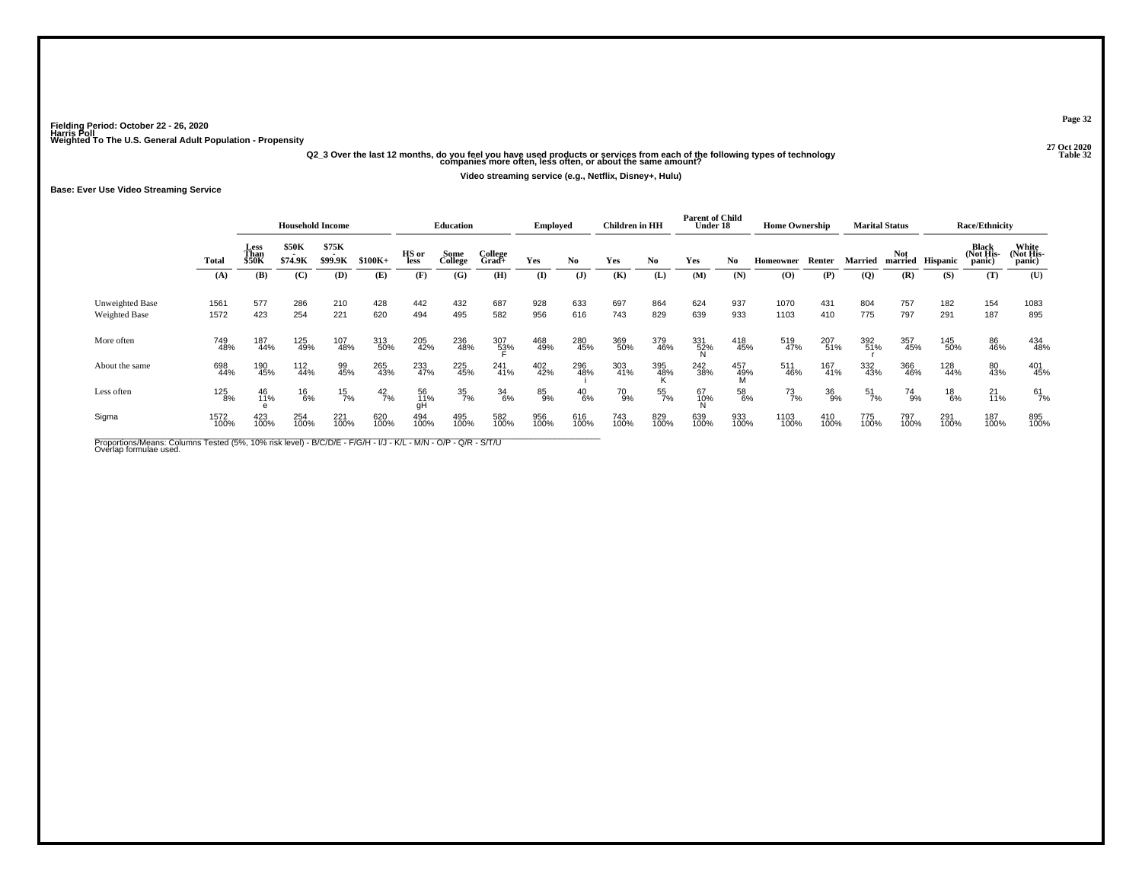# .<br>27 Q20 (27 Oct 2020) 27 Oct 2020<br>32 Companies more often, less often, or about the same amount? and the following types of technology<br>32 Companies more often, less often, or about the same amount?

**Video streaming service (e.g., Netflix, Disney+, Hulu)**

**Base: Ever Use Video Streaming Service**

|                                         |              |                              | <b>Household Income</b> |                         |               |                 | Education       |                  | <b>Employed</b> |                | Children in HH |             | <b>Parent of Child</b><br>Under 18 |             | <b>Home Ownership</b> |             |                  | <b>Marital Status</b> |                 | <b>Race/Ethnicity</b>        |                              |
|-----------------------------------------|--------------|------------------------------|-------------------------|-------------------------|---------------|-----------------|-----------------|------------------|-----------------|----------------|----------------|-------------|------------------------------------|-------------|-----------------------|-------------|------------------|-----------------------|-----------------|------------------------------|------------------------------|
|                                         | Total        | Less<br>Than<br><b>\$50K</b> | \$50K<br>\$74.9K        | \$75K<br><b>\$99.9K</b> | $$100K+$      | HS or<br>less   | Some<br>College | College<br>Grad+ | Yes             | No.            | Yes            | No          | Yes                                | No.         | Homeowner             | Renter      | Married          | Not<br>married        | <b>Hispanic</b> | Black<br>(Not His-<br>panic) | White<br>(Not His-<br>panic) |
|                                         | (A)          | (B)                          | (C)                     | (D)                     | (E)           | (F)             | (G)             | (H)              | (I)             | $(\mathbf{J})$ | (K)            | (L)         | (M)                                | (N)         | (O)                   | (P)         | (Q)              | (R)                   | (S)             | (T)                          | (U)                          |
| Unweighted Base<br><b>Weighted Base</b> | 1561<br>1572 | 577<br>423                   | 286<br>254              | 210<br>221              | 428<br>620    | 442<br>494      | 432<br>495      | 687<br>582       | 928<br>956      | 633<br>616     | 697<br>743     | 864<br>829  | 624<br>639                         | 937<br>933  | 1070<br>1103          | 431<br>410  | 804<br>775       | 757<br>797            | 182<br>291      | 154<br>187                   | 1083<br>895                  |
| More often                              | 749<br>48%   | 187<br>44%                   | 125<br>49%              | 107<br>48%              | 313<br>50%    | 205<br>42%      | 236<br>48%      | 307<br>53%       | 468<br>49%      | 280<br>45%     | 369<br>50%     | 379<br>46%  | 331<br>52%                         | 418<br>45%  | 519<br>47%            | 207<br>51%  | 392<br>51%       | 357<br>45%            | 145<br>50%      | 86<br>46%                    | 434<br>48%                   |
| About the same                          | 698<br>44%   | 190<br>45%                   | 112<br>44%              | 99<br>45%               | 265<br>43%    | 233<br>47%      | 225<br>45%      | 241<br>41%       | 402<br>42%      | 296<br>48%     | 303<br>41%     | 395<br>48%  | 242<br>38%                         | 457<br>49%  | 511<br>46%            | 167<br>41%  | 332<br>43%       | 366<br>46%            | 128<br>44%      | 80<br>43%                    | 401<br>45%                   |
| Less often                              | 125<br>8%    | 46<br>11%                    | $^{16}_{6\%}$           | $\frac{15}{7\%}$        | $^{42}_{7\%}$ | 56<br>11%<br>gH | 35<br>7%        | $\frac{34}{6\%}$ | 85<br>9%        | $^{40}_{6\%}$  | 70<br>9%       | 55<br>7%    | 67<br>10%                          | 58<br>6%    | $^{73}_{7\%}$         | 36<br>9%    | $\frac{51}{7\%}$ | 74<br>9%              | $^{18}_{6\%}$   | $^{21}_{11\%}$               | 61<br>7%                     |
| Sigma                                   | 1572<br>100% | 423<br>100%                  | 254<br>100%             | 221<br>100%             | 620<br>100%   | 494<br>100%     | 495<br>100%     | 582<br>100%      | 956<br>100%     | 616<br>100%    | 743<br>100%    | 829<br>100% | 639<br>100%                        | 933<br>100% | 1103<br>100%          | 410<br>100% | 775<br>100%      | 797<br>100%           | 291<br>100%     | 187<br>100%                  | 895<br>100%                  |

Proportions/Means: Columns Tested (5%, 10% risk level) - B/C/D/E - F/G/H - I/J - K/L - M/N - O/P - Q/R - S/T/U<br>Overlap formulae used.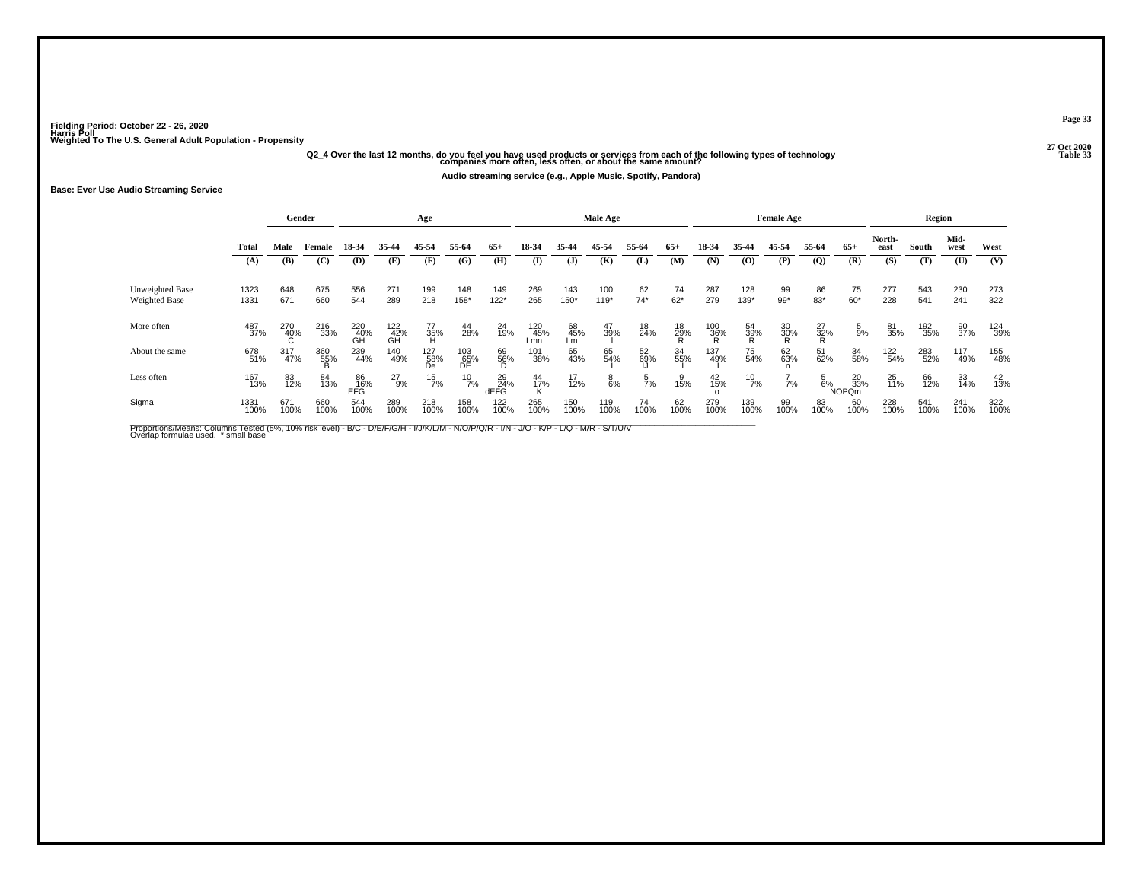## .<br>Q2\_4 Over the last 12 months, do you feel you have used products or services from each of the following types of technology<br>33 companies more often, less often, or about the same amount?

**Audio streaming service (e.g., Apple Music, Spotify, Pandora)**

#### **Base: Ever Use Audio Streaming Service**

|                 |              |             | Gender          |                  |                                      | Age              |                  |                   |                   |                 | <b>Male Age</b> |            |                |                    |                | <b>Female Age</b> |                   |                           |                | Region      |              |             |
|-----------------|--------------|-------------|-----------------|------------------|--------------------------------------|------------------|------------------|-------------------|-------------------|-----------------|-----------------|------------|----------------|--------------------|----------------|-------------------|-------------------|---------------------------|----------------|-------------|--------------|-------------|
|                 | <b>Total</b> | Male        | Female          | 18-34            | 35-44                                | 45-54            | 55-64            | $65+$             | 18-34             | 35-44           | 45-54           | 55-64      | $65+$          | 18-34              | 35-44          | 45-54             | 55-64             | $65+$                     | North-<br>east | South       | Mid-<br>west | West        |
|                 | (A)          | (B)         | (C)             | (D)              | (E)                                  | (F)              | (G)              | (H)               | (I)               | (J)             | (K)             | (L)        | (M)            | (N)                | $\bf(O)$       | (P)               | (Q)               | (R)                       | (S)            | (T)         | (U)          | (V)         |
| Unweighted Base | 1323         | 648         | 675             | 556              | 271                                  | 199              | 148              | 149               | 269               | 143             | 100             | 62         | 74             | 287                | 128            | 99                | 86                | 75                        | 277            | 543         | 230          | 273         |
| Weighted Base   | 1331         | 671         | 660             | 544              | 289                                  | 218              | 158*             | $122*$            | 265               | 150*            | $119*$          | $74*$      | $62*$          | 279                | 139*           | $99*$             | $83*$             | 60*                       | 228            | 541         | 241          | 322         |
| More often      | 487<br>37%   | 270<br>40%  | 216<br>33%      | 220<br>40%<br>GH | $^{122}_{\substack{42\\ \text{GH}}}$ | 77<br>35%<br>H   | 44<br>28%        | 24<br>19%         | 120<br>45%<br>Lmn | 68<br>45%<br>Lm | 47<br>39%       | 18<br>24%  | 18<br>29%<br>R | $\frac{100}{36\%}$ | 54<br>39%<br>R | 30<br>30%<br>R    | $\frac{27}{32\%}$ | $\frac{5}{9\%}$           | 81<br>35%      | 192<br>35%  | 90<br>37%    | 124<br>39%  |
| About the same  | 678<br>51%   | 317<br>47%  | 360<br>55%<br>B | 239<br>44%       | 140<br>49%                           | 127<br>58%<br>De | 103<br>65%<br>DE | 69<br>56%<br>D    | 101<br>38%        | 65<br>43%       | 65<br>54%       | 52<br>69%  | 34<br>55%      | 137<br>49%         | 75<br>54%      | 62<br>63%         | 51<br>62%         | 34<br>58%                 | 122<br>54%     | 283<br>52%  | 117<br>49%   | 155<br>48%  |
| Less often      | 167<br>13%   | 83<br>12%   | 84<br>13%       | 86<br>16%<br>EFĞ | $^{27}_{9\%}$                        | $^{15}_{7\%}$    | $^{10}_{7\%}$    | 29<br>24%<br>dEFG | 44<br>17%         | 17<br>12%       | $_{6\%}^8$      | 5<br>7%    | 15%            | 42<br>15%          | $^{10}_{7\%}$  | 7%                | $\frac{5}{6}$ %   | 20<br>33%<br><b>NOPQm</b> | $^{25}_{11\%}$ | 66<br>12%   | 33<br>14%    | 42<br>13%   |
| Sigma           | 1331<br>100% | 671<br>100% | 660<br>100%     | 544<br>100%      | 289<br>100%                          | 218<br>100%      | 158<br>100%      | 122<br>100%       | 265<br>100%       | 150<br>100%     | 119<br>100%     | 74<br>100% | 62<br>100%     | 279<br>100%        | 139<br>100%    | 99<br>100%        | 83<br>100%        | 60<br>100%                | 228<br>100%    | 541<br>100% | 241<br>100%  | 322<br>100% |

Proportions/Means: Columns Tested (5%, 10% risk level) - B/C - D/E/F/G/H - I/J/K/L/M - N/O/P/Q/R - I/N - J/O - K/P - L/Q - M/R - S/T/U/V<br>Overlap formulae used. \*small base

**Page 33**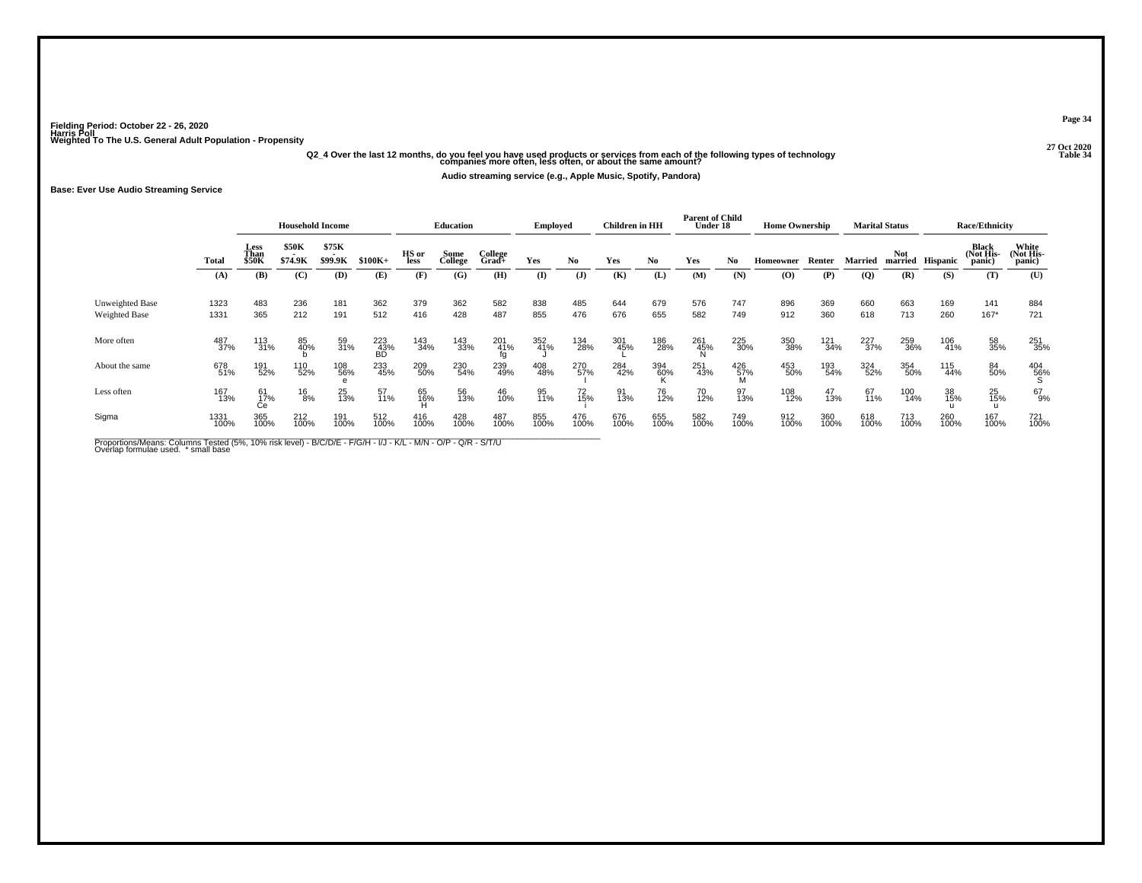# .<br>4. Q2\_4 Over the last 12 months, do you feel you have used products or services from each of the following types of technology<br>34 Companies more often, less often, or about the same amount?

**Audio streaming service (e.g., Apple Music, Spotify, Pandora)**

#### **Base: Ever Use Audio Streaming Service**

|                                         |              |                              | <b>Household Income</b> |                  |                  |               | Education       |                     | <b>Employed</b> |                | <b>Children</b> in HH |             | <b>Parent of Child</b><br>Under 18 |                 | <b>Home Ownership</b> |             |             | <b>Marital Status</b> |                 | <b>Race/Ethnicity</b>        |                              |
|-----------------------------------------|--------------|------------------------------|-------------------------|------------------|------------------|---------------|-----------------|---------------------|-----------------|----------------|-----------------------|-------------|------------------------------------|-----------------|-----------------------|-------------|-------------|-----------------------|-----------------|------------------------------|------------------------------|
|                                         | <b>Total</b> | Less<br>Than<br><b>\$50K</b> | <b>\$50K</b><br>\$74.9K | \$75K<br>\$99.9K | $$100K+$         | HS or<br>less | Some<br>College | College<br>$Grad +$ | Yes             | No.            | Yes                   | No.         | Yes                                | No.             | Homeowner             | Renter      | Married     | Not<br>married        | <b>Hispanic</b> | Black<br>(Not His-<br>panic) | White<br>(Not His-<br>panic) |
|                                         | (A)          | (B)                          | (C)                     | (D)              | (E)              | (F)           | (G)             | (H)                 | (I)             | $(\mathbf{J})$ | (K)                   | (L)         | (M)                                | (N)             | $\bf{(O)}$            | (P)         | (Q)         | (R)                   | (S)             | (T)                          | (U)                          |
| Unweighted Base<br><b>Weighted Base</b> | 1323<br>1331 | 483<br>365                   | 236<br>212              | 181<br>191       | 362<br>512       | 379<br>416    | 362<br>428      | 582<br>487          | 838<br>855      | 485<br>476     | 644<br>676            | 679<br>655  | 576<br>582                         | 747<br>749      | 896<br>912            | 369<br>360  | 660<br>618  | 663<br>713            | 169<br>260      | 141<br>$167*$                | 884<br>721                   |
| More often                              | 487<br>37%   | 113<br>31%                   | 85<br>40%               | 59<br>31%        | 223<br>43%<br>BD | 143<br>34%    | 143<br>33%      | 201<br>41%          | 352<br>41%      | 134<br>28%     | 301<br>45%            | 186<br>28%  | 261<br>45%                         | 225<br>30%      | 350<br>38%            | 121<br>34%  | 227<br>37%  | 259<br>36%            | 106<br>41%      | 58<br>35%                    | 251<br>35%                   |
| About the same                          | 678<br>51%   | 191<br>52%                   | 110<br>52%              | 108<br>56%       | 233<br>45%       | 209<br>50%    | 230<br>54%      | 239<br>49%          | 408<br>48%      | 270<br>57%     | 284<br>42%            | 394<br>60%  | 251<br>43%                         | 426<br>57%<br>M | 453<br>50%            | 193<br>54%  | 324<br>52%  | 354<br>50%            | 115<br>44%      | 84<br>50%                    | $^{404}_{~56\%}$             |
| Less often                              | 167<br>13%   | 61<br>17%<br>Сe              | $\frac{16}{8%}$         | 25<br>13%        | 57<br>11%        | 65<br>16%     | 56<br>13%       | 46<br>10%           | 95<br>11%       | 72<br>15%      | 91<br>13%             | 76<br>12%   | 70<br>12%                          | 97<br>13%       | 108<br>12%            | 47<br>13%   | 67<br>11%   | 100<br>14%            | 38<br>15%       | 25<br>15%<br>u               | 67<br>9%                     |
| Sigma                                   | 1331<br>100% | 365<br>100%                  | 212<br>100%             | 191<br>100%      | 512<br>100%      | 416<br>100%   | 428<br>100%     | 487<br>100%         | 855<br>100%     | 476<br>100%    | 676<br>100%           | 655<br>100% | 582<br>100%                        | 749<br>100%     | 912<br>100%           | 360<br>100% | 618<br>100% | 713<br>100%           | 260<br>100%     | 167<br>100%                  | 721<br>100%                  |

Proportions/Means: Columns Tested (5%, 10% risk level) - B/C/D/E - F/G/H - I/J - K/L - M/N - O/P - Q/R - S/T/U<br>Overlap formulae used. \*small base

**Page 34**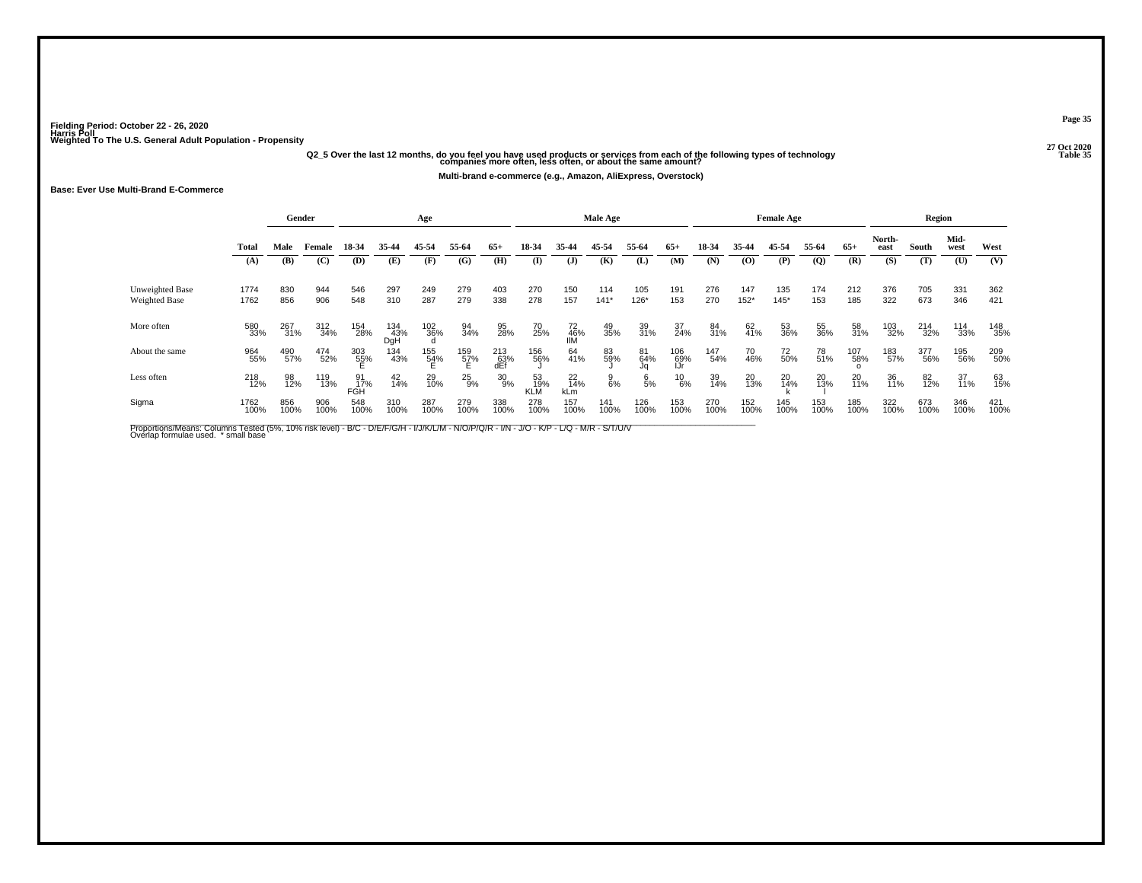## .<br>Q2\_5 Over the last 12 months, do you feel you have used products or services from each of the following types of technology<br>35 companies more often, less often, or about the same amount?

**Multi-brand e-commerce (e.g., Amazon, AliExpress, Overstock)**

#### **Base: Ever Use Multi-Brand E-Commerce**

|                                  |              |             | Gender      |                  |                   | Age         |                 |                   |              |                  | Male Age        |                 |                   |             |               | <b>Female Age</b> |              |             |                | Region      |              |             |
|----------------------------------|--------------|-------------|-------------|------------------|-------------------|-------------|-----------------|-------------------|--------------|------------------|-----------------|-----------------|-------------------|-------------|---------------|-------------------|--------------|-------------|----------------|-------------|--------------|-------------|
|                                  | Total        | Male        | Female      | 18-34            | 35-44             | 45-54       | 55-64           | $65+$             | 18-34        | 35-44            | 45-54           | 55-64           | $65+$             | 18-34       | 35-44         | 45-54             | 55-64        | $65+$       | North-<br>east | South       | Mid-<br>west | West        |
|                                  | (A)          | (B)         | (C)         | (D)              | (E)               | (F)         | (G)             | (H)               | $\mathbf{I}$ | $\mathbf{J}$     | (K)             | (L)             | (M)               | (N)         | (0)           | (P)               | $\mathbf{Q}$ | (R)         | (S)            | (T)         | (U)          | (V)         |
| Unweighted Base<br>Weighted Base | 1774<br>1762 | 830<br>856  | 944<br>906  | 546<br>548       | 297<br>310        | 249<br>287  | 279<br>279      | 403<br>338        | 270<br>278   | 150<br>157       | 114<br>$141*$   | 105<br>126*     | 191<br>153        | 276<br>270  | 147<br>$152*$ | 135<br>$145*$     | 174<br>153   | 212<br>185  | 376<br>322     | 705<br>673  | 331<br>346   | 362<br>421  |
| More often                       | 580<br>33%   | 267<br>31%  | 312<br>34%  | 154<br>28%       | 134<br>43%<br>DgH | 102<br>36%  | 94<br>34%       | 95<br>28%         | 70<br>25%    | 72<br>46%<br>IIM | 49<br>35%       | 39<br>31%       | 37<br>24%         | 84<br>31%   | 62<br>41%     | 53<br>36%         | 55<br>36%    | 58<br>31%   | 103<br>32%     | 214<br>32%  | 114<br>33%   | 148<br>35%  |
| About the same                   | 964<br>55%   | 490<br>57%  | 474<br>52%  | 303<br>55%       | 134<br>43%        | 155<br>54%  | 159<br>57%<br>E | 213<br>63%<br>dEf | 156<br>56%   | 64<br>41%        | 83<br>59%       | 81<br>64%<br>Jq | 106<br>69%<br>IJr | 147<br>54%  | 70<br>46%     | 72<br>50%         | 78<br>51%    | 107<br>58%  | 183<br>57%     | 377<br>56%  | 195<br>56%   | 209<br>50%  |
| Less often                       | 218<br>12%   | 98<br>12%   | 119<br>13%  | 91<br>17%<br>FGH | $^{42}_{14\%}$    | 29<br>10%   | $^{25}_{9\%}$   | 30<br>9%          | 53<br>19%    | 22<br>14%<br>kLm | $\frac{9}{6\%}$ | $\frac{6}{5\%}$ | $^{10}_{6\%}$     | 39<br>14%   | 20<br>13%     | 20<br>14%         | 20<br>13%    | 20<br>11%   | 36<br>11%      | 82<br>12%   | 37<br>11%    | 63<br>15%   |
| Sigma                            | 1762<br>100% | 856<br>100% | 906<br>100% | 548<br>100%      | 310<br>100%       | 287<br>100% | 279<br>100%     | 338<br>100%       | 278<br>100%  | 157<br>100%      | 141<br>100%     | 126<br>100%     | 153<br>100%       | 270<br>100% | 152<br>100%   | 145<br>100%       | 153<br>100%  | 185<br>100% | 322<br>100%    | 673<br>100% | 346<br>100%  | 421<br>100% |

Proportions/Means: Columns Tested (5%, 10% risk level) - B/C - D/E/F/G/H - I/J/K/L/M - N/O/P/Q/R - I/N - J/O - K/P - L/Q - M/R - S/T/U/V<br>Overlap formulae used. \*small base

**Page 35**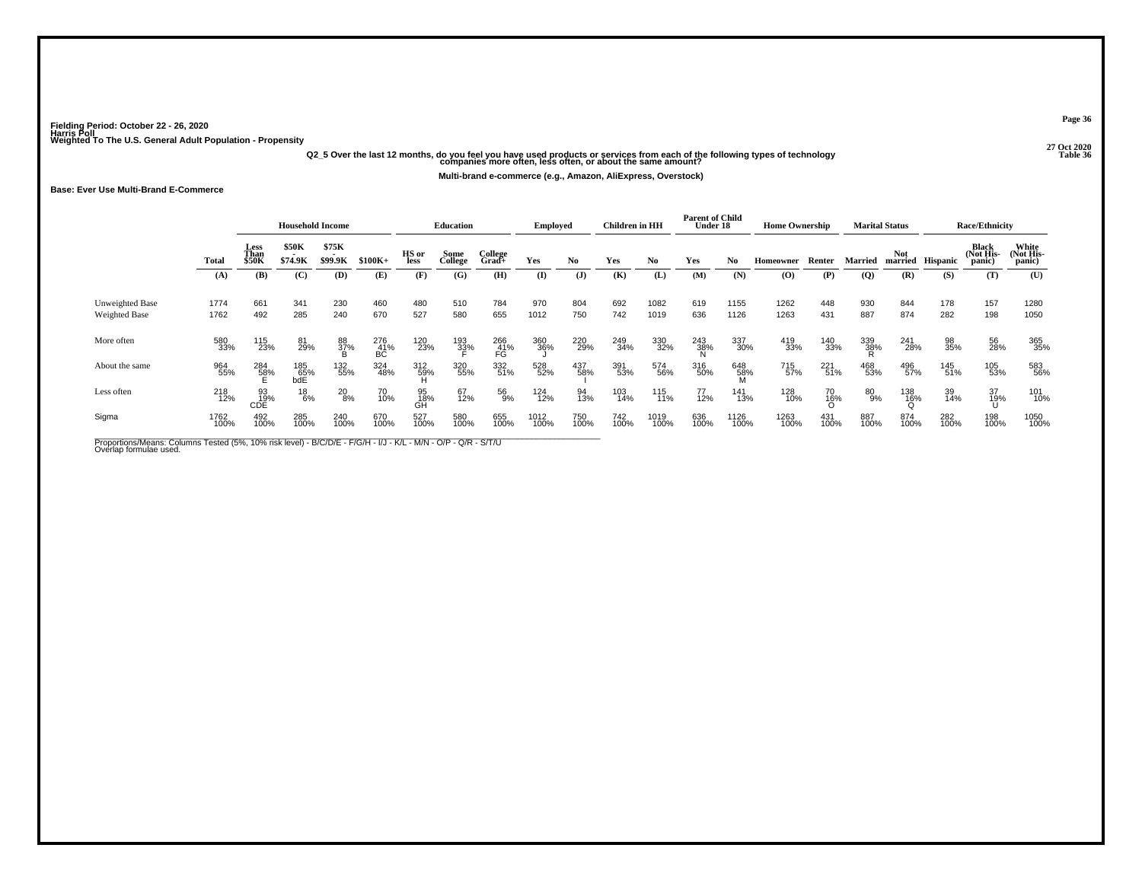# .<br>Q2\_5 Over the last 12 months, do you feel you have used products or services from each of the following types of technology<br>36 companies more often, less often, or about the same amount?

**Multi-brand e-commerce (e.g., Amazon, AliExpress, Overstock)**

**Base: Ever Use Multi-Brand E-Commerce**

|                                  |              |                       | <b>Household Income</b> |                  |                                  |                 | <b>Education</b> |                     | <b>Employed</b> |              | <b>Children</b> in HH |              | <b>Parent of Child</b><br>Under 18 |                 | <b>Home Ownership</b>                    |                |                 | <b>Marital Status</b> |             | <b>Race/Ethnicity</b>        |                              |
|----------------------------------|--------------|-----------------------|-------------------------|------------------|----------------------------------|-----------------|------------------|---------------------|-----------------|--------------|-----------------------|--------------|------------------------------------|-----------------|------------------------------------------|----------------|-----------------|-----------------------|-------------|------------------------------|------------------------------|
|                                  | Total        | Less<br>Than<br>\$50K | \$50K<br>\$74.9K        | \$75K<br>\$99.9K | $$100K+$                         | HS or<br>less   | Some<br>College  | College<br>$Grad +$ | Yes             | No.          | Yes                   | No           | Yes                                | No              | Homeowner                                | Renter         | Married         | Not<br>married        | Hispanic    | Black<br>(Not His-<br>panic) | White<br>(Not His-<br>panic) |
|                                  | (A)          | (B)                   | (C)                     | (D)              | (E)                              | (F)             | (G)              | (H)                 | (I)             | $\mathbf{J}$ | (K)                   | (L)          | (M)                                | (N)             | $\boldsymbol{\left( \mathbf{O} \right)}$ | (P)            | $\overline{Q}$  | (R)                   | (S)         | (T)                          | (U)                          |
| Unweighted Base<br>Weighted Base | 1774<br>1762 | 661<br>492            | 341<br>285              | 230<br>240       | 460<br>670                       | 480<br>527      | 510<br>580       | 784<br>655          | 970<br>1012     | 804<br>750   | 692<br>742            | 1082<br>1019 | 619<br>636                         | 1155<br>1126    | 1262<br>1263                             | 448<br>431     | 930<br>887      | 844<br>874            | 178<br>282  | 157<br>198                   | 1280<br>1050                 |
| More often                       | 580<br>33%   | 115<br>23%            | 81<br>29%               | 88<br>37%<br>B   | $^{276}_{\, \, 41\%}_{\, \, BC}$ | 120<br>23%      | 193<br>33%       | 266<br>41%<br>FG    | 360<br>36%      | 220<br>29%   | 249<br>34%            | 330<br>32%   | 243<br>38%                         | 337<br>30%      | 419<br>33%                               | 140<br>33%     | 339<br>38%<br>R | 241<br>28%            | 98<br>35%   | 56<br>28%                    | 365<br>35%                   |
| About the same                   | 964<br>55%   | 284<br>58%            | 185<br>65%<br>bdE       | 132<br>55%       | 324<br>48%                       | 312<br>59%<br>H | 320<br>55%       | 332<br>51%          | 528<br>52%      | 437<br>58%   | 391<br>53%            | 574<br>56%   | 316<br>50%                         | 648<br>58%<br>M | 715<br>57%                               | 221<br>51%     | 468<br>53%      | 496<br>57%            | 145<br>51%  | 105<br>53%                   | 583<br>56%                   |
| Less often                       | 218<br>12%   | 93<br>19%<br>CDE      | $^{18}_{6\%}$           | $^{20}_{8\%}$    | 70<br>10%                        | 95<br>18%<br>GĤ | 67<br>12%        | 56<br>9%            | 124<br>12%      | 94<br>13%    | 103<br>14%            | 115<br>11%   | 77<br>12%                          | 141<br>13%      | 128<br>10%                               | 70<br>16%<br>O | 80<br>9%        | $^{138}_{16\%}$       | 39<br>14%   | 37<br>19%                    | 101<br>10%                   |
| Sigma                            | 1762<br>100% | 492<br>100%           | 285<br>100%             | 240<br>100%      | 670<br>100%                      | 527<br>100%     | 580<br>100%      | 655<br>100%         | 1012<br>100%    | 750<br>100%  | 742<br>100%           | 1019<br>100% | 636<br>100%                        | 1126<br>100%    | 1263<br>100%                             | 431<br>100%    | 887<br>100%     | 874<br>100%           | 282<br>100% | 198<br>100%                  | 1050<br>100%                 |

Proportions/Means: Columns Tested (5%, 10% risk level) - B/C/D/E - F/G/H - I/J - K/L - M/N - O/P - Q/R - S/T/U<br>Overlap formulae used.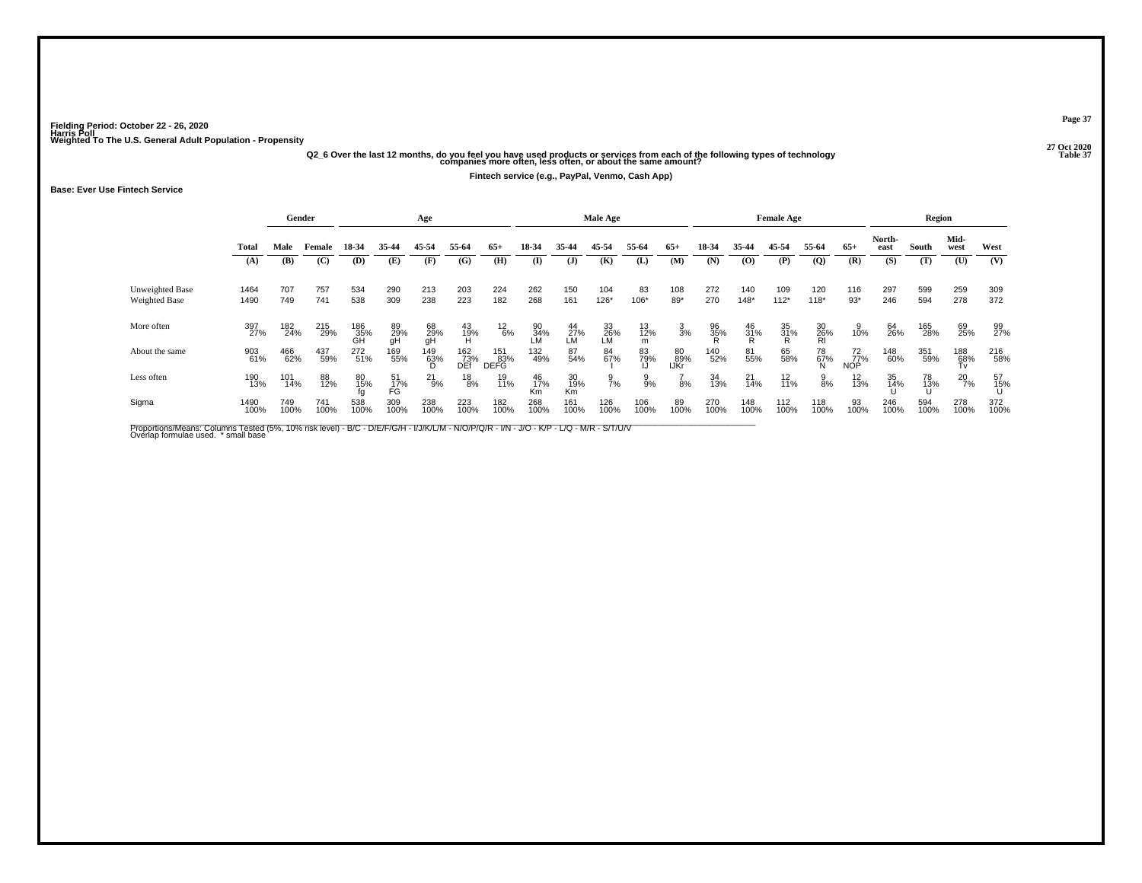## .<br>"27 Q20 Q2\_6 Over the last 12 months, do you feel you have used products or services from each of the following types of technology<br>[37 Companies more often, less often, or about the same amount?

**Fintech service (e.g., PayPal, Venmo, Cash App)**

### **Base: Ever Use Fintech Service**

|                                  |              |             | Gender      |                  |                 | Age             |                   |                           |                 |                   | Male Age        |                                                |                   |                |                   | <b>Female Age</b> |                 |                  |                | Region      |                  |             |
|----------------------------------|--------------|-------------|-------------|------------------|-----------------|-----------------|-------------------|---------------------------|-----------------|-------------------|-----------------|------------------------------------------------|-------------------|----------------|-------------------|-------------------|-----------------|------------------|----------------|-------------|------------------|-------------|
|                                  | <b>Total</b> | Male        | Female      | 18-34            | 35-44           | 45-54           | 55-64             | $65+$                     | 18-34           | 35-44             | 45-54           | 55-64                                          | $65+$             | 18-34          | 35-44             | 45-54             | 55-64           | $65+$            | North-<br>east | South       | Mid-<br>west     | West        |
|                                  | (A)          | (B)         | (C)         | (D)              | (E)             | (F)             | (G)               | (H)                       | $\mathbf{I}$    | $(\mathbf{J})$    | (K)             | (L)                                            | (M)               | (N)            | (0)               | (P)               | $\mathbf{Q}$    | (R)              | (S)            | (T)         | (U)              | (V)         |
| Unweighted Base<br>Weighted Base | 1464<br>1490 | 707<br>749  | 757<br>741  | 534<br>538       | 290<br>309      | 213<br>238      | 203<br>223        | 224<br>182                | 262<br>268      | 150<br>161        | 104<br>126*     | 83<br>106*                                     | 108<br>89*        | 272<br>270     | 140<br>$148*$     | 109<br>$112*$     | 120<br>$118*$   | 116<br>$93*$     | 297<br>246     | 599<br>594  | 259<br>278       | 309<br>372  |
| More often                       | 397<br>27%   | 182<br>24%  | 215<br>29%  |                  |                 |                 |                   |                           |                 |                   |                 |                                                |                   |                |                   |                   |                 |                  |                |             | 69<br>25%        | 99<br>27%   |
|                                  |              |             |             | 186<br>35%<br>GH | 89<br>29%<br>gH | 68<br>29%<br>gH | 43<br>19%<br>H    | $^{12}_{6\%}$             | 90<br>34%<br>LM | $^{44}_{27\%}$ LM | 33<br>26%<br>LM | $\begin{array}{c} 13 \\ 12\% \\ m \end{array}$ | $\frac{3}{3}$ %   | 96<br>35%<br>R | $\frac{46}{31}\%$ | 35<br>31%<br>R    | 30<br>26%<br>RI | 10%              | 64<br>26%      | 165<br>28%  |                  |             |
| About the same                   | 903<br>61%   | 466<br>62%  | 437<br>59%  | 272<br>51%       | 169<br>55%      | 149<br>63%      | 162<br>73%<br>DEf | 151<br>83%<br><b>DEFG</b> | 132<br>49%      | 87<br>54%         | 84<br>67%       | 83<br>79%                                      | 80<br>89%<br>IJKr | 140<br>52%     | 81<br>55%         | 65<br>58%         | 78<br>67%       | 72<br>77%<br>NOP | 148<br>60%     | 351<br>59%  | 188<br>68%<br>Tv | 216<br>58%  |
| Less often                       | 190<br>13%   | 101<br>14%  | 88<br>12%   | 80<br>15%        | 51<br>17%<br>FG | $^{21}_{9\%}$   | $^{18}_{8\%}$     | 19<br>11%                 | 46<br>17%<br>Κm | 30<br>19%<br>Km   | $\frac{9}{7}$ % | $\frac{9}{9\%}$                                | 8%                | 34<br>13%      | 21<br>14%         | $^{12}_{11\%}$    | $\frac{9}{8\%}$ | $^{12}_{13\%}$   | 35<br>14%      | 78<br>13%   | 20<br>7%         | 57<br>15%   |
| Sigma                            | 1490<br>100% | 749<br>100% | 741<br>100% | 538<br>100%      | 309<br>100%     | 238<br>100%     | 223<br>100%       | 182<br>100%               | 268<br>100%     | 161<br>100%       | 126<br>100%     | 106<br>100%                                    | 89<br>100%        | 270<br>100%    | 148<br>100%       | 112<br>100%       | 118<br>100%     | 93<br>100%       | 246<br>100%    | 594<br>100% | 278<br>100%      | 372<br>100% |

Proportions/Means: Columns Tested (5%, 10% risk level) - B/C - D/E/F/G/H - I/J/K/L/M - N/O/P/Q/R - I/N - J/O - K/P - L/Q - M/R - S/T/U/V<br>Overlap formulae used. \*small base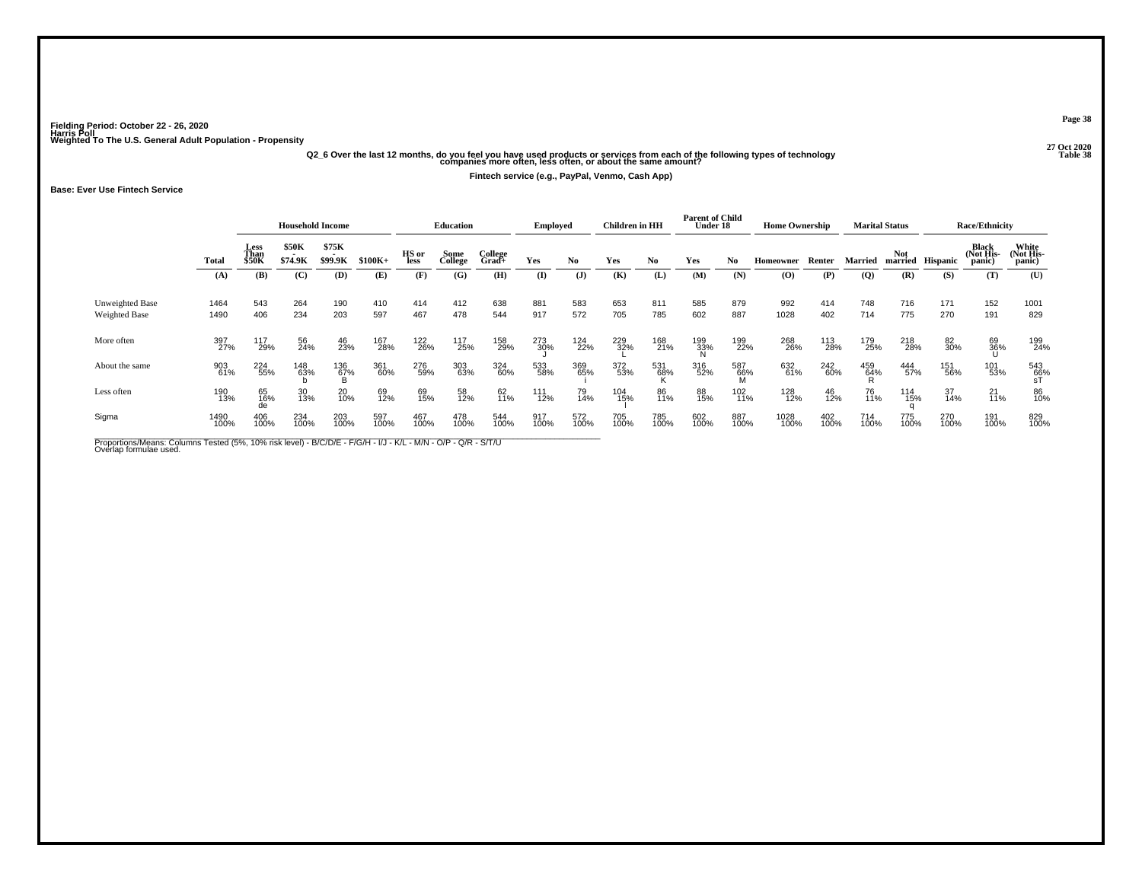## .<br>Q2\_6 Over the last 12 months, do you feel you have used products or services from each of the following types of technology<br>38 companies more often, less often, or about the same amount?

**Fintech service (e.g., PayPal, Venmo, Cash App)**

**Base: Ever Use Fintech Service**

|                                  |              |                       | <b>Household Income</b> |                  |             |               | Education       |                  | <b>Employed</b> |              | Children in HH |             | <b>Parent of Child</b><br>Under 18 |                 | <b>Home Ownership</b> |             |                 | <b>Marital Status</b> |                  | <b>Race/Ethnicity</b>               |                              |
|----------------------------------|--------------|-----------------------|-------------------------|------------------|-------------|---------------|-----------------|------------------|-----------------|--------------|----------------|-------------|------------------------------------|-----------------|-----------------------|-------------|-----------------|-----------------------|------------------|-------------------------------------|------------------------------|
|                                  | <b>Total</b> | Less<br>Than<br>\$50K | \$50K<br>\$74.9K        | \$75K<br>\$99.9K | $$100K+$    | HS or<br>less | Some<br>College | College<br>Grad+ | Yes             | No.          | Yes            | No.         | Yes                                | No.             | Homeowner             | Renter      | Married         | <b>Not</b>            | married Hispanic | <b>Black</b><br>(Not His-<br>panic) | White<br>(Not His-<br>panic) |
|                                  | (A)          | (B)                   | (C)                     | (D)              | (E)         | (F)           | (G)             | (H)              | $\bf(I)$        | $\mathbf{J}$ | (K)            | (L)         | (M)                                | (N)             | $\bf{(O)}$            | (P)         | (Q)             | (R)                   | (S)              | (T)                                 | (U)                          |
| Unweighted Base<br>Weighted Base | 1464<br>1490 | 543<br>406            | 264<br>234              | 190<br>203       | 410<br>597  | 414<br>467    | 412<br>478      | 638<br>544       | 881<br>917      | 583<br>572   | 653<br>705     | 811<br>785  | 585<br>602                         | 879<br>887      | 992<br>1028           | 414<br>402  | 748<br>714      | 716<br>775            | 171<br>270       | 152<br>191                          | 1001<br>829                  |
| More often                       | 397<br>27%   | 117<br>29%            | 56<br>24%               | 46<br>23%        | 167<br>28%  | 122<br>26%    | 117<br>25%      | 158<br>29%       | 273<br>30%      | 124<br>22%   | 229<br>32%     | 168<br>21%  | 199<br>33%                         | 199<br>22%      | 268<br>26%            | 113<br>28%  | 179<br>25%      | 218<br>28%            | 82<br>30%        | 69<br>36%                           | 199<br>24%                   |
| About the same                   | 903<br>61%   | 224<br>55%            | 148<br>63%              | 136<br>67%<br>B  | 361<br>60%  | 276<br>59%    | 303<br>63%      | 324<br>60%       | 533<br>58%      | 369<br>65%   | 372<br>53%     | 531<br>68%  | 316<br>52%                         | 587<br>66%<br>M | 632<br>61%            | 242<br>60%  | 459<br>64%<br>R | 444<br>57%            | 151<br>56%       | 101<br>53%                          | 543<br>66%<br>sT             |
| Less often                       | 190<br>13%   | 65<br>16%<br>de       | 30<br>13%               | 20<br>10%        | 69<br>12%   | 69<br>15%     | 58<br>12%       | 62<br>11%        | 111<br>12%      | 79<br>14%    | 104<br>15%     | 86<br>11%   | 88<br>15%                          | 102<br>11%      | 128<br>12%            | 46<br>12%   | 76<br>11%       | 114<br>15%            | 37<br>14%        | $^{21}_{11\%}$                      | 86<br>10%                    |
| Sigma                            | 1490<br>100% | 406<br>100%           | 234<br>100%             | 203<br>100%      | 597<br>100% | 467<br>100%   | 478<br>100%     | 544<br>100%      | 917<br>100%     | 572<br>100%  | 705<br>100%    | 785<br>100% | 602<br>100%                        | 887<br>100%     | 1028<br>100%          | 402<br>100% | 714<br>100%     | 775<br>100%           | 270<br>100%      | 191<br>100%                         | 829<br>100%                  |

Proportions/Means: Columns Tested (5%, 10% risk level) - B/C/D/E - F/G/H - I/J - K/L - M/N - O/P - Q/R - S/T/U<br>Overlap formulae used.

**Page 38**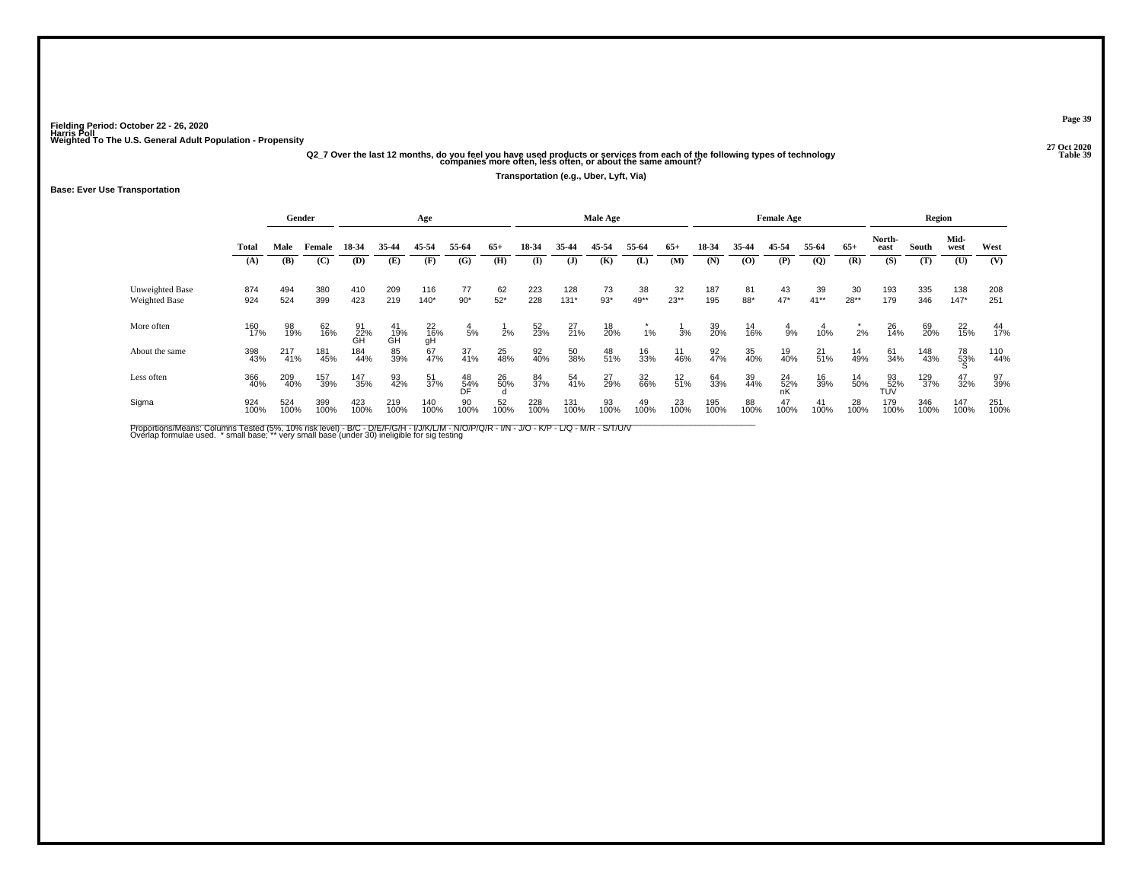## .<br>Q2\_7 Over the last 12 months, do you feel you have used products or services from each of the following types of technology<br>39 companies more often, less often, or about the same amount?

**Transportation (e.g., Uber, Lyft, Via)**

### **Base: Ever Use Transportation**

|                                  |             |             | Gender      |                 |                 | Age             |                 |             |              |                | Male Age    |            |              |             |            | <b>Female Age</b> |                |              |                  | Region      |                |                |
|----------------------------------|-------------|-------------|-------------|-----------------|-----------------|-----------------|-----------------|-------------|--------------|----------------|-------------|------------|--------------|-------------|------------|-------------------|----------------|--------------|------------------|-------------|----------------|----------------|
|                                  | Total       | Male        | Female      | 18-34           | 35-44           | 45-54           | 55-64           | $65+$       | 18-34        | 35-44          | 45-54       | 55-64      | $65+$        | 18-34       | 35-44      | 45-54             | 55-64          | $65+$        | North-<br>east   | South       | Mid-<br>west   | West           |
|                                  | (A)         | (B)         | (C)         | (D)             | (E)             | (F)             | (G)             | (H)         | $\mathbf{I}$ | $(\mathbf{J})$ | (K)         | (L)        | (M)          | (N)         | (0)        | (P)               | $\overline{Q}$ | (R)          | (S)              | (T)         | (U)            | (V)            |
| Unweighted Base<br>Weighted Base | 874<br>924  | 494<br>524  | 380<br>399  | 410<br>423      | 209<br>219      | 116<br>$140*$   | 77<br>$90*$     | 62<br>$52*$ | 223<br>228   | 128<br>$131*$  | 73<br>$93*$ | 38<br>49** | 32<br>$23**$ | 187<br>195  | 81<br>88*  | 43<br>$47*$       | 39<br>$41**$   | 30<br>$28**$ | 193<br>179       | 335<br>346  | 138<br>$147*$  | 208<br>251     |
| More often                       | 160<br>17%  | 98<br>19%   | 62<br>16%   | 91<br>22%<br>GH | 41<br>19%<br>GH | 22<br>16%<br>gH | $\frac{4}{5%}$  | 2%          | 52<br>23%    | $^{27}_{21\%}$ | 18<br>20%   | 1%         | 3%           | 39<br>20%   | 14<br>16%  | $\frac{4}{9%}$    | 10%            | 2%           | 26<br>14%        | 69<br>20%   | $^{22}_{15\%}$ | $^{44}_{17\%}$ |
| About the same                   | 398<br>43%  | 217<br>41%  | 181<br>45%  | 184<br>44%      | 85<br>39%       | 67<br>47%       | 37<br>41%       | 25<br>48%   | 92<br>40%    | 50<br>38%      | 48<br>51%   | 16<br>33%  | 11<br>46%    | 92<br>47%   | 35<br>40%  | 19<br>40%         | $^{21}_{51\%}$ | 14<br>49%    | 61<br>34%        | 148<br>43%  | 78<br>53%      | 110<br>44%     |
| Less often                       | 366<br>40%  | 209<br>40%  | 157<br>39%  | 147<br>35%      | 93<br>42%       | 51<br>37%       | 48<br>54%<br>DF | 26<br>50%   | 84<br>37%    | 54<br>41%      | 27<br>29%   | 32<br>66%  | $12$<br>51%  | 64<br>33%   | 39<br>44%  | 24<br>52%         | 16<br>39%      | 14<br>50%    | 93<br>52%<br>TÚV | 129<br>37%  | 47<br>32%      | 97<br>39%      |
| Sigma                            | 924<br>100% | 524<br>100% | 399<br>100% | 423<br>100%     | 219<br>100%     | 140<br>100%     | 90<br>100%      | 52<br>100%  | 228<br>100%  | 131<br>100%    | 93<br>100%  | 49<br>100% | 23<br>100%   | 195<br>100% | 88<br>100% | 47<br>100%        | 41<br>100%     | 28<br>100%   | 179<br>100%      | 346<br>100% | 147<br>100%    | 251<br>100%    |

Proportions/Means: Columns Tested (5%, 10% risk level) - B/C - D/E/F/G/H - I/J/K/L/M - N/O/P/Q/R - I/N - J/O - K/P - L/Q - M/R - S/T/U/V<br>Overlap formulae used. \*small base; \*very small base (under 30) ineligible for sig te

**Page 39**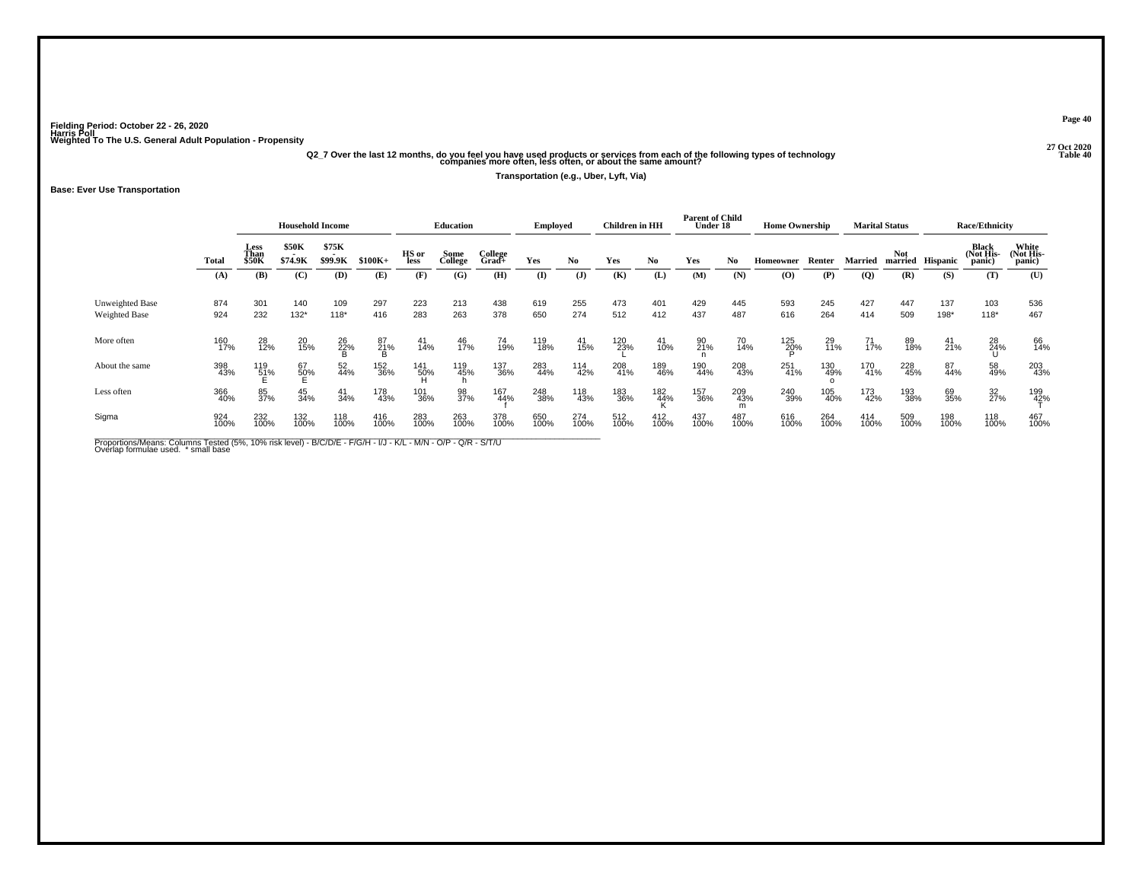## .<br>Q2\_7 Over the last 12 months, do you feel you have used products or services from each of the following types of technology<br>13ble 40 companies more often, less often, or about the same amount?

**Transportation (e.g., Uber, Lyft, Via)**

### **Base: Ever Use Transportation**

|                                         |              |                              | <b>Household Income</b>                      |                  |             |                            | <b>Education</b> |                     | Employed    |               | <b>Children</b> in HH |                    | <b>Parent of Child</b><br>Under 18 |                 | <b>Home Ownership</b> |             |                | <b>Marital Status</b> |                 | <b>Race/Ethnicity</b>        |                              |
|-----------------------------------------|--------------|------------------------------|----------------------------------------------|------------------|-------------|----------------------------|------------------|---------------------|-------------|---------------|-----------------------|--------------------|------------------------------------|-----------------|-----------------------|-------------|----------------|-----------------------|-----------------|------------------------------|------------------------------|
|                                         | <b>Total</b> | Less<br>Than<br><b>\$50K</b> | \$50K<br>$\overline{\phantom{a}}$<br>\$74.9K | \$75K<br>\$99.9K | $$100K+$    | HS or<br>less              | Some<br>College  | College<br>$Grad +$ | Yes         | No.           | Yes                   | No.                | Yes                                | No              | Homeowner             | Renter      | Married        | <b>Not</b><br>married | <b>Hispanic</b> | Black<br>(Not His-<br>panic) | White<br>(Not His-<br>panic) |
|                                         | (A)          | (B)                          | (C)                                          | (D)              | (E)         | (F)                        | (G)              | (H)                 | (I)         | $($ $\bf{J})$ | (K)                   | (L)                | (M)                                | (N)             | $\bf{(0)}$            | (P)         | $\overline{Q}$ | (R)                   | (S)             | (T)                          | (U)                          |
| Unweighted Base<br><b>Weighted Base</b> | 874<br>924   | 301<br>232                   | 140<br>$132*$                                | 109<br>$118*$    | 297<br>416  | 223<br>283                 | 213<br>263       | 438<br>378          | 619<br>650  | 255<br>274    | 473<br>512            | 401<br>412         | 429<br>437                         | 445<br>487      | 593<br>616            | 245<br>264  | 427<br>414     | 447<br>509            | 137<br>198*     | 103<br>$118*$                | 536<br>467                   |
| More often                              | 160<br>17%   | 28<br>12%                    | 20<br>15%                                    | 26<br>22%        | 87<br>21%   | 41<br>14%                  | 46<br>17%        | 74<br>19%           | 119<br>18%  | 41<br>15%     | 120<br>23%            | 41<br>10%          | 90<br>21%                          | 70<br>14%       | 125<br>20%            | 29<br>11%   | 71<br>17%      | 89<br>18%             | $^{41}_{21\%}$  | 28<br>24%                    | 66<br>14%                    |
| About the same                          | 398<br>43%   | 119<br>51%                   | $^{67}_{50\%}$                               | 52<br>44%        | 152<br>36%  | 141<br>50%<br>$\mathbf{1}$ | 119<br>45%       | 137<br>36%          | 283<br>44%  | 114<br>42%    | 208<br>41%            | 189<br>46%         | 190<br>44%                         | 208<br>43%      | 251<br>41%            | 130<br>49%  | 170<br>41%     | 228<br>45%            | 87<br>44%       | 58<br>49%                    | 203<br>43%                   |
| Less often                              | 366<br>40%   | 85<br>37%                    | 45<br>34%                                    | 41<br>34%        | 178<br>43%  | 101<br>36%                 | 98<br>37%        | 167<br>44%          | 248<br>38%  | 118<br>43%    | 183<br>36%            | $\frac{182}{44\%}$ | 157<br>36%                         | 209<br>43%<br>m | 240<br>39%            | 105<br>40%  | 173<br>42%     | 193<br>38%            | 69<br>35%       | 32<br>27%                    | 199<br>42%                   |
| Sigma                                   | 924<br>100%  | 232<br>100%                  | 132<br>100%                                  | 118<br>100%      | 416<br>100% | 283<br>100%                | 263<br>100%      | 378<br>100%         | 650<br>100% | 274<br>100%   | 512<br>100%           | 412<br>100%        | 437<br>100%                        | 487<br>100%     | 616<br>100%           | 264<br>100% | 414<br>100%    | 509<br>100%           | 198<br>100%     | 118<br>100%                  | 467<br>100%                  |

Proportions/Means: Columns Tested (5%, 10% risk level) - B/C/D/E - F/G/H - I/J - K/L - M/N - O/P - Q/R - S/T/U<br>Overlap formulae used. \*small base

**Page 40**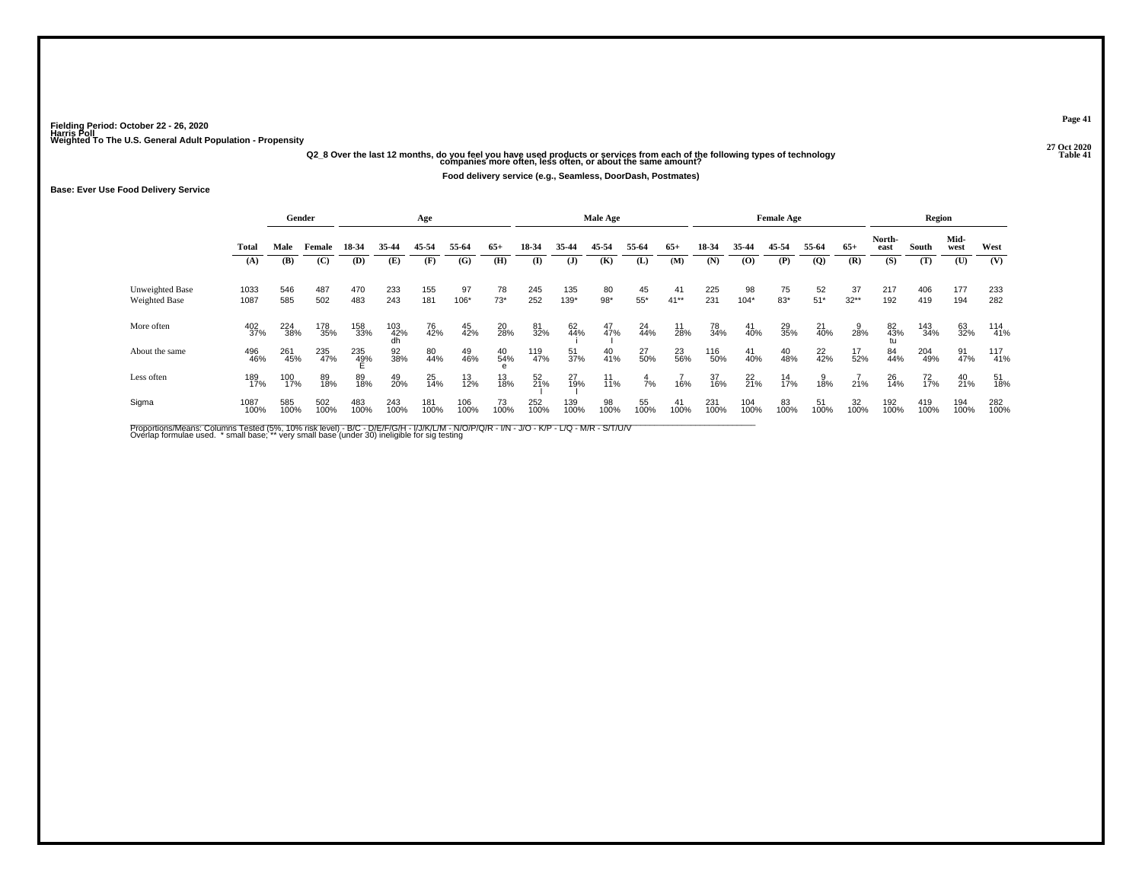## **27 Oct 2020Q2\_8 Over the last 12 months, do you feel you have used products or services from each of the following types of technology Table 41 companies more often, less often, or about the same amount?**

**Food delivery service (e.g., Seamless, DoorDash, Postmates)**

### **Base: Ever Use Food Delivery Service**

|                                         |              |             | Gender      |             |             | Age            |             |                |             |                  | Male Age          |             |                   |             |                | <b>Female Age</b> |                |               |                | Region          |              |             |
|-----------------------------------------|--------------|-------------|-------------|-------------|-------------|----------------|-------------|----------------|-------------|------------------|-------------------|-------------|-------------------|-------------|----------------|-------------------|----------------|---------------|----------------|-----------------|--------------|-------------|
|                                         | <b>Total</b> | Male        | Female      | 18-34       | 35-44       | 45-54          | 55-64       | $65+$          | 18-34       | 35-44            | 45-54             | 55-64       | $65+$             | 18-34       | 35-44          | 45-54             | 55-64          | $65+$         | North-<br>east | South           | Mid-<br>west | West        |
|                                         | (A)          | (B)         | (C)         | (D)         | (E)         | (F)            | (G)         | (H)            | (I)         | (J)              | (K)               | (L)         | (M)               | (N)         | (O)            | (P)               | $\overline{Q}$ | (R)           | (S)            | (T)             | (U)          | (V)         |
| Unweighted Base<br><b>Weighted Base</b> | 1033<br>1087 | 546<br>585  | 487<br>502  | 470<br>483  | 233<br>243  | 155<br>181     | 97<br>106*  | 78<br>$73*$    | 245<br>252  | 135<br>139*      | 80<br>$98*$       | 45<br>$55*$ | 41<br>$41**$      | 225<br>231  | 98<br>$104*$   | 75<br>$83*$       | 52<br>$51*$    | 37<br>$32***$ | 217<br>192     | 406<br>419      | 177<br>194   | 233<br>282  |
| More often                              | 402<br>37%   | 224<br>38%  | 178<br>35%  | 158<br>33%  | 103<br>42%  | 76<br>42%      | 45<br>42%   | 20<br>28%      | 81<br>32%   | 62<br>44%        | 47%               | 24<br>44%   | $\frac{11}{28\%}$ | 78<br>34%   | 41<br>40%      | 29<br>35%         | 21<br>40%      | 28%           | 82<br>43%      | 143<br>34%      | 63<br>32%    | 114<br>41%  |
| About the same                          | 496<br>46%   | 261<br>45%  | 235<br>47%  | 235<br>49%  | 92<br>38%   | 80<br>44%      | 49<br>46%   | 40<br>54%      | 119<br>47%  | $\frac{51}{37%}$ | 40<br>41%         | 27<br>50%   | 23<br>56%         | 116<br>50%  | 41<br>40%      | $^{40}_{48\%}$    | $^{22}_{42\%}$ | 17<br>52%     | 84<br>44%      | 204<br>49%      | 91<br>47%    | 117<br>41%  |
| Less often                              | 189<br>17%   | 100<br>17%  | 89<br>18%   | 89<br>18%   | 49<br>20%   | $^{25}_{14\%}$ | 13<br>12%   | $^{13}_{18\%}$ | 52<br>21%   | 27<br>19%        | $\frac{11}{11\%}$ | 7%          | 16%               | 37<br>16%   | $^{22}_{21\%}$ | $\frac{14}{17\%}$ | 38%            | 21%           | 26<br>14%      | 72 <sub>%</sub> | 40<br>21%    | 51<br>18%   |
| Sigma                                   | 1087<br>100% | 585<br>100% | 502<br>100% | 483<br>100% | 243<br>100% | 181<br>100%    | 106<br>100% | 73<br>100%     | 252<br>100% | 139<br>100%      | 98<br>100%        | 55<br>100%  | 41<br>100%        | 231<br>100% | 104<br>100%    | 83<br>100%        | 51<br>100%     | 32<br>100%    | 192<br>100%    | 419<br>100%     | 194<br>100%  | 282<br>100% |

Proportions/Means: Columns Tested (5%, 10% risk level) - B/C - D/E/F/G/H - I/J/K/L/M - N/O/P/Q/R - I/N - J/O - K/P - L/Q - M/R - S/T/U/V<br>Overlap formulae used. \*small base; \*very small base (under 30) ineligible for sig te

**Page 41**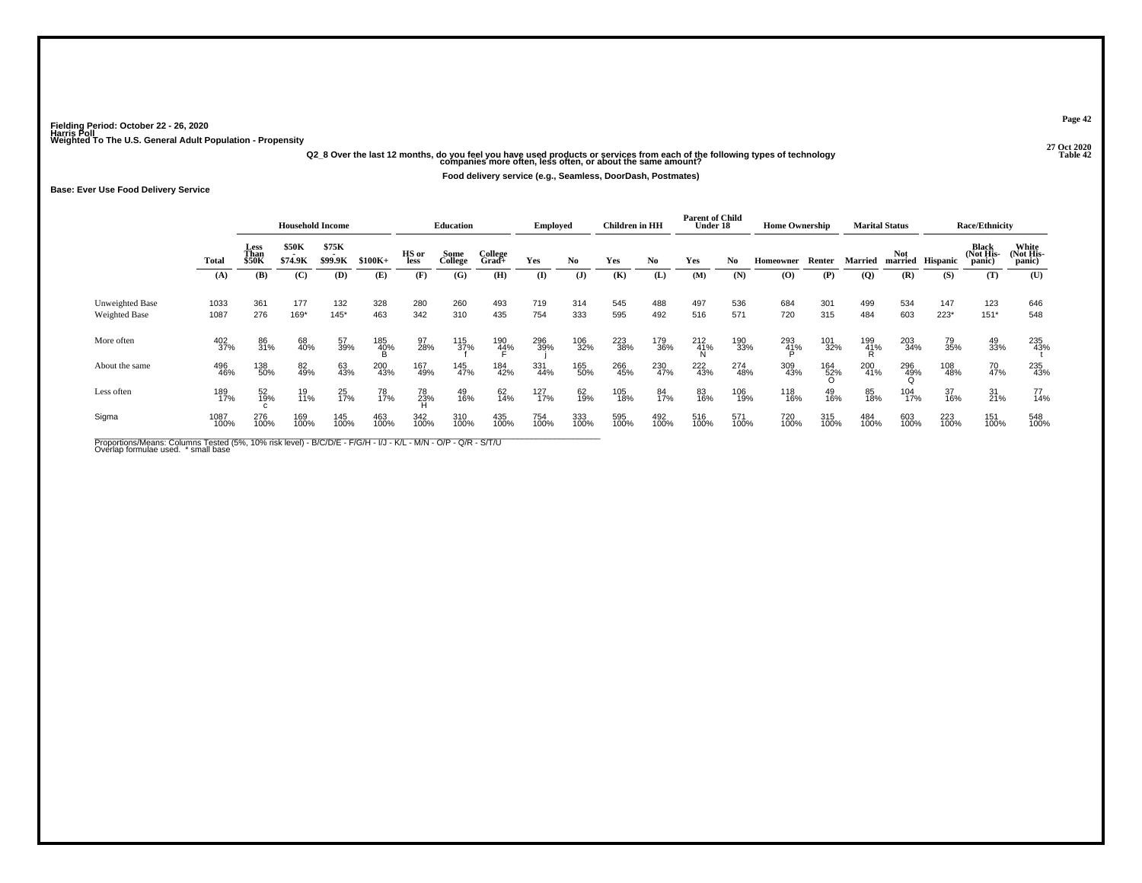## **27 Oct 2020Q2\_8 Over the last 12 months, do you feel you have used products or services from each of the following types of technology Table 42 companies more often, less often, or about the same amount?**

**Food delivery service (e.g., Seamless, DoorDash, Postmates)**

**Base: Ever Use Food Delivery Service**

|                                  |              |                              | <b>Household Income</b> |                         |             |               | <b>Education</b> |                     | Employed    |                | <b>Children in HH</b> |             | <b>Parent of Child</b><br><b>Under 18</b> |             | <b>Home Ownership</b>                    |                                |                 | <b>Marital Status</b> |                 | <b>Race/Ethnicity</b>        |                              |
|----------------------------------|--------------|------------------------------|-------------------------|-------------------------|-------------|---------------|------------------|---------------------|-------------|----------------|-----------------------|-------------|-------------------------------------------|-------------|------------------------------------------|--------------------------------|-----------------|-----------------------|-----------------|------------------------------|------------------------------|
|                                  | Total        | Less<br>Than<br><b>\$50K</b> | <b>\$50K</b><br>\$74.9K | \$75K<br><b>\$99.9K</b> | $$100K+$    | HS or<br>less | Some<br>College  | College<br>$Grad +$ | Yes         | No.            | Yes                   | No.         | Yes                                       | No          | Homeowner                                | Renter                         | Married         | Not<br>married        | <b>Hispanic</b> | Black<br>(Not His-<br>panic) | White<br>(Not His-<br>panic) |
|                                  | (A)          | (B)                          | (C)                     | (D)                     | (E)         | (F)           | (G)              | (H)                 | (I)         | $(\mathbf{J})$ | (K)                   | (L)         | (M)                                       | (N)         | $\boldsymbol{\left( \mathbf{O} \right)}$ | (P)                            | $\overline{Q}$  | (R)                   | (S)             | (T)                          | (U)                          |
| Unweighted Base<br>Weighted Base | 1033<br>1087 | 361<br>276                   | 177<br>169*             | 132<br>$145*$           | 328<br>463  | 280<br>342    | 260<br>310       | 493<br>435          | 719<br>754  | 314<br>333     | 545<br>595            | 488<br>492  | 497<br>516                                | 536<br>571  | 684<br>720                               | 301<br>315                     | 499<br>484      | 534<br>603            | 147<br>$223*$   | 123<br>$151*$                | 646<br>548                   |
| More often                       | 402<br>37%   | 86<br>31%                    | 68<br>40%               | 57<br>39%               | 185<br>40%  | 97<br>28%     | 115<br>37%       | 190<br>4 <u>4</u> % | 296<br>39%  | 106<br>32%     | 223<br>38%            | 179<br>36%  | $^{212}_{41\%}$                           | 190<br>33%  | 293<br>41%                               | 101<br>32%                     | 199<br>41%<br>R | 203<br>34%            | 79<br>35%       | 49<br>33%                    | 235<br>43%                   |
| About the same                   | 496<br>46%   | 138<br>50%                   | 82<br>49%               | 63<br>43%               | 200<br>43%  | 167<br>49%    | 145<br>47%       | 184<br>42%          | 331<br>44%  | 165<br>50%     | 266<br>45%            | 230<br>47%  | 222<br>43%                                | 274<br>48%  | 309<br>43%                               | $^{164}_{\substack{52\%\\0} }$ | 200<br>41%      | 296<br>49%            | 108<br>48%      | 70<br>47%                    | 235<br>43%                   |
| Less often                       | 189<br>17%   | 52<br>19%                    | 19<br>11%               | 25<br>17%               | 78<br>17%   | 78<br>23%     | 49<br>16%        | 62<br>14%           | 127<br>17%  | 62<br>19%      | 105<br>18%            | 84<br>17%   | 83<br>16%                                 | 106<br>19%  | 118<br>16%                               | 49<br>16%                      | 85<br>18%       | 104<br>17%            | 37<br>16%       | 31<br>21%                    | 77<br>14%                    |
| Sigma                            | 1087<br>100% | 276<br>100%                  | 169<br>100%             | 145<br>100%             | 463<br>100% | 342<br>100%   | 310<br>100%      | 435<br>100%         | 754<br>100% | 333<br>100%    | 595<br>100%           | 492<br>100% | 516<br>100%                               | 571<br>100% | 720<br>100%                              | 315<br>100%                    | 484<br>100%     | 603<br>100%           | 223<br>100%     | 151<br>100%                  | 548<br>100%                  |

Proportions/Means: Columns Tested (5%, 10% risk level) - B/C/D/E - F/G/H - I/J - K/L - M/N - O/P - Q/R - S/T/U<br>Overlap formulae used. \*small base

**Page 42**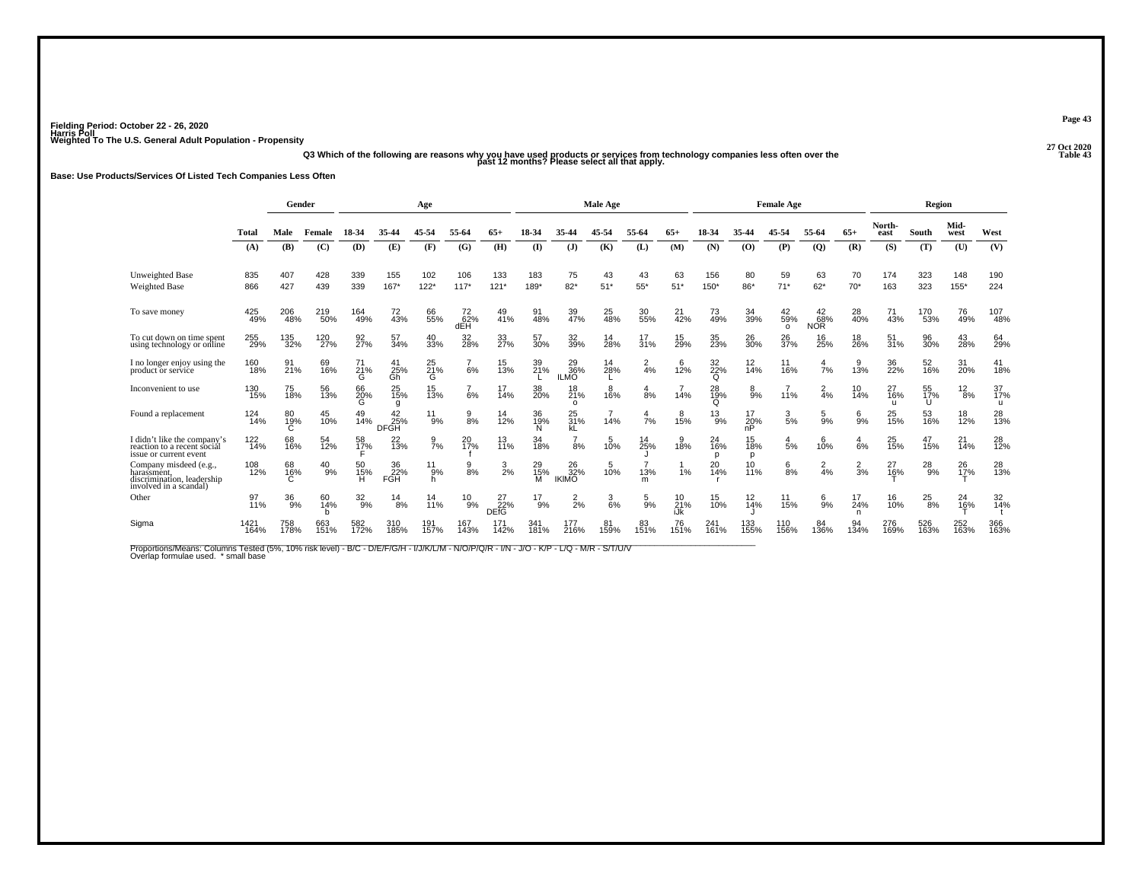**27 Oct 2020Q3 Which of the following are reasons why you have used products or services from technology companies less often over the Table 43 past 12 months? Please select all that apply.**

### **Base: Use Products/Services Of Listed Tech Companies Less Often**

|                                                                                               |                 | Gender         |               |                  |                         | Age                  |                        |                               |                |                           | <b>Male Age</b> |                       |                       |                           |                   | <b>Female Age</b>     |                              |                  |                   | <b>Region</b>  |                  |                |
|-----------------------------------------------------------------------------------------------|-----------------|----------------|---------------|------------------|-------------------------|----------------------|------------------------|-------------------------------|----------------|---------------------------|-----------------|-----------------------|-----------------------|---------------------------|-------------------|-----------------------|------------------------------|------------------|-------------------|----------------|------------------|----------------|
|                                                                                               | Total           | Male           | Female        | 18-34            | 35-44                   | 45-54                | 55-64                  | 65+                           | 18-34          | 35-44                     | 45-54           | 55-64                 | $65+$                 | 18-34                     | 35-44             | 45-54                 | 55-64                        | $65+$            | North-<br>east    | South          | Mid-<br>west     | West           |
|                                                                                               | (A)             | (B)            | (C)           | (D)              | (E)                     | (F)                  | (G)                    | (H)                           | $\mathbf{I}$   | (J)                       | (K)             | (L)                   | (M)                   | (N)                       | (0)               | (P)                   | (Q)                          | (R)              | (S)               | (T)            | (U)              | (V)            |
| Unweighted Base<br>Weighted Base                                                              | 835<br>866      | 407<br>427     | 428<br>439    | 339<br>339       | 155<br>$167*$           | 102<br>$122*$        | 106<br>$117*$          | 133<br>$121*$                 | 183<br>189*    | 75<br>$82*$               | 43<br>$51*$     | 43<br>$55*$           | 63<br>$51*$           | 156<br>$150*$             | 80<br>86*         | 59<br>$71*$           | 63<br>$62*$                  | 70<br>$70*$      | 174<br>163        | 323<br>323     | 148<br>$155*$    | 190<br>224     |
| To save money                                                                                 | 425<br>49%      | 206<br>48%     | 219<br>50%    | 164<br>49%       | 72<br>43%               | 66<br>55%            | 72 <sub>%</sub><br>dEH | 49<br>41%                     | 91<br>48%      | 39<br>47%                 | 25<br>48%       | 30<br>55%             | 21<br>42%             | 73<br>49%                 | 34<br>39%         | 42<br>59%<br>$\Omega$ | $^{42}_{68\%}$<br><b>NOR</b> | 28<br>40%        | 71<br>43%         | 170<br>53%     | 76<br>49%        | 107<br>48%     |
| To cut down on time spent<br>using technology or online                                       | 255<br>29%      | 135<br>32%     | 120<br>27%    | 92 <sub>7%</sub> | 57<br>34%               | 40<br>33%            | 32<br>28%              | 33<br>27%                     | 57<br>30%      | 32<br>39%                 | 14<br>28%       | 17<br>31%             | 15<br>29%             | 35<br>23%                 | 26<br>30%         | 26<br>37%             | 16<br>25%                    | 18<br>26%        | $\frac{51}{31\%}$ | 96<br>30%      | 43<br>28%        | 64<br>29%      |
| I no longer enjoy using the<br>product or service                                             | 160<br>18%      | 91<br>21%      | 69<br>16%     | 71<br>21%<br>G   | 41<br>$\frac{25}{6}$    | 25<br>21%<br>G       | 6%                     | 15<br>13%                     | 39<br>21%      | 29<br>36%<br><b>ILMO</b>  | 14<br>28%       | $\frac{2}{4}$ %       | 12%                   | 32 <sub>%</sub><br>Q      | $\frac{12}{14\%}$ | 11<br>16%             | $\frac{4}{7}$ %              | 9<br>13%         | 36<br>22%         | 52<br>16%      | 31<br><b>20%</b> | 41<br>18%      |
| Inconvenient to use                                                                           | 130<br>15%      | 75<br>18%      | 56<br>13%     | 66<br>20%<br>G   | 25 <sub>%</sub><br>q    | 15<br>13%            | 6%                     | 17<br>14%                     | 38<br>20%      | 18<br>21%<br>$\circ$      | 8<br>16%        | $\frac{4}{8%}$        | 14%                   | 28<br>19%<br>Q            | $8\%$             | 11%                   | $\frac{2}{4}$ %              | $\frac{10}{14%}$ | 27<br>16%<br>ū    | 55<br>17%<br>U | $^{12}_{8\%}$    | 37<br>17%<br>u |
| Found a replacement                                                                           | 124<br>14%      | 80<br>19%<br>С | 45<br>10%     | 49<br>14%        | 42<br>25%<br>DFGH       | 11<br>9%             | 9<br>8%                | 14<br>12%                     | 36<br>19%      | 25<br>31%<br>kL           | 14%             | 4<br>7%               | 8<br>15%              | $^{13}_{9\%}$             | 17<br>20%<br>nP   | 3<br>5%               | 5<br>9%                      | 6<br>9%          | 25<br>15%         | 53<br>16%      | 18<br>12%        | 28<br>13%      |
| I didn't like the company's<br>reaction to a recent social<br>issue or current event          | $^{122}_{14\%}$ | 68<br>16%      | 54<br>12%     | 58<br>17%        | 22<br>$\overline{13}$ % | $\frac{9}{7}$ %      | 20<br>17%              | 13<br>11%                     | 34<br>18%      | $\frac{7}{8%}$            | 5<br>10%        | $14_{25\%}$           | 18%                   | 24<br>16%<br>$\mathbf{D}$ | 15<br>18%<br>D    | 4<br>5%               | 6<br>10%                     | 4<br>6%          | 25<br>15%         | 47<br>15%      | 21<br>14%        | 28<br>12%      |
| Company misdeed (e.g.,<br>harassment,<br>discrimination, leadership<br>involved in a scandal) | 108<br>12%      | 68<br>16%      | $^{40}_{9\%}$ | 50<br>15%        | 36<br>22%<br>FGH        | $^{11}_{.9\%}$<br>h. | 9<br>8%                | $\frac{3}{2}\%$               | 29<br>15%<br>M | 26<br>32%<br><b>IKIMO</b> | 10%             | 13%<br>m              | 1%                    | 20<br>14%                 | $^{10}_{11\%}$    | $\frac{6}{8\%}$       | $\frac{2}{4}$ %              | $\frac{2}{3}$ %  | 27<br>16%         | $^{28}_{9\%}$  | 26<br>17%        | 28<br>13%      |
| Other                                                                                         | 97<br>11%       | 36<br>9%       | 60<br>14%     | $^{32}_{9\%}$    | 14<br>8%                | 14<br>11%            | $^{10}_{9\%}$          | $^{27}_{22\%}$<br><b>DEFG</b> | $^{17}_{9\%}$  | $\frac{2}{2}$ %           | 3<br>6%         | 5<br>$\overline{9}$ % | $^{10}_{21\%}$<br>iJk | 15<br>10%                 | $\frac{12}{14\%}$ | 11<br>15%             | 6<br>$\bar{9}$ %             | 17<br>24%<br>n   | 16<br>10%         | $^{25}_{8\%}$  | 24<br>16%        | 32<br>14%      |
| Sigma                                                                                         | 1421<br>164%    | 758<br>178%    | 663<br>151%   | 582<br>172%      | 310<br>185%             | 191<br>157%          | 167<br>143%            | 171<br>142%                   | 341<br>181%    | 177<br>216%               | 81<br>159%      | 83<br>151%            | 76<br>151%            | 241<br>161%               | 133<br>155%       | 110<br>156%           | 84<br>136%                   | 94<br>134%       | 276<br>169%       | 526<br>163%    | 252<br>163%      | 366<br>163%    |

**Page 43**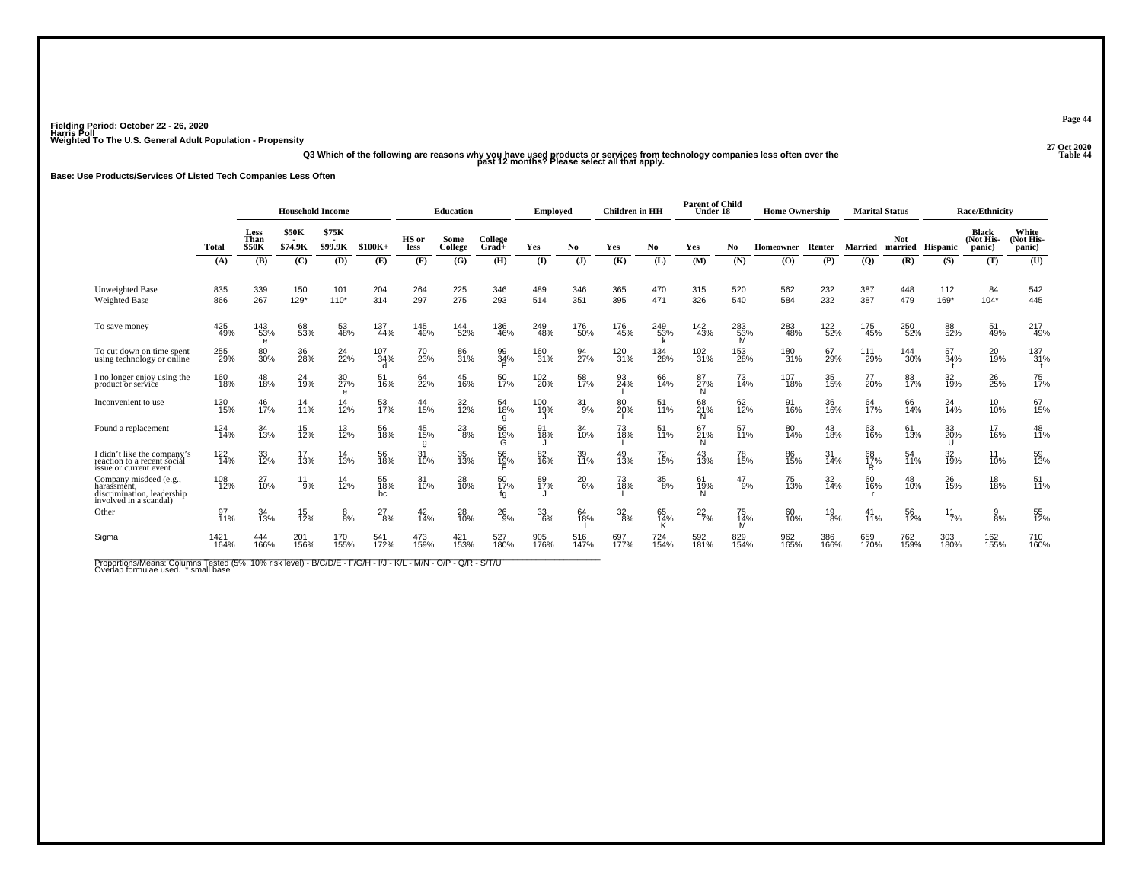**27 Oct 2020Q3 Which of the following are reasons why you have used products or services from technology companies less often over the Table 44 past 12 months? Please select all that apply.**

**Base: Use Products/Services Of Listed Tech Companies Less Often**

|                                                                                               |              |                              | <b>Household Income</b> |                         |                 |                | <b>Education</b> |                  | <b>Employed</b> |             | <b>Children</b> in HH |                  | <b>Parent of Child</b><br>Under 18 |                 | <b>Home Ownership</b> |               |                | <b>Marital Status</b> |                 | <b>Race/Ethnicity</b>               |                              |
|-----------------------------------------------------------------------------------------------|--------------|------------------------------|-------------------------|-------------------------|-----------------|----------------|------------------|------------------|-----------------|-------------|-----------------------|------------------|------------------------------------|-----------------|-----------------------|---------------|----------------|-----------------------|-----------------|-------------------------------------|------------------------------|
|                                                                                               | Total        | Less<br>Than<br><b>\$50K</b> | <b>\$50K</b><br>\$74.9K | \$75K<br><b>\$99.9K</b> | $$100K+$        | HS or<br>less  | Some<br>College  | College<br>Grad+ | Yes             | No.         | Yes                   | No               | Yes                                | No.             | <b>Homeowner</b>      | Renter        | <b>Married</b> | <b>Not</b><br>married | <b>Hispanic</b> | <b>Black</b><br>(Not His-<br>panic) | White<br>(Not His-<br>panic) |
|                                                                                               | (A)          | (B)                          | (C)                     | (D)                     | (E)             | (F)            | (G)              | (H)              | <b>(I)</b>      | (J)         | (K)                   | (L)              | (M)                                | (N)             | (0)                   | (P)           | (Q)            | (R)                   | (S)             | (T)                                 | (U)                          |
| Unweighted Base<br><b>Weighted Base</b>                                                       | 835<br>866   | 339<br>267                   | 150<br>$129*$           | 101<br>$110*$           | 204<br>314      | 264<br>297     | 225<br>275       | 346<br>293       | 489<br>514      | 346<br>351  | 365<br>395            | 470<br>471       | 315<br>326                         | 520<br>540      | 562<br>584            | 232<br>232    | 387<br>387     | 448<br>479            | 112<br>169*     | 84<br>$104*$                        | 542<br>445                   |
| To save money                                                                                 | 425<br>49%   | 143<br>53%<br>e              | 68<br>53%               | 53<br>48%               | 137<br>44%      | 145<br>49%     | 144<br>52%       | 136<br>46%       | 249<br>48%      | 176<br>50%  | 176<br>45%            | 249<br>53%       | 142<br>43%                         | 283<br>53%<br>M | 283<br>48%            | 122%          | 175<br>45%     | 250<br>52%            | 88<br>52%       | 51<br>49%                           | 217<br>49%                   |
| To cut down on time spent<br>using technology or online                                       | 255<br>29%   | 80<br>30%                    | 36<br>28%               | 24<br>22%               | 107<br>34%<br>d | 70<br>23%      | 86<br>31%        | 99<br>34%        | 160<br>31%      | 94<br>27%   | 120<br>31%            | 134<br>28%       | 102<br>31%                         | 153<br>28%      | 180<br>31%            | 67<br>29%     | 111<br>29%     | 144<br>30%            | 57<br>34%       | 20<br>19%                           | 137<br>31%                   |
| I no longer enjoy using the<br>product or service                                             | 160<br>18%   | 48<br>18%                    | 24<br>19%               | 30<br>27%<br>e          | 51<br>16%       | 64<br>22%      | 45<br>16%        | 50<br>17%        | 102<br>20%      | 58<br>17%   | 93<br>24%             | 66<br>14%        | 87<br>27%<br>N                     | 73<br>14%       | 107<br>18%            | 35<br>15%     | 77<br>20%      | 83<br>17%             | 32<br>19%       | 26<br>25%                           | 75<br>17%                    |
| Inconvenient to use                                                                           | 130<br>15%   | 46<br>17%                    | 14<br>11%               | 14<br>12%               | 53<br>17%       | 44<br>15%      | 32<br>12%        | 54<br>18%        | 100<br>19%      | 31<br>9%    | 80<br>20%             | 51<br>11%        | 68<br>21%                          | 62<br>12%       | 91<br>16%             | 36<br>16%     | 64<br>17%      | 66<br>14%             | $^{24}_{14\%}$  | 10<br>10%                           | 67<br>15%                    |
| Found a replacement                                                                           | 124<br>14%   | 34<br>13%                    | 15<br>12%               | 13<br>12%               | 56<br>18%       | 45<br>15%<br>g | $^{23}_{8\%}$    | 56<br>19%<br>G   | 91<br>18%       | 34<br>10%   | 73<br>18%             | 11%              | 67<br>21%                          | 57<br>11%       | 80<br>14%             | 43<br>18%     | 63<br>16%      | 61<br>13%             | 33<br>20%<br>u  | 17<br>16%                           | 48<br>11%                    |
| I didn't like the company's<br>reaction to a recent social<br>issue or current event          | 122<br>14%   | 33<br>12%                    | 17<br>13%               | $\frac{14}{13%}$        | 56<br>18%       | 31<br>10%      | 35<br>13%        | 56<br>19%        | 82<br>16%       | 39<br>11%   | 49<br>13%             | 72 <sub>0%</sub> | 43<br>13%                          | 78<br>15%       | 86<br>15%             | 31<br>14%     | 68<br>17%<br>R | 54<br>11%             | 32<br>19%       | $\frac{11}{10\%}$                   | 59<br>13%                    |
| Company misdeed (e.g.,<br>harassment,<br>discrimination, leadership<br>involved in a scandal) | 108<br>12%   | $^{27}_{10\%}$               | $^{11}_{9\%}$           | 14<br>12%               | 55<br>18%<br>bc | 31<br>10%      | 28<br>10%        | 50<br>17%<br>fa  | 89<br>17%       | 20<br>6%    | 73<br>18%             | $^{35}_{8\%}$    | 61<br>19%                          | 47<br>9%        | 75<br>13%             | 32<br>14%     | 60<br>16%      | 48<br>10%             | 26<br>15%       | 18<br>18%                           | 51 <sub>%</sub>              |
| Other                                                                                         | 97<br>11%    | 34<br>13%                    | 15<br>12%               | 8%                      | $^{27}_{8\%}$   | $^{42}_{14\%}$ | 28<br>10%        | $^{26}_{9\%}$    | $33\over 6\%$   | 64<br>18%   | $\frac{32}{8\%}$      | 65<br>14%<br>K   | $^{22}_{7\%}$                      | 75<br>14%<br>м  | 60<br>10%             | $^{19}_{8\%}$ | 41<br>11%      | 56<br>12%             | $^{11}_{7\%}$   | $\frac{9}{8\%}$                     | 55<br>12%                    |
| Sigma                                                                                         | 1421<br>164% | 444<br>166%                  | 201<br>156%             | 170<br>155%             | 541<br>172%     | 473<br>159%    | 421<br>153%      | 527<br>180%      | 905<br>176%     | 516<br>147% | 697<br>177%           | 724<br>154%      | 592<br>181%                        | 829<br>154%     | 962<br>165%           | 386<br>166%   | 659<br>170%    | 762<br>159%           | 303<br>180%     | 162<br>155%                         | 710<br>160%                  |

Proportions/Means: Columns Tested (5%, 10% risk level) - B/C/D/E - F/G/H - I/J - K/L - M/N - O/P - Q/R - S/T/U<br>Overlap formulae used. \*small base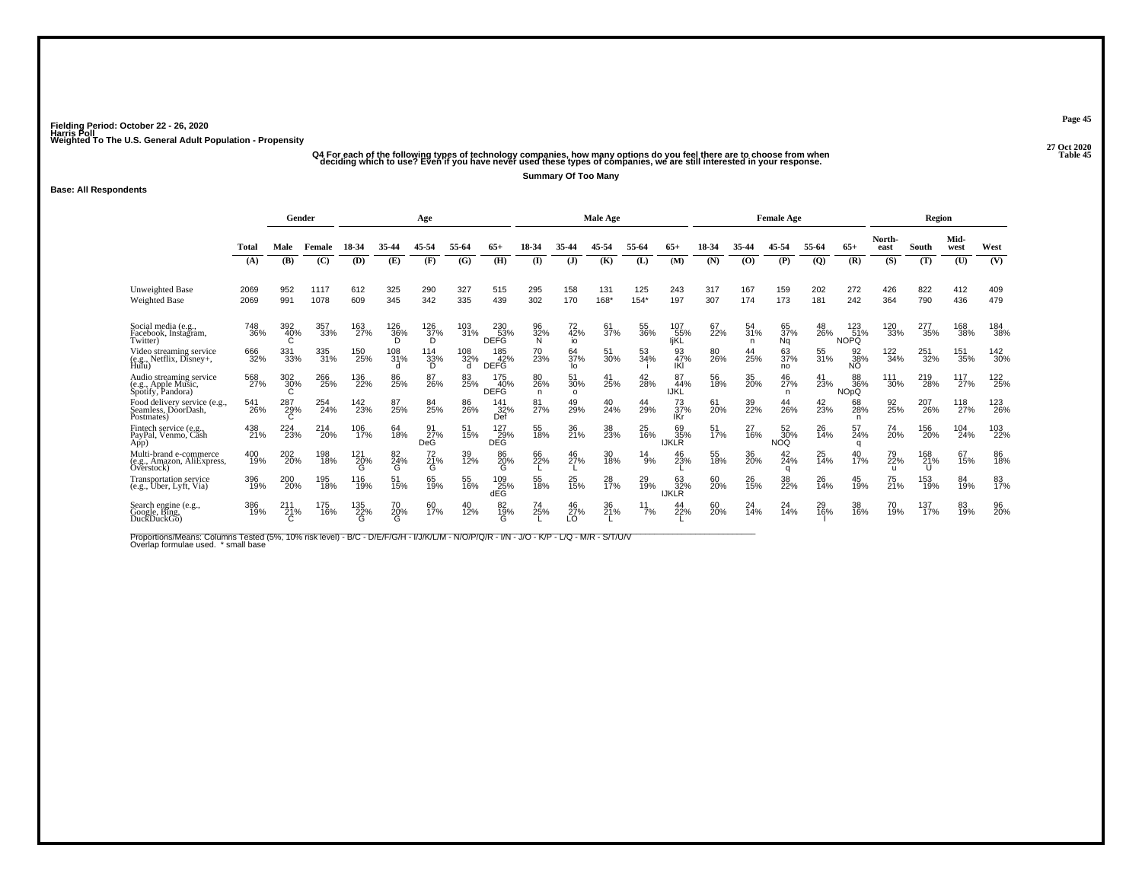## ۔<br>45 Q4 For each of the following types of technology companies, how many options do you feel there are to choose from when<br>45 deciding which to use? Even if you have never used these types of companies, we are still inte

**Summary Of Too Many**

#### **Base: All Respondents**

|                                                                     |              | Gender     |              |                 |                 | Age              |                            |                           |                |                       | <b>Male Age</b>       |               |                           |                  |                | <b>Female Age</b>       |              |                           |                           | Region          |              |            |
|---------------------------------------------------------------------|--------------|------------|--------------|-----------------|-----------------|------------------|----------------------------|---------------------------|----------------|-----------------------|-----------------------|---------------|---------------------------|------------------|----------------|-------------------------|--------------|---------------------------|---------------------------|-----------------|--------------|------------|
|                                                                     | Total        | Male       | Female       | 18-34           | 35-44           | 45-54            | 55-64                      | 65+                       | $18-34$        |                       | 45-54                 | 55-64         | $65+$                     | 18-34            | 35-44          | 45-54                   | 55-64        | $65+$                     | North-<br>east            | South           | Mid-<br>west | West       |
|                                                                     | (A)          | (B)        | (C)          | (D)             | (E)             | (F)              | (G)                        | (H)                       | (I)            | (J)                   | (K)                   | (L)           | (M)                       | (N)              | (O)            | (P)                     | $\mathbf{Q}$ | (R)                       | (S)                       | (T)             | (U)          | (V)        |
| Unweighted Base<br>Weighted Base                                    | 2069<br>2069 | 952<br>991 | 1117<br>1078 | 612<br>609      | 325<br>345      | 290<br>342       | 327<br>335                 | 515<br>439                | 295<br>302     | 158<br>170            | 131<br>168*           | 125<br>$154*$ | 243<br>197                | 317<br>307       | 167<br>174     | 159<br>173              | 202<br>181   | 272<br>242                | 426<br>364                | 822<br>790      | 412<br>436   | 409<br>479 |
| Social media (e.g.,<br>Facebook, Instagram,<br>Twitter)             | 748<br>36%   | 392<br>40% | 357<br>33%   | 163<br>27%      | 126<br>36%<br>D | 126<br>37%<br>D  | 103<br>31%                 | 230<br>53%<br><b>DEFG</b> | 96<br>32%<br>N | 72<br>42%<br>io       | -61<br>37%            | 55<br>36%     | 107<br>55%<br>likl        | 67<br>22%        | 54<br>31%<br>n | 65<br>37%<br><b>Ng</b>  | 48<br>26%    | 123<br>51%<br><b>NOPQ</b> | 120<br>33%                | 277<br>35%      | 168<br>38%   | 184<br>38% |
| Video streaming service<br>(e.g., Netflix, Disney+, Hulu)           | 666<br>32%   | 331<br>33% | 335<br>31%   | 150<br>25%      | 108<br>31%<br>d | 114<br>33%<br>D  | 108<br>32%<br><sub>d</sub> | 185<br>42%<br><b>DEFG</b> | 70<br>23%      | 64<br>37%<br>lo       | 51<br>30%             | 53<br>34%     | 93<br>47%<br>IKI          | 80<br>26%        | 44<br>25%      | 63<br>37%<br>no         | 55<br>31%    | 92<br>38%<br>NO           | 122<br>34%                | 251<br>32%      | 151<br>35%   | 142<br>30% |
| Audio streaming service<br>(e.g., Apple Music,<br>Spotify, Pandora) | 568<br>27%   | 302<br>30% | 266<br>25%   | 136<br>22%      | 86<br>25%       | 87<br>26%        | 83<br>25%                  | 175<br>40%<br><b>DEFG</b> | 80<br>26%<br>n | 51<br>30%<br>$\Omega$ | 41<br>25%             | 42<br>28%     | 87<br>44%<br><b>IJKL</b>  | 56<br>18%        | 35<br>20%      | 46<br>27%<br>n          | 41<br>23%    | 88<br>36%<br><b>NOpQ</b>  | 111<br>30%                | 219<br>28%      | 117<br>27%   | 122<br>25% |
| Food delivery service (e.g.,<br>Seamless, DoorDash,<br>Postmates)   | 541<br>26%   | 287<br>29% | 254<br>24%   | 142<br>23%      | 87<br>25%       | 84<br>25%        | 86<br>26%                  | 141<br>32%<br>Def         | 81<br>27%      | 49<br>29%             | 40<br>24%             | 44<br>29%     | 73<br>37%<br><b>IKr</b>   | 61<br>20%        | 39<br>22%      | 44<br>26%               | 42<br>23%    | 68<br>28%<br>n            | 92<br>25%                 | 207<br>26%      | 118<br>27%   | 123<br>26% |
| Fintech service (e.g.<br>PayPal, Venmo, Cash<br>App)                | 438<br>21%   | 224<br>23% | 214<br>20%   | 106<br>17%      | 64<br>18%       | 91<br>27%<br>DeG | 51<br>15%                  | 127<br>29%<br><b>DEG</b>  | 55<br>18%      | 36<br>21%             | 38<br>23%             | 25<br>16%     | 69<br>35%<br><b>IJKLR</b> | 51<br>17%        | 27<br>16%      | 52<br>30%<br><b>NOQ</b> | 26<br>14%    | 57<br>24%<br>q            | 74<br>20%                 | 156<br>20%      | 104<br>24%   | 103<br>22% |
| Multi-brand e-commerce<br>(e.g., Amazon, AliExpress,<br>Overstock)  | 400<br>19%   | 202<br>20% | 198<br>18%   | 121<br>20%<br>G | 82<br>24%<br>G  | 72<br>21%<br>G   | 39<br>12%                  | 86<br>20%<br>G            | 66<br>22%      | 46<br>27%             | 30<br>18%             | 14<br>9%      | 46<br>23%                 | 55<br>18%        | 36<br>20%      | $^{42}_{24\%}$<br>a     | 25<br>14%    | 40<br>17%                 | 79<br>22%<br>$\mathbf{H}$ | 168<br>21%<br>U | 67<br>15%    | 86<br>18%  |
| <b>Transportation service</b><br>(e.g., Uber, Lyft, Via)            | 396<br>19%   | 200<br>20% | 195<br>18%   | 116<br>19%      | 51<br>15%       | 65<br>19%        | 55<br>16%                  | 109<br>25%<br>dEG         | 55<br>18%      | 25 <sub>%</sub>       | 28<br>17%             | 29<br>19%     | 63<br>32%<br><b>IJKLR</b> | 60<br><b>20%</b> | 26<br>15%      | 38<br>22%               | 26<br>14%    | 45<br>19%                 | 75<br>21%                 | 153<br>19%      | 84<br>19%    | 83<br>17%  |
| Search engine (e.g.,<br>Google, Bing,<br>DuckDuckGo)                | 386<br>19%   | 211<br>21% | 175<br>16%   | 135<br>22%<br>G | 70<br>20%<br>G  | 60<br>17%        | 40<br>12%                  | 82<br>19%<br>Ġ            | 74<br>25%      | 46<br>27%<br>LO       | 36<br>21 <sup>%</sup> | 11<br>7%      | 44<br>22%                 | 60<br><b>20%</b> | 24<br>14%      | 24<br>14%               | 29<br>16%    | 38<br>16%                 | 70<br>19%                 | 137<br>17%      | 83<br>19%    | 96<br>20%  |

Proportions/Means: Columns Tested (5%, 10% risk level) - B/C - D/E/F/G/H - I/J/K/L/M - N/O/P/Q/R - I/N - J/O - K/P - L/Q - M/R - S/T/U/V<br>Overlap formulae used. \*small base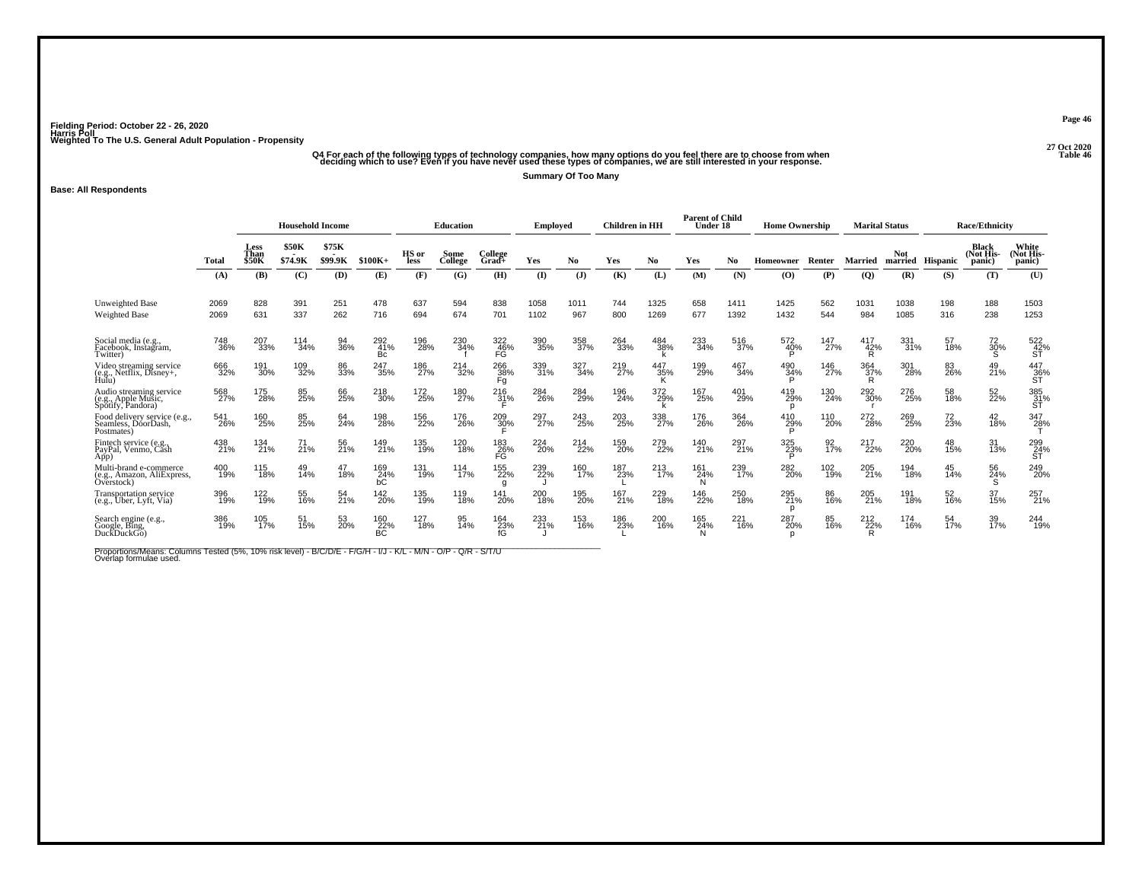### ۔<br>Q4 For each of the following types of technology companies, how many options do you feel there are to choose from when<br>deciding which to use? Even if you have never used these types of companies, we are still interested **Summary Of Too Many**

#### **Base: All Respondents**

|                                                                     |              | <b>Household Income</b>      |                         |                         |                         |               | <b>Education</b> |                     | Employed     |             | <b>Children</b> in HH |                 | <b>Parent of Child</b><br>Under 18 |              | <b>Home Ownership</b> |                 |                 | <b>Marital Status</b> |            | <b>Race/Ethnicity</b>        |                                               |
|---------------------------------------------------------------------|--------------|------------------------------|-------------------------|-------------------------|-------------------------|---------------|------------------|---------------------|--------------|-------------|-----------------------|-----------------|------------------------------------|--------------|-----------------------|-----------------|-----------------|-----------------------|------------|------------------------------|-----------------------------------------------|
|                                                                     | Total        | Less<br>Than<br><b>\$50K</b> | <b>\$50K</b><br>\$74.9K | \$75K<br>. .<br>\$99.9K | $$100K+$                | HS or<br>less | Some<br>College  | College<br>$Grad +$ | Yes          | No.         | Yes                   | No              | Yes                                | No           | <b>Homeowner</b>      | Renter          | <b>Married</b>  | <b>Not</b><br>married | Hispanic   | Black<br>(Not His-<br>panic) | White<br>(Not His-<br>panic)                  |
|                                                                     | (A)          | (B)                          | (C)                     | (D)                     | (E)                     | (F)           | (G)              | (H)                 | $\mathbf{I}$ | $($ $)$     | (K)                   | (L)             | (M)                                | (N)          | $\bf{(O)}$            | (P)             | (Q)             | (R)                   | (S)        | (T)                          | (U)                                           |
| Unweighted Base<br><b>Weighted Base</b>                             | 2069<br>2069 | 828<br>631                   | 391<br>337              | 251<br>262              | 478<br>716              | 637<br>694    | 594<br>674       | 838<br>701          | 1058<br>1102 | 1011<br>967 | 744<br>800            | 1325<br>1269    | 658<br>677                         | 1411<br>1392 | 1425<br>1432          | 562<br>544      | 1031<br>984     | 1038<br>1085          | 198<br>316 | 188<br>238                   | 1503<br>1253                                  |
| Social media (e.g.,<br>Facebook, Instagram,<br>Twitter)             | 748<br>36%   | 207<br>33%                   | 114<br>34%              | 94<br>36%               | $\frac{292}{41%}$<br>Bc | 196<br>28%    | 230<br>34%       | 322<br>46%<br>FĠ    | 390<br>35%   | 358<br>37%  | 264<br>33%            | 484<br>38%      | 233<br>34%                         | 516<br>37%   | 572<br>40%            | 147<br>27%      | 417<br>42%<br>R | 331<br>31%            | 57<br>18%  | 72<br>30%<br>s               | $\overset{522}{\underset{\mathsf{ST}}{42\%}}$ |
| Video streaming service<br>(e.g., Netflix, Disney+,<br>Hulu)        | 666<br>32%   | 191<br>30%                   | 109<br>32%              | 86<br>33%               | 247<br>35%              | 186<br>27%    | 214<br>32%       | 266<br>38%<br>Fg    | 339<br>31%   | 327<br>34%  | 219<br>27%            | 447<br>35%<br>Κ | 199<br>29%                         | 467<br>34%   | 490<br>34%            | 146<br>27%      | 364<br>37%<br>R | 301<br>28%            | 83<br>26%  | 49<br>21%                    | 447<br>36%<br>ST                              |
| Audio streaming service<br>(e.g., Apple Music,<br>Spotify, Pandora) | 568<br>27%   | 175<br>28%                   | 85<br>25%               | 66<br>25%               | 218<br>30%              | 172<br>25%    | 180<br>27%       | 216<br>31%          | 284<br>26%   | 284<br>29%  | 196<br>24%            | 372<br>29%      | 167<br>25%                         | 401<br>29%   | 419<br>29%<br>p       | 130<br>24%      | 292<br>30%      | 276<br>25%            | 58<br>18%  | 52<br>22%                    | 385<br>31%<br>ŚΤ                              |
| Food delivery service (e.g.,<br>Seamless, DoorDash<br>Postmates)    | 541<br>26%   | 160<br>25%                   | 85<br>25%               | 64<br>24%               | 198<br>28%              | 156<br>22%    | 176<br>26%       | 209<br>30%          | 297<br>27%   | 243<br>25%  | 203<br>25%            | 338<br>27%      | 176<br>26%                         | 364<br>26%   | 410<br>29%            | 110<br>20%      | 272<br>28%      | 269<br>25%            | 72<br>23%  | 42<br>18%                    | 347<br>28%                                    |
| Fintech service (e.g.,<br>PayPal, Venmo, Căsh<br>App)               | 438<br>21%   | 134<br>21%                   | 71<br>21%               | 56<br>21%               | 149<br>21%              | 135<br>19%    | 120<br>18%       | 183<br>26%<br>FĠ    | 224<br>20%   | 214<br>22%  | 159<br>20%            | 279<br>22%      | 140<br>21%                         | 297<br>21%   | 325<br>23%            | 92 <sub>%</sub> | 217<br>22%      | 220<br>20%            | 48<br>15%  | 31<br>13%                    | 299<br>24%<br>ST                              |
| Multi-brand e-commerce<br>(e.g., Amazon, AliExpress,<br>Overstock)  | 400<br>19%   | 115<br>18%                   | 49<br>14%               | 47<br>18%               | 169<br>24%<br>БĆ        | 131<br>19%    | 114<br>17%       | 155<br>22%<br>q     | 239<br>22%   | 160<br>17%  | 187<br>23%            | 213<br>17%      | 161<br>24%                         | 239<br>17%   | 282<br>20%            | 102<br>19%      | 205<br>21%      | 194<br>18%            | 45<br>14%  | 56<br>24%<br>S               | 249<br>20%                                    |
| <b>Transportation service</b><br>(e.g., Uber, Lyft, Via)            | 396<br>19%   | 122<br>19%                   | 55<br>16%               | 54<br>21%               | 142<br>20%              | 135<br>19%    | 119<br>18%       | 141<br>20%          | 200<br>18%   | 195<br>20%  | 167<br>21%            | 229<br>18%      | 146<br>22%                         | 250<br>18%   | 295<br>21%<br>D       | 86<br>16%       | 205<br>21%      | 191<br>18%            | 52<br>16%  | 37<br>15%                    | 257<br>21%                                    |
| Search engine (e.g.,<br>Google, Bing,<br>DuckDuckGo)                | 386<br>19%   | 105<br>17%                   | 51<br>15%               | 53<br>20%               | 160<br>22%<br>BC        | 127<br>18%    | 95<br>14%        | 164<br>23%<br>fG    | 233<br>21%   | 153<br>16%  | 186<br>23%            | 200<br>16%      | 165<br>24%                         | 221<br>16%   | 287<br>20%<br>n       | 85<br>16%       | 212<br>22%<br>R | 174<br>16%            | 54<br>17%  | 39<br>17%                    | 244<br>19%                                    |

Proportions/Means: Columns Tested (5%, 10% risk level) - B/C/D/E - F/G/H - I/J - K/L - M/N - O/P - Q/R - S/T/U<br>Overlap formulae used.

**Page 46**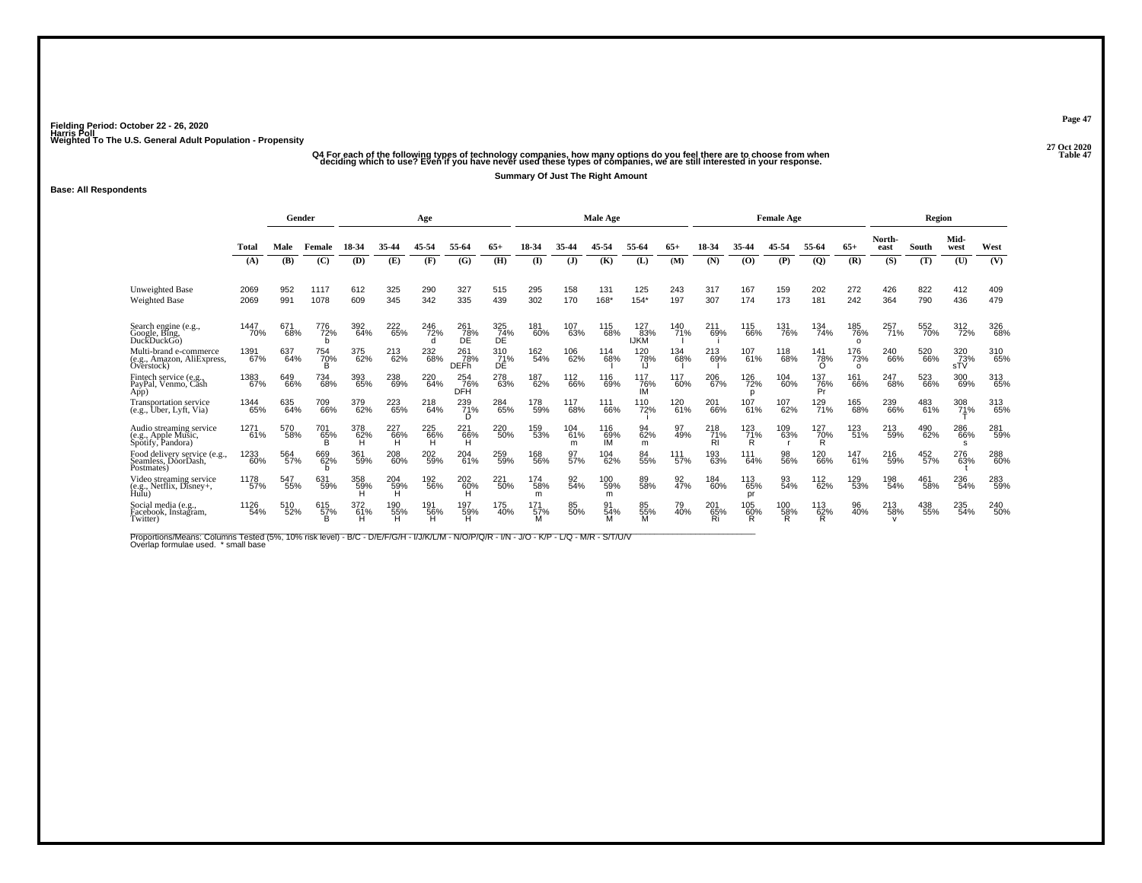## ۔<br>"Q4 For each of the following types of technology companies, how many options do you feel there are to choose from when<br>"1 deciding which to use? Even if you have never used these types of companies, we are still intere

**Summary Of Just The Right Amount**

#### **Base: All Respondents**

|                                                                     |              | Gender     |                 |                 |                 | Age             |                           |                          |                 |                 | <b>Male Age</b>  |                    |            |                         |                      | <b>Female Age</b> |                  |                        |                | Region     |                   |            |
|---------------------------------------------------------------------|--------------|------------|-----------------|-----------------|-----------------|-----------------|---------------------------|--------------------------|-----------------|-----------------|------------------|--------------------|------------|-------------------------|----------------------|-------------------|------------------|------------------------|----------------|------------|-------------------|------------|
|                                                                     | Total        | Male       | Female          |                 | 35-44           |                 | 55-64                     | 65+                      | 18-34           |                 | 45-54            | 55-64              | 65+        |                         | 35-44                | 45-54             | 55-64            | $65+$                  | North-<br>east | South      | Mid-<br>west      | West       |
|                                                                     | (A)          | (B)        | (C)             | (D)             | (E)             | (F)             | (G)                       | (H)                      | $\mathbf{I}$    | $(\mathbf{J})$  | (K)              | (L)                | (M)        | (N)                     | (O)                  | (P)               | $\overline{Q}$   | (R)                    | (S)            | (T)        | (U)               | (V)        |
| Unweighted Base<br>Weighted Base                                    | 2069<br>2069 | 952<br>991 | 1117<br>1078    | 612<br>609      | 325<br>345      | 290<br>342      | 327<br>335                | 515<br>439               | 295<br>302      | 158<br>170      | 131<br>168*      | 125<br>$154*$      | 243<br>197 | 317<br>307              | 167<br>174           | 159<br>173        | 202<br>181       | 272<br>242             | 426<br>364     | 822<br>790 | 412<br>436        | 409<br>479 |
| Search engine (e.g., Google, Bing,<br>DuckDuckGo)                   | 1447<br>70%  | 671<br>68% | 776<br>72%      | 392<br>64%      | 222<br>65%      | 246<br>72%      | 261<br>78%<br>ĎĒ          | 325<br>74%<br>ĎĖ         | 181<br>60%      | 107<br>63%      | 115<br>68%       | 127<br>83%<br>IJKM | 140<br>71% | 211<br>69%              | 115<br>66%           | 131<br>76%        | 134<br>74%       | 185<br>76%<br>$\Omega$ | 257<br>71%     | 552<br>70% | 312<br>72%        | 326<br>68% |
| Multi-brand e-commerce<br>(e.g., Amazon, AliExpress,<br>Overstock)  | 1391<br>67%  | 637<br>64% | 754<br>70%      | 375<br>62%      | 213<br>62%      | 232<br>68%      | 261<br>78%<br><b>DEFh</b> | $\frac{310}{71}\%$<br>DÉ | 162<br>54%      | 106<br>62%      | 114<br>68%       | 120<br>78%<br>IJ   | 134<br>68% | 213<br>69%              | 107<br>61%           | 118<br>68%        | 141<br>78%<br>∩  | 176<br>73%<br>$\circ$  | 240<br>66%     | 520<br>66% | 320<br>73%<br>sTV | 310<br>65% |
| Fintech service (e.g.<br>PayPal, Venmo, Cash<br>App)                | 1383<br>67%  | 649<br>66% | 734<br>68%      | 393<br>65%      | 238<br>69%      | 220<br>64%      | 254<br>76%<br><b>DFH</b>  | 278<br>63%               | 187<br>62%      | 112<br>66%      | 116<br>69%       | 117<br>76%<br>IM   | 117<br>60% | 206<br>67%              | 126<br>72%           | 104<br>60%        | 137<br>76%<br>Pr | 161<br>66%             | 247<br>68%     | 523<br>66% | 300<br>69%        | 313<br>65% |
| <b>Transportation service</b><br>(e.g., Uber, Lyft, Via)            | 1344<br>65%  | 635<br>64% | 709<br>66%      | 379<br>62%      | 223<br>65%      | 218<br>64%      | 239<br>71%<br>D           | 284<br>65%               | 178<br>59%      | 117<br>68%      | 111<br>66%       | 110<br>72%         | 120<br>61% | 201<br>66%              | 107<br>61%           | 107<br>62%        | 129<br>71%       | 165<br>68%             | 239<br>66%     | 483<br>61% | 308<br>71%        | 313<br>65% |
| Audio streaming service<br>(e.g., Apple Music,<br>Spotify, Pandora) | 1271<br>61%  | 570<br>58% | 701<br>65%<br>B | 378<br>62%<br>н | 227<br>66%<br>н | 225<br>66%<br>н | 221<br>66%<br>н           | 220<br>50%               | 159<br>53%      | 104<br>61%<br>m | 116<br>69%<br>ΙM | 94<br>62%<br>m     | 97<br>49%  | 218<br>71%<br><b>RI</b> | $^{123}_{71\%}$<br>R | 109<br>63%        | 127<br>70%<br>R  | 123<br>51%             | 213<br>59%     | 490<br>62% | 286<br>66%<br>s   | 281<br>59% |
| Food delivery service (e.g.,<br>Seamless, DoorDash,<br>Postmates)   | 1233<br>60%  | 564<br>57% | 669<br>62%      | 361<br>59%      | 208<br>60%      | 202<br>59%      | 204<br>61%                | 259<br>59%               | 168<br>56%      | 97<br>57%       | 104<br>62%       | 84<br>55%          | 111<br>57% | 193<br>63%              | 111<br>64%           | 98<br>56%         | 120<br>66%       | 147<br>61%             | 216<br>59%     | 452<br>57% | 276<br>63%        | 288<br>60% |
| Video streaming service<br>(e.g., Netflix, Disney+, Hulu)           | 1178<br>57%  | 547<br>55% | 631<br>59%      | 358<br>59%      | 204<br>59%<br>н | 192<br>56%      | 202<br>60%                | 221<br>50%               | 174<br>58%<br>m | 92<br>54%       | 100<br>59%<br>m  | 89<br>58%          | 92<br>47%  | 184<br>60%              | 113<br>65%<br>pr     | 93<br>54%         | 112<br>62%       | 129<br>53%             | 198<br>54%     | 461<br>58% | 236<br>54%        | 283<br>59% |
| Social media (e.g.,<br>Facebook, Instagram,<br>Twitter)             | 1126<br>54%  | 510<br>52% | 615<br>57%<br>B | 372<br>61%<br>н | 190<br>55%<br>н | 191<br>56%      | 197<br>59%<br>н           | 175<br>40%               | 171<br>57%      | 85<br>50%       | 91<br>54%        | 85<br>55%<br>м     | 79<br>40%  | 201<br>65%<br>Ri        | 105<br>60%<br>R      | 100<br>58%<br>R   | 113<br>62%<br>R  | 96<br>40%              | 213<br>58%     | 438<br>55% | 235<br>54%        | 240<br>50% |

Proportions/Means: Columns Tested (5%, 10% risk level) - B/C - D/E/F/G/H - I/J/K/L/M - N/O/P/Q/R - I/N - J/O - K/P - L/Q - M/R - S/T/U/V<br>Overlap formulae used. \*small base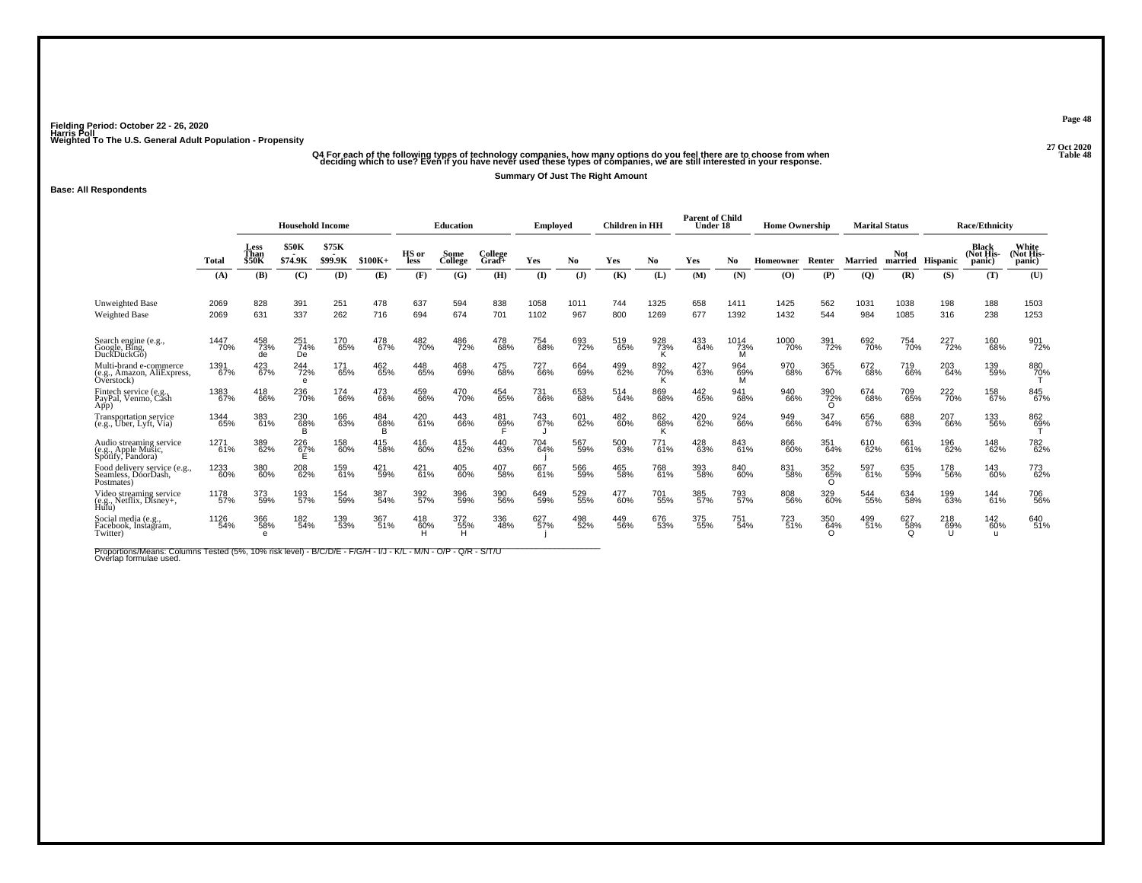## ۔<br>Q4 For each of the following types of technology companies, how many options do you feel there are to choose from when<br>deciding which to use? Even if you have never used these types of companies, we are still interested

**Summary Of Just The Right Amount**

**Base: All Respondents**

|                                                                     |              | <b>Household Income</b>             |                          |                  |            |                 | <b>Education</b> |                     | Emploved     |                | <b>Children</b> in HH |                 | <b>Parent of Child</b><br>Under 18 |                  | <b>Home Ownership</b> |                            |                | <b>Marital Status</b> |            | <b>Race/Ethnicity</b>               |                              |
|---------------------------------------------------------------------|--------------|-------------------------------------|--------------------------|------------------|------------|-----------------|------------------|---------------------|--------------|----------------|-----------------------|-----------------|------------------------------------|------------------|-----------------------|----------------------------|----------------|-----------------------|------------|-------------------------------------|------------------------------|
|                                                                     | Total        | <b>Less</b><br>Than<br><b>\$50K</b> | <b>\$50K</b><br>\$74.9K  | \$75K<br>\$99.9K | $$100K+$   | HS or<br>less   | Some<br>College  | College<br>$Grad+$  | Yes          | N <sub>0</sub> | Yes                   | No              | Yes                                | No.              | Homeowner             | Renter                     | <b>Married</b> | <b>Not</b><br>married | Hispanic   | <b>Black</b><br>(Not His-<br>panic) | White<br>(Not His-<br>panic) |
|                                                                     | (A)          | (B)                                 | (C)                      | (D)              | (E)        | (F)             | (G)              | (H)                 | (I)          | $(\mathbf{J})$ | (K)                   | (L)             | (M)                                | (N)              | (0)                   | (P)                        | $\overline{Q}$ | (R)                   | (S)        | (T)                                 | (U)                          |
| <b>Unweighted Base</b><br><b>Weighted Base</b>                      | 2069<br>2069 | 828<br>631                          | 391<br>337               | 251<br>262       | 478<br>716 | 637<br>694      | 594<br>674       | 838<br>701          | 1058<br>1102 | 1011<br>967    | 744<br>800            | 1325<br>1269    | 658<br>677                         | 1411<br>1392     | 1425<br>1432          | 562<br>544                 | 1031<br>984    | 1038<br>1085          | 198<br>316 | 188<br>238                          | 1503<br>1253                 |
| Search engine (e.g.,<br>Google, Bing,<br>DuckDuckGo)                | 1447<br>70%  | 458<br>73%<br>de                    | $\frac{251}{74\%}$<br>De | 170<br>65%       | 478<br>67% | 482<br>70%      | 486<br>72%       | 478<br>68%          | 754<br>68%   | 693<br>72%     | 519<br>65%            | 928<br>73%<br>ĸ | 433<br>64%                         | 1014<br>73%<br>M | 1000<br>70%           | 391<br>72%                 | 692<br>70%     | 754<br>70%            | 227<br>72% | 160<br>68%                          | 901<br>72%                   |
| Multi-brand e-commerce<br>(e.g., Amazon, AliExpress,<br>Overstock)  | 1391<br>67%  | 423<br>67%                          | 244<br>72%<br>е          | 171<br>65%       | 462<br>65% | 448<br>65%      | 468<br>69%       | 475<br>68%          | 727<br>66%   | 664<br>69%     | 499<br>62%            | 892<br>70%<br>Κ | 427<br>63%                         | 964<br>69%<br>M  | 970<br>68%            | 365<br>67%                 | 672<br>68%     | 719<br>66%            | 203<br>64% | 139<br>59%                          | 880<br>7 <u>0</u> %          |
| Fintech service (e.g.,<br>PayPal, Venmo, Cash<br>App)               | 1383<br>67%  | 418<br>66%                          | 236<br>70%               | 174<br>66%       | 473<br>66% | 459<br>66%      | 470<br>70%       | 454<br>65%          | 731<br>66%   | 653<br>68%     | 514<br>64%            | 869<br>68%      | 442<br>65%                         | 941<br>68%       | 940<br>66%            | 390<br>72%<br><sup>o</sup> | 674<br>68%     | 709<br>65%            | 222<br>70% | 158<br>67%                          | 845<br>67%                   |
| <b>Transportation service</b><br>(e.g., Uber, Lyft, Via)            | 1344<br>65%  | 383<br>61%                          | 230<br>68%<br>B          | 166<br>63%       | 484<br>68% | 420<br>61%      | 443<br>66%       | 481<br>6 <u>9</u> % | 743<br>67%   | 601<br>62%     | 482<br>60%            | 862<br>68%<br>К | 420<br>62%                         | 924<br>66%       | 949<br>66%            | 347<br>64%                 | 656<br>67%     | 688<br>63%            | 207<br>66% | 133<br>56%                          | 862<br>69%                   |
| Audio streaming service<br>(e.g., Apple Music,<br>Spotify, Pandora) | 1271<br>61%  | 389<br>62%                          | 226<br>67%<br>E          | 158<br>60%       | 415<br>58% | 416<br>60%      | 415<br>62%       | 440<br>63%          | 704<br>64%   | 567<br>59%     | 500<br>63%            | 771<br>61%      | 428<br>63%                         | 843<br>61%       | 866<br>60%            | 351<br>64%                 | 610<br>62%     | 661<br>61%            | 196<br>62% | 148<br>62%                          | 782<br>62%                   |
| Food delivery service (e.g.,<br>Seamless, DoorDash,<br>Postmates)   | 1233<br>60%  | 380<br>60%                          | 208<br>62%               | 159<br>61%       | 421<br>59% | $^{421}_{61\%}$ | 405<br>60%       | 407<br>58%          | 667<br>61%   | 566<br>59%     | 465<br>58%            | 768<br>61%      | 393<br>58%                         | 840<br>60%       | 831<br>58%            | 352<br>65%                 | 597<br>61%     | 635<br>59%            | 178<br>56% | 143<br>60%                          | 773<br>62%                   |
| Video streaming service<br>(e.g., Netflix, Disney+,                 | 1178<br>57%  | 373<br>59%                          | 193<br>57%               | 154<br>59%       | 387<br>54% | 392<br>57%      | 396<br>59%       | 390<br>56%          | 649<br>59%   | 529<br>55%     | 477<br>60%            | 701<br>55%      | 385<br>57%                         | 793<br>57%       | 808<br>56%            | 329<br>60%                 | 544<br>55%     | 634<br>58%            | 199<br>63% | 144<br>61%                          | 706<br>56%                   |
| Social media (e.g.,<br>Facebook, Instagram,<br>Twitter)             | 1126<br>54%  | 366<br>58%<br>$\theta$              | 182<br>54%               | 139<br>53%       | 367<br>51% | 418<br>60%      | 372<br>55%<br>н  | 336<br>48%          | 627<br>57%   | 498<br>52%     | 449<br>56%            | 676<br>53%      | 375<br>55%                         | 751<br>54%       | 723<br>51%            | 350<br>64%<br><sup>o</sup> | 499<br>51%     | 627<br>58%<br>Ω       | 218<br>69% | 142<br>60%<br>u                     | 640<br>51%                   |

Proportions/Means: Columns Tested (5%, 10% risk level) - B/C/D/E - F/G/H - I/J - K/L - M/N - O/P - Q/R - S/T/U<br>Overlap formulae used.

**Page 48**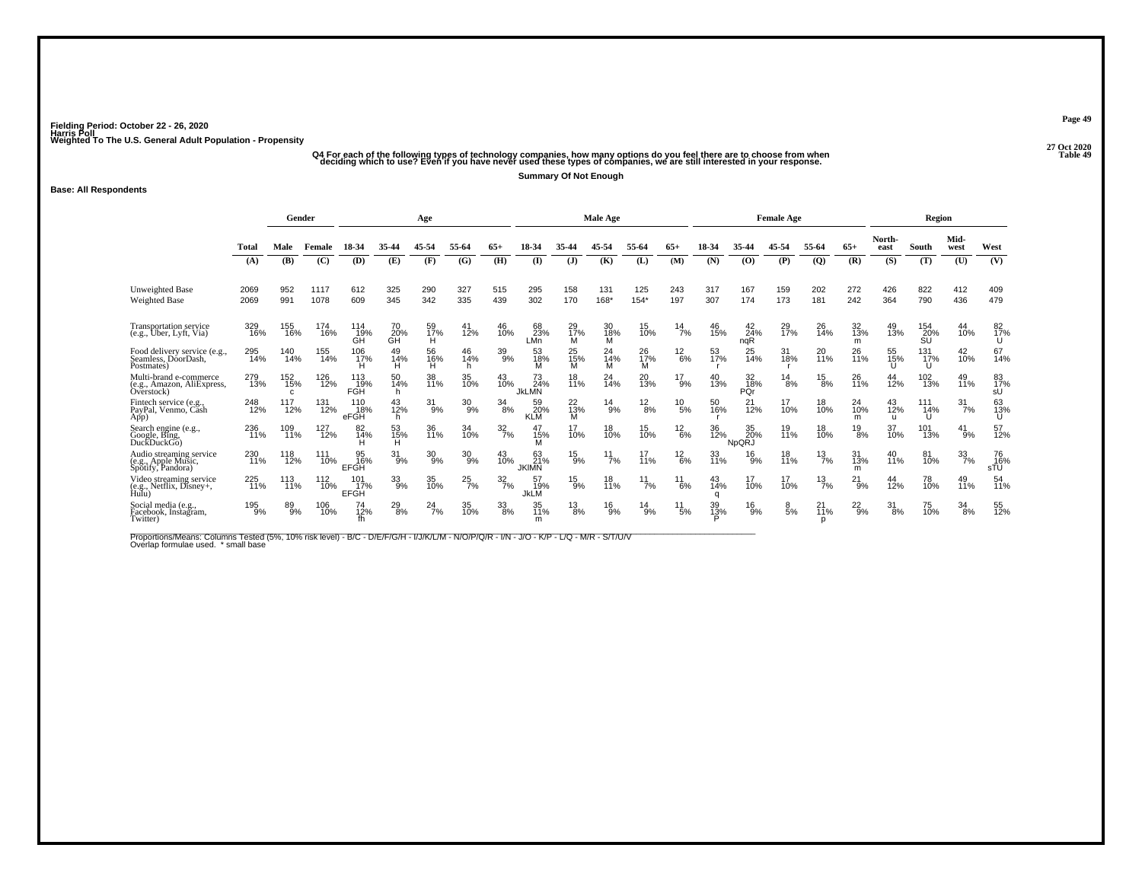## ۔<br>Q4 For each of the following types of technology companies, how many options do you feel there are to choose from when<br>Table 49 deciding which to use? Even if you have never used these types of companies, we are still i

**Summary Of Not Enough**

### **Base: All Respondents**

|                                                                     |              | Gender          |              |                           |                 | Age                   |                 |                  |                                       |                     | <b>Male Age</b> |                  |               |                |                           | <b>Female Age</b> |                  |                  |                           | Region           |                  |                  |
|---------------------------------------------------------------------|--------------|-----------------|--------------|---------------------------|-----------------|-----------------------|-----------------|------------------|---------------------------------------|---------------------|-----------------|------------------|---------------|----------------|---------------------------|-------------------|------------------|------------------|---------------------------|------------------|------------------|------------------|
|                                                                     | Total        | Male            | Female       | 18-34                     | 35-44           | 45-54                 | 55-64           | 65+              | 18-34                                 | 35-44               | 45-54           | 55-64            | $65+$         | 18-34          | 35-44                     | 45-54             | 55-64            | $65+$            | North-<br>east            | South            | Mid-<br>west     | West             |
|                                                                     | (A)          | (B)             | (C)          | (D)                       | (E)             | (F)                   | (G)             | (H)              | (I)                                   | (J)                 | (K)             | (L)              | (M)           | (N)            | (O)                       | (P)               | $\mathbf{Q}$     | (R)              | (S)                       | (T)              | (U)              | (V)              |
| <b>Unweighted Base</b><br>Weighted Base                             | 2069<br>2069 | 952<br>991      | 1117<br>1078 | 612<br>609                | 325<br>345      | 290<br>342            | 327<br>335      | 515<br>439       | 295<br>302                            | 158<br>170          | 131<br>168*     | 125<br>$154*$    | 243<br>197    | 317<br>307     | 167<br>174                | 159<br>173        | 202<br>181       | 272<br>242       | 426<br>364                | 822<br>790       | 412<br>436       | 409<br>479       |
| <b>Transportation service</b><br>(e.g., Uber, Lyft, Via)            | 329<br>16%   | 155<br>16%      | 174<br>16%   | 114<br>19%<br>GĤ          | 70<br>20%<br>ĞĤ | 59<br>17%<br>H.       | 41<br>12%       | 46<br>10%        | 68<br>23%<br>LMn                      | 29<br>17%<br>м      | 30<br>18%<br>м  | 15<br>10%        | $^{14}$ 7%    | 46<br>15%      | $^{42}_{24\%}$<br>nqR     | 29<br>17%         | 26<br>14%        | 32<br>13%<br>m   | 49<br>13%                 | 154<br>20%<br>SU | 44<br>10%        | 82<br>17%<br>U   |
| Food delivery service (e.g.,<br>Seamless, DóorDash,<br>Postmates)   | 295<br>14%   | 140<br>14%      | 155<br>14%   | 106<br>17%                | 49<br>14%<br>н  | 56<br>16%<br>н        | 46<br>14%<br>h. | 39<br>9%         | 53<br>18%<br>м                        | $^{25}_{15\%}$<br>м | 24<br>14%<br>м  | 26<br>17%<br>м   | $^{12}_{6\%}$ | 53<br>17%      | $^{25}_{14\%}$            | 31<br>18%         | 20<br><b>11%</b> | 26<br>11%        | 55<br>15%                 | 131<br>17%<br>U  | 42<br>10%        | 67<br>14%        |
| Multi-brand e-commerce<br>(e.g., Amazon, AliExpress,<br>Overstock)  | 279<br>13%   | 152<br>15%<br>C | 126<br>12%   | 113<br>19%<br><b>FGH</b>  | 50<br>14%<br>h. | 38<br>11%             | 35<br>10%       | 43<br>10%        | 73<br>24%<br>JKLMN                    | 18<br>11%           | 24<br>14%       | 20<br><b>13%</b> | $^{17}_{9\%}$ | 40<br>13%      | 32<br>18%<br>PQr          | 14<br>8%          | 15<br>8%         | 26<br><b>11%</b> | 44<br>12%                 | 102<br>13%       | 49<br>11%        | 83<br>17%<br>sU  |
| Fintech service (e.g.,<br>PayPal, Venmo, Cash<br>App)               | 248<br>12%   | 117<br>12%      | 131<br>12%   | 110<br>18%<br>eFGH        | 43<br>12%<br>h. | 31<br>9%              | 30<br>9%        | 34<br>8%         | 59<br>20%<br><b>KLM</b>               | 22<br>13%<br>м      | 14<br>9%        | 12<br>8%         | 10<br>5%      | 50<br>16%      | 21<br>12%                 | 17<br>10%         | 18<br>10%        | 24<br>10%<br>m   | 43<br>12%<br>$\mathbf{u}$ | 111<br>14%<br>U  | 31<br>7%         | 63<br>13%<br>U   |
| Search engine (e.g.,<br>Google, Bing.<br>DuckDuckGo)                | 236<br>11%   | 109<br>11%      | 127<br>12%   | 82<br>14%                 | 53<br>15%<br>н  | 36<br>11%             | 34<br>10%       | $\frac{32}{7\%}$ | 47<br>15%                             | 17<br>10%           | 18<br>10%       | 15<br>10%        | $^{12}_{6\%}$ | 36<br>12%      | 35<br>20%<br><b>NpQRJ</b> | 19<br>11%         | 18<br>10%        | $^{19}_{8\%}$    | 37<br>10%                 | 101<br>13%       | $^{41}_{9\%}$    | 57<br>12%        |
| Audio streaming service<br>(e.g., Apple Music,<br>Spotify, Pandora) | 230<br>11%   | 118<br>12%      | 111<br>10%   | 95<br>16%<br><b>EFGH</b>  | 31<br>9%        | $^{30}_{9\%}$         | $^{30}_{9\%}$   | 43<br>10%        | 63<br>21 <sup>%</sup><br><b>JKIMN</b> | $^{15}_{9\%}$       | $^{11}_{7\%}$   | 17<br>11%        | $^{12}_{6\%}$ | 33<br>11%      | 16<br>9%                  | 18<br>11%         | $^{13}_{7\%}$    | 31<br>13%<br>m   | 40<br>11%                 | 81<br>10%        | $\frac{33}{7\%}$ | 76<br>16%<br>sTÜ |
| Video streaming service<br>(e.g., Netflix, Disney+,<br>Hulu)        | 225<br>11%   | 113<br>11%      | 112<br>10%   | 101<br>17%<br><b>EFGH</b> | 33<br>9%        | 35<br>10%             | $^{25}_{7\%}$   | $\frac{32}{7\%}$ | 57<br>19%<br>JkLM                     | $^{15}_{9\%}$       | 18<br>11%       | $^{11}_{7\%}$    | 11<br>6%      | 43<br>14%<br>a | 17<br>10%                 | 17<br>10%         | $^{13}_{7\%}$    | 21<br>9%         | 44<br>12%                 | 78<br>10%        | 49<br>11%        | 54<br>11%        |
| Social media (e.g.,<br>Facebook, Instagram,<br>Twitter)             | 195<br>9%    | 89<br>9%        | 106<br>10%   | 74<br>12%<br>fh           | $^{29}_{8\%}$   | $^{24}$ <sup>7%</sup> | 35<br>10%       | $33\over 8\%$    | 35<br>11%<br>m                        | $^{13}_{8\%}$       | $^{16}_{9\%}$   | $^{14}_{9\%}$    | 11<br>5%      | 39<br>13%      | 16<br>9%                  | $\frac{8}{5\%}$   | 21<br>11%        | $^{22}_{9\%}$    | 31<br>8%                  | 75<br>10%        | $\frac{34}{8\%}$ | 55<br>12%        |

Proportions/Means: Columns Tested (5%, 10% risk level) - B/C - D/E/F/G/H - I/J/K/L/M - N/O/P/Q/R - I/N - J/O - K/P - L/Q - M/R - S/T/U/V<br>Overlap formulae used. \*small base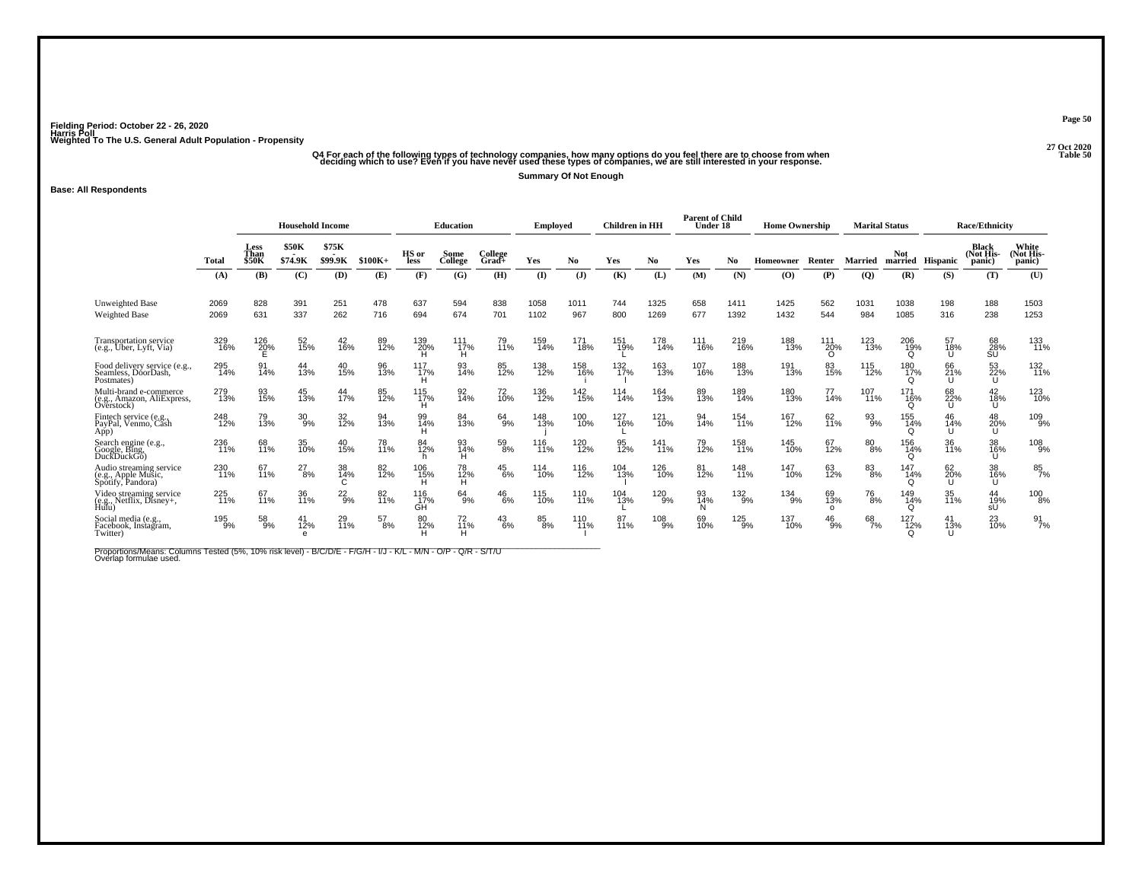## ۔<br>Q4 For each of the following types of technology companies, how many options do you feel there are to choose from when<br>Table 50 deciding which to use? Even if you have never used these types of companies, we are still i

**Summary Of Not Enough**

### **Base: All Respondents**

|                                                                     |              |                              | <b>Household Income</b> |                  |            |                  | <b>Education</b> |                  | Employed     |                | <b>Children</b> in HH |              | <b>Parent of Child</b><br>Under 18 |               | <b>Home Ownership</b> |                       | <b>Marital Status</b>  |                        |                 | <b>Race/Ethnicity</b>        |                              |
|---------------------------------------------------------------------|--------------|------------------------------|-------------------------|------------------|------------|------------------|------------------|------------------|--------------|----------------|-----------------------|--------------|------------------------------------|---------------|-----------------------|-----------------------|------------------------|------------------------|-----------------|------------------------------|------------------------------|
|                                                                     | Total        | Less<br>Than<br><b>\$50K</b> | \$50K<br>\$74.9K        | \$75K<br>\$99.9K | $$100K+$   | HS or<br>less    | Some<br>College  | College<br>Grad+ | Yes          | N <sub>0</sub> | Yes                   | No           | Yes                                | No.           | Homeowner             | Renter                | <b>Married</b>         | Not<br>married         | Hispanic        | Black<br>(Not His-<br>panic) | White<br>(Not His-<br>panic) |
|                                                                     | (A)          | (B)                          | (C)                     | (D)              | (E)        | (F)              | (G)              | (H)              | $($ I        | $(\mathbf{J})$ | (K)                   | (L)          | (M)                                | (N)           | (O)                   | (P)                   | $\overline{Q}$         | (R)                    | (S)             | (T)                          | (U)                          |
| Unweighted Base<br><b>Weighted Base</b>                             | 2069<br>2069 | 828<br>631                   | 391<br>337              | 251<br>262       | 478<br>716 | 637<br>694       | 594<br>674       | 838<br>701       | 1058<br>1102 | 1011<br>967    | 744<br>800            | 1325<br>1269 | 658<br>677                         | 1411<br>1392  | 1425<br>1432          | 562<br>544            | 1031<br>984            | 1038<br>1085           | 198<br>316      | 188<br>238                   | 1503<br>1253                 |
| Transportation service<br>(e.g., Uber, Lyft, Via)                   | 329<br>16%   | 126<br>20%                   | 52<br>15%               | 42<br>16%        | 89<br>12%  | 139<br>20%       | 111<br>17%<br>H  | 79<br>11%        | 159<br>14%   | 171<br>18%     | 151<br>19%            | 178<br>14%   | 111<br>16%                         | 219<br>16%    | 188<br>13%            | 111<br>20%            | 123<br>$\frac{1}{3}$ % | 206<br>19%             | 57<br>18%<br>IJ | 68<br>28%<br>SU              | 133<br>11%                   |
| Food delivery service (e.g.,<br>Seamless, DóorDash,<br>Postmates)   | 295<br>14%   | 91<br>14%                    | 44<br>13%               | 40<br>15%        | 96<br>13%  | 117<br>17%       | 93<br>14%        | 85<br>12%        | 138<br>12%   | 158<br>16%     | 132<br>17%            | 163<br>13%   | 107<br>16%                         | 188<br>13%    | 191<br>13%            | 83<br>15%             | 115<br>12%             | 180<br>17%<br>Q        | 66<br>21%<br>U  | 53<br>22%<br>U               | 132<br>11%                   |
| Multi-brand e-commerce<br>(e.g., Amazon, AliExpress,<br>Overstock)  | 279<br>13%   | 93<br>15%                    | 45<br>13%               | 44<br>17%        | 85<br>12%  | 115<br>17%       | 92<br>14%        | 72<br>10%        | 136<br>12%   | 142<br>15%     | 114<br>14%            | 164<br>13%   | 89<br>13%                          | 189<br>14%    | 180<br>13%            | 77<br>14%             | 107<br>11%             | 171<br>16%<br>∩        | 68<br>22%<br>IJ | 42<br>18%<br>U               | 123<br>10%                   |
| Fintech service (e.g.<br>PayPal, Venmo, Cash<br>App)                | 248<br>12%   | 79<br>13%                    | $^{30}_{9\%}$           | 32<br>12%        | 94<br>13%  | 99<br>14%        | 84<br>13%        | $64_{9\%}$       | 148<br>13%   | 100<br>10%     | 127<br>16%            | 121<br>10%   | 94<br>14%                          | 154<br>11%    | 167<br>12%            | 62<br>11%             | $\frac{93}{9\%}$       | 155<br>14%<br>O        | 46<br>14%<br>ш  | 48<br>20%<br>U               | 109 <sub>%</sub>             |
| Search engine (e.g.,<br>Google, Bing,<br>DuckDuckGo)                | 236<br>11%   | 68<br>11%                    | 35<br>10%               | 40<br>15%        | 78<br>11%  | 84<br>12%        | 93<br>14%<br>н   | 59<br>8%         | 116<br>11%   | 120<br>12%     | 95<br>12%             | 141<br>11%   | 79<br>12%                          | 158<br>11%    | 145<br>10%            | 67<br>12%             | $^{80}_{\,8\%}$        | 156<br>14%<br>$\Omega$ | 36<br>11%       | 38<br>16%<br>U               | 108<br>9%                    |
| Audio streaming service<br>(e.g., Apple Music,<br>Spotify, Pandora) | 230<br>11%   | 67<br>11%                    | $^{27}_{8\%}$           | 38<br>14%        | 82<br>12%  | $^{106}_{15\%}$  | 78<br>12%<br>н   | $^{45}_{6\%}$    | 114<br>10%   | 116<br>12%     | 104<br>13%            | 126<br>10%   | 81<br>12%                          | 148<br>11%    | 147<br>10%            | 63<br>12%             | $83\!\!\%$             | 147<br>14%<br>$\Omega$ | 62<br>20%<br>IJ | 38<br>16%<br>Ű               | 85<br>7%                     |
| Video streaming service<br>(e.g., Netflix, Disney+,<br>Hulu)        | 225<br>71%   | 67<br>11%                    | 36<br>11%               | $^{22}_{9%}$     | 82<br>11%  | 116<br>17%<br>GĤ | 64<br>9%         | $^{46}_{6\%}$    | 115<br>10%   | 110<br>11%     | 104<br>13%            | 120<br>9%    | 93<br>14%<br>N                     | $^{132}_{9%}$ | 134<br>9%             | 69<br>13%<br>$\Omega$ | <sup>76</sup> 8%       | 149<br>14%<br>$\Omega$ | 35<br>11%       | 44<br>19%<br>sU              | 100<br>8%                    |
| Social media (e.g.,<br>Facebook, Instagram,<br>Twitter)             | 195<br>9%    | 58<br>9%                     | 41<br>12%<br>$\epsilon$ | 29<br>11%        | 57<br>8%   | 80<br>12%        | 72<br>11%<br>н   | 43<br>6%         | 85<br>8%     | 110<br>11%     | 87<br>11%             | 108<br>9%    | 69<br>10%                          | 125<br>9%     | 137<br>10%            | 46<br>9%              | 68<br>7%               | 127<br>12%<br>Ω        | 41<br>13%       | 23<br>10%                    | $\frac{91}{7%}$              |

Proportions/Means: Columns Tested (5%, 10% risk level) - B/C/D/E - F/G/H - I/J - K/L - M/N - O/P - Q/R - S/T/U<br>Overlap formulae used.

**Page 50**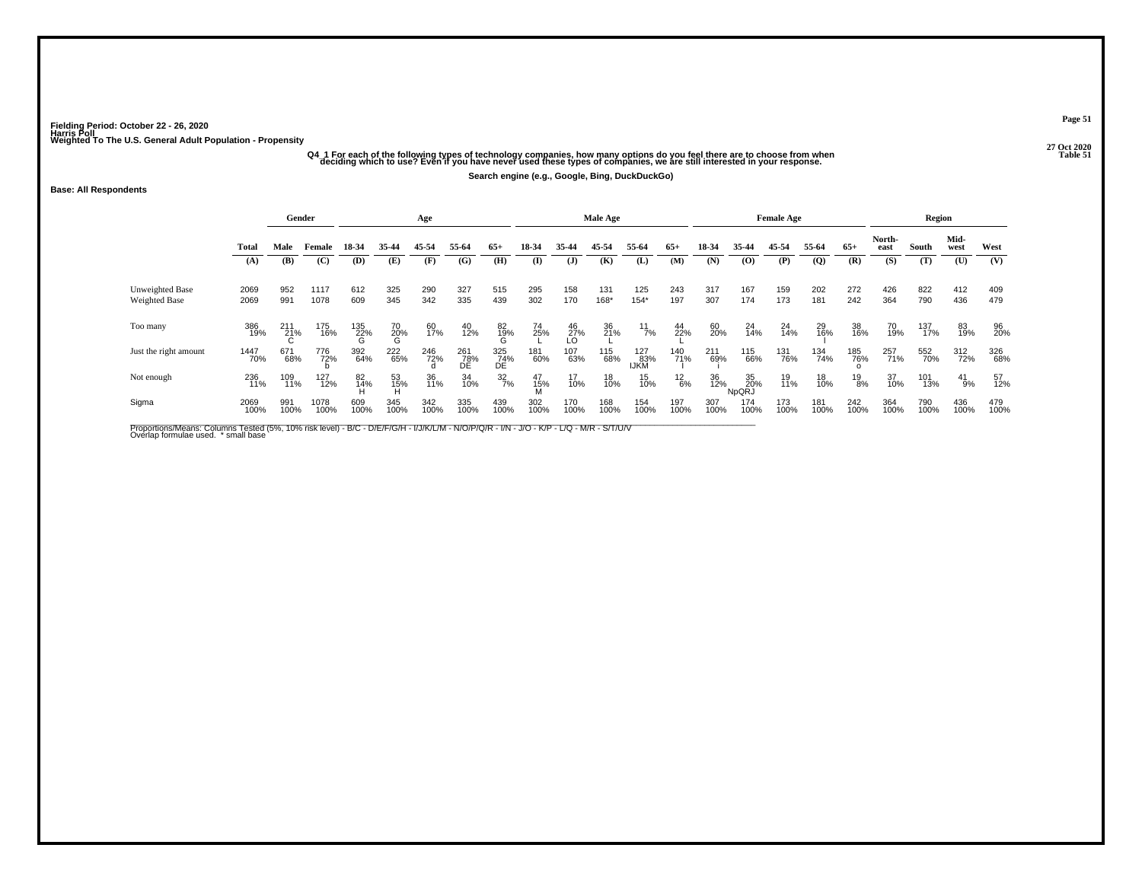# -<br>O4\_1 For each of the following types of technology companies, how many options do you feel there are to choose from when<br>Table 51 deciding which to use? Even if you have never used these types of companies, we are still

**Search engine (e.g., Google, Bing, DuckDuckGo)**

#### **Base: All Respondents**

|                                  |              | Gender          |              |                    |                | Age         |                  |                  |             |                | Male Age    |                    |               |             |                    | <b>Female Age</b> |                |               |                | Region      |              |             |
|----------------------------------|--------------|-----------------|--------------|--------------------|----------------|-------------|------------------|------------------|-------------|----------------|-------------|--------------------|---------------|-------------|--------------------|-------------------|----------------|---------------|----------------|-------------|--------------|-------------|
|                                  | Total        | Male            | Female       | 18-34              | 35-44          | 45-54       | 55-64            | $65+$            | 18-34       | 35-44          | 45-54       | 55-64              | $65+$         | 18-34       | 35-44              | 45-54             | 55-64          | $65+$         | North-<br>east | South       | Mid-<br>west | West        |
|                                  | (A)          | (B)             | (C)          | (D)                | (E)            | (F)         | (G)              | (H)              | (I)         | (J)            | (K)         | (L)                | (M)           | (N)         | $\bf{(0)}$         | (P)               | $\overline{Q}$ | (R)           | (S)            | (T)         | (U)          | (V)         |
| Unweighted Base<br>Weighted Base | 2069<br>2069 | 952<br>991      | 1117<br>1078 | 612<br>609         | 325<br>345     | 290<br>342  | 327<br>335       | 515<br>439       | 295<br>302  | 158<br>170     | 131<br>168* | 125<br>$154*$      | 243<br>197    | 317<br>307  | 167<br>174         | 159<br>173        | 202<br>181     | 272<br>242    | 426<br>364     | 822<br>790  | 412<br>436   | 409<br>479  |
| Too many                         | 386<br>19%   | $^{211}_{21\%}$ | 175<br>16%   | $\frac{135}{22}\%$ | 70<br>20%<br>G | 60<br>17%   | 40<br>12%        | $^{82}_{19\%}$   | 74<br>25%   | $^{46}_{27\%}$ | 36<br>21%   | $^{11}_{7\%}$      | 44<br>22%     | 60<br>20%   | 24<br>14%          | 24<br>14%         | 29<br>16%      | 38<br>16%     | 70<br>19%      | 137<br>17%  | 83<br>19%    | 96<br>20%   |
| Just the right amount            | 1447<br>70%  | 671<br>68%      | 776<br>72%   | 392<br>64%         | 222<br>65%     | 246<br>72%  | 261<br>78%<br>DE | 325<br>74%<br>DE | 181<br>60%  | 107<br>63%     | 115<br>68%  | 127<br>83%<br>IJKM | 140<br>71%    | 211<br>69%  | 115<br>66%         | 131<br>76%        | 134<br>74%     | 185<br>76%    | 257<br>71%     | 552<br>70%  | 312<br>72%   | 326<br>68%  |
| Not enough                       | 236<br>11%   | 109<br>11%      | 127<br>12%   | 82<br>14%          | 53<br>15%      | 36<br>11%   | 34<br>10%        | $\frac{32}{7\%}$ | 47<br>15%   | 17<br>10%      | 18<br>10%   | 15<br>10%          | $^{12}_{6\%}$ | 36<br>12%   | 35<br>20%<br>NpQRJ | 19<br>11%         | 18<br>10%      | $^{19}_{8\%}$ | 37<br>10%      | 101<br>13%  | 41<br>9%     | 57<br>12%   |
| Sigma                            | 2069<br>100% | 991<br>100%     | 1078<br>100% | 609<br>100%        | 345<br>100%    | 342<br>100% | 335<br>100%      | 439<br>100%      | 302<br>100% | 170<br>100%    | 168<br>100% | 154<br>100%        | 197<br>100%   | 307<br>100% | 174<br>100%        | 173<br>100%       | 181<br>100%    | 242<br>100%   | 364<br>100%    | 790<br>100% | 436<br>100%  | 479<br>100% |

Proportions/Means: Columns Tested (5%, 10% risk level) - B/C - D/E/F/G/H - I/J/K/L/M - N/O/P/Q/R - I/N - J/O - K/P - L/Q - M/R - S/T/U/V<br>Overlap formulae used. \*small base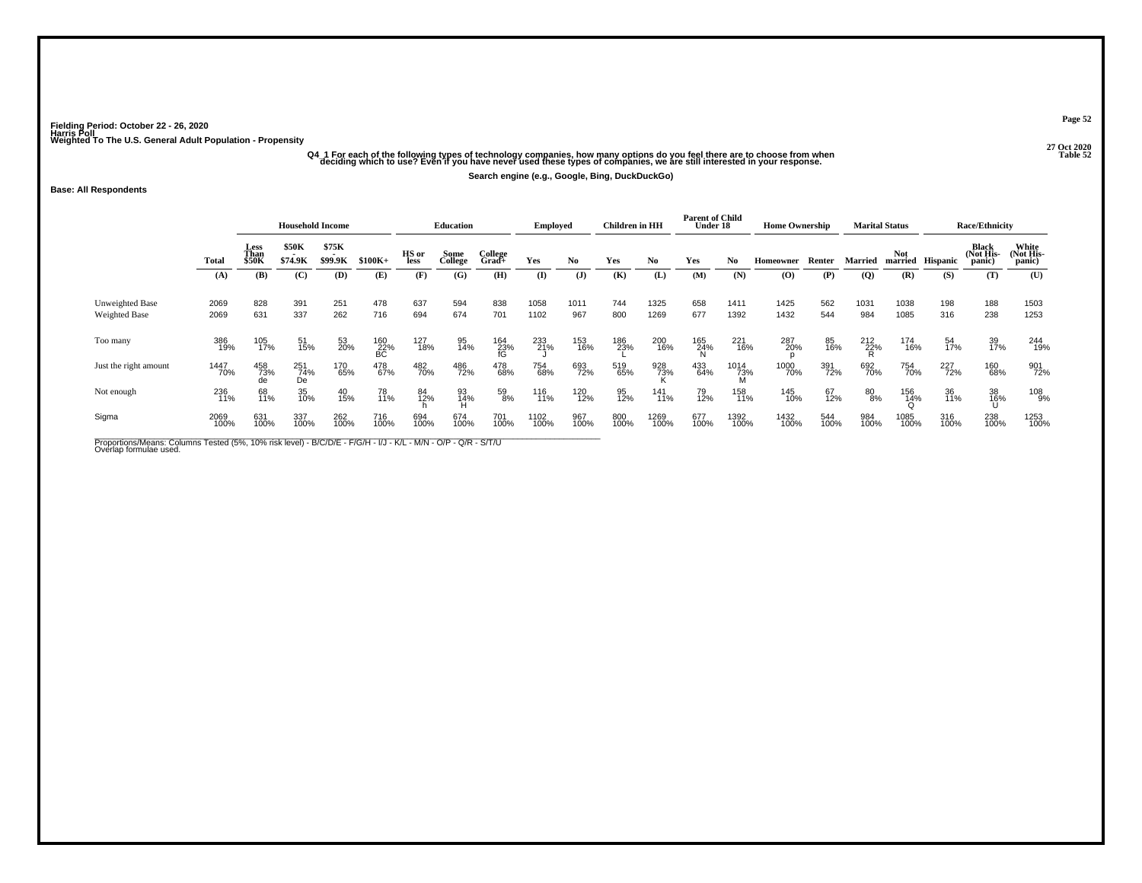# -<br>Companies, how many options do you feel there are to choose from when and the start of the following types of technology companies, how many options do you feel there are to choose from when and the 52 manic 52 Table 52

**Search engine (e.g., Google, Bing, DuckDuckGo)**

### **Base: All Respondents**

|                                  |              |                              | <b>Household Income</b> |                  |                  |               | <b>Education</b> |                     | <b>Employed</b> |              | Children in HH |              | <b>Parent of Child</b><br>Under 18 |                  | <b>Home Ownership</b> |             |             | <b>Marital Status</b> |                  | <b>Race/Ethnicity</b>               |                              |
|----------------------------------|--------------|------------------------------|-------------------------|------------------|------------------|---------------|------------------|---------------------|-----------------|--------------|----------------|--------------|------------------------------------|------------------|-----------------------|-------------|-------------|-----------------------|------------------|-------------------------------------|------------------------------|
|                                  | Total        | Less<br>Than<br><b>\$50K</b> | \$50K<br>. .<br>\$74.9K | \$75K<br>\$99.9K | $$100K+$         | HS or<br>less | Some<br>College  | College<br>$Grad +$ | Yes             | No.          | Yes            | No           | Yes                                | No.              | Homeowner             | Renter      | Married     | <b>Not</b>            | married Hispanic | <b>Black</b><br>(Not His-<br>panic) | White<br>(Not His-<br>panic) |
|                                  | (A)          | (B)                          | (C)                     | (D)              | (E)              | (F)           | (G)              | (H)                 | (I)             | $\mathbf{J}$ | (K)            | (L)          | (M)                                | (N)              | $\bf{(O)}$            | (P)         | (Q)         | (R)                   | (S)              | (T)                                 | (U)                          |
| Unweighted Base<br>Weighted Base | 2069<br>2069 | 828<br>631                   | 391<br>337              | 251<br>262       | 478<br>716       | 637<br>694    | 594<br>674       | 838<br>701          | 1058<br>1102    | 1011<br>967  | 744<br>800     | 1325<br>1269 | 658<br>677                         | 1411<br>1392     | 1425<br>1432          | 562<br>544  | 1031<br>984 | 1038<br>1085          | 198<br>316       | 188<br>238                          | 1503<br>1253                 |
| Too many                         | 386<br>19%   | 105<br>17%                   | 51<br>15%               | 53<br>20%        | 160<br>22%<br>BC | 127<br>18%    | 95<br>14%        | 164<br>23%          | 233<br>21%      | 153<br>16%   | 186<br>23%     | 200<br>16%   | 165<br>24%                         | 221<br>16%       | 287<br>20%            | 85<br>16%   | 212<br>22%  | 174<br>16%            | 54<br>17%        | 39<br>17%                           | 244<br>19%                   |
| Just the right amount            | 1447<br>70%  | 458<br>73%<br>de             | 251<br>74%<br>De        | 170<br>65%       | 478<br>67%       | 482<br>70%    | 486<br>72%       | 478<br>68%          | 754<br>68%      | 693<br>72%   | 519<br>65%     | 928<br>73%   | 433<br>64%                         | 1014<br>73%<br>M | 1000<br>70%           | 391<br>72%  | 692<br>70%  | 754<br>70%            | 227<br>72%       | 160<br>68%                          | 901<br>72%                   |
| Not enough                       | 236<br>11%   | 68<br>11%                    | 35<br>10%               | 40<br>15%        | 78<br>11%        | 84<br>12%     | 93<br>14%        | 59<br>8%            | 116<br>11%      | 120<br>12%   | 95<br>12%      | 141<br>11%   | 79<br>12%                          | 158<br>11%       | 145<br>10%            | 67<br>12%   | 80<br>8%    | 156<br>14%            | 36<br>11%        | 38<br>16%                           | 108<br>9%                    |
| Sigma                            | 2069<br>100% | 631<br>100%                  | 337<br>100%             | 262<br>100%      | 716<br>100%      | 694<br>100%   | 674<br>100%      | 701<br>100%         | 1102<br>100%    | 967<br>100%  | 800<br>100%    | 1269<br>100% | 677<br>100%                        | 1392<br>100%     | 1432<br>100%          | 544<br>100% | 984<br>100% | 1085<br>100%          | 316<br>100%      | 238<br>100%                         | 1253<br>100%                 |

Proportions/Means: Columns Tested (5%, 10% risk level) - B/C/D/E - F/G/H - I/J - K/L - M/N - O/P - Q/R - S/T/U<br>Overlap formulae used.

**Page 52**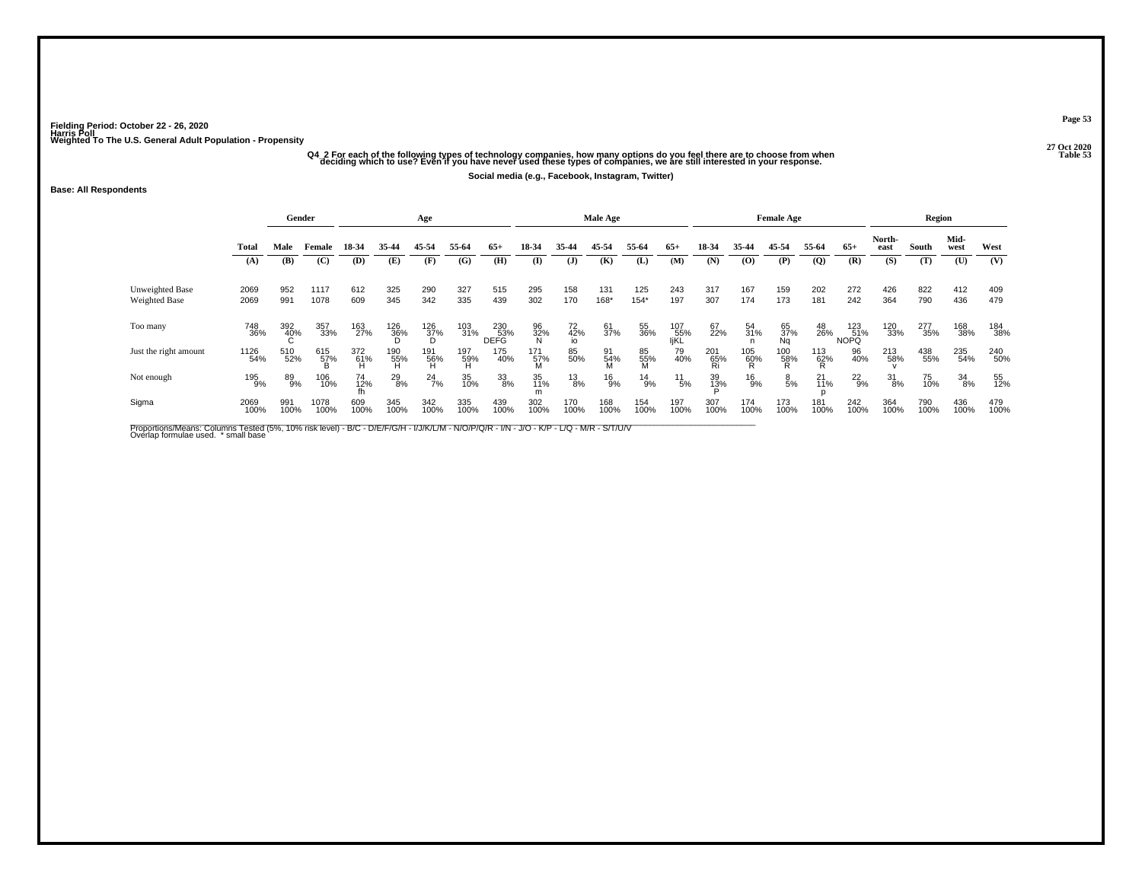# -<br>O4\_2 For each of the following types of technology companies, how many options do you feel there are to choose from when<br>35 deciding which to use? Even if you have never used these types of companies, we are still inter

**Social media (e.g., Facebook, Instagram, Twitter)**

#### **Base: All Respondents**

|                       |              | Gender      |                 |                  |                 | Age                           |                 |                           |              |                       | Male Age     |                |                    |                  |                   | <b>Female Age</b>    |                 |                           |                 | Region      |              |             |
|-----------------------|--------------|-------------|-----------------|------------------|-----------------|-------------------------------|-----------------|---------------------------|--------------|-----------------------|--------------|----------------|--------------------|------------------|-------------------|----------------------|-----------------|---------------------------|-----------------|-------------|--------------|-------------|
|                       | Total        | Male        | Female          | 18-34            | 35-44           | 45-54                         | 55-64           | $65+$                     | 18-34        | 35-44                 | 45-54        | 55-64          | $65+$              | 18-34            | 35-44             | 45-54                | 55-64           | $65+$                     | North-<br>east  | South       | Mid-<br>west | West        |
|                       | (A)          | (B)         | (C)             | (D)              | (E)             | (F)                           | (G)             | (H)                       | $\mathbf{I}$ | (J)                   | (K)          | (L)            | (M)                | (N)              | $\bf{(0)}$        | (P)                  | $\overline{Q}$  | (R)                       | (S)             | (T)         | (U)          | (V)         |
| Unweighted Base       | 2069         | 952         | 1117            | 612              | 325             | 290                           | 327             | 515                       | 295          | 158                   | 131          | 125            | 243                | 317              | 167               | 159                  | 202             | 272                       | 426             | 822         | 412          | 409         |
| Weighted Base         | 2069         | 991         | 1078            | 609              | 345             | 342                           | 335             | 439                       | 302          | 170                   | 168*         | $154*$         | 197                | 307              | 174               | 173                  | 181             | 242                       | 364             | 790         | 436          | 479         |
| Too many              | 748<br>36%   | 392<br>40%  | 357<br>33%      | 163<br>27%       | 126<br>36%      | 126<br>37%<br>D               | 103<br>31%      | 230<br>53%<br><b>DEFG</b> | 96<br>32%    | $72$<br>$42%$<br>$10$ | 61<br>37%    | 55<br>36%      | 107<br>55%<br>IjKL | 67<br>22%        | 54<br>31%         | 65<br>37%<br>Ng      | 48<br>26%       | 123<br>51%<br><b>NOPQ</b> | 120<br>33%      | 277<br>35%  | 168<br>38%   | 184<br>38%  |
| Just the right amount | 1126<br>54%  | 510<br>52%  | 615<br>57%<br>B | 372<br>61%<br>Ĥ. | 190<br>55%<br>H | $^{191}_{~~~\,~\,66}_{~~\,H}$ | 197<br>59%<br>H | 175<br>40%                | 171<br>57%   | 85<br>50%             | 91<br>54%    | 85<br>55%<br>M | 79<br>40%          | 201<br>65%<br>Ri | $^{105}_{60\%}$ R | $^{100}_{~\,58\%}$ R | 113<br>62%<br>R | 96<br>40%                 | 213<br>58%      | 438<br>55%  | 235<br>54%   | 240<br>50%  |
| Not enough            | 195<br>9%    | 89%         | 106<br>10%      | 74<br>12%        | $^{29}_{8\%}$   | $^{24}$ <sup>7%</sup>         | 35<br>10%       | 33<br>8%                  | 35<br>11%    | $^{13}_{8\%}$         | $^{16}_{9%}$ | $^{14}_{9\%}$  | $^{11}_{5\%}$      | 39<br>13%        | $^{16}_{9%}$      | $\frac{8}{5%}$       | $^{21}_{11\%}$  | $^{22}_{9%}$              | $\frac{31}{8%}$ | 75<br>10%   | 34<br>8%     | 55<br>12%   |
| Sigma                 | 2069<br>100% | 991<br>100% | 1078<br>100%    | 609<br>100%      | 345<br>100%     | 342<br>100%                   | 335<br>100%     | 439<br>100%               | 302<br>100%  | 170<br>100%           | 168<br>100%  | 154<br>100%    | 197<br>100%        | 307<br>100%      | 174<br>100%       | 173<br>100%          | 181<br>100%     | 242<br>100%               | 364<br>100%     | 790<br>100% | 436<br>100%  | 479<br>100% |

Proportions/Means: Columns Tested (5%, 10% risk level) - B/C - D/E/F/G/H - I/J/K/L/M - N/O/P/Q/R - I/N - J/O - K/P - L/Q - M/R - S/T/U/V<br>Overlap formulae used. \*small base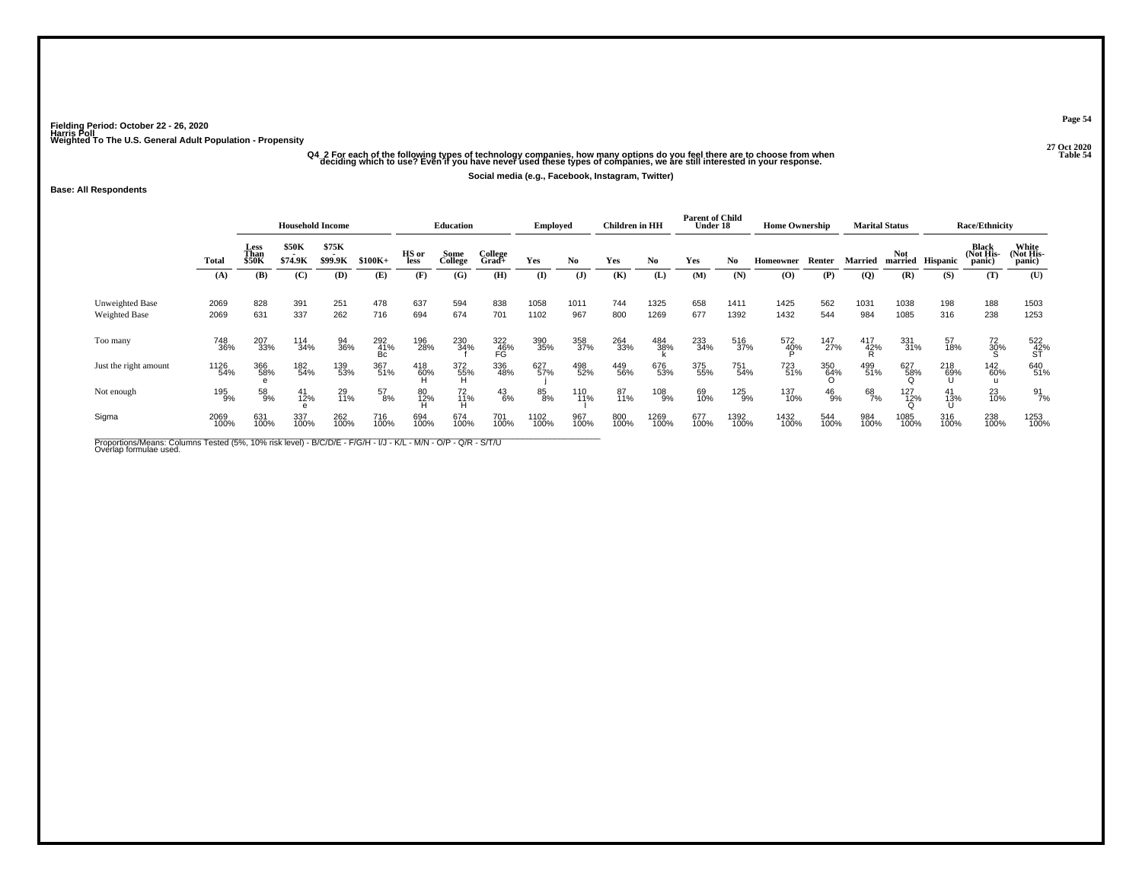# -<br>O4\_2 For each of the following types of technology companies, how many options do you feel there are to choose from when<br>Table 54 deciding which to use? Even if you have never used these types of companies, we are still

**Social media (e.g., Facebook, Instagram, Twitter)**

### **Base: All Respondents**

|                                         |              | <b>Household Income</b> |                            |                  |                  |               | <b>Education</b> |                  | <b>Employed</b> |                | <b>Children</b> in HH |                | <b>Parent of Child</b><br>Under 18 |              | <b>Home Ownership</b>                    |              |                | <b>Marital Status</b> |                  | <b>Race/Ethnicity</b>        |                              |
|-----------------------------------------|--------------|-------------------------|----------------------------|------------------|------------------|---------------|------------------|------------------|-----------------|----------------|-----------------------|----------------|------------------------------------|--------------|------------------------------------------|--------------|----------------|-----------------------|------------------|------------------------------|------------------------------|
|                                         | Total        | Less<br>Than<br>\$50K   | \$50K<br>$\sim$<br>\$74.9K | \$75K<br>\$99.9K | $$100K+$         | HS or<br>less | Some<br>College  | College<br>Grad+ | Yes             | No.            | Yes                   | N <sub>0</sub> | Yes                                | No.          | Homeowner                                | Renter       | Married        | <b>Not</b>            | married Hispanic | Black<br>(Not His-<br>panic) | White<br>(Not His-<br>panic) |
|                                         | (A)          | (B)                     | (C)                        | (D)              | (E)              | (F)           | (G)              | (H)              | (I)             | $(\mathbf{J})$ | (K)                   | (L)            | (M)                                | (N)          | $\boldsymbol{\left( \mathbf{O} \right)}$ | (P)          | $\overline{Q}$ | (R)                   | (S)              | (T)                          | (U)                          |
| Unweighted Base<br><b>Weighted Base</b> | 2069<br>2069 | 828<br>631              | 391<br>337                 | 251<br>262       | 478<br>716       | 637<br>694    | 594<br>674       | 838<br>701       | 1058<br>1102    | 1011<br>967    | 744<br>800            | 1325<br>1269   | 658<br>677                         | 1411<br>1392 | 1425<br>1432                             | 562<br>544   | 1031<br>984    | 1038<br>1085          | 198<br>316       | 188<br>238                   | 1503<br>1253                 |
| Too many                                | 748<br>36%   | 207<br>33%              | 114<br>34%                 | 94<br>36%        | 292<br>41%<br>Bc | 196<br>28%    | 230<br>34%       | 322<br>46%<br>FG | 390<br>35%      | 358<br>37%     | 264<br>33%            | 484<br>38%     | 233<br>34%                         | 516<br>37%   | 572<br>40%                               | 147<br>27%   | 417<br>42%     | 331<br>31%            | 57<br>18%        | $^{72}_{30\%}$               | 522<br>42%<br>ST             |
| Just the right amount                   | 1126<br>54%  | 366<br>58%              | 182<br>54%                 | 139<br>53%       | 367<br>51%       | 418<br>60%    | 372<br>55%<br>н  | 336<br>48%       | 627<br>57%      | 498<br>52%     | 449<br>56%            | 676<br>53%     | 375<br>55%                         | 751<br>54%   | 723<br>51%                               | 350<br>64%   | 499<br>51%     | 627<br>58%            | 218<br>69%       | 142<br>60%<br>u              | 640<br>51%                   |
| Not enough                              | 195<br>9%    | 58<br>9%                | $^{41}_{12\%}$             | 29<br>11%        | 57<br>8%         | 80<br>12%     | 72<br>11%        | $^{43}_{6\%}$    | 85<br>8%        | 110<br>11%     | 87<br>11%             | $^{108}_{9\%}$ | 69<br>10%                          | 125<br>9%    | 137<br>10%                               | $^{46}_{9%}$ | 68<br>7%       | 127<br>12%<br>೧       | 41<br>13%        | 23<br>10%                    | 91<br>7%                     |
| Sigma                                   | 2069<br>100% | 631<br>100%             | 337<br>100%                | 262<br>100%      | 716<br>100%      | 694<br>100%   | 674<br>100%      | 701<br>100%      | 1102<br>100%    | 967<br>100%    | 800<br>100%           | 1269<br>100%   | 677<br>100%                        | 1392<br>100% | 1432<br>100%                             | 544<br>100%  | 984<br>100%    | 1085<br>100%          | 316<br>100%      | 238<br>100%                  | 1253<br>100%                 |

Proportions/Means: Columns Tested (5%, 10% risk level) - B/C/D/E - F/G/H - I/J - K/L - M/N - O/P - Q/R - S/T/U<br>Overlap formulae used.

**Page 54**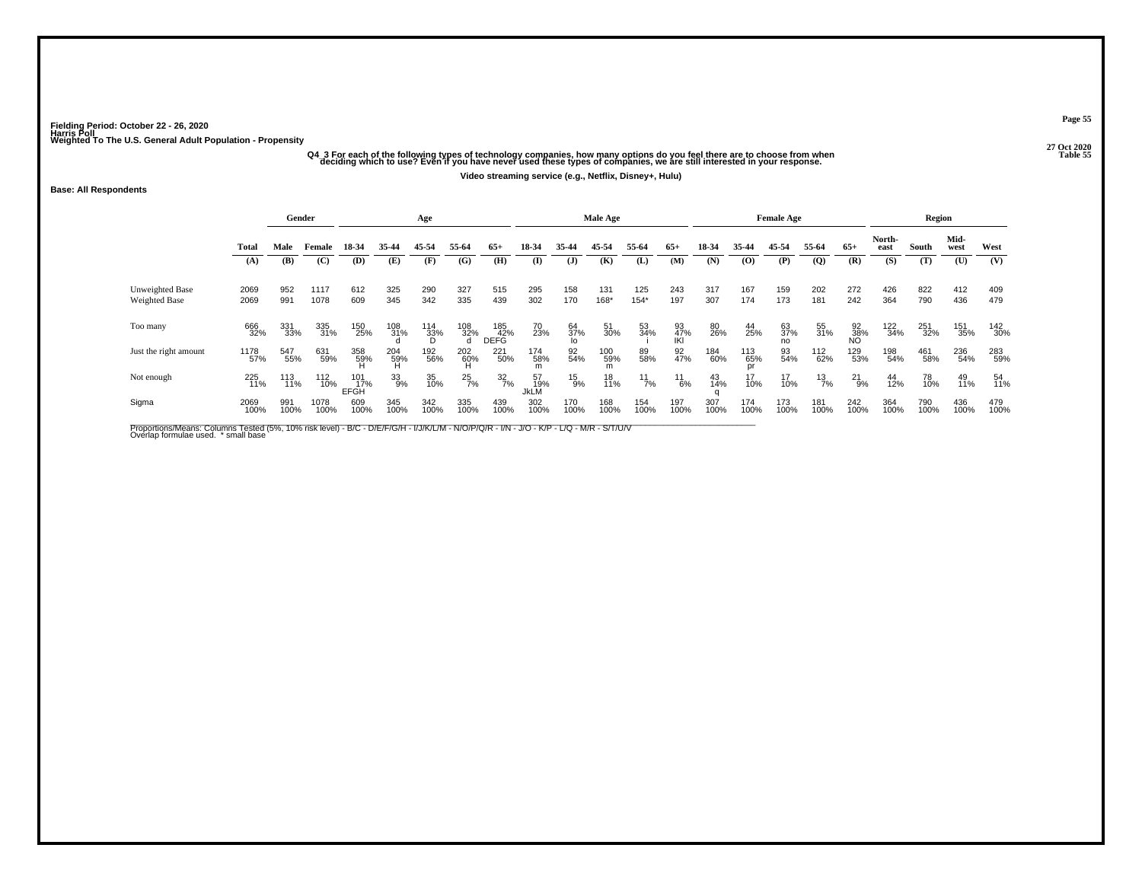## -<br>O4 3 For each of the following types of technology companies, how many options do you feel there are to choose from when<br>Table 55 deciding which to use? Even if you have never used these types of companies, we are still

**Video streaming service (e.g., Netflix, Disney+, Hulu)**

#### **Base: All Respondents**

|                       |              |             | Gender       |                           |                 | Age             |               |                    |                   |               | Male Age    |               |                  |             |             | <b>Female Age</b> |                |                 |                | Region      |              |             |
|-----------------------|--------------|-------------|--------------|---------------------------|-----------------|-----------------|---------------|--------------------|-------------------|---------------|-------------|---------------|------------------|-------------|-------------|-------------------|----------------|-----------------|----------------|-------------|--------------|-------------|
|                       | Total        | Male        | Female       | 18-34                     | 35-44           | 45-54           | 55-64         | $65+$              | 18-34             | 35-44         | 45-54       | 55-64         | $65+$            | 18-34       | 35-44       | 45-54             | 55-64          | $65+$           | North-<br>east | South       | Mid-<br>west | West        |
|                       | (A)          | (B)         | (C)          | (D)                       | (E)             | (F)             | (G)           | (H)                | $\mathbf{I}$      | $\mathbf{J}$  | (K)         | (L)           | (M)              | (N)         | (0)         | (P)               | $\overline{Q}$ | (R)             | (S)            | (T)         | (U)          | (V)         |
| Unweighted Base       | 2069         | 952         | 1117         | 612                       | 325             | 290             | 327           | 515                | 295               | 158           | 131         | 125           | 243              | 317         | 167         | 159               | 202            | 272             | 426            | 822         | 412          | 409         |
| Weighted Base         | 2069         | 991         | 1078         | 609                       | 345             | 342             | 335           | 439                | 302               | 170           | 168*        | $154*$        | 197              | 307         | 174         | 173               | 181            | 242             | 364            | 790         | 436          | 479         |
| Too many              | 666<br>32%   | 331<br>33%  | 335<br>31%   | 150<br>25%                | 108<br>31%      | 114<br>33%<br>D | 108<br>32%    | 185<br>42%<br>DEFG | 70<br>23%         | 64<br>37%     | 51<br>30%   | 53<br>34%     | 93<br>47%<br>IKI | 80<br>26%   | 44<br>25%   | 63<br>37%<br>no   | 55<br>31%      | 92<br>38%<br>NO | 122<br>34%     | 251<br>32%  | 151<br>35%   | 142<br>30%  |
| Just the right amount | 1178<br>57%  | 547<br>55%  | 631<br>59%   | 358<br>59%                | 204<br>59%<br>H | 192<br>56%      | 202<br>60%    | 221<br>50%         | 174<br>58%        | 92<br>54%     | 100<br>59%  | 89<br>58%     | 92<br>47%        | 184<br>60%  | 113<br>65%  | 93<br>54%         | 112<br>62%     | 129<br>53%      | 198<br>54%     | 461<br>58%  | 236<br>54%   | 283<br>59%  |
| Not enough            | 225<br>11%   | 113<br>11%  | 112<br>10%   | 101<br>17%<br><b>EFGH</b> | 33<br>9%        | 35<br>10%       | $^{25}_{7\%}$ | $\frac{32}{7\%}$   | 57<br>19%<br>JkLM | $^{15}_{9\%}$ | 18<br>11%   | $^{11}_{7\%}$ | 11<br>6%         | 43<br>14%   | 17<br>10%   | 17<br>10%         | $^{13}_{7\%}$  | $^{21}_{9\%}$   | 44<br>12%      | 78<br>10%   | 49<br>11%    | 54<br>11%   |
| Sigma                 | 2069<br>100% | 991<br>100% | 1078<br>100% | 609<br>100%               | 345<br>100%     | 342<br>100%     | 335<br>100%   | 439<br>100%        | 302<br>100%       | 170<br>100%   | 168<br>100% | 154<br>100%   | 197<br>100%      | 307<br>100% | 174<br>100% | 173<br>100%       | 181<br>100%    | 242<br>100%     | 364<br>100%    | 790<br>100% | 436<br>100%  | 479<br>100% |

Proportions/Means: Columns Tested (5%, 10% risk level) - B/C - D/E/F/G/H - I/J/K/L/M - N/O/P/Q/R - I/N - J/O - K/P - L/Q - M/R - S/T/U/V<br>Overlap formulae used. \*small base

**Page 55**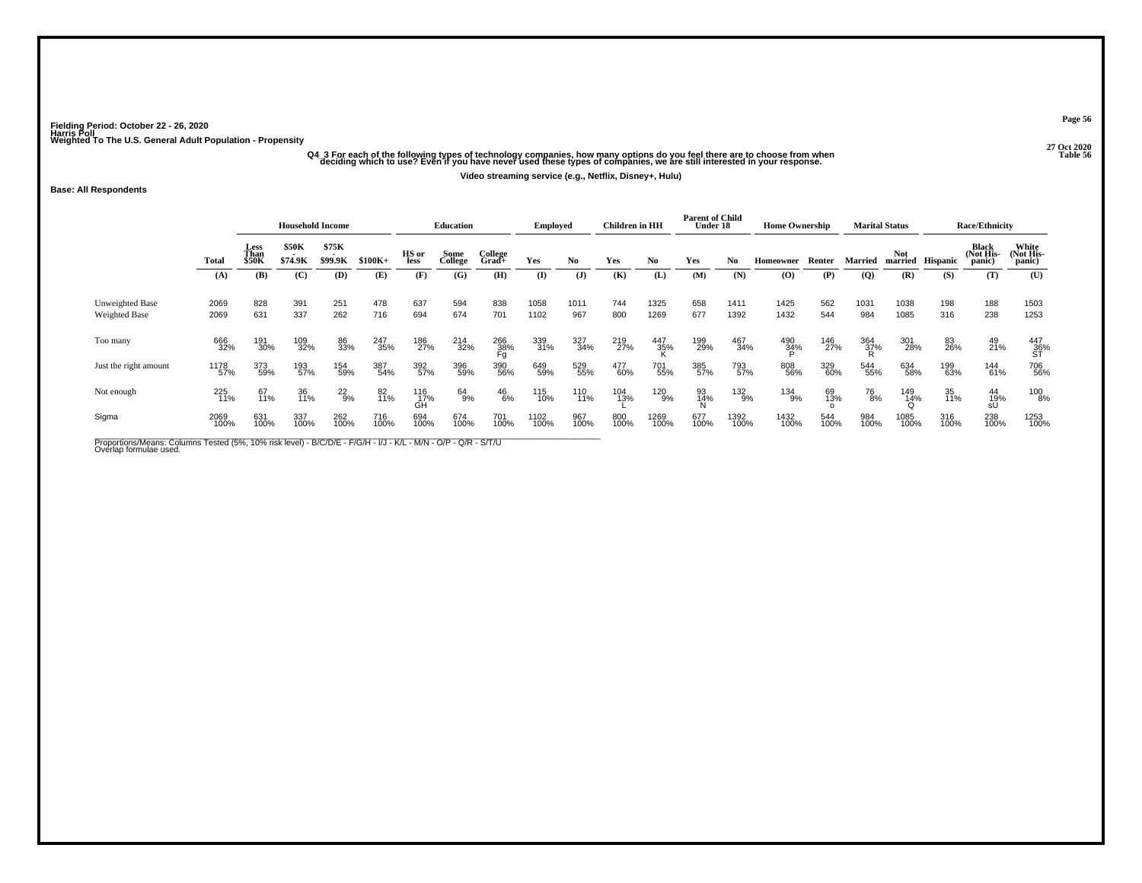# -<br>O4\_3 For each of the following types of technology companies, how many options do you feel there are to choose from when<br>Table 56 deciding which to use? Even if you have never used these types of companies, we are still

**Video streaming service (e.g., Netflix, Disney+, Hulu)**

#### **Base: All Respondents**

|                                  |              |                       | <b>Household Income</b> |                  |             |                  | <b>Education</b> |                  | <b>Employed</b> |                | Children in HH |              | <b>Parent of Child</b><br>Under 18 |              | <b>Home Ownership</b>       |             |                 | <b>Marital Status</b> |                  | <b>Race/Ethnicity</b>        |                                          |
|----------------------------------|--------------|-----------------------|-------------------------|------------------|-------------|------------------|------------------|------------------|-----------------|----------------|----------------|--------------|------------------------------------|--------------|-----------------------------|-------------|-----------------|-----------------------|------------------|------------------------------|------------------------------------------|
|                                  | Total        | Less<br>Than<br>\$50K | \$50K<br>\$74.9K        | \$75K<br>\$99.9K | $$100K+$    | HS or<br>less    | Some<br>College  | College<br>Grad+ | Yes             | No             | Yes            | No.          | Yes                                | No.          | Homeowner                   | Renter      | Married         | <b>Not</b>            | married Hispanic | Black<br>(Not His-<br>panic) | White<br>(Not His-<br>panic)             |
|                                  | (A)          | (B)                   | (C)                     | (D)              | (E)         | (F)              | (G)              | (H)              | (I)             | $(\mathbf{J})$ | (K)            | (L)          | (M)                                | (N)          | $\boldsymbol{\mathrm{(O)}}$ | (P)         | $\overline{Q}$  | (R)                   | (S)              | (T)                          | (U)                                      |
| Unweighted Base<br>Weighted Base | 2069<br>2069 | 828<br>631            | 391<br>337              | 251<br>262       | 478<br>716  | 637<br>694       | 594<br>674       | 838<br>701       | 1058<br>1102    | 1011<br>967    | 744<br>800     | 1325<br>1269 | 658<br>677                         | 1411<br>1392 | 1425<br>1432                | 562<br>544  | 1031<br>984     | 1038<br>1085          | 198<br>316       | 188<br>238                   | 1503<br>1253                             |
| Too many                         | 666<br>32%   | 191<br>30%            | 109<br>32%              | 86<br>33%        | 247<br>35%  | 186<br>27%       | 214<br>32%       | 266<br>38%<br>Fg | 339<br>31%      | 327<br>34%     | 219<br>27%     | 447<br>35%   | 199<br>29%                         | 467<br>34%   | 490<br>34%                  | 146<br>27%  | 364<br>37%<br>R | 301<br>28%            | 83<br>26%        | 49<br>21%                    | 447<br>36%<br>ST                         |
| Just the right amount            | 1178<br>57%  | 373<br>59%            | 193<br>57%              | 154<br>59%       | 387<br>54%  | 392<br>57%       | 396<br>59%       | 390<br>56%       | 649<br>59%      | 529<br>55%     | 477<br>60%     | 701<br>55%   | 385<br>57%                         | 793<br>57%   | 808<br>56%                  | 329<br>60%  | 544<br>55%      | 634<br>58%            | 199<br>63%       | 144<br>61%                   | 706<br>56%                               |
| Not enough                       | 225<br>11%   | 67<br>11%             | 36<br>11%               | $^{22}_{9\%}$    | 82<br>11%   | 116<br>17%<br>GH | 64<br>9%         | $^{46}_{6\%}$    | 115<br>10%      | 110<br>11%     | 104<br>13%     | 120<br>9%    | 93<br>14%<br>N                     | 132<br>9%    | 134<br>9%                   | 69<br>13%   | 76<br>8%        | 149<br>14%            | 35<br>11%        | $^{44}_{19\%}$ sU            | $\begin{array}{c} 100 \ 8\% \end{array}$ |
| Sigma                            | 2069<br>100% | 631<br>100%           | 337<br>100%             | 262<br>100%      | 716<br>100% | 694<br>100%      | 674<br>100%      | 701<br>100%      | 1102<br>100%    | 967<br>100%    | 800<br>100%    | 1269<br>100% | 677<br>100%                        | 1392<br>100% | 1432<br>100%                | 544<br>100% | 984<br>100%     | 1085<br>100%          | 316<br>100%      | 238<br>100%                  | 1253<br>100%                             |

Proportions/Means: Columns Tested (5%, 10% risk level) - B/C/D/E - F/G/H - I/J - K/L - M/N - O/P - Q/R - S/T/U<br>Overlap formulae used.

**Page 56**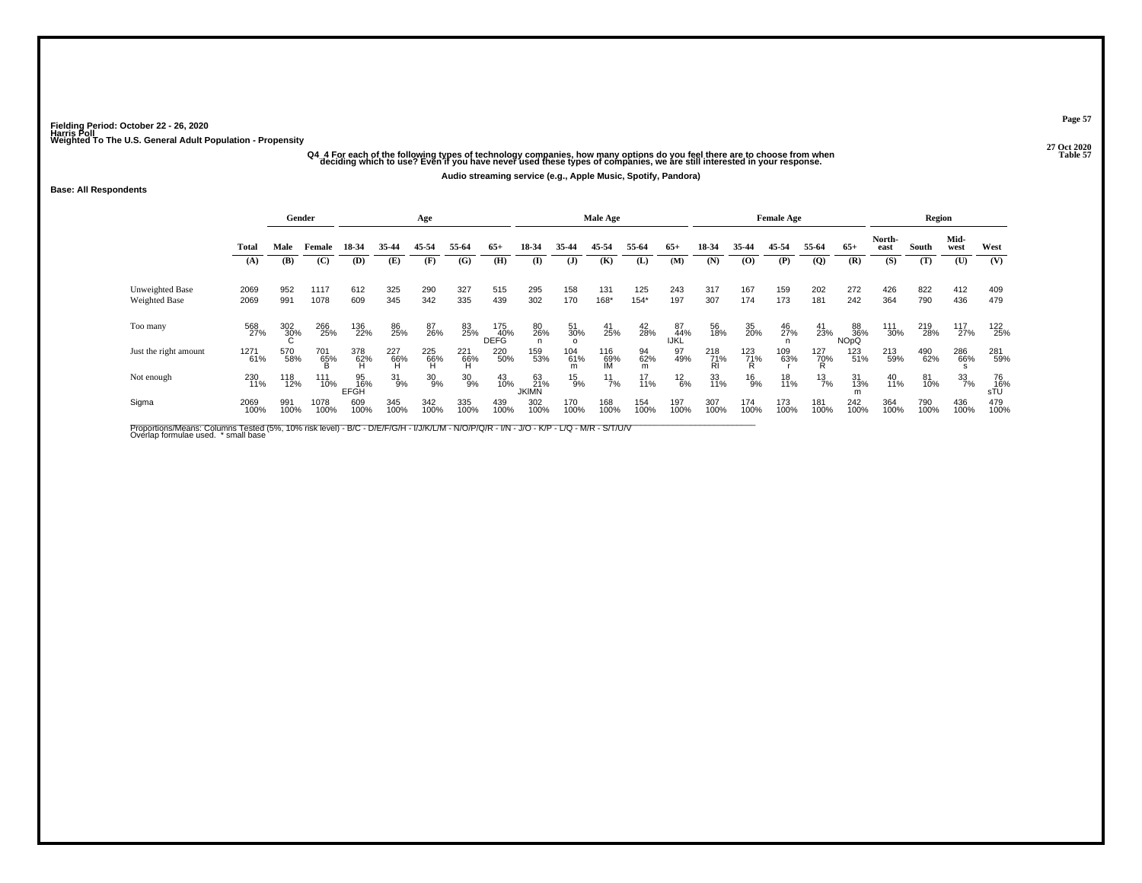## -<br>Companies, how many options do you feel there are to choose from when and the start of the following types of technology companies, how many options do you feel there are to choose from when and the start of the 57 able

**Audio streaming service (e.g., Apple Music, Spotify, Pandora)**

#### **Base: All Respondents**

|                                  |              |             | Gender       |                   |                   | Age             |                   |                    |                           |               | Male Age         |                |                   |                  |              | <b>Female Age</b> |                 |                                     |                | Region      |              |                  |
|----------------------------------|--------------|-------------|--------------|-------------------|-------------------|-----------------|-------------------|--------------------|---------------------------|---------------|------------------|----------------|-------------------|------------------|--------------|-------------------|-----------------|-------------------------------------|----------------|-------------|--------------|------------------|
|                                  | Total        | Male        | Female       | 18-34             | 35-44             | 45-54           | 55-64             | $65+$              | 18-34                     | 35-44         | 45-54            | 55-64          | $65+$             | 18-34            | 35-44        | 45-54             | 55-64           | $65+$                               | North-<br>east | South       | Mid-<br>west | West             |
|                                  | (A)          | (B)         | (C)          | (D)               | (E)               | (F)             | (G)               | (H)                | (I)                       | (J)           | (K)              | (L)            | (M)               | (N)              | (O)          | (P)               | $\overline{Q}$  | (R)                                 | (S)            | (T)         | (U)          | (V)              |
| Unweighted Base<br>Weighted Base | 2069<br>2069 | 952<br>991  | 1117<br>1078 | 612<br>609        | 325<br>345        | 290<br>342      | 327<br>335        | 515<br>439         | 295<br>302                | 158<br>170    | 131<br>168*      | 125<br>$154*$  | 243<br>197        | 317<br>307       | 167<br>174   | 159<br>173        | 202<br>181      | 272<br>242                          | 426<br>364     | 822<br>790  | 412<br>436   | 409<br>479       |
| Too many                         | 568<br>27%   | 302<br>30%  | 266<br>25%   | 136<br>22%        | 86<br>25%         | 87<br>26%       | 83<br>25%         | 175<br>40%<br>DEFG | 80<br>26%                 | 51<br>30%     | 41<br>25%        | $^{42}_{28\%}$ | 87<br>44%<br>IJŔĹ | 56<br>18%        | 35<br>20%    | 46<br>27%         | 41<br>23%       | 88<br>36%<br><b>NO<sub>p</sub>Q</b> | 111<br>30%     | 219<br>28%  | 117<br>27%   | 122<br>25%       |
| Just the right amount            | 1271<br>61%  | 570<br>58%  | 701<br>65%   | 378<br>62%<br>H   | 227<br>-66%<br>-H | 225<br>66%<br>H | 221<br>-66%<br>-H | 220<br>50%         | 159<br>53%                | 104<br>61%    | 116<br>69%<br>IM | 94<br>62%<br>m | 97<br>49%         | 218<br>71%<br>ŔÌ | 123<br>71%   | 109<br>63%        | 127<br>70%<br>R | 123<br>51%                          | 213<br>59%     | 490<br>62%  | 286<br>66%   | 281<br>59%       |
| Not enough                       | 230<br>11%   | 118<br>12%  | 111<br>10%   | 95<br>16%<br>EFGH | $31_{9\%}$        | $^{30}_{9\%}$   | $^{30}_{9\%}$     | 43<br>10%          | 63<br>21%<br><b>JKIMN</b> | $^{15}_{9\%}$ | $\frac{11}{7\%}$ | 17<br>11%      | $^{12}_{6\%}$     | 33<br>11%        | $^{16}_{9%}$ | 18<br>11%         | $^{13}_{7\%}$   | 31<br>13%                           | 40<br>11%      | 81<br>10%   | 33<br>7%     | 76<br>16%<br>sTU |
| Sigma                            | 2069<br>100% | 991<br>100% | 1078<br>100% | 609<br>100%       | 345<br>100%       | 342<br>100%     | 335<br>100%       | 439<br>100%        | 302<br>100%               | 170<br>100%   | 168<br>100%      | 154<br>100%    | 197<br>100%       | 307<br>100%      | 174<br>100%  | 173<br>100%       | 181<br>100%     | 242<br>100%                         | 364<br>100%    | 790<br>100% | 436<br>100%  | 479<br>100%      |

Proportions/Means: Columns Tested (5%, 10% risk level) - B/C - D/E/F/G/H - I/J/K/L/M - N/O/P/Q/R - I/N - J/O - K/P - L/Q - M/R - S/T/U/V<br>Overlap formulae used. \*small base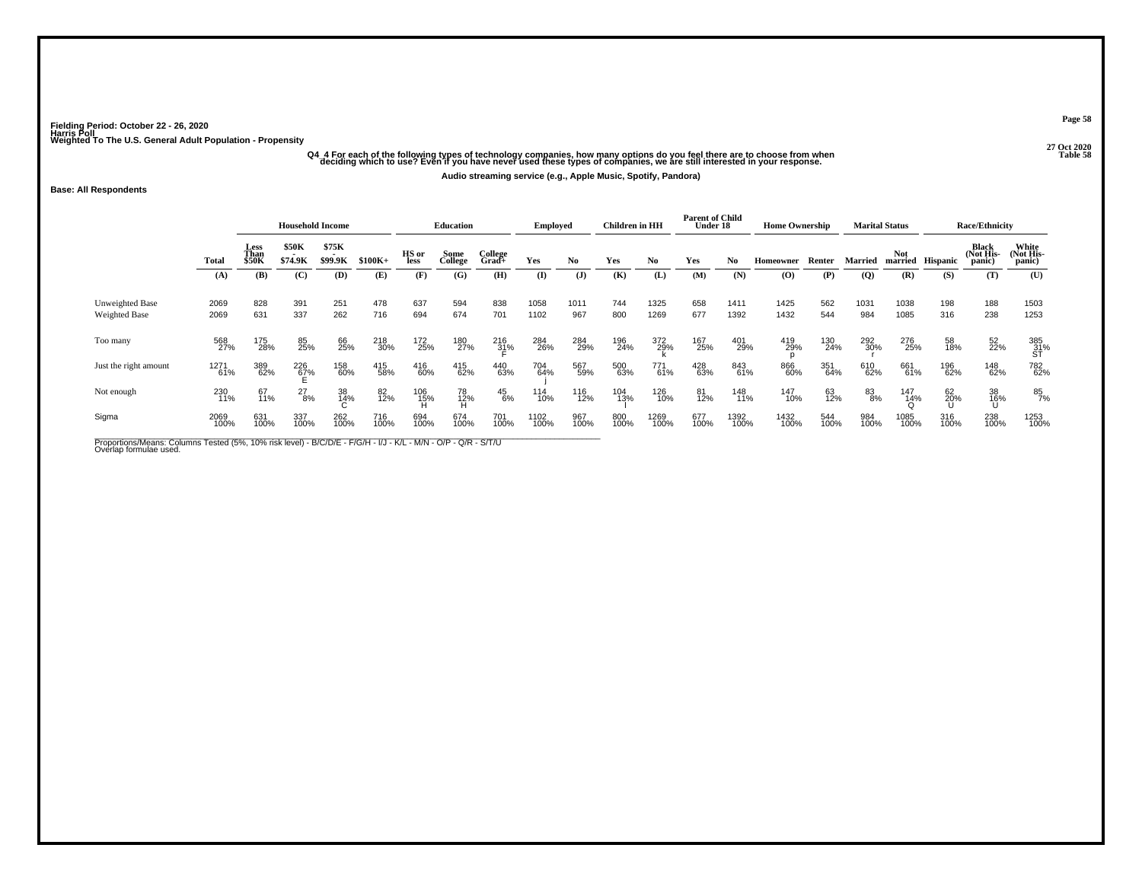## -<br>O4 4 For each of the following types of technology companies, how many options do you feel there are to choose from when<br>Table 58 deciding which to use? Even if you have never used these types of companies, we are still

**Audio streaming service (e.g., Apple Music, Spotify, Pandora)**

### **Base: All Respondents**

|                                  |              |                       | <b>Household Income</b> |                  |             |               | <b>Education</b> |                  | Employed     |               | <b>Children</b> in HH |              | <b>Parent of Child</b><br>Under 18 |              | <b>Home Ownership</b>                    |             |                | <b>Marital Status</b> |                  | <b>Race/Ethnicity</b>        |                              |
|----------------------------------|--------------|-----------------------|-------------------------|------------------|-------------|---------------|------------------|------------------|--------------|---------------|-----------------------|--------------|------------------------------------|--------------|------------------------------------------|-------------|----------------|-----------------------|------------------|------------------------------|------------------------------|
|                                  | Total        | Less<br>Than<br>\$50K | \$50K<br>\$74.9K        | \$75K<br>\$99.9K | $$100K+$    | HS or<br>less | Some<br>College  | College<br>Grad+ | Yes          | No.           | Yes                   | No.          | Yes                                | No           | Homeowner                                | Renter      | <b>Married</b> | <b>Not</b>            | married Hispanic | Black<br>(Not His-<br>panic) | White<br>(Not His-<br>panic) |
|                                  | (A)          | (B)                   | (C)                     | (D)              | (E)         | (F)           | (G)              | (H)              | (I)          | $($ $\bf{J})$ | (K)                   | (L)          | (M)                                | (N)          | $\boldsymbol{\left( \mathbf{O} \right)}$ | (P)         | $\overline{Q}$ | (R)                   | (S)              | (T)                          | (U)                          |
| Unweighted Base<br>Weighted Base | 2069<br>2069 | 828<br>631            | 391<br>337              | 251<br>262       | 478<br>716  | 637<br>694    | 594<br>674       | 838<br>701       | 1058<br>1102 | 1011<br>967   | 744<br>800            | 1325<br>1269 | 658<br>677                         | 1411<br>1392 | 1425<br>1432                             | 562<br>544  | 1031<br>984    | 1038<br>1085          | 198<br>316       | 188<br>238                   | 1503<br>1253                 |
| Too many                         | 568<br>27%   | 175<br>28%            | 85<br>25%               | 66<br>25%        | 218<br>30%  | 172<br>25%    | 180<br>27%       | 216<br>31%       | 284<br>26%   | 284<br>29%    | 196<br>24%            | 372<br>29%   | 167<br>25%                         | 401<br>29%   | 419<br>29%                               | 130<br>24%  | 292<br>30%     | 276<br>25%            | 58<br>18%        | 52<br>22%                    | 385<br>31%<br>ST             |
| Just the right amount            | 1271<br>61%  | 389<br>62%            | 226<br>67%              | 158<br>60%       | 415<br>58%  | 416<br>60%    | 415<br>62%       | 440<br>63%       | 704<br>64%   | 567<br>59%    | 500<br>63%            | 771<br>61%   | 428<br>63%                         | 843<br>61%   | 866<br>60%                               | 351<br>64%  | 610<br>62%     | 661<br>61%            | 196<br>62%       | 148<br>62%                   | 782<br>62%                   |
| Not enough                       | 230<br>11%   | 67<br>11%             | 27<br>8%                | 38<br>14%        | 82<br>12%   | 106<br>15%    | 78<br>12%        | $^{45}_{6\%}$    | 114<br>10%   | 116<br>12%    | 104<br>13%            | 126<br>10%   | 81<br>12%                          | 148<br>11%   | 147<br>10%                               | 63<br>12%   | 83<br>8%       | 147<br>14%            | 62<br>20%        | 38<br>16%<br>Ս               | 85<br>7%                     |
| Sigma                            | 2069<br>100% | 631<br>100%           | 337<br>100%             | 262<br>100%      | 716<br>100% | 694<br>100%   | 674<br>100%      | 701<br>100%      | 1102<br>100% | 967<br>100%   | 800<br>100%           | 1269<br>100% | 677<br>100%                        | 1392<br>100% | 1432<br>100%                             | 544<br>100% | 984<br>100%    | 1085<br>100%          | 316<br>100%      | 238<br>100%                  | 1253<br>100%                 |

Proportions/Means: Columns Tested (5%, 10% risk level) - B/C/D/E - F/G/H - I/J - K/L - M/N - O/P - Q/R - S/T/U<br>Overlap formulae used.

**Page 58**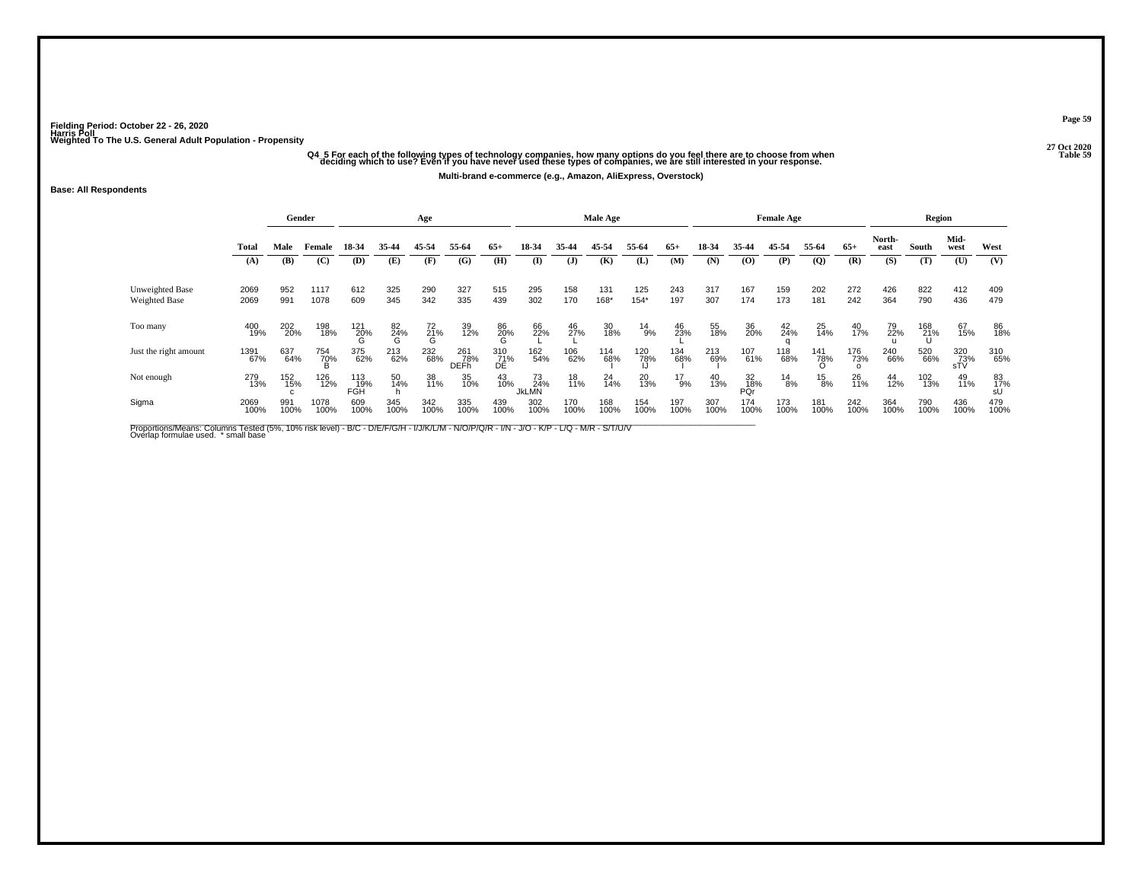## -<br>O4 5 For each of the following types of technology companies, how many options do you feel there are to choose from when<br>Table 59 deciding which to use? Even if you have never used these types of companies, we are still

**Multi-brand e-commerce (e.g., Amazon, AliExpress, Overstock)**

### **Base: All Respondents**

|                                  |              |             | Gender              |                   |                | Age            |                           |                  |                           |             | Male Age    |               |               |             |                  | <b>Female Age</b> |                |                |                | Region          |                   |             |
|----------------------------------|--------------|-------------|---------------------|-------------------|----------------|----------------|---------------------------|------------------|---------------------------|-------------|-------------|---------------|---------------|-------------|------------------|-------------------|----------------|----------------|----------------|-----------------|-------------------|-------------|
|                                  | Total        | Male        | Female              | 18-34             | 35-44          | 45-54          | 55-64                     | $65+$            | 18-34                     | 35-44       | 45-54       | 55-64         | $65+$         | 18-34       | 35-44            | 45-54             | 55-64          | $65+$          | North-<br>east | South           | Mid-<br>west      | West        |
|                                  | (A)          | (B)         | (C)                 | (D)               | (E)            | (F)            | (G)                       | (H)              | (I)                       | (J)         | (K)         | (L)           | (M)           | (N)         | (0)              | (P)               | $\mathbf{Q}$   | (R)            | (S)            | (T)             | (U)               | (V)         |
| Unweighted Base<br>Weighted Base | 2069<br>2069 | 952<br>991  | 1117<br>1078        | 612<br>609        | 325<br>345     | 290<br>342     | 327<br>335                | 515<br>439       | 295<br>302                | 158<br>170  | 131<br>168* | 125<br>$154*$ | 243<br>197    | 317<br>307  | 167<br>174       | 159<br>173        | 202<br>181     | 272<br>242     | 426<br>364     | 822<br>790      | 412<br>436        | 409<br>479  |
| Too many                         | 400<br>19%   | 202<br>20%  | 198<br>18%          | $^{121}_{20\%}$   | 82<br>24%<br>G | $^{72}_{21\%}$ | 39<br>12%                 | 86<br>20%<br>G   | 66<br>22%                 | 46<br>27%   | 30<br>18%   | $^{14}_{9\%}$ | 46<br>23%     | 55<br>18%   | 36<br>20%        | $^{42}_{24\%}$    | $^{25}_{14\%}$ | $^{40}_{17\%}$ | 79<br>22%      | 168<br>21%<br>Ս | 67<br>15%         | 86<br>18%   |
| Just the right amount            | 1391<br>67%  | 637<br>64%  | 754<br>7 <u>0</u> % | 375<br>62%        | 213<br>62%     | 232<br>68%     | 261<br>78%<br><b>DEFh</b> | 310<br>71%<br>DE | 162<br>54%                | 106<br>62%  | 114<br>68%  | 120<br>78%    | 134<br>68%    | 213<br>69%  | 107<br>61%       | 118<br>68%        | 141<br>78%     | 176<br>73%     | 240<br>66%     | 520<br>66%      | 320<br>73%<br>sTV | 310<br>65%  |
| Not enough                       | 279<br>13%   | 152<br>15%  | 126<br>12%          | 113<br>19%<br>FGH | 50<br>14%      | 38<br>11%      | 35<br>10%                 | $^{43}_{10\%}$   | 73<br>24%<br><b>JKLMN</b> | 18<br>11%   | 24<br>14%   | 20<br>13%     | $^{17}_{9\%}$ | 40<br>13%   | 32<br>18%<br>PQr | $^{14}_{8\%}$     | $^{15}_{8\%}$  | 26<br>11%      | 44<br>12%      | 102<br>13%      | 49<br>11%         | 83<br>17%   |
| Sigma                            | 2069<br>100% | 991<br>100% | 1078<br>100%        | 609<br>100%       | 345<br>100%    | 342<br>100%    | 335<br>100%               | 439<br>100%      | 302<br>100%               | 170<br>100% | 168<br>100% | 154<br>100%   | 197<br>100%   | 307<br>100% | 174<br>100%      | 173<br>100%       | 181<br>100%    | 242<br>100%    | 364<br>100%    | 790<br>100%     | 436<br>100%       | 479<br>100% |

Proportions/Means: Columns Tested (5%, 10% risk level) - B/C - D/E/F/G/H - I/J/K/L/M - N/O/P/Q/R - I/N - J/O - K/P - L/Q - M/R - S/T/U/V<br>Overlap formulae used. \*small base

**Page 59**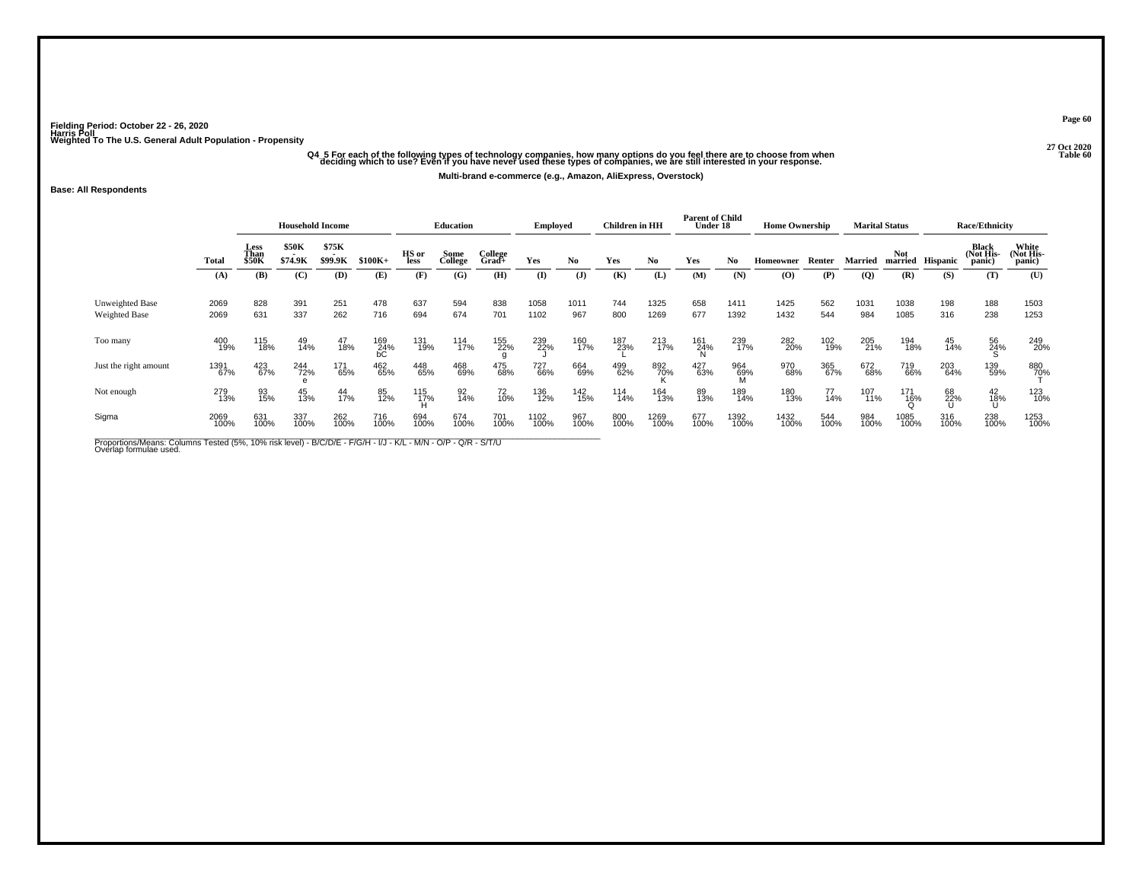## -<br>Q4\_5 For each of the following types of technology companies, how many options do you feel there are to choose from when<br>Table 60 deciding which to use? Even if you have never used these types of companies, we are still

**Multi-brand e-commerce (e.g., Amazon, AliExpress, Overstock)**

#### **Base: All Respondents**

|                                  |              |                       | <b>Household Income</b> |                  |                               |               | Education       |                  | <b>Employed</b> |                | Children in HH |                | <b>Parent of Child</b><br>Under 18 |                 | <b>Home Ownership</b> |             |                | <b>Marital Status</b> |                  | <b>Race/Ethnicity</b>        |                              |
|----------------------------------|--------------|-----------------------|-------------------------|------------------|-------------------------------|---------------|-----------------|------------------|-----------------|----------------|----------------|----------------|------------------------------------|-----------------|-----------------------|-------------|----------------|-----------------------|------------------|------------------------------|------------------------------|
|                                  | Total        | Less<br>Than<br>\$50K | \$50K<br>\$74.9K        | \$75K<br>\$99.9K | $$100K+$                      | HS or<br>less | Some<br>College | College<br>Grad+ | Yes             | No             | Yes            | N <sub>0</sub> | Yes                                | No              | Homeowner             | Renter      | <b>Married</b> | <b>Not</b>            | married Hispanic | Black<br>(Not His-<br>panic) | White<br>(Not His-<br>panic) |
|                                  | (A)          | (B)                   | (C)                     | (D)              | (E)                           | (F)           | (G)             | (H)              | (I)             | $(\mathbf{J})$ | (K)            | (L)            | (M)                                | (N)             | $\bf{(O)}$            | (P)         | (Q)            | (R)                   | (S)              | (T)                          | (U)                          |
| Unweighted Base<br>Weighted Base | 2069<br>2069 | 828<br>631            | 391<br>337              | 251<br>262       | 478<br>716                    | 637<br>694    | 594<br>674      | 838<br>701       | 1058<br>1102    | 1011<br>967    | 744<br>800     | 1325<br>1269   | 658<br>677                         | 1411<br>1392    | 1425<br>1432          | 562<br>544  | 1031<br>984    | 1038<br>1085          | 198<br>316       | 188<br>238                   | 1503<br>1253                 |
| Too many                         | 400<br>19%   | 115<br>18%            | 49<br>14%               | 47<br>18%        | $^{169}_{24\%}$ <sub>bC</sub> | 131<br>19%    | 114<br>17%      | 155<br>22%       | 239<br>22%      | 160<br>17%     | 187<br>23%     | 213<br>17%     | 161<br>24%                         | 239<br>17%      | 282<br>20%            | 102<br>19%  | 205<br>21%     | 194<br>18%            | 45<br>14%        | 56<br>24%                    | 249<br>20%                   |
| Just the right amount            | 1391<br>67%  | 423<br>67%            | 244<br>72%              | 171<br>65%       | 462<br>65%                    | 448<br>65%    | 468<br>69%      | 475<br>68%       | 727<br>66%      | 664<br>69%     | 499<br>62%     | 892<br>70%     | 427<br>63%                         | 964<br>69%<br>M | 970<br>68%            | 365<br>67%  | 672<br>68%     | 719<br>66%            | 203<br>64%       | 139<br>59%                   | 880<br>7 <u>0</u> %          |
| Not enough                       | 279<br>13%   | 93<br>15%             | 45<br>13%               | 44<br>17%        | 85<br>12%                     | 115<br>17%    | 92<br>14%       | 72<br>10%        | 136<br>12%      | 142<br>15%     | 114<br>14%     | 164<br>13%     | 89<br>13%                          | 189<br>14%      | 180<br>13%            | 77<br>14%   | 107<br>11%     | 171<br>$\frac{16}{0}$ | 68<br>22%<br>U   | 42<br>18%<br>Ս               | 123<br>10%                   |
| Sigma                            | 2069<br>100% | 631<br>100%           | 337<br>100%             | 262<br>100%      | 716<br>100%                   | 694<br>100%   | 674<br>100%     | 701<br>100%      | 1102<br>100%    | 967<br>100%    | 800<br>100%    | 1269<br>100%   | 677<br>100%                        | 1392<br>100%    | 1432<br>100%          | 544<br>100% | 984<br>100%    | 1085<br>100%          | 316<br>100%      | 238<br>100%                  | 1253<br>100%                 |

Proportions/Means: Columns Tested (5%, 10% risk level) - B/C/D/E - F/G/H - I/J - K/L - M/N - O/P - Q/R - S/T/U<br>Overlap formulae used.

**Page 60**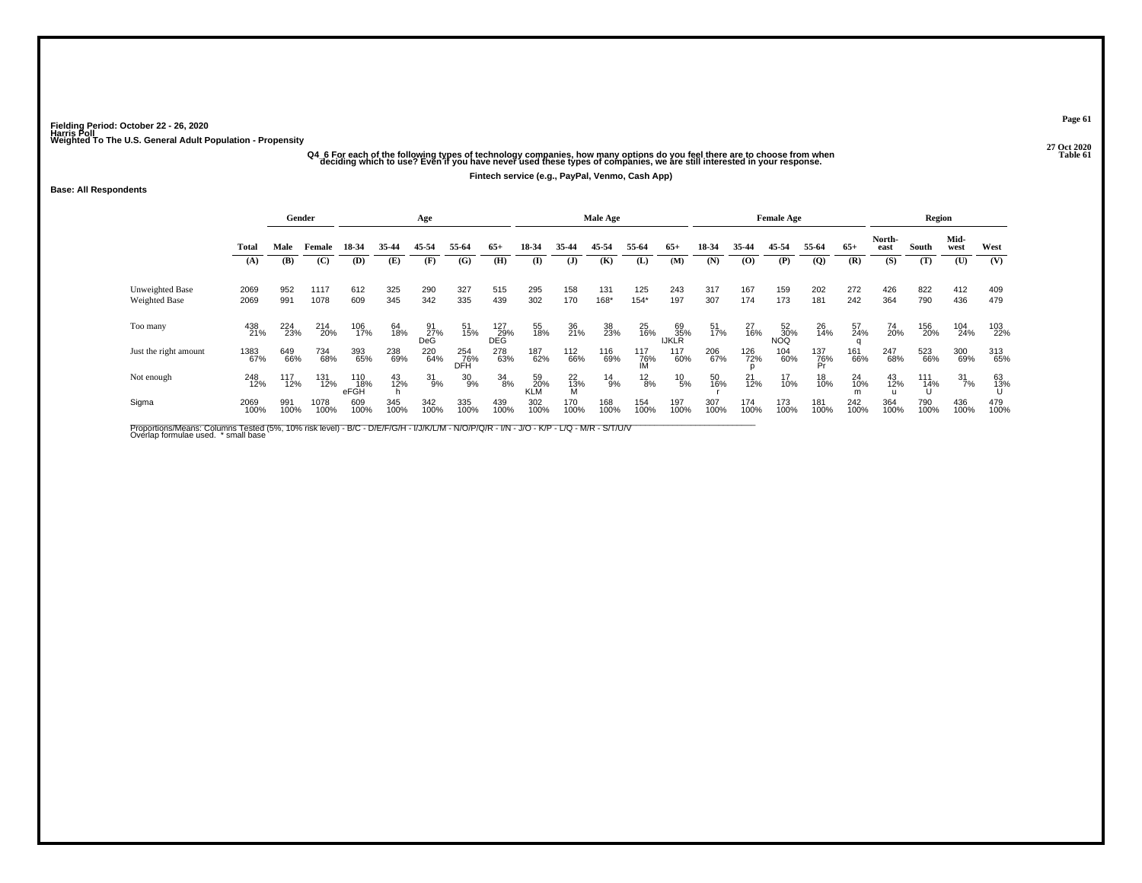## -<br>Q4\_6 For each of the following types of technology companies, how many options do you feel there are to choose from when<br>Table 61 deciding which to use? Even if you have never used these types of companies, we are still

**Fintech service (e.g., PayPal, Venmo, Cash App)**

#### **Base: All Respondents**

|                                  |              |             | Gender       |                    |             | Age              |                   |                   |                  |                | Male Age      |                  |                    |             |                | <b>Female Age</b> |                  |                |                | Region      |                  |             |
|----------------------------------|--------------|-------------|--------------|--------------------|-------------|------------------|-------------------|-------------------|------------------|----------------|---------------|------------------|--------------------|-------------|----------------|-------------------|------------------|----------------|----------------|-------------|------------------|-------------|
|                                  | Total        | Male        | Female       | 18-34              | 35-44       | 45-54            | 55-64             | $65+$             | 18-34            | 35-44          | 45-54         | 55-64            | $65+$              | 18-34       | 35-44          | 45-54             | 55-64            | $65+$          | North-<br>east | South       | Mid-<br>west     | West        |
|                                  | (A)          | (B)         | (C)          | (D)                | (E)         | (F)              | (G)               | (H)               | $\bf{I}$         | $\mathbf{J}$   | (K)           | (L)              | (M)                | (N)         | (0)            | (P)               | (Q)              | (R)            | (S)            | (T)         | (U)              | (V)         |
| Unweighted Base<br>Weighted Base | 2069<br>2069 | 952<br>991  | 1117<br>1078 | 612<br>609         | 325<br>345  | 290<br>342       | 327<br>335        | 515<br>439        | 295<br>302       | 158<br>170     | 131<br>168*   | 125<br>$154*$    | 243<br>197         | 317<br>307  | 167<br>174     | 159<br>173        | 202<br>181       | 272<br>242     | 426<br>364     | 822<br>790  | 412<br>436       | 409<br>479  |
| Too many                         | 438<br>21%   | 224<br>23%  | 214<br>20%   | 106<br>17%         | 64<br>18%   | 91<br>27%<br>DeG | 51<br>15%         | 127<br>29%<br>DEG | 55<br>18%        | 36<br>21%      | 38<br>23%     | 25<br>16%        | 69<br>35%<br>IJKLR | 51<br>17%   | 27<br>16%      | 52<br>30%<br>NOQ  | 26<br>14%        | 57<br>24%      | 74<br>20%      | 156<br>20%  | 104<br>24%       | 103<br>22%  |
| Just the right amount            | 1383<br>67%  | 649<br>66%  | 734<br>68%   | 393<br>65%         | 238<br>69%  | 220<br>64%       | 254<br>76%<br>DFH | 278<br>63%        | 187<br>62%       | 112<br>66%     | 116<br>69%    | 117<br>76%<br>IM | 117<br>60%         | 206<br>67%  | 126<br>72%     | 104<br>60%        | 137<br>76%<br>Pr | 161<br>66%     | 247<br>68%     | 523<br>66%  | 300<br>69%       | 313<br>65%  |
| Not enough                       | 248<br>12%   | 117<br>12%  | 131<br>12%   | 110<br>18%<br>eFGH | 43<br>12%   | 31<br>9%         | 30<br>9%          | 34<br>8%          | 59<br>20%<br>KLM | $^{22}_{13\%}$ | $^{14}_{9\%}$ | $^{12}_{8\%}$    | $^{10}_{\ 5\%}$    | 50<br>16%   | $^{21}_{12\%}$ | 17<br>10%         | 18<br>10%        | $^{24}_{10\%}$ | 43<br>12%      | 111<br>14%  | $\frac{31}{7\%}$ | 63<br>13%   |
| Sigma                            | 2069<br>100% | 991<br>100% | 1078<br>100% | 609<br>100%        | 345<br>100% | 342<br>100%      | 335<br>100%       | 439<br>100%       | 302<br>100%      | 170<br>100%    | 168<br>100%   | 154<br>100%      | 197<br>100%        | 307<br>100% | 174<br>100%    | 173<br>100%       | 181<br>100%      | 242<br>100%    | 364<br>100%    | 790<br>100% | 436<br>100%      | 479<br>100% |

Proportions/Means: Columns Tested (5%, 10% risk level) - B/C - D/E/F/G/H - I/J/K/L/M - N/O/P/Q/R - I/N - J/O - K/P - L/Q - M/R - S/T/U/V<br>Overlap formulae used. \*small base

**Page 61**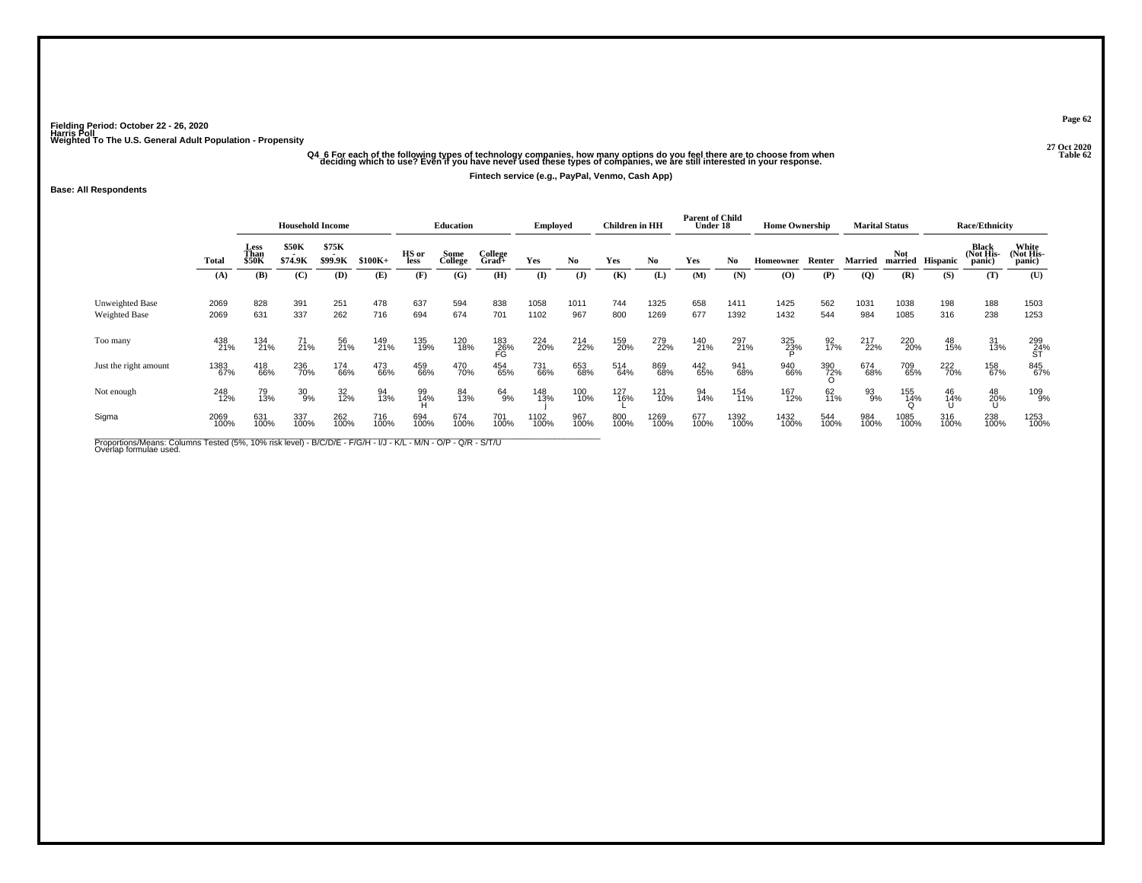# -<br>O4 6 For each of the following types of technology companies, how many options do you feel there are to choose from when<br>Table 62 deciding which to use? Even if you have never used these types of companies, we are still

**Fintech service (e.g., PayPal, Venmo, Cash App)**

### **Base: All Respondents**

|                                         |              |                              | <b>Household Income</b> |                         |             |               | <b>Education</b> |                  | <b>Employed</b> |             | Children in HH |              | <b>Parent of Child</b><br>Under 18 |              | <b>Home Ownership</b> |                   |                | <b>Marital Status</b> |             | <b>Race/Ethnicity</b>        |                              |
|-----------------------------------------|--------------|------------------------------|-------------------------|-------------------------|-------------|---------------|------------------|------------------|-----------------|-------------|----------------|--------------|------------------------------------|--------------|-----------------------|-------------------|----------------|-----------------------|-------------|------------------------------|------------------------------|
|                                         | Total        | Less<br>Than<br><b>\$50K</b> | <b>\$50K</b><br>\$74.9K | \$75K<br>. .<br>\$99.9K | $$100K+$    | HS or<br>less | Some<br>College  | College<br>Grad+ | Yes             | No.         | Yes            | No           | Yes                                | No.          | Homeowner             | Renter            | Married        | Not<br>married        | Hispanic    | Black<br>(Not His-<br>panic) | White<br>(Not His-<br>panic) |
|                                         | (A)          | (B)                          | (C)                     | (D)                     | (E)         | (F)           | (G)              | (H)              | $($ I           | (J)         | (K)            | (L)          | (M)                                | (N)          | (O)                   | (P)               | $\overline{Q}$ | (R)                   | (S)         | (T)                          | (U)                          |
| Unweighted Base<br><b>Weighted Base</b> | 2069<br>2069 | 828<br>631                   | 391<br>337              | 251<br>262              | 478<br>716  | 637<br>694    | 594<br>674       | 838<br>701       | 1058<br>1102    | 1011<br>967 | 744<br>800     | 1325<br>1269 | 658<br>677                         | 1411<br>1392 | 1425<br>1432          | 562<br>544        | 1031<br>984    | 1038<br>1085          | 198<br>316  | 188<br>238                   | 1503<br>1253                 |
| Too many                                | 438<br>21%   | 134<br>21%                   | $^{71}_{21\%}$          | 56<br>21%               | 149<br>21%  | 135<br>19%    | 120<br>18%       | 183<br>26%<br>FG | 224<br>20%      | 214<br>22%  | 159<br>20%     | 279<br>22%   | 140<br>21%                         | 297<br>21%   | 325<br>23%            | $\frac{92}{17\%}$ | 217<br>22%     | 220<br>20%            | 48<br>15%   | 31<br>13%                    | 299<br>24%<br>ST             |
| Just the right amount                   | 1383<br>67%  | 418<br>66%                   | 236<br>70%              | 174<br>66%              | 473<br>66%  | 459<br>66%    | 470<br>70%       | 454<br>65%       | 731<br>66%      | 653<br>68%  | 514<br>64%     | 869<br>68%   | 442<br>65%                         | 941<br>68%   | 940<br>66%            | 390<br>72%        | 674<br>68%     | 709<br>65%            | 222<br>70%  | 158<br>67%                   | 845<br>67%                   |
| Not enough                              | 248<br>12%   | 79<br>13%                    | $\frac{30}{9\%}$        | 32<br>12%               | 94<br>13%   | 99<br>14%     | 84<br>13%        | 64<br>9%         | 148<br>13%      | 100<br>10%  | 127<br>16%     | 121<br>10%   | 94<br>14%                          | 154<br>11%   | 167<br>12%            | 62<br>11%         | 93<br>9%       | 155<br>14%<br>೧       | 46<br>14%   | $^{48}_{20\%}$               | 109<br>9%                    |
| Sigma                                   | 2069<br>100% | 631<br>100%                  | 337<br>100%             | 262<br>100%             | 716<br>100% | 694<br>100%   | 674<br>100%      | 701<br>100%      | 1102<br>100%    | 967<br>100% | 800<br>100%    | 1269<br>100% | 677<br>100%                        | 1392<br>100% | 1432<br>100%          | 544<br>100%       | 984<br>100%    | 1085<br>100%          | 316<br>100% | 238<br>100%                  | 1253<br>100%                 |

Proportions/Means: Columns Tested (5%, 10% risk level) - B/C/D/E - F/G/H - I/J - K/L - M/N - O/P - Q/R - S/T/U<br>Overlap formulae used.

**Page 62**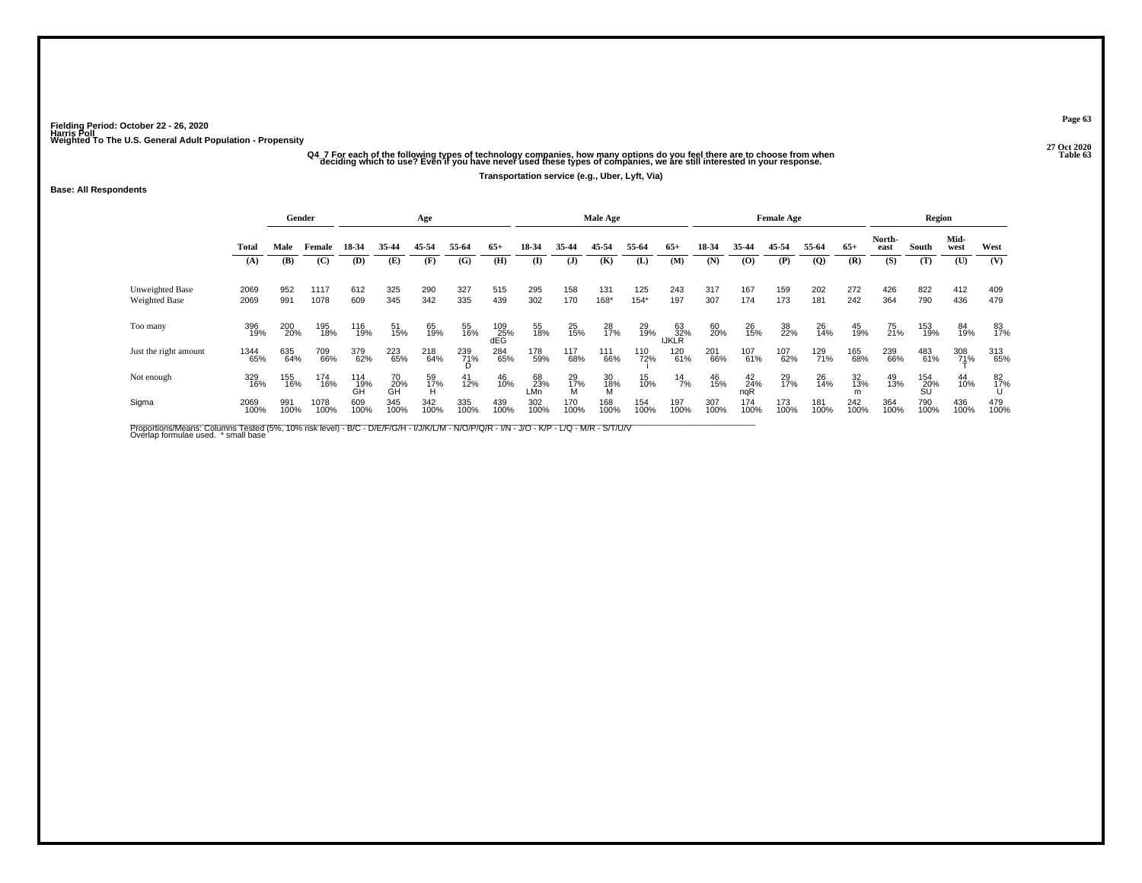### -<br>Q4\_7 For each of the following types of technology companies, how many options do you feel there are to choose from when<br>Galing which to use? Even if you have never used these types of companies, we are still interested **Transportation service (e.g., Uber, Lyft, Via)**

#### **Base: All Respondents**

|                                  |              |             | Gender       |                  |                 | Age             |                |                     |                  |                | Male Age       |               |                    |             |                    | <b>Female Age</b> |                |             |                | Region          |                     |             |
|----------------------------------|--------------|-------------|--------------|------------------|-----------------|-----------------|----------------|---------------------|------------------|----------------|----------------|---------------|--------------------|-------------|--------------------|-------------------|----------------|-------------|----------------|-----------------|---------------------|-------------|
|                                  | <b>Total</b> | Male        | Female       | 18-34            | 35-44           | 45-54           | 55-64          | $65+$               | 18-34            | 35-44          | 45-54          | 55-64         | $65+$              | 18-34       | 35-44              | 45-54             | 55-64          | $65+$       | North-<br>east | South           | Mid-<br>west        | West        |
|                                  | (A)          | (B)         | (C)          | (D)              | (E)             | (F)             | (G)            | (H)                 | (I)              | (J)            | (K)            | (L)           | (M)                | (N)         | $\bf{(0)}$         | (P)               | $\overline{Q}$ | (R)         | (S)            | (T)             | (U)                 | (V)         |
| Unweighted Base<br>Weighted Base | 2069<br>2069 | 952<br>991  | 1117<br>1078 | 612<br>609       | 325<br>345      | 290<br>342      | 327<br>335     | 515<br>439          | 295<br>302       | 158<br>170     | 131<br>168*    | 125<br>$154*$ | 243<br>197         | 317<br>307  | 167<br>174         | 159<br>173        | 202<br>181     | 272<br>242  | 426<br>364     | 822<br>790      | 412<br>436          | 409<br>479  |
| Too many                         | 396<br>19%   | 200<br>20%  | 195<br>18%   | 116<br>19%       | 51<br>15%       | 65<br>19%       | 55<br>16%      | $^{109}_{25\%}$ dEG | 55<br>18%        | $^{25}_{15\%}$ | 28<br>17%      | 29<br>19%     | 63<br>32%<br>IJKLR | 60<br>20%   | 26<br>15%          | 38<br>22%         | 26<br>14%      | 45<br>19%   | 75<br>21%      | 153<br>19%      | 84<br>19%           | 83<br>17%   |
| Just the right amount            | 1344<br>65%  | 635<br>64%  | 709<br>66%   | 379<br>62%       | 223<br>65%      | 218<br>64%      | 239<br>71%     | 284<br>65%          | 178<br>59%       | 117<br>68%     | 111<br>66%     | 110<br>72%    | 120<br>61%         | 201<br>66%  | 107<br>61%         | 107<br>62%        | 129<br>71%     | 165<br>68%  | 239<br>66%     | 483<br>61%      | 308<br>7 <u>1</u> % | 313<br>65%  |
| Not enough                       | 329<br>16%   | 155<br>16%  | 174<br>16%   | 114<br>19%<br>GĤ | 70<br>20%<br>GH | 59<br>17%<br>ΉÌ | $^{41}_{12\%}$ | 46<br>10%           | 68<br>23%<br>LMn | 29<br>17%<br>M | 30<br>18%<br>M | 15<br>10%     | $^{14}_{7\%}$      | 46<br>15%   | $^{42}_{24\%}$ ngR | 29<br>17%         | 26<br>14%      | 32<br>13%   | 49<br>13%      | $^{154}_{20\%}$ | 44<br>10%           | 82<br>17%   |
| Sigma                            | 2069<br>100% | 991<br>100% | 1078<br>100% | 609<br>100%      | 345<br>100%     | 342<br>100%     | 335<br>100%    | 439<br>100%         | 302<br>100%      | 170<br>100%    | 168<br>100%    | 154<br>100%   | 197<br>100%        | 307<br>100% | 174<br>100%        | 173<br>100%       | 181<br>100%    | 242<br>100% | 364<br>100%    | 790<br>100%     | 436<br>100%         | 479<br>100% |

Proportions/Means: Columns Tested (5%, 10% risk level) - B/C - D/E/F/G/H - I/J/K/L/M - N/O/P/Q/R - I/N - J/O - K/P - L/Q - M/R - S/T/U/V<br>Overlap formulae used. \*small base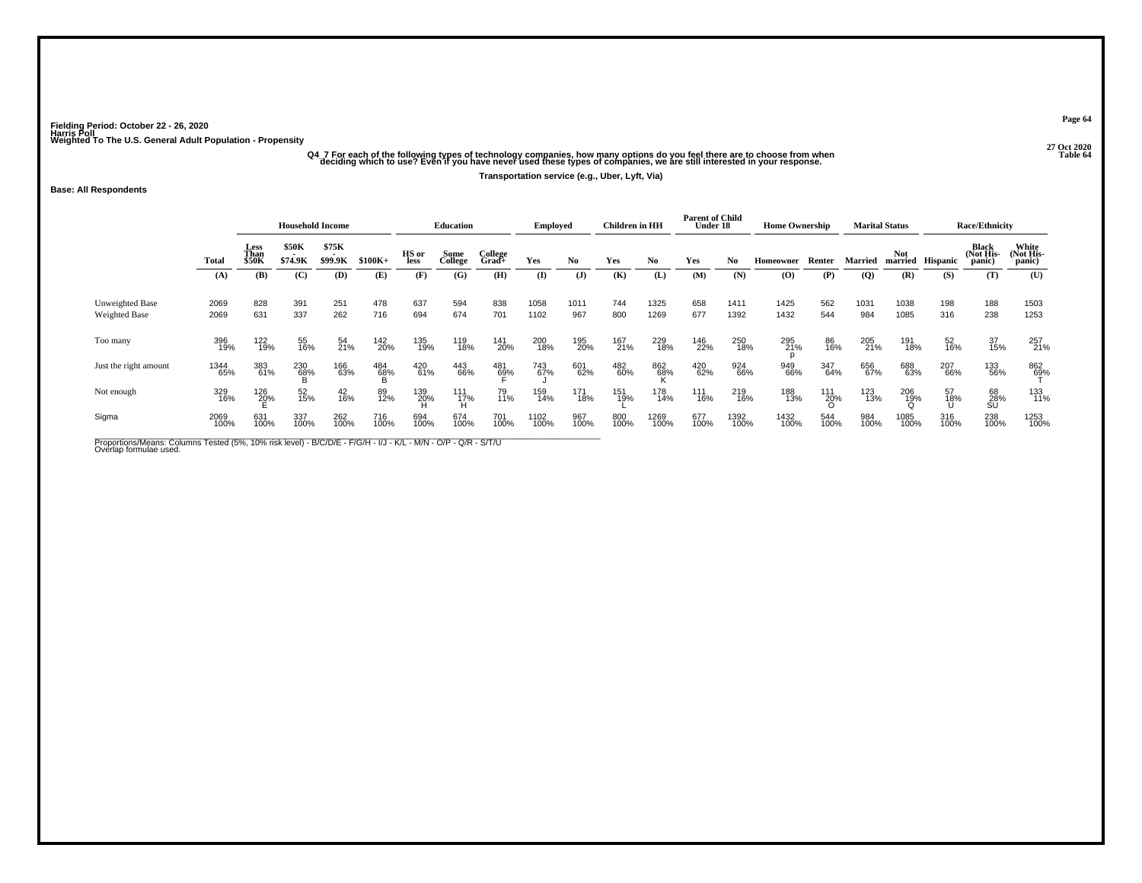## -<br>O4 7 For each of the following types of technology companies, how many options do you feel there are to choose from when<br>Table 64 deciding which to use? Even if you have never used these types of companies, we are still

### **Transportation service (e.g., Uber, Lyft, Via)**

#### **Base: All Respondents**

|                                         |              |                       | <b>Household Income</b> |                  |             |               | <b>Education</b> |                  | <b>Employed</b> |                | <b>Children</b> in HH |              | <b>Parent of Child</b><br>Under 18 |              | <b>Home Ownership</b> |             |             | <b>Marital Status</b> |                  | <b>Race/Ethnicity</b>        |                              |
|-----------------------------------------|--------------|-----------------------|-------------------------|------------------|-------------|---------------|------------------|------------------|-----------------|----------------|-----------------------|--------------|------------------------------------|--------------|-----------------------|-------------|-------------|-----------------------|------------------|------------------------------|------------------------------|
|                                         | Total        | Less<br>Than<br>\$50K | \$50K<br>\$74.9K        | \$75K<br>\$99.9K | $$100K+$    | HS or<br>less | Some<br>College  | College<br>Grad+ | Yes             | No.            | Yes                   | No.          | Yes                                | No.          | Homeowner             | Renter      | Married     | Not                   | married Hispanic | Black<br>(Not His-<br>panic) | White<br>(Not His-<br>panic) |
|                                         | (A)          | (B)                   | (C)                     | (D)              | (E)         | (F)           | (G)              | (H)              | (I)             | $(\mathbf{J})$ | (K)                   | (L)          | (M)                                | (N)          | $\bf{(0)}$            | (P)         | (Q)         | (R)                   | (S)              | (T)                          | (U)                          |
| <b>Unweighted Base</b><br>Weighted Base | 2069<br>2069 | 828<br>631            | 391<br>337              | 251<br>262       | 478<br>716  | 637<br>694    | 594<br>674       | 838<br>701       | 1058<br>1102    | 1011<br>967    | 744<br>800            | 1325<br>1269 | 658<br>677                         | 1411<br>1392 | 1425<br>1432          | 562<br>544  | 1031<br>984 | 1038<br>1085          | 198<br>316       | 188<br>238                   | 1503<br>1253                 |
| Too many                                | 396<br>19%   | 122<br>19%            | 55<br>16%               | $^{54}_{21\%}$   | 142<br>20%  | 135<br>19%    | 119<br>18%       | 141<br>20%       | 200<br>18%      | 195<br>20%     | 167<br>21%            | 229<br>18%   | 146<br>22%                         | 250<br>18%   | 295<br>21%            | 86<br>16%   | 205<br>21%  | 191<br>18%            | 52<br>16%        | 37<br>15%                    | 257<br>21%                   |
| Just the right amount                   | 1344<br>65%  | 383<br>61%            | 230<br>68%              | 166<br>63%       | 484<br>68%  | 420<br>61%    | 443<br>66%       | 481<br>69%       | 743<br>67%      | 601<br>62%     | 482<br>60%            | 862<br>68%   | 420<br>62%                         | 924<br>66%   | 949<br>66%            | 347<br>64%  | 656<br>67%  | 688<br>63%            | 207<br>66%       | 133<br>56%                   | 862<br>69%                   |
| Not enough                              | 329<br>16%   | 126<br>20%            | 52<br>15%               | $^{42}_{16\%}$   | 89<br>12%   | 139<br>20%    | 111<br>17%<br>Ĥ  | 79<br>11%        | 159<br>14%      | 171<br>18%     | 151<br>19%            | 178<br>14%   | 111<br>16%                         | 219<br>16%   | 188<br>13%            | 111<br>20%  | 123<br>13%  | 206<br>19%            | 57<br>18%        | 68<br>28%<br>SU              | 133<br>11%                   |
| Sigma                                   | 2069<br>100% | 631<br>100%           | 337<br>100%             | 262<br>100%      | 716<br>100% | 694<br>100%   | 674<br>100%      | 701<br>100%      | 1102<br>100%    | 967<br>100%    | 800<br>100%           | 1269<br>100% | 677<br>100%                        | 1392<br>100% | 1432<br>100%          | 544<br>100% | 984<br>100% | 1085<br>100%          | 316<br>100%      | 238<br>100%                  | 1253<br>100%                 |

Proportions/Means: Columns Tested (5%, 10% risk level) - B/C/D/E - F/G/H - I/J - K/L - M/N - O/P - Q/R - S/T/U<br>Overlap formulae used.

**Page 64**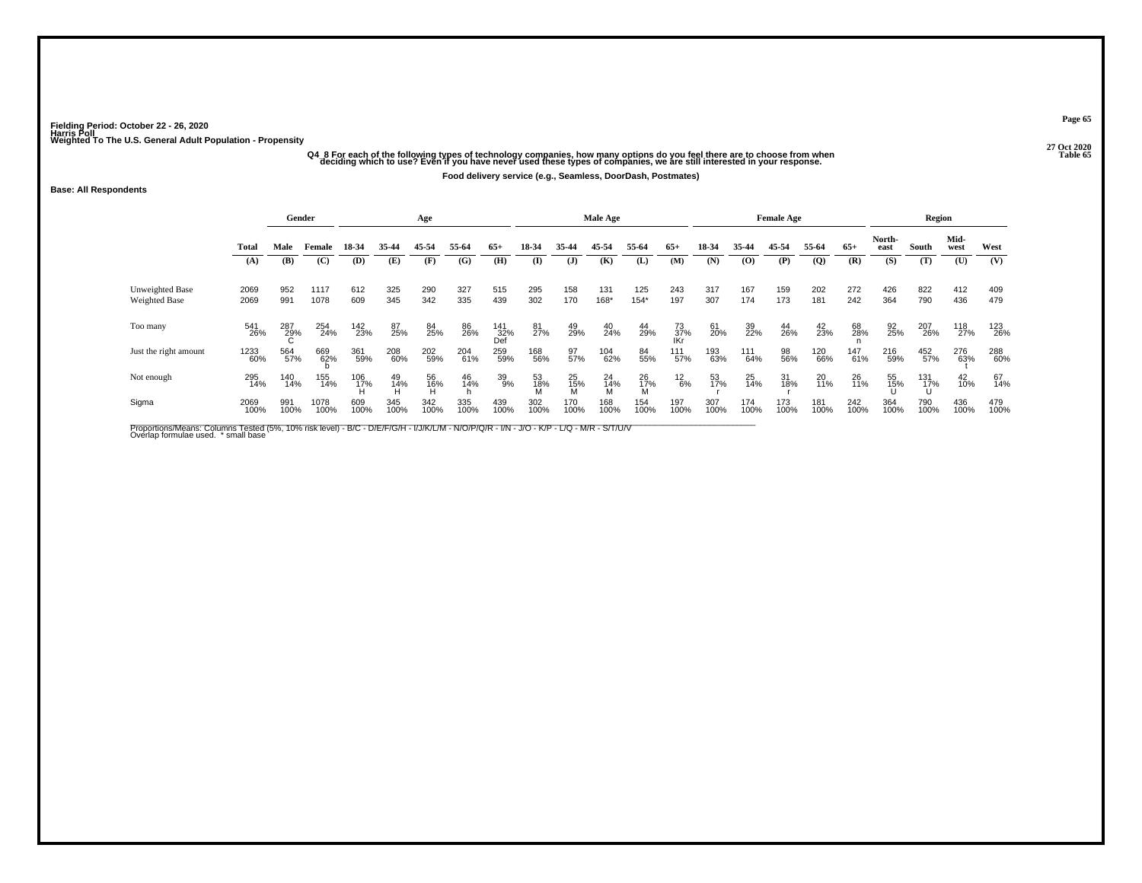## -<br>O4\_8 For each of the following types of technology companies, how many options do you feel there are to choose from when<br>Table 65 deciding which to use? Even if you have never used these types of companies, we are still

**Food delivery service (e.g., Seamless, DoorDash, Postmates)**

#### **Base: All Respondents**

|                                  |              | Gender      |              |             |             | Age            |             |                   |                |                | Male Age       |                |                  |             |             | <b>Female Age</b> |                |             |                | Region      |                |             |
|----------------------------------|--------------|-------------|--------------|-------------|-------------|----------------|-------------|-------------------|----------------|----------------|----------------|----------------|------------------|-------------|-------------|-------------------|----------------|-------------|----------------|-------------|----------------|-------------|
|                                  | Total        | Male        | Female       | 18-34       | 35-44       | 45-54          | 55-64       | $65+$             | 18-34          | 35-44          | 45-54          | 55-64          | $65+$            | 18-34       | 35-44       | 45-54             | 55-64          | $65+$       | North-<br>east | South       | Mid-<br>west   | West        |
|                                  | (A)          | (B)         | (C)          | (D)         | (E)         | (F)            | (G)         | (H)               | (I)            | $(\mathbf{J})$ | (K)            | (L)            | (M)              | (N)         | $\bf{(0)}$  | (P)               | $\overline{Q}$ | (R)         | (S)            | (T)         | (U)            | (V)         |
| Unweighted Base<br>Weighted Base | 2069<br>2069 | 952<br>991  | 1117<br>1078 | 612<br>609  | 325<br>345  | 290<br>342     | 327<br>335  | 515<br>439        | 295<br>302     | 158<br>170     | 131<br>168*    | 125<br>$154*$  | 243<br>197       | 317<br>307  | 167<br>174  | 159<br>173        | 202<br>181     | 272<br>242  | 426<br>364     | 822<br>790  | 412<br>436     | 409<br>479  |
| Too many                         | 541<br>26%   | 287<br>29%  | 254<br>24%   | 142<br>23%  | 87<br>25%   | 84<br>25%      | 86<br>26%   | 141<br>32%<br>Def | 81<br>27%      | 49<br>29%      | 40<br>24%      | 44<br>29%      | 73<br>37%<br>IKr | 61<br>20%   | 39<br>22%   | 44<br>26%         | $^{42}_{23\%}$ | 68<br>28%   | 92<br>25%      | 207<br>26%  | 118<br>27%     | 123<br>26%  |
| Just the right amount            | 1233<br>60%  | 564<br>57%  | 669<br>62%   | 361<br>59%  | 208<br>60%  | 202<br>59%     | 204<br>61%  | 259<br>59%        | 168<br>56%     | 97%            | 104<br>62%     | 84<br>55%      | 111<br>57%       | 193<br>63%  | 111<br>64%  | 98<br>56%         | 120<br>66%     | 147<br>61%  | 216<br>59%     | 452<br>57%  | 276<br>63%     | 288<br>60%  |
| Not enough                       | 295<br>14%   | 140<br>14%  | 155<br>14%   | 106<br>17%  | 49<br>14%   | 56<br>16%<br>H | 46<br>14%   | 39<br>9%          | 53<br>18%<br>M | 25<br>15%<br>M | 24<br>14%<br>M | 26<br>17%<br>M | $^{12}_{6\%}$    | 53<br>17%   | 25<br>14%   | 31<br>18%         | 20<br>11%      | 26<br>11%   | 55<br>15%      | 131<br>17%  | $^{42}_{10\%}$ | 67<br>14%   |
| Sigma                            | 2069<br>100% | 991<br>100% | 1078<br>100% | 609<br>100% | 345<br>100% | 342<br>100%    | 335<br>100% | 439<br>100%       | 302<br>100%    | 170<br>100%    | 168<br>100%    | 154<br>100%    | 197<br>100%      | 307<br>100% | 174<br>100% | 173<br>100%       | 181<br>100%    | 242<br>100% | 364<br>100%    | 790<br>100% | 436<br>100%    | 479<br>100% |

Proportions/Means: Columns Tested (5%, 10% risk level) - B/C - D/E/F/G/H - I/J/K/L/M - N/O/P/Q/R - I/N - J/O - K/P - L/Q - M/R - S/T/U/V<br>Overlap formulae used. \*small base

**Page 65**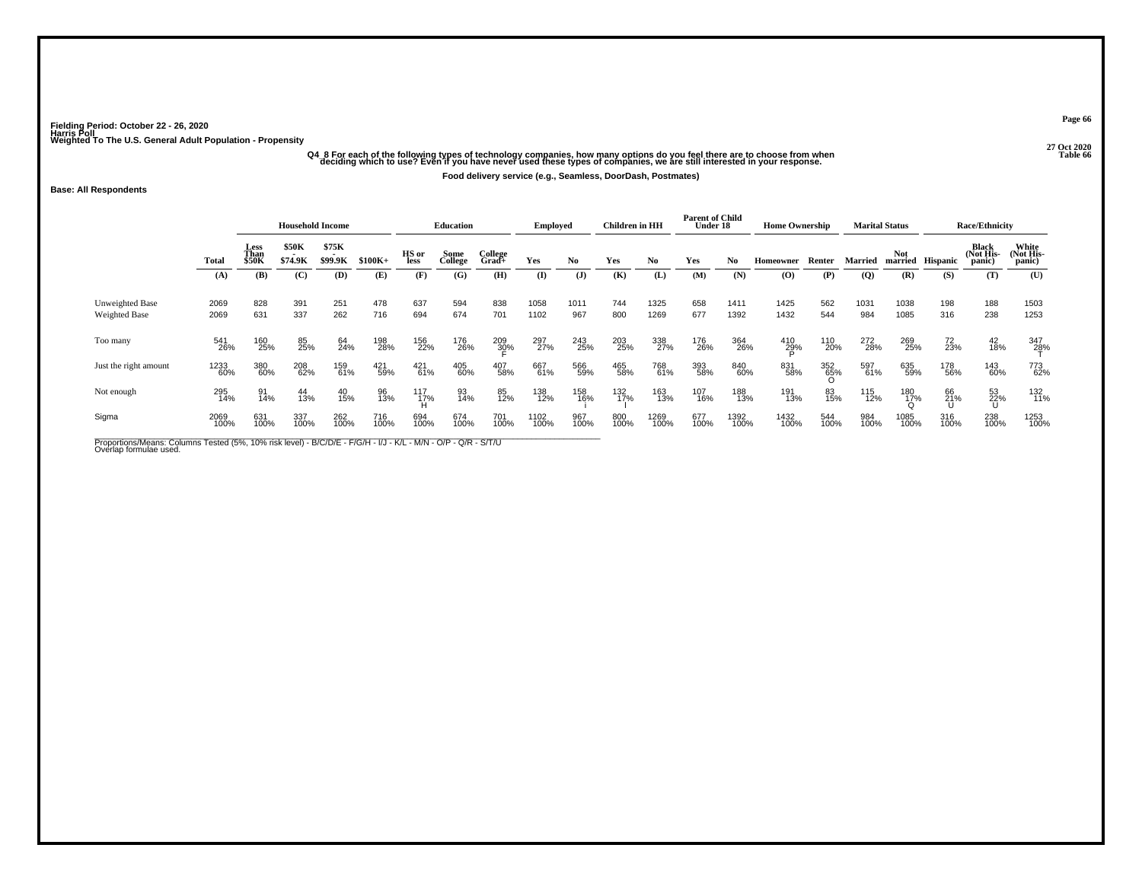## -<br>O4\_8 For each of the following types of technology companies, how many options do you feel there are to choose from when<br>Table 66 deciding which to use? Even if you have never used these types of companies, we are still

**Food delivery service (e.g., Seamless, DoorDash, Postmates)**

### **Base: All Respondents**

|                                         |              |                       | <b>Household Income</b> |                  |             |                 | <b>Education</b> |                     | Employed     |              | <b>Children</b> in HH |              | <b>Parent of Child</b><br>Under 18 |              | <b>Home Ownership</b> |             |             | <b>Marital Status</b> |                  | <b>Race/Ethnicity</b> |                              |
|-----------------------------------------|--------------|-----------------------|-------------------------|------------------|-------------|-----------------|------------------|---------------------|--------------|--------------|-----------------------|--------------|------------------------------------|--------------|-----------------------|-------------|-------------|-----------------------|------------------|-----------------------|------------------------------|
|                                         | Total        | Less<br>Than<br>\$50K | <b>\$50K</b><br>\$74.9K | \$75K<br>\$99.9K | $$100K+$    | HS or<br>less   | Some<br>College  | College<br>$Grad +$ | Yes          | No           | Yes                   | No           | Yes                                | No           | Homeowner             | Renter      | Married     | <b>Not</b>            | married Hispanic | Black<br>(Not His-    | White<br>(Not His-<br>panic) |
|                                         | (A)          | (B)                   | (C)                     | (D)              | (E)         | (F)             | (G)              | (H)                 | (I)          | $\mathbf{J}$ | (K)                   | (L)          | (M)                                | (N)          | $\bf{(O)}$            | (P)         | (Q)         | (R)                   | (S)              | (T)                   | (U)                          |
| Unweighted Base<br><b>Weighted Base</b> | 2069<br>2069 | 828<br>631            | 391<br>337              | 251<br>262       | 478<br>716  | 637<br>694      | 594<br>674       | 838<br>701          | 1058<br>1102 | 1011<br>967  | 744<br>800            | 1325<br>1269 | 658<br>677                         | 1411<br>1392 | 1425<br>1432          | 562<br>544  | 1031<br>984 | 1038<br>1085          | 198<br>316       | 188<br>238            | 1503<br>1253                 |
| Too many                                | 541<br>26%   | 160<br>25%            | 85<br>25%               | 64<br>24%        | 198<br>28%  | 156<br>22%      | 176<br>26%       | 209<br>30%          | 297<br>27%   | 243<br>25%   | 203<br>25%            | 338<br>27%   | 176<br>26%                         | 364<br>26%   | 410<br>29%            | 110<br>20%  | 272<br>28%  | 269<br>25%            | 72<br>23%        | $^{42}_{18\%}$        | 347<br>2 <u>8</u> %          |
| Just the right amount                   | 1233<br>60%  | 380<br>60%            | 208<br>62%              | 159<br>61%       | 421<br>59%  | $^{421}_{61\%}$ | 405<br>60%       | 407<br>58%          | 667<br>61%   | 566<br>59%   | 465<br>58%            | 768<br>61%   | 393<br>58%                         | 840<br>60%   | 831<br>58%            | 352<br>65%  | 597<br>61%  | 635<br>59%            | 178<br>56%       | 143<br>60%            | 773<br>62%                   |
| Not enough                              | 295<br>14%   | 91<br>14%             | 44<br>13%               | 40<br>15%        | 96<br>13%   | 117<br>17%      | 93<br>14%        | 85<br>12%           | 138<br>12%   | 158<br>16%   | 132<br>17%            | 163<br>13%   | 107<br>16%                         | 188<br>13%   | 191<br>13%            | 83<br>15%   | 115<br>12%  | 180<br>1 <u>7</u> %   | 66<br>21%        | $^{53}_{22\%}$        | 132<br>11%                   |
| Sigma                                   | 2069<br>100% | 631<br>100%           | 337<br>100%             | 262<br>100%      | 716<br>100% | 694<br>100%     | 674<br>100%      | 701<br>100%         | 1102<br>100% | 967<br>100%  | 800<br>100%           | 1269<br>100% | 677<br>100%                        | 1392<br>100% | 1432<br>100%          | 544<br>100% | 984<br>100% | 1085<br>100%          | 316<br>100%      | 238<br>100%           | 1253<br>100%                 |

Proportions/Means: Columns Tested (5%, 10% risk level) - B/C/D/E - F/G/H - I/J - K/L - M/N - O/P - Q/R - S/T/U<br>Overlap formulae used.

**Page 66**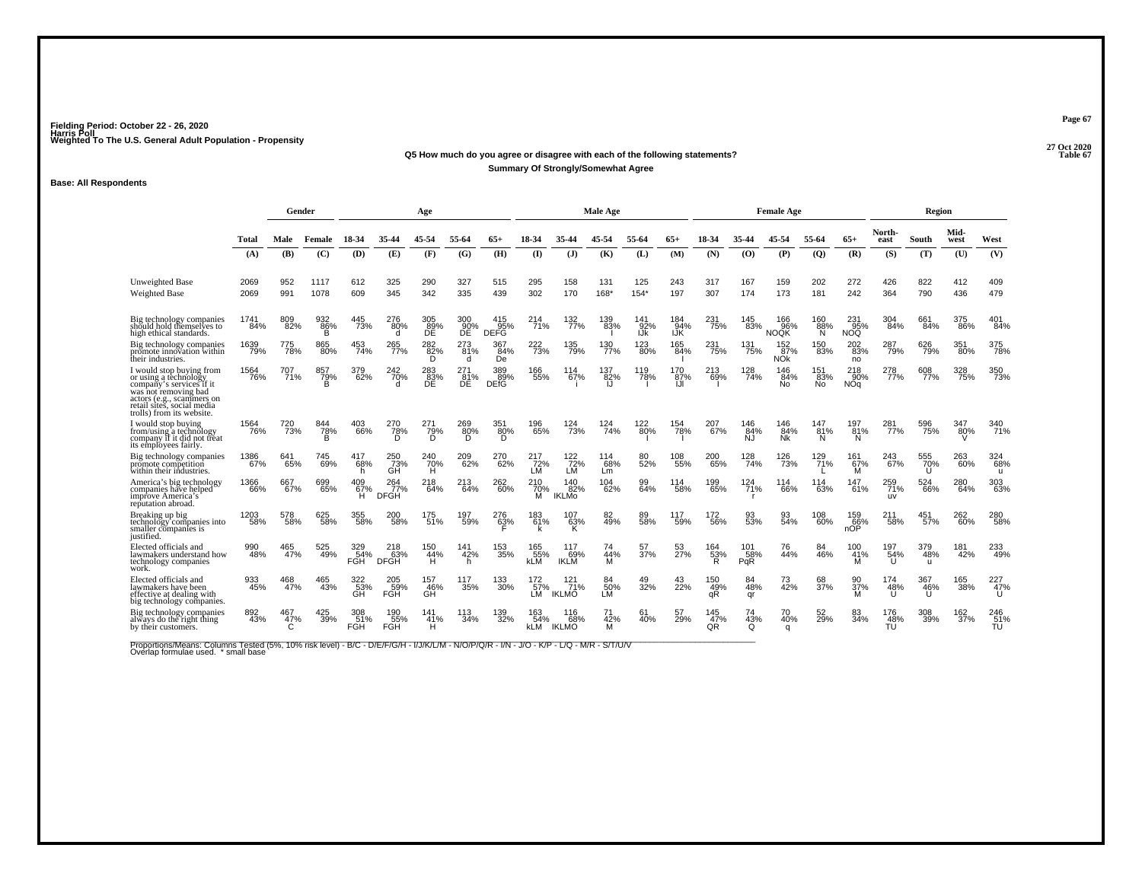#### **27 Oct 2020Q5 How much do you agree or disagree with each of the following statements? Table 67 Summary Of Strongly/Somewhat Agree**

### **Base: All Respondents**

|                                                                                                                                                                                               |              |                 | Gender                |                          |                           | Age                    |                               |                           |                                  |                                 | <b>Male Age</b>  |                    |                    |                  |                   | <b>Female Age</b>             |                  |                               |                         | Region                     |              |                   |
|-----------------------------------------------------------------------------------------------------------------------------------------------------------------------------------------------|--------------|-----------------|-----------------------|--------------------------|---------------------------|------------------------|-------------------------------|---------------------------|----------------------------------|---------------------------------|------------------|--------------------|--------------------|------------------|-------------------|-------------------------------|------------------|-------------------------------|-------------------------|----------------------------|--------------|-------------------|
|                                                                                                                                                                                               | Total        | Male            | Female                | 18-34                    | 35-44                     | 45-54                  | 55-64                         | 65+                       |                                  | 35-44                           | 45-54            | 55-64              | $65+$              | 18-34            | 35-44             | 45-54                         | 55-64            | $65+$                         | North-<br>east          | South                      | Mid-<br>west | West              |
|                                                                                                                                                                                               | (A)          | (B)             | (C)                   | (D)                      | (E)                       | (F)                    | (G)                           | (H)                       | $\mathbf{I}$                     | (J)                             | (K)              | (L)                | (M)                | (N)              | (0)               | (P)                           | (Q)              | (R)                           | (S)                     | (T)                        | (U)          | (V)               |
| <b>Unweighted Base</b><br>Weighted Base                                                                                                                                                       | 2069<br>2069 | 952<br>991      | 1117<br>1078          | 612<br>609               | 325<br>345                | 290<br>342             | 327<br>335                    | 515<br>439                | 295<br>302                       | 158<br>170                      | 131<br>168*      | 125<br>$154*$      | 243<br>197         | 317<br>307       | 167<br>174        | 159<br>173                    | 202<br>181       | 272<br>242                    | 426<br>364              | 822<br>790                 | 412<br>436   | 409<br>479        |
| Big technology companies<br>should hold themselves to<br>high ethical standards.                                                                                                              | 1741<br>84%  | 809<br>82%      | 932<br>86%<br>в       | 445<br>73%               | 276<br>80%<br>d           | 305<br>89%<br>ĐĒ       | 300<br>90%<br>ĐĒ              | 415<br>95%<br><b>DEFG</b> | 214<br>71%                       | 132<br>77%                      | 139<br>83%       | 141<br>92%<br>IJk  | 184<br>94%<br>IJŔ  | 231<br>75%       | 145<br>83%        | 166<br>96%<br><b>NOQK</b>     | 160<br>88%<br>N  | 231<br>95%<br><b>NOQ</b>      | 304<br>84%              | 661<br>84%                 | 375<br>86%   | 401<br>84%        |
| Big technology companies<br>promote innovation within<br>their industries.                                                                                                                    | 1639<br>79%  | 775<br>78%      | 865<br>80%            | 453<br>74%               | $^{265}_{77\%}$           | 282 <sub>%</sub><br>Ō. | $^{273}_{81\%}$<br>d          | 367<br>84%<br><b>De</b>   | $^{222}_{73\%}$                  | 135<br>79%                      | 130<br>77%       | 123<br>80%         | 165<br>84%         | 231<br>75%       | 131<br>75%        | 152<br>87%<br>NŐ <sub>k</sub> | 150<br>83%       | 202<br>83%<br>no              | 287<br>79%              | 626<br>79%                 | 351<br>80%   | 375<br>78%        |
| I would stop buying from<br>or using a têchnology<br>company's services if it<br>was not removing bad<br>actors (e.g., scammers on<br>retail sites, social media<br>trolls) from its website. | 1564<br>76%  | 707<br>71%      | 857<br>$\frac{79}{B}$ | 379<br>62%               | 242<br>70%                | 283<br>83%<br>DE       | 271<br>$BE^{\overline{81\%}}$ | 389<br>89%<br>DEfG        | 166<br>55%                       | 114<br>67%                      | 137<br>82%<br>IJ | 119<br>78%         | 170<br>87%         | 213<br>69%       | 128<br>74%        | 146<br>84%<br>No              | 151<br>83%<br>No | 218<br>90%<br>NÓ <sub>a</sub> | 278<br>77%              | 608<br>77%                 | 328<br>75%   | 350<br>73%        |
| I would stop buving<br>from/using a technology<br>company if it did not treat<br>its employees fairly.                                                                                        | 1564<br>76%  | 720<br>73%      | 844<br>78%            | 403<br>66%               | 270<br>78%<br>D           | 271<br>79%<br>D        | 269<br>80%<br>D               | 351<br>80%<br>D.          | 196<br>65%                       | $^{124}_{73\%}$                 | $^{124}_{74\%}$  | <sup>122</sup> 80% | <sup>154</sup> 78% | 207<br>67%       | 146<br>84%<br>ÑĴ. | 146<br>84%<br><b>Nk</b>       | 147<br>81%<br>N  | 197<br>81%<br>N               | 281<br>77%              | 596<br>75%                 | 347<br>80%   | 340<br>71%        |
| Big technology companies<br>promote competition<br>within their industries.                                                                                                                   | 1386<br>67%  | 641<br>65%      | 745<br>69%            | 417<br>68%<br>h          | 250<br>73%<br>GH          | 240<br>70%<br>н        | 209<br>62%                    | 270<br>62%                | 217<br>–72%<br>LM                | $\frac{122}{72\%}$<br>LM        | 114<br>68%<br>Lm | 80<br>52%          | 108<br>55%         | 200<br>65%       | 128<br>74%        | 126<br>73%                    | 129<br>71%       | 161<br>67%<br>м               | 243<br>67%              | 555<br>70%<br>U            | 263<br>60%   | 324<br>68%<br>u   |
| America's big technology<br>companies have helped<br>improve America's<br>reputation abroad.                                                                                                  | 1366<br>66%  | 667<br>67%      | 699<br>65%            | 409<br>67%<br>н          | 264<br>77%<br><b>DFGH</b> | 218<br>64%             | 213<br>64%                    | 262<br>60%                | 210<br>70%<br>м                  | 140<br>82%<br><b>IKLMO</b>      | 104<br>62%       | 99<br>64%          | 114<br>58%         | 199<br>65%       | 124<br>71%        | 114<br>66%                    | 114<br>63%       | 147<br>61%                    | 259<br>71%<br><b>UV</b> | 524<br>66%                 | 280<br>64%   | 303<br>63%        |
| Breaking up big<br>technology companies into<br>smaller companies is<br>justified.                                                                                                            | 1203<br>58%  | 578<br>58%      | 625<br>58%            | 355<br>58%               | 200<br>58%                | 175<br>51%             | 197<br>59%                    | 276<br>63%                | 183<br>61%                       | 107<br>63%                      | 82<br>49%        | 89%                | 117<br>59%         | 172<br>56%       | 93%               | 93<br>54%                     | 108<br>60%       | 159<br>66%<br>$n\tilde{OP}$   | 211<br>58%              | 451<br>57%                 | 262<br>60%   | 280<br>58%        |
| Elected officials and<br>lawmakers understand how<br>technology companies<br>work.                                                                                                            | 990<br>48%   | $^{465}_{47\%}$ | 525<br>49%            | 329<br>54%<br><b>FGH</b> | 218<br>63%<br><b>DFGH</b> | 150<br>44%<br>н        | 141<br>42%<br>h               | 153<br>35%                | <sup>165</sup> 55%<br><b>kLM</b> | 117<br>69%<br>IKLM              | 44%<br>м         | 57<br>37%          | 53<br>27%          | 164<br>53%       | 101<br>58%<br>PqR | 76<br>44%                     | 84<br>46%        | 100<br>41%<br>м               | 197<br>54%              | 379<br>48%<br>$\mathbf{u}$ | 181<br>42%   | 233<br>49%        |
| Elected officials and<br>lawmakers have been<br>effective at dealing with<br>big technology companies.                                                                                        | 933<br>45%   | 468<br>47%      | 465<br>43%            | 53%                      | 205<br>-59%<br>FĞH        | 157<br>46%<br>GĤ       | 117<br>35%                    | 133<br>30%                | 172<br>57%<br>LM                 | $^{121}_{71\%}$<br><b>IKLMO</b> | 84<br>50%<br>LM  | 49<br>32%          | 43<br>22%          | 150<br>49%<br>αŘ | 84<br>48%<br>qr   | 73<br>42%                     | 68<br>37%        | 90<br>37%                     | 174<br>48%              | 367<br>46%                 | 165<br>38%   | 227<br>47%        |
| Big technology companies<br>always do the right thing<br>by their customers.                                                                                                                  | 892<br>43%   | 467<br>47%      | 425<br>39%            | 308<br>51%<br>FGH        | 190<br>55%<br><b>FGH</b>  | 141<br>41%<br>н        | 113<br>34%                    | 139<br>32%                | 163<br>54%<br>kLM                | 116<br>68%<br><b>IKLMO</b>      | 71<br>42%<br>M   | 61<br>40%          | 57<br>29%          | 145<br>47%<br>QŔ | 74<br>43%<br>O    | 70<br>40%<br>q                | 52<br>29%        | 83<br>34%                     | 176<br>48%<br>TÚ        | 308<br>39%                 | 162<br>37%   | 246<br>-51%<br>TU |

Proportions/Means: Columns Tested (5%, 10% risk level) - B/C - D/E/F/G/H - I/J/K/L/M - N/O/P/Q/R - I/N - J/O - K/P - L/Q - M/R - S/T/U/V<br>Overlap formulae used. \*small base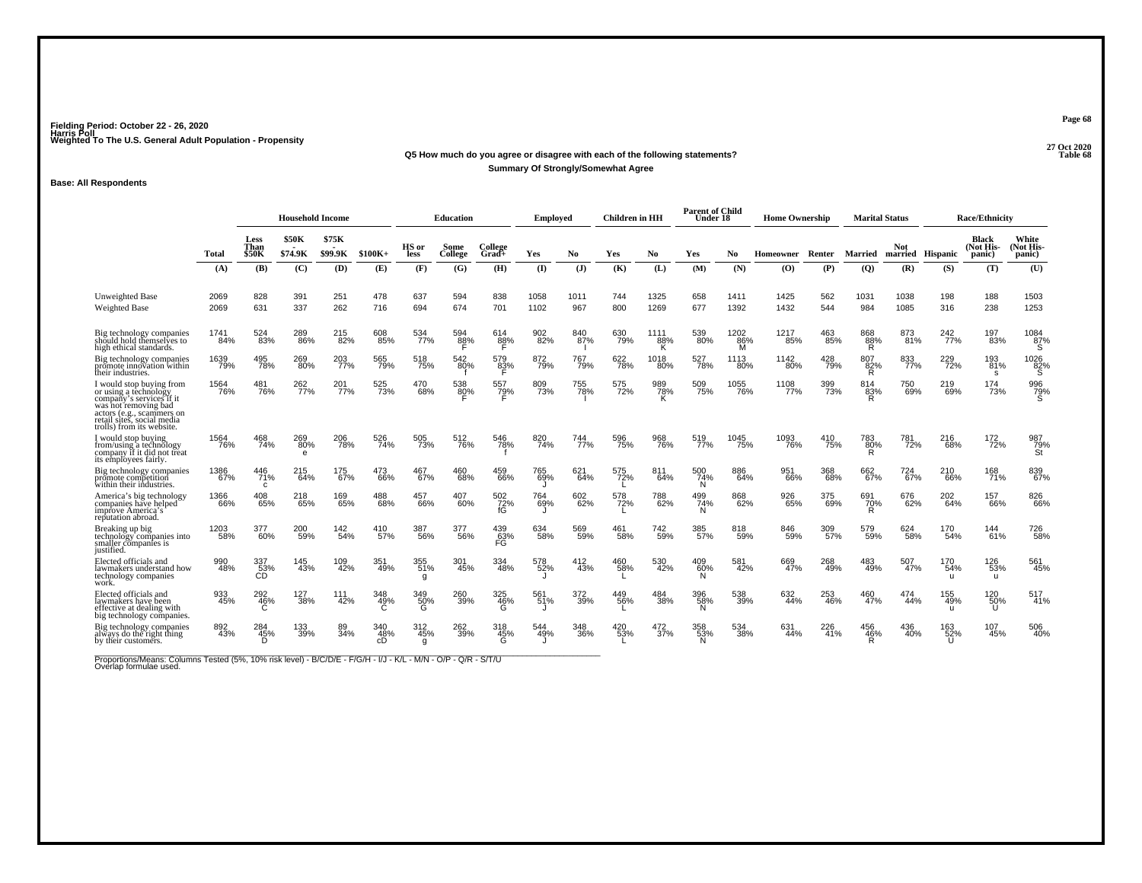### **27 Oct 2020Q5 How much do you agree or disagree with each of the following statements?**

### **Summary Of Strongly/Somewhat Agree**

### **Base: All Respondents**

|                                                                                                                                                                                               |              |                              | <b>Household Income</b> |                  |                  |                 | <b>Education</b> |                     | Employed     |                | <b>Children</b> in HH |                  | <b>Parent of Child</b><br>Under 18 |                  | <b>Home Ownership</b> |            | <b>Marital Status</b> |              |                            | <b>Race/Ethnicity</b>        |                              |
|-----------------------------------------------------------------------------------------------------------------------------------------------------------------------------------------------|--------------|------------------------------|-------------------------|------------------|------------------|-----------------|------------------|---------------------|--------------|----------------|-----------------------|------------------|------------------------------------|------------------|-----------------------|------------|-----------------------|--------------|----------------------------|------------------------------|------------------------------|
|                                                                                                                                                                                               | Total        | <b>Less</b><br>Than<br>\$50K | <b>\$50K</b><br>\$74.9K | \$75K<br>\$99.9K | $$100K+$         | HS or<br>less   | Some<br>College  | College<br>Grad+    | Yes          | N <sub>0</sub> | Yes                   | No.              | Yes                                | No.              | Homeowner             | Renter     | Married               | <b>Not</b>   | married Hispanic           | Black<br>(Not His-<br>panic) | White<br>(Not His-<br>panic) |
|                                                                                                                                                                                               | (A)          | (B)                          | (C)                     | (D)              | (E)              | (F)             | (G)              | (H)                 | $($ I        | (J)            | (K)                   | (L)              | (M)                                | (N)              | (O)                   | (P)        | (Q)                   | (R)          | (S)                        | (T)                          | (U)                          |
| <b>Unweighted Base</b><br><b>Weighted Base</b>                                                                                                                                                | 2069<br>2069 | 828<br>631                   | 391<br>337              | 251<br>262       | 478<br>716       | 637<br>694      | 594<br>674       | 838<br>701          | 1058<br>1102 | 1011<br>967    | 744<br>800            | 1325<br>1269     | 658<br>677                         | 1411<br>1392     | 1425<br>1432          | 562<br>544 | 1031<br>984           | 1038<br>1085 | 198<br>316                 | 188<br>238                   | 1503<br>1253                 |
| Big technology companies<br>should hold themselves to<br>high ethical standards.                                                                                                              | 1741<br>84%  | 524<br>83%                   | 289<br>86%              | 215<br>82%       | 608<br>85%       | 534<br>77%      | 594<br>88%       | 614<br>$88\%$       | 902<br>82%   | 840<br>587%    | 630<br>79%            | 1111<br>88%<br>к | 539<br>80%                         | 1202<br>86%<br>M | 1217<br>35%           | 463<br>85% | 868<br>88%<br>R.      | 873<br>81%   | 242 <sub>%</sub>           | 197<br>83%                   | 1084<br>87%<br>S             |
| Big technology companies<br>promote innovation within<br>their industries.                                                                                                                    | 1639<br>79%  | 495<br>78%                   | 269<br>80%              | 203<br>77%       | 565<br>79%       | 518<br>75%      | 542<br>80%       | 579<br>83%<br>F     | 872<br>79%   | 767<br>79%     | 622<br>78%            | 1018<br>80%      | 527<br>78%                         | 1113<br>80%      | 1142<br>80%           | 428<br>79% | 807<br>82%<br>R       | 833<br>77%   | 229<br>72%                 | 193<br>81%<br>s              | 1026<br>82%<br>`S            |
| I would stop buying from<br>or using a technology<br>company's services if it<br>was not removing bad<br>actors (e.g., scammers on<br>retail sites, social media<br>trolls) from its website. | 1564<br>76%  | 481<br>76%                   | 262<br>77%              | 201<br>77%       | 525<br>73%       | 470<br>68%      | 538<br>80%       | 557<br>7 <u>9</u> % | 809<br>73%   | 755<br>78%     | 575<br>72%            | 989<br>78%<br>K  | 509<br>75%                         | 1055<br>76%      | 1108<br>77%           | 399<br>73% | 814<br>83%<br>R       | 750<br>69%   | 219<br>69%                 | 174<br>73%                   | 996<br>79%                   |
| I would stop buying<br>from/using a technology<br>company if it did not freat<br>its employees fairly.                                                                                        | 1564<br>76%  | 468<br>74%                   | 269<br>80%<br>$\theta$  | 206<br>78%       | 526<br>74%       | 505<br>73%      | 512<br>76%       | 546<br>78%          | 820<br>74%   | 744<br>77%     | 596<br>75%            | 968<br>76%       | 519<br>77%                         | 1045<br>75%      | 1093<br>76%           | 410<br>75% | 783<br>80%<br>R       | 781<br>72%   | 216<br>68%                 | 172 <sub>%</sub>             | 987<br>79%<br><b>St</b>      |
| Big technology companies<br>promote competition<br>within their industries.                                                                                                                   | 1386<br>67%  | 446<br>71%<br>C              | 215<br>64%              | 175<br>67%       | 473<br>66%       | 467<br>67%      | 460<br>68%       | 459<br>66%          | 765<br>69%   | 621<br>64%     | 575<br>72%            | 811<br>64%       | 500<br>74%<br>N                    | 886<br>64%       | 951<br>66%            | 368<br>68% | 662<br>67%            | 724<br>67%   | 210<br>66%                 | 168<br>71%                   | 839<br>67%                   |
| America's big technology<br>companies have helped<br>improve America's<br>reputation abroad.                                                                                                  | 1366<br>66%  | 408<br>65%                   | 218<br>65%              | 169<br>65%       | 488<br>68%       | 457<br>66%      | 407<br>60%       | 502<br>72%          | 764<br>69%   | 602<br>62%     | 578<br>72%            | 788<br>62%       | 499<br>74%<br>N                    | 868<br>62%       | 926<br>65%            | 375<br>69% | 691<br>70%<br>R       | 676<br>62%   | 202<br>64%                 | 157<br>66%                   | 826<br>66%                   |
| Breaking up big<br>technology companies into<br>smaller companies is<br>justified.                                                                                                            | 1203<br>58%  | 377<br>60%                   | 200<br>59%              | 142<br>54%       | 410<br>57%       | 387<br>56%      | 377<br>56%       | 439<br>63%<br>FG    | 634<br>58%   | 569<br>59%     | 461<br>58%            | 742<br>59%       | 385<br>57%                         | 818<br>59%       | 846<br>59%            | 309<br>57% | 579<br>59%            | 624<br>58%   | 170<br>54%                 | 144<br>61%                   | 726<br>58%                   |
| Elected officials and<br>lawmakers understand how<br>technology companies<br>work.                                                                                                            | 990<br>48%   | 337<br>$\overline{53}$ %     | 145<br>43%              | 109<br>42%       | 351<br>49%       | 355<br>51%      | 301<br>45%       | 334<br>48%          | 578<br>52%   | 412<br>43%     | 460<br>58%            | 530<br>42%       | 409<br>60%<br>N.                   | 581<br>42%       | 669<br>47%            | 268<br>49% | 483<br>49%            | 507<br>47%   | 170<br>54%<br><b>U</b>     | 126<br>53%<br>$\mathbf{u}$   | 561<br>45%                   |
| Elected officials and<br>lawmakers have been<br>effective at dealing with<br>big technology companies.                                                                                        | 933<br>45%   | 292<br>46%                   | 127<br>38%              | 111<br>42%       | 348<br>49%       | 349<br>50%<br>G | 260<br>39%       | 325<br>46%<br>G     | 561<br>51%   | 372<br>39%     | 449<br>56%            | 484<br>38%       | 396<br>58%<br>N.                   | 538<br>39%       | 632<br>44%            | 253<br>46% | 460<br>47%            | 474<br>44%   | 155<br>49%<br>$\mathbf{H}$ | 120<br>50%<br>U              | 517<br>41%                   |
| Big technology companies<br>always do the right thing<br>by their customers.                                                                                                                  | 892<br>43%   | 284<br>45%                   | 133<br>39%              | 89<br>34%        | 340<br>48%<br>сĎ | 312<br>45%<br>g | 262<br>39%       | 318<br>45%          | 544<br>49%   | 348<br>36%     | 420<br>$-53%$         | 472<br>37%       | 358<br>53%<br>N.                   | 534<br>38%       | 631<br>44%            | 226<br>41% | 456<br>46%            | 436<br>40%   | 163<br>52%                 | 107<br>45%                   | 506<br>40%                   |

Proportions/Means: Columns Tested (5%, 10% risk level) - B/C/D/E - F/G/H - I/J - K/L - M/N - O/P - Q/R - S/T/U<br>Overlap formulae used.

**Page 68**

**Table 68**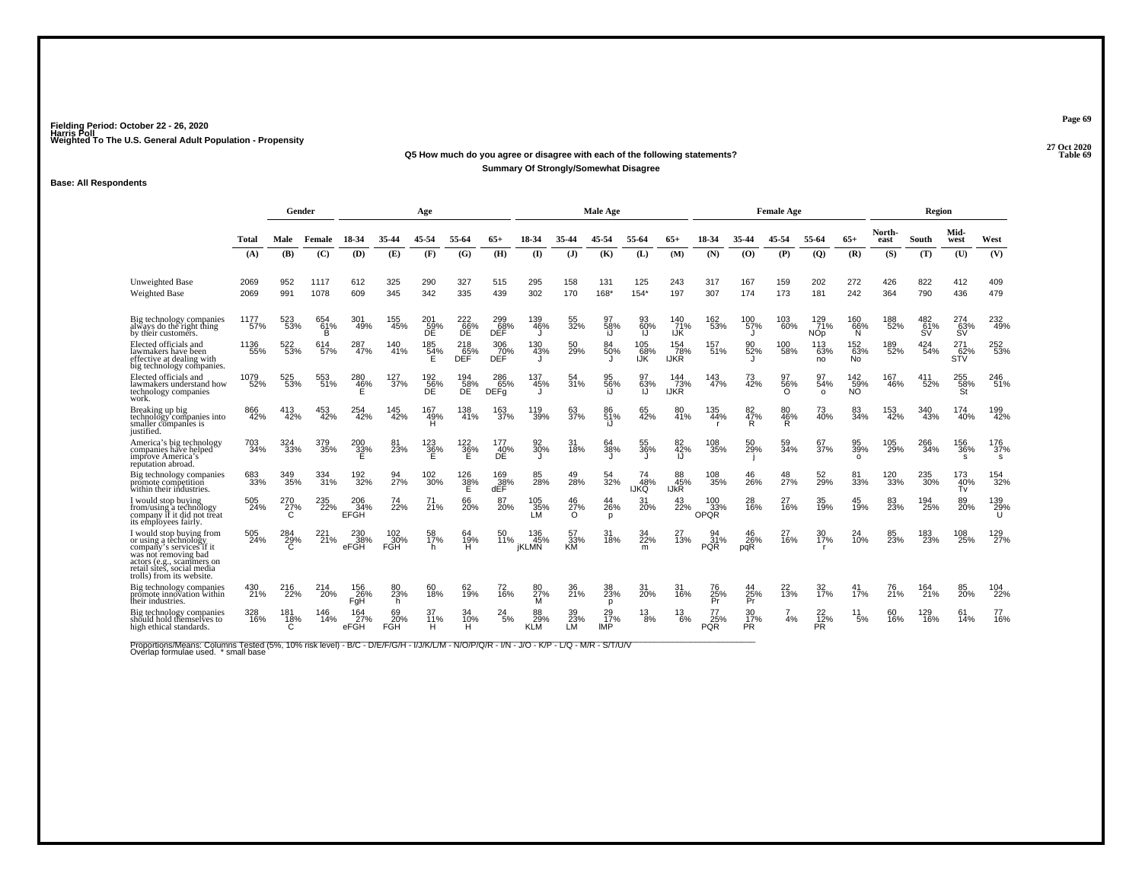#### **27 Oct 2020Q5 How much do you agree or disagree with each of the following statements? Table 69 Summary Of Strongly/Somewhat Disagree**

### **Base: All Respondents**

|                                                                                                                                                                                               |              | Gender          |                 |                           |                          | Age              |                      |                           |                            |                       | <b>Male Age</b>           |                       |                           |                           |                  | <b>Female Age</b>     |                               |                               |                | Region                  |                    |                  |
|-----------------------------------------------------------------------------------------------------------------------------------------------------------------------------------------------|--------------|-----------------|-----------------|---------------------------|--------------------------|------------------|----------------------|---------------------------|----------------------------|-----------------------|---------------------------|-----------------------|---------------------------|---------------------------|------------------|-----------------------|-------------------------------|-------------------------------|----------------|-------------------------|--------------------|------------------|
|                                                                                                                                                                                               | Total        | Male            | Female          | 18-34                     | 35-44                    | 45-54            | 55-64                | $65+$                     | 18-34                      | 35-44                 | 45-54                     | 55-64                 | $65+$                     | 18-34                     | 35-44            | 45-54                 | 55-64                         | $65+$                         | North-<br>east | South                   | Mid-<br>west       | West             |
|                                                                                                                                                                                               | (A)          | (B)             | (C)             | (D)                       | (E)                      | (F)              | (G)                  | (H)                       | $\mathbf{I}$               | $($ $\bf{J}$ )        | (K)                       | (L)                   | (M)                       | (N)                       | (0)              | (P)                   | (Q)                           | (R)                           | (S)            | (T)                     | (U)                | (V)              |
| <b>Unweighted Base</b><br><b>Weighted Base</b>                                                                                                                                                | 2069<br>2069 | 952<br>991      | 1117<br>1078    | 612<br>609                | 325<br>345               | 290<br>342       | 327<br>335           | 515<br>439                | 295<br>302                 | 158<br>170            | 131<br>168*               | 125<br>$154*$         | 243<br>197                | 317<br>307                | 167<br>174       | 159<br>173            | 202<br>181                    | 272<br>242                    | 426<br>364     | 822<br>790              | 412<br>436         | 409<br>479       |
| Big technology companies<br>always do the right thing<br>by their customers.                                                                                                                  | 1177<br>57%  | 523<br>53%      | 654<br>61%<br>в | 301<br>49%                | $^{155}_{45\%}$          | 201<br>59%       | 22266%<br>ĎĔ         | 299<br>68%<br>DĚĚ         | 139<br>46%                 | 55<br>32%             | 58%<br>i.J                | 60%<br>IJ             | 140<br>71%<br><b>IJK</b>  | 162<br>53%                | 100<br>57%<br>J  | 103<br>60%            | 129<br>71%<br>NO <sub>p</sub> | 160<br>66%<br>N               | 188<br>52%     | 482<br>61%<br><b>SV</b> | 274<br>63%<br>SV   | 232<br>49%       |
| Elected officials and<br>lawmakers have been<br>effective at dealing with<br>big technology companies.                                                                                        | 1136<br>55%  | 522<br>53%      | 614<br>57%      | 287<br>47%                | 140<br>41%               | $^{185}_{~54\%}$ | $^{218}_{65\%}$ DEF  | 306<br>70 <sub>%</sub>    | 130<br>43%                 | 50<br>29%             | 84<br>50%                 | 105<br>$\frac{68}{5}$ | 154<br>78%<br>IJKR        | 157<br>51%                | 90<br>52%        | 100<br>58%            | 113<br>63%<br>no              | 152<br>63%<br>No <sup>1</sup> | 189<br>52%     | $^{424}_{54\%}$         | $\frac{271}{62\%}$ | 252<br>53%       |
| Elected officials and<br>lawmakers understand how<br>technology companies<br>work.                                                                                                            | 1079<br>52%  | 525<br>53%      | 553<br>51%      | 280<br>46%<br>Е           | 127<br>37%               | 192<br>56%<br>DE | 194<br>58%<br>DE     | 286<br>65%<br><b>DEFg</b> | 137<br>45%                 | 54<br>31%             | 95<br>56%<br>i.I          | 63%                   | 144<br>73%<br><b>IJKR</b> | 143<br>47%                | 73<br>42%        | 97<br>56%<br>$\Omega$ | 97<br>54%<br>$\circ$          | 142<br>59%<br>NÕ.             | 167<br>46%     | 411<br>52%              | 255<br>58%<br>St   | 246<br>51%       |
| Breaking up big<br>technology companies into<br>smaller companies is<br>justified.                                                                                                            | 866<br>42%   | 413<br>42%      | 453<br>42%      | 254<br>42%                | 145<br>42%               | 167<br>49%<br>H  | 138<br>41%           | 163<br>37%                | 119<br>39%                 | 63<br>37%             | 86<br>51%<br>i.l          | 65<br>42%             | 80<br>41%                 | 135<br>44%                | 82<br>47%<br>R   | 80<br>46%<br>Ř.       | 73<br>40%                     | 83<br>34%                     | 153<br>42%     | 340<br>43%              | 174<br>40%         | 199<br>42%       |
| America's big technology<br>companies have helped<br>improve America's<br>reputation abroad.                                                                                                  | 703<br>34%   | 324<br>33%      | 379<br>35%      | $^{200}_{33\%}$           | 81<br>23%                | 123<br>36%       | $\frac{122}{36\%}$   | 177<br>40%<br>DÊ          | 92<br>30%                  | 31<br>18%             | 64<br>38%                 | 55<br>36%             | 82<br>42%<br>IJ           | 108<br>35%                | 50<br>29%        | 59<br>34%             | 67<br>37%                     | 95<br>39%<br>$\Omega$         | 105<br>29%     | 266<br>34%              | 156<br>36%<br>S.   | 176<br>37%<br>s. |
| Big technology companies<br>promote competition<br>within their industries.                                                                                                                   | 683<br>33%   | 349<br>35%      | 334<br>31%      | 192<br>32%                | 94<br>27%                | $^{102}_{30\%}$  | $\frac{126}{38\%}$   | 169<br>38%<br>dEF         | 28%                        | 49<br>28%             | 32%                       | 48%<br>IJKQ           | 88<br>45%<br>IJkŘ         | 108<br>35%                | 26%              | 48<br>27%             | 52<br>29%                     | 81<br>33%                     | 120<br>33%     | 235<br>30%              | 173<br>40%<br>Tv   | 154<br>32%       |
| I would stop buving<br>from/using a technology<br>company if it did not treat<br>its employees fairly.                                                                                        | 505<br>24%   | 270<br>27%<br>C | 235<br>22%      | 206<br>34%<br><b>EFGH</b> | 74<br>22%                | 71<br>21%        | 66<br>20%            | 87<br>20%                 | 105<br>35%<br>LM           | 46<br>27%<br>$\Omega$ | 44<br>26%<br>$\mathbf{D}$ | 31<br>20%             | 43<br>22%                 | 100<br>33%<br><b>OPQR</b> | 28<br>16%        | 27<br>16%             | 35<br>19%                     | 45<br>19%                     | 83<br>23%      | 194<br>25%              | 89<br>20%          | 139<br>29%       |
| I would stop buying from<br>or using a technology<br>company's services if it<br>was not removing bad<br>actors (e.g., scammers on<br>retail sites, social media<br>trolls) from its website. | 505<br>24%   | 284<br>29%      | 221<br>21%      | 230<br>38%<br>eFGH        | 102<br>30%<br><b>FGH</b> | 58<br>17%<br>h.  | 64<br>$\frac{19}{H}$ | 50<br>11%                 | 136<br>45%<br><b>IKLMN</b> | 57<br>$\frac{33}{5}$  | 31<br>18%                 | 34<br>22%<br>m        | $\overline{1}3%$          | 31%<br><b>PQR</b>         | 46<br>26%<br>pqR | 27<br>16%             | 30<br>17%                     | 24<br>10%                     | 23%            | 183<br>23%              | 108<br>25%         | 129<br>27%       |
| Big technology companies<br>promote innovation within<br>their industries.                                                                                                                    | 430<br>21%   | 216<br>22%      | 214<br>20%      | 156<br>26%<br>FgH         | 80<br>23%<br>h.          | 60<br>18%        | 62<br>19%            | 72<br>16%                 | 80<br>27%<br>м             | 36<br>21%             | 38<br>23%<br>D            | 31<br>20%             | 31<br>16%                 | 76<br>25%<br>Pr           | 44<br>25%<br>Pr  | 22<br>13%             | 32 <sub>%</sub>               | 41<br>17%                     | 76<br>21%      | 164<br>21%              | 85<br><b>20%</b>   | 104<br>22%       |
| Big technology companies<br>should hold themselves to<br>high ethical standards.                                                                                                              | 328<br>16%   | 181<br>18%<br>Ć | 146<br>14%      | 164<br>27%<br>eFGH        | 69<br>20%<br>FGH         | 37<br>11%<br>H.  | 34<br>10%<br>Ĥ.      | 24<br>5%                  | 88<br>29%<br><b>KLM</b>    | 39<br>$23\%$<br>LM    | 29<br>17%<br>IMP          | 13<br>8%              | 13<br>6%                  | 77<br>25%<br><b>PQR</b>   | 30<br>17%<br>PR. | $\overline{7}$<br>4%  | 22<br>$\overline{12}\%$<br>ΡŘ | 11<br>5%                      | 60<br>16%      | 129<br>16%              | 61<br>14%          | 77<br>16%        |

Proportions/Means: Columns Tested (5%, 10% risk level) - B/C - D/E/F/G/H - I/J/K/L/M - N/O/P/Q/R - I/N - J/O - K/P - L/Q - M/R - S/T/U/V<br>Overlap formulae used. \*small base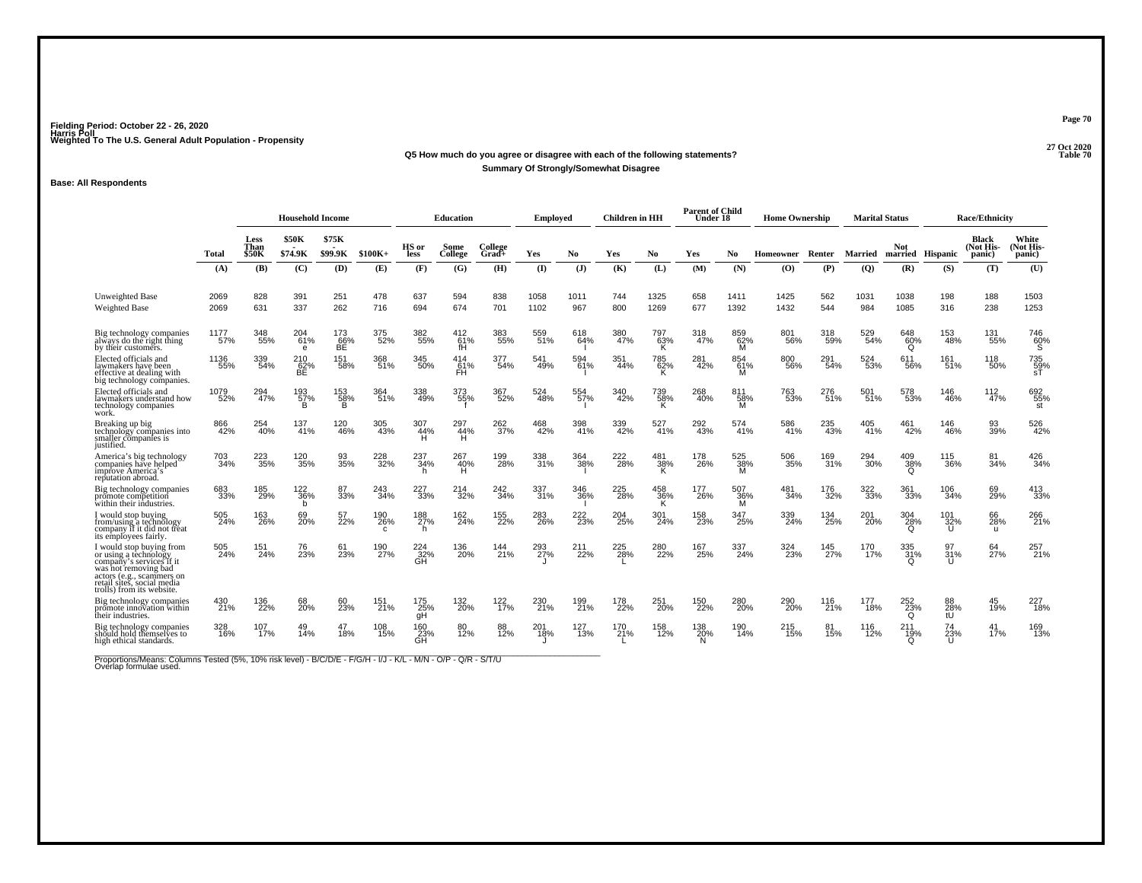### **27 Oct 2020Q5 How much do you agree or disagree with each of the following statements?Summary Of Strongly/Somewhat Disagree**

### **Base: All Respondents**

|                                                                                                                                                                                               |              |                              | <b>Household Income</b>             |                  |                 |                       | Education        |                    | Employed     |                | <b>Children</b> in HH |                      | <b>Parent of Child</b><br>Under 18 |                 | <b>Home Ownership</b> |            | <b>Marital Status</b> |                 |                         | <b>Race/Ethnicity</b>        |                              |
|-----------------------------------------------------------------------------------------------------------------------------------------------------------------------------------------------|--------------|------------------------------|-------------------------------------|------------------|-----------------|-----------------------|------------------|--------------------|--------------|----------------|-----------------------|----------------------|------------------------------------|-----------------|-----------------------|------------|-----------------------|-----------------|-------------------------|------------------------------|------------------------------|
|                                                                                                                                                                                               | Total        | <b>Less</b><br>Than<br>\$50K | <b>\$50K</b><br>\$74.9K             | \$75K<br>\$99.9K | $$100K+$        | HS or<br>less         | Some<br>College  | College<br>$Grad+$ | Yes          | N <sub>0</sub> | Yes                   | No.                  | Yes                                | No.             | Homeowner             | Renter     | Married               | <b>Not</b>      | married Hispanic        | Black<br>(Not His-<br>panic) | White<br>(Not His-<br>panic) |
|                                                                                                                                                                                               | (A)          | (B)                          | (C)                                 | (D)              | (E)             | (F)                   | (G)              | (H)                | $($ I        | (J)            | (K)                   | (L)                  | (M)                                | (N)             | (0)                   | (P)        | (Q)                   | (R)             | (S)                     | (T)                          | (U)                          |
| <b>Unweighted Base</b><br><b>Weighted Base</b>                                                                                                                                                | 2069<br>2069 | 828<br>631                   | 391<br>337                          | 251<br>262       | 478<br>716      | 637<br>694            | 594<br>674       | 838<br>701         | 1058<br>1102 | 1011<br>967    | 744<br>800            | 1325<br>1269         | 658<br>677                         | 1411<br>1392    | 1425<br>1432          | 562<br>544 | 1031<br>984           | 1038<br>1085    | 198<br>316              | 188<br>238                   | 1503<br>1253                 |
| Big technology companies<br>always do the right thing<br>by their customers.                                                                                                                  | 1177<br>57%  | 348<br>55%                   | 204<br>$-61%$<br>e                  | 173<br>66%<br>ВĒ | 375<br>52%      | 382<br>55%            | 412<br>61%<br>fH | 383<br>55%         | 559<br>51%   | 618<br>64%     | 380<br>47%            | 797<br>63%<br>K      | 318<br>47%                         | 859<br>62%<br>M | 801<br>56%            | 318<br>59% | 529<br>54%            | 648<br>60%<br>O | 153<br>48%              | 131<br>55%                   | 746<br>60%<br>΄Š΄            |
| Elected officials and<br>lawmakers have been<br>effective at dealing with<br>big technology companies.                                                                                        | 1136<br>55%  | 339<br>54%                   | 210<br>62%<br>BE                    | 151<br>58%       | 368<br>51%      | 345<br>50%            | 414<br>FH        | 377<br>54%         | 541<br>49%   | 594<br>61%     | 351<br>44%            | 785<br>62%<br>к      | 281<br>42%                         | 854<br>61%<br>м | 800<br>56%            | 291<br>54% | 524<br>53%            | 611<br>56%      | 161 <sub>%</sub>        | 118<br>50%                   | 735<br>59%<br>.sT            |
| Elected officials and<br>lawmakers understand how<br>technology companies<br>work.                                                                                                            | 1079<br>52%  | 294<br>47%                   | 193<br>$\frac{57}{B}$               | 153<br>58%       | 364<br>51%      | 338<br>49%            | 373<br>55%       | 367<br>52%         | 524<br>48%   | 554<br>57%     | 340<br>42%            | 739<br>58%<br>к      | 268<br>40%                         | 811<br>58%<br>M | 763<br>53%            | 276<br>51% | 501<br>51%            | 578<br>53%      | 146<br>46%              | 112<br>47%                   | 692<br>55%<br>st             |
| Breaking up big<br>technology companies into<br>smaller companies is<br>justified.                                                                                                            | 866<br>42%   | $^{254}_{40\%}$              | 137<br>41%                          | 120<br>46%       | 305<br>43%      | 307<br>44%            | 297<br>44%<br>н  | 262<br>37%         | 468<br>42%   | 398<br>41%     | 339<br>42%            | 527<br>41%           | 292<br>43%                         | 574<br>41%      | 586<br>41%            | 235<br>43% | 405<br>41%            | 461<br>42%      | 146<br>46%              | 93<br>39%                    | 526<br>42%                   |
| America's big technology<br>companies have helped<br>improve America's<br>reputation abroad.                                                                                                  | 703<br>34%   | 223<br>35%                   | 120<br>35%                          | 93<br>35%        | 228<br>32%      | 237<br>34%<br>h       | 267<br>40%<br>н  | 199<br>28%         | 338<br>31%   | 364<br>38%     | 222<br>28%            | $^{481}_{38\%}$<br>K | 178<br>26%                         | 525<br>38%<br>M | 506<br>35%            | 169<br>31% | 294<br>-30%           | 409<br>38%<br>O | 115<br>36%              | 81<br>34%                    | 426<br>34%                   |
| Big technology companies<br>promote competition<br>within their industries.                                                                                                                   | 683<br>33%   | 185<br>29%                   | <sup>122</sup> <sub>36</sub> %<br>b | 87<br>33%        | 243<br>34%      | 227<br>33%            | 214<br>32%       | 242<br>34%         | 337<br>31%   | 346<br>36%     | 225<br>28%            | 458<br>36%<br>K      | 177<br>26%                         | 507<br>36%<br>м | 481<br>34%            | 176<br>32% | 322<br>33%            | 361<br>33%      | 106<br>34%              | 69<br>29%                    | $^{413}_{33\%}$              |
| I would stop buying<br>from/using a technology<br>company if it did not treat<br>its employees fairly.                                                                                        | 505<br>24%   | 163<br>26%                   | 69<br>20%                           | 57<br>22%        | 190<br>26%<br>c | 188<br>27%<br>h.      | 162<br>24%       | 155<br>22%         | 283<br>26%   | 222<br>23%     | 204<br>25%            | 301<br>24%           | 158<br>23%                         | 347<br>25%      | 339<br>24%            | 134<br>25% | 201<br>20%            | 304<br>28%<br>Ω | 101<br>$\frac{32\%}{U}$ | 66<br>28%<br>u               | 266<br>21%                   |
| I would stop buying from<br>or using a technology<br>company's services if it<br>was not removing bad<br>actors (e.g., scammers on<br>retail sites, social media<br>trolls) from its website. | 505<br>24%   | 151<br>24%                   | 76<br>23%                           | 61<br>23%        | 190<br>27%      | $^{224}_{32\%}$<br>ĞП | 136<br>20%       | 144<br>21%         | 293<br>27%   | 211<br>22%     | 225<br>28%            | 280<br>22%           | 167<br>25%                         | 337<br>24%      | 324<br>23%            | 145<br>27% | 170<br>17%            | 335<br>31%      | 31%<br>$\mathbf{H}$     | 64<br>27%                    | 257<br>21%                   |
| Big technology companies<br>promote innovation within<br>their industries.                                                                                                                    | 430<br>21%   | 136<br>22%                   | 68<br>20%                           | 60<br>23%        | 151<br>21%      | 175<br>25%<br>qH      | 132<br>20%       | 122<br>17%         | 230<br>21%   | 199<br>21%     | 178<br>22%            | 251<br>20%           | 150<br>22%                         | 280<br>20%      | 290<br>20%            | 116<br>21% | 177<br>18%            | 252<br>23%<br>O | 88<br>28%<br>tŪ         | 45<br>19%                    | 227<br>18%                   |
| Big technology companies<br>should hold themselves to<br>high ethical standards.                                                                                                              | 328<br>16%   | 107<br>17%                   | 14%                                 | 47<br>18%        | 108<br>15%      | 160<br>23%<br>GĤ      | 80<br>12%        | 88<br>12%          | 201<br>18%   | 127<br>13%     | 170<br>21%            | 158<br>12%           | 138<br>20%<br>N.                   | 190<br>14%      | 215<br>15%            | 81<br>15%  | 116<br>12%            | $^{211}_{19\%}$ | 74<br>23%<br>ū          | 41<br>17%                    | 169<br>13%                   |

Proportions/Means: Columns Tested (5%, 10% risk level) - B/C/D/E - F/G/H - I/J - K/L - M/N - O/P - Q/R - S/T/U<br>Overlap formulae used.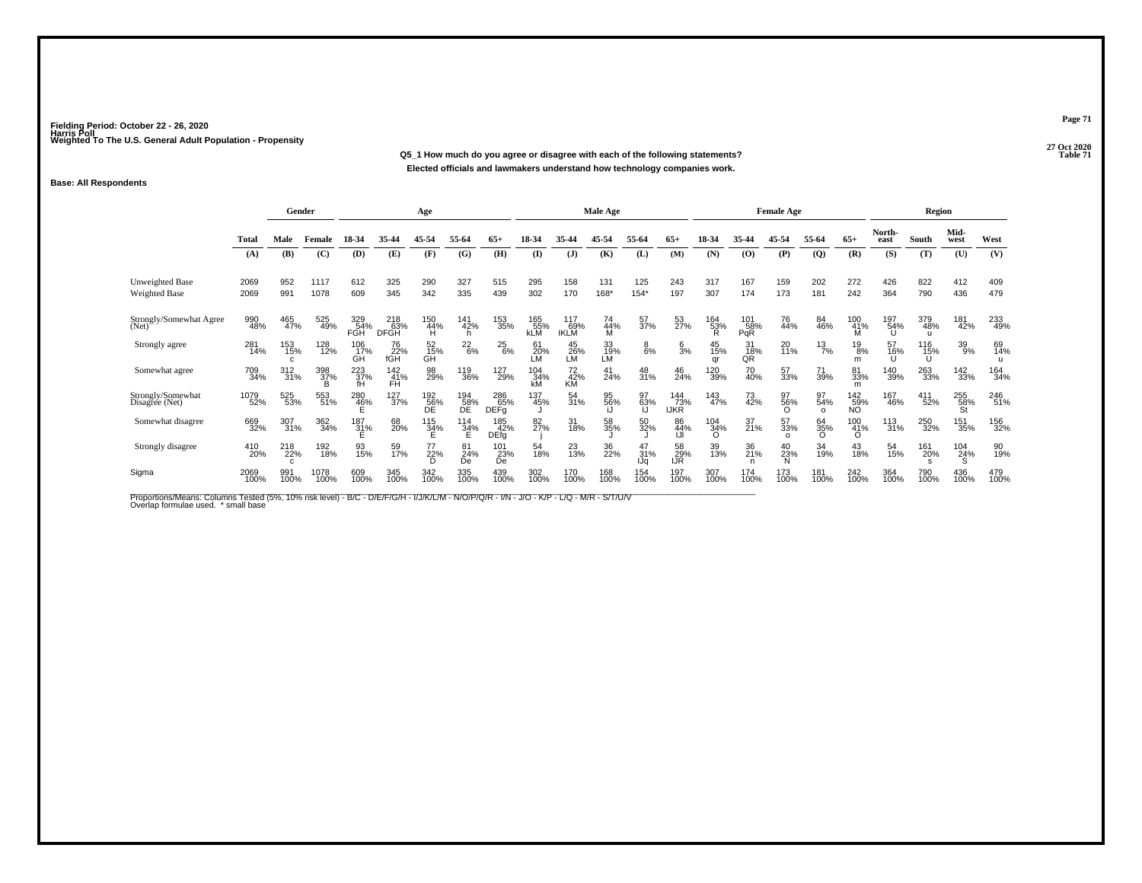**27 Oct 2020Q5\_1 How much do you agree or disagree with each of the following statements?P** Table 71 **Elected officials and lawmakers understand how technology companies work.**

### **Base: All Respondents**

|                                                |              | Gender           |                 |                          |                                | Age              |                  |                           |                          |                           | Male Age        |                  |                           |                 |                   | <b>Female Age</b>     |                       |                         |                | Region                     |                  |             |
|------------------------------------------------|--------------|------------------|-----------------|--------------------------|--------------------------------|------------------|------------------|---------------------------|--------------------------|---------------------------|-----------------|------------------|---------------------------|-----------------|-------------------|-----------------------|-----------------------|-------------------------|----------------|----------------------------|------------------|-------------|
|                                                | Total        | Male             | Female          | 18-34                    | 35-44                          | 45-54            | 55-64            | $65+$                     | 18-34                    | 35-44                     | 45-54           | 55-64            | $65+$                     | 18-34           | 35-44             | 45-54                 | 55-64                 | $65+$                   | North-<br>east | South                      | Mid-<br>west     | West        |
|                                                | (A)          | (B)              | (C)             | (D)                      | (E)                            | (F)              | (G)              | (H)                       | $\mathbf{I}$             | $($ $\bf{J}$ )            | (K)             | (L)              | (M)                       | (N)             | (0)               | (P)                   | $\overline{Q}$        | (R)                     | (S)            | (T)                        | (U)              | (V)         |
| <b>Unweighted Base</b><br><b>Weighted Base</b> | 2069<br>2069 | 952<br>991       | 1117<br>1078    | 612<br>609               | 325<br>345                     | 290<br>342       | 327<br>335       | 515<br>439                | 295<br>302               | 158<br>170                | 131<br>168*     | 125<br>$154*$    | 243<br>197                | 317<br>307      | 167<br>174        | 159<br>173            | 202<br>181            | 272<br>242              | 426<br>364     | 822<br>790                 | 412<br>436       | 409<br>479  |
| Strongly/Somewhat Agree<br>(Net)               | 990<br>48%   | 465<br>47%       | 525<br>49%      | 329<br>54%<br><b>FGH</b> | $^{218}_{63\%}$<br><b>DFGH</b> | 150<br>44%<br>H  | 141<br>42%<br>h  | 153<br>35%                | 165<br>55%<br><b>kLM</b> | 117<br>69%<br><b>IKLM</b> | 74<br>44%<br>м  | 57<br>37%        | 53<br>27%                 | 164<br>53%<br>R | 101<br>58%<br>PqR | 76<br>44%             | 84<br>46%             | 100<br>41%              | 197<br>54%     | 379<br>48%<br>$\mathbf{u}$ | 181<br>42%       | 233<br>49%  |
| Strongly agree                                 | 281<br>14%   | 153<br>15%<br>C. | 128<br>12%      | 106<br>17%<br>GH         | 76<br>22%<br>fGH               | 52<br>15%<br>GH  | $^{22}_{6\%}$    | $^{25}_{6\%}$             | 61<br>20%<br>LM          | $^{45}_{26\%}$ LM         | 33<br>19%<br>LM | $_{6\%}^8$       | $\frac{6}{3}$ %           | 45<br>15%<br>ar | 31<br>18%<br>0Ř   | 20<br>11%             | $^{13}_{7\%}$         | $^{19}_{8\%}$<br>m      | 57<br>16%      | 116<br>15%<br>U            | 39<br>9%         | 69<br>14%   |
| Somewhat agree                                 | 709<br>34%   | 312<br>31%       | 398<br>37%<br>B | 223<br>37%<br>fΗ         | $\frac{142}{41%}$<br>FH        | 98<br>29%        | 119<br>36%       | 127<br>29%                | 104 34%<br>kM            | 72<br>42%<br>KM           | 41<br>24%       | 48<br>31%        | 46<br>24%                 | 120<br>39%      | 70<br>40%         | 57<br>33%             | 71<br>39%             | 81<br>33%<br>m          | 140<br>39%     | 263<br>33%                 | 142<br>33%       | 164<br>34%  |
| Strongly/Somewhat<br>Disagree (Net)            | 1079<br>52%  | 525<br>53%       | 553<br>51%      | 280<br>46%               | $^{127}_{37\%}$                | 192<br>56%<br>DE | 194<br>58%<br>DE | 286<br>65%<br><b>DEFg</b> | 137<br>45%               | 54<br>31%                 | 95<br>56%       | 97<br>63%        | 144<br>73%<br><b>IJKR</b> | 143<br>47%      | 73<br>42%         | 97<br>56%<br>Ω        | 97<br>54%<br>$\Omega$ | 142<br>59%<br><b>NO</b> | 167<br>46%     | 411<br>52%                 | 255<br>58%<br>St | 246<br>51%  |
| Somewhat disagree                              | 669<br>32%   | 307<br>31%       | 362<br>34%      | $^{187}_{31\%}$          | 68<br>20%                      | $^{115}_{34\%}$  | $^{114}_{34\%}$  | 185<br>42%<br><b>DEfg</b> | 82<br>27%                | 31<br>18%                 | 58<br>35%       | 50<br>32%        | 86<br>44%                 | 104<br>34%<br>O | 37<br>21%         | 57<br>33%<br>$\Omega$ | 64<br>35%<br>$\Omega$ | 100<br>41%<br>$\Omega$  | 113<br>31%     | 250<br>32%                 | 151<br>35%       | 156<br>32%  |
| Strongly disagree                              | 410<br>20%   | 218<br>22%       | 192<br>18%      | 93<br>15%                | 59<br>17%                      | 77<br>22%<br>D   | 81<br>24%<br>De  | 101<br>23%<br>De          | 54<br>18%                | 23<br>13%                 | 36<br>22%       | 47<br>31%<br>IJa | 58<br>29%<br>IJR          | 39<br>13%       | 36<br>21%         | 40<br>23%<br>Ń        | 34<br>19%             | 43<br>18%               | 54<br>15%      | 161<br>20%                 | 104<br>24%       | 90<br>19%   |
| Sigma                                          | 2069<br>100% | 991<br>100%      | 1078<br>100%    | 609<br>100%              | 345<br>100%                    | 342<br>100%      | 335<br>100%      | 439<br>100%               | 302<br>100%              | 170<br>100%               | 168<br>100%     | 154<br>100%      | 197<br>100%               | 307<br>100%     | 174<br>100%       | 173<br>100%           | 181<br>100%           | 242<br>100%             | 364<br>100%    | 790<br>100%                | 436<br>100%      | 479<br>100% |

Proportions/Means: Columns Tested (5%, 10% risk level) - B/C - D/E/F/G/H - I/J/K/L/M - N/O/P/Q/R - I/N - J/O - K/P - L/Q - M/R - S/T/U/V<br>Overlap formulae used. \*small base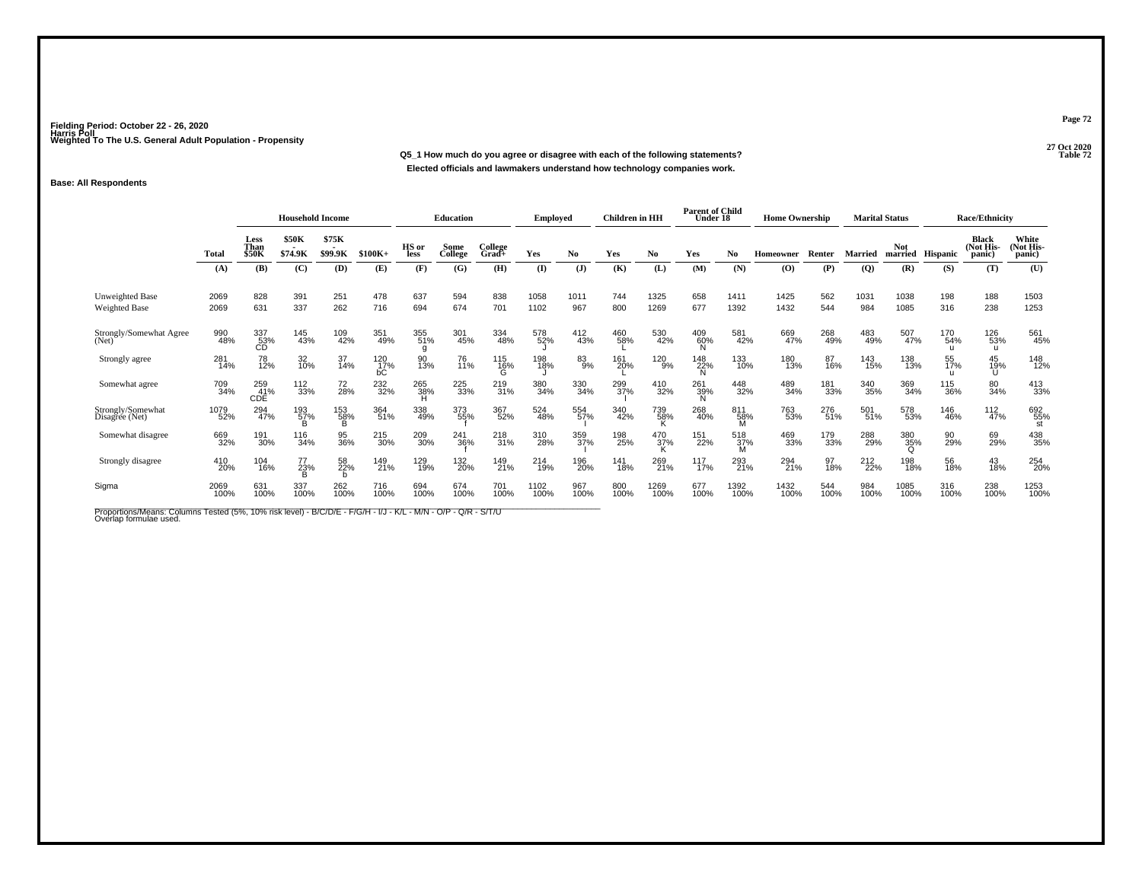**27 Oct 2020Q5\_1 How much do you agree or disagree with each of the following statements?Elected officials and lawmakers understand how technology companies work.**

### **Base: All Respondents**

|                                         |              | <b>Household Income</b> |                         |                  |                  |                 | <b>Education</b> |                  | <b>Employed</b> |                | <b>Children</b> in HH |                    | <b>Parent of Child</b><br>Under 18 |                       | <b>Home Ownership</b> |             | <b>Marital Status</b> |                       |             | <b>Race/Ethnicity</b>               |                             |
|-----------------------------------------|--------------|-------------------------|-------------------------|------------------|------------------|-----------------|------------------|------------------|-----------------|----------------|-----------------------|--------------------|------------------------------------|-----------------------|-----------------------|-------------|-----------------------|-----------------------|-------------|-------------------------------------|-----------------------------|
|                                         | Total        | Less<br>Than<br>\$50K   | <b>\$50K</b><br>\$74.9K | \$75K<br>\$99.9K | $$100K+$         | HS or<br>less   | Some<br>College  | College<br>Grad+ | Yes             | No.            | Yes                   | No                 | Yes                                | N <sub>0</sub>        | Homeowner             | Renter      | <b>Married</b>        | <b>Not</b><br>married | Hispanic    | <b>Black</b><br>(Not His-<br>panic) | White<br>Not His-<br>panic) |
|                                         | (A)          | (B)                     | (C)                     | (D)              | (E)              | (F)             | (G)              | (H)              | (I)             | $(\mathbf{J})$ | (K)                   | (L)                | (M)                                | (N)                   | (O)                   | (P)         | (Q)                   | (R)                   | (S)         | (T)                                 | (U)                         |
| Unweighted Base<br><b>Weighted Base</b> | 2069<br>2069 | 828<br>631              | 391<br>337              | 251<br>262       | 478<br>716       | 637<br>694      | 594<br>674       | 838<br>701       | 1058<br>1102    | 1011<br>967    | 744<br>800            | 1325<br>1269       | 658<br>677                         | 1411<br>1392          | 1425<br>1432          | 562<br>544  | 1031<br>984           | 1038<br>1085          | 198<br>316  | 188<br>238                          | 1503<br>1253                |
| Strongly/Somewhat Agree<br>(Net)        | 990<br>48%   | 337<br>53%<br>CD        | 145<br>43%              | 109<br>42%       | 351<br>49%       | 355<br>51%      | 301<br>45%       | 334<br>48%       | 578<br>52%      | 412<br>43%     | 460<br>58%            | 530<br>42%         | 409<br>60%                         | 581<br>42%            | 669<br>47%            | 268<br>49%  | 483<br>49%            | 507<br>47%            | 170<br>54%  | 126<br>53%<br>u                     | 561<br>45%                  |
| Strongly agree                          | 281<br>14%   | 78<br>12%               | 32<br>10%               | 37<br>14%        | 120<br>17%<br>bС | 90<br>13%       | 76<br>11%        | 115<br>16%<br>G  | 198<br>18%      | 83%            | 161<br>20%            | 120<br>9%          | 148<br>22%                         | 133<br>10%            | 180<br>13%            | 87<br>16%   | 143<br>15%            | 138<br>13%            | 55<br>17%   | 45<br>19%                           | 148<br>12%                  |
| Somewhat agree                          | 709<br>34%   | 259<br>41%<br>CDE       | 112<br>33%              | 72<br>28%        | 232<br>32%       | 265<br>38%<br>н | 225<br>33%       | 219<br>31%       | 380<br>34%      | 330<br>34%     | 299<br>37%            | 410<br>32%         | 261<br>39%<br>N                    | 448<br>32%            | 489<br>34%            | 181<br>33%  | 340<br>35%            | 369<br>34%            | 115<br>36%  | 80<br>34%                           | 413<br>33%                  |
| Strongly/Somewhat<br>Disagree (Net)     | 1079<br>52%  | 294<br>47%              | 193<br>57%              | 153<br>58%<br>B  | 364<br>51%       | 338<br>49%      | 373<br>55%       | 367<br>52%       | 524<br>48%      | 554<br>57%     | 340<br>42%            | 739<br>58%         | 268<br>40%                         | 811<br>58%<br>M       | 763<br>53%            | 276<br>51%  | 501<br>51%            | 578<br>53%            | 146<br>46%  | $\frac{112}{47\%}$                  | 692<br>55%<br>st            |
| Somewhat disagree                       | 669<br>32%   | 191<br>30%              | 116<br>34%              | 95<br>36%        | 215<br>30%       | 209<br>30%      | 241<br>36%       | 218<br>31%       | 310<br>28%      | 359<br>37%     | 198<br>25%            | $\frac{470}{37\%}$ | 151<br>22%                         | 518<br>37%<br>M       | 469<br>33%            | 179<br>33%  | 288<br>29%            | 380<br>35%            | 90<br>29%   | 69<br>29%                           | 438<br>35%                  |
| Strongly disagree                       | 410<br>20%   | 104<br>16%              | 77<br>23%               | 58<br>22%        | 149<br>21%       | 129<br>19%      | 132<br>20%       | 149<br>21%       | 214<br>19%      | 196<br>20%     | 141<br>18%            | 269<br>21%         | 117<br>17%                         | 293<br>$\frac{21}{6}$ | 294<br>21%            | 97<br>18%   | 212<br>22%            | 198<br>18%            | 56<br>18%   | $^{43}_{18\%}$                      | 254<br>20%                  |
| Sigma                                   | 2069<br>100% | 631<br>100%             | 337<br>100%             | 262<br>100%      | 716<br>100%      | 694<br>100%     | 674<br>100%      | 701<br>100%      | 1102<br>100%    | 967<br>100%    | 800<br>100%           | 1269<br>100%       | 677<br>100%                        | 1392<br>100%          | 1432<br>100%          | 544<br>100% | 984<br>100%           | 1085<br>100%          | 316<br>100% | 238<br>100%                         | 1253<br>100%                |

Proportions/Means: Columns Tested (5%, 10% risk level) - B/C/D/E - F/G/H - I/J - K/L - M/N - O/P - Q/R - S/T/U<br>Overlap formulae used.

**Page 72**

**Properties 22 Table 72**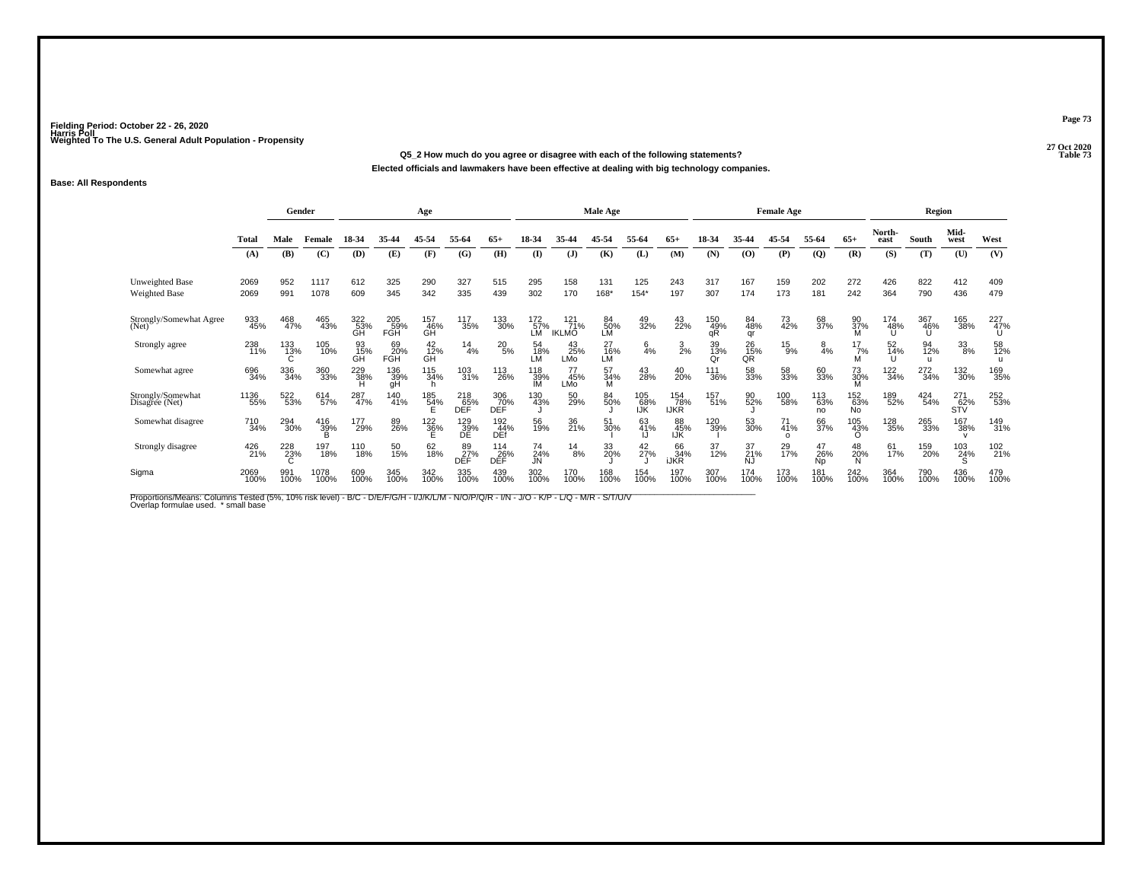**27 Oct 2020Q5\_2 How much do you agree or disagree with each of the following statements?**

**Elected officials and lawmakers have been effective at dealing with big technology companies.**

### **Base: All Respondents**

|                                     |              |             | Gender             |                  |                   | Age                |                         |                          |                         |                                 | Male Age          |                   |                           |                  |                 | <b>Female Age</b>     |                        |                         |                 | Region          |                   |             |
|-------------------------------------|--------------|-------------|--------------------|------------------|-------------------|--------------------|-------------------------|--------------------------|-------------------------|---------------------------------|-------------------|-------------------|---------------------------|------------------|-----------------|-----------------------|------------------------|-------------------------|-----------------|-----------------|-------------------|-------------|
|                                     | Total        | Male        | Female             | 18-34            | 35-44             | 45-54              | 55-64                   | $65+$                    | 18-34                   | 35-44                           | 45-54             | 55-64             | $65+$                     | 18-34            | 35-44           | 45-54                 | 55-64                  | $65+$                   | North-<br>east  | South           | Mid-<br>west      | West        |
|                                     | (A)          | (B)         | (C)                | (D)              | (E)               | (F)                | (G)                     | (H)                      | $\mathbf{I}$            | (J)                             | (K)               | (L)               | (M)                       | (N)              | $\bf{(O)}$      | (P)                   | $\overline{Q}$         | (R)                     | (S)             | (T)             | (U)               | (V)         |
| Unweighted Base<br>Weighted Base    | 2069<br>2069 | 952<br>991  | 1117<br>1078       | 612<br>609       | 325<br>345        | 290<br>342         | 327<br>335              | 515<br>439               | 295<br>302              | 158<br>170                      | 131<br>168*       | 125<br>$154*$     | 243<br>197                | 317<br>307       | 167<br>174      | 159<br>173            | 202<br>181             | 272<br>242              | 426<br>364      | 822<br>790      | 412<br>436        | 409<br>479  |
| Strongly/Somewhat Agree<br>(Net)    | 933<br>45%   | 468<br>47%  | 465<br>43%         | 322<br>53%<br>GH | 205<br>59%<br>FGH | 157<br>46%<br>GĤ   | 117<br>35%              | 133<br>30%               | 172<br>57%<br>LM        | $^{121}_{71\%}$<br><b>IKLMO</b> | 84<br>50%<br>LM   | 49<br>32%         | 43<br>22%                 | 150<br>49%<br>qŘ | 84<br>48%<br>qr | 73<br>42%             | 68<br>37%              | 90<br>37%               | 174<br>48%      | 367<br>46%<br>U | 165<br>38%        | 227<br>47%  |
| Strongly agree                      | 238<br>11%   | 133<br>13%  | 105<br>10%         | 93<br>15%<br>GĤ  | 69<br>20%<br>FGH  | $^{42}_{12\%}$     | $^{14}_{4\%}$           | $^{20}_{5\%}$            | 54<br>18%<br>LM         | $^{43}_{25\%}$ LMo              | $^{27}_{16\%}$ LM | $\frac{6}{4}$ %   | $\frac{3}{2%}$            | 39<br>13%<br>Or  | 26<br>15%<br>QŘ | $^{15}_{9%}$          | $\frac{8}{4%}$         | $17/7$ %<br>M           | 52<br>14%<br>п  | 94<br>12%<br>u  |                   | 58<br>12%   |
| Somewhat agree                      | 696<br>34%   | 336<br>34%  | 360<br>33%         | 229<br>38%       | 136<br>39%<br>gH  | 115<br>34%         | 103<br>31%              | 113<br>26%               | 118<br>39%<br><b>IM</b> | 77<br>45%<br>LMo                | 57<br>34%         | 43<br>28%         | 40<br>20%                 | 111<br>36%       | 58<br>33%       | 58<br>33%             | 60<br>33%              | 73<br>30%               | $^{122}_{34\%}$ | 272<br>34%      | 132<br>30%        | 169<br>35%  |
| Strongly/Somewhat<br>Disagree (Net) | 1136<br>55%  | 522<br>53%  | 614<br>57%         | 287<br>47%       | 140<br>41%        | 185<br>54%         | 218<br>65%<br>DEF       | 306<br>70%<br><b>DEF</b> | 130<br>43%              | 50<br>29%                       | 84<br>50%         | 105<br>68%<br>IJΚ | 154<br>78%<br><b>IJKR</b> | 157<br>51%       | 90<br>52%       | 100<br>58%            | 113<br>63%<br>no       | 152<br>63%<br><b>No</b> | 189<br>52%      | 424<br>54%      | 271<br>62%<br>STV | 252<br>53%  |
| Somewhat disagree                   | 710<br>34%   | 294<br>30%  | $\frac{416}{39\%}$ | 177<br>29%       | 89<br>26%         | $\frac{122}{36\%}$ | 129<br>39%<br>DE        | 192<br>44%<br><b>DEf</b> | 56<br>19%               | 36<br>21%                       | 51<br>30%         | 63<br>41%         | 88<br>45%<br>IJŔ          | 120<br>39%       | 53<br>30%       | 71<br>41%<br>$\Omega$ | 66<br>37%              | 105<br>43%<br>O         | 128<br>35%      | 265<br>33%      | 167<br>38%        | 149<br>31%  |
| Strongly disagree                   | 426<br>21%   | 228<br>23%  | 197<br>18%         | 110<br>18%       | 50<br>15%         | 62<br>18%          | 89<br>27%<br><b>DEF</b> | 114<br>26%<br>DEF        | 74<br>24%<br>JN         | $^{14}_{8\%}$                   | 33<br>20%         | 42<br>27%         | 66<br>34%<br><b>iJKR</b>  | 37<br>12%        | 37<br>21%<br>NJ | 29<br>17%             | 47<br>26%<br><b>Np</b> | 48<br>20%<br>N          | 61<br>17%       | 159<br>20%      | 103<br>24%        | 102<br>21%  |
| Sigma                               | 2069<br>100% | 991<br>100% | 1078<br>100%       | 609<br>100%      | 345<br>100%       | 342<br>100%        | 335<br>100%             | 439<br>100%              | 302<br>100%             | 170<br>100%                     | 168<br>100%       | 154<br>100%       | 197<br>100%               | 307<br>100%      | 174<br>100%     | 173<br>100%           | 181<br>100%            | 242<br>100%             | 364<br>100%     | 790<br>100%     | 436<br>100%       | 479<br>100% |

Proportions/Means: Columns Tested (5%, 10% risk level) - B/C - D/E/F/G/H - I/J/K/L/M - N/O/P/Q/R - I/N - J/O - K/P - L/Q - M/R - S/T/U/V<br>Overlap formulae used. \*small base

**Page 73**

**Table 73**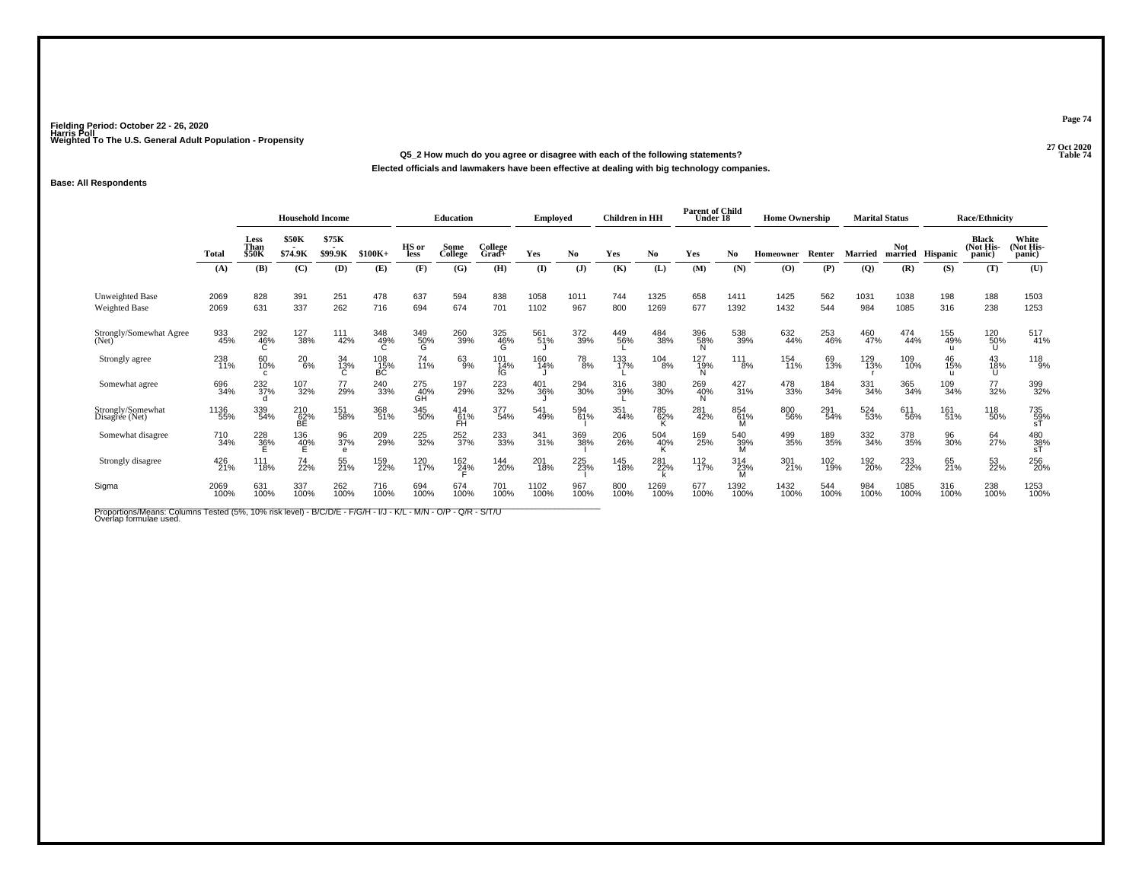**27 Oct 2020Q5\_2 How much do you agree or disagree with each of the following statements?Table 74** 

**Elected officials and lawmakers have been effective at dealing with big technology companies.**

### **Base: All Respondents**

|                                         |              | <b>Household Income</b>      |                     |                        |                    | Education        |                    | <b>Employed</b>  |              | <b>Children</b> in HH |             | <b>Parent of Child</b><br>Under 18 |                 | <b>Home Ownership</b> |                                          |             | <b>Marital Status</b> |                       | <b>Race/Ethnicity</b> |                                     |                              |
|-----------------------------------------|--------------|------------------------------|---------------------|------------------------|--------------------|------------------|--------------------|------------------|--------------|-----------------------|-------------|------------------------------------|-----------------|-----------------------|------------------------------------------|-------------|-----------------------|-----------------------|-----------------------|-------------------------------------|------------------------------|
|                                         | Total        | Less<br>Than<br><b>\$50K</b> | \$50K<br>\$74.9K    | \$75K<br>۰.<br>\$99.9K | $$100K+$           | HS or<br>less    | Some<br>College    | College<br>Grad+ | Yes          | No.                   | Yes         | No.                                | Yes             | No.                   | <b>Homeowner</b>                         | Renter      | <b>Married</b>        | <b>Not</b><br>married | <b>Hispanic</b>       | <b>Black</b><br>(Not His-<br>panic) | White<br>(Not His-<br>panic) |
|                                         | (A)          | (B)                          | (C)                 | (D)                    | (E)                | (F)              | (G)                | (H)              | (I)          | $(\mathbf{J})$        | (K)         | (L)                                | (M)             | (N)                   | $\boldsymbol{\left( \mathbf{O} \right)}$ | (P)         | $\overline{Q}$        | (R)                   | (S)                   | (T)                                 | (U)                          |
| Unweighted Base<br><b>Weighted Base</b> | 2069<br>2069 | 828<br>631                   | 391<br>337          | 251<br>262             | 478<br>716         | 637<br>694       | 594<br>674         | 838<br>701       | 1058<br>1102 | 1011<br>967           | 744<br>800  | 1325<br>1269                       | 658<br>677      | 1411<br>1392          | 1425<br>1432                             | 562<br>544  | 1031<br>984           | 1038<br>1085          | 198<br>316            | 188<br>238                          | 1503<br>1253                 |
| Strongly/Somewhat Agree<br>(Net)        | 933<br>45%   | 292<br>46%                   | 127<br>38%          | 111<br>42%             | 348<br>49%         | 349<br>50%<br>G  | 260<br>39%         | 325<br>46%       | 561<br>51%   | 372<br>39%            | 449<br>56%  | 484<br>38%                         | 396<br>58%      | 538<br>39%            | 632<br>44%                               | 253<br>46%  | 460<br>47%            | 474<br>44%            | 155<br>49%            | 120<br>50%<br>U                     | 517<br>41%                   |
| Strongly agree                          | 238<br>11%   | 60<br>10%<br>C               | $^{20}_{6\%}$       | 34<br>13%              | $^{108}_{15\%}$ BC | 74<br>11%        | 63%                | 101<br>14%<br>fG | 160<br>14%   | 78<br>8%              | 133<br>17%  | $^{104}_{8\%}$                     | 127<br>19%      | $\frac{111}{8\%}$     | 154<br>11%                               | 69<br>13%   | 129<br>13%            | 109<br>10%            | 46<br>15%             | 43<br>18%<br>U                      | 118<br>9%                    |
| Somewhat agree                          | 696<br>34%   | 232<br>37%                   | 107<br>32%          | 77<br>29%              | 240<br>33%         | 275<br>40%<br>GH | 197<br>29%         | 223<br>32%       | 401<br>36%   | 294<br>30%            | 316<br>39%  | 380<br>30%                         | 269<br>40%      | $\frac{427}{31\%}$    | 478<br>33%                               | 184<br>34%  | 331<br>34%            | 365<br>34%            | 109<br>34%            | 77<br>32%                           | 399<br>32%                   |
| Strongly/Somewhat<br>Disagree (Net)     | 1136<br>55%  | 339<br>54%                   | 210<br>62%<br>BE    | 151<br>58%             | 368<br>51%         | 345<br>50%       | $^{414}_{61\%}$ FH | 377<br>54%       | 541<br>49%   | 594<br>61%            | 351<br>44%  | 785<br>62%                         | 281<br>42%      | 854<br>61%<br>M       | 800<br>56%                               | 291<br>54%  | 524<br>53%            | 611<br>56%            | 161<br>51%            | 118<br>50%                          | 735<br>59%<br>sT             |
| Somewhat disagree                       | 710<br>34%   | $\frac{228}{36}\%$           | 136<br>4 <u>0</u> % | 96<br>37%<br>$\theta$  | 209<br>29%         | 225<br>32%       | 252<br>37%         | 233<br>33%       | 341<br>31%   | 369<br>38%            | 206<br>26%  | 504<br>40%                         | 169<br>25%      | 540<br>39%<br>M       | 499<br>35%                               | 189<br>35%  | 332<br>34%            | 378<br>35%            | 96<br>30%             | 64<br>27%                           | $\frac{480}{38\%}$           |
| Strongly disagree                       | 426<br>21%   | 111<br>18%                   | 74<br>22%           | 55<br>21%              | 159<br>22%         | 120<br>17%       | 162<br>24%         | 144<br>20%       | 201<br>18%   | 225<br>23%            | 145<br>18%  | 281<br>22%                         | $^{112}_{17\%}$ | 314<br>23%<br>M       | 301<br>21%                               | 102<br>19%  | 192<br>20%            | 233<br>22%            | 65<br>21%             | 53<br>22%                           | 256<br>20%                   |
| Sigma                                   | 2069<br>100% | 631<br>100%                  | 337<br>100%         | 262<br>100%            | 716<br>100%        | 694<br>100%      | 674<br>100%        | 701<br>100%      | 1102<br>100% | 967<br>100%           | 800<br>100% | 1269<br>100%                       | 677<br>100%     | 1392<br>100%          | 1432<br>100%                             | 544<br>100% | 984<br>100%           | 1085<br>100%          | 316<br>100%           | 238<br>100%                         | 1253<br>100%                 |

Proportions/Means: Columns Tested (5%, 10% risk level) - B/C/D/E - F/G/H - I/J - K/L - M/N - O/P - Q/R - S/T/U<br>Overlap formulae used.

**Page 74**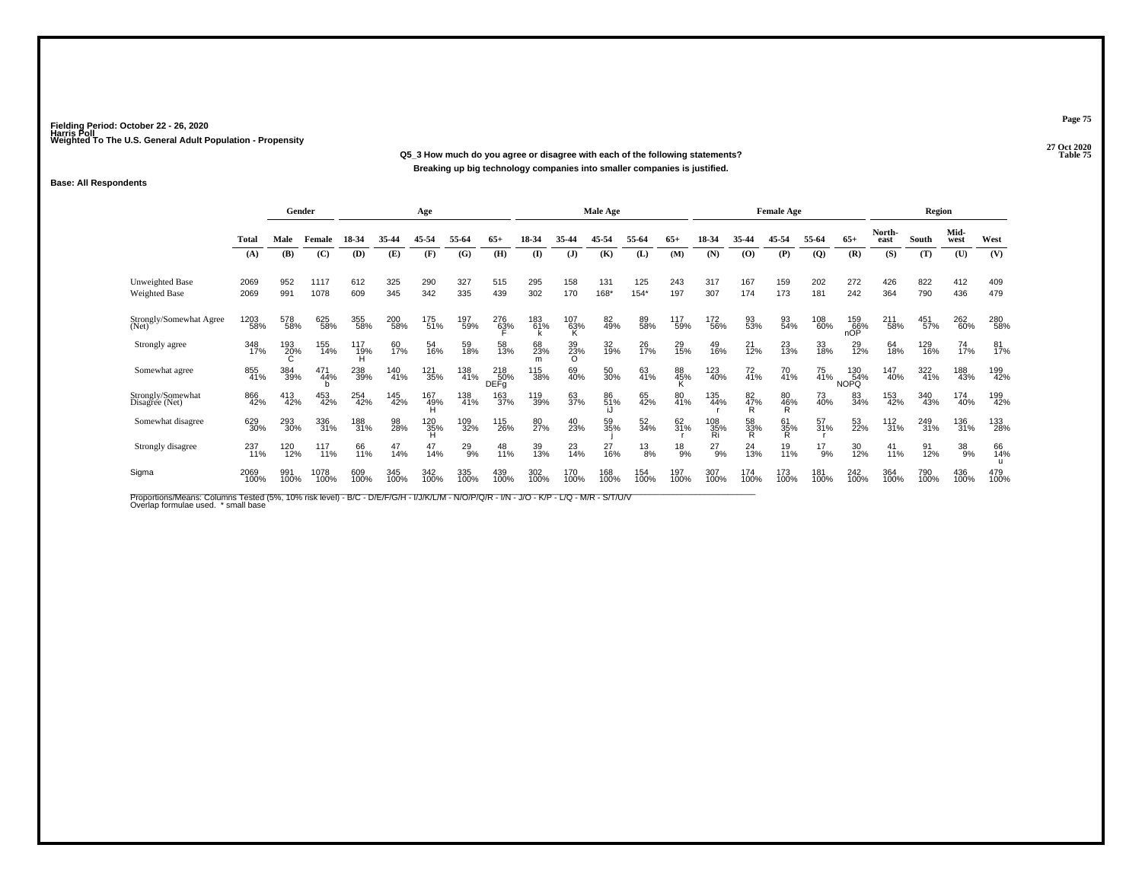**27 Oct 2020Q5\_3 How much do you agree or disagree with each of the following statements?P** Table 75 **Breaking up big technology companies into smaller companies is justified.**

### **Base: All Respondents**

|                                     |              | Gender      |              |                 |             | Age             |               |                            |                |                   | Male Age    |               |              |                  |                | <b>Female Age</b> |               |                    |                   | Region      |              |             |
|-------------------------------------|--------------|-------------|--------------|-----------------|-------------|-----------------|---------------|----------------------------|----------------|-------------------|-------------|---------------|--------------|------------------|----------------|-------------------|---------------|--------------------|-------------------|-------------|--------------|-------------|
|                                     | <b>Total</b> | Male        | Female       | 18-34           | 35-44       | 45-54           | 55-64         | $65+$                      | 18-34          | 35-44             | 45-54       | 55-64         | $65+$        | 18-34            | 35-44          | 45-54             | 55-64         | $65+$              | North-<br>east    | South       | Mid-<br>west | West        |
|                                     | (A)          | (B)         | (C)          | (D)             | (E)         | (F)             | (G)           | (H)                        | (I)            | J                 | (K)         | (L)           | (M)          | (N)              | (0)            | (P)               | $\mathbf{Q}$  | (R)                | (S)               | (T)         | (U)          | (V)         |
| Unweighted Base<br>Weighted Base    | 2069<br>2069 | 952<br>991  | 1117<br>1078 | 612<br>609      | 325<br>345  | 290<br>342      | 327<br>335    | 515<br>439                 | 295<br>302     | 158<br>170        | 131<br>168* | 125<br>$154*$ | 243<br>197   | 317<br>307       | 167<br>174     | 159<br>173        | 202<br>181    | 272<br>242         | 426<br>364        | 822<br>790  | 412<br>436   | 409<br>479  |
| Strongly/Somewhat Agree<br>(Net)    | 1203<br>58%  | 578<br>58%  | 625<br>58%   | 355<br>58%      | 200<br>58%  | 175<br>51%      | 197<br>59%    | 276<br>6 <u>3</u> %        | 183<br>61%     | $^{107}_{63\%}$ K | 82<br>49%   | 89<br>58%     | 117<br>59%   | 172<br>56%       | 93<br>53%      | 93<br>54%         | 108<br>60%    | 159<br>66%<br>nOP  | 211<br>58%        | 451<br>57%  | 262<br>60%   | 280<br>58%  |
| Strongly agree                      | 348<br>17%   | 193<br>20%  | 155<br>14%   | 117<br>19%<br>H | 60<br>17%   | 54<br>16%       | 59<br>18%     | 58<br>13%                  | 68<br>23%<br>m | 39<br>23%<br>O    | 32<br>19%   | 26<br>17%     | 29<br>15%    | 49<br>16%        | $^{21}_{12\%}$ | 23<br>13%         | 33<br>18%     | 29<br>12%          | 64<br>18%         | 129<br>16%  | 74<br>17%    | 81<br>17%   |
| Somewhat agree                      | 855<br>41%   | 384<br>39%  | 471<br>44%   | 238<br>39%      | 140<br>41%  | 121<br>35%      | 138<br>41%    | $\frac{218}{50\%}$<br>DEFg | 115<br>38%     | 69<br>40%         | 50<br>30%   | 63<br>41%     | 88<br>45%    | 123<br>40%       | 72<br>41%      | 70<br>41%         | 75<br>41%     | 130<br>54%<br>NOPQ | 147<br>40%        | 322<br>41%  | 188<br>43%   | 199<br>42%  |
| Strongly/Somewhat<br>Disagree (Net) | 866<br>42%   | 413<br>42%  | 453<br>42%   | 254<br>42%      | 145<br>42%  | 167<br>49%<br>H | 138<br>41%    | 163<br>37%                 | 119<br>39%     | 63<br>37%         | 86<br>51%   | 65<br>42%     | 80<br>41%    | 135<br>44%       | 82<br>47%<br>R | 80<br>46%<br>R    | 73<br>40%     | 83<br>34%          | 153<br>42%        | 340<br>43%  | 174<br>40%   | 199<br>42%  |
| Somewhat disagree                   | 629<br>30%   | 293<br>30%  | 336<br>31%   | 188<br>31%      | 98<br>28%   | $^{120}_{35\%}$ | 109<br>32%    | 115<br>26%                 | 80<br>27%      | 40<br>23%         | 59<br>35%   | 52<br>34%     | 62<br>31%    | 108<br>35%<br>Ri | 58<br>33%<br>R | 61<br>35%<br>R    | 57<br>31%     | 53<br>22%          | $\frac{112}{31%}$ | 249<br>31%  | 136<br>31%   | 133<br>28%  |
| Strongly disagree                   | 237<br>11%   | 120<br>12%  | 117<br>11%   | 66<br>11%       | 47<br>14%   | 47<br>14%       | $^{29}_{9\%}$ | 48<br>11%                  | 39<br>13%      | $^{23}_{14\%}$    | 27<br>16%   | $^{13}_{8\%}$ | $^{18}_{9%}$ | $^{27}_{9\%}$    | 24<br>13%      | 19<br>11%         | $^{17}_{9\%}$ | 30<br>12%          | 41<br>11%         | 91<br>12%   | 38<br>9%     | 66<br>14%   |
| Sigma                               | 2069<br>100% | 991<br>100% | 1078<br>100% | 609<br>100%     | 345<br>100% | 342<br>100%     | 335<br>100%   | 439<br>100%                | 302<br>100%    | 170<br>100%       | 168<br>100% | 154<br>100%   | 197<br>100%  | 307<br>100%      | 174<br>100%    | 173<br>100%       | 181<br>100%   | 242<br>100%        | 364<br>100%       | 790<br>100% | 436<br>100%  | 479<br>100% |

Proportions/Means: Columns Tested (5%, 10% risk level) - B/C - D/E/F/G/H - I/J/K/L/M - N/O/P/Q/R - I/N - J/O - K/P - L/Q - M/R - S/T/U/V<br>Overlap formulae used. \*small base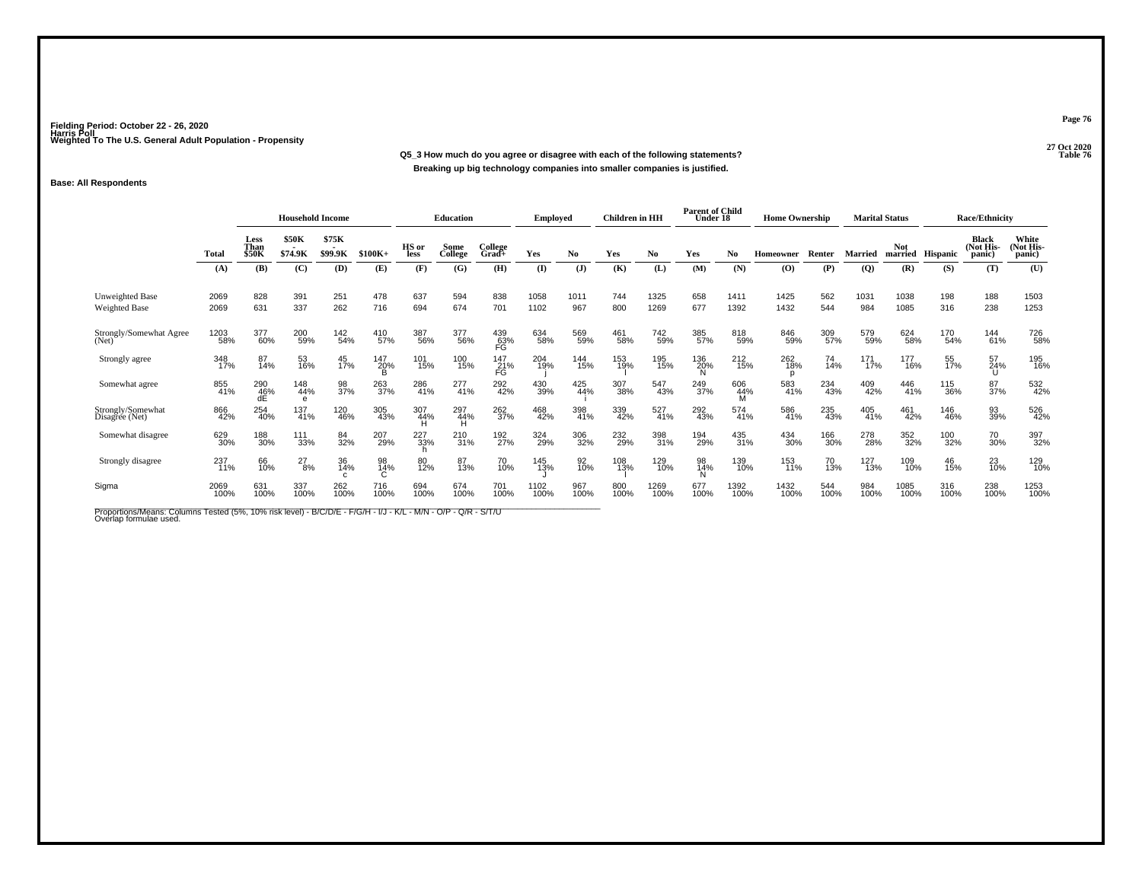**27 Oct 2020Q5\_3 How much do you agree or disagree with each of the following statements?Breaking up big technology companies into smaller companies is justified.**

### **Base: All Respondents**

|                                         |              |                       | <b>Household Income</b> |                  |                |               | <b>Education</b> |                  | <b>Employed</b> |                | <b>Children</b> in HH |              | <b>Parent of Child</b><br>Under 18 |                 | <b>Home Ownership</b> |             | <b>Marital Status</b> |                       |             | <b>Race/Ethnicity</b>               |                              |
|-----------------------------------------|--------------|-----------------------|-------------------------|------------------|----------------|---------------|------------------|------------------|-----------------|----------------|-----------------------|--------------|------------------------------------|-----------------|-----------------------|-------------|-----------------------|-----------------------|-------------|-------------------------------------|------------------------------|
|                                         | Total        | Less<br>Than<br>\$50K | <b>\$50K</b><br>\$74.9K | \$75K<br>\$99.9K | $$100K+$       | HS or<br>less | Some<br>College  | College<br>Grad+ | Yes             | No.            | Yes                   | No           | Yes                                | N <sub>0</sub>  | Homeowner             | Renter      | <b>Married</b>        | <b>Not</b><br>married | Hispanic    | <b>Black</b><br>(Not His-<br>panic) | White<br>(Not His-<br>panic) |
|                                         | (A)          | (B)                   | (C)                     | (D)              | (E)            | (F)           | (G)              | (H)              | (I)             | $(\mathbf{J})$ | (K)                   | (L)          | (M)                                | (N)             | (O)                   | (P)         | $\overline{Q}$        | (R)                   | (S)         | (T)                                 | (U)                          |
| Unweighted Base<br><b>Weighted Base</b> | 2069<br>2069 | 828<br>631            | 391<br>337              | 251<br>262       | 478<br>716     | 637<br>694    | 594<br>674       | 838<br>701       | 1058<br>1102    | 1011<br>967    | 744<br>800            | 1325<br>1269 | 658<br>677                         | 1411<br>1392    | 1425<br>1432          | 562<br>544  | 1031<br>984           | 1038<br>1085          | 198<br>316  | 188<br>238                          | 1503<br>1253                 |
| Strongly/Somewhat Agree<br>(Net)        | 1203<br>58%  | 377<br>60%            | 200<br>59%              | 142<br>54%       | 410<br>57%     | 387<br>56%    | 377<br>56%       | 439<br>63%<br>FG | 634<br>58%      | 569<br>59%     | 461<br>58%            | 742<br>59%   | 385<br>57%                         | 818<br>59%      | 846<br>59%            | 309<br>57%  | 579<br>59%            | 624<br>58%            | 170<br>54%  | 144<br>61%                          | 726<br>58%                   |
| Strongly agree                          | 348<br>17%   | 87<br>14%             | 53<br>16%               | 45<br>17%        | 147<br>20%     | 101<br>15%    | 100<br>15%       | 147<br>21%<br>FG | 204<br>19%      | 144<br>15%     | 153<br>19%            | 195<br>15%   | 136<br>20%                         | 212<br>15%      | 262<br>18%<br>D       | 74<br>14%   | 171<br>17%            | 177<br>16%            | 55<br>17%   | 57<br>24%                           | 195<br>16%                   |
| Somewhat agree                          | 855<br>41%   | 290<br>46%<br>dE      | 148<br>44%              | 98<br>37%        | 263<br>37%     | 286<br>41%    | $^{277}_{41\%}$  | 292<br>42%       | 430<br>39%      | 425<br>44%     | 307<br>38%            | 547<br>43%   | 249<br>37%                         | 606<br>44%<br>М | 583<br>41%            | 234<br>43%  | 409<br>42%            | 446<br>41%            | 115<br>36%  | 87<br>37%                           | 532<br>42%                   |
| Strongly/Somewhat<br>Disagree (Net)     | 866<br>42%   | 254<br>40%            | 137<br>41%              | 120<br>46%       | 305<br>43%     | 307<br>44%    | 297<br>44%<br>н  | 262<br>37%       | 468<br>42%      | 398<br>41%     | 339<br>42%            | 527<br>41%   | 292<br>43%                         | 574<br>41%      | 586<br>41%            | 235<br>43%  | 405<br>41%            | 461<br>42%            | 146<br>46%  | 93<br>39%                           | 526<br>42%                   |
| Somewhat disagree                       | 629<br>30%   | 188<br>30%            | 111<br>33%              | 84<br>32%        | 207<br>29%     | 227<br>33%    | 210<br>31%       | 192<br>27%       | 324<br>29%      | 306<br>32%     | 232<br>29%            | 398<br>31%   | 194<br>29%                         | 435<br>31%      | 434<br>30%            | 166<br>30%  | 278<br>28%            | 352<br>32%            | 100<br>32%  | 70<br>30%                           | 397<br>32%                   |
| Strongly disagree                       | 237<br>11%   | 66<br>10%             | $^{27}_{8\%}$           | 36<br>14%        | 98<br>14%<br>C | 80<br>12%     | 87<br>13%        | 70<br>10%        | 145<br>13%      | 92<br>10%      | 108<br>13%            | 129<br>10%   | 98<br>14%                          | 139<br>10%      | 153<br>11%            | 70<br>13%   | 127<br>13%            | 109<br>10%            | 46<br>15%   | 23<br>10%                           | 129<br>10%                   |
| Sigma                                   | 2069<br>100% | 631<br>100%           | 337<br>100%             | 262<br>100%      | 716<br>100%    | 694<br>100%   | 674<br>100%      | 701<br>100%      | 1102<br>100%    | 967<br>100%    | 800<br>100%           | 1269<br>100% | 677<br>100%                        | 1392<br>100%    | 1432<br>100%          | 544<br>100% | 984<br>100%           | 1085<br>100%          | 316<br>100% | 238<br>100%                         | 1253<br>100%                 |

Proportions/Means: Columns Tested (5%, 10% risk level) - B/C/D/E - F/G/H - I/J - K/L - M/N - O/P - Q/R - S/T/U<br>Overlap formulae used.

**Page 76**

**Parameters Table 76**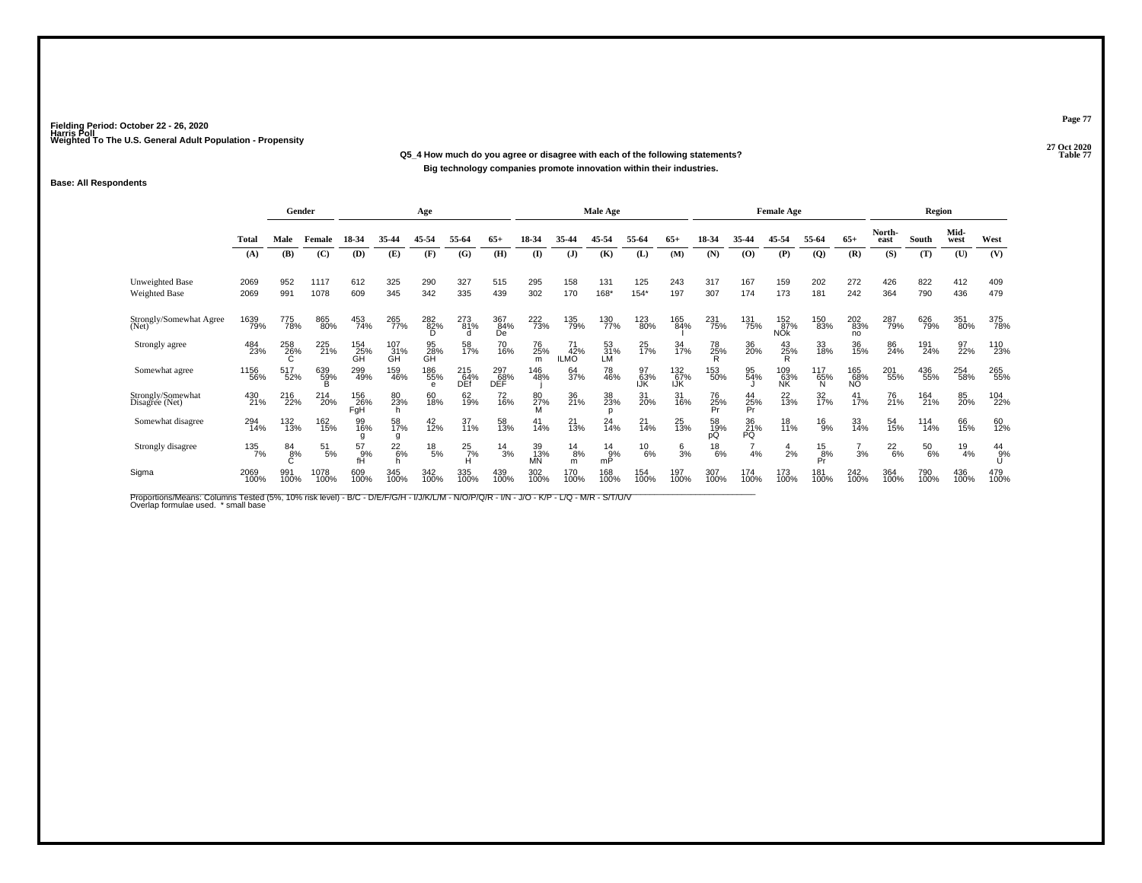#### **27 Oct 2020Q5\_4 How much do you agree or disagree with each of the following statements?Table 77 Big technology companies promote innovation within their industries.**

#### **Base: All Respondents**

|                                         |              |                 | Gender        |                     |                  | Age             |                    |                   |                 |                          | <b>Male Age</b>    |                  |                         |                 |                   | <b>Female Age</b>        |                     |                   |                | <b>Region</b> |               |               |
|-----------------------------------------|--------------|-----------------|---------------|---------------------|------------------|-----------------|--------------------|-------------------|-----------------|--------------------------|--------------------|------------------|-------------------------|-----------------|-------------------|--------------------------|---------------------|-------------------|----------------|---------------|---------------|---------------|
|                                         | Total        | Male            | Female        | 18-34               | 35-44            | 45-54           | 55-64              | $65+$             | 18-34           | 35-44                    | 45-54              | 55-64            | $65+$                   | 18-34           | 35-44             | 45-54                    | 55-64               | $65+$             | North-<br>east | South         | Mid-<br>west  | West          |
|                                         | (A)          | (B)             | (C)           | (D)                 | (E)              | (F)             | (G)                | (H)               | $($ $\Gamma$    | (J)                      | (K)                | (L)              | (M)                     | (N)             | (0)               | (P)                      | (Q)                 | (R)               | (S)            | (T)           | (U)           | (V)           |
| Unweighted Base<br><b>Weighted Base</b> | 2069<br>2069 | 952<br>991      | 1117<br>1078  | 612<br>609          | 325<br>345       | 290<br>342      | 327<br>335         | 515<br>439        | 295<br>302      | 158<br>170               | 131<br>168*        | 125<br>$154*$    | 243<br>197              | 317<br>307      | 167<br>174        | 159<br>173               | 202<br>181          | 272<br>242        | 426<br>364     | 822<br>790    | 412<br>436    | 409<br>479    |
| Strongly/Somewhat Agree<br>(Net)        | 1639<br>79%  | 775<br>78%      | 865<br>80%    | 453<br>74%          | 265<br>77%       | 282%            | 273<br>81%<br>d    | 367<br>84%<br>Ďе  | 222<br>73%      | 135<br>79%               | 130<br>77%         | 123<br>80%       | 165<br>84%              | 231<br>75%      | 131<br>75%        | 152<br>87%<br><b>NŐk</b> | 150<br>83%          | 202<br>83%<br>no  | 287<br>79%     | 626<br>79%    | 351<br>80%    | 375<br>78%    |
| Strongly agree                          | 484<br>23%   | 258<br>26%<br>C | 225<br>21%    | 154<br>25%<br>GH    | 107<br>31%<br>GH | 95<br>28%<br>GH | 58<br>17%          | 70<br>16%         | 76<br>25%<br>m  | 71<br>42%<br><b>ILMO</b> | $\frac{53}{31\%}$  | 25<br>17%        | 34<br>17%               | 78<br>25%<br>R  | 36<br>20%         | $^{43}_{25\%}$           | 33<br>18%           | 36<br>15%         | 86<br>24%      | 191<br>24%    | 97<br>22%     | 110<br>23%    |
| Somewhat agree                          | 1156<br>56%  | 517<br>52%      | 639<br>59%    | 299<br>49%          | 159<br>46%       | 186<br>55%<br>e | 215<br>64%<br>DEf  | 297<br>68%<br>DĚĚ | 146<br>48%      | 64<br>37%                | 78<br>46%          | 97<br>63%<br>IJĶ | 132 <sub>%</sub><br>IJK | 153<br>50%      | 95<br>54%         | 109<br>63%<br>NK         | 117<br>65%<br>N     | 165<br>68%<br>NO. | 201<br>55%     | 436<br>55%    | 254<br>58%    | 265<br>55%    |
| Strongly/Somewhat<br>Disagree (Net)     | 430<br>21%   | 216<br>22%      | 214<br>20%    | 156<br>26%<br>FgH   | 80<br>23%<br>h   | 60<br>18%       | 62<br>19%          | 72<br>16%         | 80<br>27%<br>М  | 36<br>21%                | 38<br>23%          | 31<br>20%        | 31<br>16%               | 76<br>25%<br>Pr | 44<br>25%<br>Pr   | 22<br>13%                | 32 <sub>%</sub>     | 41<br>17%         | 76<br>21%      | 164<br>21%    | 85<br>20%     | 104<br>22%    |
| Somewhat disagree                       | 294<br>14%   | 132<br>13%      | 162<br>15%    | 99<br>16%<br>q      | 58<br>17%<br>g   | $^{42}_{12\%}$  | 37<br>11%          | 58<br>13%         | 41<br>14%       | 21<br>13%                | 24<br>14%          | 21<br>14%        | 25<br>13%               | 58<br>19%<br>рQ | $^{36}_{21\%}$ PQ | 18<br>11%                | $^{16}_{9%}$        | 33<br>14%         | 54<br>15%      | 114<br>14%    | 66<br>15%     | 60<br>12%     |
| Strongly disagree                       | 135<br>7%    | 84<br>8%        | $^{51}_{5\%}$ | $^{57}_{9\%}$<br>fĤ | $^{22}_{6\%}$    | $^{18}_{\ 5\%}$ | $^{25}_{7\%}$<br>н | $^{14}_{3\%}$     | 39<br>13%<br>ΜÑ | $^{14}_{8\%}$<br>m       | $^{14}_{9%}$<br>mP | $^{10}_{6\%}$    | $\frac{6}{3}$ %         | $^{18}_{6\%}$   | 4%                | $\frac{4}{2%}$           | $^{15}_{8\%}$<br>Pr | 3%                | $^{22}_{6\%}$  | $^{50}_{6\%}$ | $^{19}_{4\%}$ | $^{44}_{9\%}$ |
| Sigma                                   | 2069<br>100% | 991<br>100%     | 1078<br>100%  | 609<br>100%         | 345<br>100%      | 342<br>100%     | 335<br>100%        | 439<br>100%       | 302<br>100%     | 170<br>100%              | 168<br>100%        | 154<br>100%      | 197<br>100%             | 307<br>100%     | 174<br>100%       | 173<br>100%              | 181<br>100%         | 242<br>100%       | 364<br>100%    | 790<br>100%   | 436<br>100%   | 479<br>100%   |

Proportions/Means: Columns Tested (5%, 10% risk level) - B/C - D/E/F/G/H - I/J/K/L/M - N/O/P/Q/R - I/N - J/O - K/P - L/Q - M/R - S/T/U/V<br>Overlap formulae used. \*small base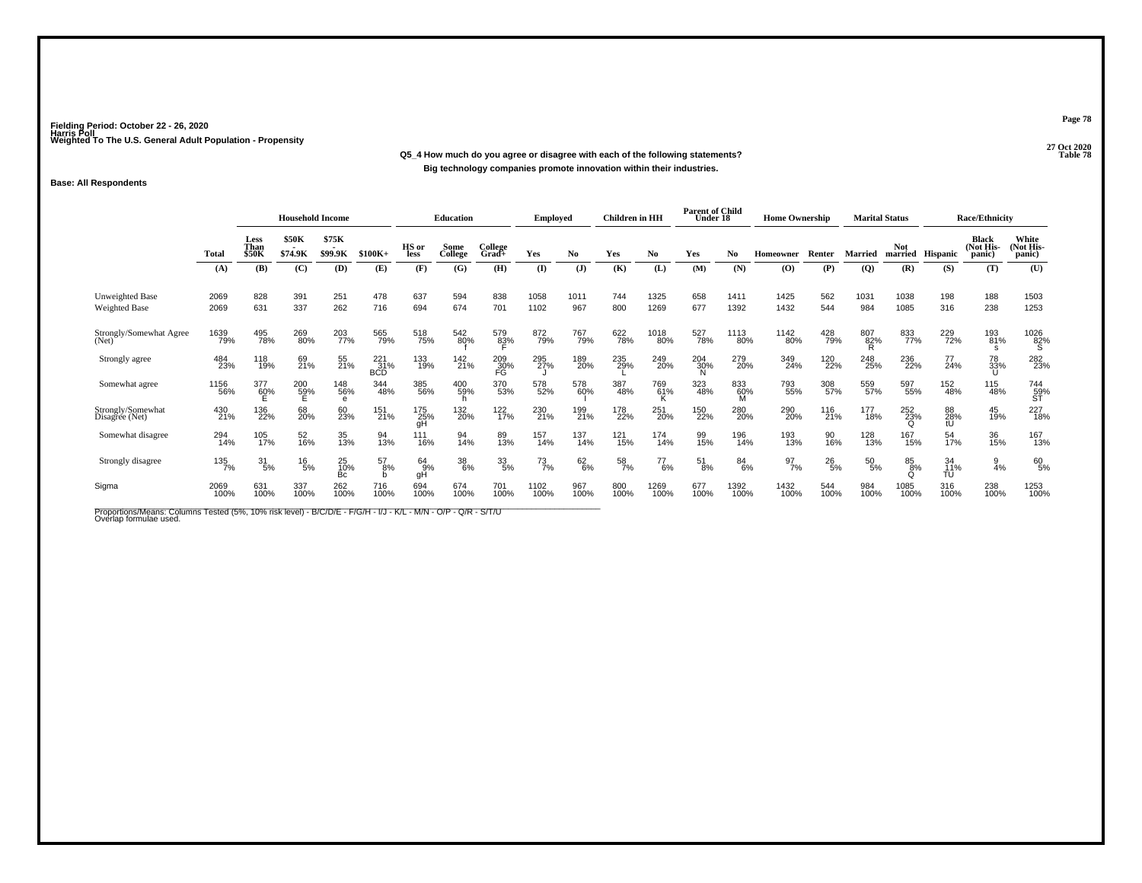**27 Oct 2020Q5\_4 How much do you agree or disagree with each of the following statements?Big technology companies promote innovation within their industries.**

### **Base: All Respondents**

|                                         |              | <b>Household Income</b>      |                         |                  |                               | <b>Education</b> |                 | <b>Employed</b>     |               | <b>Children</b> in HH |                  | <b>Parent of Child</b><br>Under 18 |               | <b>Home Ownership</b> |                  | <b>Marital Status</b> |                 |                       | <b>Race/Ethnicity</b> |                                      |                                |
|-----------------------------------------|--------------|------------------------------|-------------------------|------------------|-------------------------------|------------------|-----------------|---------------------|---------------|-----------------------|------------------|------------------------------------|---------------|-----------------------|------------------|-----------------------|-----------------|-----------------------|-----------------------|--------------------------------------|--------------------------------|
|                                         | Total        | Less<br>Than<br><b>\$50K</b> | <b>\$50K</b><br>\$74.9K | \$75K<br>\$99.9K | $$100K+$                      | HS or<br>less    | Some<br>College | College<br>Grad+    | Yes           | No.                   | Yes              | No                                 | Yes           | No                    | <b>Homeowner</b> | Renter                | <b>Married</b>  | <b>Not</b><br>married | Hispanic              | <b>Black</b><br>(Not His-<br>(panic) | White<br>(Not His-<br>panic)   |
|                                         | (A)          | (B)                          | (C)                     | (D)              | (E)                           | (F)              | (G)             | (H)                 | (I)           | $($ $\bf{J})$         | (K)              | (L)                                | (M)           | (N)                   | (O)              | (P)                   | (Q)             | (R)                   | (S)                   | (T)                                  | (U)                            |
| Unweighted Base<br><b>Weighted Base</b> | 2069<br>2069 | 828<br>631                   | 391<br>337              | 251<br>262       | 478<br>716                    | 637<br>694       | 594<br>674      | 838<br>701          | 1058<br>1102  | 1011<br>967           | 744<br>800       | 1325<br>1269                       | 658<br>677    | 1411<br>1392          | 1425<br>1432     | 562<br>544            | 1031<br>984     | 1038<br>1085          | 198<br>316            | 188<br>238                           | 1503<br>1253                   |
| Strongly/Somewhat Agree<br>(Net)        | 1639<br>79%  | 495<br>78%                   | 269<br>80%              | 203<br>77%       | 565<br>79%                    | 518<br>75%       | 542<br>80%      | 579<br>8 <u>3</u> % | 872<br>79%    | 767<br>79%            | 622<br>78%       | 1018<br>80%                        | 527<br>78%    | 1113<br>80%           | 1142<br>80%      | 428<br>79%            | 807<br>82%      | 833<br>77%            | 229<br>72%            | 193<br>81%<br>s                      | $\substack{1026 \\ 82\% \\ S}$ |
| Strongly agree                          | 484<br>23%   | 118<br>19%                   | 69<br>21%               | 55<br>21%        | $^{221}_{31\%}$<br><b>BCD</b> | 133<br>19%       | 142<br>21%      | 209<br>30%<br>FG    | 295<br>27%    | 189<br>20%            | 235<br>29%       | 249<br>20%                         | 204<br>30%    | 279<br>20%            | 349<br>24%       | 120<br>22%            | 248<br>25%      | 236<br>22%            | $^{77}_{24\%}$        | 78<br>33%<br>U                       | 282<br>23%                     |
| Somewhat agree                          | 1156<br>56%  | 377<br>60%                   | 200<br>59%              | 148<br>56%<br>e  | 344<br>48%                    | 385<br>56%       | 400<br>59%      | 370<br>53%          | 578<br>52%    | 578<br>60%            | 387<br>48%       | 769<br>61%<br>ĸ                    | 323<br>48%    | 833<br>60%            | 793<br>55%       | 308<br>57%            | 559<br>57%      | 597<br>55%            | 152<br>48%            | 115<br>48%                           | 744<br>59%<br>ST               |
| Strongly/Somewhat<br>Disagree (Net)     | 430<br>21%   | 136<br>22%                   | 68<br>20%               | 60<br>23%        | 151<br>21%                    | 175<br>25%<br>qΗ | 132<br>20%      | 122<br>17%          | 230<br>21%    | 199<br>21%            | 178<br>22%       | 251<br>20%                         | 150<br>22%    | 280<br>20%            | 290<br>20%       | 116<br>21%            | 177<br>18%      | 252<br>23%            | 88<br>28%<br>tÚ       | 45<br>19%                            | 227<br>18%                     |
| Somewhat disagree                       | 294<br>14%   | 105<br>17%                   | 52<br>16%               | 35<br>13%        | 94<br>13%                     | 111<br>16%       | 94<br>14%       | 89<br>13%           | 157<br>14%    | 137<br>14%            | 121<br>15%       | 174<br>14%                         | 99<br>15%     | 196<br>14%            | 193<br>13%       | 90<br>16%             | 128<br>13%      | 167<br>15%            | 54<br>17%             | 36<br>15%                            | 167<br>13%                     |
| Strongly disagree                       | 135<br>7%    | 31<br>5%                     | $^{16}_{5\%}$           | 25<br>10%<br>Bc  | 57<br>8%                      | 64<br>-9%<br>gH  | 38<br>6%        | 33/5%               | $^{73}_{7\%}$ | $62\atop 6\%$         | $\frac{58}{7\%}$ | $^{77}_{6\%}$                      | $^{51}_{8\%}$ | $84^{6\%}$            | $\frac{97}{7\%}$ | $^{26}_{5\%}$         | $^{50}_{\ 5\%}$ | 85<br>8%              | 34<br>11%<br>TU       | $\frac{9}{4%}$                       | 60<br>5%                       |
| Sigma                                   | 2069<br>100% | 631<br>100%                  | 337<br>100%             | 262<br>100%      | 716<br>100%                   | 694<br>100%      | 674<br>100%     | 701<br>100%         | 1102<br>100%  | 967<br>100%           | 800<br>100%      | 1269<br>100%                       | 677<br>100%   | 1392<br>100%          | 1432<br>100%     | 544<br>100%           | 984<br>100%     | 1085<br>100%          | 316<br>100%           | 238<br>100%                          | 1253<br>100%                   |

Proportions/Means: Columns Tested (5%, 10% risk level) - B/C/D/E - F/G/H - I/J - K/L - M/N - O/P - Q/R - S/T/U<br>Overlap formulae used.

**Page 78**

**Table 78**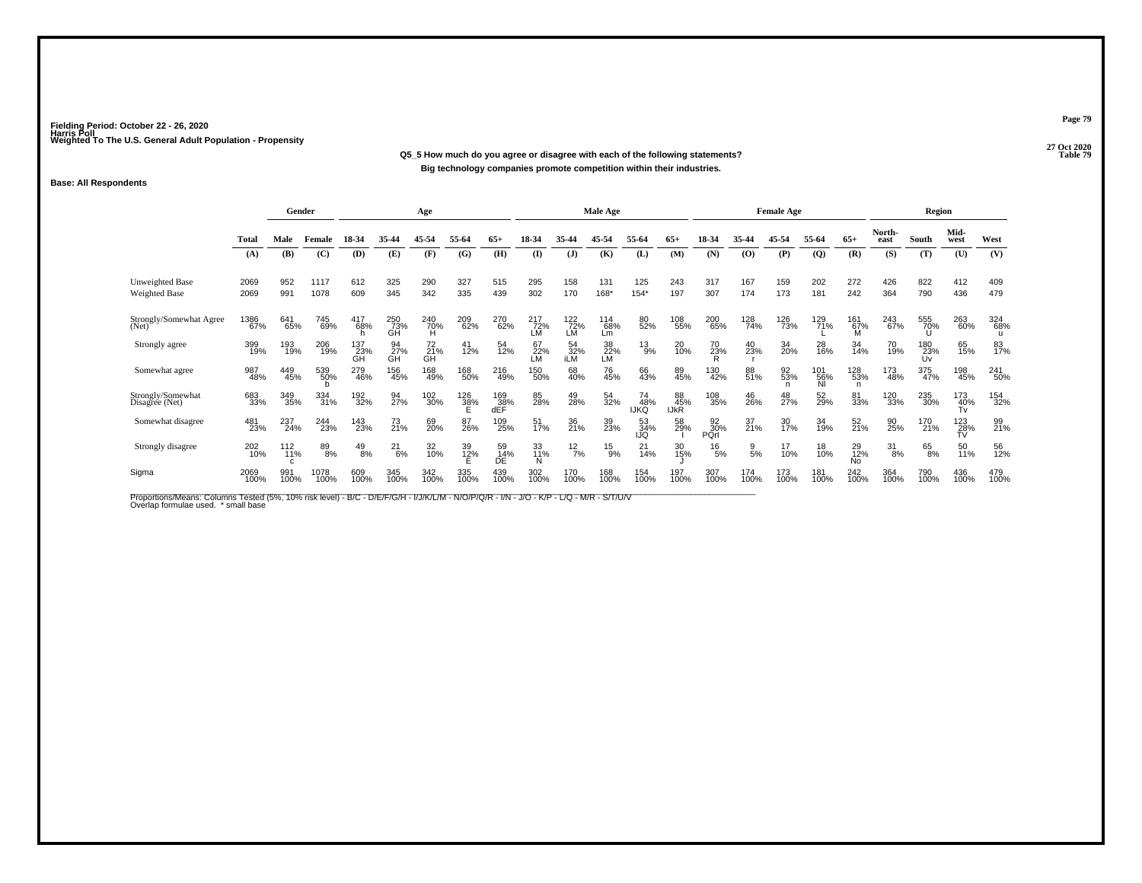#### **27 Oct 2020Q5\_5 How much do you agree or disagree with each of the following statements?Properties 20 Table 79 Big technology companies promote competition within their industries.**

#### **Base: All Respondents**

|                                         |              | Gender               |              |                  |                  | Age             |             |                   |                    |                   | <b>Male Age</b>  |                          |                          |                   |                | <b>Female Age</b> |                  |                             |                 | <b>Region</b>    |                  |             |
|-----------------------------------------|--------------|----------------------|--------------|------------------|------------------|-----------------|-------------|-------------------|--------------------|-------------------|------------------|--------------------------|--------------------------|-------------------|----------------|-------------------|------------------|-----------------------------|-----------------|------------------|------------------|-------------|
|                                         | Total        | Male                 | Female       | 18-34            | 35-44            | 45-54           | 55-64       | $65+$             | 18-34              | 35-44             | 45-54            | 55-64                    | $65+$                    | 18-34             | 35-44          | 45-54             | 55-64            | $65+$                       | North-<br>east  | South            | Mid-<br>west     | West        |
|                                         | (A)          | (B)                  | (C)          | (D)              | (E)              | (F)             | (G)         | (H)               | $($ $\Gamma$       | (J)               | (K)              | (L)                      | (M)                      | (N)               | (0)            | (P)               | (Q)              | (R)                         | (S)             | (T)              | (U)              | (V)         |
| Unweighted Base<br><b>Weighted Base</b> | 2069<br>2069 | 952<br>991           | 1117<br>1078 | 612<br>609       | 325<br>345       | 290<br>342      | 327<br>335  | 515<br>439        | 295<br>302         | 158<br>170        | 131<br>168*      | 125<br>$154*$            | 243<br>197               | 317<br>307        | 167<br>174     | 159<br>173        | 202<br>181       | 272<br>242                  | 426<br>364      | 822<br>790       | 412<br>436       | 409<br>479  |
| Strongly/Somewhat Agree<br>(Net)        | 1386<br>67%  | 641<br>65%           | 745<br>69%   | 417<br>68%       | 250<br>73%<br>GH | $^{240}_{70\%}$ | 209<br>62%  | 270<br>62%        | $^{217}_{72\%}$ LM | 122<br> 72%<br>LM | 114<br>68%<br>Lm | 80<br>52%                | 108<br>55%               | 200<br>65%        | 128<br>74%     | 126<br>73%        | 129<br>71%       | 161 <sub>67%</sub><br>M     | 243<br>67%      | 555<br>70%       | 263<br>60%       | 324<br>68%  |
| Strongly agree                          | 399<br>19%   | 193<br>19%           | 206<br>19%   | 137<br>23%<br>GH | 94<br>27%<br>GH  | 72<br>21%<br>GH | 41<br>12%   | 54<br>12%         | 67<br>$22\%$<br>LM | 54<br>32%<br>iLM  | 38<br>22%<br>LM  | $^{13}_{9\%}$            | 20<br>10%                | 70<br>23%         | 40<br>23%      | 34<br>20%         | 28<br>16%        | 34<br>14%                   | 70<br>19%       | 180<br>23%<br>Uv | 65<br>15%        | 83<br>17%   |
| Somewhat agree                          | 987<br>48%   | 449<br>45%           | 539<br>50%   | 279<br>46%       | 156<br>45%       | 168<br>49%      | 168<br>50%  | 216<br>49%        | 150%               | 68<br>40%         | 76<br>45%        | 66<br>43%                | 89<br>45%                | 130<br>42%        | 88<br>51%      | 92<br>53%<br>n    | 101<br>56%<br>ΝI | 128<br>53%<br>n             | 173<br>48%      | 375<br>47%       | 198<br>45%       | 241<br>50%  |
| Strongly/Somewhat<br>Disagree (Net)     | 683<br>33%   | 349<br>35%           | 334<br>31%   | 192 <sub>%</sub> | 94<br>27%        | 102<br>30%      | 126<br>38%  | 169<br>38%<br>dEF | 85<br>28%          | 49<br>28%         | 54<br>32%        | 74<br>48%<br><b>IJKQ</b> | 88<br>45%<br><b>IJKR</b> | 108<br>35%        | 46<br>26%      | 48<br>27%         | 52<br>29%        | 81<br>33%                   | 120<br>33%      | 235<br>30%       | 173<br>40%<br>Tv | 154<br>32%  |
| Somewhat disagree                       | 481<br>23%   | 237<br>24%           | 244<br>23%   | 143<br>23%       | 73<br>21%        | 69<br>20%       | 87<br>26%   | 109<br>25%        | 51<br>17%          | 36<br>21%         | 39<br>23%        | 53<br>34%<br>IJQ         | 58<br>29%                | 92<br>30%<br>PQrl | 37<br>21%      | 30<br>17%         | 34<br>19%        | 52<br>21%                   | 90<br>25%       | 170<br>21%       | 123<br>28%       | 99<br>21%   |
| Strongly disagree                       | 202<br>10%   | $^{112}_{11\%}$<br>C | 89<br>8%     | $^{49}_{8\%}$    | $^{21}_{6\%}$    | 32<br>10%       | 39<br>12%   | 59<br>14%<br>DÊ   | 33<br>11%          | $^{12}_{7\%}$     | $^{15}_{9\%}$    | $^{21}_{14\%}$           | 30<br>15%                | $^{16}_{5\%}$     | $\frac{9}{5%}$ | 17<br>10%         | 18<br>10%        | 29<br>12%<br>N <sub>o</sub> | $\frac{31}{8%}$ | $^{65}_{8\%}$    | 50<br>11%        | 56<br>12%   |
| Sigma                                   | 2069<br>100% | 991<br>100%          | 1078<br>100% | 609<br>100%      | 345<br>100%      | 342<br>100%     | 335<br>100% | 439<br>100%       | 302<br>100%        | 170<br>100%       | 168<br>100%      | 154<br>100%              | 197<br>100%              | 307<br>100%       | 174<br>100%    | 173<br>100%       | 181<br>100%      | 242<br>100%                 | 364<br>100%     | 790<br>100%      | 436<br>100%      | 479<br>100% |

Proportions/Means: Columns Tested (5%, 10% risk level) - B/C - D/E/F/G/H - I/J/K/L/M - N/O/P/Q/R - I/N - J/O - K/P - L/Q - M/R - S/T/U/V<br>Overlap formulae used. \*small base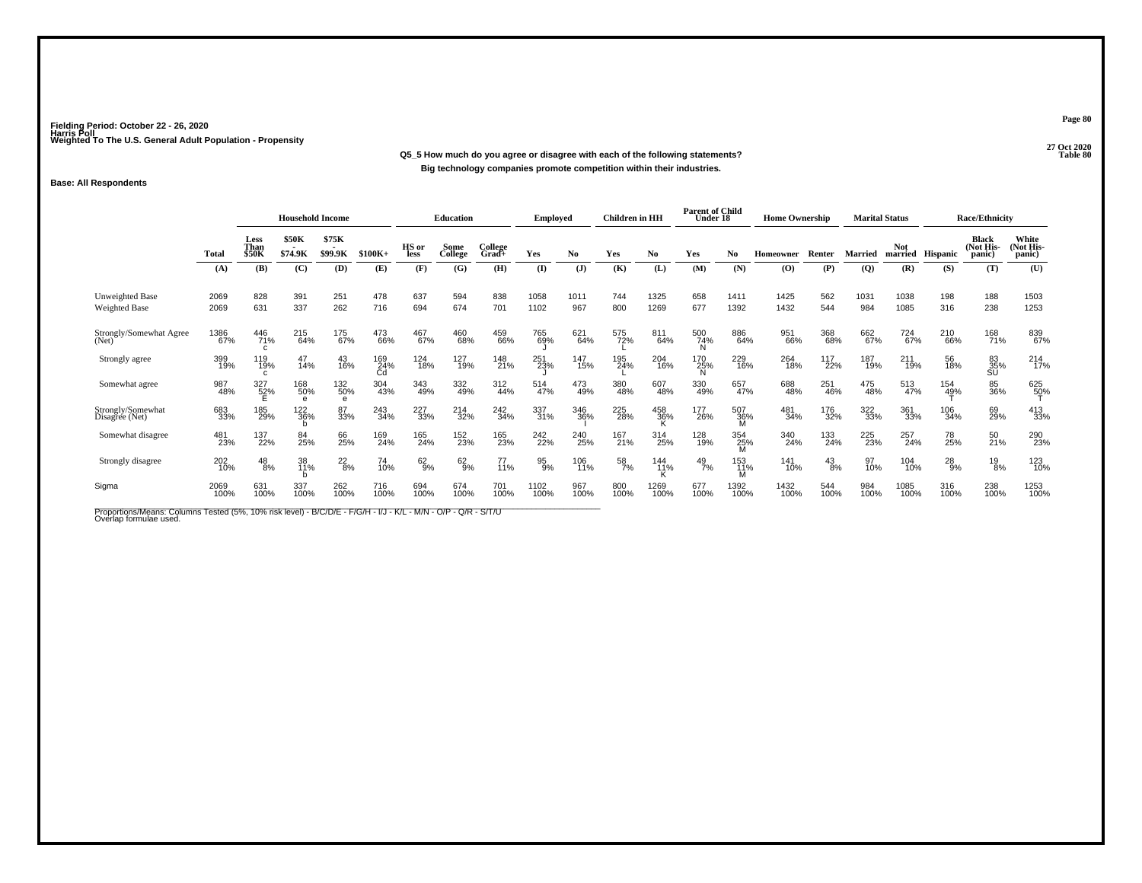**27 Oct 2020Q5\_5 How much do you agree or disagree with each of the following statements? Table 80 Big technology companies promote competition within their industries.**

### **Base: All Respondents**

|                                     |              | <b>Household Income</b>      |                        |                            |                  | Education                                      |                 | <b>Employed</b>  |              | <b>Children</b> in HH |                  | <b>Parent of Child</b><br>Under 18 |               | <b>Home Ownership</b> |                  |               | <b>Marital Status</b> |                       | <b>Race/Ethnicity</b> |                                      |                              |
|-------------------------------------|--------------|------------------------------|------------------------|----------------------------|------------------|------------------------------------------------|-----------------|------------------|--------------|-----------------------|------------------|------------------------------------|---------------|-----------------------|------------------|---------------|-----------------------|-----------------------|-----------------------|--------------------------------------|------------------------------|
|                                     | Total        | Less<br>Than<br><b>\$50K</b> | \$50K<br>\$74.9K       | \$75K<br>$\sim$<br>\$99.9K | $$100K+$         | HS or<br>less                                  | Some<br>College | College<br>Grad+ | Yes          | No.                   | Yes              | No                                 | Yes           | No.                   | <b>Homeowner</b> | Renter        | <b>Married</b>        | <b>Not</b><br>married | <b>Hispanic</b>       | <b>Black</b><br>(Not His-<br>(panic) | White<br>(Not His-<br>panic) |
|                                     | (A)          | (B)                          | (C)                    | (D)                        | (E)              | (F)                                            | (G)             | (H)              | (I)          | (J)                   | (K)              | (L)                                | (M)           | (N)                   | (0)              | (P)           | $\overline{Q}$        | (R)                   | (S)                   | (T)                                  | (U)                          |
| Unweighted Base<br>Weighted Base    | 2069<br>2069 | 828<br>631                   | 391<br>337             | 251<br>262                 | 478<br>716       | 637<br>694                                     | 594<br>674      | 838<br>701       | 1058<br>1102 | 1011<br>967           | 744<br>800       | 1325<br>1269                       | 658<br>677    | 1411<br>1392          | 1425<br>1432     | 562<br>544    | 1031<br>984           | 1038<br>1085          | 198<br>316            | 188<br>238                           | 1503<br>1253                 |
| Strongly/Somewhat Agree<br>(Net)    | 1386<br>67%  | 446<br>71%<br>C              | 215<br>64%             | 175<br>67%                 | 473<br>66%       | 467<br>67%                                     | 460<br>68%      | 459<br>66%       | 765<br>69%   | 621<br>64%            | 575<br>72%       | 811<br>64%                         | 500<br>74%    | 886<br>64%            | 951<br>66%       | 368<br>68%    | 662<br>67%            | 724<br>67%            | 210<br>66%            | 168<br>71%                           | 839<br>67%                   |
| Strongly agree                      | 399<br>19%   | 119<br>19%<br>C.             | 47<br>14%              | 43<br>16%                  | 169<br>24%<br>Cd | 124<br>18%                                     | 127<br>19%      | 148<br>21%       | 251<br>23%   | 147<br>15%            | 195<br>24%       | 204<br>16%                         | 170<br>25%    | 229<br>16%            | 264<br>18%       | 117<br>22%    | 187<br>19%            | 211<br>19%            | 56<br>18%             | 83<br>35%<br>SU                      | 214<br>17%                   |
| Somewhat agree                      | 987<br>48%   | 327<br>52%                   | 168<br>50%<br>$\theta$ | 132<br>50%<br>e            | 304<br>43%       | 343<br>49%                                     | 332<br>49%      | 312<br>44%       | 514<br>47%   | 473<br>49%            | 380<br>48%       | 607<br>48%                         | 330<br>49%    | 657<br>47%            | 688<br>48%       | 251<br>46%    | 475<br>48%            | 513<br>47%            | 154<br>49%            | 85<br>36%                            | 625<br>5 <u>0</u> %          |
| Strongly/Somewhat<br>Disagree (Net) | 683<br>33%   | 185<br>29%                   | 122<br>36%             | 87<br>33%                  | 243<br>34%       | 227<br>33%                                     | 214<br>32%      | 242<br>34%       | 337<br>31%   | 346<br>36%            | 225<br>28%       | 458<br>36%                         | 177<br>26%    | 507<br>36%<br>M       | 481<br>34%       | 176<br>32%    | 322<br>33%            | 361<br>33%            | 106<br>34%            | 69<br>29%                            | 413<br>33%                   |
| Somewhat disagree                   | 481<br>23%   | 137<br>22%                   | 84<br>25%              | 66<br>25%                  | 169<br>24%       | 165<br>24%                                     | 152<br>23%      | 165<br>23%       | 242<br>22%   | 240<br>25%            | 167<br>21%       | 314<br>25%                         | 128<br>19%    | 354<br>25%<br>M       | 340<br>24%       | 133<br>24%    | 225<br>23%            | 257<br>24%            | 78<br>25%             | 50<br>21%                            | 290<br>23%                   |
| Strongly disagree                   | 202<br>10%   | $^{48}_{8\%}$                | 38<br>11%              | $^{22}_{8\%}$              | 74<br>10%        | $62\phantom{.00}\phantom{.00}\phantom{.00}9\%$ | 62<br>9%        | 77<br>11%        | 95<br>9%     | 106<br>11%            | $\frac{58}{7\%}$ | 144<br>11%<br>ĸ                    | $^{49}_{7\%}$ | 153<br>11%            | 141<br>10%       | $^{43}_{8\%}$ | 97<br>10%             | 104<br>10%            | $^{28}_{9%}$          | $^{19}_{8\%}$                        | 123<br>10%                   |
| Sigma                               | 2069<br>100% | 631<br>100%                  | 337<br>100%            | 262<br>100%                | 716<br>100%      | 694<br>100%                                    | 674<br>100%     | 701<br>100%      | 1102<br>100% | 967<br>100%           | 800<br>100%      | 1269<br>100%                       | 677<br>100%   | 1392<br>100%          | 1432<br>100%     | 544<br>100%   | 984<br>100%           | 1085<br>100%          | 316<br>100%           | 238<br>100%                          | 1253<br>100%                 |

Proportions/Means: Columns Tested (5%, 10% risk level) - B/C/D/E - F/G/H - I/J - K/L - M/N - O/P - Q/R - S/T/U<br>Overlap formulae used.

**Page 80**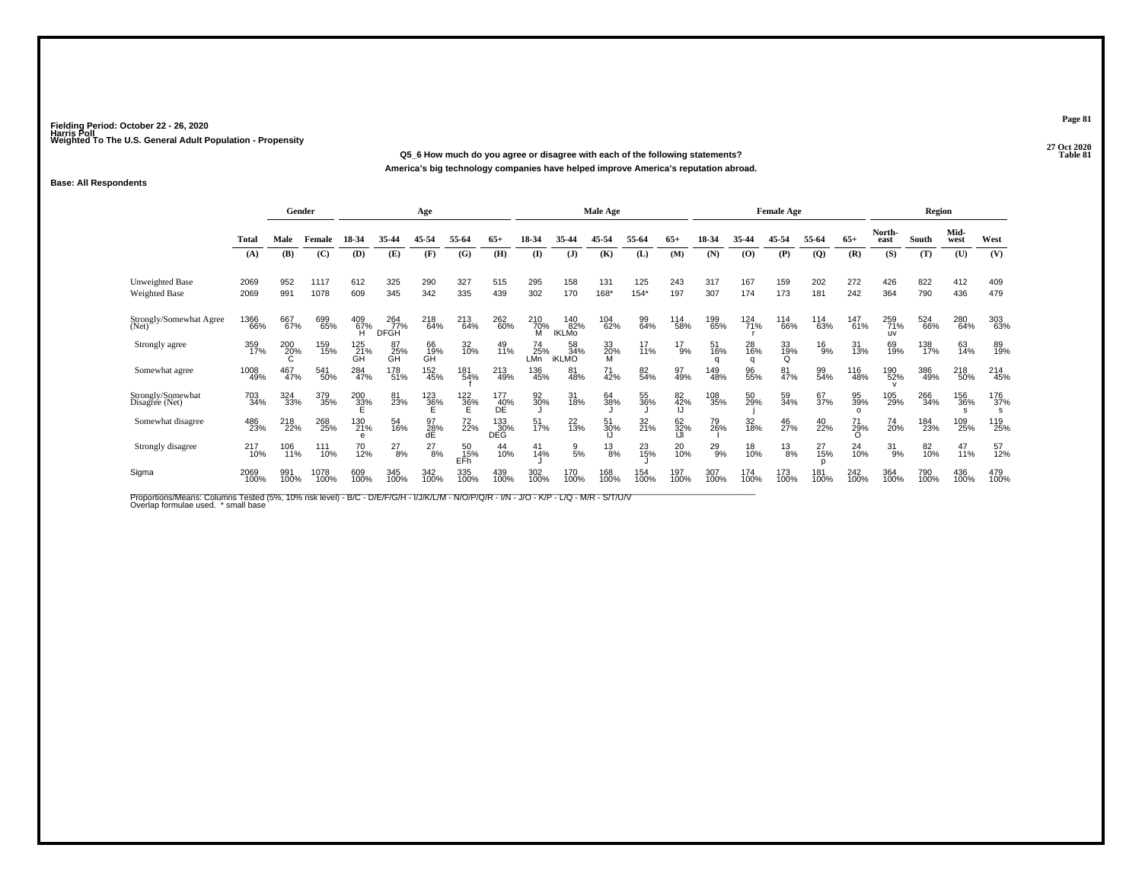**27 Oct 2020Q5\_6 How much do you agree or disagree with each of the following statements?**

**America's big technology companies have helped improve America's reputation abroad.**

### **Base: All Respondents**

|                                     |              | Gender      |              |                        |                           | Age             |                  |                   |                      |                            | Male Age        |               |                 |                |                | <b>Female Age</b> |                |                       |                         | Region      |                 |                            |
|-------------------------------------|--------------|-------------|--------------|------------------------|---------------------------|-----------------|------------------|-------------------|----------------------|----------------------------|-----------------|---------------|-----------------|----------------|----------------|-------------------|----------------|-----------------------|-------------------------|-------------|-----------------|----------------------------|
|                                     | Total        | Male        | Female       | 18-34                  | 35-44                     | 45-54           | 55-64            | $65+$             | 18-34                | 35-44                      | 45-54           | 55-64         | $65+$           | 18-34          | 35-44          | 45-54             | 55-64          | $65+$                 | North-<br>east          | South       | Mid-<br>west    | West                       |
|                                     | (A)          | (B)         | (C)          | (D)                    | (E)                       | (F)             | (G)              | (H)               | $($ $\Gamma$         | (J)                        | (K)             | (L)           | (M)             | (N)            | (0)            | (P)               | $\overline{Q}$ | (R)                   | (S)                     | (T)         | (U)             | (V)                        |
| Unweighted Base<br>Weighted Base    | 2069<br>2069 | 952<br>991  | 1117<br>1078 | 612<br>609             | 325<br>345                | 290<br>342      | 327<br>335       | 515<br>439        | 295<br>302           | 158<br>170                 | 131<br>168*     | 125<br>$154*$ | 243<br>197      | 317<br>307     | 167<br>174     | 159<br>173        | 202<br>181     | 272<br>242            | 426<br>364              | 822<br>790  | 412<br>436      | 409<br>479                 |
| Strongly/Somewhat Agree<br>(Net)    | 1366<br>66%  | 667<br>67%  | 699<br>65%   | 409<br>67%<br>Ή        | 264<br>77%<br><b>DFGH</b> | 218<br>64%      | 213<br>64%       | 262<br>60%        | $\frac{210}{70\%}$ M | 140<br>82%<br><b>IKLMO</b> | 104<br>62%      | 99<br>64%     | 114<br>58%      | 199<br>65%     | 124<br>71%     | 114<br>66%        | 114<br>63%     | 147<br>61%            | 259<br>71%<br><b>UV</b> | 524<br>66%  | 280<br>64%      | 303<br>63%                 |
| Strongly agree                      | 359<br>17%   | 200<br>20%  | 159<br>15%   | 125<br>21%<br>GH       | 87<br>25%<br>GH           | 66<br>19%<br>GH | 32<br>10%        | 49<br>11%         | 74<br>25%<br>LMn     | 58<br>34%<br><b>iKLMO</b>  | 33<br>20%<br>M  | 17<br>11%     | $^{17}_{9\%}$   | 51<br>16%<br>a | 28<br>16%<br>a | 33<br>19%<br>Q    | $^{16}_{9%}$   | 31<br>13%             | 69<br>19%               | 138<br>17%  | 63<br>14%       | 89<br>19%                  |
| Somewhat agree                      | 1008<br>49%  | 467<br>47%  | 541<br>50%   | 284<br>47%             | 178<br>51%                | $^{152}_{45\%}$ | 181<br>54%       | 213<br>49%        | 136<br>45%           | 81<br>48%                  | 71<br>42%       | 82<br>54%     | 97<br>49%       | 149<br>48%     | 96<br>55%      | 81<br>47%         | 99<br>54%      | 116<br>48%            | 190<br>52%              | 386<br>49%  | 218<br>50%      | 214<br>45%                 |
| Strongly/Somewhat<br>Disagree (Net) | 703<br>34%   | 324<br>33%  | 379<br>35%   | 200<br>33%             | 81<br>23%                 | 123<br>36%      | 122<br>36%<br>Е  | 177<br>40%<br>DÉ  | 92<br>30%            | 31<br>18%                  | 64<br>38%       | 55<br>36%     | 82 <sub>%</sub> | 108<br>35%     | 50<br>29%      | 59<br>34%         | 67<br>37%      | 95<br>39%<br>$\Omega$ | 105<br>29%              | 266<br>34%  | 156<br>36%<br>s | 176<br>37%<br>$\mathbf{s}$ |
| Somewhat disagree                   | 486<br>23%   | 218<br>22%  | 268<br>25%   | 130<br>21%<br>$\theta$ | 54<br>16%                 | 97<br>28%<br>dE | 72<br>22%        | 133<br>30%<br>DEĞ | 51<br>17%            | $^{22}_{13\%}$             | 51<br>30%       | 32<br>21%     | 62<br>32%       | 79<br>26%      | 32<br>18%      | 46<br>27%         | $^{40}_{22\%}$ | 71<br>29%<br>∩        | 74<br>20%               | 184<br>23%  | 109<br>25%      | 119<br>25%                 |
| Strongly disagree                   | 217<br>10%   | 106<br>11%  | 111<br>10%   | 70<br>12%              | $^{27}_{8\%}$             | $^{27}_{8\%}$   | 50<br>15%<br>EFh | 44<br>10%         | 41<br>14%            | $\frac{9}{5\%}$            | $\frac{13}{8%}$ | 23<br>15%     | 20<br>10%       | $^{29}_{9\%}$  | 18<br>10%      | $^{13}_{8\%}$     | 27<br>15%      | $^{24}_{10\%}$        | $^{31}_{9\%}$           | 82<br>10%   | 47<br>11%       | 57<br>12%                  |
| Sigma                               | 2069<br>100% | 991<br>100% | 1078<br>100% | 609<br>100%            | 345<br>100%               | 342<br>100%     | 335<br>100%      | 439<br>100%       | 302<br>100%          | 170<br>100%                | 168<br>100%     | 154<br>100%   | 197<br>100%     | 307<br>100%    | 174<br>100%    | 173<br>100%       | 181<br>100%    | 242<br>100%           | 364<br>100%             | 790<br>100% | 436<br>100%     | 479<br>100%                |

Proportions/Means: Columns Tested (5%, 10% risk level) - B/C - D/E/F/G/H - I/J/K/L/M - N/O/P/Q/R - I/N - J/O - K/P - L/Q - M/R - S/T/U/V<br>Overlap formulae used. \*small base

**Page 81**

**Table 81**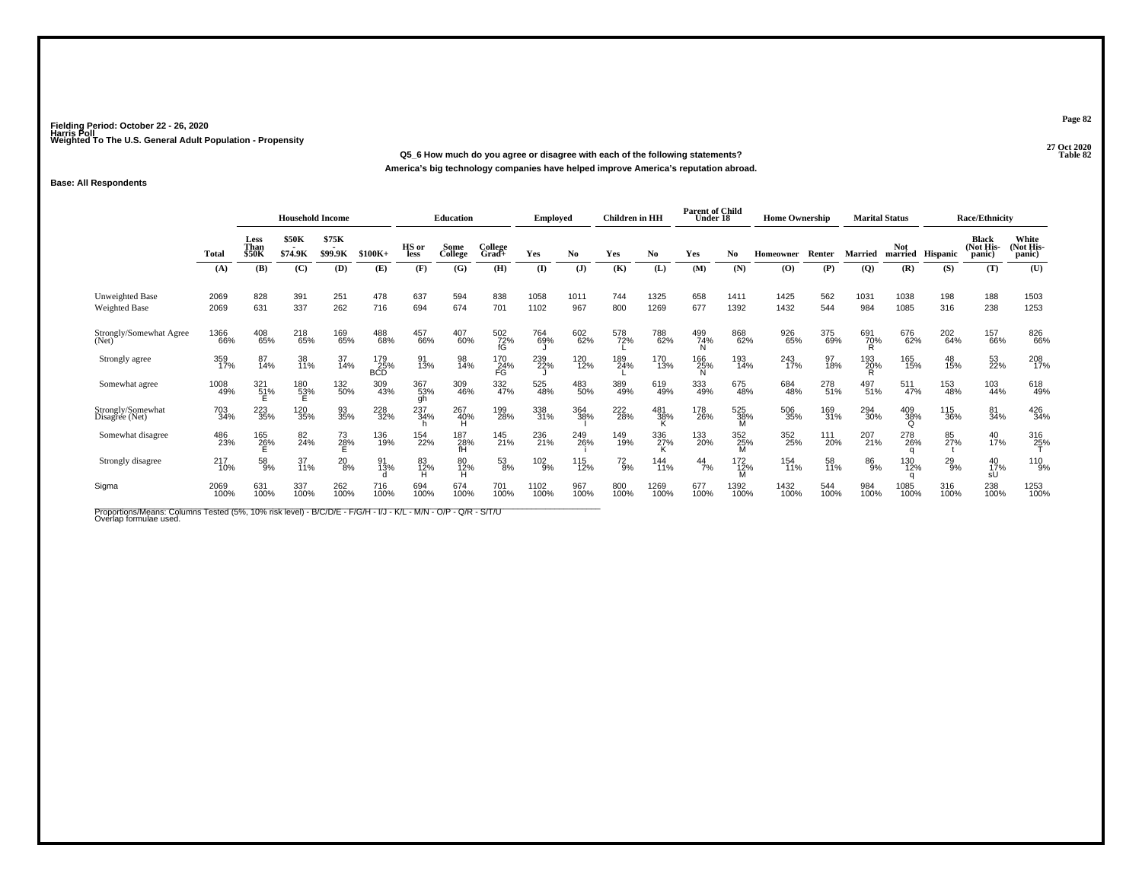**27 Oct 2020Q5\_6 How much do you agree or disagree with each of the following statements?**

**America's big technology companies have helped improve America's reputation abroad.**

### **Base: All Respondents**

|                                         |              | <b>Household Income</b>      |                  |                  |                   | Education        |                  | <b>Employed</b>  |               | <b>Children</b> in HH |              | <b>Parent of Child</b><br>Under 18 |               | <b>Home Ownership</b> |                                          | <b>Marital Status</b> |                |                        | <b>Race/Ethnicity</b> |                                     |                              |
|-----------------------------------------|--------------|------------------------------|------------------|------------------|-------------------|------------------|------------------|------------------|---------------|-----------------------|--------------|------------------------------------|---------------|-----------------------|------------------------------------------|-----------------------|----------------|------------------------|-----------------------|-------------------------------------|------------------------------|
|                                         | <b>Total</b> | Less<br>Than<br><b>\$50K</b> | \$50K<br>\$74.9K | \$75K<br>\$99.9K | $$100K+$          | HS or<br>less    | Some<br>College  | College<br>Grad+ | Yes           | No.                   | Yes          | No                                 | Yes           | No                    | <b>Homeowner</b>                         | Renter                | <b>Married</b> | <b>Not</b><br>married  | Hispanic              | <b>Black</b><br>(Not His-<br>panic) | White<br>(Not His-<br>panic) |
|                                         | (A)          | (B)                          | (C)              | (D)              | (E)               | (F)              | (G)              | (H)              | (I)           | $\mathbf{J}$          | (K)          | (L)                                | (M)           | (N)                   | $\boldsymbol{\left( \mathbf{O} \right)}$ | (P)                   | $\overline{Q}$ | (R)                    | (S)                   | (T)                                 | (U)                          |
| Unweighted Base<br><b>Weighted Base</b> | 2069<br>2069 | 828<br>631                   | 391<br>337       | 251<br>262       | 478<br>716        | 637<br>694       | 594<br>674       | 838<br>701       | 1058<br>1102  | 1011<br>967           | 744<br>800   | 1325<br>1269                       | 658<br>677    | 1411<br>1392          | 1425<br>1432                             | 562<br>544            | 1031<br>984    | 1038<br>1085           | 198<br>316            | 188<br>238                          | 1503<br>1253                 |
| Strongly/Somewhat Agree<br>(Net)        | 1366<br>66%  | 408<br>65%                   | 218<br>65%       | 169<br>65%       | 488<br>68%        | 457<br>66%       | 407<br>60%       | 502<br>72%<br>fG | 764<br>69%    | 602<br>62%            | 578<br>72%   | 788<br>62%                         | 499<br>74%    | 868<br>62%            | 926<br>65%                               | 375<br>69%            | 691<br>70%     | 676<br>62%             | 202<br>64%            | 157<br>66%                          | 826<br>66%                   |
| Strongly agree                          | 359<br>17%   | 87<br>14%                    | 38<br>11%        | 37<br>14%        | 179<br>25%<br>BCD | 91<br>13%        | 98<br>14%        | 170<br>24%<br>FG | 239<br>22%    | 120<br>12%            | 189<br>24%   | 170<br>13%                         | 166<br>25%    | 193<br>14%            | 243<br>17%                               | 97<br>18%             | 193<br>20%     | 165<br>15%             | 48<br>15%             | 53<br>22%                           | 208<br>17%                   |
| Somewhat agree                          | 1008<br>49%  | 321<br>51%                   | 180<br>53%<br>E  | 132<br>50%       | 309<br>43%        | 367<br>53%<br>gh | 309<br>46%       | 332<br>47%       | 525<br>48%    | 483<br>50%            | 389<br>49%   | 619<br>49%                         | 333<br>49%    | 675<br>48%            | 684<br>48%                               | 278<br>51%            | 497<br>51%     | 511<br>47%             | 153<br>48%            | 103<br>44%                          | 618<br>49%                   |
| Strongly/Somewhat<br>Disagree (Net)     | 703<br>34%   | 223<br>35%                   | 120<br>35%       | 93<br>35%        | 228<br>32%        | 237<br>34%       | 267<br>40%       | 199<br>28%       | 338<br>31%    | 364<br>38%            | 222<br>28%   | 481<br>38%                         | 178<br>26%    | 525<br>38%            | 506<br>35%                               | 169<br>31%            | 294<br>30%     | 409<br>38%<br>O        | 115<br>36%            | 81<br>34%                           | 426<br>34%                   |
| Somewhat disagree                       | 486<br>23%   | 165<br>26%                   | 82<br>24%        | 73<br>28%        | 136<br>19%        | 154<br>22%       | 187<br>28%<br>ŦĤ | 145<br>21%       | 236<br>21%    | 249<br>26%            | 149<br>19%   | 336<br>27%                         | 133<br>20%    | 352<br>$^{25}_{M}$    | 352<br>25%                               | 111<br>20%            | 207<br>21%     | 278<br>26%             | 85<br>27%             | $^{40}_{17\%}$                      | 316<br>25%                   |
| Strongly disagree                       | 217<br>10%   | 58%                          | 37<br>11%        | $^{20}_{8\%}$    | 91<br>13%         | 83<br>12%        | 80<br>12%        | 53<br>8%         | $^{102}_{9%}$ | 115<br>12%            | $^{72}_{9%}$ | 144<br>11%                         | $^{44}_{7\%}$ | 172<br>12%            | 154<br>11%                               | 58<br>11%             | 86<br>9%       | 130<br>12%<br>$\Omega$ | $^{29}_{9\%}$         | 40<br>17%<br>sU                     | 110<br>9%                    |
| Sigma                                   | 2069<br>100% | 631<br>100%                  | 337<br>100%      | 262<br>100%      | 716<br>100%       | 694<br>100%      | 674<br>100%      | 701<br>100%      | 1102<br>100%  | 967<br>100%           | 800<br>100%  | 1269<br>100%                       | 677<br>100%   | 1392<br>100%          | 1432<br>100%                             | 544<br>100%           | 984<br>100%    | 1085<br>100%           | 316<br>100%           | 238<br>100%                         | 1253<br>100%                 |

Proportions/Means: Columns Tested (5%, 10% risk level) - B/C/D/E - F/G/H - I/J - K/L - M/N - O/P - Q/R - S/T/U<br>Overlap formulae used.

**Page 82**

27 Oct 2020<br>Table 82 **Table 82**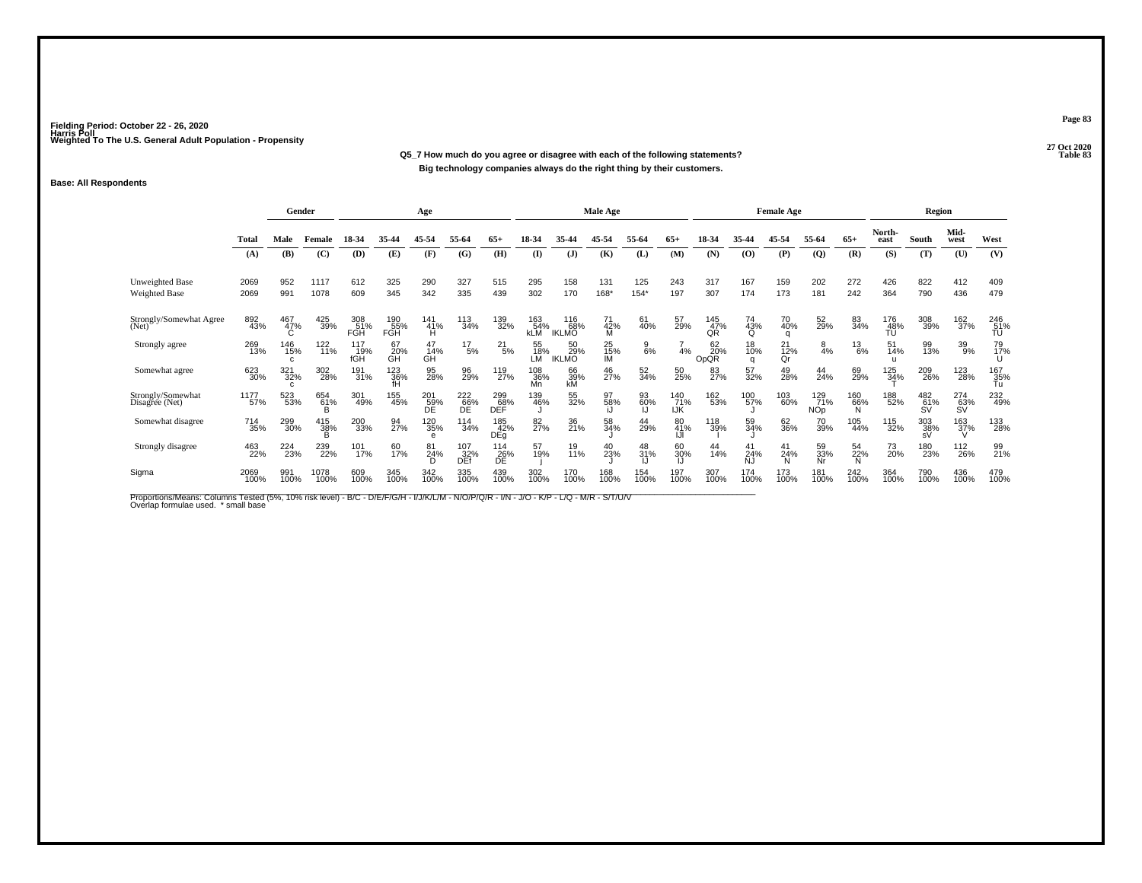#### **27 Oct 2020Q5\_7 How much do you agree or disagree with each of the following statements? Table 83 Big technology companies always do the right thing by their customers.**

#### **Base: All Respondents**

|                                         |              | Gender                     |                 |                          |                   | Age                     |                    |                   |                          |                            | Male Age        |               |                          |                          |                       | <b>Female Age</b> |                          |                            |                  | Region           |                  |                  |
|-----------------------------------------|--------------|----------------------------|-----------------|--------------------------|-------------------|-------------------------|--------------------|-------------------|--------------------------|----------------------------|-----------------|---------------|--------------------------|--------------------------|-----------------------|-------------------|--------------------------|----------------------------|------------------|------------------|------------------|------------------|
|                                         | <b>Total</b> | Male                       | Female          | 18-34                    | 35-44             | 45-54                   | 55-64              | $65+$             | 18-34                    | 35-44                      | 45-54           | 55-64         | $65+$                    | 18-34                    | 35-44                 | 45-54             | 55-64                    | $65+$                      | North-<br>east   | South            | Mid-<br>west     | West             |
|                                         | (A)          | (B)                        | (C)             | (D)                      | (E)               | (F)                     | (G)                | (H)               | $\mathbf{I}$             | $($ $\bf{J}$ )             | (K)             | (L)           | (M)                      | (N)                      | $\omega$              | (P)               | $\overline{Q}$           | (R)                        | (S)              | (T)              | (U)              | (V)              |
| <b>Unweighted Base</b><br>Weighted Base | 2069<br>2069 | 952<br>991                 | 1117<br>1078    | 612<br>609               | 325<br>345        | 290<br>342              | 327<br>335         | 515<br>439        | 295<br>302               | 158<br>170                 | 131<br>168*     | 125<br>$154*$ | 243<br>197               | 317<br>307               | 167<br>174            | 159<br>173        | 202<br>181               | 272<br>242                 | 426<br>364       | 822<br>790       | 412<br>436       | 409<br>479       |
| Strongly/Somewhat Agree<br>(Net)        | 892<br>43%   | 467<br>47%                 | 425<br>39%      | 308<br>51%<br><b>FGH</b> | 190<br>55%<br>FGH | 141<br>$\frac{41\%}{H}$ | 113<br>34%         | 139<br>32%        | 163<br>54%<br><b>kLM</b> | 116<br>68%<br><b>IKLMO</b> | 71<br>42%<br>м  | 61<br>40%     | 57<br>29%                | 145<br>47%<br>QR         | 74<br>43%<br>O        | 70<br>40%<br>q    | 52<br>29%                | 83<br>34%                  | 176<br>48%<br>TÚ | 308<br>39%       | 162<br>37%       | 246<br>51%<br>TU |
| Strongly agree                          | 269<br>13%   | 146<br>15%<br>$\mathbf{C}$ | $^{122}_{11\%}$ | 117<br>19%<br>fGH        | 67<br>20%<br>GH   | 47<br>14%<br>GH         | $^{17}_{5\%}$      | $^{21}_{5\%}$     | 55<br>18%<br>LМ          | 50<br>29%<br><b>IKLMO</b>  | 25<br>15%<br>IM | $^{9}_{6\%}$  | 4%                       | 62 <sub>0%</sub><br>OpQR | 18<br>10%<br>$\Omega$ | 21<br>12%<br>Qr   | $\frac{8}{4%}$           | $^{13}_{6\%}$              | 51<br>14%        | 99<br>13%        | 39<br>9%         | 79<br>17%        |
| Somewhat agree                          | 623<br>30%   | 321<br>32%<br>C            | 302<br>28%      | 191<br>31%               | 123<br>36%<br>fH  | 95<br>28%               | 96<br>29%          | 119<br>27%        | 108<br>36%<br>Mn         | 66<br>39%<br>kM            | 46<br>27%       | 52<br>34%     | 50<br>25%                | 83<br>27%                | 57<br>32%             | 49<br>28%         | 44<br>24%                | 69<br>29%                  | 125<br>34%       | 209<br>26%       | 123<br>28%       | 167<br>35%<br>Tu |
| Strongly/Somewhat<br>Disagree (Net)     | 1177<br>57%  | 523<br>53%                 | 654<br>61%<br>B | 301<br>49%               | 155<br>45%        | 201<br>59%<br>DE        | 222<br>66%<br>DE   | 299<br>68%<br>DEF | 139<br>46%               | 55<br>32%                  | 97<br>58%       | 93<br>60%     | 140<br>71%<br><b>IJK</b> | 162<br>53%               | 100<br>57%            | 103<br>60%        | 129<br>71%<br><b>NOp</b> | <sup>160</sup><br>66%<br>N | 188<br>52%       | 482<br>61%<br>ŚV | 274<br>63%<br>ŚV | 232<br>49%       |
| Somewhat disagree                       | 714<br>35%   | 299<br>30%                 | 415<br>38%      | 200<br>33%               | 94<br>27%         | 120<br>35%<br>$\theta$  | $\frac{114}{34\%}$ | 185<br>42%<br>DEg | 82<br>27%                | 36<br>21%                  | 58<br>34%       | 44<br>29%     | 80<br>41%                | 118<br>39%               | 59<br>34%             | 62<br>36%         | 70<br>39%                | 105<br>44%                 | 115<br>32%       | 303<br>38%<br>sV | 163<br>37%       | 133<br>28%       |
| Strongly disagree                       | 463<br>22%   | 224<br>23%                 | 239<br>22%      | 101<br>17%               | 60<br>17%         | 81<br>24%<br>D          | 107<br>32%<br>DEf  | $^{114}_{26\%}$   | 57<br>19%                | 19<br>11%                  | 40<br>23%       | 48<br>31%     | 60<br>30%                | 44<br>14%                | 41<br>24%<br>N.J      | 41<br>24%<br>N    | 59<br>33%<br>Nr          | 54<br>22%<br>N             | 73<br>20%        | 180<br>23%       | 112<br>26%       | 99<br>21%        |
| Sigma                                   | 2069<br>100% | 991<br>100%                | 1078<br>100%    | 609<br>100%              | 345<br>100%       | 342<br>100%             | 335<br>100%        | 439<br>100%       | 302<br>100%              | 170<br>100%                | 168<br>100%     | 154<br>100%   | 197<br>100%              | 307<br>100%              | 174<br>100%           | 173<br>100%       | 181<br>100%              | 242<br>100%                | 364<br>100%      | 790<br>100%      | 436<br>100%      | 479<br>100%      |

Proportions/Means: Columns Tested (5%, 10% risk level) - B/C - D/E/F/G/H - I/J/K/L/M - N/O/P/Q/R - I/N - J/O - K/P - L/Q - M/R - S/T/U/V<br>Overlap formulae used. \*small base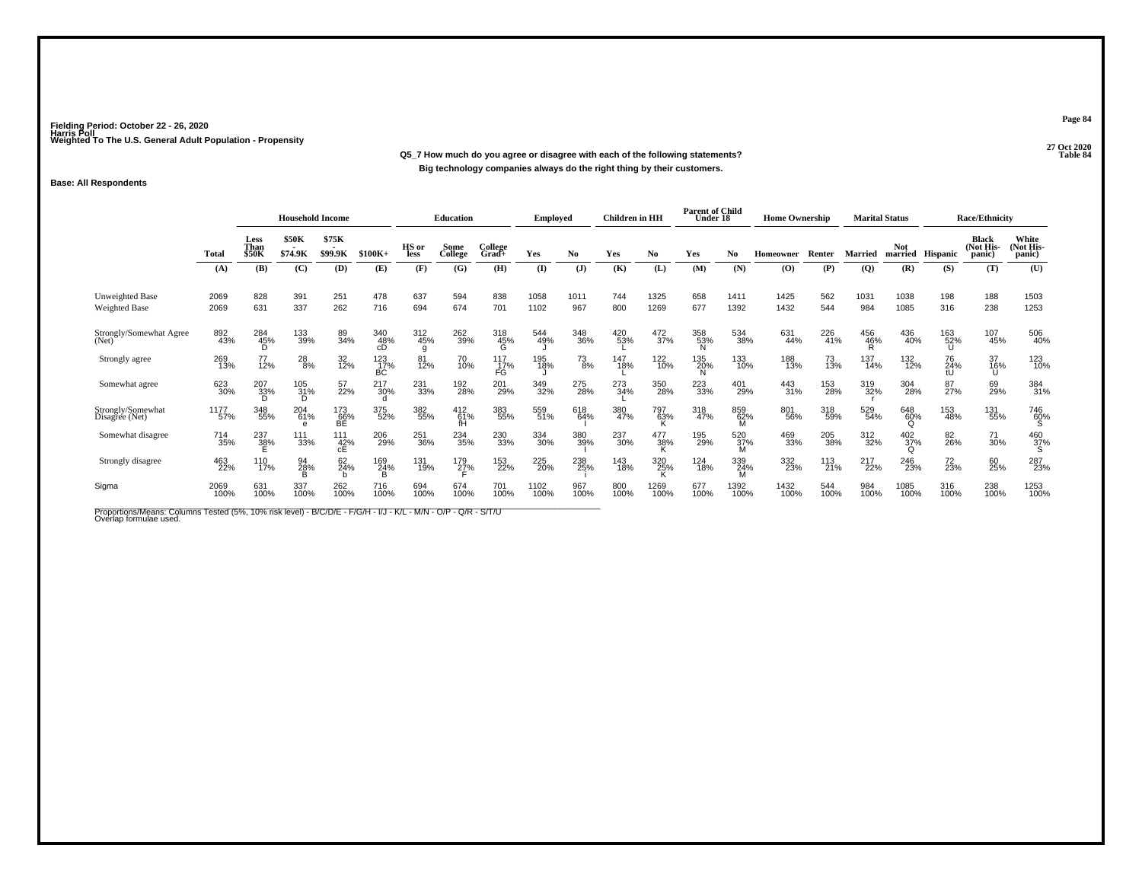**27 Oct 2020Q5\_7 How much do you agree or disagree with each of the following statements?Big technology companies always do the right thing by their customers.**

### **Base: All Respondents**

|                                         |              | <b>Household Income</b> |                        |                             |                   | <b>Education</b> |                     | <b>Employed</b>  |              | <b>Children</b> in HH |             | <b>Parent of Child</b><br>Under 18 |             | <b>Home Ownership</b> |                  |             | <b>Marital Status</b> |                             | <b>Race/Ethnicity</b> |                                      |                              |
|-----------------------------------------|--------------|-------------------------|------------------------|-----------------------------|-------------------|------------------|---------------------|------------------|--------------|-----------------------|-------------|------------------------------------|-------------|-----------------------|------------------|-------------|-----------------------|-----------------------------|-----------------------|--------------------------------------|------------------------------|
|                                         | Total        | Less<br>Than<br>\$50K   | \$50K<br>\$74.9K       | \$75K<br>\$99.9K            | $$100K+$          | HS or<br>less    | Some<br>College     | College<br>Grad+ | Yes          | No.                   | Yes         | No                                 | Yes         | No.                   | <b>Homeowner</b> | Renter      | Married               | <b>Not</b><br>married       | Hispanic              | <b>Black</b><br>(Not His-<br>(panic) | White<br>(Not His-<br>panic) |
|                                         | (A)          | (B)                     | (C)                    | (D)                         | (E)               | (F)              | (G)                 | (H)              | (I)          | $(\mathbf{J})$        | (K)         | (L)                                | (M)         | (N)                   | (O)              | (P)         | (Q)                   | (R)                         | (S)                   | (T)                                  | (U)                          |
| <b>Unweighted Base</b><br>Weighted Base | 2069<br>2069 | 828<br>631              | 391<br>337             | 251<br>262                  | 478<br>716        | 637<br>694       | 594<br>674          | 838<br>701       | 1058<br>1102 | 1011<br>967           | 744<br>800  | 1325<br>1269                       | 658<br>677  | 1411<br>1392          | 1425<br>1432     | 562<br>544  | 1031<br>984           | 1038<br>1085                | 198<br>316            | 188<br>238                           | 1503<br>1253                 |
| Strongly/Somewhat Agree<br>(Net)        | 892<br>43%   | 284<br>45%              | 133<br>39%             | 89<br>34%                   | 340<br>48%<br>cD  | 312<br>45%<br>g  | 262<br>39%          | 318<br>45%       | 544<br>49%   | 348<br>36%            | 420<br>53%  | 472<br>37%                         | 358<br>53%  | 534<br>38%            | 631<br>44%       | 226<br>41%  | 456<br>46%            | 436<br>40%                  | 163<br>52%            | 107<br>45%                           | 506<br>40%                   |
| Strongly agree                          | 269<br>13%   | 77<br>12%               | $^{28}_{8\%}$          | 32 <sub>%</sub>             | 123<br>17%<br>BĊ. | 81<br>12%        | 70<br>10%           | 117<br>17%<br>FG | 195<br>18%   | $^{73}_{8\%}$         | 147<br>18%  | 122<br>10%                         | 135<br>20%  | 133<br>10%            | 188<br>13%       | 73<br>13%   | 137<br>14%            | 132<br>12%                  | 76<br>24%<br>tU       | 37<br>16%<br>Ü                       | 123<br>10%                   |
| Somewhat agree                          | 623<br>30%   | 207<br>33%              | 105<br>31%<br>D        | 57<br>22%                   | 217<br>30%        | 231<br>33%       | 192<br>28%          | 201<br>29%       | 349<br>32%   | 275<br>28%            | 273<br>34%  | 350<br>28%                         | 223<br>33%  | 401<br>29%            | 443<br>31%       | 153<br>28%  | 319<br>32%            | 304<br>28%                  | 87 <sub>27%</sub>     | 69<br>29%                            | 384<br>31%                   |
| Strongly/Somewhat<br>Disagree (Net)     | 1177<br>57%  | 348<br>55%              | 204<br>61%<br>$\theta$ | 173<br>66%<br>BE            | 375<br>52%        | 382<br>55%       | $^{412}_{61\%}$     | 383<br>55%       | 559<br>51%   | 618<br>64%            | 380<br>47%  | 797<br>63%                         | 318<br>47%  | 859<br>62%<br>M       | 801<br>56%       | 318<br>59%  | 529<br>54%            | 648<br>60%<br>Ω             | 153<br>48%            | 131<br>55%                           | 746<br>60%<br>S              |
| Somewhat disagree                       | 714<br>35%   | 237<br>3 <u>8</u> %     | 111<br>33%             | 111<br>$rac{42}{\text{cE}}$ | 206<br>29%        | 251<br>36%       | 234<br>35%          | 230<br>33%       | 334<br>30%   | 380<br>39%            | 237<br>30%  | 477<br>38%                         | 195<br>29%  | 520<br>-37%<br>M      | 469<br>33%       | 205<br>38%  | 312<br>32%            | $^{402}_{37\%}$<br>$\Omega$ | 82<br>26%             | 71<br>30%                            | $^{460}_{37\%}$              |
| Strongly disagree                       | 463<br>22%   | 110<br>17%              | 94<br>28%              | 62<br>24%                   | 169<br>24%<br>в   | 131<br>19%       | 179<br>2 <u>7</u> % | 153<br>22%       | 225<br>20%   | 238<br>25%            | 143<br>18%  | 320<br>25%                         | 124<br>18%  | 339<br>24%            | 332<br>23%       | 113<br>21%  | 217<br>22%            | 246<br>23%                  | 72<br>23%             | 60<br>25%                            | 287<br>23%                   |
| Sigma                                   | 2069<br>100% | 631<br>100%             | 337<br>100%            | 262<br>100%                 | 716<br>100%       | 694<br>100%      | 674<br>100%         | 701<br>100%      | 1102<br>100% | 967<br>100%           | 800<br>100% | 1269<br>100%                       | 677<br>100% | 1392<br>100%          | 1432<br>100%     | 544<br>100% | 984<br>100%           | 1085<br>100%                | 316<br>100%           | 238<br>100%                          | 1253<br>100%                 |

Proportions/Means: Columns Tested (5%, 10% risk level) - B/C/D/E - F/G/H - I/J - K/L - M/N - O/P - Q/R - S/T/U<br>Overlap formulae used.

**Page 84**

#### 27 Oct 2020<br>Table 84 **Table 84**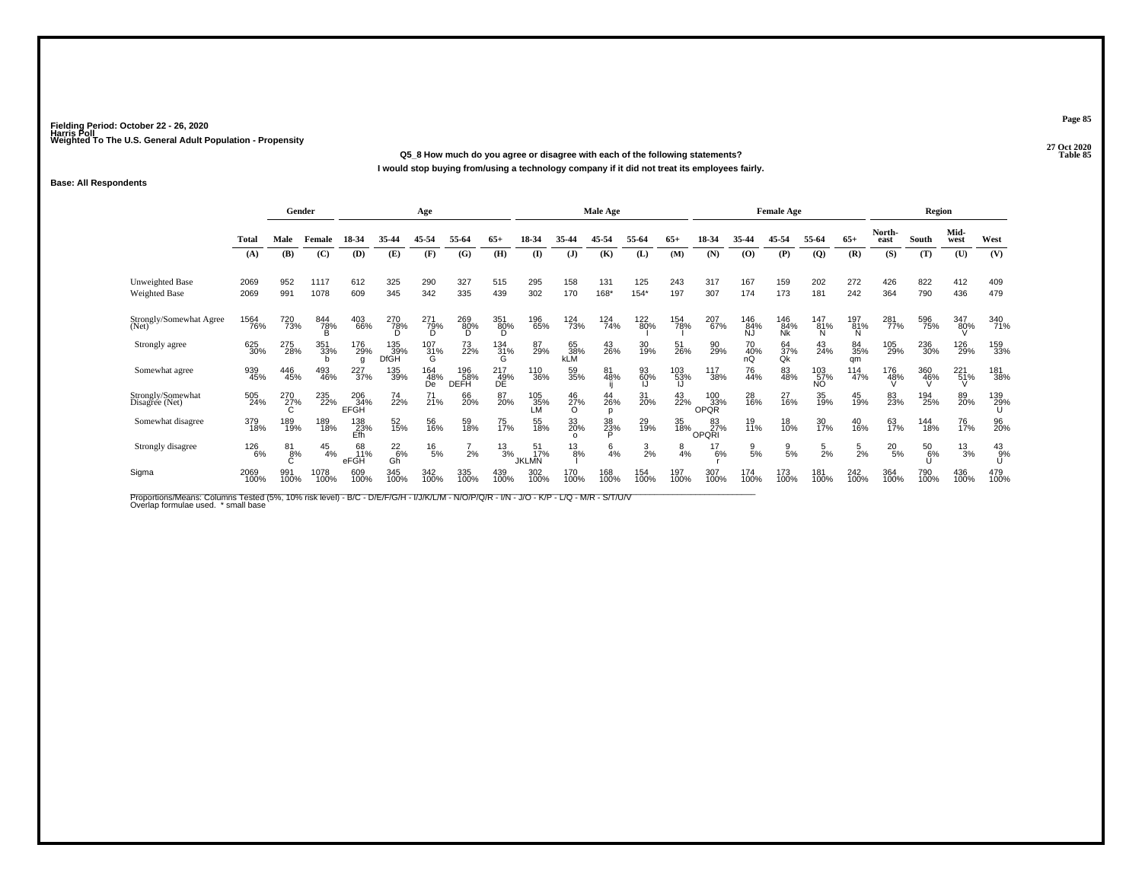**27 Oct 2020Q5\_8 How much do you agree or disagree with each of the following statements?Table 85**

**I would stop buying from/using a technology company if it did not treat its employees fairly.**

### **Base: All Respondents**

|                                     |              | Gender      |                     |                    |                           | Age                      |                    |                          |                           |                         | Male Age       |                 |                  |                           |                       | <b>Female Age</b> |                      |                 |                | Region        |                 |              |
|-------------------------------------|--------------|-------------|---------------------|--------------------|---------------------------|--------------------------|--------------------|--------------------------|---------------------------|-------------------------|----------------|-----------------|------------------|---------------------------|-----------------------|-------------------|----------------------|-----------------|----------------|---------------|-----------------|--------------|
|                                     | <b>Total</b> | Male        | Female              | 18-34              | 35-44                     | 45-54                    | 55-64              | $65+$                    | 18-34                     | 35-44                   | 45-54          | 55-64           | $65+$            | 18-34                     | 35-44                 | 45-54             | 55-64                | $65+$           | North-<br>east | South         | Mid-<br>west    | West         |
|                                     | (A)          | (B)         | (C)                 | (D)                | (E)                       | (F)                      | (G)                | (H)                      | (I)                       | (J)                     | (K)            | (L)             | (M)              | (N)                       | (0)                   | (P)               | $\mathbf{Q}$         | (R)             | (S)            | (T)           | (U)             | (V)          |
| Unweighted Base<br>Weighted Base    | 2069<br>2069 | 952<br>991  | 1117<br>1078        | 612<br>609         | 325<br>345                | 290<br>342               | 327<br>335         | 515<br>439               | 295<br>302                | 158<br>170              | 131<br>168*    | 125<br>$154*$   | 243<br>197       | 317<br>307                | 167<br>174            | 159<br>173        | 202<br>181           | 272<br>242      | 426<br>364     | 822<br>790    | 412<br>436      | 409<br>479   |
| Strongly/Somewhat Agree<br>(Net)    | 1564<br>76%  | 720<br>73%  | 844<br>7 <u>8</u> % | 403<br>66%         | 270<br>7 <u>8</u> %       | 271<br>7 <u>9</u> %<br>D | 269<br>80%<br>D    | 351<br>8 <u>0</u> %<br>D | 196<br>65%                | 124<br>73%              | 124<br>74%     | 122<br>80%      | 154<br>78%       | 207<br>67%                | 146<br>84%<br>ÑĴ      | 146<br>84%<br>Nk  | $^{147}_{81\%}$<br>N | 197<br>81%<br>N | 281<br>77%     | 596<br>75%    | 347<br>80%      | 340<br>71%   |
| Strongly agree                      | 625<br>30%   | 275<br>28%  | 351<br>33%          | 176<br>29%         | 135<br>39%<br><b>DfGH</b> | $^{107}_{31\%}$<br>G     | 73<br>22%          | 134<br>31%<br>G          | 87<br>29%                 | 65<br>38%<br><b>KLM</b> | 43<br>26%      | 30<br>19%       | 51<br>26%        | 90<br>29%                 | 70 <sub>%</sub><br>nQ | 64<br>37%<br>Qk   | 43<br>24%            | 84<br>35%<br>qm | 105<br>29%     | 236<br>30%    | 126<br>29%      | 159<br>33%   |
| Somewhat agree                      | 939<br>45%   | 446<br>45%  | 493<br>46%          | 227<br>37%         | 135<br>39%                | 164<br>48%<br>De         | 196<br>58%<br>DEFH | 217<br>49%<br>DE         | 110<br>36%                | 59<br>35%               | 81<br>48%      | 93<br>60%<br>IJ | 103<br>53%<br>IJ | 117<br>38%                | 76<br>44%             | 83<br>48%         | 103<br>57%<br>NO.    | 114<br>47%      | 176<br>48%     | 360<br>46%    | $^{221}_{51\%}$ | 181<br>38%   |
| Strongly/Somewhat<br>Disagree (Net) | 505<br>24%   | 270<br>27%  | 235<br>22%          | 206<br>34%<br>EFGH | 74<br>22%                 | $^{71}_{21\%}$           | 66<br>20%          | 87<br>20%                | 105<br>35%<br>LМ          | 46<br>27%<br>$\Omega$   | 44<br>26%<br>D | 31<br>20%       | 43<br>22%        | 100<br>33%<br><b>OPQR</b> | 28<br>16%             | 27<br>16%         | 35<br>19%            | 45<br>19%       | 83<br>23%      | 194<br>25%    | 89<br>20%       | 139<br>29%   |
| Somewhat disagree                   | 379<br>18%   | 189<br>19%  | 189<br>18%          | 138<br>23%<br>Efh  | 52<br>15%                 | 56<br>16%                | 59<br>18%          | 75<br>17%                | 55<br>18%                 | 33<br>20%<br>$\Omega$   | 38<br>23%      | 29<br>19%       | 35<br>18%        | 83<br>27%<br>OPQRI        | 19<br>11%             | 18<br>10%         | 30<br>17%            | 40<br>16%       | 63<br>17%      | 144<br>18%    | 76<br>17%       | 96<br>20%    |
| Strongly disagree                   | 126<br>6%    | 81<br>8%    | $^{45}_{4\%}$       | 68<br>11%<br>eFGH  | $^{22}_{6\%}$<br>Gĥ       | $^{16}_{5\%}$            | 2%                 | $^{13}_{3\%}$            | 51<br>17%<br><b>JKLMN</b> | $^{13}_{8\%}$           | $\frac{6}{4%}$ | $\frac{3}{2%}$  | $\frac{8}{4%}$   | 17<br>6%                  | $\frac{9}{5%}$        | $\frac{9}{5%}$    | $\frac{5}{2}$ %      | $\frac{5}{2%}$  | $^{20}_{5\%}$  | $^{50}_{6\%}$ | $^{13}_{3\%}$   | $^{43}_{9%}$ |
| Sigma                               | 2069<br>100% | 991<br>100% | 1078<br>100%        | 609<br>100%        | 345<br>100%               | 342<br>100%              | 335<br>100%        | 439<br>100%              | 302<br>100%               | 170<br>100%             | 168<br>100%    | 154<br>100%     | 197<br>100%      | 307<br>100%               | 174<br>100%           | 173<br>100%       | 181<br>100%          | 242<br>100%     | 364<br>100%    | 790<br>100%   | 436<br>100%     | 479<br>100%  |

Proportions/Means: Columns Tested (5%, 10% risk level) - B/C - D/E/F/G/H - I/J/K/L/M - N/O/P/Q/R - I/N - J/O - K/P - L/Q - M/R - S/T/U/V<br>Overlap formulae used. \*small base

**Page 85**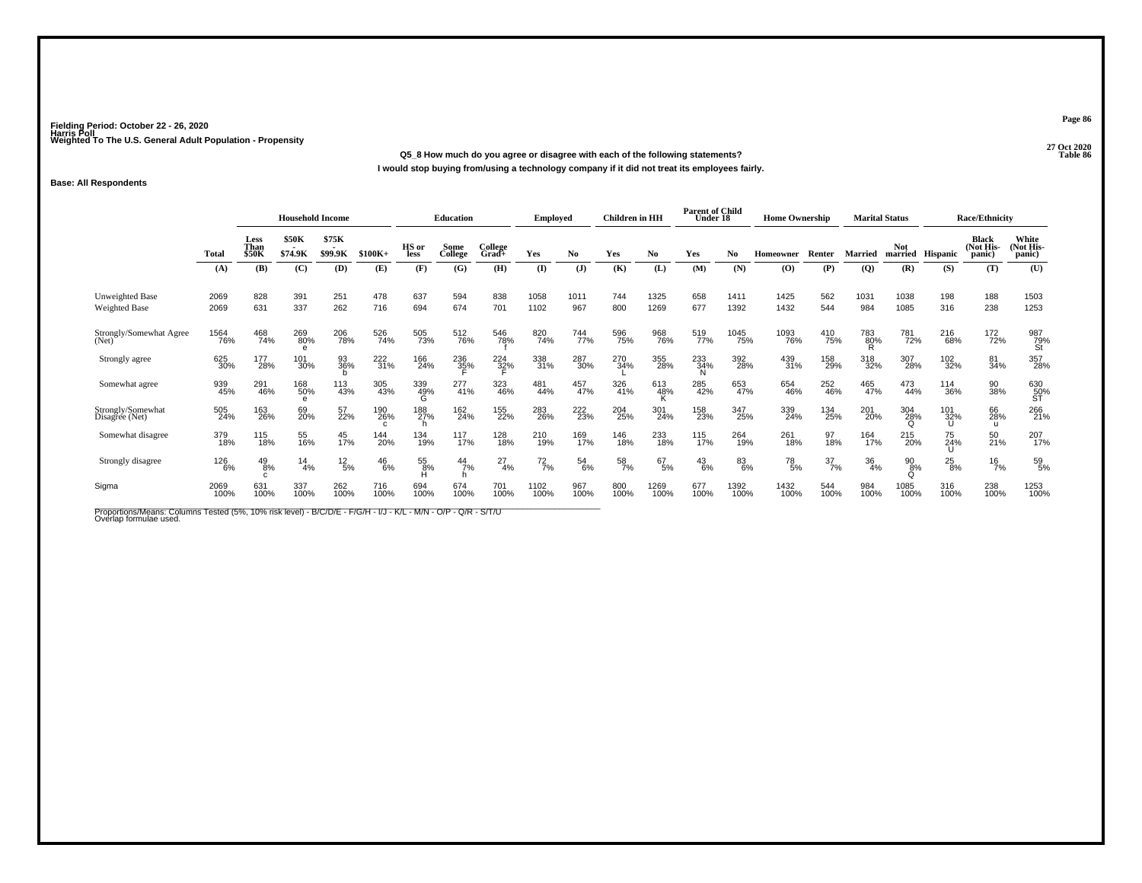**27 Oct 2020Q5\_8 How much do you agree or disagree with each of the following statements?**

**I would stop buying from/using a technology company if it did not treat its employees fairly.**

### **Base: All Respondents**

|                                         |                     | <b>Household Income</b>       |                  |                  |               | Education       |                 | <b>Employed</b>  |               | <b>Children</b> in HH |             | <b>Parent of Child</b><br>Under 18 |               | <b>Home Ownership</b> |                                          | <b>Marital Status</b> |                |                        | <b>Race/Ethnicity</b> |                                     |                              |
|-----------------------------------------|---------------------|-------------------------------|------------------|------------------|---------------|-----------------|-----------------|------------------|---------------|-----------------------|-------------|------------------------------------|---------------|-----------------------|------------------------------------------|-----------------------|----------------|------------------------|-----------------------|-------------------------------------|------------------------------|
|                                         | <b>Total</b>        | Less<br>Than<br><b>\$50K</b>  | \$50K<br>\$74.9K | \$75K<br>\$99.9K | $$100K+$      | HS or<br>less   | Some<br>College | College<br>Grad+ | Yes           | No.                   | Yes         | No                                 | Yes           | No                    | <b>Homeowner</b>                         | Renter                | <b>Married</b> | <b>Not</b><br>married  | <b>Hispanic</b>       | <b>Black</b><br>(Not His-<br>panic) | White<br>(Not His-<br>panic) |
|                                         | (A)                 | (B)                           | (C)              | (D)              | (E)           | (F)             | (G)             | (H)              | (I)           | $\mathbf{J}$          | (K)         | (L)                                | (M)           | (N)                   | $\boldsymbol{\left( \mathbf{O} \right)}$ | (P)                   | $\overline{Q}$ | (R)                    | (S)                   | (T)                                 | (U)                          |
| Unweighted Base<br><b>Weighted Base</b> | 2069<br>2069        | 828<br>631                    | 391<br>337       | 251<br>262       | 478<br>716    | 637<br>694      | 594<br>674      | 838<br>701       | 1058<br>1102  | 1011<br>967           | 744<br>800  | 1325<br>1269                       | 658<br>677    | 1411<br>1392          | 1425<br>1432                             | 562<br>544            | 1031<br>984    | 1038<br>1085           | 198<br>316            | 188<br>238                          | 1503<br>1253                 |
| Strongly/Somewhat Agree<br>(Net)        | <sup>1564</sup> 76% | 468<br>74%                    | 269<br>80%<br>e  | 206<br>78%       | 526<br>74%    | 505<br>73%      | 512<br>76%      | 546<br>78%       | 820<br>74%    | 744<br>77%            | 596<br>75%  | 968<br>76%                         | 519<br>77%    | 1045<br>75%           | 1093<br>76%                              | 410<br>75%            | 783<br>80%     | 781<br>72%             | 216<br>68%            | 172<br>72%                          | 987<br>79%<br>St             |
| Strongly agree                          | 625<br>30%          | 177<br>28%                    | 101<br>30%       | 93<br>36%        | 222<br>31%    | 166<br>24%      | 236<br>35%      | 224<br>32%       | 338<br>31%    | 287<br>30%            | 270<br>34%  | 355<br>28%                         | 233<br>34%    | 392<br>28%            | 439<br>31%                               | 158<br>29%            | 318<br>32%     | 307<br>28%             | 102<br>32%            | 81<br>34%                           | 357<br>28%                   |
| Somewhat agree                          | 939<br>45%          | 291<br>46%                    | 168<br>50%<br>e  | 113<br>43%       | 305<br>43%    | 339<br>49%<br>G | 277<br>41%      | 323<br>46%       | 481<br>44%    | 457<br>47%            | 326<br>41%  | 613<br>48%<br>n                    | 285<br>42%    | 653<br>47%            | 654<br>46%                               | 252<br>46%            | 465<br>47%     | 473<br>44%             | 114<br>36%            | 90<br>38%                           | 630<br>50%<br>ST             |
| Strongly/Somewhat<br>Disagree (Net)     | 505<br>24%          | 163<br>26%                    | 69<br>20%        | 57<br>22%        | 190<br>26%    | 188<br>27%      | 162<br>24%      | 155<br>22%       | 283<br>26%    | 222<br>23%            | 204<br>25%  | 301<br>24%                         | 158<br>23%    | 347<br>25%            | 339<br>24%                               | 134<br>25%            | 201<br>20%     | 304<br>28%<br>$\Omega$ | 101<br>32%            | 66<br>28%<br>u                      | 266<br>21%                   |
| Somewhat disagree                       | 379<br>18%          | 115<br>18%                    | 55<br>16%        | 45<br>17%        | 144<br>20%    | 134<br>19%      | $^{117}_{17\%}$ | 128<br>18%       | 210<br>19%    | 169<br>17%            | 146<br>18%  | 233<br>18%                         | 115<br>17%    | 264<br>19%            | 261<br>18%                               | 97<br>18%             | 164<br>17%     | 215<br>20%             | 75<br>24%             | 50<br>21%                           | 207<br>17%                   |
| Strongly disagree                       | 126<br>6%           | $^{49}_{8\%}$<br>$\mathsf{C}$ | 14<br>4%         | $^{12}_{\ 5\%}$  | $^{46}_{6\%}$ | $^{55}_{8\%}$   | $^{44}_{7\%}$   | $^{27}_{4\%}$    | $^{72}_{7\%}$ | $^{54}_{6\%}$         | 58<br>7%    | $^{67}_{5\%}$                      | $^{43}_{6\%}$ | 83<br>6%              | $^{78}_{\ 5\%}$                          | $\frac{37}{7\%}$      | 36<br>4%       | 90<br>8%               | $^{25}_{8\%}$         | $^{16}_{7\%}$                       | $^{59}_{5\%}$                |
| Sigma                                   | 2069<br>100%        | 631<br>100%                   | 337<br>100%      | 262<br>100%      | 716<br>100%   | 694<br>100%     | 674<br>100%     | 701<br>100%      | 1102<br>100%  | 967<br>100%           | 800<br>100% | 1269<br>100%                       | 677<br>100%   | 1392<br>100%          | 1432<br>100%                             | 544<br>100%           | 984<br>100%    | 1085<br>100%           | 316<br>100%           | 238<br>100%                         | 1253<br>100%                 |

Proportions/Means: Columns Tested (5%, 10% risk level) - B/C/D/E - F/G/H - I/J - K/L - M/N - O/P - Q/R - S/T/U<br>Overlap formulae used.

**Page 86**

27 Oct 2020<br>Table 86 **Table 86**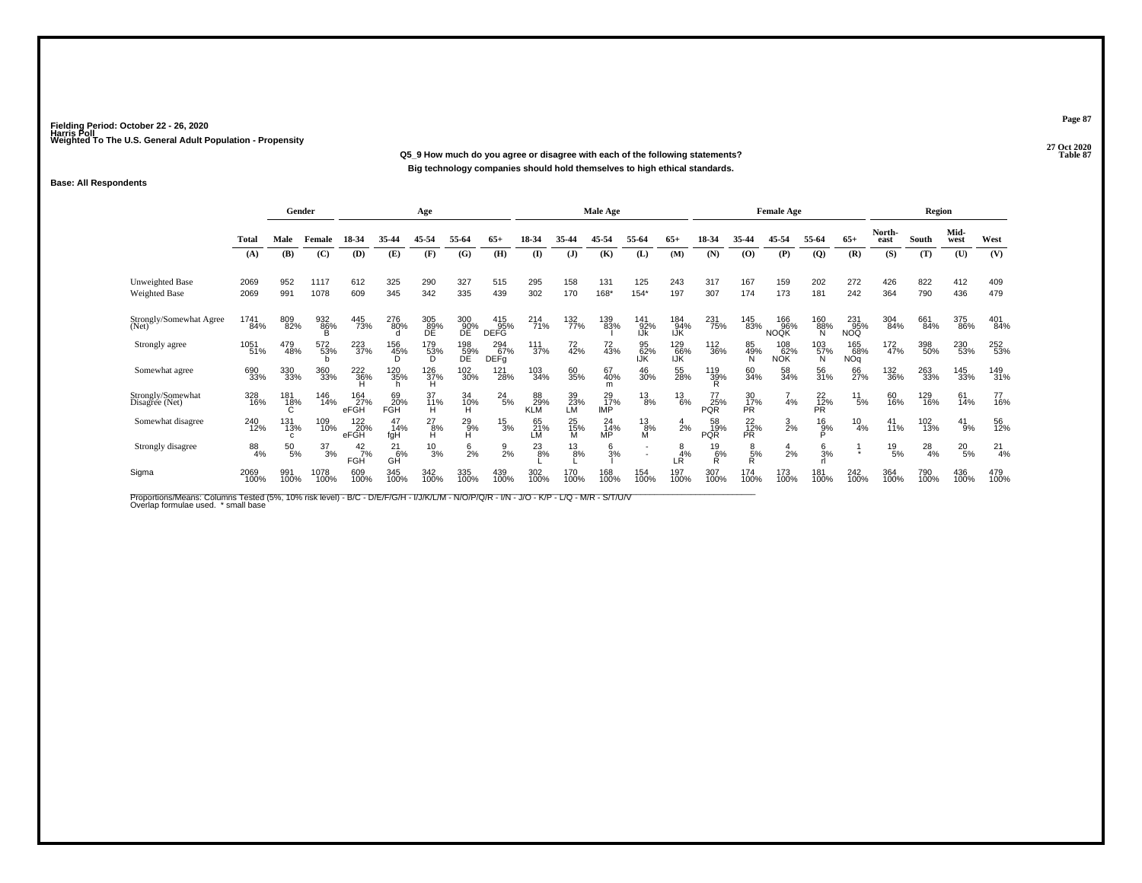**27 Oct 2020Q5\_9 How much do you agree or disagree with each of the following statements? Table 87 Big technology companies should hold themselves to high ethical standards.**

### **Base: All Respondents**

|                                     |              | Gender                     |                  |                             |                         | Age                         |                  |                                   |                         |                   | Male Age                |                    |                   |                              |                        | <b>Female Age</b>         |                              |                          |                    | Region        |               |              |
|-------------------------------------|--------------|----------------------------|------------------|-----------------------------|-------------------------|-----------------------------|------------------|-----------------------------------|-------------------------|-------------------|-------------------------|--------------------|-------------------|------------------------------|------------------------|---------------------------|------------------------------|--------------------------|--------------------|---------------|---------------|--------------|
|                                     | Total        | Male                       | Female           | 18-34                       | 35-44                   | 45-54                       | 55-64            | $65+$                             | 18-34                   | 35-44             | 45-54                   | 55-64              | $65+$             | 18-34                        | 35-44                  | 45-54                     | 55-64                        | $65+$                    | North-<br>east     | South         | Mid-<br>west  | West         |
|                                     | (A)          | (B)                        | (C)              | (D)                         | (E)                     | (F)                         | (G)              | (H)                               | $($ $\Gamma$            | (J)               | (K)                     | (L)                | (M)               | (N)                          | (O)                    | (P)                       | $\mathbf{Q}$                 | (R)                      | (S)                | (T)           | (U)           | (V)          |
| Unweighted Base<br>Weighted Base    | 2069<br>2069 | 952<br>991                 | 1117<br>1078     | 612<br>609                  | 325<br>345              | 290<br>342                  | 327<br>335       | 515<br>439                        | 295<br>302              | 158<br>170        | 131<br>168*             | 125<br>$154*$      | 243<br>197        | 317<br>307                   | 167<br>174             | 159<br>173                | 202<br>181                   | 272<br>242               | 426<br>364         | 822<br>790    | 412<br>436    | 409<br>479   |
| Strongly/Somewhat Agree<br>(Net)    | 1741<br>84%  | 809<br>82%                 | 932<br>86%<br>B  | 445<br>73%                  | 276<br>80%<br>n         | 305<br>89%<br>ĐĒ            | 300<br>90%<br>ĐĒ | $\frac{415}{95\%}$<br><b>DEFG</b> | 214<br>71%              | 132<br>77%        | 139<br>83%              | 141<br>92%<br>IJk  | 184<br>94%<br>IJŔ | 231<br>75%                   | 145<br>83%             | 166<br>96%<br><b>NOQK</b> | 160<br>88%<br>N              | 231<br>95%<br>NOQ.       | 304<br>84%         | 661<br>84%    | 375<br>86%    | 401<br>84%   |
| Strongly agree                      | 1051<br>51%  | 479<br>48%                 | 572<br>53%       | 223<br>37%                  | 156<br>45%<br>D         | 179<br>53%<br>D.            | 198<br>59%<br>DE | 294<br>67%<br>DEF <sub>g</sub>    | $\frac{111}{37\%}$      | 72<br>42%         | 72<br>43%               | 95<br>62%<br>IJK   | 129<br>66%<br>IJŘ | 112<br>36%                   | 85<br>49%<br>N         | 108<br>62%<br><b>NOK</b>  | 103<br>57%<br>N              | 165<br>68%<br><b>NOq</b> | $\frac{172}{47\%}$ | 398<br>50%    | 230<br>53%    | 252<br>53%   |
| Somewhat agree                      | 690<br>33%   | 330<br>33%                 | 360<br>33%       | 222<br>36%                  | 120<br>35%              | 126<br>37%<br>Ή             | 102<br>30%       | 121<br>28%                        | $^{103}_{34\%}$         | 60<br>35%         | 67<br>40%<br>m          | 46<br>30%          | 55<br>28%         | 119<br>39%                   | 60<br>34%              | 58<br>34%                 | 56<br>31%                    | 66<br>27%                | 132<br>36%         | 263<br>33%    | 145<br>33%    | 149<br>31%   |
| Strongly/Somewhat<br>Disagree (Net) | 328<br>16%   | 181<br>18%                 | 146<br>14%       | 164<br>27%<br>eFGH          | 69<br>20%<br><b>FGH</b> | 37<br>11%<br>н              | 34<br>10%<br>H   | $^{24}_{5\%}$                     | 88<br>29%<br><b>KLM</b> | $^{39}_{23\%}$ LM | 29<br>17%<br><b>IMP</b> | $^{13}_{8\%}$      | $^{13}_{6\%}$     | $^{77}_{25\%}$<br><b>PQR</b> | 30<br>17%<br><b>PR</b> | 4%                        | 22 <sub>%</sub><br><b>PR</b> | $^{11}_{\ 5\%}$          | 60<br>16%          | 129<br>16%    | 61<br>14%     | 77<br>16%    |
| Somewhat disagree                   | 240<br>12%   | 131<br>13%<br>$\mathbf{c}$ | 109<br>10%       | 122<br>20%<br>eFGH          | 14%<br>fqH              | $^{27}_{\substack{8\%\\H}}$ | $^{29}_{9\%}$ H  | $^{15}_{3\%}$                     | 65<br>21%<br>LM         | 25<br>15%<br>M    | $^{24}_{14\%}$ MP       | $^{13}_{8\%}$<br>M | $\frac{4}{2\%}$   | 58<br>19%<br><b>POR</b>      | $^{22}_{12\%}$ PR      | $\frac{3}{2%}$            | $^{16}_{9%}$                 | $^{10}_{4\%}$            | 41<br>11%          | 102<br>13%    | 41<br>.<br>9% | 56<br>12%    |
| Strongly disagree                   | 88<br>4%     | $^{50}_{5\%}$              | $\frac{37}{3\%}$ | $^{42}_{7\%}$<br><b>FGH</b> | $^{21}_{6\%}$<br>GĤ     | $^{10}_{3\%}$               | $\frac{6}{2}$ %  | $\frac{9}{2%}$                    | $^{23}_{8\%}$           | $^{13}_{8\%}$     | $\frac{6}{3}$ %         |                    | 4%<br>LR          | $^{19}_{6\%}$<br>R           | $\frac{8}{5%}$<br>R    | $\frac{4}{2}$ %           | $\frac{6}{3}$ %              | $\bullet$                | $^{19}_{5\%}$      | $^{28}_{4\%}$ | $^{20}_{5\%}$ | $^{21}_{4%}$ |
| Sigma                               | 2069<br>100% | 991<br>100%                | 1078<br>100%     | 609<br>100%                 | 345<br>100%             | 342<br>100%                 | 335<br>100%      | 439<br>100%                       | 302<br>100%             | 170<br>100%       | 168<br>100%             | 154<br>100%        | 197<br>100%       | 307<br>100%                  | 174<br>100%            | 173<br>100%               | 181<br>100%                  | 242<br>100%              | 364<br>100%        | 790<br>100%   | 436<br>100%   | 479<br>100%  |

Proportions/Means: Columns Tested (5%, 10% risk level) - B/C - D/E/F/G/H - I/J/K/L/M - N/O/P/Q/R - I/N - J/O - K/P - L/Q - M/R - S/T/U/V<br>Overlap formulae used. \*small base

**Page 87**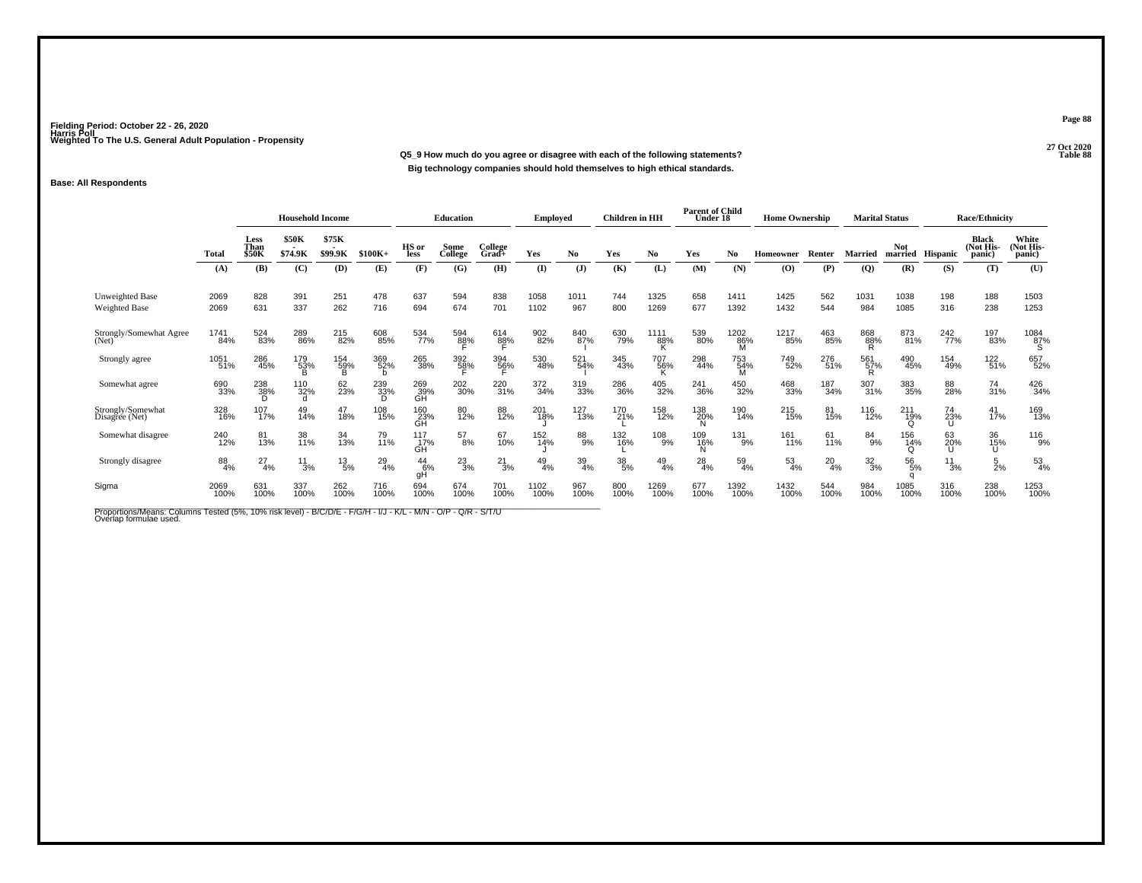**27 Oct 2020Q5\_9 How much do you agree or disagree with each of the following statements?Big technology companies should hold themselves to high ethical standards.**

### **Base: All Respondents**

|                                         |              | <b>Household Income</b>      |                  |                  |               | <b>Education</b>         |                     | <b>Employed</b>     |               | <b>Children</b> in HH |             | <b>Parent of Child</b><br>Under 18 |                 | <b>Home Ownership</b> |                  | <b>Marital Status</b> |             |                        | <b>Race/Ethnicity</b> |                                     |                             |
|-----------------------------------------|--------------|------------------------------|------------------|------------------|---------------|--------------------------|---------------------|---------------------|---------------|-----------------------|-------------|------------------------------------|-----------------|-----------------------|------------------|-----------------------|-------------|------------------------|-----------------------|-------------------------------------|-----------------------------|
|                                         | Total        | Less<br>Than<br><b>\$50K</b> | \$50K<br>\$74.9K | \$75K<br>\$99.9K | $$100K+$      | HS or<br>less            | Some<br>College     | College<br>Grad+    | Yes           | No.                   | Yes         | No                                 | Yes             | No.                   | Homeowner        | Renter                | Married     | <b>Not</b><br>married  | Hispanic              | <b>Black</b><br>(Not His-<br>panic) | White<br>Not His-<br>panic) |
|                                         | (A)          | (B)                          | (C)              | (D)              | (E)           | (F)                      | (G)                 | (H)                 | $($ I         | (J)                   | (K)         | (L)                                | (M)             | (N)                   | (O)              | (P)                   | (Q)         | (R)                    | (S)                   | (T)                                 | (U)                         |
| <b>Unweighted Base</b><br>Weighted Base | 2069<br>2069 | 828<br>631                   | 391<br>337       | 251<br>262       | 478<br>716    | 637<br>694               | 594<br>674          | 838<br>701          | 1058<br>1102  | 1011<br>967           | 744<br>800  | 1325<br>1269                       | 658<br>677      | 1411<br>1392          | 1425<br>1432     | 562<br>544            | 1031<br>984 | 1038<br>1085           | 198<br>316            | 188<br>238                          | 1503<br>1253                |
| Strongly/Somewhat Agree<br>(Net)        | 1741<br>84%  | 524<br>83%                   | 289<br>86%       | 215<br>82%       | 608<br>85%    | 534<br>77%               | 594<br>8 <u>8</u> % | 614<br>8 <u>8</u> % | 902<br>82%    | 840<br>87%            | 630<br>79%  | 1111<br>88%<br>K                   | 539<br>80%      | 1202<br>86%<br>м      | 1217<br>85%      | 463<br>85%            | 868<br>88%  | 873<br>81%             | 242<br>77%            | 197<br>83%                          | $\frac{1084}{87\%}$         |
| Strongly agree                          | 1051<br>51%  | 286<br>45%                   | 179<br>53%<br>R  | 154<br>59%       | 369<br>52%    | 265<br>38%               | 392<br>5 <u>8</u> % | 394<br>5 <u>6</u> % | 530<br>48%    | 521<br>54%            | 345<br>43%  | 707<br>56%                         | 298<br>44%      | 753<br>54%<br>M       | 749<br>52%       | 276<br>51%            | 561<br>57%  | 490<br>45%             | 154<br>49%            | 122<br>51%                          | 657<br>52%                  |
| Somewhat agree                          | 690<br>33%   | 238<br>38%<br>D              | 110<br>32%       | 62<br>23%        | 239<br>33%    | 269<br>39%<br>GH         | 202<br>30%          | 220<br>31%          | 372<br>34%    | 319<br>33%            | 286<br>36%  | 405<br>32%                         | 241<br>36%      | 450<br>32%            | 468<br>33%       | 187<br>34%            | 307<br>31%  | 383<br>35%             | 88<br>28%             | 74<br>31%                           | 426<br>34%                  |
| Strongly/Somewhat<br>Disagree (Net)     | 328<br>16%   | 107<br>17%                   | 49<br>14%        | 47<br>18%        | 108<br>15%    | 160<br>23%<br>GH         | 80<br>12%           | 88<br>12%           | 201<br>18%    | 127<br>13%            | 170<br>21%  | 158<br>12%                         | 138<br>20%      | 190<br>14%            | 215<br>15%       | 81<br>15%             | 116<br>12%  | 211<br>19%<br>$\Omega$ | 74<br>23%             | $^{41}_{17\%}$                      | 169<br>13%                  |
| Somewhat disagree                       | 240<br>12%   | 81<br>13%                    | 38<br>11%        | 34<br>13%        | 79<br>11%     | $\frac{117}{17\%}$<br>GĤ | $^{57}_{8\%}$       | 67<br>10%           | 152<br>14%    | 88<br>9%              | 132<br>16%  | 108<br>9%                          | 109<br>16%<br>N | 131<br>9%             | 161<br>11%       | 61<br>11%             | 84<br>9%    | 156<br>14%             | 63<br>20%             | 36<br>15%                           | 116<br>9%                   |
| Strongly disagree                       | 88<br>4%     | 27<br>4%                     | $\frac{11}{3%}$  | $^{13}_{\ 5\%}$  | $^{29}_{4\%}$ | $^{44}_{6\%}$<br>gH      | $^{23}_{3\%}$       | $^{21}_{3\%}$       | $^{49}_{4\%}$ | 39<br>4%              | 38/5%       | $^{49}_{4\%}$                      | $^{28}_{4\%}$   | $^{59}_{4\%}$         | $\frac{53}{4\%}$ | $^{20}_{4\%}$         | 32/3%       | 56<br>5%               | $\frac{11}{3%}$       | $\frac{5}{2%}$                      | $^{53}_{4\%}$               |
| Sigma                                   | 2069<br>100% | 631<br>100%                  | 337<br>100%      | 262<br>100%      | 716<br>100%   | 694<br>100%              | 674<br>100%         | 701<br>100%         | 1102<br>100%  | 967<br>100%           | 800<br>100% | 1269<br>100%                       | 677<br>100%     | 1392<br>100%          | 1432<br>100%     | 544<br>100%           | 984<br>100% | 1085<br>100%           | 316<br>100%           | 238<br>100%                         | 1253<br>100%                |

Proportions/Means: Columns Tested (5%, 10% risk level) - B/C/D/E - F/G/H - I/J - K/L - M/N - O/P - Q/R - S/T/U<br>Overlap formulae used.

**Page 88**

27 Oct 2020<br>Table 88 **Table 88**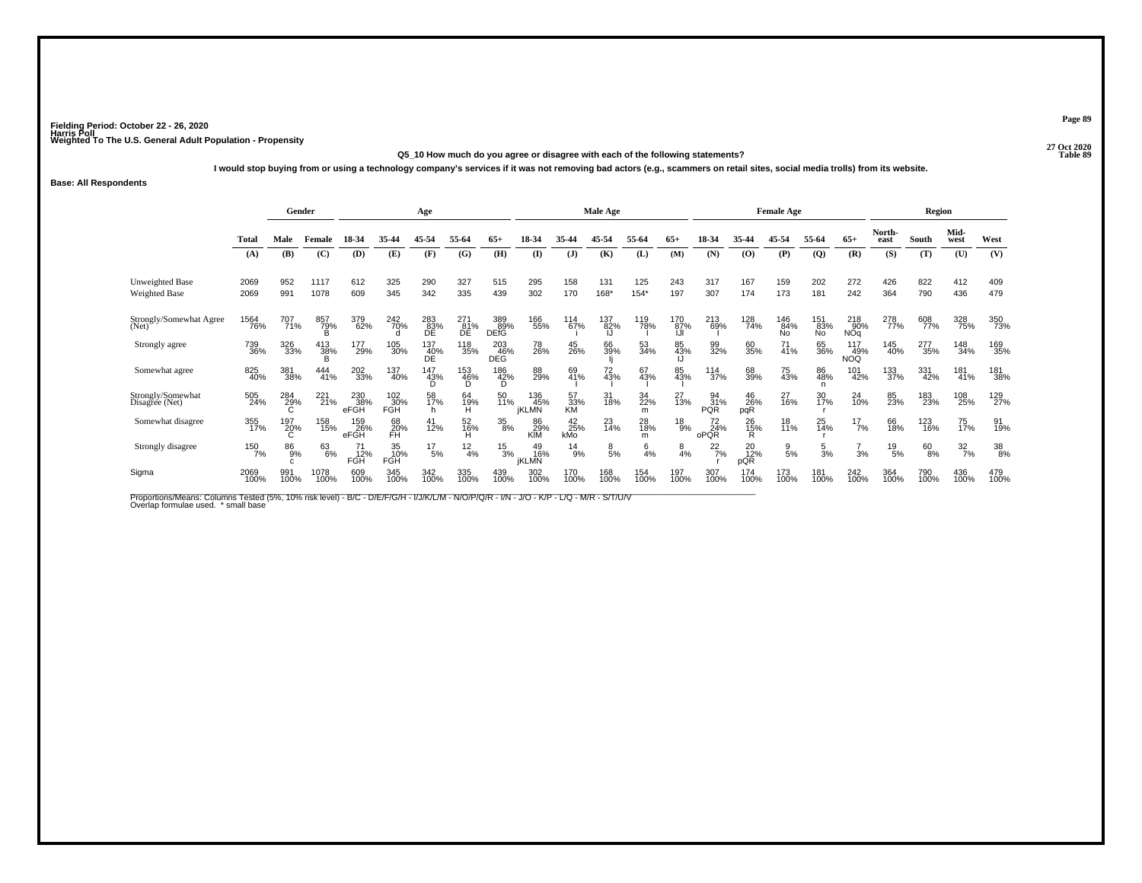#### **27 Oct 2020Q5\_10 How much do you agree or disagree with each of the following statements?Table 89**

**I would stop buying from or using a technology company's services if it was not removing bad actors (e.g., scammers on retail sites, social media trolls) from its website.**

#### **Base: All Respondents**

|                                         |                     | Gender                    |                      |                    |                         | Age                                   |                  |                    |                            |                    | Male Age       |                 |                |                         |                  | <b>Female Age</b> |                  |                   |                 | Region        |                  |             |
|-----------------------------------------|---------------------|---------------------------|----------------------|--------------------|-------------------------|---------------------------------------|------------------|--------------------|----------------------------|--------------------|----------------|-----------------|----------------|-------------------------|------------------|-------------------|------------------|-------------------|-----------------|---------------|------------------|-------------|
|                                         | Total               | Male                      | Female               | 18-34              | 35-44                   | 45-54                                 | 55-64            | $65+$              | 18-34                      | 35-44              | 45-54          | 55-64           | $65+$          | 18-34                   | 35.44            | 45-54             | 55-64            | $65+$             | North-<br>east  | South         | Mid-<br>west     | West        |
|                                         | (A)                 | (B)                       | (C)                  | (D)                | (E)                     | (F)                                   | (G)              | (H)                | $\mathbf{I}$               | $\mathbf{J}$       | (K)            | (L)             | (M)            | (N)                     | $\omega$         | (P)               | $\overline{Q}$   | (R)               | (S)             | (T)           | (U)              | (V)         |
| <b>Unweighted Base</b><br>Weighted Base | 2069<br>2069        | 952<br>991                | 1117<br>1078         | 612<br>609         | 325<br>345              | 290<br>342                            | 327<br>335       | 515<br>439         | 295<br>302                 | 158<br>170         | 131<br>168*    | 125<br>$154*$   | 243<br>197     | 317<br>307              | 167<br>174       | 159<br>173        | 202<br>181       | 272<br>242        | 426<br>364      | 822<br>790    | 412<br>436       | 409<br>479  |
| Strongly/Somewhat Agree<br>(Net)        | <sup>1564</sup> 76% | 707<br>71%                | 857<br>79%<br>B      | 379<br>62%         | 242<br>70%              | $^{283}_{\substack{83\%\\\text{DE}}}$ | 271<br>81%<br>DE | 389<br>89%<br>DEfĞ | 166<br>55%                 | 114<br>67%         | 137<br>82%     | 119<br>78%      | 170<br>87%     | 213<br>69%              | 128<br>74%       | 146<br>84%<br>No  | 151<br>83%<br>No | 218<br>90%<br>NÕq | 278<br>77%      | 608<br>77%    | 328<br>75%       | 350<br>73%  |
| Strongly agree                          | 739<br>36%          | 326<br>33%                | $^{413}_{38\%}$<br>R | 177<br>29%         | 105<br>30%              | 137<br>40%<br>DE                      | 118<br>35%       | 203<br>46%<br>DEG  | 78<br>26%                  | 45<br>26%          | 66<br>39%      | 53<br>34%       | 85<br>43%      | 99<br>32%               | 60<br>35%        | $^{71}_{41\%}$    | 65<br>36%        | 117<br>49%<br>NOQ | 145<br>40%      | 277<br>35%    | 148<br>34%       | 169<br>35%  |
| Somewhat agree                          | 825<br>40%          | 381<br>38%                | 444<br>41%           | 202<br>33%         | 137<br>40%              | 147<br>43%<br>D                       | 153<br>46%<br>D. | 186<br>42%<br>D    | 88<br>29%                  | 69<br>41%          | 72<br>43%      | 67<br>43%       | 85<br>43%      | 114<br>37%              | 68<br>39%        | 75<br>43%         | 86<br>48%<br>n   | 101<br>42%        | 133<br>37%      | 331<br>42%    | 181<br>41%       | 181<br>38%  |
| Strongly/Somewhat<br>Disagree (Net)     | 505<br>24%          | 284<br>29%<br>$\sim$<br>G | 221<br>21%           | 230<br>38%<br>eFGH | 102<br>30%<br>FGH       | 58<br>17%<br>h                        | 64<br>19%<br>н   | 50<br>11%          | 136<br>45%<br><b>iKLMN</b> | 57<br>33%<br>KM    | 31<br>18%      | 34<br>22%<br>m  | 27<br>13%      | 94<br>31%<br><b>PQR</b> | 46<br>26%<br>pqR | 27<br>16%         | 30<br>17%        | 24<br>10%         | 85<br>23%       | 183<br>23%    | 108<br>25%       | 129<br>27%  |
| Somewhat disagree                       | 355<br>17%          | 197<br>20%<br>Č.          | 158<br>15%           | 159<br>26%<br>eFGH | 68<br>20%<br>FH         | 41<br>12%                             | 52<br>16%<br>H   | 35<br>8%           | 86<br>29%<br>KIM           | $^{42}_{25\%}$ kMo | 23<br>14%      | 28<br>18%<br>m  | 18<br>9%       | 72<br>24%<br>oPOR       | 26<br>15%<br>Ŕ   | 18<br>11%         | $^{25}_{14\%}$   | $^{17}_{7\%}$     | 66<br>18%       | 123<br>16%    | 75<br>17%        | 91<br>19%   |
| Strongly disagree                       | 150<br>7%           | $^{86}_{9%}$<br>C.        | 63<br>6%             | 71<br>12%<br>FGH   | 35<br>10%<br><b>FGH</b> | $^{17}_{-5\%}$                        | $\frac{12}{4%}$  | $^{15}_{3\%}$      | 49<br>16%<br><b>İKLMN</b>  | $^{14}_{9\%}$      | $\frac{8}{5%}$ | $6\frac{4}{\%}$ | $\frac{8}{4%}$ | $^{22}_{7\%}$           | 20<br>12%<br>pQR | $\frac{9}{5%}$    | $\frac{5}{3}$ %  | 3%                | $^{19}_{\ 5\%}$ | $^{60}_{8\%}$ | $\frac{32}{7\%}$ | 38<br>8%    |
| Sigma                                   | 2069<br>100%        | 991<br>100%               | 1078<br>100%         | 609<br>100%        | 345<br>100%             | 342<br>100%                           | 335<br>100%      | 439<br>100%        | 302<br>100%                | 170<br>100%        | 168<br>100%    | 154<br>100%     | 197<br>100%    | 307<br>100%             | 174<br>100%      | 173<br>100%       | 181<br>100%      | 242<br>100%       | 364<br>100%     | 790<br>100%   | 436<br>100%      | 479<br>100% |

Proportions/Means: Columns Tested (5%, 10% risk level) - B/C - D/E/F/G/H - I/J/K/L/M - N/O/P/Q/R - I/N - J/O - K/P - L/Q - M/R - S/T/U/V<br>Overlap formulae used. \*small base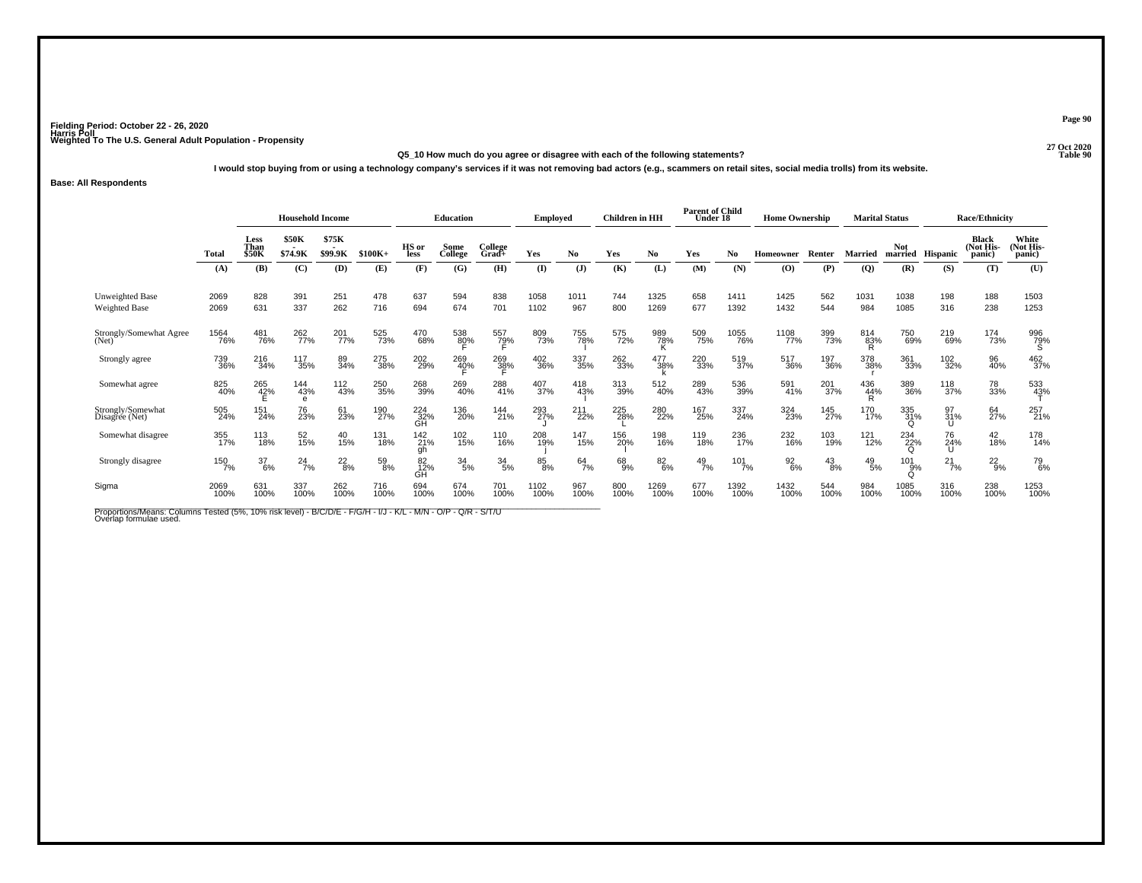#### **27 Oct 2020Q5\_10 How much do you agree or disagree with each of the following statements?Table 90**

**I would stop buying from or using a technology company's services if it was not removing bad actors (e.g., scammers on retail sites, social media trolls) from its website.**

#### **Base: All Respondents**

|                                         |              | <b>Household Income</b>             |                         |                  |             | <b>Education</b> |                     | <b>Employed</b>     |              | <b>Children</b> in HH         |             | <b>Parent of Child</b><br>Under 18 |               | <b>Home Ownership</b> |                  | <b>Marital Status</b> |                 |                        | <b>Race/Ethnicity</b> |                                     |                              |
|-----------------------------------------|--------------|-------------------------------------|-------------------------|------------------|-------------|------------------|---------------------|---------------------|--------------|-------------------------------|-------------|------------------------------------|---------------|-----------------------|------------------|-----------------------|-----------------|------------------------|-----------------------|-------------------------------------|------------------------------|
|                                         | Total        | <b>Less</b><br>Than<br><b>\$50K</b> | <b>\$50K</b><br>\$74.9K | \$75K<br>\$99.9K | $$100K+$    | HS or<br>less    | Some<br>College     | College<br>$Grad +$ | Yes          | No                            | Yes         | No                                 | Yes           | No.                   | <b>Homeowner</b> | Renter                | Married         | Not.<br>married        | <b>Hispanic</b>       | <b>Black</b><br>(Not His-<br>panic) | White<br>(Not His-<br>panic) |
|                                         | (A)          | (B)                                 | (C)                     | (D)              | (E)         | (F)              | (G)                 | (H)                 | (I)          | $\mathbf{J}$                  | (K)         | (L)                                | (M)           | (N)                   | $\bf{(O)}$       | (P)                   | $\overline{Q}$  | (R)                    | (S)                   | (T)                                 | (U)                          |
| Unweighted Base<br><b>Weighted Base</b> | 2069<br>2069 | 828<br>631                          | 391<br>337              | 251<br>262       | 478<br>716  | 637<br>694       | 594<br>674          | 838<br>701          | 1058<br>1102 | 1011<br>967                   | 744<br>800  | 1325<br>1269                       | 658<br>677    | 1411<br>1392          | 1425<br>1432     | 562<br>544            | 1031<br>984     | 1038<br>1085           | 198<br>316            | 188<br>238                          | 1503<br>1253                 |
| Strongly/Somewhat Agree<br>(Net)        | 1564<br>76%  | 481<br>76%                          | 262<br>77%              | 201<br>77%       | 525<br>73%  | 470<br>68%       | 538<br>8 <u>0</u> % | 557<br>7 <u>9</u> % | 809<br>73%   | 755<br>78%                    | 575<br>72%  | 989<br>78%<br>K.                   | 509<br>75%    | 1055<br>76%           | 1108<br>77%      | 399<br>73%            | 814<br>83%      | 750<br>69%             | 219<br>69%            | 174<br>73%                          | 996<br>79%<br>S              |
| Strongly agree                          | 739<br>36%   | 216<br>34%                          | 117<br>35%              | 89<br>34%        | 275<br>38%  | 202<br>29%       | 269<br>4 <u>0</u> % | 269<br>38%          | 402<br>36%   | 337<br>35%                    | 262<br>33%  | 477<br>38%                         | 220<br>33%    | 519<br>37%            | 517<br>36%       | 197<br>36%            | 378<br>38%      | 361<br>33%             | 102<br>32%            | 96<br>40%                           | 462<br>37%                   |
| Somewhat agree                          | 825<br>40%   | 265<br>42%                          | 144<br>43%<br>e         | 112<br>43%       | 250<br>35%  | 268<br>39%       | 269<br>40%          | 288<br>41%          | 407<br>37%   | 418<br>43%                    | 313<br>39%  | 512<br>40%                         | 289<br>43%    | 536<br>39%            | 591<br>41%       | 201<br>37%            | 436<br>44%<br>R | 389<br>36%             | 118<br>37%            | 78<br>33%                           | 533<br>43%                   |
| Strongly/Somewhat<br>Disagree (Net)     | 505<br>24%   | 151<br>24%                          | 76<br>23%               | 61<br>23%        | 190<br>27%  | $^{224}_{32\%}$  | 136<br>20%          | 144<br>21%          | 293<br>27%   | 211<br>22%                    | 225<br>28%  | 280<br>22%                         | 167<br>25%    | 337<br>24%            | 324<br>23%       | 145<br>27%            | 170<br>17%      | 335<br>31%<br>$\Omega$ | 97<br>31%             | 64<br>27%                           | 257<br>21%                   |
| Somewhat disagree                       | 355<br>17%   | 113<br>18%                          | 52<br>15%               | 40<br>15%        | 131<br>18%  | 142<br>21%<br>qh | 102<br>15%          | 110<br>16%          | 208<br>19%   | <sup>147</sup> <sub>15%</sub> | 156<br>20%  | 198<br>16%                         | 119<br>18%    | 236<br>17%            | 232<br>16%       | 103<br>19%            | 121<br>12%      | 234<br>22%<br>$\cap$   | 76<br>24%             | $^{42}_{18\%}$                      | 178<br>14%                   |
| Strongly disagree                       | 150<br>7%    | 37<br>6%                            | $^{24}$ <sub>7%</sub>   | $^{22}_{8\%}$    | 59<br>8%    | 82<br>12%<br>GĤ  | $\frac{34}{5\%}$    | $\frac{34}{5\%}$    | 85<br>8%     | $^{64}_{7\%}$                 | 68<br>9%    | $^{82}_{6\%}$                      | $^{49}_{7\%}$ | $101$ <sub>7%</sub>   | $\frac{92}{6%}$  | $^{43}_{8\%}$         | $^{49}_{\ 5\%}$ | 101<br>9%              | $^{21}_{7\%}$         | $^{22}_{9\%}$                       | <sup>79</sup> <sub>6%</sub>  |
| Sigma                                   | 2069<br>100% | 631<br>100%                         | 337<br>100%             | 262<br>100%      | 716<br>100% | 694<br>100%      | 674<br>100%         | 701<br>100%         | 1102<br>100% | 967<br>100%                   | 800<br>100% | 1269<br>100%                       | 677<br>100%   | 1392<br>100%          | 1432<br>100%     | 544<br>100%           | 984<br>100%     | 1085<br>100%           | 316<br>100%           | 238<br>100%                         | 1253<br>100%                 |

Proportions/Means: Columns Tested (5%, 10% risk level) - B/C/D/E - F/G/H - I/J - K/L - M/N - O/P - Q/R - S/T/U<br>Overlap formulae used.

**Page 90**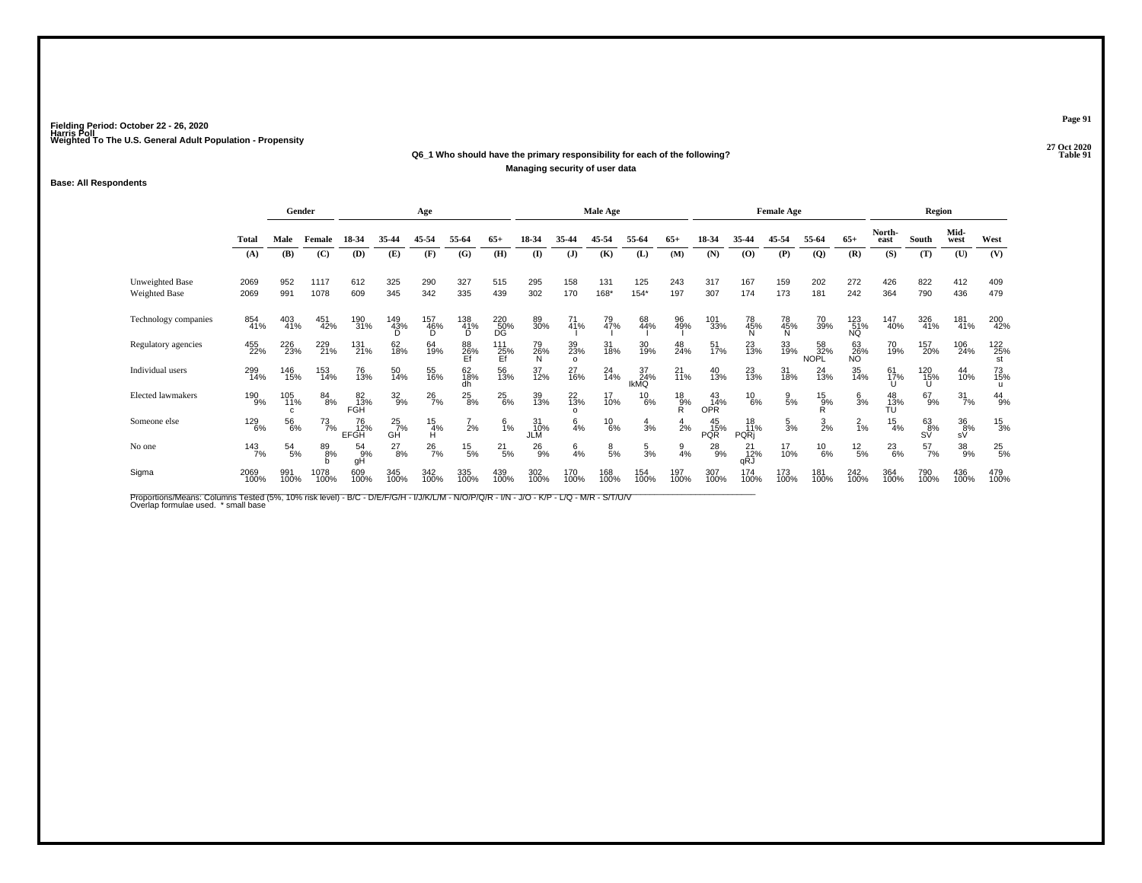#### **27 Oct 2020Q6\_1 Who should have the primary responsibility for each of the following?P** Table 91 **Managing security of user data**

#### **Base: All Respondents**

|                                  |              |                 | Gender        |                          |                     | Age                  |                 |                  |                  |                           | <b>Male Age</b> |                   |                        |                               |                          | <b>Female Age</b> |                    |                   |                 | Region              |                  |                  |
|----------------------------------|--------------|-----------------|---------------|--------------------------|---------------------|----------------------|-----------------|------------------|------------------|---------------------------|-----------------|-------------------|------------------------|-------------------------------|--------------------------|-------------------|--------------------|-------------------|-----------------|---------------------|------------------|------------------|
|                                  | <b>Total</b> | Male            | Female        | 18-34                    | 35-44               | 45-54                | 55-64           | $65+$            | 18-34            | 35-44                     | 45-54           | 55-64             | $65+$                  | 18-34                         | 35-44                    | 45-54             | 55-64              | $65+$             | North-<br>east  | South               | Mid-<br>west     | West             |
|                                  | (A)          | (B)             | (C)           | (D)                      | (E)                 | (F)                  | (G)             | (H)              | (I)              | (J)                       | (K)             | (L)               | (M)                    | (N)                           | (O)                      | (P)               | $\mathbf{Q}$       | (R)               | (S)             | (T)                 | (U)              | (V)              |
| Unweighted Base<br>Weighted Base | 2069<br>2069 | 952<br>991      | 1117<br>1078  | 612<br>609               | 325<br>345          | 290<br>342           | 327<br>335      | 515<br>439       | 295<br>302       | 158<br>170                | 131<br>168*     | 125<br>$154*$     | 243<br>197             | 317<br>307                    | 167<br>174               | 159<br>173        | 202<br>181         | 272<br>242        | 426<br>364      | 822<br>790          | 412<br>436       | 409<br>479       |
| Technology companies             | 854<br>41%   | 403<br>41%      | 451<br>42%    | 190<br>31%               | 149<br>43%          | 157<br>46%<br>D      | 138<br>41%<br>D | 220<br>50%<br>DĞ | 89<br>30%        | $\frac{71}{41%}$          | 79<br>47%       | 68<br>44%         | 96<br>49%              | 101<br>33%                    | 78<br>45%                | 78<br>45%<br>N    | 70<br>39%          | 123<br>51%<br>NQ  | 147<br>40%      | 326<br>41%          | 181<br>41%       | 200<br>42%       |
| Regulatory agencies              | 455<br>22%   | 226<br>23%      | 229<br>21%    | 131<br>21%               | 62<br>18%           | 64<br>19%            | 88<br>26%<br>Ef | 111<br>25%<br>Ef | 79<br>26%<br>N   | 39<br>23%<br>$\circ$      | 31<br>18%       | 30<br>19%         | 48<br>24%              | 51<br>17%                     | 23<br>13%                | 33<br>19%         | 58<br>32%<br>NOPL  | $^{63}_{26\%}$ NO | 70<br>19%       | 157<br>20%          | 106<br>24%       | 122<br>25%<br>st |
| Individual users                 | 299<br>14%   | 146<br>15%      | 153<br>14%    | 76<br>13%                | 50<br>14%           | 55<br>16%            | 62<br>18%<br>dh | 56<br>13%        | 37<br>12%        | 27<br>16%                 | 24<br>14%       | 37<br>24%<br>IkMQ | 21<br>$\frac{1}{1}$ 1% | 40<br>13%                     | 23<br>13%                | 31<br>18%         | $^{24}_{13\%}$     | 35<br>14%         | 61<br>17%       | 120<br>15%<br>U     | 44<br>10%        | 73<br>15%<br>u   |
| Elected lawmakers                | 190<br>9%    | 105<br>11%<br>c | $^{84}_{8\%}$ | 82<br>13%<br>FGH         | $\frac{32}{9%}$     | $^{26}_{7\%}$        | $^{25}_{8\%}$   | $^{25}_{6\%}$    | 39<br>13%        | $^{22}_{13\%}$<br>$\circ$ | 17<br>10%       | $^{10}_{6\%}$     | $^{18}_{9%}$<br>R      | 43<br>14%<br>OPR <sup>1</sup> | $^{10}_{6\%}$            | $\frac{9}{5%}$    | $^{15}_{9\%}$<br>R | $\frac{6}{3}$ %   | 48<br>13%<br>TU | $^{67}_{9\%}$       | $\frac{31}{7\%}$ | $^{44}_{9\%}$    |
| Someone else                     | 129<br>6%    | 56<br>6%        | 73<br>7%      | 76<br>12%<br><b>EFGH</b> | $^{25}_{7\%}$<br>GĤ | $\frac{15}{4%}$<br>н | $\frac{7}{2%}$  | $\frac{6}{1%}$   | 31<br>10%<br>JLM | $6\atop{4\%}$             | $^{10}_{6\%}$   | $\frac{4}{3}$ %   | $\frac{4}{2}$ %        | 45<br>15%<br><b>PQR</b>       | 18<br>11%<br><b>PQRi</b> | $\frac{5}{3%}$    | $\frac{3}{2}$ %    | $\frac{2}{1%}$    | $^{15}_{4\%}$   | $^{63}_{8\%}$<br>SV | 36<br>8%<br>sV   | $^{15}_{3\%}$    |
| No one                           | 143<br>7%    | $^{54}_{5\%}$   | 89<br>8%      | $^{54}_{9\%}$<br>gH      | $^{27}_{8\%}$       | $^{26}_{7\%}$        | $^{15}_{5\%}$   | $^{21}_{5\%}$    | $^{26}_{9%}$     | $\frac{6}{4%}$            | $\frac{8}{5\%}$ | $\frac{5}{3}$ %   | $\frac{9}{4%}$         | $^{28}_{9\%}$                 | $^{21}_{12\%}$<br>aRJ    | 17<br>10%         | $^{10}_{6\%}$      | $^{12}_{\ 5\%}$   | $^{23}_{6\%}$   | $^{57}_{7\%}$       | 38<br>9%         | $^{25}_{5\%}$    |
| Sigma                            | 2069<br>100% | 991<br>100%     | 1078<br>100%  | 609<br>100%              | 345<br>100%         | 342<br>100%          | 335<br>100%     | 439<br>100%      | 302<br>100%      | 170<br>100%               | 168<br>100%     | 154<br>100%       | 197<br>100%            | 307<br>100%                   | 174<br>100%              | 173<br>100%       | 181<br>100%        | 242<br>100%       | 364<br>100%     | 790<br>100%         | 436<br>100%      | 479<br>100%      |

Proportions/Means: Columns Tested (5%, 10% risk level) - B/C - D/E/F/G/H - I/J/K/L/M - N/O/P/Q/R - I/N - J/O - K/P - L/Q - M/R - S/T/U/V<br>Overlap formulae used. \*small base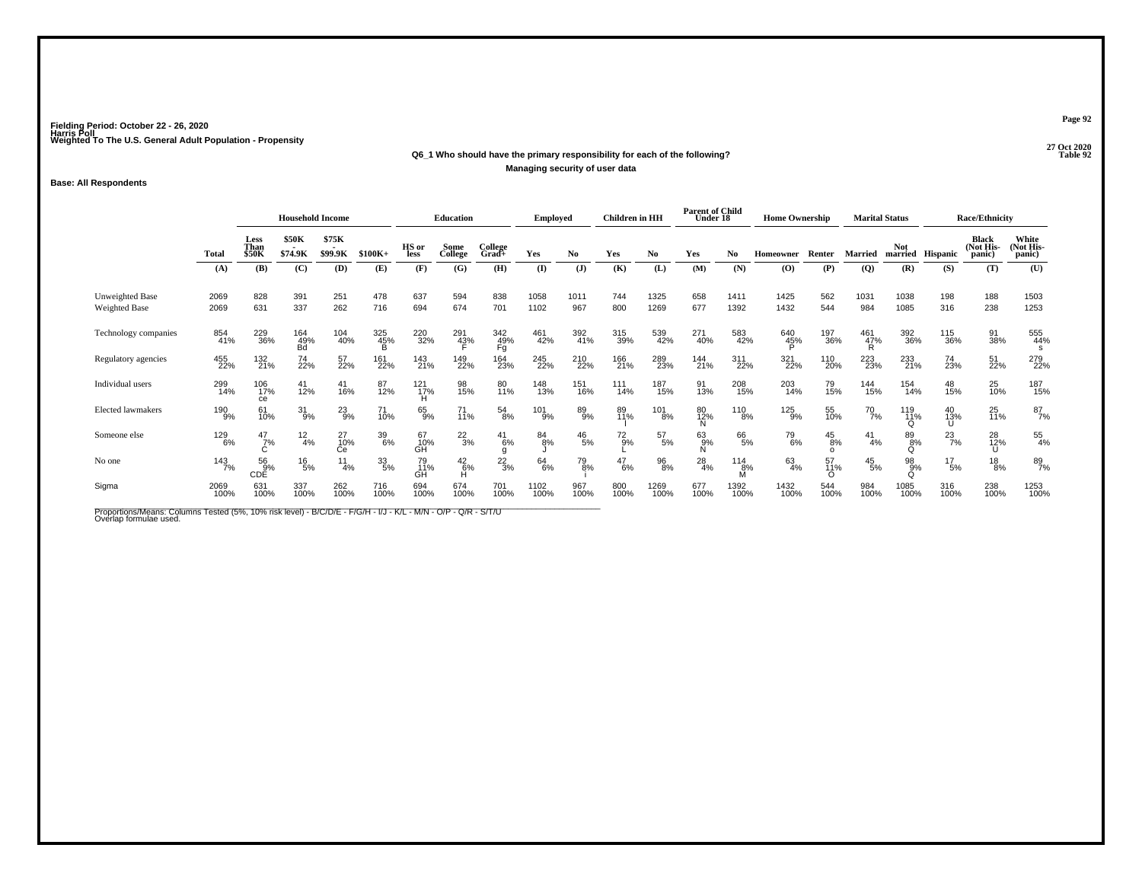## **27 Oct 2020Q6\_1 Who should have the primary responsibility for each of the following?Managing security of user data**

### **Base: All Respondents**

|                                  |              | <b>Household Income</b>      |                  |                  |             | <b>Education</b> |                     | <b>Employed</b>    |               | <b>Children</b> in HH |              | <b>Parent of Child</b><br>Under 18 |                    | <b>Home Ownership</b> |                |                           | <b>Marital Status</b> |                 | <b>Race/Ethnicity</b> |                                     |                              |
|----------------------------------|--------------|------------------------------|------------------|------------------|-------------|------------------|---------------------|--------------------|---------------|-----------------------|--------------|------------------------------------|--------------------|-----------------------|----------------|---------------------------|-----------------------|-----------------|-----------------------|-------------------------------------|------------------------------|
|                                  | Total        | Less<br>Than<br><b>\$50K</b> | \$50K<br>\$74.9K | \$75K<br>\$99.9K | $$100K+$    | HS or<br>less    | Some<br>College     | College<br>Grad+   | Yes           | No.                   | Yes          | No                                 | Yes                | No                    | Homeowner      | Renter                    | <b>Married</b>        | <b>Not</b>      | married Hispanic      | <b>Black</b><br>(Not His-<br>panic) | White<br>(Not His-<br>panic) |
|                                  | (A)          | (B)                          | (C)              | (D)              | (E)         | (F)              | (G)                 | (H)                | (I)           | $\mathbf{J}$          | (K)          | (L)                                | (M)                | (N)                   | (O)            | (P)                       | $\overline{Q}$        | (R)             | (S)                   | (T)                                 | (U)                          |
| Unweighted Base<br>Weighted Base | 2069<br>2069 | 828<br>631                   | 391<br>337       | 251<br>262       | 478<br>716  | 637<br>694       | 594<br>674          | 838<br>701         | 1058<br>1102  | 1011<br>967           | 744<br>800   | 1325<br>1269                       | 658<br>677         | 1411<br>1392          | 1425<br>1432   | 562<br>544                | 1031<br>984           | 1038<br>1085    | 198<br>316            | 188<br>238                          | 1503<br>1253                 |
| Technology companies             | 854<br>41%   | 229<br>36%                   | 164<br>49%<br>Bd | 104<br>40%       | 325<br>45%  | 220<br>32%       | 291<br>4 <u>3</u> % | 342<br>49%<br>Fg   | 461<br>42%    | 392<br>41%            | 315<br>39%   | 539<br>42%                         | 271<br>40%         | 583<br>42%            | 640<br>45%     | 197<br>36%                | 461<br>4 <u>7</u> %   | 392<br>36%      | 115<br>36%            | 91<br>38%                           | 555<br>44%<br>s              |
| Regulatory agencies              | 455<br>22%   | 132<br>21%                   | 74<br>22%        | 57<br>22%        | 161<br>22%  | 143<br>21%       | 149<br>22%          | 164<br>23%         | 245<br>22%    | 210<br>22%            | 166<br>21%   | 289<br>23%                         | 144<br>21%         | 311<br>22%            | 321<br>22%     | 110<br>20%                | 223<br>23%            | 233<br>21%      | 74<br>23%             | 51<br>22%                           | 279<br>22%                   |
| Individual users                 | 299<br>14%   | 106<br>17%<br>ce             | $^{41}_{12\%}$   | 41<br>16%        | 87<br>12%   | 121<br>17%       | 98<br>15%           | 80<br>11%          | 148<br>13%    | 151<br>16%            | 111<br>14%   | 187<br>15%                         | 91<br>13%          | 208<br>15%            | 203<br>14%     | 79<br>15%                 | 144<br>15%            | 154<br>14%      | 48<br>15%             | 25<br>10%                           | 187<br>15%                   |
| <b>Elected lawmakers</b>         | 190<br>9%    | 61<br>10%                    | $31_{9\%}$       | $^{23}_{9%}$     | 71<br>10%   | 65%              | 71<br>11%           | 54<br>8%           | 101<br>9%     | 89<br>9%              | 89<br>11%    | $\frac{101}{8\%}$                  | 80<br>12%<br>N     | $^{110}_{8\%}$        | 125<br>9%      | 55<br>10%                 | $^{70}_{7\%}$         | 119<br>11%<br>O | 40<br>13%             | 25<br>11%                           | 87<br>7%                     |
| Someone else                     | 129<br>6%    | $\frac{47}{7}\%$             | $\frac{12}{4%}$  | 27<br>10%<br>Сe  | 39<br>6%    | 67<br>10%<br>GH  | $^{22}_{3\%}$       | $^{41}_{6\%}$<br>g | $^{84}_{8\%}$ | $^{46}_{\ 5\%}$       | $^{72}_{9%}$ | $^{57}_{\ 5\%}$                    | $63\atop 9\%$<br>N | 66<br>5%              | 79<br>6%       | $^{45}_{8\%}$<br>$\Omega$ | $^{41}_{4\%}$         | 89<br>8%<br>O   | $^{23}_{7\%}$         | 28<br>12%<br>U                      | $\frac{55}{4\%}$             |
| No one                           | 143<br>7%    | 569%<br>CDĚ                  | $^{16}_{5\%}$    | 11<br>4%         | 33/5%       | 79<br>11%<br>GH  | $^{42}_{6\%}$       | $^{22}_{3\%}$      | 64/6%         | 79<br>8%              | 47<br>$6\%$  | $^{96}_{8\%}$                      | $^{28}_{4\%}$      | 114<br>8%<br>M        | $63 \atop 4\%$ | 57<br>11%                 | $^{45}_{\ 5\%}$       | 98<br>9%<br>O   | $^{17}_{\ 5\%}$       | $^{18}_{8\%}$                       | 89<br>7%                     |
| Sigma                            | 2069<br>100% | 631<br>100%                  | 337<br>100%      | 262<br>100%      | 716<br>100% | 694<br>100%      | 674<br>100%         | 701<br>100%        | 1102<br>100%  | 967<br>100%           | 800<br>100%  | 1269<br>100%                       | 677<br>100%        | 1392<br>100%          | 1432<br>100%   | 544<br>100%               | 984<br>100%           | 1085<br>100%    | 316<br>100%           | 238<br>100%                         | 1253<br>100%                 |

Proportions/Means: Columns Tested (5%, 10% risk level) - B/C/D/E - F/G/H - I/J - K/L - M/N - O/P - Q/R - S/T/U<br>Overlap formulae used.

**Page 92**

27 Oct 2020<br>Table 92 **Parameters Table 92**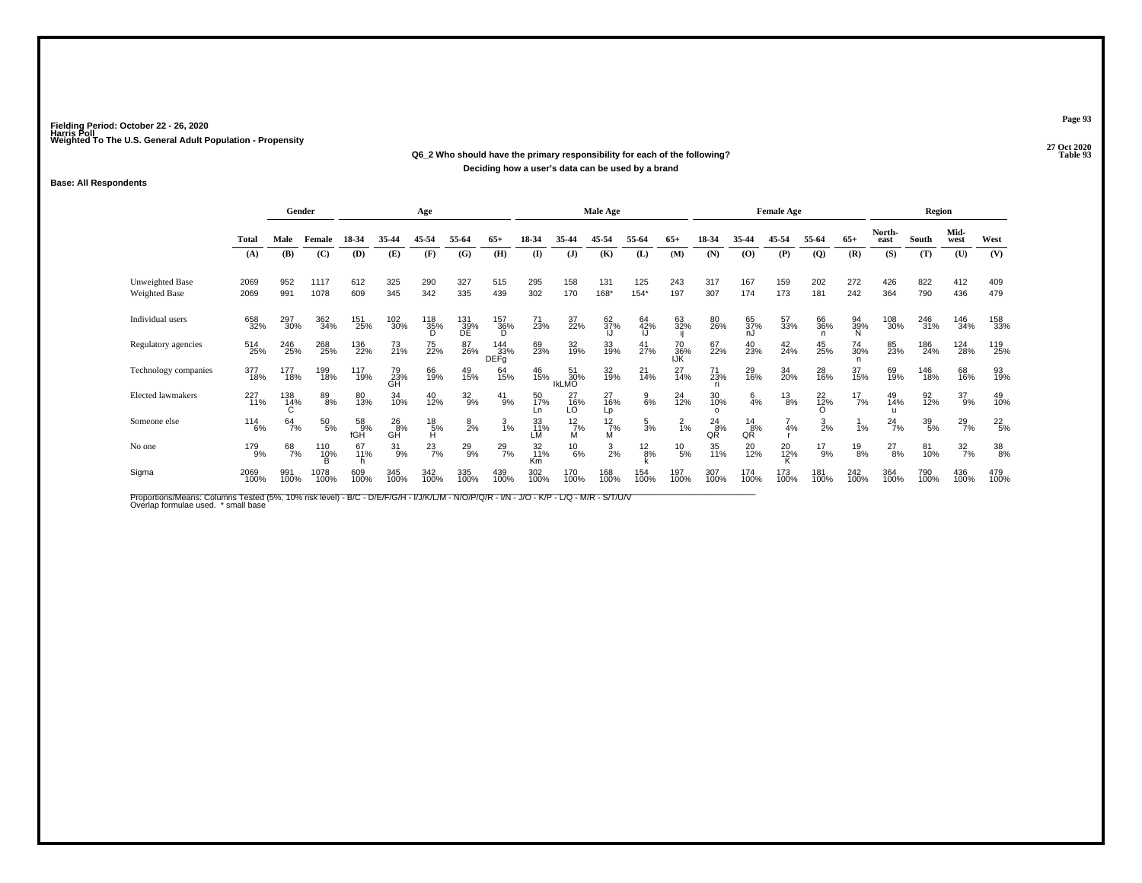#### **27 Oct 2020Q6\_2 Who should have the primary responsibility for each of the following? Table 93 Deciding how a user's data can be used by a brand**

#### **Base: All Respondents**

|                                  |                | Gender         |                 |                               |                    | Age                           |                      |                           |                 |                           | Male Age        |                 |                  |                      |                  | <b>Female Age</b> |                |                |                       | Region          |                  |                 |
|----------------------------------|----------------|----------------|-----------------|-------------------------------|--------------------|-------------------------------|----------------------|---------------------------|-----------------|---------------------------|-----------------|-----------------|------------------|----------------------|------------------|-------------------|----------------|----------------|-----------------------|-----------------|------------------|-----------------|
|                                  | Total          | Male           | Female          | 18-34                         | 35-44              | 45-54                         | 55-64                | $65+$                     | 18-34           | 35-44                     | 45-54           | 55-64           | $65+$            | 18-34                | 35-44            | 45-54             | 55-64          | $65+$          | North-<br>east        | South           | Mid-<br>west     | West            |
|                                  | (A)            | (B)            | (C)             | (D)                           | (E)                | (F)                           | (G)                  | (H)                       | $($ I           | (J)                       | (K)             | (L)             | (M)              | (N)                  | (O)              | (P)               | $\mathbf{Q}$   | (R)            | (S)                   | (T)             | (U)              | (V)             |
| Unweighted Base<br>Weighted Base | 2069<br>2069   | 952<br>991     | 1117<br>1078    | 612<br>609                    | 325<br>345         | 290<br>342                    | 327<br>335           | 515<br>439                | 295<br>302      | 158<br>170                | 131<br>168*     | 125<br>$154*$   | 243<br>197       | 317<br>307           | 167<br>174       | 159<br>173        | 202<br>181     | 272<br>242     | 426<br>364            | 822<br>790      | 412<br>436       | 409<br>479      |
| Individual users                 | 658<br>32%     | 297<br>30%     | 362<br>34%      | 151<br>25%                    | 102<br>30%         | 118<br>35%                    | 131<br>- 39%<br>- DE | 157<br>36%<br>D           | 71<br>23%       | 37<br>22%                 | 62<br>37%       | 64<br>42%<br>IJ | 63<br>32%        | 80<br>26%            | 65<br>37%<br>nJ  | 57<br>33%         | 66<br>36%      | 94<br>39%<br>Ñ | 108<br>30%            | 246<br>31%      | 146<br>34%       | 158<br>33%      |
| Regulatory agencies              | 514<br>25%     | 246<br>25%     | 268<br>25%      | 136<br>22%                    | 73<br>21%          | 75<br>22%                     | 87<br>26%            | 144<br>33%<br><b>DEFq</b> | 69<br>23%       | 32<br>19%                 | 33<br>19%       | 41<br>27%       | 70<br>36%<br>IJŔ | 67<br>22%            | 40<br>23%        | $^{42}_{24\%}$    | 45<br>25%      | 74<br>30%<br>n | 85<br>23%             | 186<br>24%      | 124<br>28%       | 119<br>25%      |
| Technology companies             | 377<br>18%     | 177<br>18%     | 199<br>18%      | <sup>117</sup> <sub>19%</sub> | 79<br>23%<br>GH    | 66<br>19%                     | 49<br>15%            | 64<br>15%                 | 46<br>15%       | 51<br>30%<br><b>IKLMO</b> | 32<br>19%       | $^{21}_{14\%}$  | 27<br>14%        | 71<br>23%<br>ri.     | 29<br>16%        | 34<br>20%         | 28<br>16%      | 37<br>15%      | 69<br>19%             | 146<br>18%      | 68<br>16%        | 93<br>19%       |
| <b>Elected lawmakers</b>         | 227<br>11%     | 138<br>14%     | 89<br>8%        | 80<br>13%                     | 34<br>10%          | 40<br>12%                     | $^{32}_{9%}$         | $^{41}_{9\%}$             | 50<br>17%<br>Ln | $^{27}_{16\%}$ LO         | 27<br>16%<br>Lp | $\frac{9}{6\%}$ | 24<br>12%        | 30<br>10%<br>$\circ$ | $6\frac{6}{4%}$  | $^{13}_{8\%}$     | $^{22}_{12\%}$ | $^{17}_{7\%}$  | 49<br>14%             | 92<br>12%       | $^{37}_{9\%}$    | 49<br>10%       |
| Someone else                     | $^{114}_{6\%}$ | $64 \atop 7\%$ | $^{50}_{\ 5\%}$ | 58<br>9%<br>fGH               | $^{26}_{8%}$<br>GĂ | $^{18}_{\substack{5\% \\ H}}$ | $\frac{8}{2%}$       | $\frac{3}{1%}$            | 33<br>11%<br>LM | $\frac{12}{7%}$<br>М      | 12/7%<br>м      | $\frac{5}{3}$ % | $\frac{2}{1}$ %  | $^{24}_{8\%}$<br>QŘ  | $\frac{14}{8\%}$ | 4%                | $\frac{3}{2%}$ | 1%             | $^{24}$ <sub>7%</sub> | $^{39}_{\ 5\%}$ | $^{29}_{7\%}$    | $^{22}_{\ 5\%}$ |
| No one                           | 179<br>9%      | 68<br>7%       | $^{110}_{10\%}$ | 67<br>11%                     | $^{31}_{9\%}$      | $^{23}_{7\%}$                 | $^{29}_{9\%}$        | $^{29}_{7\%}$             | 32<br>11%<br>Km | $^{10}_{6\%}$             | $\frac{3}{2}$ % | $\frac{12}{8%}$ | $^{10}_{5\%}$    | 35<br>11%            | 20<br>12%        | 20<br>12%         | $^{17}_{9\%}$  | $^{19}_{8\%}$  | $^{27}_{8\%}$         | 81<br>10%       | $\frac{32}{7\%}$ | 38<br>8%        |
| Sigma                            | 2069<br>100%   | 991<br>100%    | 1078<br>100%    | 609<br>100%                   | 345<br>100%        | 342<br>100%                   | 335<br>100%          | 439<br>100%               | 302<br>100%     | 170<br>100%               | 168<br>100%     | 154<br>100%     | 197<br>100%      | 307<br>100%          | 174<br>100%      | 173<br>100%       | 181<br>100%    | 242<br>100%    | 364<br>100%           | 790<br>100%     | 436<br>100%      | 479<br>100%     |

Proportions/Means: Columns Tested (5%, 10% risk level) - B/C - D/E/F/G/H - I/J/K/L/M - N/O/P/Q/R - I/N - J/O - K/P - L/Q - M/R - S/T/U/V<br>Overlap formulae used. \*small base

**Page 93**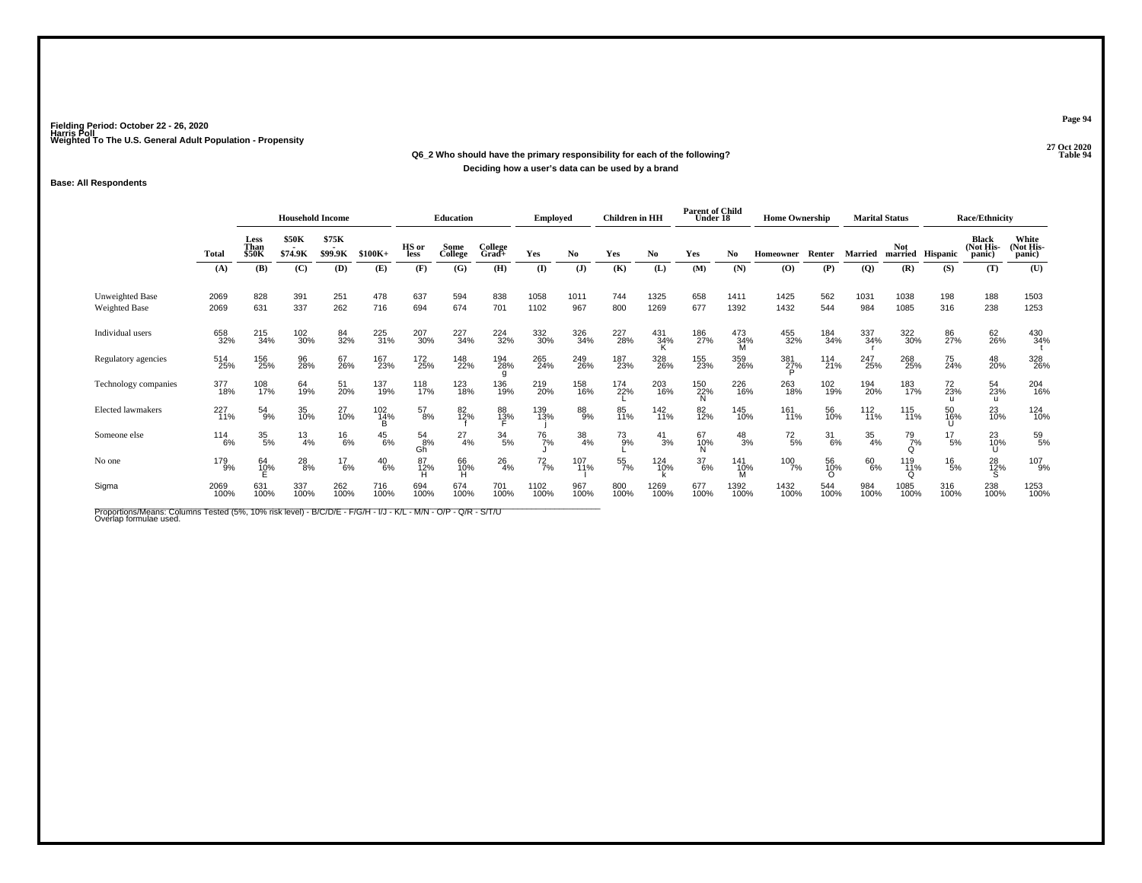## **27 Oct 2020Q6\_2 Who should have the primary responsibility for each of the following?Deciding how a user's data can be used by a brand**

### **Base: All Respondents**

|                                         |                | <b>Household Income</b>      |                  |                  |               | <b>Education</b>    |                 | <b>Employed</b>  |               | <b>Children</b> in HH |             | <b>Parent of Child</b><br>Under 18 |                  | <b>Home Ownership</b> |                 |                  | <b>Marital Status</b> |                                 | <b>Race/Ethnicity</b> |                                     |                              |
|-----------------------------------------|----------------|------------------------------|------------------|------------------|---------------|---------------------|-----------------|------------------|---------------|-----------------------|-------------|------------------------------------|------------------|-----------------------|-----------------|------------------|-----------------------|---------------------------------|-----------------------|-------------------------------------|------------------------------|
|                                         | <b>Total</b>   | Less<br>Than<br><b>\$50K</b> | \$50K<br>\$74.9K | \$75K<br>\$99.9K | $$100K+$      | HS or<br>less       | Some<br>College | College<br>Grad+ | Yes           | No                    | Yes         | No                                 | Yes              | No.                   | Homeowner       | Renter           | <b>Married</b>        | Not.<br>married                 | Hispanic              | <b>Black</b><br>(Not His-<br>panic) | White<br>(Not His-<br>panic) |
|                                         | (A)            | (B)                          | (C)              | (D)              | (E)           | (F)                 | (G)             | (H)              | (I)           | $(\mathbf{J})$        | (K)         | (L)                                | (M)              | (N)                   | (O)             | (P)              | (Q)                   | (R)                             | (S)                   | (T)                                 | (U)                          |
| Unweighted Base<br><b>Weighted Base</b> | 2069<br>2069   | 828<br>631                   | 391<br>337       | 251<br>262       | 478<br>716    | 637<br>694          | 594<br>674      | 838<br>701       | 1058<br>1102  | 1011<br>967           | 744<br>800  | 1325<br>1269                       | 658<br>677       | 1411<br>1392          | 1425<br>1432    | 562<br>544       | 1031<br>984           | 1038<br>1085                    | 198<br>316            | 188<br>238                          | 1503<br>1253                 |
| Individual users                        | 658<br>32%     | 215<br>34%                   | 102<br>30%       | 84<br>32%        | 225<br>31%    | 207<br>30%          | 227<br>34%      | 224<br>32%       | 332<br>30%    | 326<br>34%            | 227<br>28%  | 431<br>34%                         | 186<br>27%       | 473<br>34%<br>M       | 455<br>32%      | 184<br>34%       | 337<br>34%            | 322<br>30%                      | 86<br>27%             | 62<br>26%                           | 430<br>34%                   |
| Regulatory agencies                     | 514<br>25%     | 156<br>25%                   | 96<br>28%        | 67<br>26%        | 167<br>23%    | 172<br>25%          | 148<br>22%      | 194<br>28%<br>g  | 265<br>24%    | 249<br>26%            | 187<br>23%  | 328<br>26%                         | 155<br>23%       | 359<br>26%            | 381<br>27%      | 114<br>21%       | 247<br>25%            | 268<br>25%                      | 75<br>24%             | 48<br>20%                           | 328<br>26%                   |
| Technology companies                    | 377<br>18%     | 108<br>17%                   | 64<br>19%        | 51<br>20%        | 137<br>19%    | 118<br>17%          | 123<br>18%      | 136<br>19%       | 219<br>20%    | 158<br>16%            | 174<br>22%  | 203<br>16%                         | 150<br>22%<br>N  | 226<br>16%            | 263<br>18%      | 102<br>19%       | 194<br>20%            | 183<br>17%                      | 72<br>23%             | 54<br>23%<br>u                      | 204<br>16%                   |
| <b>Elected lawmakers</b>                | 227<br>11%     | $^{54}_{9\%}$                | 35<br>10%        | 27<br>10%        | 102<br>14%    | $^{57}_{8\%}$       | 82<br>12%       | 88<br>13%        | 139<br>13%    | 88<br>9%              | 85<br>11%   | 142<br>11%                         | 82<br>12%        | 145<br>10%            | 161<br>11%      | 56<br>10%        | $^{112}_{11\%}$       | 115<br>11%                      | 50<br>16%             | 23<br>10%                           | 124<br>10%                   |
| Someone else                            | $^{114}_{6\%}$ | $\frac{35}{5\%}$             | $\frac{13}{4%}$  | $^{16}_{6\%}$    | $^{45}_{6\%}$ | $^{54}_{8\%}$<br>Gh | $^{27}_{4\%}$   | $\frac{34}{5\%}$ | 76<br>7%      | $\frac{38}{4\%}$      | 73<br>9%    | $^{41}_{3\%}$                      | 67<br>10%<br>N   | $^{48}_{3\%}$         | $^{72}_{\ 5\%}$ | $\frac{31}{6\%}$ | $\frac{35}{4\%}$      | 79<br>7%<br>$\Omega$            | $^{17}_{5\%}$         | 23<br>10%<br>U                      | 59<br>5%                     |
| No one                                  | 179<br>9%      | 64<br>10%                    | $^{28}_{8\%}$    | $^{17}_{6\%}$    | $^{40}_{6\%}$ | 87<br>12%           | 66<br>10%       | $^{26}_{4\%}$    | $^{72}_{7\%}$ | 107<br>11%            | 55<br>7%    | 124<br>10%                         | $\frac{37}{6\%}$ | 141<br>10%            | $^{100}_{7\%}$  | 56<br>10%        | 60<br>6%              | 119<br>1 <u>1</u> %<br>$\Omega$ | $^{16}_{5\%}$         | 28<br>12%                           | 107<br>9%                    |
| Sigma                                   | 2069<br>100%   | 631<br>100%                  | 337<br>100%      | 262<br>100%      | 716<br>100%   | 694<br>100%         | 674<br>100%     | 701<br>100%      | 1102<br>100%  | 967<br>100%           | 800<br>100% | 1269<br>100%                       | 677<br>100%      | 1392<br>100%          | 1432<br>100%    | 544<br>100%      | 984<br>100%           | 1085<br>100%                    | 316<br>100%           | 238<br>100%                         | 1253<br>100%                 |

Proportions/Means: Columns Tested (5%, 10% risk level) - B/C/D/E - F/G/H - I/J - K/L - M/N - O/P - Q/R - S/T/U<br>Overlap formulae used.

**Page 94**

**Properties and the set of the set of the set of the set of the set of the set of the set of the set of the set of the set of the set of the set of the set of the set of the set of the set of the set of the set of the set**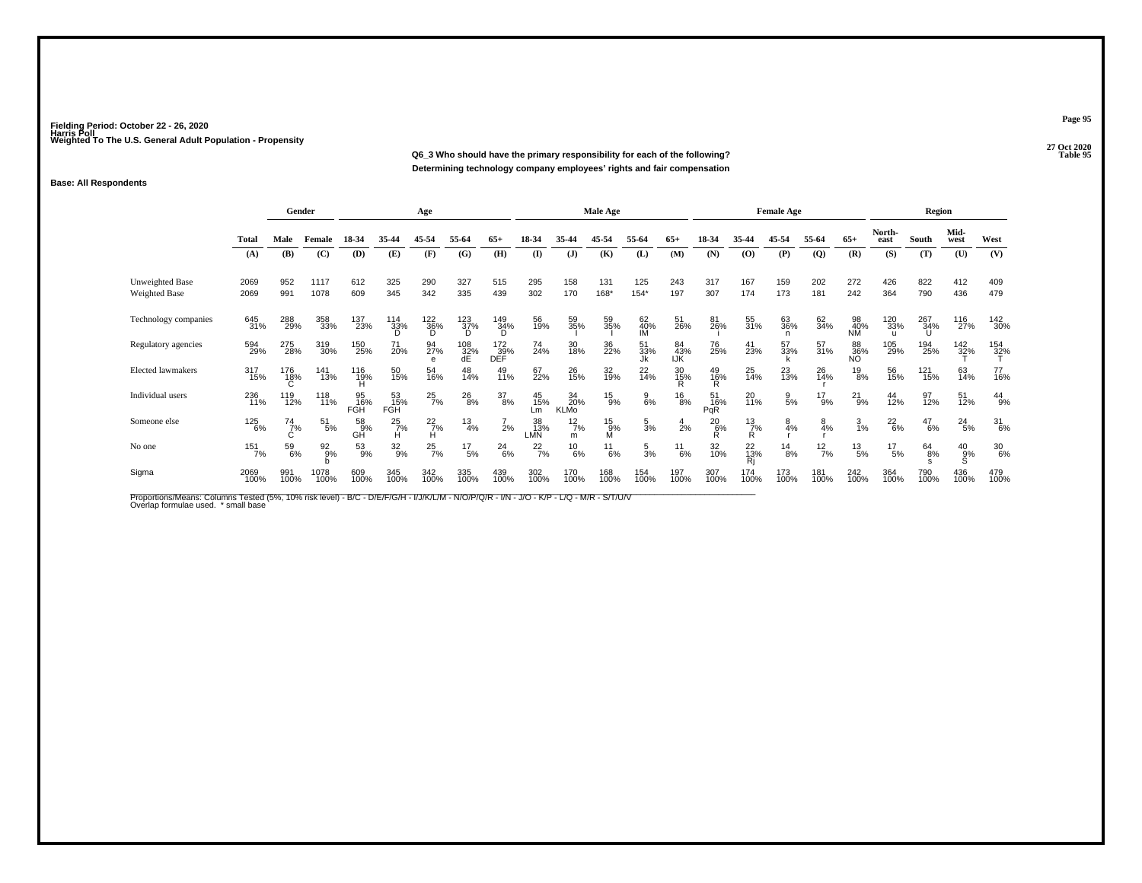**27 Oct 2020Q6\_3 Who should have the primary responsibility for each of the following?Determining technology company employees' rights and fair compensation**

### **Base: All Respondents**

|                                         |              | Gender             |                  |                  |                         | Age                     |                       |                                 |                  |                        | Male Age        |                 |                  |                  |                    | <b>Female Age</b> |                |                        |                            | Region        |               |                  |
|-----------------------------------------|--------------|--------------------|------------------|------------------|-------------------------|-------------------------|-----------------------|---------------------------------|------------------|------------------------|-----------------|-----------------|------------------|------------------|--------------------|-------------------|----------------|------------------------|----------------------------|---------------|---------------|------------------|
|                                         | Total        | Male               | Female           | 18-34            | 35-44                   | 45-54                   | 55-64                 | $65+$                           | 18-34            | 35-44                  | 45-54           | 55-64           | $65+$            | 18-34            | 35-44              | 45-54             | 55-64          | $65+$                  | North-<br>east             | South         | Mid-<br>west  | West             |
|                                         | (A)          | (B)                | (C)              | (D)              | (E)                     | (F)                     | (G)                   | (H)                             | $\mathbf{I}$     | (J)                    | (K)             | (L)             | (M)              | (N)              | (0)                | (P)               | $\overline{Q}$ | (R)                    | (S)                        | (T)           | (U)           | (V)              |
| <b>Unweighted Base</b><br>Weighted Base | 2069<br>2069 | 952<br>991         | 1117<br>1078     | 612<br>609       | 325<br>345              | 290<br>342              | 327<br>335            | 515<br>439                      | 295<br>302       | 158<br>170             | 131<br>168*     | 125<br>$154*$   | 243<br>197       | 317<br>307       | 167<br>174         | 159<br>173        | 202<br>181     | 272<br>242             | 426<br>364                 | 822<br>790    | 412<br>436    | 409<br>479       |
| Technology companies                    | 645<br>31%   | 288<br>29%         | 358<br>33%       | 137<br>23%       | 114<br>33%              | $^{122}_{36\%}$ D       | $^{123}_{37\%}$<br>'n | 149<br>34%<br>D                 | 56<br>19%        | 59<br>35%              | 59<br>35%       | 62<br>40%<br>IM | 51<br>26%        | 81<br>26%        | 55<br>31%          | 63<br>36%<br>n    | 62<br>34%      | 98<br>40%<br><b>NM</b> | 120<br>33%<br>$\mathbf{u}$ | 267<br>34%    | 116<br>27%    | 142<br>30%       |
| Regulatory agencies                     | 594<br>29%   | 275<br>28%         | 319<br>30%       | 150<br>25%       | 71<br>20%               | 94<br>27%<br>$\epsilon$ | $^{108}_{32\%}$ dE    | $\overset{172}{_{\text{39\%}}}$ | 74<br>24%        | 30<br>18%              | 36<br>22%       | 51<br>33%<br>Jk | 84<br>43%<br>IJK | 76<br>25%        | 41<br>23%          | 57<br>33%         | 57<br>31%      | 88<br>36%<br>NO        | 105<br>29%                 | 194<br>25%    | 142<br>32%    | 154<br>32%       |
| Elected lawmakers                       | 317<br>15%   | 176<br>18%         | 141<br>13%       | 116<br>19%       | 50<br>15%               | 54<br>16%               | 48<br>14%             | 49<br>11%                       | 67<br>22%        | 26<br>15%              | 32<br>19%       | 22<br>14%       | 30<br>15%        | $^{49}_{16\%}$   | 25<br>14%          | $^{23}_{13\%}$    | 26<br>14%      | $^{19}_{8\%}$          | 56<br>15%                  | 121<br>15%    | 63<br>14%     | 77<br>16%        |
| Individual users                        | 236<br>11%   | 119<br>12%         | 118<br>11%       | 95<br>16%<br>FGH | 53<br>15%<br><b>FGH</b> | $^{25}_{7\%}$           | $^{26}_{8\%}$         | $^{37}_{8\%}$                   | 45<br>15%<br>Lm  | 34<br>20%<br>KLMo      | $^{15}_{9\%}$   | $\frac{9}{6%}$  | $^{16}_{8\%}$    | 51<br>16%<br>PqR | 20<br>11%          | $\frac{9}{5%}$    | $^{17}_{9\%}$  | $^{21}_{9\%}$          | 44<br>12%                  | 97<br>12%     | 51<br>12%     | $^{44}_{9\%}$    |
| Someone else                            | 125<br>6%    | $^{74}_{7\%}$<br>Ċ | $^{51}_{5\%}$    | 58<br>9%<br>GĤ   | $^{25}_{7\%}$<br>н      | $\frac{22}{7}\%$        | $\frac{13}{4%}$       | $\frac{7}{2}$ %                 | 38<br>13%<br>LMÑ | $12\frac{2}{7}$ %<br>m | $^{15}_{9\%}$ M | $\frac{5}{3}$ % | $\frac{4}{2}$ %  | $^{20}_{6\%}$    | $^{13}_{7\%}$<br>R | $\frac{8}{4%}$    | 8<br>4%        | $\frac{3}{1%}$         | $^{22}_{6\%}$              | $^{47}_{6\%}$ | $^{24}_{5\%}$ | $\frac{31}{6\%}$ |
| No one                                  | 151<br>7%    | 59<br>6%           | $\frac{92}{9\%}$ | $^{53}_{9\%}$    | $\frac{32}{9\%}$        | $^{25}_{7\%}$           | $^{17}_{5\%}$         | $^{24}_{6\%}$                   | $^{22}_{7\%}$    | $^{10}_{6\%}$          | $^{11}_{6\%}$   | $\frac{5}{3}$ % | $^{11}_{6\%}$    | 32<br>10%        | 22<br>13%          | $^{14}_{8\%}$     | $^{12}_{7\%}$  | $^{13}_{\ 5\%}$        | $^{17}_{5\%}$              | $^{64}_{8\%}$ | $^{40}_{9\%}$ | $\frac{30}{6\%}$ |
| Sigma                                   | 2069<br>100% | 991<br>100%        | 1078<br>100%     | 609<br>100%      | 345<br>100%             | 342<br>100%             | 335<br>100%           | 439<br>100%                     | 302<br>100%      | 170<br>100%            | 168<br>100%     | 154<br>100%     | 197<br>100%      | 307<br>100%      | 174<br>100%        | 173<br>100%       | 181<br>100%    | 242<br>100%            | 364<br>100%                | 790<br>100%   | 436<br>100%   | 479<br>100%      |

Proportions/Means: Columns Tested (5%, 10% risk level) - B/C - D/E/F/G/H - I/J/K/L/M - N/O/P/Q/R - I/N - J/O - K/P - L/Q - M/R - S/T/U/V<br>Overlap formulae used. \*small base

**Page 95**

27 Oct 2020<br>Table 95 **P** Table 95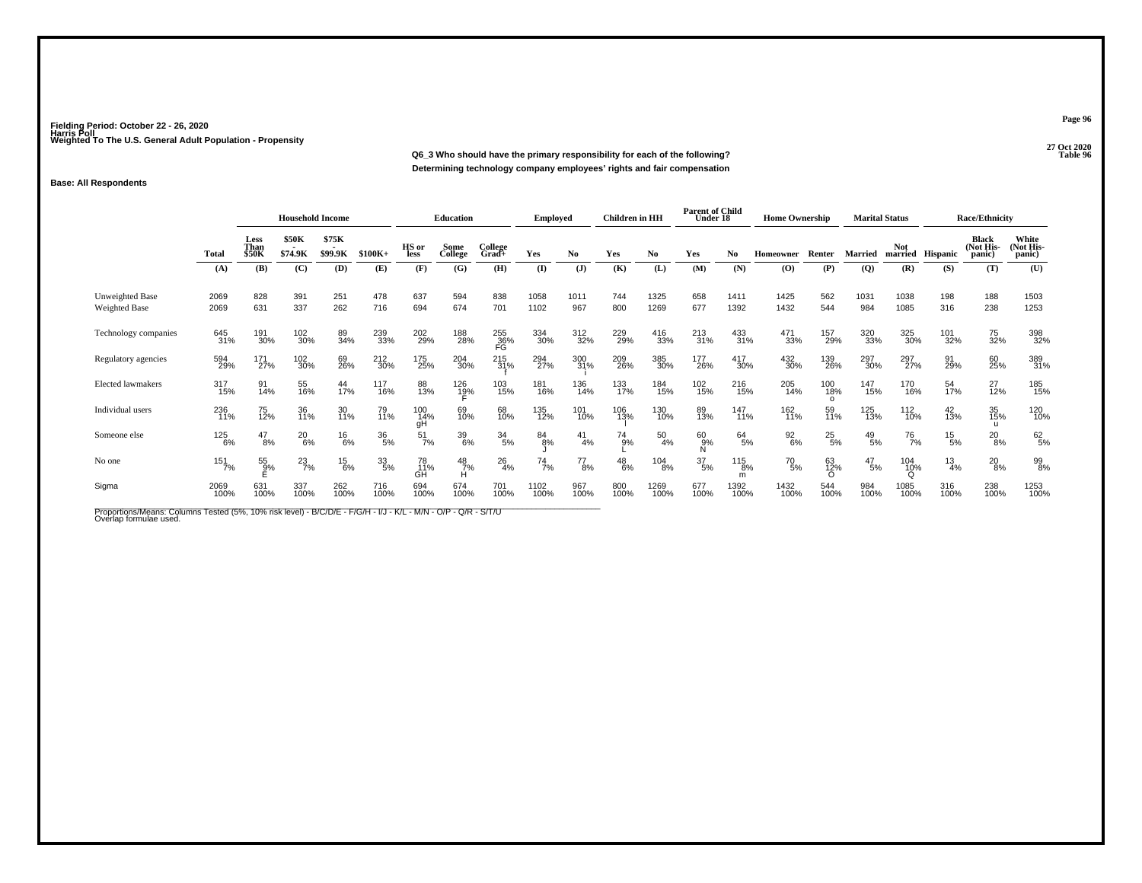**27 Oct 2020Q6\_3 Who should have the primary responsibility for each of the following?Determining technology company employees' rights and fair compensation**

### **Base: All Respondents**

|                                  |                   | <b>Household Income</b>      |                  |                  |               | <b>Education</b> |                 | <b>Employed</b>  |               | <b>Children</b> in HH |               | <b>Parent of Child</b><br>Under 18       |               | <b>Home Ownership</b> |                             | <b>Marital Status</b>  |                 |                     | <b>Race/Ethnicity</b> |                                     |                              |
|----------------------------------|-------------------|------------------------------|------------------|------------------|---------------|------------------|-----------------|------------------|---------------|-----------------------|---------------|------------------------------------------|---------------|-----------------------|-----------------------------|------------------------|-----------------|---------------------|-----------------------|-------------------------------------|------------------------------|
|                                  | <b>Total</b>      | Less<br>Than<br><b>\$50K</b> | \$50K<br>\$74.9K | \$75K<br>\$99.9K | $$100K+$      | HS or<br>less    | Some<br>College | College<br>Grad+ | Yes           | N <sub>0</sub>        | Yes           | No                                       | Yes           | No.                   | Homeowner                   | Renter                 | <b>Married</b>  | Not                 | married Hispanic      | <b>Black</b><br>(Not His-<br>panic) | White<br>(Not His-<br>panic) |
|                                  | (A)               | (B)                          | (C)              | (D)              | (E)           | (F)              | (G)             | (H)              | $($ I         | (J)                   | (K)           | (L)                                      | (M)           | (N)                   | (O)                         | (P)                    | $\overline{Q}$  | (R)                 | (S)                   | (T)                                 | (U)                          |
| Unweighted Base<br>Weighted Base | 2069<br>2069      | 828<br>631                   | 391<br>337       | 251<br>262       | 478<br>716    | 637<br>694       | 594<br>674      | 838<br>701       | 1058<br>1102  | 1011<br>967           | 744<br>800    | 1325<br>1269                             | 658<br>677    | 1411<br>1392          | 1425<br>1432                | 562<br>544             | 1031<br>984     | 1038<br>1085        | 198<br>316            | 188<br>238                          | 1503<br>1253                 |
| Technology companies             | 645<br>31%        | 191<br>30%                   | 102<br>30%       | 89<br>34%        | 239<br>33%    | 202<br>29%       | 188<br>28%      | 255<br>36%<br>FG | 334<br>30%    | 312<br>32%            | 229<br>29%    | 416<br>33%                               | 213<br>31%    | 433<br>31%            | 471<br>33%                  | 157<br>29%             | 320<br>33%      | 325<br>30%          | 101<br>32%            | 75<br>32%                           | 398<br>32%                   |
| Regulatory agencies              | 594<br>29%        | 171<br>27%                   | 102<br>30%       | 69<br>26%        | 212<br>30%    | 175<br>25%       | 204<br>30%      | 215<br>31%       | 294<br>27%    | 300<br>31%            | 209<br>26%    | 385<br>30%                               | 177<br>26%    | 417<br>30%            | 432<br>30%                  | 139<br>26%             | 297<br>30%      | 297<br>27%          | 91<br>29%             | 60<br>25%                           | 389<br>31%                   |
| Elected lawmakers                | 317<br>15%        | 91<br>14%                    | 55<br>16%        | 44<br>17%        | 117<br>16%    | 88<br>13%        | 126<br>19%      | 103<br>15%       | 181<br>16%    | 136<br>14%            | 133<br>17%    | 184<br>15%                               | 102<br>15%    | 216<br>15%            | 205<br>14%                  | 100<br>18%<br>$\Omega$ | 147<br>15%      | 170<br>16%          | 54<br>17%             | 27<br>12%                           | 185<br>15%                   |
| Individual users                 | 236<br>11%        | 75<br>12%                    | 36<br>11%        | 30<br>11%        | 79<br>11%     | 100<br>14%<br>qΗ | 69<br>10%       | 68<br>10%        | 135<br>12%    | 101<br>10%            | 106<br>13%    | 130<br>10%                               | 89<br>13%     | 147<br>11%            | 162<br>11%                  | 59<br>11%              | 125<br>13%      | 112<br>10%          | $^{42}_{13\%}$        | 35<br>15%<br>$\mathbf{u}$           | 120<br>10%                   |
| Someone else                     | <sup>125</sup> 6% | $^{47}_{8\%}$                | $^{20}_{6\%}$    | $^{16}_{6\%}$    | $^{36}_{5\%}$ | $\frac{51}{7\%}$ | 39<br>6%        | $\frac{34}{5\%}$ | 84<br>8%      | $^{41}_{4\%}$         | $^{74}_{9%}$  | $^{50}_{4\%}$                            | 60<br>9%<br>N | $^{64}_{5\%}$         | $\frac{92}{6\%}$            | $^{25}_{5\%}$          | $^{49}_{\ 5\%}$ | <sup>76</sup> 7%    | $^{15}_{-5\%}$        | $^{20}_{8\%}$                       | 62/5%                        |
| No one                           | 151<br>7%         | $\frac{55}{9\%}$             | $^{23}_{7\%}$    | $^{15}_{6\%}$    | 33/5%         | 78<br>11%<br>GĤ  | $^{48}_{7\%}$   | $^{26}_{4\%}$    | $^{74}_{7\%}$ | $^{77}_{8\%}$         | $^{48}_{6\%}$ | $\begin{array}{c} 104 \ 8\% \end{array}$ | $^{37}_{5\%}$ | $^{115}_{8\%}$<br>m   | <sup>70</sup> <sub>5%</sub> | 63<br>12%<br>$\Omega$  | $^{47}_{\ 5\%}$ | 104<br>1 <u>0</u> % | $\frac{13}{4\%}$      | $^{20}_{8\%}$                       | 99<br>8%                     |
| Sigma                            | 2069<br>100%      | 631<br>100%                  | 337<br>100%      | 262<br>100%      | 716<br>100%   | 694<br>100%      | 674<br>100%     | 701<br>100%      | 1102<br>100%  | 967<br>100%           | 800<br>100%   | 1269<br>100%                             | 677<br>100%   | 1392<br>100%          | 1432<br>100%                | 544<br>100%            | 984<br>100%     | 1085<br>100%        | 316<br>100%           | 238<br>100%                         | 1253<br>100%                 |

Proportions/Means: Columns Tested (5%, 10% risk level) - B/C/D/E - F/G/H - I/J - K/L - M/N - O/P - Q/R - S/T/U<br>Overlap formulae used.

**Page 96**

27 Oct 2020<br>Table 96 **Properties Table 96 Table 96**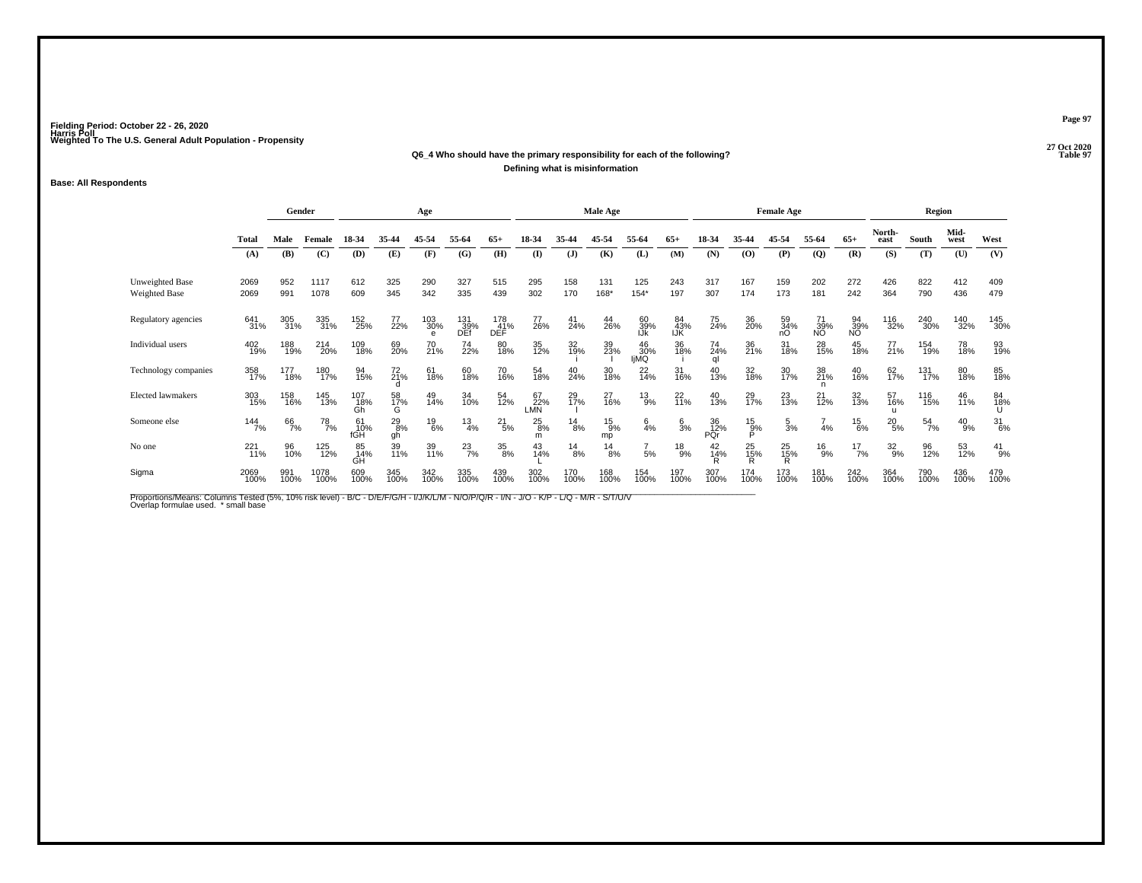#### **27 Oct 2020Q6\_4 Who should have the primary responsibility for each of the following?Properties Table 97 Defining what is misinformation**

#### **Base: All Respondents**

|                                  |                 | Gender      |               |                  |                     | Age                        |                    |                          |                    |               | <b>Male Age</b>     |                   |                  |                       |                    | <b>Female Age</b>   |                 |                 |                           | <b>Region</b> |               |                 |
|----------------------------------|-----------------|-------------|---------------|------------------|---------------------|----------------------------|--------------------|--------------------------|--------------------|---------------|---------------------|-------------------|------------------|-----------------------|--------------------|---------------------|-----------------|-----------------|---------------------------|---------------|---------------|-----------------|
|                                  | <b>Total</b>    | Male        | Female        | 18-34            | 35-44               | 45-54                      | 55-64              | $65+$                    | 18-34              | 35-44         | 45-54               | 55-64             | $65+$            | 18-34                 | 35-44              | 45-54               | 55-64           | $65+$           | North-<br>east            | South         | Mid-<br>west  | West            |
|                                  | (A)             | (B)         | (C)           | (D)              | (E)                 | (F)                        | (G)                | (H)                      | (I)                | (J)           | (K)                 | (L)               | (M)              | (N)                   | (0)                | (P)                 | (Q)             | (R)             | (S)                       | (T)           | (U)           | (V)             |
| Unweighted Base<br>Weighted Base | 2069<br>2069    | 952<br>991  | 1117<br>1078  | 612<br>609       | 325<br>345          | 290<br>342                 | 327<br>335         | 515<br>439               | 295<br>302         | 158<br>170    | 131<br>168*         | 125<br>$154*$     | 243<br>197       | 317<br>307            | 167<br>174         | 159<br>173          | 202<br>181      | 272<br>242      | 426<br>364                | 822<br>790    | 412<br>436    | 409<br>479      |
| Regulatory agencies              | 641<br>31%      | 305<br>31%  | 335<br>31%    | 152<br>25%       | 77<br>22%           | 103<br>30%<br>$\mathbf{e}$ | 131<br>_39%<br>DEf | 178<br>41%<br><b>DEF</b> | 77<br>26%          | 41<br>24%     | 44<br>26%           | 60<br>39%<br>IJk  | 84<br>43%<br>IJK | 75<br>24%             | 36<br>20%          | 59<br>34%<br>nO     | 71<br>39%<br>NO | 94<br>39%<br>NO | 116<br>32%                | 240<br>30%    | 140<br>32%    | 145<br>30%      |
| Individual users                 | 402<br>19%      | 188<br>19%  | 214<br>20%    | 109<br>18%       | 69<br>20%           | 70<br>21%                  | 74<br>22%          | 80<br>18%                | 35<br>12%          | 32<br>19%     | 39<br>23%           | 46<br>30%<br>IjMQ | 36<br>18%        | 74 <sub>%</sub><br>al | 36<br>21%          | 31<br>18%           | 28<br>15%       | 45<br>18%       | 77<br>21%                 | 154<br>19%    | 78<br>18%     | 93<br>19%       |
| Technology companies             | 358<br>17%      | 177<br>18%  | 180<br>17%    | 94<br>15%        | 72<br>21%           | 61<br>18%                  | 60<br>18%          | 70<br>16%                | 54<br>18%          | 40<br>24%     | 30<br>18%           | $^{22}_{14\%}$    | 31<br>16%        | 40<br>13%             | 32<br>18%          | 30<br>17%           | 38<br>21%       | 40<br>16%       | 62<br>17%                 | 131<br>17%    | 80<br>18%     | 85<br>18%       |
| <b>Elected lawmakers</b>         | 303<br>15%      | 158<br>16%  | 145<br>13%    | 107<br>18%<br>Gh | 58<br>17%<br>G      | 49<br>14%                  | 34<br>10%          | 54<br>12%                | 67<br>22%<br>LMN   | 29<br>17%     | 27<br>16%           | $^{13}_{9\%}$     | 22 <sub>0%</sub> | 40<br>13%             | 29<br>17%          | $^{23}_{13\%}$      | $^{21}_{12\%}$  | 32<br>13%       | 57<br>16%<br>$\mathbf{u}$ | 116<br>15%    | 46<br>11%     | 84<br>18%<br>U  |
| Someone else                     | $144$<br>$7%$   | 66<br>7%    | $^{78}_{7\%}$ | 61<br>10%<br>fGH | $^{29}_{8\%}$<br>qh | $^{19}_{6\%}$              | $\frac{13}{4%}$    | $^{21}_{5\%}$            | $^{25}_{8\%}$<br>m | $^{14}_{8\%}$ | $^{15}_{9\%}$<br>mp | $\frac{6}{4}$ %   | $\frac{6}{3}$ %  | 36<br>12%<br>PÔr      | $^{15}_{9\%}$<br>Ď | $\frac{5}{3}$ %     | 4%              | $^{15}_{6\%}$   | $^{20}_{5\%}$             | $^{54}_{7\%}$ | $^{40}_{9\%}$ | $\frac{31}{6%}$ |
| No one                           | $^{221}_{11\%}$ | 96<br>10%   | 125<br>12%    | 85<br>14%<br>GH  | 39<br>11%           | 39<br>11%                  | $^{23}_{7\%}$      | 35<br>8%                 | 43<br>14%          | $^{14}_{8\%}$ | $\frac{14}{8%}$     | $\frac{7}{5%}$    | $^{18}_{9%}$     | 42<br>14%             | 25 <sub>%</sub>    | $^{25}_{15\%}$<br>R | $^{16}_{9%}$    | $^{17}_{7\%}$   | $32\atop 9\%$             | 96<br>12%     | 53<br>12%     | $^{41}_{9\%}$   |
| Sigma                            | 2069<br>100%    | 991<br>100% | 1078<br>100%  | 609<br>100%      | 345<br>100%         | 342<br>100%                | 335<br>100%        | 439<br>100%              | 302<br>100%        | 170<br>100%   | 168<br>100%         | 154<br>100%       | 197<br>100%      | 307<br>100%           | 174<br>100%        | 173<br>100%         | 181<br>100%     | 242<br>100%     | 364<br>100%               | 790<br>100%   | 436<br>100%   | 479<br>100%     |

Proportions/Means: Columns Tested (5%, 10% risk level) - B/C - D/E/F/G/H - I/J/K/L/M - N/O/P/Q/R - I/N - J/O - K/P - L/Q - M/R - S/T/U/V<br>Overlap formulae used. \*small base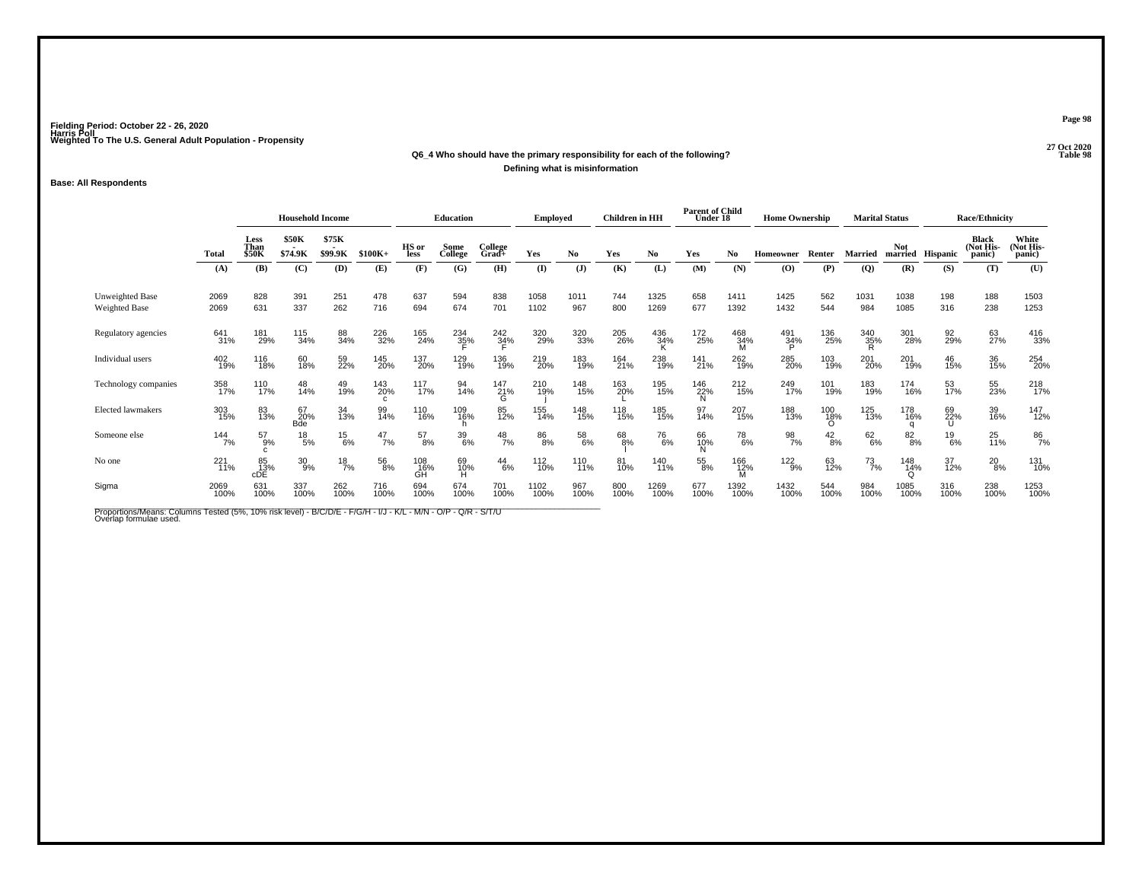## **27 Oct 2020Q6\_4 Who should have the primary responsibility for each of the following?Defining what is misinformation**

### **Base: All Respondents**

|                                         |              | <b>Household Income</b> |                         |                  |                 | <b>Education</b> |                 | <b>Employed</b>     |              | Children in HH |             | <b>Parent of Child</b><br>Under 18 |                 | <b>Home Ownership</b>       |                                          | <b>Marital Status</b> |                |                          | <b>Race/Ethnicity</b> |                              |                              |
|-----------------------------------------|--------------|-------------------------|-------------------------|------------------|-----------------|------------------|-----------------|---------------------|--------------|----------------|-------------|------------------------------------|-----------------|-----------------------------|------------------------------------------|-----------------------|----------------|--------------------------|-----------------------|------------------------------|------------------------------|
|                                         | <b>Total</b> | Less<br>Than<br>\$50K   | <b>\$50K</b><br>\$74.9K | \$75K<br>\$99.9K | $$100K+$        | HS or<br>less    | Some<br>College | College<br>$Grad +$ | Yes          | No.            | Yes         | No.                                | Yes             | No.                         | <b>Homeowner</b>                         | Renter                | <b>Married</b> | Not.<br>married Hispanic |                       | Black<br>(Not His-<br>panic) | White<br>(Not His-<br>panic) |
|                                         | (A)          | (B)                     | (C)                     | (D)              | (E)             | (F)              | (G)             | (H)                 | (I)          | $\mathbf{J}$   | (K)         | (L)                                | (M)             | (N)                         | $\boldsymbol{\left( \mathbf{O} \right)}$ | (P)                   | (Q)            | (R)                      | (S)                   | (T)                          | (U)                          |
| Unweighted Base<br><b>Weighted Base</b> | 2069<br>2069 | 828<br>631              | 391<br>337              | 251<br>262       | 478<br>716      | 637<br>694       | 594<br>674      | 838<br>701          | 1058<br>1102 | 1011<br>967    | 744<br>800  | 1325<br>1269                       | 658<br>677      | 1411<br>1392                | 1425<br>1432                             | 562<br>544            | 1031<br>984    | 1038<br>1085             | 198<br>316            | 188<br>238                   | 1503<br>1253                 |
| Regulatory agencies                     | 641<br>31%   | 181<br>29%              | 115<br>34%              | 88<br>34%        | 226<br>32%      | 165<br>24%       | 234<br>35%      | $\frac{242}{34\%}$  | 320<br>29%   | 320<br>33%     | 205<br>26%  | 436<br>34%                         | 172<br>25%      | 468<br>34%<br>м             | 491<br>34%                               | 136<br>25%            | 340<br>35%     | 301<br>28%               | 92<br>29%             | 63<br>27%                    | 416<br>33%                   |
| Individual users                        | 402<br>19%   | 116<br>18%              | 60<br>18%               | 59<br>22%        | 145<br>20%      | 137<br>20%       | 129<br>19%      | 136<br>19%          | 219<br>20%   | 183<br>19%     | 164<br>21%  | 238<br>19%                         | $^{141}_{21\%}$ | 262<br>19%                  | 285<br>20%                               | 103<br>19%            | 201<br>20%     | 201<br>19%               | 46<br>15%             | 36<br>15%                    | 254<br>20%                   |
| Technology companies                    | 358<br>17%   | 110<br>17%              | 48<br>14%               | 49<br>19%        | 143<br>20%<br>C | 117<br>17%       | 94<br>14%       | 147<br>21%<br>G     | 210<br>19%   | 148<br>15%     | 163<br>20%  | 195<br>15%                         | 146<br>22%      | 212<br>15%                  | 249<br>17%                               | 101<br>19%            | 183<br>19%     | 174<br>16%               | 53<br>17%             | 55<br>23%                    | 218<br>17%                   |
| Elected lawmakers                       | 303<br>15%   | 83<br>13%               | 67<br>20%<br><b>Bde</b> | 34<br>13%        | 99<br>14%       | 110<br>16%       | 109<br>16%      | 85<br>12%           | 155<br>14%   | 148<br>15%     | 118<br>15%  | 185<br>15%                         | 97<br>14%       | 207<br>15%                  | 188<br>13%                               | 100<br>18%<br>Ő       | 125<br>13%     | 178<br>16%               | 69<br>22%             | 39<br>16%                    | 147<br>12%                   |
| Someone else                            | 144<br>7%    | $^{57}_{9\%}$           | $^{18}_{\ 5\%}$         | $^{15}_{6\%}$    | $^{47}_{7\%}$   | $^{57}_{8\%}$    | $^{39}_{6\%}$   | $^{48}_{7\%}$       | 86<br>8%     | 58<br>6%       | 68<br>8%    | <sup>76</sup> .%                   | 66<br>10%       | <sup>78</sup> <sub>6%</sub> | 98<br>7%                                 | $\frac{42}{8%}$       | 62/6%          | $8^{2}_{8\%}$            | $^{19}_{6\%}$         | $^{25}_{11\%}$               | 86<br>7%                     |
| No one                                  | 221<br>11%   | 85<br>13%<br>cDE        | $^{30}_{9\%}$           | $^{18}_{7\%}$    | 56<br>8%        | 108<br>16%<br>GH | 69<br>10%<br>н  | $^{44}_{6\%}$       | 112<br>10%   | 110<br>11%     | 81<br>10%   | 140<br>11%                         | $^{55}_{8\%}$   | 166<br>12%<br>м             | 122<br>9%                                | 63<br>12%             | $^{73}_{7\%}$  | 148<br>14%               | 37<br>12%             | $^{20}_{8\%}$                | 131<br>10%                   |
| Sigma                                   | 2069<br>100% | 631<br>100%             | 337<br>100%             | 262<br>100%      | 716<br>100%     | 694<br>100%      | 674<br>100%     | 701<br>100%         | 1102<br>100% | 967<br>100%    | 800<br>100% | 1269<br>100%                       | 677<br>100%     | 1392<br>100%                | 1432<br>100%                             | 544<br>100%           | 984<br>100%    | 1085<br>100%             | 316<br>100%           | 238<br>100%                  | 1253<br>100%                 |

Proportions/Means: Columns Tested (5%, 10% risk level) - B/C/D/E - F/G/H - I/J - K/L - M/N - O/P - Q/R - S/T/U<br>Overlap formulae used.

**Page 98**

27 Oct 2020<br>Table 98 **Table 98**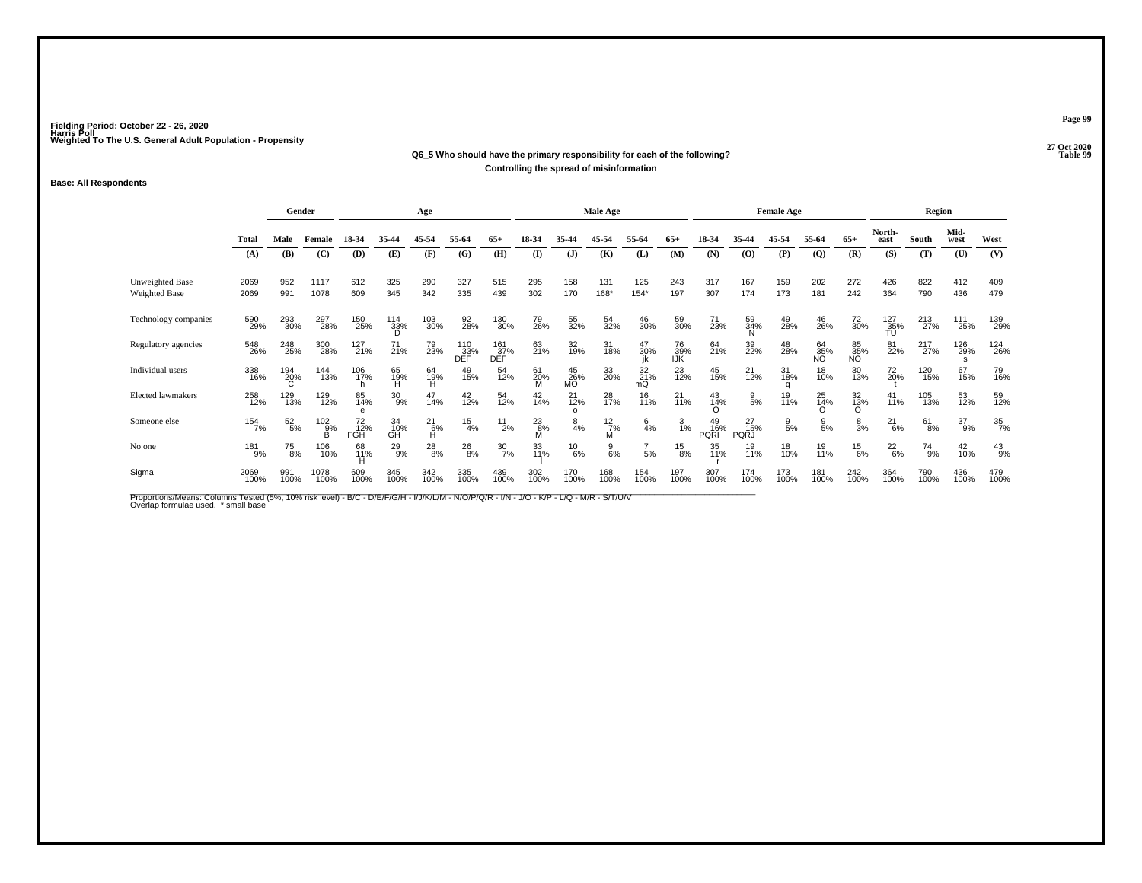#### **27 Oct 2020Q6\_5 Who should have the primary responsibility for each of the following?Properties Table 99 Controlling the spread of misinformation**

#### **Base: All Respondents**

|                                  |              | Gender        |               |                        |                 | Age            |                   |                   |                 |                            | Male Age        |                                                        |                  |                          |                    | <b>Female Age</b> |                   |                 |                  | Region       |                 |                               |
|----------------------------------|--------------|---------------|---------------|------------------------|-----------------|----------------|-------------------|-------------------|-----------------|----------------------------|-----------------|--------------------------------------------------------|------------------|--------------------------|--------------------|-------------------|-------------------|-----------------|------------------|--------------|-----------------|-------------------------------|
|                                  | <b>Total</b> | Male          | Female        | 18-34                  | 35-44           | 45-54          | 55-64             | $65+$             | 18-34           | 35-44                      | 45-54           | 55-64                                                  | $65+$            | 18-34                    | 35-44              | 45-54             | 55-64             | $65+$           | North-<br>east   | South        | Mid-<br>west    | West                          |
|                                  | (A)          | (B)           | (C)           | (D)                    | (E)             | (F)            | (G)               | (H)               | $($ I           | (J)                        | (K)             | (L)                                                    | (M)              | (N)                      | (O)                | (P)               | $\mathbf{Q}$      | (R)             | (S)              | (T)          | (U)             | (V)                           |
| Unweighted Base<br>Weighted Base | 2069<br>2069 | 952<br>991    | 1117<br>1078  | 612<br>609             | 325<br>345      | 290<br>342     | 327<br>335        | 515<br>439        | 295<br>302      | 158<br>170                 | 131<br>168*     | 125<br>$154*$                                          | 243<br>197       | 317<br>307               | 167<br>174         | 159<br>173        | 202<br>181        | 272<br>242      | 426<br>364       | 822<br>790   | 412<br>436      | 409<br>479                    |
| Technology companies             | 590<br>29%   | 293<br>30%    | 297<br>28%    | 150<br>25%             | $^{114}_{33\%}$ | 103<br>30%     | 92<br>28%         | 130<br>30%        | 79<br>26%       | 55<br>32%                  | 54<br>32%       | 46<br>30%                                              | 59<br>30%        | 71<br>23%                | 59<br>34%          | 49<br>28%         | 46<br>26%         | 72<br>30%       | 127<br>35%<br>TU | 213<br>27%   | 111<br>25%      | 139<br>29%                    |
| Regulatory agencies              | 548<br>26%   | 248<br>25%    | 300<br>28%    | 127<br>21%             | $^{71}_{21\%}$  | 79<br>23%      | 110<br>33%<br>DEF | 161<br>37%<br>DEF | 63<br>21%       | 32<br>19%                  | 31<br>18%       | $\begin{array}{c} 47 \\ 30\% \\ \text{ik} \end{array}$ | 76<br>39%<br>IJK | 64<br>21%                | 39<br>22%          | 48<br>28%         | $\frac{64}{35\%}$ | 85<br>35%<br>NO | 81<br>22%        | 217<br>27%   | 126<br>29%<br>s | <sup>124</sup> <sub>26%</sub> |
| Individual users                 | 338<br>16%   | 194<br>20%    | 144<br>13%    | 106<br>17%             | 65<br>19%<br>H  | 64<br>19%<br>H | 49<br>15%         | 54<br>12%         | 61<br>20%       | $^{45}_{26\%}$ MO          | 33<br>20%       | 32<br>21%<br>mQ                                        | $^{23}_{12\%}$   | 45<br>15%                | 21<br>12%          | 31<br>18%         | 18<br>10%         | 30<br>13%       | 72<br>20%        | 120<br>15%   | 67<br>15%       | 79<br>16%                     |
| <b>Elected lawmakers</b>         | 258<br>12%   | 129<br>13%    | 129<br>12%    | 85<br>14%<br>e         | $^{30}_{9\%}$   | 47<br>14%      | 42<br>12%         | 54<br>12%         | $^{42}_{14\%}$  | $^{21}_{12\%}$<br>$\Omega$ | 28<br>17%       | 16<br>11%                                              | $^{21}_{11\%}$   | 43<br>14%<br>Ω           | $\frac{9}{5}$ %    | 19<br>11%         | 25<br>14%<br>O    | 32<br>13%<br>O  | $^{41}_{11\%}$   | 105<br>13%   | 53<br>12%       | 59<br>12%                     |
| Someone else                     | 154<br>7%    | $^{52}_{5\%}$ | $^{102}_{9%}$ | 72 <sub>%</sub><br>FGH | 34<br>10%<br>GH | $^{21}_{6\%}$  | $\frac{15}{4%}$   | $^{11}_{2\%}$     | $^{23}_{8\%}$ M | $\frac{8}{4%}$             | 12/7%           | $\frac{6}{4}$ %                                        | $\frac{3}{1\%}$  | 49<br>16%<br><b>PQRI</b> | 15%<br><b>PQRJ</b> | $\frac{9}{5\%}$   | $\frac{9}{5%}$    | $\frac{8}{3%}$  | $^{21}_{6\%}$    | $61_{8\%}$   | $^{37}_{9\%}$   | $\frac{35}{7\%}$              |
| No one                           | 181<br>9%    | $^{75}_{8\%}$ | 106<br>10%    | 68<br>11%<br>н         | $^{29}_{9\%}$   | $^{28}_{8\%}$  | $^{26}_{8\%}$     | $\frac{30}{7\%}$  | 33<br>11%       | $^{10}_{6\%}$              | $\frac{9}{6\%}$ | $\overline{7}$<br>5%                                   | $^{15}_{8\%}$    | 35<br>11%                | 19<br>11%          | 18<br>10%         | 19<br>11%         | $^{15}_{6\%}$   | $^{22}_{6\%}$    | $^{74}_{9%}$ | 42<br>10%       | $^{43}_{9\%}$                 |
| Sigma                            | 2069<br>100% | 991<br>100%   | 1078<br>100%  | 609<br>100%            | 345<br>100%     | 342<br>100%    | 335<br>100%       | 439<br>100%       | 302<br>100%     | 170<br>100%                | 168<br>100%     | 154<br>100%                                            | 197<br>100%      | 307<br>100%              | 174<br>100%        | 173<br>100%       | 181<br>100%       | 242<br>100%     | 364<br>100%      | 790<br>100%  | 436<br>100%     | 479<br>100%                   |

Proportions/Means: Columns Tested (5%, 10% risk level) - B/C - D/E/F/G/H - I/J/K/L/M - N/O/P/Q/R - I/N - J/O - K/P - L/Q - M/R - S/T/U/V<br>Overlap formulae used. \*small base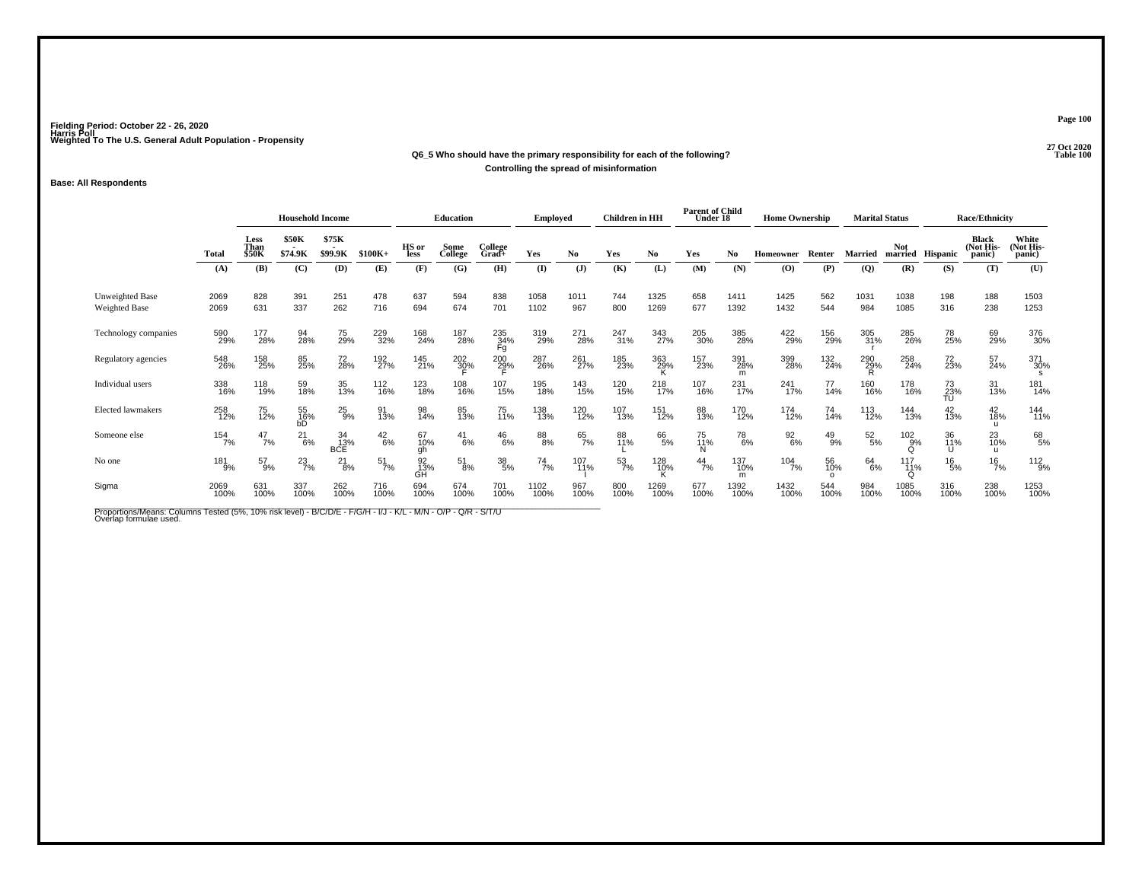## **27 Oct 2020Q6\_5 Who should have the primary responsibility for each of the following?Controlling the spread of misinformation**

### **Base: All Respondents**

|                                         |              | <b>Household Income</b> |                  |                         | <b>Education</b>      |                 | <b>Employed</b> |                  | <b>Children</b> in HH |                | <b>Parent of Child</b><br>Under 18 |              | <b>Home Ownership</b> |                             |                  | <b>Marital Status</b> |                 | <b>Race/Ethnicity</b>  |                  |                                     |                              |
|-----------------------------------------|--------------|-------------------------|------------------|-------------------------|-----------------------|-----------------|-----------------|------------------|-----------------------|----------------|------------------------------------|--------------|-----------------------|-----------------------------|------------------|-----------------------|-----------------|------------------------|------------------|-------------------------------------|------------------------------|
|                                         | <b>Total</b> | Less<br>Than<br>\$50K   | \$50K<br>\$74.9K | \$75K<br>\$99.9K        | $$100K+$              | HS or<br>less   | Some<br>College | College<br>Grad+ | Yes                   | No.            | Yes                                | No           | Yes                   | No                          | Homeowner        | Renter                | <b>Married</b>  | Not.                   | married Hispanic | <b>Black</b><br>(Not His-<br>panic) | White<br>(Not His-<br>panic) |
|                                         | (A)          | (B)                     | (C)              | (D)                     | (E)                   | (F)             | (G)             | (H)              | (I)                   | $(\mathbf{J})$ | (K)                                | (L)          | (M)                   | (N)                         | (O)              | (P)                   | (Q)             | (R)                    | (S)              | (T)                                 | (U)                          |
| Unweighted Base<br><b>Weighted Base</b> | 2069<br>2069 | 828<br>631              | 391<br>337       | 251<br>262              | 478<br>716            | 637<br>694      | 594<br>674      | 838<br>701       | 1058<br>1102          | 1011<br>967    | 744<br>800                         | 1325<br>1269 | 658<br>677            | 1411<br>1392                | 1425<br>1432     | 562<br>544            | 1031<br>984     | 1038<br>1085           | 198<br>316       | 188<br>238                          | 1503<br>1253                 |
| Technology companies                    | 590<br>29%   | 177<br>28%              | 94<br>28%        | 75<br>29%               | 229<br>32%            | 168<br>24%      | 187<br>28%      | 235<br>34%<br>Fg | 319<br>29%            | 271<br>28%     | 247<br>31%                         | 343<br>27%   | 205<br>30%            | 385<br>28%                  | 422<br>29%       | 156<br>29%            | 305<br>31%      | 285<br>26%             | 78<br>25%        | 69<br>29%                           | 376<br>30%                   |
| Regulatory agencies                     | 548<br>26%   | 158<br>25%              | 85<br>25%        | 72<br>28%               | 192<br>27%            | 145<br>21%      | 202<br>30%      | $^{200}_{29\%}$  | 287<br>26%            | 261<br>27%     | 185<br>23%                         | 363<br>29%   | 157<br>23%            | 391<br>28%<br>m             | 399<br>28%       | 132<br>24%            | 290<br>29%<br>R | 258<br>24%             | 72<br>23%        | 57<br>24%                           | 371<br>30%                   |
| Individual users                        | 338<br>16%   | 118<br>19%              | 59<br>18%        | 35<br>13%               | <sup>112</sup><br>16% | 123<br>18%      | 108<br>16%      | 107<br>15%       | 195<br>18%            | 143<br>15%     | 120<br>15%                         | 218<br>17%   | 107<br>16%            | 231<br>17%                  | 241<br>17%       | 77<br>14%             | 160<br>16%      | 178<br>16%             | 73<br>23%<br>TU  | 31<br>13%                           | 181<br>14%                   |
| <b>Elected lawmakers</b>                | 258<br>12%   | 75<br>12%               | 55<br>16%<br>bD  | $^{25}_{9%}$            | 91<br>13%             | 98<br>14%       | 85<br>13%       | 75<br>11%        | 138<br>13%            | 120<br>12%     | 107<br>13%                         | 151<br>12%   | 88<br>13%             | 170<br>12%                  | 174<br>12%       | 74<br>14%             | 113<br>12%      | 144<br>13%             | 42<br>13%        | 42<br>18%<br>u                      | 144<br>11%                   |
| Someone else                            | 154<br>7%    | $^{47}_{7\%}$           | $^{21}_{6\%}$    | 34<br>13%<br><b>BCE</b> | $^{42}_{6\%}$         | 67<br>10%<br>ah | $^{41}_{6\%}$   | $^{46}_{6\%}$    | $88\!\!\%$            | 65<br>7%       | 88<br>11%                          | 66<br>5%     | 75<br>11%             | <sup>78</sup> <sub>6%</sub> | $\frac{92}{6\%}$ | $^{49}_{9\%}$         | $^{52}_{\ 5\%}$ | 102%<br>∩              | 36<br>11%        | 23<br>10%<br>u                      | 68<br>5%                     |
| No one                                  | 181<br>9%    | $^{57}_{9\%}$           | $^{23}_{7\%}$    | $^{21}_{8\%}$           | $\frac{51}{7\%}$      | 92<br>13%<br>GĤ | $^{51}_{8\%}$   | $^{38}_{\ 5\%}$  | $^{74}_{7\%}$         | 107<br>11%     | $\frac{53}{7\%}$                   | 128<br>10%   | $^{44}_{7\%}$         | 137<br>10%<br>m             | $104 \atop 7\%$  | 56<br>10%<br>$\Omega$ | 64<br>6%        | 117<br>11%<br>$\Omega$ | $^{16}_{5\%}$    | $^{16}_{7\%}$                       | $112_{9\%}$                  |
| Sigma                                   | 2069<br>100% | 631<br>100%             | 337<br>100%      | 262<br>100%             | 716<br>100%           | 694<br>100%     | 674<br>100%     | 701<br>100%      | 1102<br>100%          | 967<br>100%    | 800<br>100%                        | 1269<br>100% | 677<br>100%           | 1392<br>100%                | 1432<br>100%     | 544<br>100%           | 984<br>100%     | 1085<br>100%           | 316<br>100%      | 238<br>100%                         | 1253<br>100%                 |

Proportions/Means: Columns Tested (5%, 10% risk level) - B/C/D/E - F/G/H - I/J - K/L - M/N - O/P - Q/R - S/T/U<br>Overlap formulae used.

**Page 100**

27 Oct 2020<br>Table 100 **Table 100**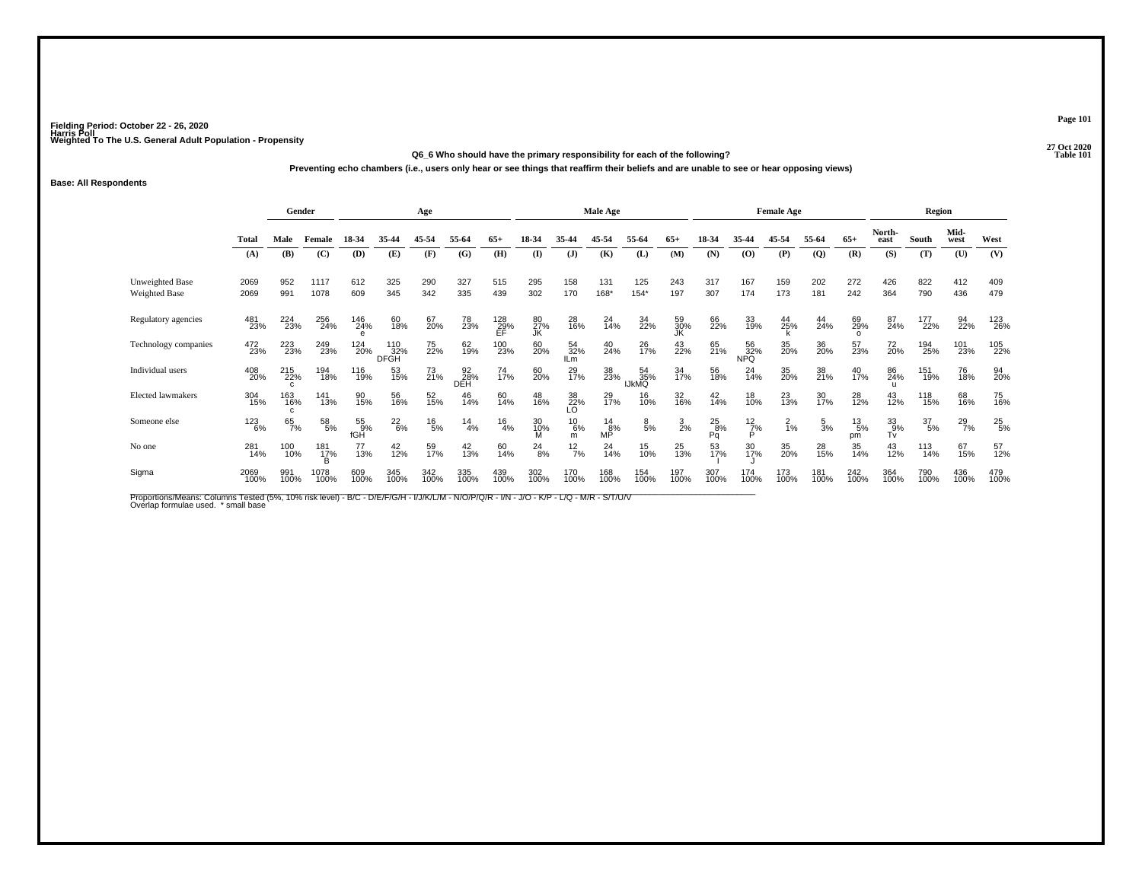#### **27 Oct 2020Q6\_6 Who should have the primary responsibility for each of the following?P** Table 101

**Preventing echo chambers (i.e., users only hear or see things that reaffirm their beliefs and are unable to see or hear opposing views)**

#### **Base: All Respondents**

|                                  |              | Gender             |                     |                      |                    | Age           |                  |                  |                 |                    | Male Age            |                           |                 |                     |                         | <b>Female Age</b> |                 |                       |                | Region           |               |               |
|----------------------------------|--------------|--------------------|---------------------|----------------------|--------------------|---------------|------------------|------------------|-----------------|--------------------|---------------------|---------------------------|-----------------|---------------------|-------------------------|-------------------|-----------------|-----------------------|----------------|------------------|---------------|---------------|
|                                  | <b>Total</b> | Male               | Female              | 18-34                | 35-44              | 45-54         | 55-64            | $65+$            | 18-34           | 35-44              | 45-54               | 55-64                     | $65+$           | 18-34               | 35-44                   | 45-54             | 55-64           | $65+$                 | North-<br>east | South            | Mid-<br>west  | West          |
|                                  | (A)          | (B)                | (C)                 | (D)                  | (E)                | (F)           | (G)              | (H)              | $($ I           | (J)                | (K)                 | (L)                       | (M)             | (N)                 | (O)                     | (P)               | $\mathbf{Q}$    | (R)                   | (S)            | (T)              | (U)           | (V)           |
| Unweighted Base<br>Weighted Base | 2069<br>2069 | 952<br>991         | 1117<br>1078        | 612<br>609           | 325<br>345         | 290<br>342    | 327<br>335       | 515<br>439       | 295<br>302      | 158<br>170         | 131<br>168*         | 125<br>$154*$             | 243<br>197      | 317<br>307          | 167<br>174              | 159<br>173        | 202<br>181      | 272<br>242            | 426<br>364     | 822<br>790       | 412<br>436    | 409<br>479    |
| Regulatory agencies              | 481<br>23%   | 224<br>23%         | 256<br>24%          | 146<br>24%           | 60<br>18%          | 67<br>20%     | 78<br>23%        | 128<br>29%<br>EF | 80<br>27%<br>JK | 28<br>16%          | $^{24}_{14\%}$      | 34<br>22%                 | 59<br>30%<br>JK | 66<br>22%           | 33<br>19%               | 44<br>25%         | 44<br>24%       | 69<br>29%<br>$\Omega$ | 87<br>24%      | 177<br>22%       | 94<br>22%     | 123<br>26%    |
| Technology companies             | 472<br>23%   | 223<br>23%         | 249<br>23%          | 124<br>20%           | 110<br>32%<br>DFGH | 75<br>22%     | 62<br>19%        | 100<br>23%       | 60<br>20%       | 54<br>32%<br>ILm   | 40<br>24%           | 26<br>17%                 | 43<br>22%       | 65<br>21%           | 56<br>32%<br><b>NPQ</b> | 35<br>20%         | 36<br>20%       | 57<br>23%             | 72<br>20%      | 194<br>25%       | 101<br>23%    | 105<br>22%    |
| Individual users                 | 408<br>20%   | 215<br>22%         | 194<br>18%          | 116<br>19%           | 53<br>15%          | 73<br>21%     | 92<br>28%<br>DEH | 74<br>17%        | 60<br>20%       | 29<br>17%          | 38<br>23%           | 54<br>35%<br><b>IJKMQ</b> | 34<br>17%       | 56<br>18%           | 24<br>14%               | 35<br>20%         | 38<br>21%       | 40<br>17%             | 86<br>24%      | 151<br>19%       | 76<br>18%     | 94<br>20%     |
| <b>Elected lawmakers</b>         | 304<br>15%   | 163<br>16%         | 141<br>13%          | 90<br>15%            | 56<br>16%          | 52<br>15%     | 46<br>14%        | 60<br>14%        | 48<br>16%       | 38<br>22%<br>LO    | 29<br>17%           | 16<br>10%                 | 32<br>16%       | 42<br>14%           | 18<br>10%               | 23<br>13%         | 30<br>17%       | 28<br>12%             | 43<br>12%      | 118<br>15%       | 68<br>16%     | 75<br>16%     |
| Someone else                     | 123<br>6%    | $65$ <sub>7%</sub> | $\frac{58}{5\%}$    | $^{55}_{9\%}$<br>fGH | $^{22}_{6\%}$      | $^{16}_{5\%}$ | $^{14}_{4\%}$    | $^{16}_{4\%}$    | 30<br>10%<br>M  | $^{10}_{6\%}$<br>m | $^{14}_{8\%}$<br>ΜP | $\frac{8}{5\%}$           | $\frac{3}{2}$ % | $^{25}_{8\%}$<br>Pq | $\frac{12}{7\%}$<br>Þ   | $^{2}_{1\%}$      | $\frac{5}{3}$ % | $^{13}_{5\%}$<br>pm   | 33<br>0%<br>Tv | $\frac{37}{5\%}$ | $^{29}_{7\%}$ | $^{25}_{5\%}$ |
| No one                           | 281<br>14%   | 100<br>10%         | 181<br>1 <u>7</u> % | 77<br>13%            | 42<br>12%          | 59<br>17%     | 42<br>13%        | 60<br>14%        | $^{24}_{8\%}$   | $12\frac{2}{7}$ %  | $^{24}_{14\%}$      | 15<br>10%                 | 25<br>13%       | 53<br>17%           | 30<br>17%               | 35<br>20%         | 28<br>15%       | 35<br>14%             | 43<br>12%      | 113<br>14%       | 67<br>15%     | 57<br>12%     |
| Sigma                            | 2069<br>100% | 991<br>100%        | 1078<br>100%        | 609<br>100%          | 345<br>100%        | 342<br>100%   | 335<br>100%      | 439<br>100%      | 302<br>100%     | 170<br>100%        | 168<br>100%         | 154<br>100%               | 197<br>100%     | 307<br>100%         | 174<br>100%             | 173<br>100%       | 181<br>100%     | 242<br>100%           | 364<br>100%    | 790<br>100%      | 436<br>100%   | 479<br>100%   |

Proportions/Means: Columns Tested (5%, 10% risk level) - B/C - D/E/F/G/H - I/J/K/L/M - N/O/P/Q/R - I/N - J/O - K/P - L/Q - M/R - S/T/U/V<br>Overlap formulae used. \*small base

**Page 101**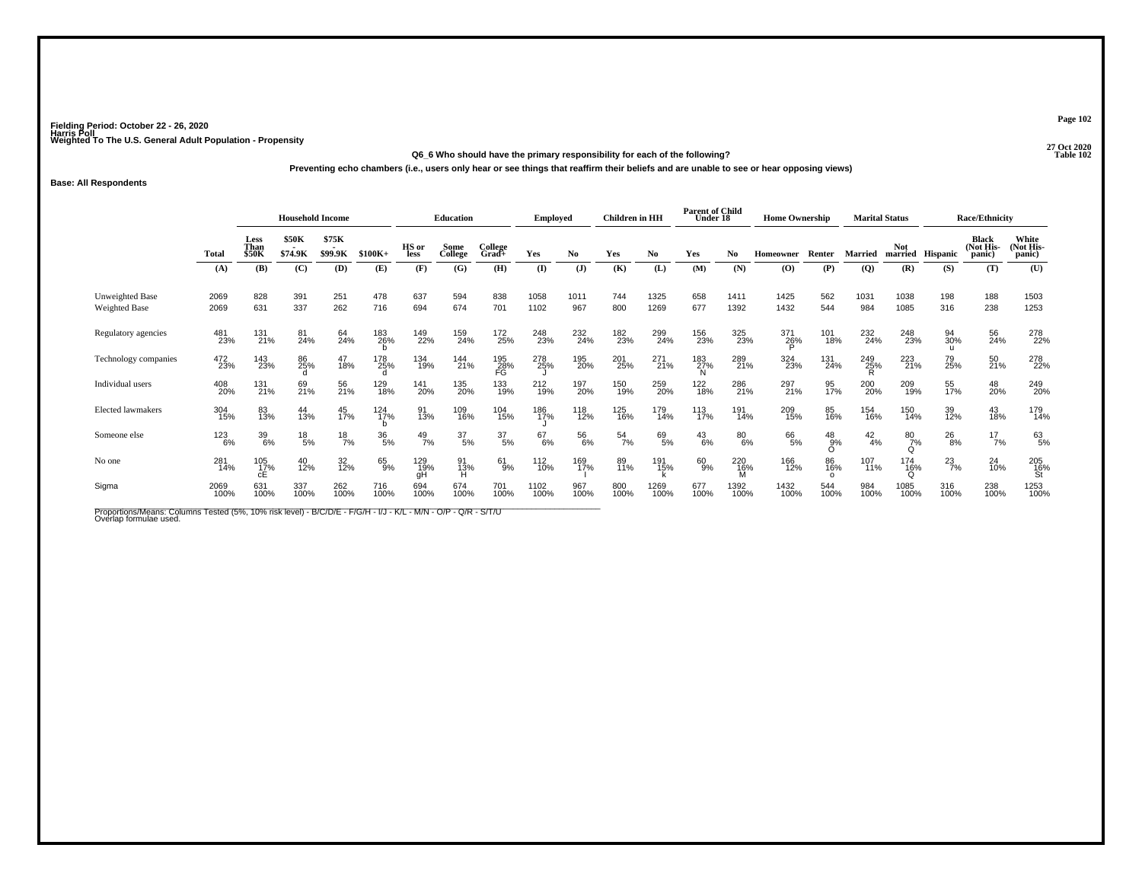**27 Oct 2020Q6\_6 Who should have the primary responsibility for each of the following?Preventing echo chambers (i.e., users only hear or see things that reaffirm their beliefs and are unable to see or hear opposing views)**

### **Base: All Respondents**

|                                  |              | <b>Household Income</b><br>\$75K<br><b>\$50K</b><br>Less |                 |             |                    | Education        |                  | <b>Employed</b>  |              | <b>Children</b> in HH |                  | <b>Parent of Child</b><br>Under 18 |               | <b>Home Ownership</b> |              | <b>Marital Status</b>    |                    |                           | <b>Race/Ethnicity</b> |                                     |                                      |
|----------------------------------|--------------|----------------------------------------------------------|-----------------|-------------|--------------------|------------------|------------------|------------------|--------------|-----------------------|------------------|------------------------------------|---------------|-----------------------|--------------|--------------------------|--------------------|---------------------------|-----------------------|-------------------------------------|--------------------------------------|
|                                  | <b>Total</b> | Than<br><b>\$50K</b>                                     | \$74.9K         | \$99.9K     | $$100K+$           | HS or<br>less    | Some<br>College  | College<br>Grad+ | Yes          | No.                   | Yes              | No                                 | Yes           | No.                   | Homeowner    | Renter                   | <b>Married</b>     | Not                       | married Hispanic      | <b>Black</b><br>(Not His-<br>panic) | White<br>(Not His-<br>panic)         |
|                                  | (A)          | (B)                                                      | (C)             | (D)         | (E)                | (F)              | (G)              | (H)              | (I)          | $(\mathbf{J})$        | (K)              | (L)                                | (M)           | (N)                   | (O)          | (P)                      | $\overline{Q}$     | (R)                       | (S)                   | (T)                                 | (U)                                  |
| Unweighted Base<br>Weighted Base | 2069<br>2069 | 828<br>631                                               | 391<br>337      | 251<br>262  | 478<br>716         | 637<br>694       | 594<br>674       | 838<br>701       | 1058<br>1102 | 1011<br>967           | 744<br>800       | 1325<br>1269                       | 658<br>677    | 1411<br>1392          | 1425<br>1432 | 562<br>544               | 1031<br>984        | 1038<br>1085              | 198<br>316            | 188<br>238                          | 1503<br>1253                         |
| Regulatory agencies              | 481<br>23%   | 131<br>21%                                               | 81<br>24%       | 64<br>24%   | 183<br>26%         | 149<br>22%       | 159<br>24%       | 172<br>25%       | 248<br>23%   | 232<br>24%            | 182<br>23%       | 299<br>24%                         | 156<br>23%    | 325<br>23%            | 371<br>26%   | 101<br>18%               | 232<br>24%         | 248<br>23%                | 94<br>30%             | 56<br>24%                           | 278<br>22%                           |
| Technology companies             | 472<br>23%   | 143<br>23%                                               | 86<br>25%       | 47<br>18%   | 178<br>25%         | 134<br>19%       | 144<br>21%       | 195<br>28%<br>FG | 278<br>25%   | 195<br>20%            | 201<br>25%       | 271<br>21%                         | 183<br>27%    | 289<br>21%            | 324<br>23%   | 131<br>24%               | $\frac{249}{25\%}$ | 223<br>21%                | 79<br>25%             | 50<br>21%                           | 278<br>22%                           |
| Individual users                 | 408<br>20%   | 131<br>21%                                               | 69<br>21%       | 56<br>21%   | 129<br>18%         | 141<br>20%       | 135<br>20%       | 133<br>19%       | 212<br>19%   | 197<br>20%            | 150<br>19%       | 259<br>20%                         | 122<br>18%    | 286<br>21%            | 297<br>21%   | 95<br>17%                | 200<br>20%         | 209<br>19%                | 55<br>17%             | 48<br>20%                           | 249<br>20%                           |
| <b>Elected lawmakers</b>         | 304<br>15%   | 83<br>13%                                                | 44<br>13%       | 45<br>17%   | $\frac{124}{17\%}$ | 91<br>13%        | 109<br>16%       | 104<br>15%       | 186<br>17%   | 118<br>12%            | 125<br>16%       | 179<br>14%                         | 113<br>17%    | 191<br>14%            | 209<br>15%   | 85<br>16%                | 154<br>16%         | 150<br>14%                | 39<br>12%             | $^{43}_{18\%}$                      | 179<br>14%                           |
| Someone else                     | 123<br>6%    | 39<br>6%                                                 | $^{18}_{\ 5\%}$ | 18/7%       | $^{36}_{5\%}$      | $^{49}_{7\%}$    | $\frac{37}{5\%}$ | $\frac{37}{5\%}$ | 67<br>6%     | 56<br>6%              | $\frac{54}{7\%}$ | 69<br>5%                           | $^{43}_{6\%}$ | $^{80}_{6\%}$         | 66<br>5%     | $^{48}_{9%}$<br>$\Omega$ | $^{42}_{4\%}$      | $^{80}_{7\%}$<br>$\Omega$ | $^{26}_{8\%}$         | $^{17}_{7\%}$                       | 63<br>5%                             |
| No one                           | 281<br>14%   | 105<br>17%<br>сE                                         | 40<br>12%       | 32<br>12%   | 65%                | 129<br>19%<br>gН | 91<br>13%<br>н   | $^{61}_{9\%}$    | 112<br>10%   | 169<br>17%            | 89<br>11%        | 191<br>15%                         | 60<br>9%      | 220<br>16%            | 166<br>12%   | 86<br>16%<br>$\Omega$    | 107<br>11%         | 174<br>16%<br>$\Omega$    | $^{23}_{7\%}$         | 24<br>10%                           | $^{205}_{\substack{16\% \\ \rm St}}$ |
| Sigma                            | 2069<br>100% | 631<br>100%                                              | 337<br>100%     | 262<br>100% | 716<br>100%        | 694<br>100%      | 674<br>100%      | 701<br>100%      | 1102<br>100% | 967<br>100%           | 800<br>100%      | 1269<br>100%                       | 677<br>100%   | 1392<br>100%          | 1432<br>100% | 544<br>100%              | 984<br>100%        | 1085<br>100%              | 316<br>100%           | 238<br>100%                         | 1253<br>100%                         |

Proportions/Means: Columns Tested (5%, 10% risk level) - B/C/D/E - F/G/H - I/J - K/L - M/N - O/P - Q/R - S/T/U<br>Overlap formulae used.

**Page 102**

27 Oct 2020<br>Table 102 **Table 102**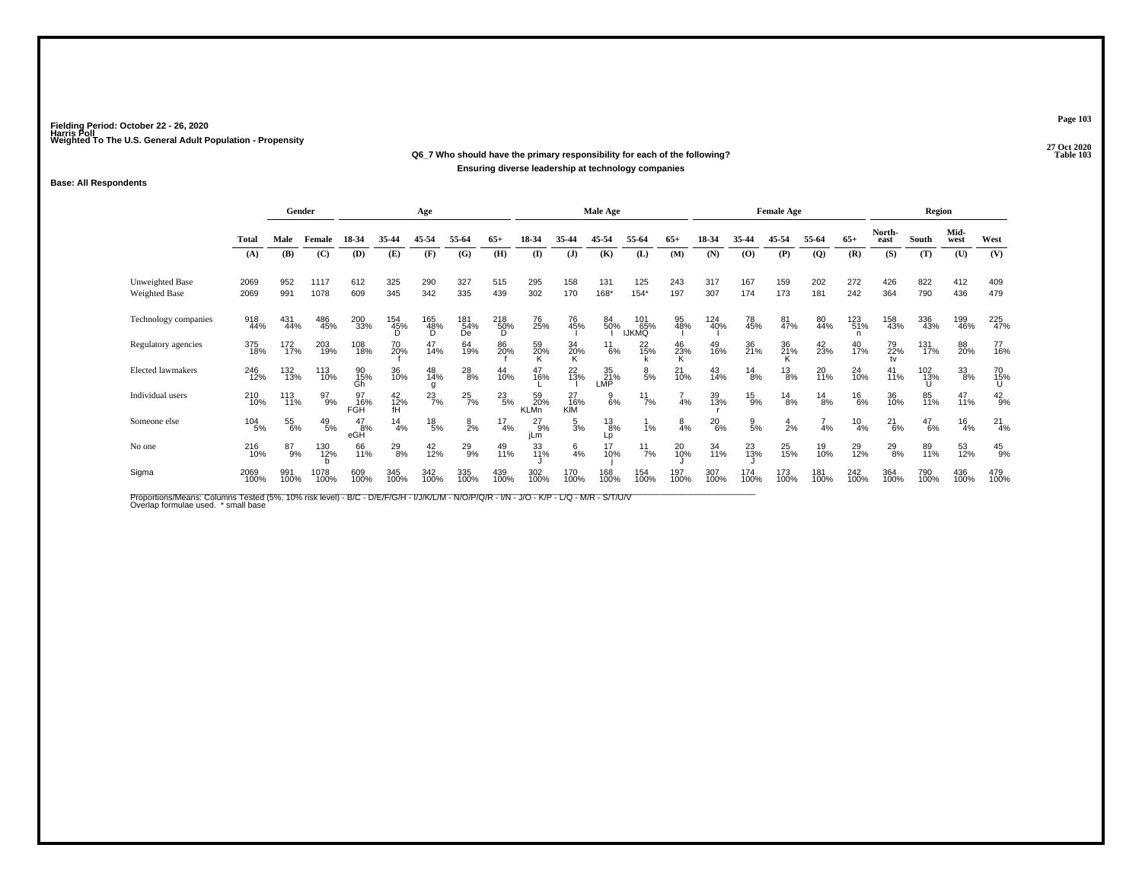#### **27 Oct 2020Q6\_7 Who should have the primary responsibility for each of the following? Table 103 Ensuring diverse leadership at technology companies**

#### **Base: All Respondents**

|                                  |                 | Gender      |                 |                      |                 | Age             |                  |                               |                          |                  | Male Age            |                            |                |               |                | <b>Female Age</b> |                |                 |                 | Region        |               |               |
|----------------------------------|-----------------|-------------|-----------------|----------------------|-----------------|-----------------|------------------|-------------------------------|--------------------------|------------------|---------------------|----------------------------|----------------|---------------|----------------|-------------------|----------------|-----------------|-----------------|---------------|---------------|---------------|
|                                  | <b>Total</b>    | Male        | Female          | 18-34                | 35-44           | 45-54           | 55-64            | $65+$                         | 18-34                    | 35-44            | 45-54               | 55-64                      | $65+$          | 18-34         | 35-44          | 45-54             | 55-64          | $65+$           | North-<br>east  | South         | Mid-<br>west  | West          |
|                                  | (A)             | (B)         | (C)             | (D)                  | (E)             | (F)             | (G)              | (H)                           | $($ I                    | (J)              | (K)                 | (L)                        | (M)            | (N)           | (O)            | (P)               | $\mathbf{Q}$   | (R)             | (S)             | (T)           | (U)           | (V)           |
| Unweighted Base<br>Weighted Base | 2069<br>2069    | 952<br>991  | 1117<br>1078    | 612<br>609           | 325<br>345      | 290<br>342      | 327<br>335       | 515<br>439                    | 295<br>302               | 158<br>170       | 131<br>168*         | 125<br>$154*$              | 243<br>197     | 317<br>307    | 167<br>174     | 159<br>173        | 202<br>181     | 272<br>242      | 426<br>364      | 822<br>790    | 412<br>436    | 409<br>479    |
| Technology companies             | 918<br>44%      | 431<br>44%  | 486<br>45%      | 200<br>33%           | 154<br>45%      | 165<br>48%<br>Ď | 181<br>54%<br>De | $^{218}_{\substack{50\%\\D}}$ | 76<br>25%                | 76<br>45%        | 84<br>50%           | 101<br>65%<br><b>IJKMQ</b> | 95<br>48%      | 124<br>40%    | 78<br>45%      | 81<br>47%         | 80<br>44%      | 123<br>51%<br>n | 158<br>43%      | 336<br>43%    | 199<br>46%    | 225<br>47%    |
| Regulatory agencies              | 375<br>18%      | 172<br>17%  | 203<br>19%      | 108<br>18%           | 70<br>20%       | 47<br>14%       | 64<br>19%        | 86<br>20%                     | 59<br>20%                | 34<br>20%<br>K   | $^{11}_{6\%}$       | 22<br>15%                  | 46<br>23%<br>K | 49<br>16%     | 36<br>21%      | 36<br>21%         | $^{42}_{23\%}$ | 40<br>17%       | 79<br>22%<br>tv | 131<br>17%    | 88<br>20%     | 77<br>16%     |
| <b>Elected lawmakers</b>         | 246<br>12%      | 132<br>13%  | 113<br>10%      | 90<br>15%<br>Gĥ      | 36<br>10%       | 48<br>14%<br>g  | $^{28}_{8\%}$    | 44<br>10%                     | 47<br>16%                | $^{22}_{13\%}$   | 35<br>21%<br>LMP    | $\frac{8}{5%}$             | $^{21}_{10\%}$ | 43<br>14%     | $^{14}_{8\%}$  | $^{13}_{8\%}$     | 20<br>11%      | $^{24}_{10\%}$  | 41<br>11%       | 102<br>13%    | $33\over 8%$  | 70<br>15%     |
| Individual users                 | 210<br>10%      | 113<br>11%  | 97<br>9%        | 97<br>16%<br>FGH     | 42<br>12%<br>fH | $^{23}_{7\%}$   | $^{25}_{7\%}$    | $^{23}_{5\%}$                 | 59<br>20%<br><b>KLMn</b> | 27<br>16%<br>KIM | $\frac{9}{6\%}$     | $^{11}_{7\%}$              | 4%             | 39<br>13%     | $^{15}_{9\%}$  | $^{14}_{8\%}$     | $^{14}_{8\%}$  | $^{16}_{6\%}$   | 36<br>10%       | 85<br>11%     | 47<br>11%     | $^{42}_{9%}$  |
| Someone else                     | $^{104}_{-5\%}$ | 55<br>6%    | $^{49}_{\ 5\%}$ | $^{47}_{8\%}$<br>eGH | $^{14}_{4\%}$   | $^{18}_{\ 5\%}$ | $\frac{8}{2%}$   | $^{17}_{4\%}$                 | $^{27}_{9%}$<br>jLm      | $\frac{5}{3}$ %  | $^{13}_{8\%}$<br>Lp | 1%                         | $\frac{8}{4%}$ | $^{20}_{6\%}$ | $\frac{9}{5%}$ | $\frac{4}{2%}$    | 4%             | $^{10}_{4\%}$   | $^{21}_{6\%}$   | $^{47}_{6\%}$ | $^{16}_{4\%}$ | $^{21}_{4%}$  |
| No one                           | 216<br>10%      | 87<br>9%    | 130<br>12%      | 66<br>11%            | $^{29}_{8\%}$   | 42<br>12%       | 29<br>9%         | 49<br>11%                     | 33<br>11%                | $\frac{6}{4}$ %  | 17<br>10%           | $^{11}_{7\%}$              | 20<br>10%      | 34<br>11%     | 23<br>13%      | 25<br>15%         | 19<br>10%      | 29<br>12%       | $^{29}_{8\%}$   | 89<br>11%     | 53<br>12%     | $^{45}_{9\%}$ |
| Sigma                            | 2069<br>100%    | 991<br>100% | 1078<br>100%    | 609<br>100%          | 345<br>100%     | 342<br>100%     | 335<br>100%      | 439<br>100%                   | 302<br>100%              | 170<br>100%      | 168<br>100%         | 154<br>100%                | 197<br>100%    | 307<br>100%   | 174<br>100%    | 173<br>100%       | 181<br>100%    | 242<br>100%     | 364<br>100%     | 790<br>100%   | 436<br>100%   | 479<br>100%   |

Proportions/Means: Columns Tested (5%, 10% risk level) - B/C - D/E/F/G/H - I/J/K/L/M - N/O/P/Q/R - I/N - J/O - K/P - L/Q - M/R - S/T/U/V<br>Overlap formulae used. \*small base

**Page 103**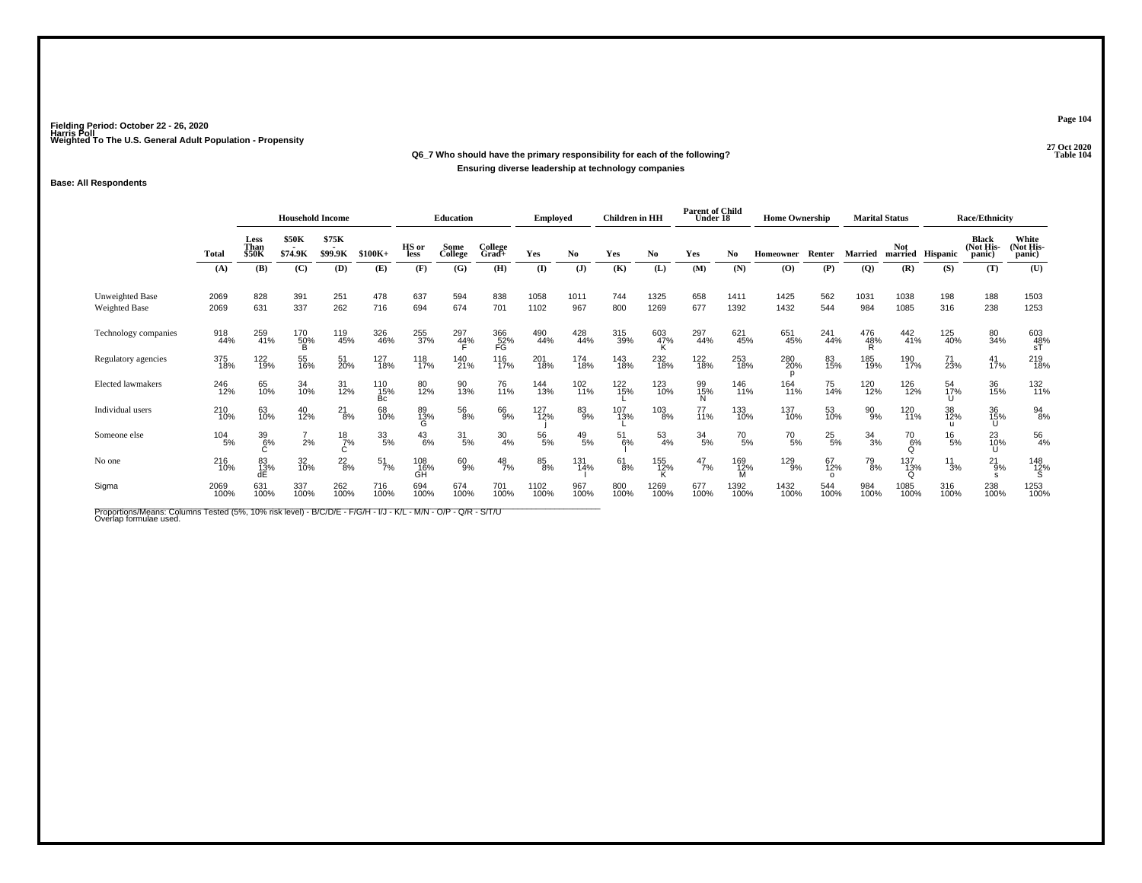## **27 Oct 2020Q6\_7 Who should have the primary responsibility for each of the following?Ensuring diverse leadership at technology companies**

### **Base: All Respondents**

|                                         |                 | <b>Household Income</b>      |                  |                  |                  | <b>Education</b> |                  | <b>Employed</b>  |               | <b>Children</b> in HH |               | <b>Parent of Child</b><br>Under 18 |                | <b>Home Ownership</b> |                 |                       | <b>Marital Status</b> |                                  | <b>Race/Ethnicity</b> |                                     |                              |
|-----------------------------------------|-----------------|------------------------------|------------------|------------------|------------------|------------------|------------------|------------------|---------------|-----------------------|---------------|------------------------------------|----------------|-----------------------|-----------------|-----------------------|-----------------------|----------------------------------|-----------------------|-------------------------------------|------------------------------|
|                                         | <b>Total</b>    | Less<br>Than<br><b>\$50K</b> | \$50K<br>\$74.9K | \$75K<br>\$99.9K | $$100K+$         | HS or<br>less    | Some<br>College  | College<br>Grad+ | Yes           | No                    | Yes           | No                                 | Yes            | No                    | Homeowner       | Renter                | <b>Married</b>        | Not.<br>married                  | Hispanic              | <b>Black</b><br>(Not His-<br>panic) | White<br>(Not His-<br>panic) |
|                                         | (A)             | (B)                          | (C)              | (D)              | (E)              | (F)              | (G)              | (H)              | (I)           | $(\mathbf{J})$        | (K)           | (L)                                | (M)            | (N)                   | (O)             | (P)                   | (Q)                   | (R)                              | (S)                   | (T)                                 | (U)                          |
| Unweighted Base<br><b>Weighted Base</b> | 2069<br>2069    | 828<br>631                   | 391<br>337       | 251<br>262       | 478<br>716       | 637<br>694       | 594<br>674       | 838<br>701       | 1058<br>1102  | 1011<br>967           | 744<br>800    | 1325<br>1269                       | 658<br>677     | 1411<br>1392          | 1425<br>1432    | 562<br>544            | 1031<br>984           | 1038<br>1085                     | 198<br>316            | 188<br>238                          | 1503<br>1253                 |
| Technology companies                    | 918<br>44%      | 259<br>41%                   | 170<br>50%       | 119<br>45%       | 326<br>46%       | 255<br>37%       | 297<br>44%       | 366<br>52%<br>FG | 490<br>44%    | 428<br>44%            | 315<br>39%    | 603<br>47%                         | 297<br>44%     | 621<br>45%            | 651<br>45%      | 241<br>44%            | 476<br>48%            | 442<br>41%                       | 125<br>40%            | 80<br>34%                           | 603<br>48%<br>sT             |
| Regulatory agencies                     | 375<br>18%      | 122 <sub>0%</sub>            | 55<br>16%        | 51<br>20%        | 127<br>18%       | 118<br>17%       | 140<br>21%       | 116<br>17%       | 201<br>18%    | 174<br>18%            | 143<br>18%    | 232<br>18%                         | 122<br>18%     | 253<br>18%            | 280<br>20%<br>p | 83<br>15%             | 185<br>19%            | 190<br>17%                       | 71<br>23%             | $^{41}_{17\%}$                      | 219<br>18%                   |
| <b>Elected lawmakers</b>                | 246<br>12%      | 65<br>10%                    | 34<br>10%        | 31<br>12%        | 110<br>15%<br>Bc | 80<br>12%        | 90<br>13%        | 76<br>11%        | 144<br>13%    | 102<br>11%            | 122<br>15%    | 123<br>10%                         | 99<br>15%<br>N | 146<br>11%            | 164<br>11%      | 75<br>14%             | 120<br>12%            | 126<br>12%                       | 54<br>17%             | 36<br>15%                           | 132<br>11%                   |
| Individual users                        | 210<br>10%      | 63<br>10%                    | 40<br>12%        | $^{21}_{8\%}$    | 68<br>10%        | 89<br>13%<br>G   | $^{56}_{8\%}$    | 66<br>9%         | 127<br>12%    | 83<br>9%              | 107<br>13%    | $^{103}_{8\%}$                     | 77<br>11%      | 133<br>10%            | 137<br>10%      | 53<br>10%             | 90%                   | 120<br>11%                       | 38<br>12%             | 36<br>15%<br>U                      | $^{94}_{8\%}$                |
| Someone else                            | $^{104}_{-5\%}$ | 39<br>6%                     | 2%               | $^{18}_{7\%}$    | 33/5%            | $^{43}_{6\%}$    | $\frac{31}{5\%}$ | $\frac{30}{4\%}$ | $^{56}_{5\%}$ | $^{49}_{\ 5\%}$       | 51<br>6%      | $\frac{53}{4\%}$                   | 34/5%          | $^{70}_{5\%}$         | $^{70}_{\ 5\%}$ | $^{25}_{5\%}$         | $34_{3\%}$            | <sup>70</sup> <sub>6%</sub><br>Q | $^{16}_{\ 5\%}$       | 23<br>10%<br>U                      | 56<br>4%                     |
| No one                                  | 216<br>10%      | 83<br>13%                    | 32<br>10%        | $^{22}_{8\%}$    | $\frac{51}{7\%}$ | 108<br>16%<br>GH | 60<br>9%         | $^{48}_{7\%}$    | 85<br>8%      | 131<br>14%            | $^{61}_{8\%}$ | 155<br>12%                         | $^{47}_{7\%}$  | 169<br>12%            | 129<br>9%       | 67<br>12%<br>$\Omega$ | $^{79}_{8\%}$         | 137<br>13%<br>$\Omega$           | $^{11}_{3\%}$         | $^{21}_{9\%}$                       | 148<br>12%<br>S              |
| Sigma                                   | 2069<br>100%    | 631<br>100%                  | 337<br>100%      | 262<br>100%      | 716<br>100%      | 694<br>100%      | 674<br>100%      | 701<br>100%      | 1102<br>100%  | 967<br>100%           | 800<br>100%   | 1269<br>100%                       | 677<br>100%    | 1392<br>100%          | 1432<br>100%    | 544<br>100%           | 984<br>100%           | 1085<br>100%                     | 316<br>100%           | 238<br>100%                         | 1253<br>100%                 |

Proportions/Means: Columns Tested (5%, 10% risk level) - B/C/D/E - F/G/H - I/J - K/L - M/N - O/P - Q/R - S/T/U<br>Overlap formulae used.

**Page 104**

27 Oct 2020<br>Table 104 **Table 104**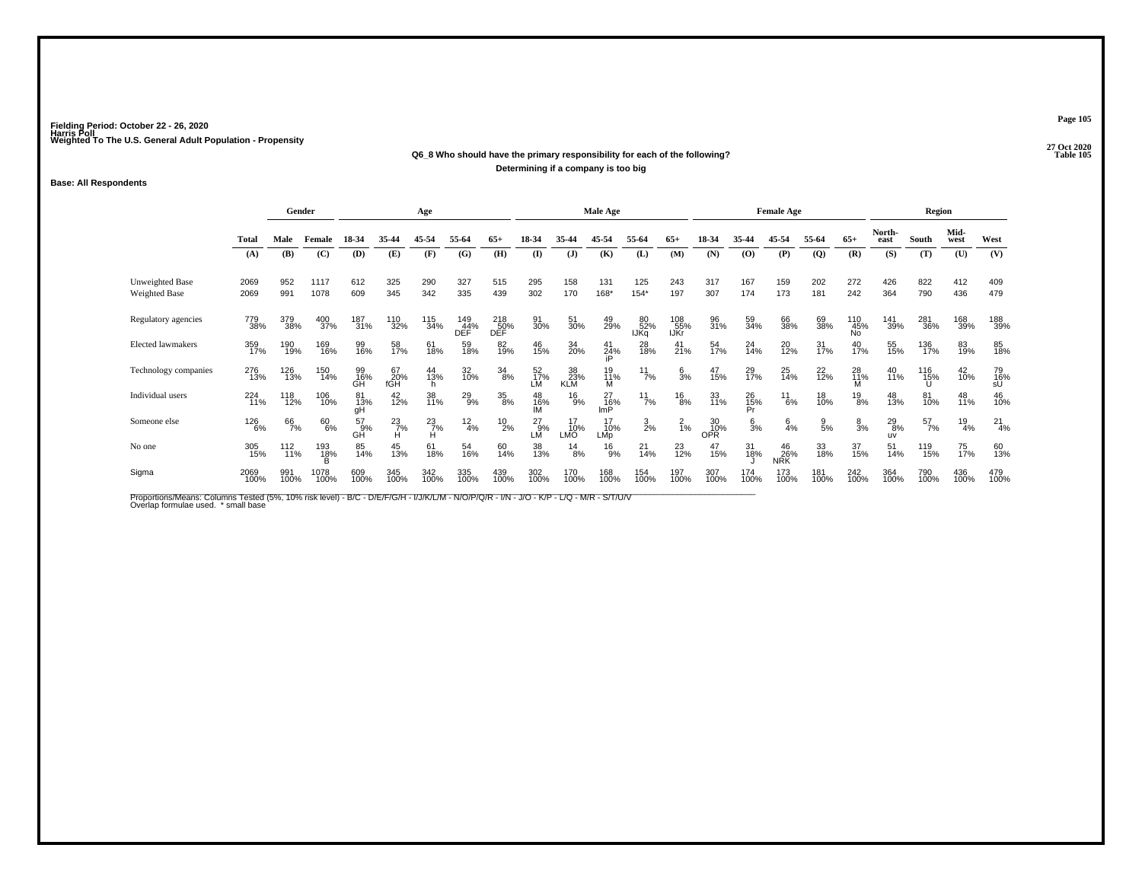#### **27 Oct 2020Q6\_8 Who should have the primary responsibility for each of the following? Table 105 Determining if a company is too big**

#### **Base: All Respondents**

|                                  |              | Gender          |                 |                     |                    | Age              |                   |                   |                    |                  | Male Age               |                   |                    |                  |                 | <b>Female Age</b>  |                 |                         |                            | Region          |               |                 |
|----------------------------------|--------------|-----------------|-----------------|---------------------|--------------------|------------------|-------------------|-------------------|--------------------|------------------|------------------------|-------------------|--------------------|------------------|-----------------|--------------------|-----------------|-------------------------|----------------------------|-----------------|---------------|-----------------|
|                                  | Total        | Male            | Female          | 18-34               | 35-44              | 45-54            | 55-64             | $65+$             | 18-34              | 35-44            | 45-54                  | 55-64             | $65+$              | 18-34            | 35-44           | 45-54              | 55-64           | $65+$                   | North-<br>east             | South           | Mid-<br>west  | West            |
|                                  | (A)          | (B)             | (C)             | (D)                 | (E)                | (F)              | (G)               | (H)               | $($ $\Gamma$       | (J)              | (K)                    | (L)               | (M)                | (N)              | (0)             | (P)                | $\overline{Q}$  | (R)                     | (S)                        | (T)             | (U)           | (V)             |
| Unweighted Base<br>Weighted Base | 2069<br>2069 | 952<br>991      | 1117<br>1078    | 612<br>609          | 325<br>345         | 290<br>342       | 327<br>335        | 515<br>439        | 295<br>302         | 158<br>170       | 131<br>168*            | 125<br>$154*$     | 243<br>197         | 317<br>307       | 167<br>174      | 159<br>173         | 202<br>181      | 272<br>242              | 426<br>364                 | 822<br>790      | 412<br>436    | 409<br>479      |
| Regulatory agencies              | 779<br>38%   | 379<br>38%      | 400<br>37%      | 187<br>31%          | 110<br>32%         | 115<br>34%       | 149<br>44%<br>DEF | 218<br>50%<br>DĚĚ | 91<br>30%          | 51<br>30%        | 49<br>29%              | 80<br>52%<br>IJĶa | 108<br>55%<br>IJKr | 96<br>31%        | 59<br>34%       | 66<br>38%          | 69<br>38%       | 110<br>45%<br><b>No</b> | 141<br>39%                 | 281<br>36%      | 168<br>39%    | 188<br>39%      |
| Elected lawmakers                | 359<br>17%   | 190<br>19%      | 169<br>16%      | 99<br>16%           | 58<br>17%          | 61<br>18%        | 59<br>18%         | 82<br>19%         | 46<br>15%          | 34<br>20%        | $41$<br>$24%$          | 28<br>18%         | $^{41}_{21\%}$     | 54<br>17%        | 24<br>14%       | 20<br>12%          | 31<br>17%       | 40<br>17%               | 55<br>15%                  | 136<br>17%      | 83<br>19%     | 85<br>18%       |
| Technology companies             | 276<br>13%   | 126<br>13%      | 150<br>14%      | 99<br>16%<br>GH     | 67<br>20%<br>fGH   | 44<br>13%<br>h   | 32<br>10%         | $\frac{34}{8\%}$  | 52<br>17%<br>LM    | 38<br>23%<br>KLM | 19<br>11%<br>М         | $\frac{11}{7\%}$  | $\frac{6}{3}$ %    | 47<br>15%        | 29<br>17%       | 25<br>14%          | 22 <sub>%</sub> | 28<br>11%               | 40<br>11%                  | 116<br>15%<br>U | 42<br>10%     | 79<br>16%<br>sÚ |
| Individual users                 | 224<br>11%   | 118<br>12%      | 106<br>10%      | 81<br>13%<br>gH     | 42<br>12%          | 38<br>11%        | $^{29}_{9\%}$     | $\frac{35}{8\%}$  | 48<br>16%<br>IЙ    | $^{16}_{9%}$     | 27<br>16%<br>ImP       | $^{11}_{7\%}$     | $^{16}_{8\%}$      | 33<br>11%        | 26<br>15%<br>Pr | $^{11}_{6\%}$      | 18<br>10%       | $^{19}_{8\%}$           | 48<br>13%                  | 81<br>10%       | 48<br>11%     | 46<br>10%       |
| Someone else                     | 126<br>6%    | 66<br>7%        | 60<br>6%        | $^{57}_{9\%}$<br>GĤ | $^{23}_{7\%}$<br>н | $\frac{23}{7\%}$ | $\frac{12}{4%}$   | $^{10}_{2\%}$     | $^{27}_{9%}$<br>LM | 10%<br>LMO       | 10%<br>LM <sub>D</sub> | $\frac{3}{2\%}$   | $^{2}_{1\%}$       | 30<br>10%<br>OPR | $\frac{6}{3}$ % | $6\over 4%$        | $\frac{9}{5%}$  | $\frac{8}{3%}$          | $^{29}_{8\%}$<br><b>UV</b> | $^{57}_{7\%}$   | $^{19}_{4\%}$ | $^{21}_{4%}$    |
| No one                           | 305<br>15%   | $^{112}_{11\%}$ | 193<br>18%<br>B | 85<br>14%           | 45<br>13%          | 61<br>18%        | 54<br>16%         | 60<br>14%         | 38<br>13%          | $^{14}_{8\%}$    | $^{16}_{9%}$           | $^{21}_{14\%}$    | $^{23}_{12\%}$     | 47<br>15%        | 31<br>18%       | $^{46}_{26\%}$ NRK | 33<br>18%       | 37<br>15%               | 51<br>14%                  | 119<br>15%      | 75<br>17%     | 60<br>13%       |
| Sigma                            | 2069<br>100% | 991<br>100%     | 1078<br>100%    | 609<br>100%         | 345<br>100%        | 342<br>100%      | 335<br>100%       | 439<br>100%       | 302<br>100%        | 170<br>100%      | 168<br>100%            | 154<br>100%       | 197<br>100%        | 307<br>100%      | 174<br>100%     | 173<br>100%        | 181<br>100%     | 242<br>100%             | 364<br>100%                | 790<br>100%     | 436<br>100%   | 479<br>100%     |

Proportions/Means: Columns Tested (5%, 10% risk level) - B/C - D/E/F/G/H - I/J/K/L/M - N/O/P/Q/R - I/N - J/O - K/P - L/Q - M/R - S/T/U/V<br>Overlap formulae used. \*small base

**Page 105**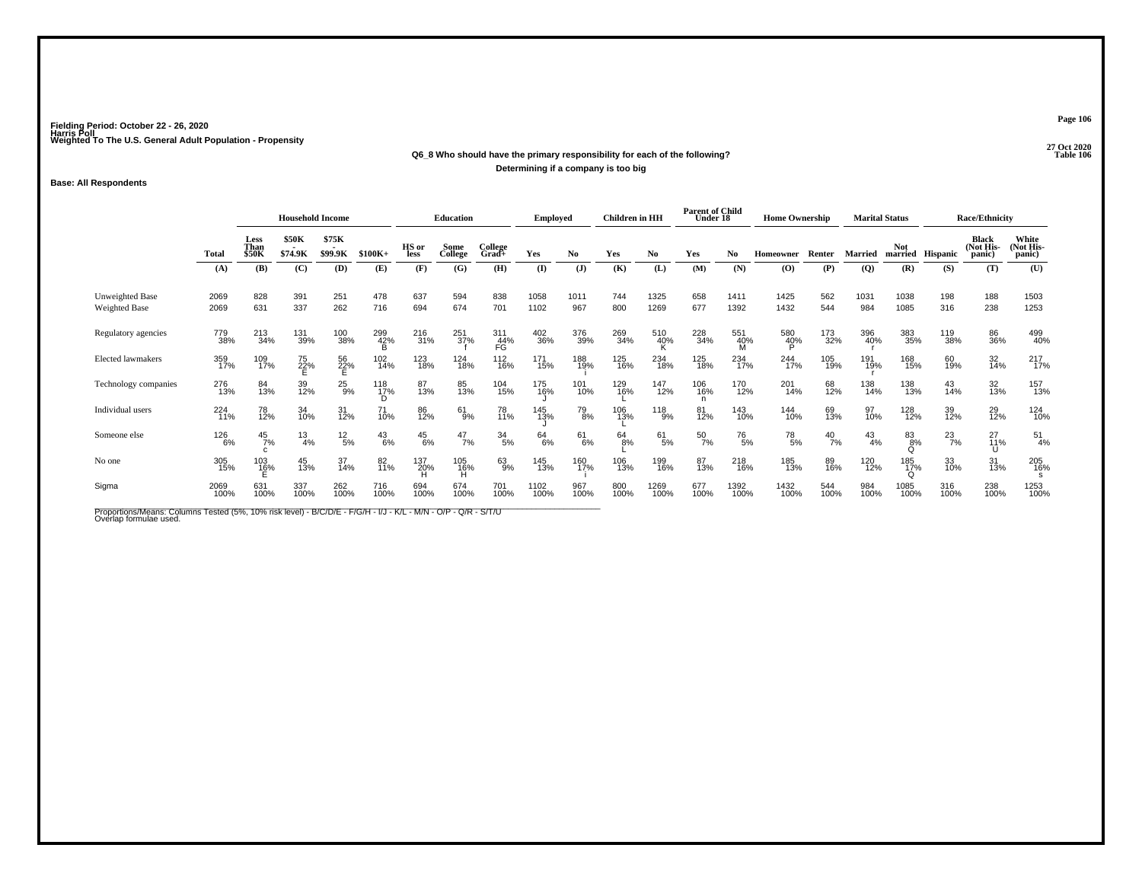# **27 Oct 2020Q6\_8 Who should have the primary responsibility for each of the following?**

**Determining if a company is too big**

### **Base: All Respondents**

|                                         |                   | <b>Household Income</b>      |                  |                  |               | Education     |                 | <b>Employed</b>  |               | <b>Children</b> in HH |               | <b>Parent of Child</b><br>Under 18 |                 | <b>Home Ownership</b> |                                          |               | <b>Marital Status</b> |                        | <b>Race/Ethnicity</b> |                                     |                              |
|-----------------------------------------|-------------------|------------------------------|------------------|------------------|---------------|---------------|-----------------|------------------|---------------|-----------------------|---------------|------------------------------------|-----------------|-----------------------|------------------------------------------|---------------|-----------------------|------------------------|-----------------------|-------------------------------------|------------------------------|
|                                         | Total             | Less<br>Than<br><b>\$50K</b> | \$50K<br>\$74.9K | \$75K<br>\$99.9K | $$100K+$      | HS or<br>less | Some<br>College | College<br>Grad+ | Yes           | No                    | Yes           | No                                 | Yes             | No                    | Homeowner                                | Renter        | <b>Married</b>        | <b>Not</b>             | married Hispanic      | <b>Black</b><br>(Not His-<br>panic) | White<br>(Not His-<br>panic) |
|                                         | (A)               | (B)                          | (C)              | (D)              | (E)           | (F)           | (G)             | (H)              | (I)           | (J)                   | (K)           | (L)                                | (M)             | (N)                   | $\boldsymbol{\left( \mathbf{O} \right)}$ | (P)           | (Q)                   | (R)                    | (S)                   | (T)                                 | (U)                          |
| Unweighted Base<br><b>Weighted Base</b> | 2069<br>2069      | 828<br>631                   | 391<br>337       | 251<br>262       | 478<br>716    | 637<br>694    | 594<br>674      | 838<br>701       | 1058<br>1102  | 1011<br>967           | 744<br>800    | 1325<br>1269                       | 658<br>677      | 1411<br>1392          | 1425<br>1432                             | 562<br>544    | 1031<br>984           | 1038<br>1085           | 198<br>316            | 188<br>238                          | 1503<br>1253                 |
| Regulatory agencies                     | 779<br>38%        | $^{213}_{34\%}$              | 131<br>39%       | 100<br>38%       | 299<br>42%    | 216<br>31%    | 251<br>37%      | 311<br>44%<br>FG | 402<br>36%    | 376<br>39%            | 269<br>34%    | 510<br>40%                         | 228<br>34%      | 551<br>40%            | 580<br>40%                               | 173<br>32%    | 396<br>40%            | 383<br>35%             | 119<br>38%            | 86<br>36%                           | 499<br>40%                   |
| Elected lawmakers                       | 359<br>17%        | 109<br>17%                   | 75<br>22%<br>E   | 56<br>22%<br>E   | 102<br>14%    | 123<br>18%    | 124<br>18%      | $^{112}_{16\%}$  | 171<br>15%    | 188<br>19%            | 125<br>16%    | 234<br>18%                         | 125<br>18%      | 234<br>17%            | 244<br>17%                               | 105<br>19%    | 191<br>19%            | 168<br>15%             | 60<br>19%             | 32<br>14%                           | 217<br>17%                   |
| Technology companies                    | 276<br>13%        | 84<br>13%                    | 39<br>12%        | $^{25}_{9%}$     | 118<br>17%    | 87<br>13%     | 85<br>13%       | 104<br>15%       | 175<br>16%    | 101<br>10%            | 129<br>16%    | 147<br>12%                         | 106<br>16%<br>n | 170<br>12%            | 201<br>14%                               | 68<br>12%     | 138<br>14%            | 138<br>13%             | 43<br>14%             | 32<br>13%                           | 157<br>13%                   |
| Individual users                        | 224<br>11%        | 78<br>12%                    | 34<br>10%        | 31<br>12%        | 71<br>10%     | 86<br>12%     | $^{61}_{9\%}$   | 78<br>11%        | 145<br>13%    | 79<br>8%              | 106<br>13%    | 118<br>9%                          | 81<br>12%       | 143<br>10%            | 144<br>10%                               | 69<br>13%     | 97<br>10%             | 128<br>12%             | 39<br>12%             | 29<br>12%                           | 124<br>10%                   |
| Someone else                            | <sup>126</sup> 6% | $^{45}_{7\%}$                | $^{13}_{4\%}$    | $^{12}_{\ 5\%}$  | $^{43}_{6\%}$ | $^{45}_{6\%}$ | $^{47}_{7\%}$   | $\frac{34}{5\%}$ | $^{64}_{6\%}$ | 61/6%                 | $^{64}_{8\%}$ | $^{61}_{5\%}$                      | $^{50}_{7\%}$   | $^{76}_{5\%}$         | $^{78}_{\ 5\%}$                          | $^{40}_{7\%}$ | $^{43}_{4\%}$         | 83%<br>Q               | $^{23}_{7\%}$         | 27<br>11%<br>U                      | $^{51}_{4\%}$                |
| No one                                  | 305<br>15%        | 103<br>1 <u>6</u> %          | 45<br>13%        | 37<br>14%        | 82<br>11%     | 137<br>20%    | 105<br>16%      | 63<br>9%         | 145<br>13%    | 160<br>17%            | 106<br>13%    | 199<br>16%                         | 87<br>13%       | 218<br>16%            | 185<br>13%                               | 89<br>16%     | 120<br>12%            | 185<br>17%<br>$\Omega$ | 33<br>10%             | 31<br>13%                           | 205<br>16%<br>S.             |
| Sigma                                   | 2069<br>100%      | 631<br>100%                  | 337<br>100%      | 262<br>100%      | 716<br>100%   | 694<br>100%   | 674<br>100%     | 701<br>100%      | 1102<br>100%  | 967<br>100%           | 800<br>100%   | 1269<br>100%                       | 677<br>100%     | 1392<br>100%          | 1432<br>100%                             | 544<br>100%   | 984<br>100%           | 1085<br>100%           | 316<br>100%           | 238<br>100%                         | 1253<br>100%                 |

Proportions/Means: Columns Tested (5%, 10% risk level) - B/C/D/E - F/G/H - I/J - K/L - M/N - O/P - Q/R - S/T/U<br>Overlap formulae used.

**Page 106**

**27 Oct 2020<br>Table 106 Parameters Table 106**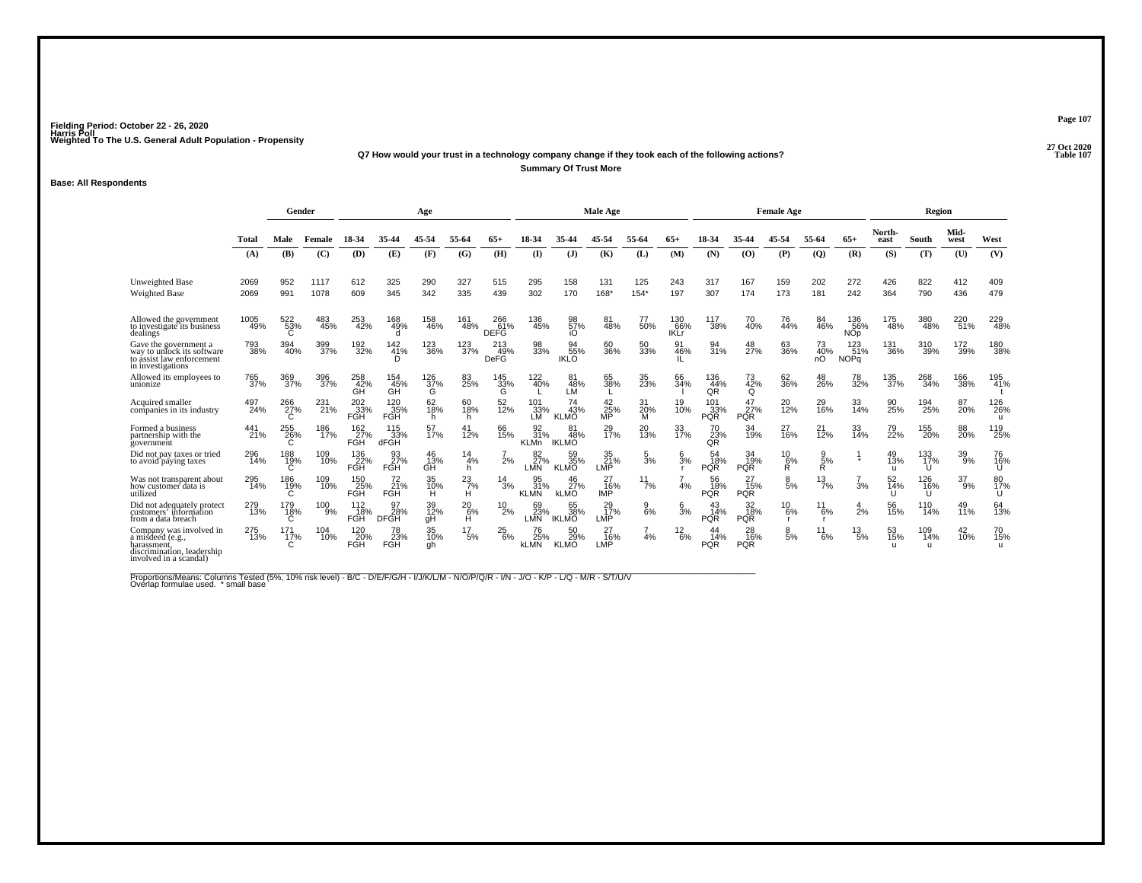#### **27 Oct 2020Q7 How would your trust in a technology company change if they took each of the following actions? Table 107 Summary Of Trust More**

#### **Base: All Respondents**

|                                                                                                                    |              | Gender          |              |                           | Age                          |                 |                    |                           |                          | <b>Male Age</b>           |                                    |                      |                           |                          | <b>Female Age</b>       |                          |                          |                                | Region                    |                            |                  |                            |
|--------------------------------------------------------------------------------------------------------------------|--------------|-----------------|--------------|---------------------------|------------------------------|-----------------|--------------------|---------------------------|--------------------------|---------------------------|------------------------------------|----------------------|---------------------------|--------------------------|-------------------------|--------------------------|--------------------------|--------------------------------|---------------------------|----------------------------|------------------|----------------------------|
|                                                                                                                    | <b>Total</b> | Male            | Female       | 18-34                     | 35-44                        | 45-54           | 55-64              | $65+$                     | 18-34                    | 35-44                     | 45-54                              | 55-64                | $65+$                     | 18-34                    | 35-44                   | 45-54                    | 55-64                    | $65+$                          | North-<br>east            | South                      | Mid-<br>west     | West                       |
|                                                                                                                    | (A)          | (B)             | (C)          | (D)                       | (E)                          | (F)             | (G)                | (H)                       | (I)                      | (J)                       | (K)                                | (L)                  | (M)                       | (N)                      | (O)                     | (P)                      | $\overline{Q}$           | (R)                            | (S)                       | (T)                        | (U)              | (V)                        |
| <b>Unweighted Base</b><br>Weighted Base                                                                            | 2069<br>2069 | 952<br>991      | 1117<br>1078 | 612<br>609                | 325<br>345                   | 290<br>342      | 327<br>335         | 515<br>439                | 295<br>302               | 158<br>170                | 131<br>168*                        | 125<br>$154*$        | 243<br>197                | 317<br>307               | 167<br>174              | 159<br>173               | 202<br>181               | 272<br>242                     | 426<br>364                | 822<br>790                 | 412<br>436       | 409<br>479                 |
| Allowed the government<br>to investigate its business<br>dealings                                                  | 1005<br>49%  | 522<br>53%      | 483<br>45%   | 253<br>42%                | 168<br>49%                   | 158<br>46%      | 161<br>48%         | 266<br>61%<br><b>DEFG</b> | 136<br>45%               | 98<br>57%<br>iO           | 81<br>48%                          | 77<br>50%            | 130<br>66%<br><b>IKLr</b> | 117<br>38%               | 70<br>40%               | 76<br>44%                | 84<br>46%                | 136<br>56%<br><b>NOp</b>       | 175<br>48%                | 380<br>48%                 | 220<br>51%       | 229<br>48%                 |
| Gave the government a<br>way to unlock its software<br>to assist law enforcement<br>in investigations              | 793<br>38%   | 394<br>40%      | 399<br>37%   | 192<br>32%                | $^{142}_{41\%}$<br>D         | 123<br>36%      | 123<br>37%         | 213<br>49%<br>DeFG        | 98<br>33%                | 94<br>55%<br><b>IKLO</b>  | 60<br>36%                          | 50<br>33%            | 91<br>46%                 | 94<br>31%                | 48<br>27%               | 63<br>36%                | 73<br>40%<br>nÓ          | $^{123}_{51\%}$<br><b>NOPq</b> | 131<br>36%                | 310<br>39%                 | 172<br>39%       | 180<br>38%                 |
| Allowed its employees to<br>unionize                                                                               | 765<br>37%   | 369<br>37%      | 396<br>37%   | 258<br>42%<br>GH          | 154<br>45%<br>GĤ             | 126<br>37%<br>G | 83<br>25%          | 145<br>33%<br>G           | 122<br>40%               | 81<br>48%<br>LM           | 65<br>38%                          | 35<br>23%            | 66<br>34%                 | 136<br>44%<br>QR         | 73<br>42%<br>Q          | 62<br>36%                | 48<br>26%                | 78<br>32%                      | 135<br>37%                | 268<br>34%                 | 166<br>38%       | 195<br>41%                 |
| Acquired smaller<br>companies in its industry                                                                      | 497<br>24%   | 266<br>27%      | 231<br>21%   | 202<br>33%<br>FGH         | 120<br>35%<br>FGH            | 62<br>18%<br>h. | 60<br>18%<br>h.    | 52<br>12%                 | 101<br>33%<br>LM         | 74<br>43%<br><b>KLMO</b>  | 42<br>25%<br>МP                    | 31<br>20%<br>м       | 19<br>10%                 | 101<br>33%<br><b>PQR</b> | 47<br>27%<br><b>PQR</b> | 20<br>$\overline{12}\%$  | 29<br>16%                | 33<br>14%                      | 90<br>25%                 | 194<br>25%                 | 87<br>20%        | 126<br>26%<br>$\mathbf{u}$ |
| Formed a business<br>partnership with the<br>government                                                            | 441<br>21%   | 255<br>26%      | 186<br>17%   | $\frac{162}{27}\%$<br>FGH | 115<br>33%<br>dFGH           | 57<br>17%       | 12%                | 66<br>15%                 | 31%<br><b>KLMn</b>       | 81<br>48%<br><b>IKLMO</b> | 29<br>17%                          | 20<br>13%            | 33<br>17%                 | 70<br>23%<br>QŘ          | 34<br>19%               | 27<br>16%                | 21<br>$\frac{1}{2}$ %    | 33<br>14%                      | 79<br>22%                 | 155<br>20%                 | 88<br><b>20%</b> | 119<br>25%                 |
| Did not pay taxes or tried<br>to avoid paying taxes                                                                | 296<br>14%   | 188<br>19%      | 109<br>10%   | 136<br>22%<br><b>FGH</b>  | 93<br>27%<br>FGH             | 46<br>13%<br>GĤ | 14<br>4%<br>h      | 2%                        | 82<br>27%<br><b>LMN</b>  | 59<br>35%<br><b>KLMO</b>  | 35<br>21%<br>LMP                   | $\frac{5}{3}$ %      | 6<br>3%                   | 54<br>18%<br><b>PQR</b>  | 34<br>19%<br><b>PQR</b> | $^{10}_{6\%}$<br>R.      | 9<br>5%<br>R.            |                                | 49<br>13%<br>$\mathbf{H}$ | 133<br>17%<br>U            | 39<br>9%         | 76<br>16%<br>U             |
| Was not transparent about<br>how customer data is<br>utilized                                                      | 295<br>14%   | 186<br>19%<br>С | 109<br>10%   | 150<br>25%<br>FGH         | $^{72}_{21\%}$<br><b>FGH</b> | 35<br>10%<br>Ĥ. | $^{23}_{7\%}$<br>н | $^{14}_{3\%}$             | 95<br>31%<br><b>KLMN</b> | 46<br>27%<br><b>KLMO</b>  | 27<br>16%<br>IMP                   | $^{11}_{7\%}$        | 4%                        | 56<br>18%<br><b>PQR</b>  | 27<br>15%<br><b>PQR</b> | $\frac{8}{5%}$           | $^{13}_{7\%}$            | 3%                             | 52<br>14%                 | 126<br>16%<br>U            | 37<br>9%         | 80<br>17%<br>U             |
| Did not adequately protect<br>customers' information<br>from a data breach                                         | 279<br>13%   | 179<br>18%      | 100<br>9%    | 112<br>18%<br><b>FGH</b>  | 97<br>28%<br><b>DFGH</b>     | 39<br>12%<br>gH | 20<br>6%<br>H.     | 10<br>2%                  | 69<br>23%<br><b>LMN</b>  | 65<br>38%<br><b>IKLMO</b> | 29<br>$\frac{75}{6}$<br><b>LMP</b> | 9<br>6%              | 6<br>3%                   | 43<br>14%<br><b>PQR</b>  | 32<br>18%<br><b>PQR</b> | 10<br>6%<br>$\mathsf{r}$ | 11<br>6%<br>$\mathbf{r}$ | 4<br>2%                        | 56<br>15%                 | 110<br>14%                 | 49<br>11%        | 64<br>13%                  |
| Company was involved in<br>a misdeed (e.g.,<br>harassment.<br>discrimination, leadership<br>involved in a scandal) | 275<br>13%   | 171<br>17%      | 104<br>10%   | 120<br>20%<br>FGH         | 78<br>23%<br>FGH             | 35<br>10%<br>qh | 17<br>5%           | 25<br>6%                  | 76<br>25%<br><b>kLMN</b> | 50<br>29%<br><b>KLMO</b>  | 27<br>16%<br>LMP                   | $\overline{7}$<br>4% | $^{12}_{6\%}$             | 44<br>14%<br><b>PQR</b>  | 28<br>16%<br><b>PQR</b> | 8<br>5%                  | 11<br>6%                 | 13<br>5%                       | 53<br>15%<br>$\mathbf{H}$ | 109<br>14%<br>$\mathbf{u}$ | 42<br>10%        | 70<br>15%                  |

Proportions/Means: Columns Tested (5%, 10% risk level) - B/C - D/E/F/G/H - I/J/K/L/M - N/O/P/Q/R - I/N - J/O - K/P - L/Q - M/R - S/T/U/V<br>Overlap formulae used. \*small base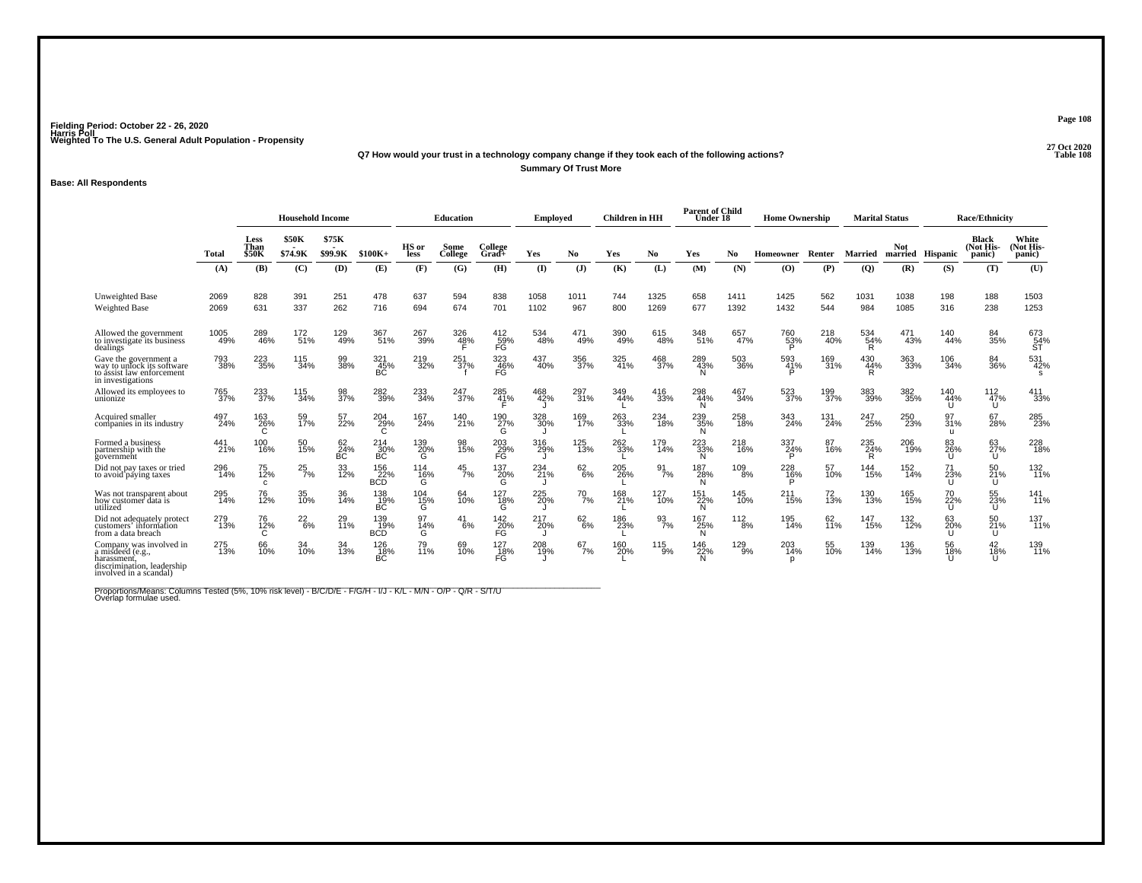#### **27 Oct 2020Q7 How would your trust in a technology company change if they took each of the following actions? Table 108 Summary Of Trust More**

#### **Base: All Respondents**

|                                                                                                                    |              | <b>Household Income</b>      |                         |                  |                          |                      | <b>Education</b> |                               | <b>Employed</b> |                | <b>Children</b> in HH |                  | <b>Parent of Child</b><br>Under 18 |              | <b>Home Ownership</b> |            | <b>Marital Status</b> |              |                           | <b>Race/Ethnicity</b>               |                              |
|--------------------------------------------------------------------------------------------------------------------|--------------|------------------------------|-------------------------|------------------|--------------------------|----------------------|------------------|-------------------------------|-----------------|----------------|-----------------------|------------------|------------------------------------|--------------|-----------------------|------------|-----------------------|--------------|---------------------------|-------------------------------------|------------------------------|
|                                                                                                                    | Total        | Less<br>Than<br><b>\$50K</b> | <b>\$50K</b><br>\$74.9K | \$75K<br>\$99.9K | $$100K+$                 | HS or<br><b>less</b> | Some<br>College  | College<br>$Grad +$           | Yes             | N <sub>0</sub> | Yes                   | No               | Yes                                | No.          | Homeowner             | Renter     | <b>Married</b>        | <b>Not</b>   | married Hispanic          | <b>Black</b><br>(Not His-<br>panic) | White<br>(Not His-<br>panic) |
|                                                                                                                    | (A)          | (B)                          | (C)                     | (D)              | (E)                      | (F)                  | (G)              | (H)                           | (I)             | (J)            | (K)                   | (L)              | (M)                                | (N)          | $\bf{(O)}$            | (P)        | $\overline{Q}$        | (R)          | (S)                       | (T)                                 | (U)                          |
| Unweighted Base<br><b>Weighted Base</b>                                                                            | 2069<br>2069 | 828<br>631                   | 391<br>337              | 251<br>262       | 478<br>716               | 637<br>694           | 594<br>674       | 838<br>701                    | 1058<br>1102    | 1011<br>967    | 744<br>800            | 1325<br>1269     | 658<br>677                         | 1411<br>1392 | 1425<br>1432          | 562<br>544 | 1031<br>984           | 1038<br>1085 | 198<br>316                | 188<br>238                          | 1503<br>1253                 |
| Allowed the government<br>to investigate its business<br>dealings                                                  | 1005<br>49%  | 289<br>46%                   | 172<br>51%              | 129<br>49%       | 367<br>51%               | 267<br>39%           | 326<br>48%       | 412<br>59%<br>FG              | 534<br>48%      | 471<br>49%     | 390<br>49%            | 615<br>48%       | 348<br>51%                         | 657<br>47%   | 760<br>53%            | 218<br>40% | 534<br>54%<br>R       | 471<br>43%   | 140<br>44%                | 84<br>35%                           | 673<br>54%<br>ST             |
| Gave the government a<br>way to unlock its software<br>to assist law enforcement<br>in investigations              | 793<br>38%   | 223<br>35%                   | 115<br>34%              | 99<br>38%        | 321<br>45%<br>BC         | 219<br>32%           | 251<br>37%       | 323<br>$\frac{46}{\text{FG}}$ | 437<br>40%      | 356<br>37%     | 325<br>41%            | 468<br>37%       | 289<br>43%                         | 503<br>36%   | 593<br>41%            | 169<br>31% | 430<br>44%            | 363<br>33%   | 106<br>34%                | 84<br>36%                           | 531<br>42%<br>-S             |
| Allowed its employees to<br>unionize                                                                               | 765<br>37%   | 233<br>37%                   | 115<br>34%              | 98<br>37%        | 282<br>39%               | 233<br>34%           | 247<br>37%       | 285<br>41%                    | 468<br>42%      | 297<br>31%     | 349<br>44%            | 416<br>33%       | 298<br>44%                         | 467<br>34%   | 523<br>37%            | 199<br>37% | 383<br>39%            | 382<br>35%   | 140<br>44%                | 112<br>47%<br>U                     | 411<br>33%                   |
| Acquired smaller<br>companies in its industry                                                                      | 497<br>24%   | 163<br>26%                   | 59<br>17%               | 57<br>22%        | 204<br>29%<br>С          | 167<br>24%           | 140<br>21%       | 190<br>27%<br>G               | 328<br>30%      | 169<br>17%     | 263<br>33%            | 234<br>18%       | 239<br>35%<br>N                    | 258<br>18%   | 343<br>24%            | 131<br>24% | 247<br>25%            | 250<br>23%   | 97<br>31%<br>л.           | 67<br>28%                           | 285<br>23%                   |
| Formed a business<br>partnership with the<br>government                                                            | 441<br>21%   | 100<br>16%                   | 50<br>15%               | 62<br>24%<br>BC  | 214<br>30%<br>ВĆ         | 139<br>20%<br>Ġ      | 98<br>15%        | 203<br>29%<br>FĠ              | 316<br>29%      | 125<br>13%     | 262<br>33%            | 179<br>14%       | 223<br>33%<br>N                    | 218<br>16%   | 337<br>24%<br>P       | 87<br>16%  | 235<br>24%<br>R       | 206<br>19%   | 83<br>26%                 | 63<br>27%<br>U                      | 228<br>18%                   |
| Did not pay taxes or tried<br>to avoid paying taxes                                                                | 296<br>14%   | 75<br>12%<br>C.              | $^{25}_{7\%}$           | 33<br>12%        | 156<br>22%<br><b>BCD</b> | 114<br>16%<br>G      | $^{45}_{7\%}$    | 137<br>$\frac{20}{9}$         | 234<br>21%      | $62\atop 6\%$  | 205<br>26%            | $\frac{91}{7\%}$ | 187<br>28%<br>N                    | 109<br>8%    | 228<br>16%            | 57<br>10%  | 144<br>15%            | 152<br>14%   | 71<br>23%<br>$\mathbf{U}$ | 50<br>21%<br>U                      | 132<br>11%                   |
| Was not transparent about<br>how customer data is<br>utilized                                                      | 295<br>14%   | 76<br>12%                    | 35<br>10%               | 36<br>14%        | 138<br>19%<br>BČ.        | $^{104}_{~15\%}$     | 64<br>10%        | 127<br>18%<br>G               | 225<br>20%      | 70<br>7%       | 168<br>21%            | 127<br>10%       | 151<br>22%<br>N                    | 145<br>10%   | $^{211}_{15\%}$       | 72<br>13%  | 130<br>13%            | 165<br>15%   | 70<br>22%<br>U            | 55<br>23%<br>U                      | $\frac{141}{11\%}$           |
| Did not adequately protect<br>customers' information<br>from a data breach                                         | 279<br>13%   | 76<br>12%                    | 22<br>$-6%$             | 29<br>11%        | 139<br>19%<br><b>BCD</b> | 97<br>14%<br>G       | 41<br>6%         | 142<br>20%<br>FĞ              | 217<br>20%      | 62<br>$-6%$    | 186<br>23%            | 93<br>7%         | 167<br>25%<br>N                    | 112<br>8%    | 195<br>14%            | 62<br>11%  | 147<br>15%            | 132<br>12%   | 63<br>20%<br>$\mathbf{H}$ | 50<br>21%<br>U                      | 137<br>11%                   |
| Company was involved in<br>a misdeed (e.g.,<br>harassment.<br>discrimination, leadership<br>involved in a scandal) | 275<br>13%   | 66<br>10%                    | 34<br>10%               | 34<br>13%        | 126<br>18%<br>ВČ         | 79<br>11%            | 69<br>10%        | $\frac{127}{18\%}$<br>FĞ      | 208<br>19%      | 67<br>7%       | 160<br>20%            | $^{115}_{9\%}$   | 146<br>22%<br>N                    | 129<br>9%    | 203<br>14%<br>p       | 55<br>10%  | 139<br>14%            | 136<br>13%   | 56<br>18%                 | 42<br>18%<br>$\mathbf{U}$           | 139<br>11%                   |

Proportions/Means: Columns Tested (5%, 10% risk level) - B/C/D/E - F/G/H - I/J - K/L - M/N - O/P - Q/R - S/T/U<br>Overlap formulae used.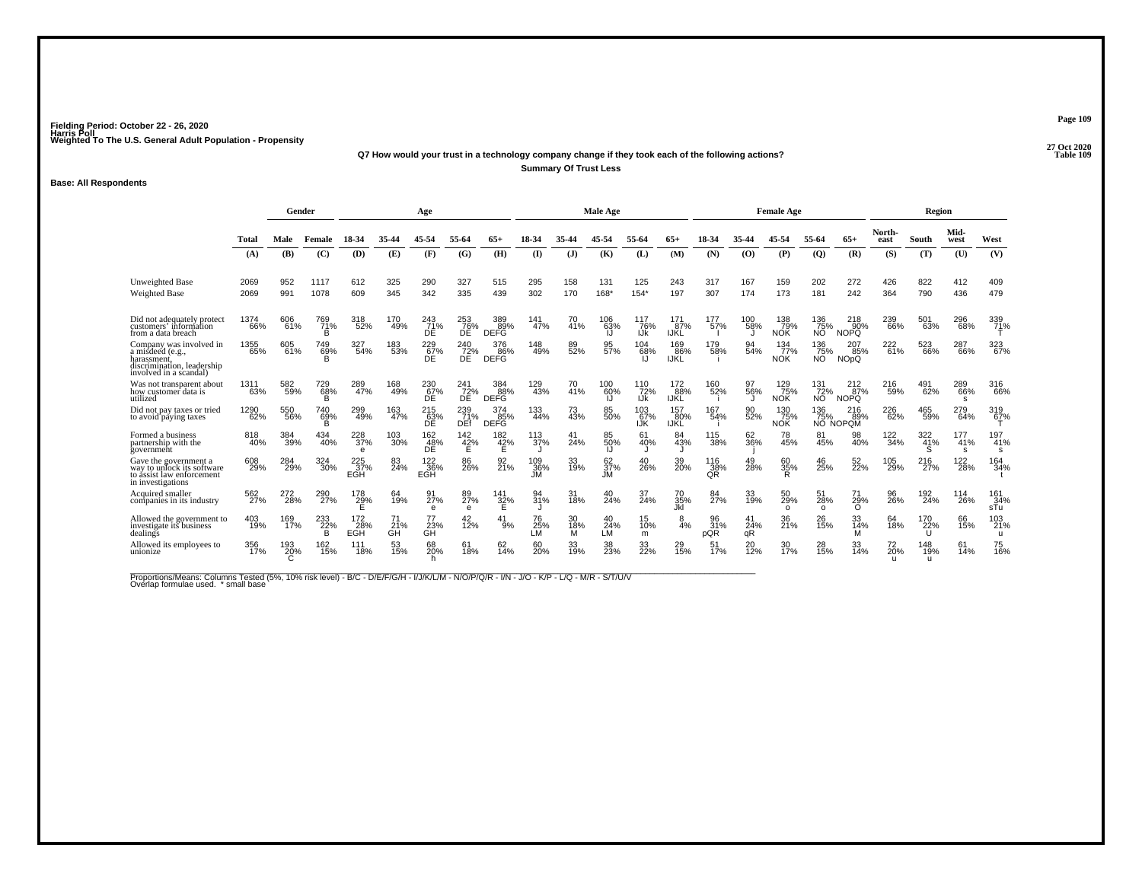#### **27 Oct 2020Q7 How would your trust in a technology company change if they took each of the following actions? Table 109 Summary Of Trust Less**

### **Base: All Respondents**

|                                                                                                                    |              | Gender     |                 |                           |                 | Age                     |                       |                           |                  |                | <b>Male Age</b>  |                   |                           |                  |                 | <b>Female Age</b>        |                               |                                      |                           | Region          |                 |                   |
|--------------------------------------------------------------------------------------------------------------------|--------------|------------|-----------------|---------------------------|-----------------|-------------------------|-----------------------|---------------------------|------------------|----------------|------------------|-------------------|---------------------------|------------------|-----------------|--------------------------|-------------------------------|--------------------------------------|---------------------------|-----------------|-----------------|-------------------|
|                                                                                                                    | Total        | Male       | Female          | 18-34                     | 35-44           | 45-54                   | 55-64                 | 65+                       | 18-34            |                | 45-54            | 55-64             | $65+$                     | 18-34            | 35-44           | 45-54                    | 55-64                         | $65+$                                | North-<br>east            | South           | Mid-<br>west    | West              |
|                                                                                                                    | (A)          | (B)        | (C)             | (D)                       | (E)             | (F)                     | (G)                   | (H)                       | $\mathbf{I}$     | (J)            | (K)              | (L)               | (M)                       | (N)              | (0)             | (P)                      | (Q)                           | (R)                                  | (S)                       | (T)             | (U)             | (V)               |
| <b>Unweighted Base</b><br>Weighted Base                                                                            | 2069<br>2069 | 952<br>991 | 1117<br>1078    | 612<br>609                | 325<br>345      | 290<br>342              | 327<br>335            | 515<br>439                | 295<br>302       | 158<br>170     | 131<br>168*      | 125<br>$154*$     | 243<br>197                | 317<br>307       | 167<br>174      | 159<br>173               | 202<br>181                    | 272<br>242                           | 426<br>364                | 822<br>790      | 412<br>436      | 409<br>479        |
| Did not adequately protect<br>customers' information<br>from a data breach                                         | 1374<br>66%  | 606<br>61% | 769<br>71%<br>B | 318<br>52%                | 170<br>49%      | 243<br>71%<br>DE        | 253<br>76%<br>DË      | 389<br>89%<br><b>DEFG</b> | 141<br>47%       | 70<br>41%      | 106<br>63%<br>IJ | 117<br>76%<br>IJk | 171<br>87%<br><b>IJKL</b> | 177<br>57%       | 100<br>58%      | 138<br>79%<br><b>NOK</b> | 136<br>75%<br>NO <sup>1</sup> | 218<br>90%<br><b>NOPQ</b>            | 239<br>66%                | 501<br>63%      | 296<br>68%      | 339<br>71%        |
| Company was involved in<br>a misdeed (e.g.,<br>harassment,<br>discrimination, leadership<br>involved in a scandal) | 1355<br>65%  | 605<br>61% | 749<br>69%      | 327<br>54%                | 183<br>53%      | 229<br>67%<br>ĐÊ        | 240<br>72%<br>DE.     | 376<br>86%<br><b>DEFG</b> | 148<br>49%       | 89<br>52%      | 95<br>57%        | 104<br>68%        | 169<br>86%<br>IJKĽ        | 179<br>58%       | 94<br>54%       | 134<br>77%<br><b>NOK</b> | 136<br>75%<br>NO <sup>1</sup> | 207<br>85%<br><b>NO<sub>p</sub>Q</b> | 222<br>61%                | 523<br>66%      | 287<br>66%      | 323<br>67%        |
| Was not transparent about<br>how customer data is<br>utilized                                                      | 1311<br>63%  | 582<br>59% | 729<br>68%<br>в | 289<br>47%                | 168<br>49%      | 230<br>67%<br><b>DE</b> | 241<br>72%<br>DE      | 384<br>88%<br><b>DEFG</b> | 129<br>43%       | 70<br>41%      | 100<br>60%<br>IJ | 110<br>72%<br>IJk | 172<br>88%<br><b>IJKL</b> | 160<br>52%       | 97<br>56%       | 129<br>75%<br><b>NOK</b> | 131<br>72%<br>NO.             | 212<br>$-87%$<br><b>NOPQ</b>         | 216<br>59%                | 491<br>62%      | 289<br>66%<br>s | 316<br>66%        |
| Did not pay taxes or tried<br>to avoid paying taxes                                                                | 1290<br>62%  | 550<br>56% | 740<br>69%<br>B | 299<br>49%                | 163<br>47%      | 215<br>63%<br>DE        | 239<br>71%<br>DEf     | 374<br>85%<br><b>DEFG</b> | 133<br>44%       | 73<br>43%      | 85<br>50%        | 103<br>67%<br>IJK | 157<br>80%<br><b>IJKL</b> | 167<br>54%       | 90<br>52%       | 130<br>75%<br><b>NOK</b> | 136<br>75%                    | 216<br>89%<br>NO NOPOM               | 226<br>62%                | 465<br>59%      | 279<br>64%      | 319<br>67%        |
| Formed a business<br>partnership with the<br>government                                                            | 818<br>40%   | 384<br>39% | 434<br>40%      | 228<br>37%<br>$\theta$    | 103<br>30%      | 162<br>48%<br>DÊ        | 142<br>42%            | 182<br>42%                | 113<br>37%       | 41<br>24%      | 85<br>50%<br>IJ  | 61<br>40%         | 84<br>43%                 | 115<br>38%       | 62<br>36%       | 78<br>45%                | 81<br>45%                     | 98<br>40%                            | $^{122}_{34\%}$           | 322<br>41%<br>S | 177<br>41%<br>s | 197<br>41%<br>s   |
| Gave the government a<br>way to unlock its software<br>to assist law enforcement<br>in investigations              | 608<br>29%   | 284<br>29% | 324<br>30%      | $\frac{225}{37\%}$<br>EGH | 24%             | 122<br>36%<br>EGH       | 86<br>26%             | 92<br>21%                 | 109<br>36%<br>JM | 33<br>19%      | 62<br>37%<br>Ml. | 40<br>26%         | 39<br>20%                 | 116<br>38%<br>QŘ | 49<br>28%       | 60<br>35%<br>R           | 46<br>25%                     | 52 <sub>%</sub>                      | 105<br>29%                | 216<br>27%      | 122<br>28%      | 164<br>34%        |
| Acquired smaller<br>companies in its industry                                                                      | 562<br>27%   | 272<br>28% | 290<br>27%      | 178<br>29%                | 64<br>19%       | 91<br>27%<br>$\theta$   | 89<br>27%<br>$\theta$ | 141<br>32%                | 94<br>31%        | 31<br>18%      | 40<br>24%        | 37<br>24%         | 70<br>35%<br>Jkl          | 84<br>27%        | 33<br>19%       | 50<br>29%<br>$\circ$     | 51<br>28%<br>$\Omega$         | 71<br>29%<br>$\circ$                 | 96<br>26%                 | 192<br>24%      | 114<br>26%      | 161<br>34%<br>sTu |
| Allowed the government to<br>investigate its business<br>dealings                                                  | 403<br>19%   | 169<br>17% | 233<br>22%<br>в | 172<br>28%<br>EGH         | 71<br>21%<br>GH | 77<br>23%<br>GĤ         | 42<br>12%             | 41<br>9%                  | 76<br>25%<br>LM  | 30<br>18%<br>м | 40<br>24%<br>LM  | 15<br>10%<br>m    | 8<br>4%                   | 96<br>31%<br>pQR | 41<br>24%<br>αR | 36<br>21%                | 26<br>15%                     | 33<br>14%<br>м                       | 64<br>18%                 | 170<br>22%<br>U | 66<br>15%       | 103<br>21%<br>u   |
| Allowed its employees to<br>unionize                                                                               | 356<br>17%   | 193<br>20% | 162<br>15%      | 111<br>18%                | 53<br>15%       | 68<br>20%<br>h.         | 61<br>18%             | 62<br>14%                 | 60<br>20%        | 33<br>19%      | 38<br>23%        | 33<br>22%         | 15%                       | 51<br>17%        | 20<br>12%       | 30<br>17%                | 28<br>15%                     | 33<br>14%                            | 72<br>20%<br>$\mathbf{u}$ | 148<br>19%<br>u | 61<br>14%       | 75<br>16%         |

Proportions/Means: Columns Tested (5%, 10% risk level) - B/C - D/E/F/G/H - I/J/K/L/M - N/O/P/Q/R - I/N - J/O - K/P - L/Q - M/R - S/T/U/V<br>Overlap formulae used. \*small base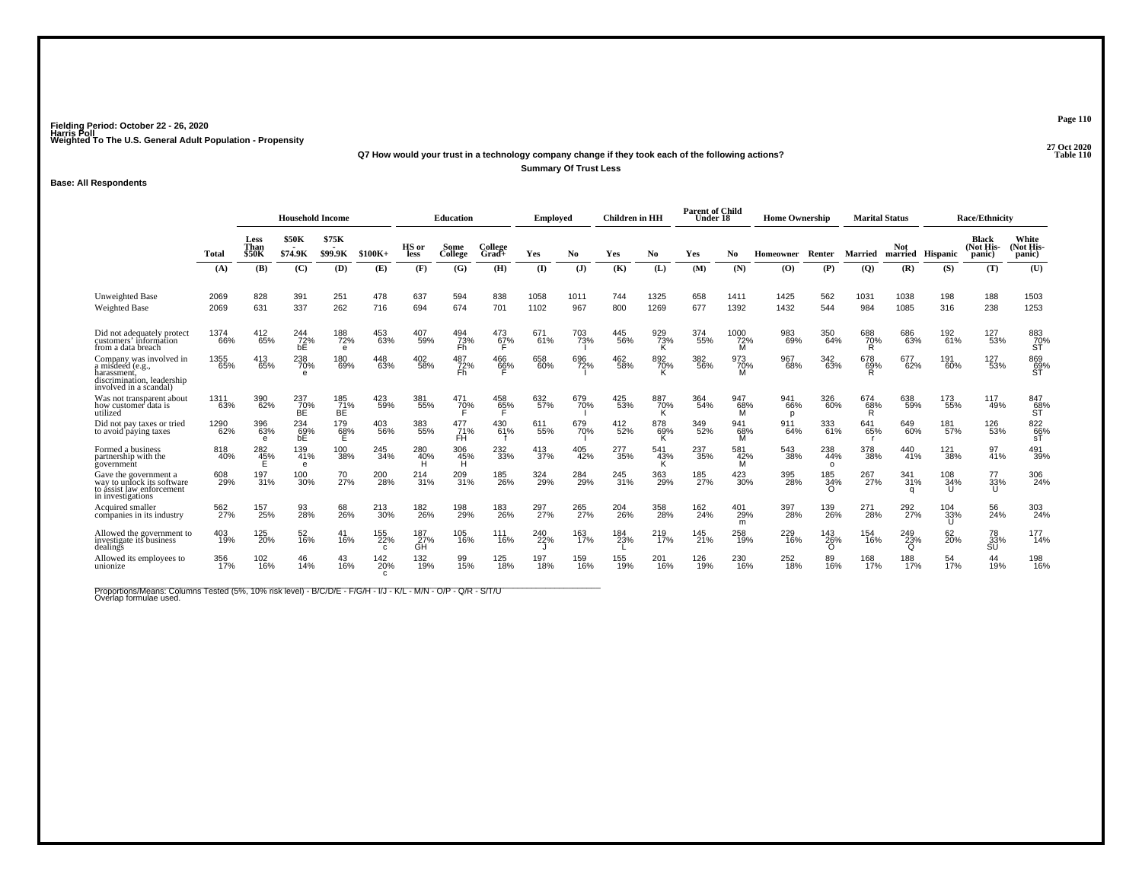# **27 Oct 2020Q7 How would your trust in a technology company change if they took each of the following actions?Summary Of Trust Less**

### **Base: All Respondents**

|                                                                                                                    |              | <b>Household Income</b>      |                         |                          |                            |                  | <b>Education</b> |                     | <b>Employed</b> |              | <b>Children</b> in HH |                 | <b>Parent of Child</b><br>Under 18 |                  | <b>Home Ownership</b> |                        |                    | <b>Marital Status</b>  |                  | <b>Race/Ethnicity</b>        |                              |
|--------------------------------------------------------------------------------------------------------------------|--------------|------------------------------|-------------------------|--------------------------|----------------------------|------------------|------------------|---------------------|-----------------|--------------|-----------------------|-----------------|------------------------------------|------------------|-----------------------|------------------------|--------------------|------------------------|------------------|------------------------------|------------------------------|
|                                                                                                                    | Total        | Less<br>Than<br><b>\$50K</b> | <b>\$50K</b><br>\$74.9K | \$75K<br>\$99.9K         | $$100K+$                   | HS or<br>less    | Some<br>College  | College<br>$Grad +$ | Yes             | No.          | Yes                   | No              | Yes                                | No               | Homeowner             | Renter                 | Married            | <b>Not</b>             | married Hispanic | Black<br>(Not His-<br>panic) | White<br>(Not His-<br>panic) |
|                                                                                                                    | (A)          | (B)                          | (C)                     | (D)                      | (E)                        | (F)              | (G)              | (H)                 | (I)             | $\mathbf{J}$ | (K)                   | (L)             | (M)                                | (N)              | $\bf{(O)}$            | (P)                    | $\overline{Q}$     | (R)                    | (S)              | (T)                          | (U)                          |
| Unweighted Base<br><b>Weighted Base</b>                                                                            | 2069<br>2069 | 828<br>631                   | 391<br>337              | 251<br>262               | 478<br>716                 | 637<br>694       | 594<br>674       | 838<br>701          | 1058<br>1102    | 1011<br>967  | 744<br>800            | 1325<br>1269    | 658<br>677                         | 1411<br>1392     | 1425<br>1432          | 562<br>544             | 1031<br>984        | 1038<br>1085           | 198<br>316       | 188<br>238                   | 1503<br>1253                 |
| Did not adequately protect<br>customers' information<br>from a data breach                                         | 1374<br>66%  | 412<br>65%                   | 244<br>72%<br>bE        | 188<br>72%<br>e          | 453<br>63%                 | 407<br>59%       | 494<br>Z3%<br>Fh | 473<br>6 <u>7</u> % | 671<br>61%      | 703<br>73%   | 445<br>56%            | 929<br>73%<br>Κ | 374<br>55%                         | 1000<br>72%<br>м | 983<br>69%            | 350<br>64%             | 688<br>70%<br>R    | 686<br>63%             | 192<br>61%       | 127<br>53%                   | 883<br>70%<br>SŤ             |
| Company was involved in<br>a misdeed (e.g.,<br>harassment.<br>discrimination, leadership<br>involved in a scandal) | 1355<br>65%  | 413<br>65%                   | 238<br>70%<br>$\theta$  | 180<br>69%               | 448<br>63%                 | 402<br>58%       | 487<br>72%<br>Fh | 466<br>66%          | 658<br>60%      | 696<br>72%   | 462<br>58%            | 892<br>70%      | 382<br>56%                         | 973<br>70%       | 967<br>68%            | 342<br>63%             | 678<br>69%<br>R    | 677<br>62%             | 191<br>60%       | 127<br>53%                   | 869<br>69%<br>ST             |
| Was not transparent about<br>how customer data is<br>utilized                                                      | 1311<br>63%  | 390<br>62%                   | 237<br>70%<br>ВĖ        | 185<br>71%<br>ВE         | 423<br>59%                 | 381<br>55%       | 471<br>70%       | 458<br>65%          | 632<br>57%      | 679<br>70%   | 425<br>53%            | 887<br>70%<br>K | 364<br>54%                         | 947<br>68%<br>м  | 941<br>66%<br>p       | 326<br>60%             | 674<br>$\sqrt{68}$ | 638<br>59%             | 173<br>55%       | 117<br>49%                   | 847<br>$\frac{68}{5}$        |
| Did not pay taxes or tried<br>to avoid paying taxes                                                                | 1290<br>62%  | 396<br>63%<br>$\epsilon$     | 234<br>69%<br>bE        | 179<br>6 <u>8</u> %<br>Е | 403<br>56%                 | 383<br>55%       | 477<br>71%<br>FH | 430<br>61%          | 611<br>55%      | 679<br>70%   | 412<br>52%            | 878<br>69%<br>ĸ | 349<br>52%                         | 941<br>68%<br>м  | 911<br>64%            | 333<br>61%             | 641<br>65%         | 649<br>60%             | 181<br>57%       | 126<br>53%                   | 822<br>66%<br>sT             |
| Formed a business<br>partnership with the<br>government                                                            | 818<br>40%   | 282<br>45%                   | 139<br>41%<br>$\theta$  | 100<br>38%               | 245<br>34%                 | 280<br>40%<br>н  | 306<br>45%<br>н  | 232<br>33%          | 413<br>37%      | 405<br>42%   | 277<br>-35%           | 541<br>43%<br>к | 237<br>35%                         | 581<br>42%<br>м  | 543<br>38%            | 238<br>44%<br>$\Omega$ | 378<br>38%         | 440<br>41%             | 121<br>38%       | 97<br>41%                    | 491<br>39%                   |
| Gave the government a<br>way to unlock its software<br>to assist law enforcement<br>in investigations              | 608<br>29%   | 197<br>31%                   | 100<br>30%              | 70<br>27%                | 200<br>28%                 | 214<br>31%       | 209<br>31%       | 185<br>26%          | 324<br>29%      | 284<br>29%   | 245<br>31%            | 363<br>29%      | 185<br>27%                         | 423<br>30%       | 395<br>28%            | 185<br>34%<br>∩        | 267<br>27%         | 341<br>31%             | 108<br>34%       | 77<br>33%<br>U               | 306<br>24%                   |
| Acquired smaller<br>companies in its industry                                                                      | 562<br>27%   | 157<br>25%                   | 93<br>28%               | 68<br>26%                | 213<br>30%                 | 182<br>26%       | 198<br>29%       | 183<br>26%          | 297<br>27%      | 265<br>27%   | 204<br>26%            | 358<br>28%      | 162<br>24%                         | 401<br>29%<br>m  | 397<br>28%            | 139<br>26%             | 271<br>28%         | 292<br>27%             | 104<br>33%       | 56<br>24%                    | 303<br>24%                   |
| Allowed the government to<br>investigate its business<br>dealings                                                  | 403<br>19%   | 125<br>20%                   | 52<br>16%               | 41<br>16%                | 155<br>22%<br>$\mathbf{C}$ | 187<br>27%<br>ĞΉ | 105<br>16%       | 111<br>16%          | 240<br>22%      | 163<br>17%   | 184<br>23%            | 219<br>17%      | 145<br>21%                         | 258<br>19%       | 229<br>16%            | 143<br>26%<br>∩        | 154<br>16%         | 249<br>23%<br>$\Omega$ | 62<br>20%        | 78<br>$\frac{33}{15}$        | 177<br>14%                   |
| Allowed its employees to<br>unionize                                                                               | 356<br>17%   | 102<br>16%                   | 46<br>14%               | 43<br>16%                | 142<br>20%                 | 132<br>19%       | 15%              | 125<br>18%          | 197<br>18%      | 159<br>16%   | 155<br>19%            | 201<br>16%      | 126<br>19%                         | 230<br>16%       | 252<br>18%            | 89<br>16%              | 168<br>17%         | 188<br>17%             | 54<br>17%        | 44<br>19%                    | 198<br>16%                   |

Proportions/Means: Columns Tested (5%, 10% risk level) - B/C/D/E - F/G/H - I/J - K/L - M/N - O/P - Q/R - S/T/U<br>Overlap formulae used.

**Page 110**

**P** Table 110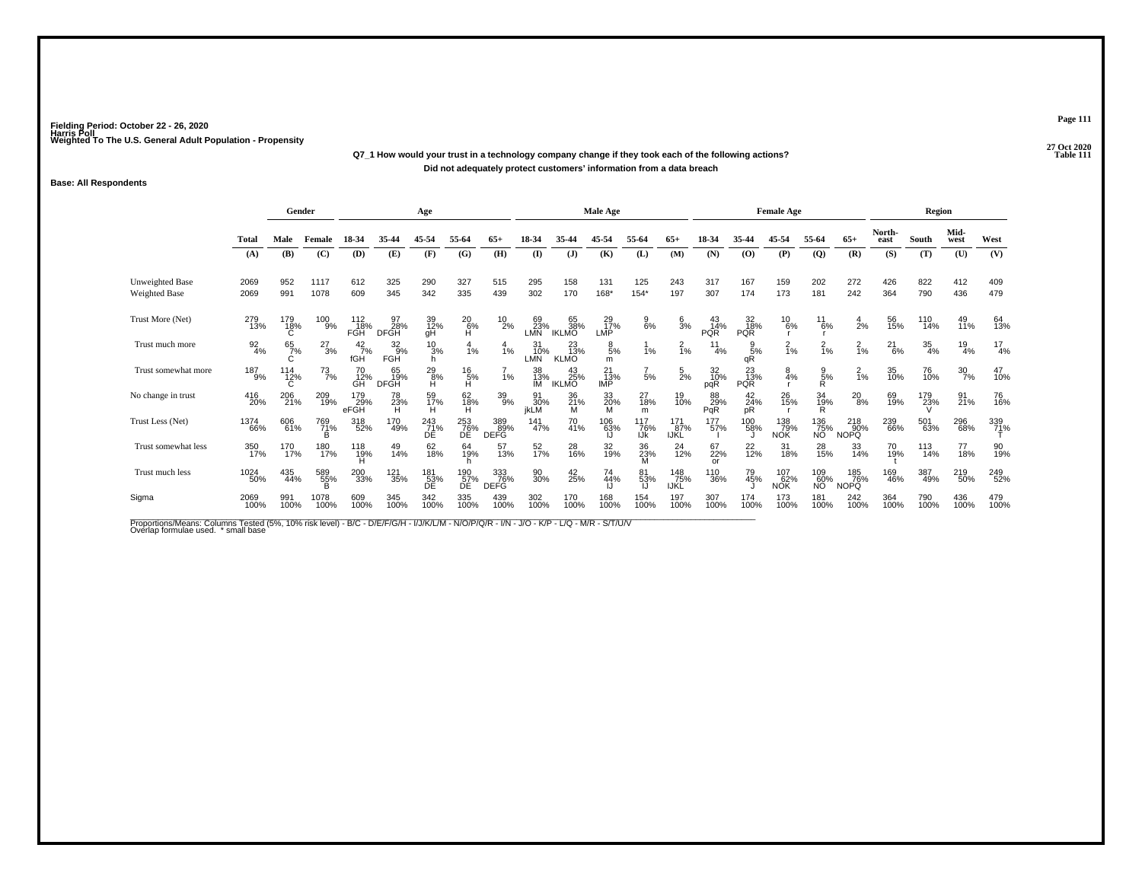# **27 Oct 2020Q7\_1 How would your trust in a technology company change if they took each of the following actions?Did not adequately protect customers' information from a data breach**

### **Base: All Respondents**

|                                  |                  |                      | Gender<br>Age |                      |                          |                          |                             |                           |                   |                           | Male Age             |                   |                    |                              |                         | <b>Female Age</b>        |                     |                           |                | <b>Region</b>    |                   |                 |
|----------------------------------|------------------|----------------------|---------------|----------------------|--------------------------|--------------------------|-----------------------------|---------------------------|-------------------|---------------------------|----------------------|-------------------|--------------------|------------------------------|-------------------------|--------------------------|---------------------|---------------------------|----------------|------------------|-------------------|-----------------|
|                                  | <b>Total</b>     | Male                 | Female        | 18-34                | 35-44                    | 45-54                    | 55-64                       | $65+$                     | 18-34             |                           | 45-54                | 55-64             | $65+$              | 18-34                        | 35-44                   | 45-54                    | 55-64               | $65+$                     | North-<br>east | South            | Mid-<br>west      | West            |
|                                  | (A)              | (B)                  | (C)           | (D)                  | (E)                      | (F)                      | (G)                         | (H)                       | $($ $\Gamma$      | (J)                       | (K)                  | (L)               | (M)                | (N)                          | (0)                     | (P)                      | $\overline{Q}$      | (R)                       | (S)            | (T)              | (U)               | (V)             |
| Unweighted Base<br>Weighted Base | 2069<br>2069     | 952<br>991           | 1117<br>1078  | 612<br>609           | 325<br>345               | 290<br>342               | 327<br>335                  | 515<br>439                | 295<br>302        | 158<br>170                | 131<br>$168*$        | 125<br>$154*$     | 243<br>197         | 317<br>307                   | 167<br>174              | 159<br>173               | 202<br>181          | 272<br>242                | 426<br>364     | 822<br>790       | 412<br>436        | 409<br>479      |
| Trust More (Net)                 | 279<br>13%       | 179<br>18%<br>Ć      | 100<br>9%     | 112<br>18%<br>FGH    | 97<br>28%<br><b>DFGH</b> | 39<br>12%<br>gH          | 206%<br>н                   | $^{10}_{2\%}$             | 69<br>23%<br>LMN  | 65<br>38%<br><b>IKLMO</b> | 29<br>17%<br>LMP     | 9<br>6%           | $\frac{6}{3%}$     | $^{43}_{14\%}$<br><b>PQR</b> | 32<br>18%<br><b>PQR</b> | $^{10}_{6\%}$            | 11<br>6%            | $\frac{4}{2}$ %           | 56<br>15%      | 110<br>14%       | 49<br>11%         | 64<br>13%       |
| Trust much more                  | $\frac{92}{4\%}$ | 65<br>7%<br>C        | $^{27}_{3\%}$ | $^{42}_{7\%}$<br>fGH | $\frac{32}{9\%}$<br>FGH  | $\frac{10}{3%}$<br>h     | $\frac{4}{1\%}$             | $\frac{4}{1%}$            | 31<br>10%<br>LMN  | 23<br>13%<br><b>KLMO</b>  | $\frac{8}{5\%}$<br>m | 1%                | $\frac{2}{1%}$     | 4%                           | $\frac{9}{5\%}$<br>qR   | $\frac{2}{1%}$           | $\frac{2}{1%}$      | $^{2}_{1\%}$              | $^{21}_{6\%}$  | $\frac{35}{4\%}$ | $^{19}_{4\%}$     | $\frac{17}{4%}$ |
| Trust somewhat more              | $^{187}_{9\%}$   | $^{114}_{12\%}$<br>C | 73<br>7%      | 70<br>12%<br>GH      | 65<br>19%<br><b>DFGH</b> | 29<br>8%<br>Ĥ            | $^{16}_{\substack{5\%\\H}}$ | 1%                        | 38<br>13%<br>IM   | 43<br>25%<br><b>IKLMO</b> | 21<br>13%<br>IMP     | $\frac{7}{5\%}$   | $\frac{5}{2%}$     | 32<br>10%<br>pqR             | 23<br>13%<br><b>PQR</b> | $\frac{8}{4%}$           | $\frac{9}{5%}$<br>R | $\frac{2}{1%}$            | 35<br>10%      | 76<br>10%        | $\frac{30}{7\%}$  | 47<br>10%       |
| No change in trust               | 416<br>20%       | 206<br>21%           | 209<br>19%    | 179<br>29%<br>eFGH   | 78<br>23%                | 59<br>17%                | 62<br>18%<br>н              | 39<br>9%                  | 91<br>30%<br>jkLM | 36<br>21%<br>M            | 33<br>20%<br>M       | 27<br>18%<br>m    | 19<br>10%          | 88<br>29%<br>PqR             | 42<br>24%<br>рR         | 26<br>15%                | 34<br>19%<br>R      | $^{20}_{8\%}$             | 69<br>19%      | 179<br>23%       | $\frac{91}{21\%}$ | 76<br>16%       |
| Trust Less (Net)                 | 1374<br>66%      | 606<br>61%           | 769<br>71%    | 318<br>52%           | 170<br>49%               | $^{243}_{71\%}$<br>DÊ    | 253<br>76%<br>DE            | 389<br>89%<br>DEFG        | 141<br>47%        | 70<br>41%                 | 106<br>63%           | 117<br>76%<br>IJk | 171<br>87%<br>IJŘĹ | 177<br>57%                   | 100<br>58%              | 138<br>79%<br><b>NOK</b> | 136<br>75%<br>NO    | 218<br>90%<br><b>NOPQ</b> | 239<br>66%     | 501<br>63%       | 296<br>68%        | 339<br>71%      |
| Trust somewhat less              | 350<br>17%       | 170<br>17%           | 180<br>17%    | 118<br>19%           | 49<br>14%                | 62<br>18%                | 64<br>19%                   | 57<br>13%                 | 52<br>17%         | 28<br>16%                 | 32<br>19%            | 36<br>23%         | 24<br>12%          | 67<br>22%<br>or              | $^{22}_{12\%}$          | 31<br>18%                | 28<br>15%           | 33<br>14%                 | 70<br>19%      | 113<br>14%       | 77<br>18%         | 90<br>19%       |
| Trust much less                  | 1024<br>50%      | 435<br>44%           | 589<br>55%    | 200<br>33%           | 121<br>35%               | 181<br>$\overline{53}$ % | 190<br>57%<br>DE            | 333<br>76%<br><b>DEFG</b> | 90<br>30%         | 42<br>25%                 | 74<br>44%            | 81<br>53%         | 148<br>75%<br>IJKL | 110<br>36%                   | 79<br>45%               | 107<br>62%<br><b>NOK</b> | 109<br>60%<br>NO    | 185<br>76%<br><b>NOPQ</b> | 169<br>46%     | 387<br>49%       | 219<br>50%        | 249<br>52%      |
| Sigma                            | 2069<br>100%     | 991<br>100%          | 1078<br>100%  | 609<br>100%          | 345<br>100%              | 342<br>100%              | 335<br>100%                 | 439<br>100%               | 302<br>100%       | 170<br>100%               | 168<br>100%          | 154<br>100%       | 197<br>100%        | 307<br>100%                  | 174<br>100%             | 173<br>100%              | 181<br>100%         | 242<br>100%               | 364<br>100%    | 790<br>100%      | 436<br>100%       | 479<br>100%     |

Proportions/Means: Columns Tested (5%, 10% risk level) - B/C - D/E/F/G/H - I/J/K/L/M - N/O/P/Q/R - I/N - J/O - K/P - L/Q - M/R - S/T/U/V<br>Overlap formulae used. \*small base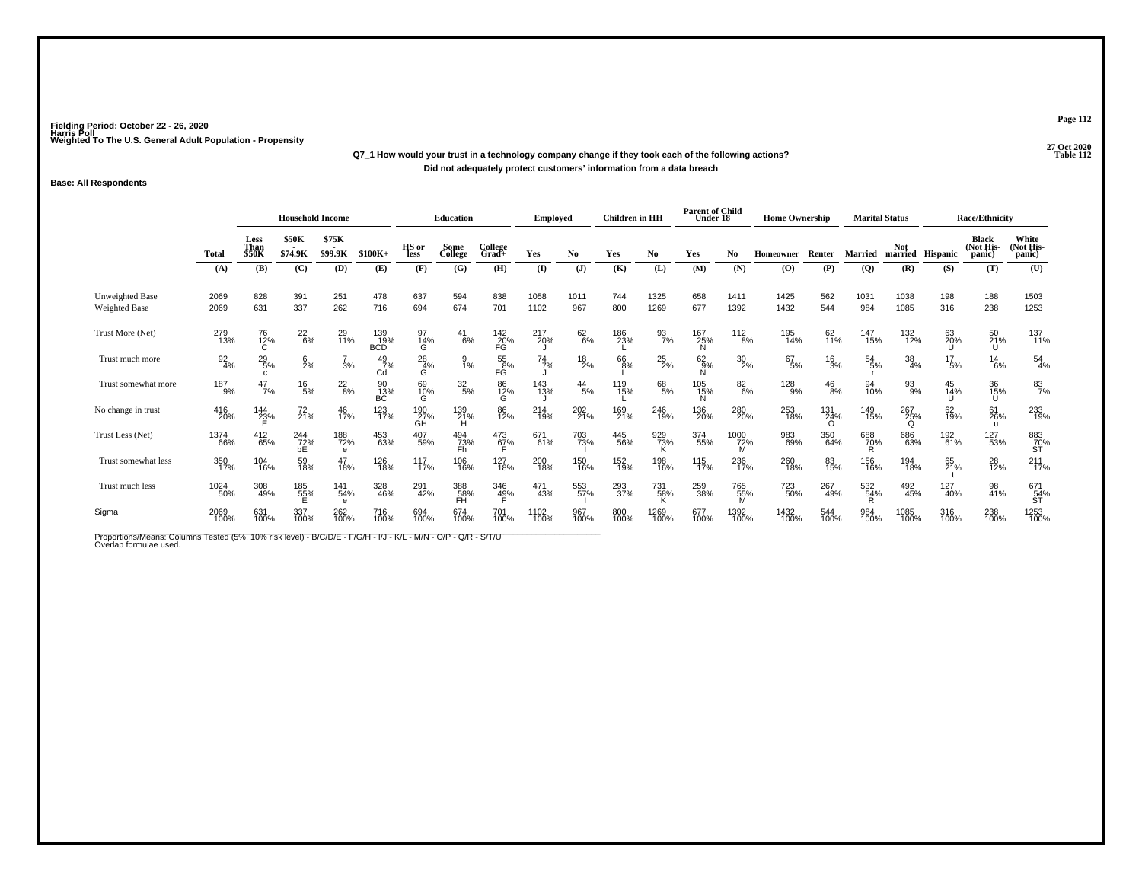# **27 Oct 2020Q7\_1 How would your trust in a technology company change if they took each of the following actions?Did not adequately protect customers' information from a data breach**

### **Base: All Respondents**

|                                                                                                                                          |                  |                                | <b>Household Income</b> |                        |                          |                    | <b>Education</b> |                     | <b>Employed</b> |                 | <b>Children</b> in HH |                  | <b>Parent of Child</b><br>Under 18 |                  | <b>Home Ownership</b> |                        |                 | <b>Marital Status</b>  |                  | <b>Race/Ethnicity</b>        |                              |
|------------------------------------------------------------------------------------------------------------------------------------------|------------------|--------------------------------|-------------------------|------------------------|--------------------------|--------------------|------------------|---------------------|-----------------|-----------------|-----------------------|------------------|------------------------------------|------------------|-----------------------|------------------------|-----------------|------------------------|------------------|------------------------------|------------------------------|
|                                                                                                                                          | <b>Total</b>     | Less<br>Than<br>\$50K          | <b>\$50K</b><br>\$74.9K | \$75K<br>\$99.9K       | $$100K+$                 | HS or<br>less      | Some<br>College  | College<br>$Grad +$ | Yes             | No.             | Yes                   | No               | Yes                                | No.              | <b>Homeowner</b>      | Renter                 | Married         | Not                    | married Hispanic | Black<br>(Not His-<br>panic) | White<br>(Not His-<br>panic) |
|                                                                                                                                          | (A)              | (B)                            | (C)                     | (D)                    | (E)                      | (F)                | (G)              | (H)                 | $($ $\Gamma$    | $(\mathbf{J})$  | (K)                   | (L)              | (M)                                | (N)              | (0)                   | (P)                    | (Q)             | (R)                    | (S)              | (T)                          | (U)                          |
| Unweighted Base<br><b>Weighted Base</b>                                                                                                  | 2069<br>2069     | 828<br>631                     | 391<br>337              | 251<br>262             | 478<br>716               | 637<br>694         | 594<br>674       | 838<br>701          | 1058<br>1102    | 1011<br>967     | 744<br>800            | 1325<br>1269     | 658<br>677                         | 1411<br>1392     | 1425<br>1432          | 562<br>544             | 1031<br>984     | 1038<br>1085           | 198<br>316       | 188<br>238                   | 1503<br>1253                 |
| Trust More (Net)                                                                                                                         | 279<br>13%       | 76<br>12%                      | $^{22}_{6\%}$           | 29<br>11%              | 139<br>19%<br><b>BCD</b> | 97<br>14%<br>G     | $^{41}_{6\%}$    | $^{142}_{20\%}$ FG  | 217<br>20%      | $62\atop 6\%$   | 186<br>23%            | $\frac{93}{7\%}$ | 167<br>25%<br>N                    | $\frac{112}{8%}$ | 195<br>14%            | 62<br>11%              | 147<br>15%      | 132<br>12%             | 63<br>20%        | 50<br>21%<br>U               | 137<br>11%                   |
| Trust much more                                                                                                                          | $\frac{92}{4\%}$ | $^{29}_{5\%}$                  | $6\over 2%$             | 3%                     | $^{49}_{7\%}$<br>Cd      | $^{28}_{4\%}$<br>G | 9<br>1%          | 55<br>FG<br>%       | $^{74}$ 7%      | $^{18}_{2\%}$   | 66<br>8%              | $^{25}_{2\%}$    | $62\atop 9\%$                      | $^{30}_{2\%}$    | $^{67}_{5\%}$         | $\frac{16}{3%}$        | $^{54}_{5\%}$   | $\frac{38}{4\%}$       | $^{17}_{5\%}$    | $^{14}_{6\%}$                | $^{54}_{4\%}$                |
| Trust somewhat more                                                                                                                      | 187<br>9%        | 47<br>7%                       | $^{16}_{5\%}$           | $^{22}_{8\%}$          | 90<br>13%<br>ВC          | 69<br>10%<br>G     | $\frac{32}{5\%}$ | 86<br>12%<br>G      | 143<br>13%      | $^{44}_{\ 5\%}$ | 119<br>15%            | 68<br>5%         | 105<br>15%<br>N                    | 826%             | 128<br>9%             | $^{46}_{8\%}$          | 94<br>10%       | 93%                    | 45<br>14%        | 36<br>15%<br>U               | $^{83}_{7\%}$                |
| No change in trust                                                                                                                       | 416<br>20%       | <sup>144</sup> <sub>23</sub> % | $^{72}_{21\%}$          | 46<br>17%              | 123<br>17%               | 190<br>27%<br>GH   | 139<br>21%<br>Н  | 86<br>12%           | 214<br>19%      | 202<br>21%      | 169<br>21%            | 246<br>19%       | 136<br>20%                         | 280<br>20%       | 253<br>18%            | 131<br>24%<br>$\Omega$ | 149<br>15%      | 267<br>25%<br>$\Omega$ | 62<br>19%        | 61<br>26%<br>u               | 233<br>19%                   |
| Trust Less (Net)                                                                                                                         | 1374<br>66%      | 412<br>65%                     | 244<br>72%<br>bE        | 188<br>72%<br>$\theta$ | 453<br>63%               | 407<br>59%         | 494<br>73%<br>Fh | 473<br>67%          | 671<br>61%      | 703<br>73%      | 445<br>56%            | 929<br>73%       | 374<br>55%                         | 1000<br>72%<br>M | 983<br>69%            | 350<br>64%             | 688<br>70%      | 686<br>63%             | 192<br>61%       | 127<br>53%                   | 883<br>70%<br>ST             |
| Trust somewhat less                                                                                                                      | 350<br>17%       | 104<br>16%                     | 59<br>18%               | 47<br>18%              | 126<br>18%               | 117<br>17%         | 106<br>16%       | 127<br>18%          | 200<br>18%      | 150<br>16%      | 152<br>19%            | 198<br>16%       | 115<br>17%                         | 236<br>17%       | 260<br>18%            | 83<br>15%              | 156<br>16%      | 194<br>18%             | 65<br>21%        | 28<br>12%                    | $^{211}_{17\%}$              |
| Trust much less                                                                                                                          | 1024<br>50%      | 308<br>49%                     | 185<br>55%              | 141<br>54%<br>e        | 328<br>46%               | 291<br>42%         | 388<br>58%<br>FH | 346<br>4 <u>9</u> % | 471<br>43%      | 553<br>57%      | 293<br>37%            | 731<br>58%<br>ĸ  | 259<br>38%                         | 765<br>55%<br>M  | 723<br>50%            | 267<br>49%             | 532<br>54%<br>R | 492<br>45%             | 127<br>40%       | 98<br>41%                    | 671<br>54%<br>ST             |
| Sigma                                                                                                                                    | 2069<br>100%     | 631<br>100%                    | 337<br>100%             | 262<br>100%            | 716<br>100%              | 694<br>100%        | 674<br>100%      | 701<br>100%         | 1102<br>100%    | 967<br>100%     | 800<br>100%           | 1269<br>100%     | 677<br>100%                        | 1392<br>100%     | 1432<br>100%          | 544<br>100%            | 984<br>100%     | 1085<br>100%           | 316<br>100%      | 238<br>100%                  | 1253<br>100%                 |
| Proportions/Means: Columns Tested (5%, 10% risk level) - B/C/D/E - F/G/H - I/J - K/L - M/N - O/P - Q/R - S/T/U<br>Overlap formulae used. |                  |                                |                         |                        |                          |                    |                  |                     |                 |                 |                       |                  |                                    |                  |                       |                        |                 |                        |                  |                              |                              |

**Page 112**

**P** Table 112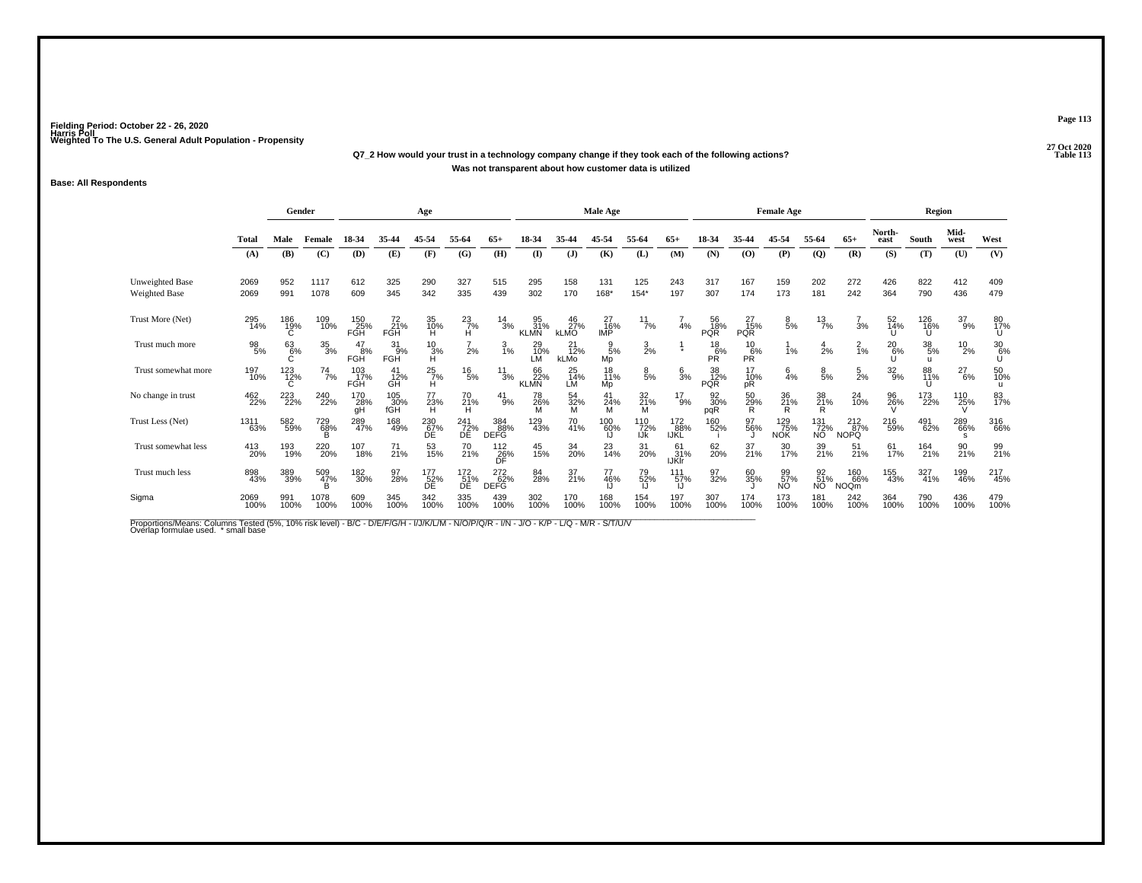# **27 Oct 2020Q7\_2 How would your trust in a technology company change if they took each of the following actions?Was not transparent about how customer data is utilized**

### **Base: All Respondents**

|                                  |              | Gender          |                  |                   |                   | Age                |                  |                           |                          |                          | <b>Male Age</b>       |                   |                           |                         |                         | <b>Female Age</b> |                  |                                |                | <b>Region</b>         |                 |                |
|----------------------------------|--------------|-----------------|------------------|-------------------|-------------------|--------------------|------------------|---------------------------|--------------------------|--------------------------|-----------------------|-------------------|---------------------------|-------------------------|-------------------------|-------------------|------------------|--------------------------------|----------------|-----------------------|-----------------|----------------|
|                                  | Total        | Male            | Female           | 18-34             | 35-44             | 45-54              | 55-64            | $65+$                     | 18-34                    | 35-44                    | 45-54                 | 55-64             | $65+$                     | 18-34                   | 35-44                   | 45-54             | 55-64            | $65+$                          | North-<br>east | South                 | Mid-<br>west    | West           |
|                                  | (A)          | (B)             | (C)              | (D)               | (E)               | (F)                | (G)              | (H)                       | $($ I                    | $(\mathbf{J})$           | (K)                   | (L)               | (M)                       | (N)                     | (0)                     | (P)               | $\overline{Q}$   | (R)                            | (S)            | (T)                   | (U)             | (V)            |
| Unweighted Base<br>Weighted Base | 2069<br>2069 | 952<br>991      | 1117<br>1078     | 612<br>609        | 325<br>345        | 290<br>342         | 327<br>335       | 515<br>439                | 295<br>302               | 158<br>170               | 131<br>168*           | 125<br>$154*$     | 243<br>197                | 317<br>307              | 167<br>174              | 159<br>173        | 202<br>181       | 272<br>242                     | 426<br>364     | 822<br>790            | 412<br>436      | 409<br>479     |
| Trust More (Net)                 | 295<br>14%   | 186<br>19%      | 109<br>10%       | 150<br>25%<br>FGH | 72<br>21%<br>FGH  | 35<br>10%<br>H     | $^{23}_{7\%}$    | $^{14}_{3\%}$             | 95<br>31%<br><b>KLMN</b> | 46<br>27%<br><b>kLMO</b> | 27<br>16%<br>IMP      | $^{11}_{7\%}$     | 4%                        | 56<br>18%<br><b>PQR</b> | 27<br>15%<br><b>PQR</b> | $\frac{8}{5%}$    | $^{13}_{7\%}$    | $\frac{7}{3}$ %                | 52<br>14%      | 126<br>16%<br>U       | $^{37}_{9\%}$   | 80<br>17%<br>U |
| Trust much more                  | 98<br>5%     | 63<br>6%        | $\frac{35}{3\%}$ | 47<br>8%<br>FGH   | 31<br>9%<br>FGH   | $^{10}_{3\%}$      | 2%               | $\frac{3}{1%}$            | 29<br>10%<br>LM          | 21<br>12%<br>kLMo        | $\frac{9}{5}$ %<br>Mo | $\frac{3}{2\%}$   |                           | $^{18}_{6\%}$<br>РŘ     | $\frac{10}{P}$ R%       | 1%                | $\frac{4}{2}$ %  | $\frac{2}{1%}$                 | $^{20}_{6\%}$  | $\frac{38}{5\%}$<br>u | $^{10}_{2\%}$   | 306%<br>Ű      |
| Trust somewhat more              | 197<br>10%   | $^{123}_{12\%}$ | $^{74}$ 7%       | 103<br>17%<br>FGH | 41<br>12%<br>GH   | $^{25}_{7\%}$<br>Ĥ | $^{16}_{5\%}$    | $^{11}_{3\%}$             | 66<br>22%<br><b>KLMN</b> | 25<br>14%<br>LM          | 18<br>11%<br>Mp       | $\frac{8}{5%}$    | $\frac{6}{3%}$            | 38<br>12%<br><b>PQR</b> | 17<br>10%<br>pŔ         | $\frac{6}{4}$ %   | $\frac{8}{5%}$   | $\frac{5}{2%}$                 | $32\atop 9\%$  | 88<br>11%             | $^{27}_{6\%}$   | 50<br>10%<br>u |
| No change in trust               | 462<br>22%   | 223<br>22%      | 240<br>22%       | 170<br>28%<br>qH  | 105<br>30%<br>fGH | 77<br>23%<br>H     | 70<br>21%<br>H   | $^{41}_{9\%}$             | 78<br>26%<br>M           | 54<br>32%<br>M           | 41<br>24%<br>M        | 32<br>21%<br>M    | $^{17}_{9\%}$             | 92<br>30%<br>pqR        | 50<br>29%<br>R          | 36<br>21%<br>R    | 38<br>21%<br>R   | 24<br>10%                      | 96<br>26%      | 173<br>22%            | 110<br>25%      | 83<br>17%      |
| Trust Less (Net)                 | 1311<br>63%  | 582<br>59%      | 729<br>68%       | 289<br>47%        | 168<br>49%        | 230<br>67%<br>ĎΕ   | 241<br>72%<br>DE | 384<br>88%<br>DEFĞ        | 129<br>43%               | 70<br>41%                | 100<br>60%            | 110<br>72%<br>IJk | 172<br>88%<br>IJKL        | 160<br>52%              | 97<br>56%               | 129<br>75%<br>NOK | 131<br>72%<br>NŌ | $^{212}_{87\%}$<br><b>NOPQ</b> | 216<br>59%     | 491<br>62%            | 289<br>66%<br>s | 316<br>66%     |
| Trust somewhat less              | 413<br>20%   | 193<br>19%      | 220<br>20%       | 107<br>18%        | 71<br>21%         | 53<br>15%          | 70<br>21%        | 112<br>26%<br>DF          | 45<br>15%                | 34<br>20%                | 23<br>14%             | 31<br>20%         | 61<br>31%<br><b>IJKIr</b> | 62<br>20%               | 37<br>21%               | 30<br>17%         | 39<br>21%        | $\frac{51}{21\%}$              | 61<br>17%      | 164<br>21%            | 90<br>21%       | 99<br>21%      |
| Trust much less                  | 898<br>43%   | 389<br>39%      | 509<br>47%       | 182<br>30%        | 97<br>28%         | 177<br>52%<br>ĎΕ   | 172<br>51%<br>DE | 272<br>62%<br><b>DEFG</b> | 84<br>28%                | $^{37}_{21\%}$           | 77<br>46%             | 79<br>52%         | 111<br>57%                | 97<br>32%               | 60<br>35%               | 99<br>57%<br>ΝÔ   | 92<br>51%<br>NO  | 160<br>66%<br><b>NOQm</b>      | 155<br>43%     | $\frac{327}{41\%}$    | 199<br>46%      | 217<br>45%     |
| Sigma                            | 2069<br>100% | 991<br>100%     | 1078<br>100%     | 609<br>100%       | 345<br>100%       | 342<br>100%        | 335<br>100%      | 439<br>100%               | 302<br>100%              | 170<br>100%              | 168<br>100%           | 154<br>100%       | 197<br>100%               | 307<br>100%             | 174<br>100%             | 173<br>100%       | 181<br>100%      | 242<br>100%                    | 364<br>100%    | 790<br>100%           | 436<br>100%     | 479<br>100%    |

Proportions/Means: Columns Tested (5%, 10% risk level) - B/C - D/E/F/G/H - I/J/K/L/M - N/O/P/Q/R - I/N - J/O - K/P - L/Q - M/R - S/T/U/V<br>Overlap formulae used. \*small base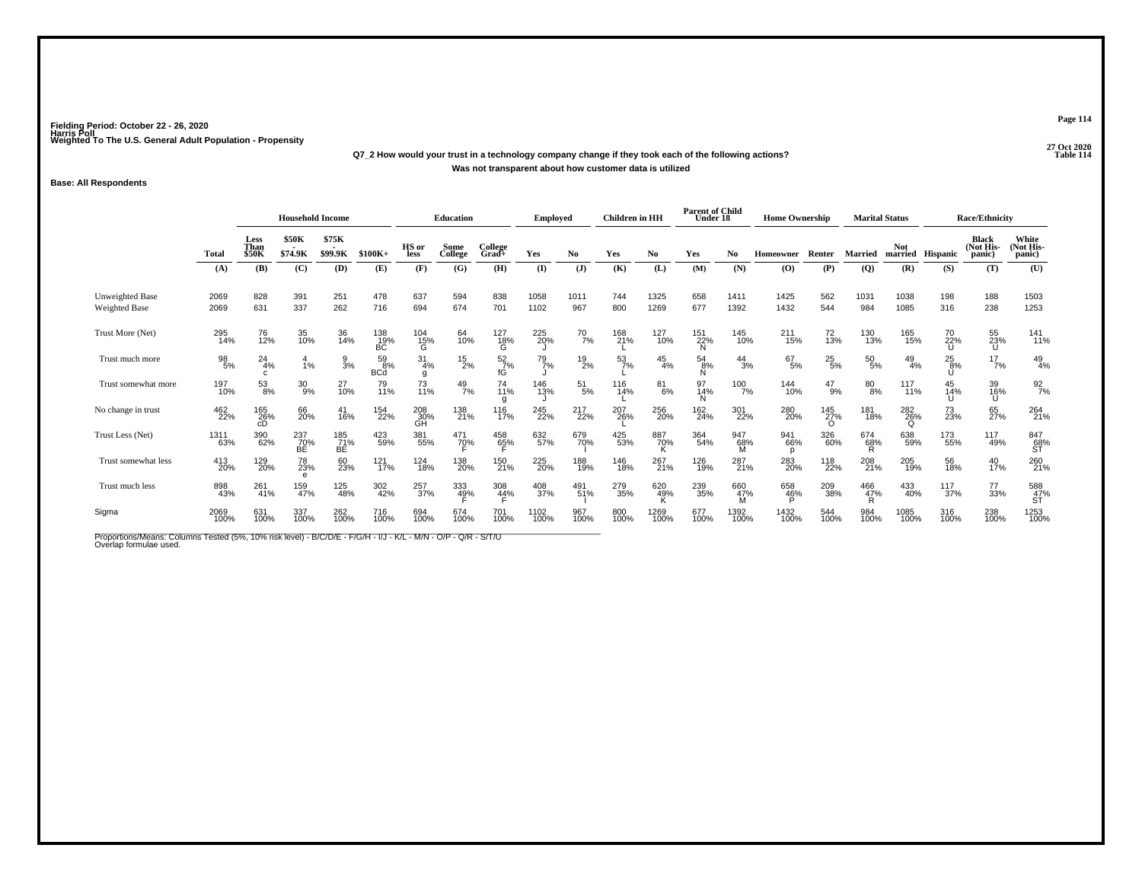# **27 Oct 2020Q7\_2 How would your trust in a technology company change if they took each of the following actions?Was not transparent about how customer data is utilized**

### **Base: All Respondents**

|                                                                                                                                          |              |                              | <b>Household Income</b> |                  |                        |                       | <b>Education</b>    |                        | Emploved     |               | <b>Children</b> in HH |                  | <b>Parent of Child</b><br>Under 18 |                 | <b>Home Ownership</b> |                        |                             | <b>Marital Status</b>  |                 | <b>Race/Ethnicity</b>               |                              |
|------------------------------------------------------------------------------------------------------------------------------------------|--------------|------------------------------|-------------------------|------------------|------------------------|-----------------------|---------------------|------------------------|--------------|---------------|-----------------------|------------------|------------------------------------|-----------------|-----------------------|------------------------|-----------------------------|------------------------|-----------------|-------------------------------------|------------------------------|
|                                                                                                                                          | Total        | Less<br>Than<br><b>\$50K</b> | <b>\$50K</b><br>\$74.9K | \$75K<br>\$99.9K | $$100K+$               | HS or<br>less         | Some<br>College     | College<br>Grad+       | Yes          | No            | Yes                   | No               | Yes                                | No              | <b>Homeowner</b>      | Renter                 | <b>Married</b>              | <b>Not</b><br>married  | <b>Hispanic</b> | <b>Black</b><br>(Not His-<br>panic) | White<br>(Not His-<br>panic) |
|                                                                                                                                          | (A)          | (B)                          | (C)                     | (D)              | (E)                    | (F)                   | (G)                 | (H)                    | $($ I        | $\mathbf{J}$  | (K)                   | (L)              | (M)                                | (N)             | (0)                   | (P)                    | $\overline{Q}$              | (R)                    | (S)             | (T)                                 | (U)                          |
| <b>Unweighted Base</b><br><b>Weighted Base</b>                                                                                           | 2069<br>2069 | 828<br>631                   | 391<br>337              | 251<br>262       | 478<br>716             | 637<br>694            | 594<br>674          | 838<br>701             | 1058<br>1102 | 1011<br>967   | 744<br>800            | 1325<br>1269     | 658<br>677                         | 1411<br>1392    | 1425<br>1432          | 562<br>544             | 1031<br>984                 | 1038<br>1085           | 198<br>316      | 188<br>238                          | 1503<br>1253                 |
| Trust More (Net)                                                                                                                         | 295<br>14%   | 76<br>12%                    | 35<br>10%               | 36<br>14%        | 138<br>19%<br>BC       | 104<br>15%<br>G       | 64<br>10%           | 127<br>18%<br>G        | 225<br>20%   | $^{70}_{7\%}$ | 168<br>21%            | 127<br>10%       | 151<br>22%<br>N                    | 145<br>10%      | $^{211}_{15\%}$       | 72<br>13%              | 130<br>13%                  | 165<br>15%             | 70<br>22%       | 55<br>23%<br>U                      | $\frac{141}{11\%}$           |
| Trust much more                                                                                                                          | 98<br>5%     | 24<br>4%<br>C.               | 1%                      | $\frac{9}{3}$ %  | 59<br>8%<br><b>BCd</b> | $\frac{31}{4\%}$<br>g | $^{15}_{2\%}$       | $\frac{52}{7}$ %<br>fĠ | 79<br>7%     | $^{19}_{2\%}$ | $\frac{53}{7}\%$      | 45<br>4%         | $^{54}_{8\%}$<br>N                 | 44<br>3%        | $^{67}_{5\%}$         | $^{25}_{5\%}$          | $^{50}_{5\%}$               | $^{49}_{4\%}$          | $^{25}_{8\%}$   | $17/7$ %                            | $^{49}_{4\%}$                |
| Trust somewhat more                                                                                                                      | 197<br>10%   | 53<br>8%                     | $^{30}_{9\%}$           | 27<br>10%        | 79<br>11%              | 73<br>11%             | $^{49}_{7\%}$       | 74<br>11%<br>g         | 146<br>13%   | $^{51}_{5\%}$ | 116<br>14%            | $^{81}_{6\%}$    | 97<br>14%<br>N                     | 100<br>7%       | 144<br>10%            | $^{47}_{9\%}$          | $80\!\!\!{}^{80}\!\!\!.8\%$ | 117<br>$11\%$          | 45<br>14%       | 39<br>16%<br>U                      | $\frac{92}{7}$ %             |
| No change in trust                                                                                                                       | 462<br>22%   | 165<br>26%<br>сD             | 66<br>20%               | 41<br>16%        | 154<br>22%             | 208<br>30%<br>GH      | 138<br>21%          | 116<br>17%             | 245<br>22%   | 217<br>22%    | 207<br>26%            | 256<br>20%       | 162<br>24%                         | 301<br>22%      | 280<br>20%            | 145<br>27%<br>$\Omega$ | 181<br>18%                  | 282<br>26%<br>$\Omega$ | 73<br>23%       | 65<br>27%                           | 264<br>21%                   |
| Trust Less (Net)                                                                                                                         | 1311<br>63%  | 390<br>62%                   | 237<br>70%<br>BE        | 185<br>71%<br>BE | 423<br>59%             | 381<br>55%            | 471<br>70%          | 458<br>6 <u>5</u> %    | 632<br>57%   | 679<br>70%    | 425<br>53%            | 887<br>70%       | 364<br>54%                         | 947<br>68%<br>м | 941<br>66%<br>р       | 326<br>60%             | 674<br>68%<br>R             | 638<br>59%             | 173<br>55%      | 117<br>49%                          | 847<br>68%<br>ST             |
| Trust somewhat less                                                                                                                      | 413<br>20%   | 129<br>20%                   | 78<br>23%<br>e          | 60<br>23%        | 121<br>17%             | 124<br>18%            | 138<br>20%          | 150<br>21%             | 225<br>20%   | 188<br>19%    | 146<br>18%            | 267<br>21%       | 126<br>19%                         | 287<br>21%      | 283<br>20%            | 118<br>22%             | 208<br>21%                  | 205<br>19%             | 56<br>18%       | 40<br>17%                           | 260<br>21%                   |
| Trust much less                                                                                                                          | 898<br>43%   | 261<br>41%                   | 159<br>47%              | 125<br>48%       | 302<br>42%             | 257<br>37%            | 333<br>4 <u>9</u> % | $\frac{308}{44\%}$     | 408<br>37%   | 491<br>51%    | 279<br>35%            | 620<br>49%<br>n. | 239<br>35%                         | 660<br>47%<br>м | 658<br>46%            | 209<br>38%             | 466<br>47%<br>R             | 433<br>40%             | 117<br>37%      | 77<br>33%                           | 588<br>47%<br>ST             |
| Sigma                                                                                                                                    | 2069<br>100% | 631<br>100%                  | 337<br>100%             | 262<br>100%      | 716<br>100%            | 694<br>100%           | 674<br>100%         | 701<br>100%            | 1102<br>100% | 967<br>100%   | 800<br>100%           | 1269<br>100%     | 677<br>100%                        | 1392<br>100%    | 1432<br>100%          | 544<br>100%            | 984<br>100%                 | 1085<br>100%           | 316<br>100%     | 238<br>100%                         | 1253<br>100%                 |
| Proportions/Means: Columns Tested (5%, 10% risk level) - B/C/D/E - F/G/H - I/J - K/L - M/N - O/P - Q/R - S/T/U<br>Overlap formulae used. |              |                              |                         |                  |                        |                       |                     |                        |              |               |                       |                  |                                    |                 |                       |                        |                             |                        |                 |                                     |                              |

**Page 114**

**P** Table 114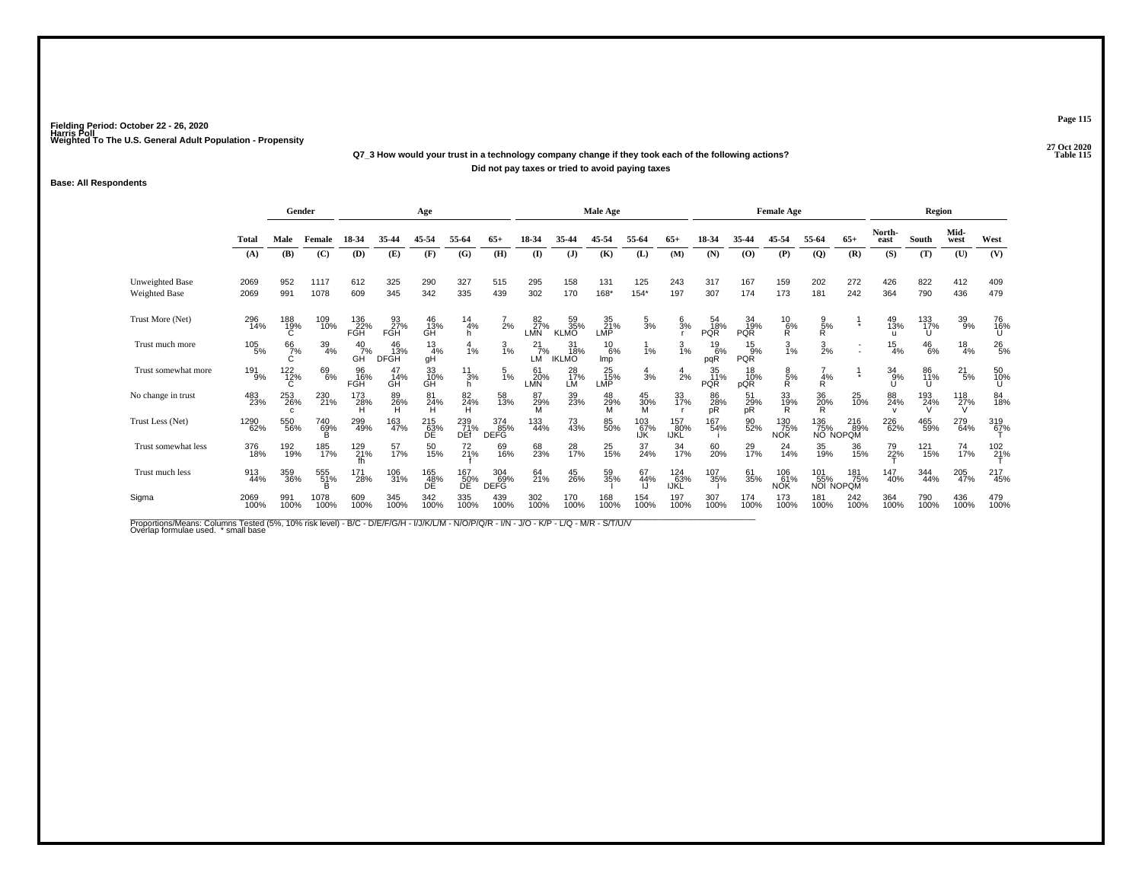# **27 Oct 2020Q7\_3 How would your trust in a technology company change if they took each of the following actions?Did not pay taxes or tried to avoid paying taxes**

### **Base: All Respondents**

|                                         |                   | Gender             |                  |                     | Age                      |                                          |                       |                           |                     |                           | <b>Male Age</b>   |                     |                     |                         |                       | <b>Female Age</b>        |                                      |                                     |                           | <b>Region</b>   |                 |                 |
|-----------------------------------------|-------------------|--------------------|------------------|---------------------|--------------------------|------------------------------------------|-----------------------|---------------------------|---------------------|---------------------------|-------------------|---------------------|---------------------|-------------------------|-----------------------|--------------------------|--------------------------------------|-------------------------------------|---------------------------|-----------------|-----------------|-----------------|
|                                         | Total             | Male               | Female           | 18-34               | 35-44                    | 45-54                                    | 55-64                 | $65+$                     | 18-34               | 35-44                     | 45-54             | 55-64               | $65+$               | 18-34                   | 35-44                 | 45-54                    | 55-64                                | $65+$                               | North-<br>east            | South           | Mid-<br>west    | West            |
|                                         | (A)               | (B)                | (C)              | (D)                 | (E)                      | (F)                                      | (G)                   | (H)                       | $($ $\Gamma$        | $(\mathbf{J})$            | (K)               | (L)                 | (M)                 | (N)                     | (0)                   | (P)                      | $\overline{Q}$                       | (R)                                 | (S)                       | (T)             | (U)             | (V)             |
| Unweighted Base<br><b>Weighted Base</b> | 2069<br>2069      | 952<br>991         | 1117<br>1078     | 612<br>609          | 325<br>345               | 290<br>342                               | 327<br>335            | 515<br>439                | 295<br>302          | 158<br>170                | 131<br>168*       | 125<br>$154*$       | 243<br>197          | 317<br>307              | 167<br>174            | 159<br>173               | 202<br>181                           | 272<br>242                          | 426<br>364                | 822<br>790      | 412<br>436      | 409<br>479      |
| Trust More (Net)                        | 296<br>14%        | 188<br>19%         | 109<br>10%       | 136<br>22%<br>FGH   | 93<br>27%<br>FGH         | 46<br>13%<br>GH                          | $\frac{14}{4%}$<br>h. | 2%                        | 82<br>27%<br>LMN    | 59<br>35%<br><b>KLMO</b>  | $\frac{35}{21\%}$ | $\frac{5}{3}$ %     | $\frac{6}{3}$ %     | 54<br>18%<br>PQR        | 34<br>19%<br>PQR      | $^{10}_{6\%}$            | $\frac{9}{R}$ %                      |                                     | 49<br>13%<br>ū            | 133<br>17%<br>U | 39<br>9%        | 76<br>16%<br>U  |
| Trust much more                         | $\frac{105}{5\%}$ | $^{66}_{7\%}$      | $\frac{39}{4\%}$ | $^{40}_{7\%}$<br>GH | 46<br>13%<br><b>DFGH</b> | $\frac{13}{4%}$<br>gН                    | 4<br>1%               | $\frac{3}{1\%}$           | $^{21}_{7\%}$<br>LM | 31<br>18%<br><b>IKLMO</b> | 10<br>6%<br>Imp   | 1%                  | $\frac{3}{1\%}$     | $^{19}_{6\%}$<br>pqR    | 15<br>9%<br>PQR       | $\frac{3}{1\%}$          | $\frac{3}{2\%}$                      |                                     | $\frac{15}{4%}$           | $^{46}_{6\%}$   | $\frac{18}{4%}$ | $^{26}_{\ 5\%}$ |
| Trust somewhat more                     | $^{191}_{9\%}$    | $\frac{122}{12\%}$ | 69<br>6%         | 96<br>16%<br>FGH    | 47<br>14%<br>GH          | 33<br>10%<br>GH                          | $\frac{11}{3%}$<br>h. | $\frac{5}{1\%}$           | 61<br>20%<br>LMÑ    | $^{28}_{17\%}$ LM         | 25<br>15%<br>LMP  | $\frac{4}{3}$ %     | $\frac{4}{2}$ %     | 35<br>11%<br><b>PQR</b> | $^{18}_{10\%}$<br>pQR | $\frac{8}{R}$ %          | $\frac{4}{R}$                        |                                     | 34<br>9%                  | 86<br>11%<br>U  | $^{21}_{5\%}$   | 50<br>10%       |
| No change in trust                      | 483<br>23%        | 253<br>26%<br>c    | 230<br>21%       | 173<br>28%          | 89<br>26%                | 81<br>24%                                | 82<br>24%             | 58<br>13%                 | 87<br>29%           | 39<br>23%                 | 48<br>29%         | $\frac{45}{30\%}$ M | 33<br>17%           | 86<br>28%<br>рŔ         | 51<br>29%<br>pR       | 33<br>19%<br>R           | 36<br>20%<br>R                       | 25<br>10%                           | 88<br>24%<br>$\mathbf{v}$ | 193<br>24%      | 118<br>27%      | 84<br>18%       |
| Trust Less (Net)                        | 1290<br>62%       | 550<br>56%         | 740<br>69%       | 299<br>49%          | 163<br>47%               | $^{215}_{\substack{63\%\\ \textrm{DE}}}$ | 239<br>71%<br>DEf     | 374<br>85%<br><b>DEFG</b> | 133<br>44%          | 73<br>43%                 | 85<br>50%         | 103<br>67%<br>IJΚ   | 157<br>.80%<br>IJŘĽ | 167<br>54%              | 90<br>52%             | 130<br>75%<br><b>NOK</b> | 136                                  | 216<br>89%<br>75% - 89%<br>NO NOPOM | 226<br>62%                | 465<br>59%      | 279<br>64%      | 319<br>67%      |
| Trust somewhat less                     | 376<br>18%        | 192<br>19%         | 185<br>17%       | 129<br>21%<br>fh    | 57<br>17%                | 50<br>15%                                | 72<br>21%             | 69<br>16%                 | 68<br>23%           | 28<br>17%                 | $^{25}_{15\%}$    | 37<br>24%           | 34<br>17%           | 60<br>20%               | 29<br>17%             | 24<br>14%                | 35<br>19%                            | 36<br>15%                           | 79<br>22%                 | 121<br>15%      | 74<br>17%       | 102 %           |
| Trust much less                         | 913<br>44%        | 359<br>36%         | 555<br>51%       | 171<br>28%          | 106<br>31%               | 165<br>48%<br>DE                         | 167<br>50%<br>ĎË      | 304<br>69%<br><b>DEFG</b> | 64<br>21%           | 45<br>26%                 | 59<br>35%         | 67<br>44%           | 124<br>63%<br>IJKL  | 107<br>35%              | 61<br>35%             | 106<br>61%<br><b>NOK</b> | $^{101}_{.55\%}$<br><b>NOI NOPOM</b> | 181<br>75%                          | 147<br>40%                | 344<br>44%      | 205<br>47%      | 217<br>45%      |
| Sigma                                   | 2069<br>100%      | 991<br>100%        | 1078<br>100%     | 609<br>100%         | 345<br>100%              | 342<br>100%                              | 335<br>100%           | 439<br>100%               | 302<br>100%         | 170<br>100%               | 168<br>100%       | 154<br>100%         | 197<br>100%         | 307<br>100%             | 174<br>100%           | 173<br>100%              | 181<br>100%                          | 242<br>100%                         | 364<br>100%               | 790<br>100%     | 436<br>100%     | 479<br>100%     |

Proportions/Means: Columns Tested (5%, 10% risk level) - B/C - D/E/F/G/H - I/J/K/L/M - N/O/P/Q/R - I/N - J/O - K/P - L/Q - M/R - S/T/U/V<br>Overlap formulae used. \*small base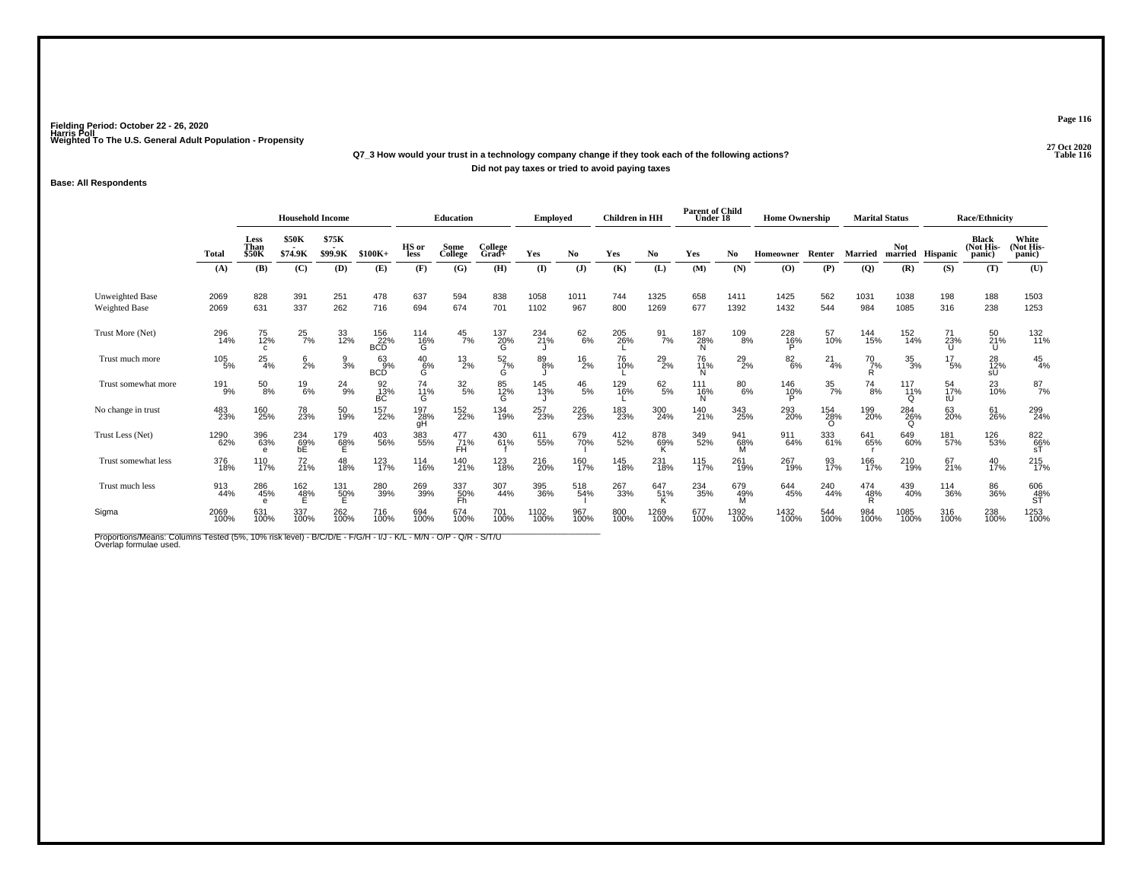# **27 Oct 2020Q7\_3 How would your trust in a technology company change if they took each of the following actions?Did not pay taxes or tried to avoid paying taxes**

## **Base: All Respondents**

|                                                                                                                                          |                 |                       | <b>Household Income</b>              |                  |                          |                    | <b>Education</b> |                       | Employed     |               | <b>Children</b> in HH |                  | <b>Parent of Child</b><br>Under 18 |                 | <b>Home Ownership</b>   |                        |                    | <b>Marital Status</b>             |                                | <b>Race/Ethnicity</b>               |                              |
|------------------------------------------------------------------------------------------------------------------------------------------|-----------------|-----------------------|--------------------------------------|------------------|--------------------------|--------------------|------------------|-----------------------|--------------|---------------|-----------------------|------------------|------------------------------------|-----------------|-------------------------|------------------------|--------------------|-----------------------------------|--------------------------------|-------------------------------------|------------------------------|
|                                                                                                                                          | <b>Total</b>    | Less<br>Than<br>\$50K | <b>\$50K</b><br>\$74.9K              | \$75K<br>\$99.9K | $$100K+$                 | HS or<br>less      | Some<br>College  | College<br>Grad+      | Yes          | No.           | Yes                   | No               | Yes                                | No.             | Homeowner               | Renter                 | <b>Married</b>     | <b>Not</b>                        | married Hispanic               | <b>Black</b><br>(Not His-<br>panic) | White<br>(Not His-<br>panic) |
|                                                                                                                                          | (A)             | (B)                   | (C)                                  | (D)              | (E)                      | (F)                | (G)              | (H)                   | $\mathbf{I}$ | (J)           | (K)                   | (L)              | (M)                                | (N)             | $\bf{(O)}$              | (P)                    | (Q)                | (R)                               | (S)                            | (T)                                 | (U)                          |
| <b>Unweighted Base</b><br><b>Weighted Base</b>                                                                                           | 2069<br>2069    | 828<br>631            | 391<br>337                           | 251<br>262       | 478<br>716               | 637<br>694         | 594<br>674       | 838<br>701            | 1058<br>1102 | 1011<br>967   | 744<br>800            | 1325<br>1269     | 658<br>677                         | 1411<br>1392    | 1425<br>1432            | 562<br>544             | 1031<br>984        | 1038<br>1085                      | 198<br>316                     | 188<br>238                          | 1503<br>1253                 |
| Trust More (Net)                                                                                                                         | 296<br>14%      | 75<br>12%<br>c        | $^{25}_{7\%}$                        | 33<br>12%        | 156<br>22%<br><b>BCD</b> | 114<br>16%<br>G    | $^{45}_{7\%}$    | 137<br>20%<br>G       | 234<br>21%   | $62\atop 6\%$ | 205<br>26%            | $\frac{91}{7\%}$ | 187<br>28%<br>N                    | 109<br>8%       | 228<br>16%              | 57<br>10%              | 144<br>15%         | 152<br>14%                        | 71<br>23%                      | 50<br>21%<br>U                      | 132<br>11%                   |
| Trust much more                                                                                                                          | $^{105}_{-5\%}$ | 25<br>4%              | $\frac{6}{2}$ %                      | $\frac{9}{3}$ %  | 63<br>9%<br>BCD          | $^{40}_{6\%}$<br>Ġ | $^{13}_{2\%}$    | $\frac{52}{7}\%$<br>G | 89/8%        | $^{16}_{2\%}$ | 76<br>10%             | $^{29}_{2\%}$    | 76<br>11%                          | $^{29}_{2\%}$   | $^{82}_{6\%}$           | $^{21}_{4\%}$          | $^{70}_{7\%}$<br>R | $\frac{35}{3%}$                   | 17<br>$.5\%$                   | 28<br>12%<br>sŪ                     | $^{45}_{4\%}$                |
| Trust somewhat more                                                                                                                      | 191<br>9%       | $^{50}_{8\%}$         | $^{19}_{6\%}$                        | $^{24}_{9\%}$    | 92<br>13%<br>ВC          | 74<br>11%<br>G     | $\frac{32}{5\%}$ | 85<br>12%<br>G        | 145<br>13%   | $^{46}_{5\%}$ | 129<br>16%            | 62/5%            | 111<br>16%<br>N                    | 80<br>6%        | $\frac{146}{10\%}$<br>P | $\frac{35}{7\%}$       | $^{74}_{8\%}$      | 117<br>i <sub>1</sub><br>$\Omega$ | 54<br>17%<br>tU                | 23<br>10%                           | $^{87}_{7\%}$                |
| No change in trust                                                                                                                       | 483<br>23%      | 160<br>25%            | 78<br>23%                            | 50<br>19%        | 157<br>22%               | 197<br>28%<br>gН   | 152<br>22%       | 134<br>19%            | 257<br>23%   | 226<br>23%    | 183<br>23%            | 300<br>24%       | 140<br>21%                         | 343<br>25%      | 293<br>20%              | 154<br>28%<br>$\Omega$ | 199<br>20%         | 284<br>26%<br>$\Omega$            | 63<br>20%                      | 61<br>26%                           | 299<br>24%                   |
| Trust Less (Net)                                                                                                                         | 1290<br>62%     | 396<br>63%            | $^{234}_{\substack{69\%\\{\rm bE}}}$ | 179<br>68%<br>E  | 403<br>56%               | 383<br>55%         | 477<br>71%<br>ĖĤ | 430<br>61%            | 611<br>55%   | 679<br>70%    | 412<br>52%            | 878<br>69%       | 349<br>52%                         | 941<br>68%<br>м | 911<br>64%              | 333<br>61%             | 641<br>65%         | 649<br>60%                        | 181<br>57%                     | 126<br>53%                          | ${}^{822}_{66\%}$ st         |
| Trust somewhat less                                                                                                                      | 376<br>18%      | 110<br>17%            | 72 <sub>%</sub>                      | 48<br>18%        | 123<br>17%               | 114<br>16%         | 140<br>21%       | 123<br>18%            | 216<br>20%   | 160<br>17%    | 145<br>18%            | 231<br>18%       | 115<br>17%                         | 261<br>19%      | 267<br>19%              | 93<br>17%              | 166<br>17%         | 210<br>19%                        | 67<br>21%                      | 40<br>17%                           | $^{215}_{17\%}$              |
| Trust much less                                                                                                                          | 913<br>44%      | 286<br>45%            | 162<br>4 <u>8</u> %                  | 131<br>50%       | 280<br>39%               | 269<br>39%         | 337<br>50%<br>Fĥ | 307<br>44%            | 395<br>36%   | 518<br>54%    | 267<br>33%            | 647<br>51%<br>ĸ  | 234<br>35%                         | 679<br>49%<br>M | 644<br>45%              | 240<br>44%             | 474<br>48%<br>R    | 439<br>40%                        | <sup>114</sup> <sub>36</sub> % | 86<br>36%                           | 606<br>48%<br>ST             |
| Sigma                                                                                                                                    | 2069<br>100%    | 631<br>100%           | 337<br>100%                          | 262<br>100%      | 716<br>100%              | 694<br>100%        | 674<br>100%      | 701<br>100%           | 1102<br>100% | 967<br>100%   | 800<br>100%           | 1269<br>100%     | 677<br>100%                        | 1392<br>100%    | 1432<br>100%            | 544<br>100%            | 984<br>100%        | 1085<br>100%                      | 316<br>100%                    | 238<br>100%                         | 1253<br>100%                 |
| Proportions/Means: Columns Tested (5%, 10% risk level) - B/C/D/E - F/G/H - I/J - K/L - M/N - O/P - Q/R - S/T/U<br>Overlap formulae used. |                 |                       |                                      |                  |                          |                    |                  |                       |              |               |                       |                  |                                    |                 |                         |                        |                    |                                   |                                |                                     |                              |

**Page 116**

**P** Table 116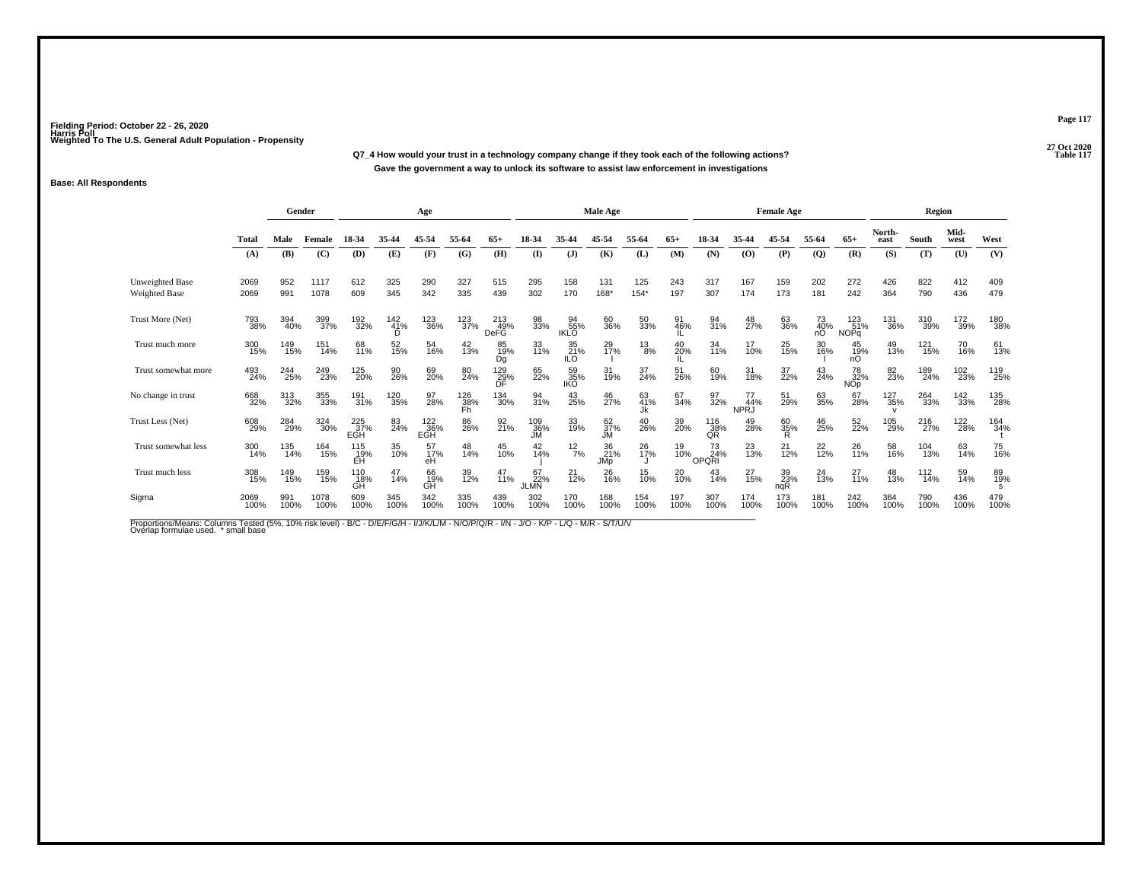**27 Oct 2020Q7\_4 How would your trust in a technology company change if they took each of the following actions?P** Table 117 **Gave the government a way to unlock its software to assist law enforcement in investigations**

## **Base: All Respondents**

|                                         |              | Gender      |              |                   |                        | Age               |                  |                           |                          |                          | <b>Male Age</b>  |                 |             |                    |                          | <b>Female Age</b> |                 |                           |                            | Region      |              |             |
|-----------------------------------------|--------------|-------------|--------------|-------------------|------------------------|-------------------|------------------|---------------------------|--------------------------|--------------------------|------------------|-----------------|-------------|--------------------|--------------------------|-------------------|-----------------|---------------------------|----------------------------|-------------|--------------|-------------|
|                                         | <b>Total</b> | Male        | Female       | 18-34             | 35-44                  | 45-54             | 55-64            | 65+                       | 18-34                    |                          | 45.54            | 55-64           | $65+$       | 18-34              | 35-44                    | 45-54             | 55-64           | $65+$                     | North-<br>east             | South       | Mid-<br>west | West        |
|                                         | (A)          | (B)         | (C)          | (D)               | (E)                    | (F)               | (G)              | (H)                       | (I)                      | (J)                      | (K)              | (L)             | (M)         | (N)                | (0)                      | (P)               | $\mathbf{Q}$    | (R)                       | (S)                        | (T)         | (U)          | (V)         |
| <b>Unweighted Base</b><br>Weighted Base | 2069<br>2069 | 952<br>991  | 1117<br>1078 | 612<br>609        | 325<br>345             | 290<br>342        | 327<br>335       | 515<br>439                | 295<br>302               | 158<br>170               | 131<br>168*      | 125<br>$154*$   | 243<br>197  | 317<br>307         | 167<br>174               | 159<br>173        | 202<br>181      | 272<br>242                | 426<br>364                 | 822<br>790  | 412<br>436   | 409<br>479  |
| Trust More (Net)                        | 793<br>38%   | 394<br>40%  | 399<br>37%   | 192<br>32%        | $\frac{142}{41%}$<br>D | 123<br>36%        | 123<br>37%       | 213<br>49%<br><b>DeFG</b> | 98<br>33%                | 94<br>55%<br><b>IKLO</b> | 60<br>36%        | 50<br>33%       | 91<br>46%   | 94<br>31%          | 48<br>27%                | 63<br>36%         | 73<br>40%<br>nO | 123<br>51%<br><b>NOPq</b> | 131<br>36%                 | 310<br>39%  | 172<br>39%   | 180<br>38%  |
| Trust much more                         | 300<br>15%   | 149<br>15%  | 151<br>14%   | 68<br>11%         | 52<br>15%              | 54<br>16%         | 42<br>13%        | 85<br>19%<br>Dg           | 33<br>11%                | 35<br>21%<br>ILO         | 29<br>17%        | $^{13}_{8\%}$   | 40<br>20%   | 34<br>11%          | 17<br>10%                | 25<br>15%         | 30<br>16%       | 45<br>19%<br>nÓ           | 49<br>13%                  | 121<br>15%  | 70<br>16%    | 61<br>13%   |
| Trust somewhat more                     | 493<br>24%   | 244<br>25%  | 249<br>23%   | 125<br>20%        | 90<br>26%              | 69<br>20%         | 80<br>24%        | 129<br>29%<br>DF          | 65<br>22%                | 59<br>35%<br>IKÕ         | 31<br>19%        | 37<br>24%       | 51<br>26%   | 60<br>19%          | 31<br>18%                | 37<br>22%         | 43<br>24%       | 78<br>32%<br><b>NOp</b>   | 82<br>23%                  | 189<br>24%  | 102<br>23%   | 119<br>25%  |
| No change in trust                      | 668<br>32%   | 313<br>32%  | 355<br>33%   | $^{191}_{31\%}$   | 120<br>35%             | 97<br>28%         | 126<br>38%<br>Fĥ | 134<br>30%                | 94<br>31%                | 43<br>25%                | 46<br>27%        | 63<br>41%<br>Jk | 67<br>34%   | 97<br>32%          | 77<br>44%<br><b>NPRJ</b> | 51<br>29%         | 63<br>35%       | 67<br>28%                 | 127<br>35%<br>$\mathsf{v}$ | 264<br>33%  | 142<br>33%   | 135<br>28%  |
| Trust Less (Net)                        | 608<br>29%   | 284<br>29%  | 324<br>30%   | 225<br>37%<br>EGH | 83<br>24%              | 122<br>36%<br>EGH | 86<br>26%        | 92 <sub>1%</sub>          | 109<br>36%<br>JM         | 33<br>19%                | 62<br>37%<br>JМ  | 40<br>26%       | 39<br>20%   | 116<br>38%<br>QR   | 49<br>28%                | 60<br>35%<br>R    | 46<br>25%       | 52 <sub>%</sub>           | 105<br>29%                 | 216<br>27%  | 122<br>28%   | 164<br>34%  |
| Trust somewhat less                     | 300<br>14%   | 135<br>14%  | 164<br>15%   | 115<br>19%<br>EĤ  | 35<br>10%              | 57<br>17%<br>eH   | 48<br>14%        | 45<br>10%                 | 42<br>14%                | $12\frac{2}{7}$ %        | 36<br>21%<br>JMp | 26<br>17%       | 19<br>10%   | 73<br>24%<br>OPQRI | 23<br>13%                | 21<br>12%         | $^{22}_{12\%}$  | 26<br>11%                 | 58<br>16%                  | 104<br>13%  | 63<br>14%    | 75<br>16%   |
| Trust much less                         | 308<br>15%   | 149<br>15%  | 159<br>15%   | 110<br>18%<br>GH  | 47<br>14%              | 66<br>19%<br>GĤ   | 39<br>12%        | 47<br>11%                 | 67<br>22%<br><b>JLMN</b> | $^{21}_{12\%}$           | 26<br>16%        | 15<br>10%       | 20<br>10%   | 43<br>14%          | 27<br>15%                | 39<br>23%<br>ngR  | 24<br>13%       | $^{27}_{11\%}$            | 48<br>13%                  | 112<br>14%  | 59<br>14%    | 89<br>19%   |
| Sigma                                   | 2069<br>100% | 991<br>100% | 1078<br>100% | 609<br>100%       | 345<br>100%            | 342<br>100%       | 335<br>100%      | 439<br>100%               | 302<br>100%              | 170<br>100%              | 168<br>100%      | 154<br>100%     | 197<br>100% | 307<br>100%        | 174<br>100%              | 173<br>100%       | 181<br>100%     | 242<br>100%               | 364<br>100%                | 790<br>100% | 436<br>100%  | 479<br>100% |

Proportions/Means: Columns Tested (5%, 10% risk level) - B/C - D/E/F/G/H - I/J/K/L/M - N/O/P/Q/R - I/N - J/O - K/P - L/Q - M/R - S/T/U/V<br>Overlap formulae used. \*small base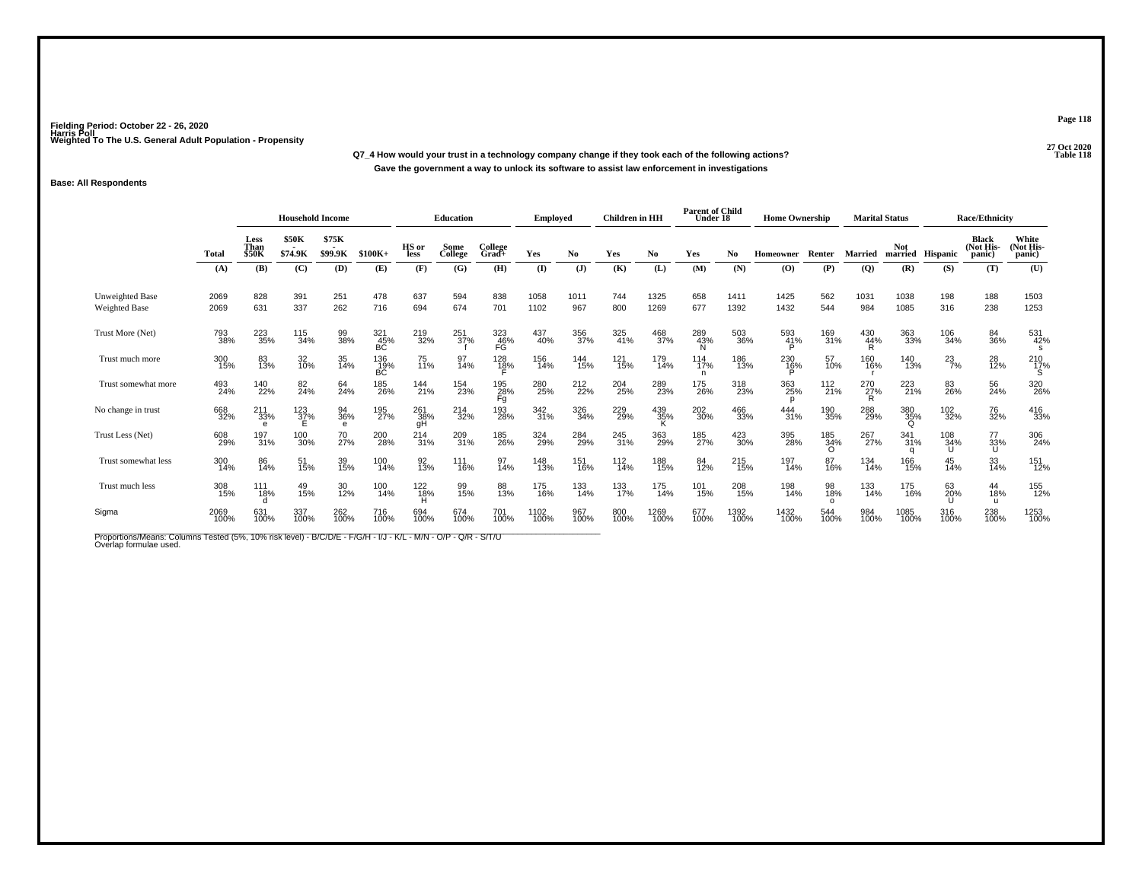**27 Oct 2020Q7\_4 How would your trust in a technology company change if they took each of the following actions? Table 118 Gave the government a way to unlock its software to assist law enforcement in investigations**

## **Base: All Respondents**

|                                                                                                                                          |              |                                     | <b>Household Income</b> |                       |                    |                  | <b>Education</b> |                    | <b>Employed</b> |                | <b>Children</b> in HH |                 | <b>Parent of Child</b><br>Under 18 |              | <b>Home Ownership</b> |                        |                       | <b>Marital Status</b> |                  | <b>Race/Ethnicity</b>        |                              |
|------------------------------------------------------------------------------------------------------------------------------------------|--------------|-------------------------------------|-------------------------|-----------------------|--------------------|------------------|------------------|--------------------|-----------------|----------------|-----------------------|-----------------|------------------------------------|--------------|-----------------------|------------------------|-----------------------|-----------------------|------------------|------------------------------|------------------------------|
|                                                                                                                                          | Total        | <b>Less</b><br>Than<br><b>\$50K</b> | <b>\$50K</b><br>\$74.9K | \$75K<br>\$99.9K      | $$100K+$           | HS or<br>less    | Some<br>College  | College<br>$Grad+$ | Yes             | No.            | Yes                   | No              | Yes                                | No           | <b>Homeowner</b>      | Renter                 | Married               | Not                   | married Hispanic | Black<br>(Not His-<br>panic) | White<br>(Not His-<br>panic) |
|                                                                                                                                          | (A)          | (B)                                 | (C)                     | (D)                   | (E)                | (F)              | (G)              | (H)                | (I)             | $(\mathbf{J})$ | (K)                   | (L)             | (M)                                | (N)          | (0)                   | (P)                    | $\overline{Q}$        | (R)                   | (S)              | (T)                          | (U)                          |
| Unweighted Base<br><b>Weighted Base</b>                                                                                                  | 2069<br>2069 | 828<br>631                          | 391<br>337              | 251<br>262            | 478<br>716         | 637<br>694       | 594<br>674       | 838<br>701         | 1058<br>1102    | 1011<br>967    | 744<br>800            | 1325<br>1269    | 658<br>677                         | 1411<br>1392 | 1425<br>1432          | 562<br>544             | 1031<br>984           | 1038<br>1085          | 198<br>316       | 188<br>238                   | 1503<br>1253                 |
| Trust More (Net)                                                                                                                         | 793<br>38%   | 223<br>35%                          | 115<br>34%              | 99<br>38%             | $\frac{321}{45\%}$ | 219<br>32%       | $^{251}_{37\%}$  | 323<br>46%<br>FG   | 437<br>40%      | 356<br>37%     | 325<br>41%            | 468<br>37%      | 289<br>43%<br>N                    | 503<br>36%   | 593<br>41%<br>P       | 169<br>31%             | 430<br>$\frac{44}{R}$ | 363<br>33%            | 106<br>34%       | 84<br>36%                    | 531<br>42%<br>S              |
| Trust much more                                                                                                                          | 300<br>15%   | 83<br>13%                           | 32<br>10%               | 35<br>14%             | 136<br>19%<br>BC   | 75<br>11%        | 97<br>14%        | 128<br>18%         | 156<br>14%      | 144<br>15%     | 121<br>15%            | 179<br>14%      | 114<br>17%<br>n                    | 186<br>13%   | 230<br>16%            | 57<br>10%              | 160<br>16%            | 140<br>13%            | $^{23}_{7\%}$    | 28<br>12%                    | $^{210}_{17\%}$              |
| Trust somewhat more                                                                                                                      | 493<br>24%   | 140<br>22%                          | 82<br>24%               | 64<br>24%             | 185<br>26%         | 144<br>21%       | 154<br>23%       | 195<br>28%<br>Fg   | 280<br>25%      | 212<br>22%     | 204<br>25%            | 289<br>23%      | 175<br>26%                         | 318<br>23%   | 363<br>25%<br>p       | 112<br>21%             | 270<br>27%<br>R       | 223<br>21%            | 83<br>26%        | 56<br>24%                    | 320<br>26%                   |
| No change in trust                                                                                                                       | 668<br>32%   | $^{211}_{33\%}$                     | $^{123}_{37\%}$         | 94<br>36%<br>$\theta$ | 195<br>27%         | 261<br>38%<br>gН | 214<br>32%       | 193<br>28%         | 342<br>31%      | 326<br>34%     | 229<br>29%            | 439<br>35%<br>K | 202<br>30%                         | 466<br>33%   | $\frac{444}{31\%}$    | 190<br>35%             | 288<br>29%            | 380<br>35%<br>Q       | 102<br>32%       | 76<br>32%                    | 416<br>33%                   |
| Trust Less (Net)                                                                                                                         | 608<br>29%   | 197<br>31%                          | 100<br>30%              | 70<br>27%             | 200<br>28%         | $^{214}_{31\%}$  | 209<br>31%       | 185<br>26%         | 324<br>29%      | 284<br>29%     | 245<br>31%            | 363<br>29%      | 185<br>27%                         | 423<br>30%   | 395<br>28%            | 185<br>34%<br>$\Omega$ | 267<br>27%            | 341<br>31%            | 108<br>34%       | 77<br>33%<br>U               | 306<br>24%                   |
| Trust somewhat less                                                                                                                      | 300<br>14%   | 86<br>14%                           | 51<br>15%               | 39<br>15%             | 100<br>14%         | 92<br>13%        | 111<br>16%       | 97<br>14%          | 148<br>13%      | 151<br>16%     | 112<br>14%            | 188<br>15%      | 84<br>12%                          | 215<br>15%   | 197<br>14%            | 87<br>16%              | 134<br>14%            | 166<br>15%            | 45<br>14%        | 33<br>14%                    | 151<br>12%                   |
| Trust much less                                                                                                                          | 308<br>15%   | 111<br>18%                          | 49<br>15%               | 30<br>12%             | 100<br>14%         | 122<br>18%       | 99<br>15%        | 88<br>13%          | 175<br>16%      | 133<br>14%     | 133<br>17%            | 175<br>14%      | 101<br>15%                         | 208<br>15%   | 198<br>14%            | 98<br>18%<br>$\Omega$  | 133<br>14%            | 175<br>16%            | 63<br>20%        | 44<br>18%<br>u               | 155<br>12%                   |
| Sigma                                                                                                                                    | 2069<br>100% | 631<br>100%                         | 337<br>100%             | 262<br>100%           | 716<br>100%        | 694<br>100%      | 674<br>100%      | 701<br>100%        | 1102<br>100%    | 967<br>100%    | 800<br>100%           | 1269<br>100%    | 677<br>100%                        | 1392<br>100% | 1432<br>100%          | 544<br>100%            | 984<br>100%           | 1085<br>100%          | 316<br>100%      | 238<br>100%                  | 1253<br>100%                 |
| Proportions/Means: Columns Tested (5%, 10% risk level) - B/C/D/E - F/G/H - I/J - K/L - M/N - O/P - Q/R - S/T/U<br>Overlap formulae used. |              |                                     |                         |                       |                    |                  |                  |                    |                 |                |                       |                 |                                    |              |                       |                        |                       |                       |                  |                              |                              |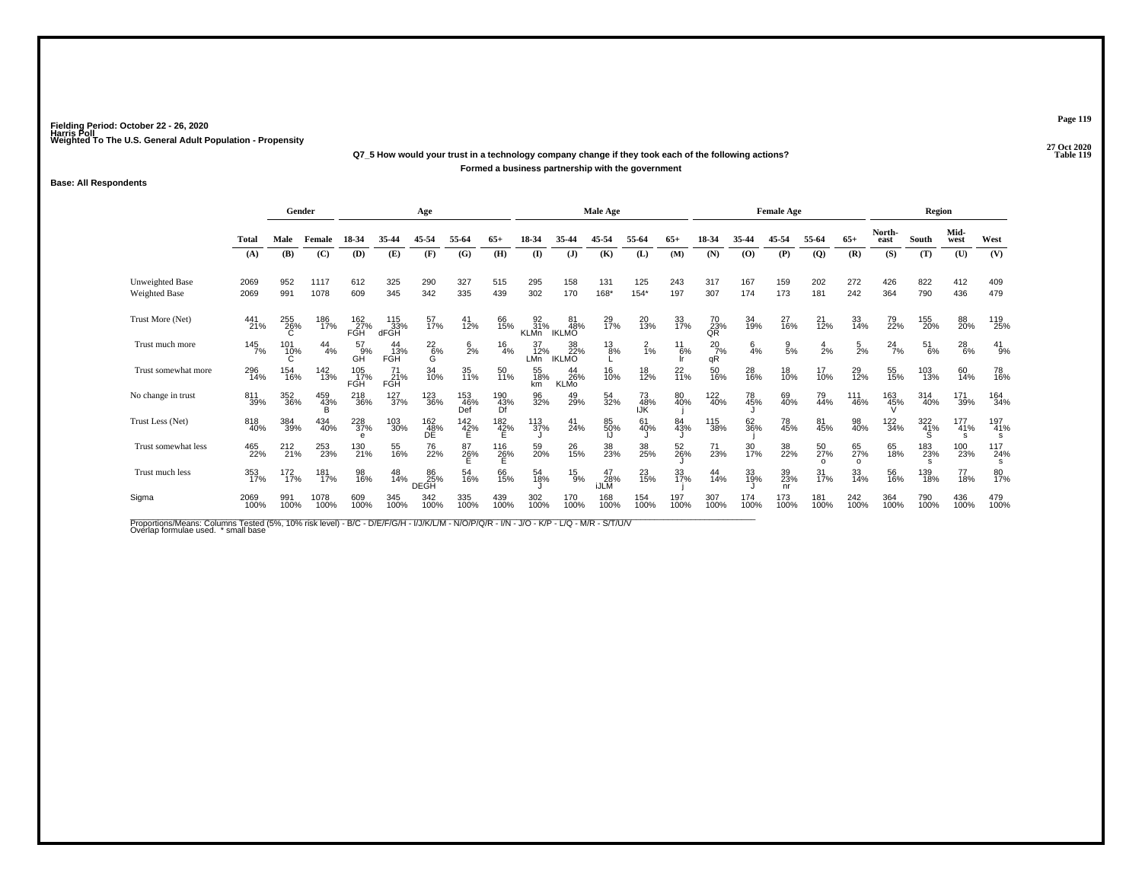# **27 Oct 2020Q7\_5 How would your trust in a technology company change if they took each of the following actions?Formed a business partnership with the government**

### **Base: All Respondents**

|                                  |                     | Gender          |               |                   |                    | Age               |                   |                                |                                  |                           | <b>Male Age</b>          |                  |                |                     |                 | <b>Female Age</b> |                |                      |                       | <b>Region</b>   |                 |                 |
|----------------------------------|---------------------|-----------------|---------------|-------------------|--------------------|-------------------|-------------------|--------------------------------|----------------------------------|---------------------------|--------------------------|------------------|----------------|---------------------|-----------------|-------------------|----------------|----------------------|-----------------------|-----------------|-----------------|-----------------|
|                                  | Total               | Male            | Female        | 18-34             | 35-44              | 45-54             | 55-64             | $65+$                          | 18-34                            |                           | 45-54                    | 55-64            | $65+$          |                     | 35-44           | 45-54             | 55-64          | $65+$                | North-<br>east        | South           | Mid-<br>west    | West            |
|                                  | (A)                 | (B)             | (C)           | (D)               | (E)                | (F)               | (G)               | (H)                            | $($ $\Gamma$                     | $(\mathbf{J})$            | (K)                      | (L)              | (M)            | (N)                 | (0)             | (P)               | $\mathbf{Q}$   | (R)                  | (S)                   | (T)             | (U)             | (V)             |
| Unweighted Base<br>Weighted Base | 2069<br>2069        | 952<br>991      | 1117<br>1078  | 612<br>609        | 325<br>345         | 290<br>342        | 327<br>335        | 515<br>439                     | 295<br>302                       | 158<br>170                | 131<br>168*              | 125<br>$154*$    | 243<br>197     | 317<br>307          | 167<br>174      | 159<br>173        | 202<br>181     | 272<br>242           | 426<br>364            | 822<br>790      | 412<br>436      | 409<br>479      |
| Trust More (Net)                 | 441<br>21%          | 255<br>26%      | 186<br>17%    | 162<br>27%<br>FGH | 115<br>33%<br>dFGH | 57<br>17%         | $^{41}_{12\%}$    | 66<br>15%                      | $\frac{92}{31\%}$<br><b>KLMn</b> | 81<br>48%<br><b>IKLMO</b> | 29<br>17%                | 20<br>13%        | 33<br>17%      | 70<br>23%<br>QR     | 34<br>19%       | 27<br>16%         | $^{21}_{12\%}$ | 33<br>14%            | 79<br>22%             | 155<br>20%      | 88<br>20%       | 119<br>25%      |
| Trust much more                  | $145$ <sub>7%</sub> | 101<br>10%      | $^{44}_{4\%}$ | 57<br>9%<br>GĤ    | FGH                | $^{22}_{6\%}$     | $\frac{6}{2}$ %   | $^{16}_{4\%}$                  | 37<br>12%<br>LMn                 | 38<br>22%<br><b>IKLMO</b> | $^{13}_{.8\%}$           | $\frac{2}{1%}$   | 6%             | $^{20}_{7\%}$<br>qR | $\frac{6}{4}$ % | $\frac{9}{5%}$    | 2%             | $\frac{5}{2%}$       | $^{24}$ <sub>7%</sub> | $^{51}_{6\%}$   | $^{28}_{6\%}$   | $^{41}_{9\%}$   |
| Trust somewhat more              | 296<br>14%          | 154<br>16%      | 142<br>13%    | 105<br>17%<br>FGH | 71<br>21%<br>FGH   | 34<br>10%         | 35<br>11%         | 50<br>11%                      | 55<br>18%<br>km                  | 44<br>26%<br>KLMo         | 16<br>10%                | 18<br>12%        | $^{22}_{11\%}$ | 50<br>16%           | 28<br>16%       | 18<br>10%         | 17<br>10%      | 29<br>12%            | 55<br>15%             | 103<br>13%      | 60<br>14%       | 78<br>16%       |
| No change in trust               | 811<br>39%          | 352<br>36%      | 459<br>43%    | 218<br>36%        | 127<br>37%         | 123<br>36%        | 153<br>46%<br>Def | $^{190}_{\hphantom{1}43\%}$ Df | 96<br>32%                        | 49<br>29%                 | 54<br>32%                | 73<br>48%<br>IJŘ | 80<br>40%      | 122<br>40%          | 78<br>45%       | 69<br>40%         | 79<br>44%      | 111<br>46%           | 163<br>45%            | 314<br>40%      | 171<br>39%      | 164<br>34%      |
| Trust Less (Net)                 | 818<br>40%          | 384<br>39%      | 434<br>40%    | 228<br>37%<br>e   | 103<br>30%         | 162<br>48%<br>DE  | $^{142}_{42\%}$   | $^{182}_{42\%}$                | 113<br>37%                       | 41<br>24%                 | 85<br>50%                | 61<br>40%        | 84<br>43%      | 115<br>38%          | 62<br>36%       | 78<br>45%         | 81<br>45%      | 98<br>40%            | 122<br>34%            | 322<br>41%      | 177<br>41%<br>s | 197<br>41%<br>s |
| Trust somewhat less              | 465<br>22%          | $^{212}_{21\%}$ | 253<br>23%    | 130<br>21%        | 55<br>16%          | 76<br>22%         | 87<br>26%         | $^{116}_{26\%}$                | 59<br>20%                        | 26<br>15%                 | 38<br>23%                | 38<br>25%        | 52<br>26%      | 71<br>23%           | 30<br>17%       | 38<br>22%         | 50<br>27%      | 65<br>27%<br>$\circ$ | 65<br>18%             | 183<br>23%<br>s | 100<br>23%      | 117<br>24%      |
| Trust much less                  | 353<br>17%          | 172<br>17%      | 181<br>17%    | 98<br>16%         | 48<br>14%          | 86<br>25%<br>DEGH | 54<br>16%         | 66<br>15%                      | 54<br>18%                        | $^{15}_{9\%}$             | 47<br>28%<br><b>iJLM</b> | 23<br>15%        | 33<br>17%      | 44<br>14%           | 33<br>19%       | 39<br>23%<br>nr   | 31<br>17%      | 33<br>14%            | 56<br>16%             | 139<br>18%      | 77<br>18%       | 80<br>17%       |
| Sigma                            | 2069<br>100%        | 991<br>100%     | 1078<br>100%  | 609<br>100%       | 345<br>100%        | 342<br>100%       | 335<br>100%       | 439<br>100%                    | 302<br>100%                      | 170<br>100%               | 168<br>100%              | 154<br>100%      | 197<br>100%    | 307<br>100%         | 174<br>100%     | 173<br>100%       | 181<br>100%    | 242<br>100%          | 364<br>100%           | 790<br>100%     | 436<br>100%     | 479<br>100%     |

Proportions/Means: Columns Tested (5%, 10% risk level) - B/C - D/E/F/G/H - I/J/K/L/M - N/O/P/Q/R - I/N - J/O - K/P - L/Q - M/R - S/T/U/V<br>Overlap formulae used. \*small base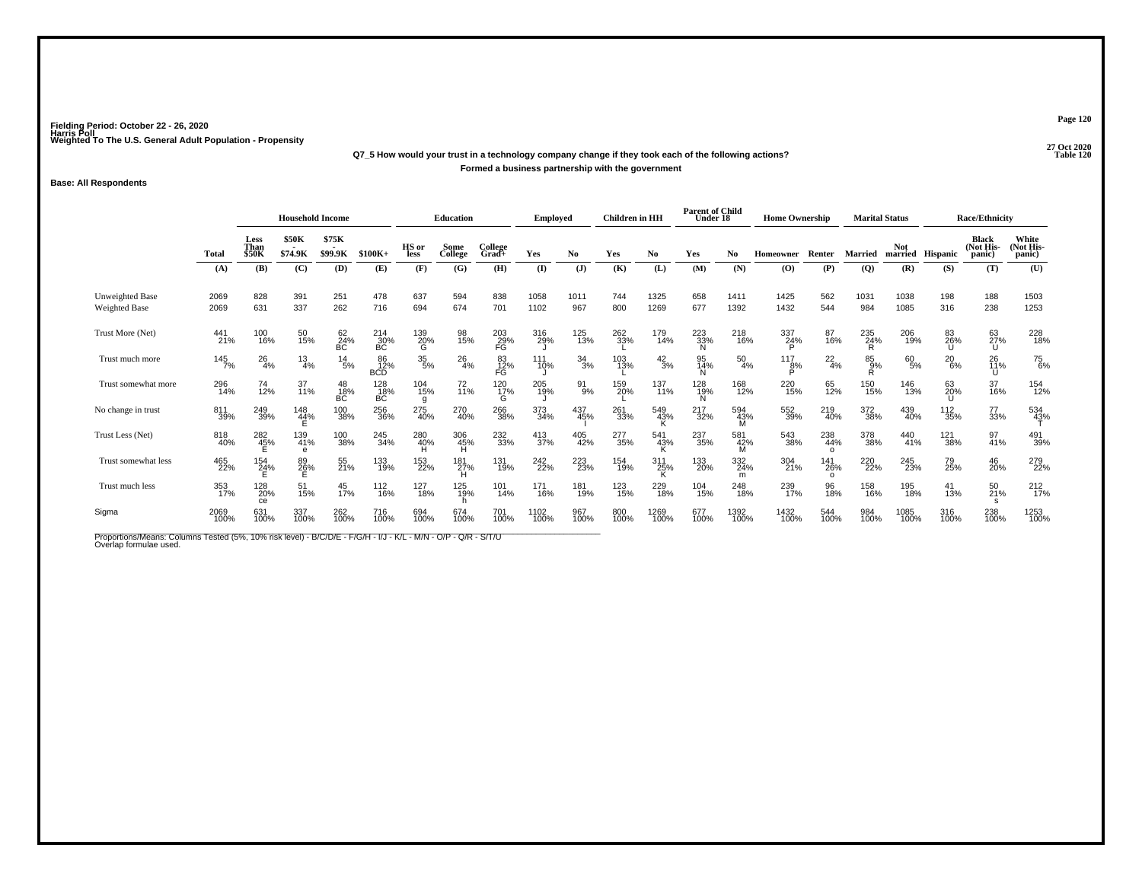# **27 Oct 2020Q7\_5 How would your trust in a technology company change if they took each of the following actions?Formed a business partnership with the government**

### **Base: All Respondents**

|                                                                                                                                          |              |                       | <b>Household Income</b> |                  |                         |                 | <b>Education</b> |                  | Employed     |                  | <b>Children</b> in HH |                 | <b>Parent of Child</b><br>Under 18 |                 | <b>Home Ownership</b>                    |                        | <b>Marital Status</b> |              |                  | <b>Race/Ethnicity</b>               |                              |
|------------------------------------------------------------------------------------------------------------------------------------------|--------------|-----------------------|-------------------------|------------------|-------------------------|-----------------|------------------|------------------|--------------|------------------|-----------------------|-----------------|------------------------------------|-----------------|------------------------------------------|------------------------|-----------------------|--------------|------------------|-------------------------------------|------------------------------|
|                                                                                                                                          | Total        | Less<br>Than<br>\$50K | <b>\$50K</b><br>\$74.9K | \$75K<br>\$99.9K | $$100K+$                | HS or<br>less   | Some<br>College  | College<br>Grad+ | Yes          | No.              | Yes                   | No              | Yes                                | No.             | <b>Homeowner</b>                         | Renter                 | <b>Married</b>        | <b>Not</b>   | married Hispanic | <b>Black</b><br>(Not His-<br>panic) | White<br>(Not His-<br>panic) |
|                                                                                                                                          | (A)          | (B)                   | (C)                     | (D)              | (E)                     | (F)             | (G)              | (H)              | $\mathbf{I}$ | (J)              | (K)                   | (L)             | (M)                                | (N)             | $\boldsymbol{\left( \mathbf{O} \right)}$ | (P)                    | (Q)                   | (R)          | (S)              | (T)                                 | (U)                          |
| <b>Unweighted Base</b><br><b>Weighted Base</b>                                                                                           | 2069<br>2069 | 828<br>631            | 391<br>337              | 251<br>262       | 478<br>716              | 637<br>694      | 594<br>674       | 838<br>701       | 1058<br>1102 | 1011<br>967      | 744<br>800            | 1325<br>1269    | 658<br>677                         | 1411<br>1392    | 1425<br>1432                             | 562<br>544             | 1031<br>984           | 1038<br>1085 | 198<br>316       | 188<br>238                          | 1503<br>1253                 |
| Trust More (Net)                                                                                                                         | 441<br>21%   | 100<br>16%            | 50<br>15%               | 62<br>24%<br>BC  | $^{214}_{30\%}$ BC      | 139<br>20%<br>G | 98<br>15%        | 203<br>29%<br>FG | 316<br>29%   | 125<br>13%       | 262<br>33%            | 179<br>14%      | 223<br>33%<br>N                    | 218<br>16%      | 337<br>24%                               | 87<br>16%              | $\frac{235}{24\%}$    | 206<br>19%   | 83<br>26%        | 63<br>27%<br>U                      | 228<br>18%                   |
| Trust much more                                                                                                                          | 145<br>7%    | $^{26}_{4\%}$         | $\frac{13}{4%}$         | $^{14}_{5\%}$    | 86<br>12%<br><b>BCD</b> | $^{35}_{\ 5\%}$ | $^{26}_{4\%}$    | 83<br>12%<br>FG  | 111<br>10%   | $\frac{34}{3%}$  | 103<br>13%            | $^{42}_{3\%}$   | 95<br>14%                          | $^{50}_{4\%}$   | 117<br>8%<br>D                           | $^{22}_{4\%}$          | $85\over 9%$<br>Ŕ     | 60<br>5%     | $^{20}_{6\%}$    | 26<br>11%<br>U                      | <sup>75</sup> <sub>6%</sub>  |
| Trust somewhat more                                                                                                                      | 296<br>14%   | 74<br>12%             | 37<br>11%               | 48<br>18%<br>ВC  | 128<br>18%<br>ВC        | 104<br>15%<br>g | $^{72}_{11\%}$   | 120<br>17%<br>G  | 205<br>19%   | $\frac{91}{9\%}$ | 159<br>20%            | 137<br>11%      | 128<br>19%<br>N                    | 168<br>12%      | 220<br>15%                               | 65<br>12%              | 150<br>15%            | 146<br>13%   | 63<br>20%        | 37<br>16%                           | 154<br>12%                   |
| No change in trust                                                                                                                       | 811<br>39%   | 249<br>39%            | $^{148}_{44\%}$         | 100<br>38%       | 256<br>36%              | 275<br>40%      | 270<br>40%       | 266<br>38%       | 373<br>34%   | 437<br>45%       | 261<br>33%            | 549<br>43%      | 217<br>32%                         | 594<br>43%<br>M | 552<br>39%                               | 219<br>40%             | 372<br>38%            | 439<br>40%   | 112<br>35%       | 77<br>33%                           | 534<br>43%                   |
| Trust Less (Net)                                                                                                                         | 818<br>40%   | 282<br>45%            | 139<br>41%<br>e         | 100<br>38%       | 245<br>34%              | 280<br>40%      | 306<br>45%       | 232<br>33%       | 413<br>37%   | 405<br>42%       | 277<br>35%            | 541<br>43%      | 237<br>35%                         | 581<br>42%<br>м | 543<br>38%                               | 238<br>44%<br>$\Omega$ | 378<br>38%            | 440<br>41%   | 121<br>38%       | 97<br>41%                           | 491<br>39%                   |
| Trust somewhat less                                                                                                                      | 465<br>22%   | 154<br>24%            | 89<br>26%               | 55<br>21%        | 133<br>19%              | 153<br>22%      | 181<br>27%       | 131<br>19%       | 242<br>22%   | 223<br>23%       | 154<br>19%            | 311<br>25%<br>ĸ | 133<br>20%                         | 332<br>24%<br>m | 304<br>21%                               | 141<br>26%<br>$\Omega$ | 220<br>22%            | 245<br>23%   | 79<br>25%        | 46<br>20%                           | 279<br>22%                   |
| Trust much less                                                                                                                          | 353<br>17%   | 128<br>20%<br>ce      | 51<br>15%               | 45<br>17%        | 112<br>16%              | 127<br>18%      | 125<br>19%       | 101<br>14%       | 171<br>16%   | 181<br>19%       | 123<br>15%            | 229<br>18%      | 104<br>15%                         | 248<br>18%      | 239<br>17%                               | 96<br>18%              | 158<br>16%            | 195<br>18%   | 41<br>13%        | 50<br>21%<br>s                      | $^{212}_{17\%}$              |
| Sigma                                                                                                                                    | 2069<br>100% | 631<br>100%           | 337<br>100%             | 262<br>100%      | 716<br>100%             | 694<br>100%     | 674<br>100%      | 701<br>100%      | 1102<br>100% | 967<br>100%      | 800<br>100%           | 1269<br>100%    | 677<br>100%                        | 1392<br>100%    | 1432<br>100%                             | 544<br>100%            | 984<br>100%           | 1085<br>100% | 316<br>100%      | 238<br>100%                         | 1253<br>100%                 |
| Proportions/Means: Columns Tested (5%, 10% risk level) - B/C/D/E - F/G/H - I/J - K/L - M/N - O/P - Q/R - S/T/U<br>Overlap formulae used. |              |                       |                         |                  |                         |                 |                  |                  |              |                  |                       |                 |                                    |                 |                                          |                        |                       |              |                  |                                     |                              |

**Page 120**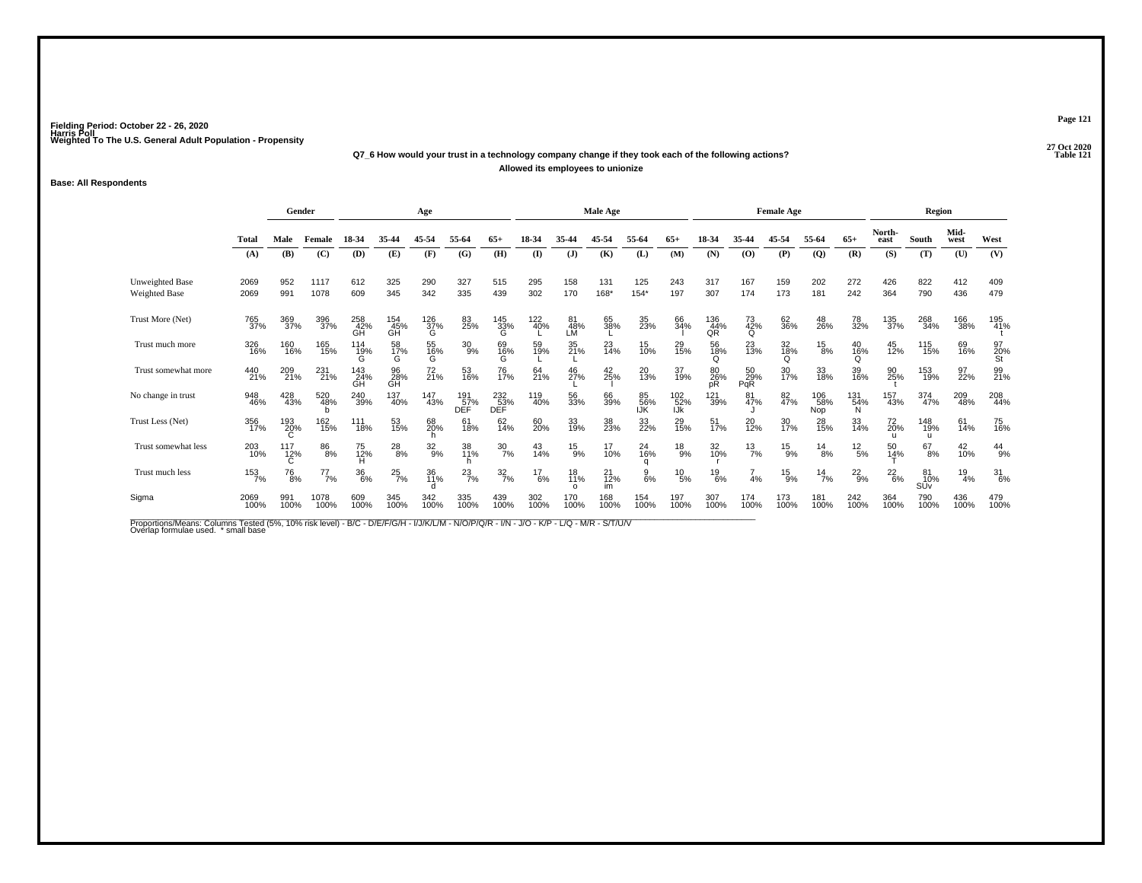#### **27 Oct 2020Q7\_6 How would your trust in a technology company change if they took each of the following actions? Table 121 Allowed its employees to unionize**

### **Base: All Respondents**

|                                         |              | Gender             |                 |                  |                  | Age              |                          |                          |               |                 | <b>Male Age</b>      |                  |                   |                  |                  | <b>Female Age</b> |                   |                 |                | Region           |                 |                 |
|-----------------------------------------|--------------|--------------------|-----------------|------------------|------------------|------------------|--------------------------|--------------------------|---------------|-----------------|----------------------|------------------|-------------------|------------------|------------------|-------------------|-------------------|-----------------|----------------|------------------|-----------------|-----------------|
|                                         | Total        | Male               | Female          | 18-34            | 35-44            | 45-54            | 55-64                    | $65+$                    | 18-34         | 35-44           | 45-54                | 55-64            | $65+$             | 18-34            | 35-44            | 45-54             | 55-64             | $65+$           | North-<br>east | South            | Mid-<br>west    | West            |
|                                         | (A)          | <b>(B)</b>         | (C)             | (D)              | (E)              | (F)              | (G)                      | (H)                      | (I)           | (J)             | (K)                  | (L)              | (M)               | (N)              | (O)              | (P)               | $\mathbf{Q}$      | (R)             | (S)            | (T)              | (U)             | (V)             |
| <b>Unweighted Base</b><br>Weighted Base | 2069<br>2069 | 952<br>991         | 1117<br>1078    | 612<br>609       | 325<br>345       | 290<br>342       | 327<br>335               | 515<br>439               | 295<br>302    | 158<br>170      | 131<br>168*          | 125<br>$154*$    | 243<br>197        | 317<br>307       | 167<br>174       | 159<br>173        | 202<br>181        | 272<br>242      | 426<br>364     | 822<br>790       | 412<br>436      | 409<br>479      |
| Trust More (Net)                        | 765<br>37%   | 369<br>37%         | 396<br>37%      | 258<br>42%<br>GĤ | 154<br>45%<br>GH | $^{126}_{37\%}$  | 83<br>25%                | $^{145}_{33\%}$          | 122<br>40%    | 81<br>48%<br>LM | 65<br>38%            | 35<br>23%        | 66<br>34%         | 136<br>44%<br>QR | 73<br>42%<br>O   | 62<br>36%         | 48<br>26%         | 78<br>32%       | 135<br>37%     | 268<br>34%       | 166<br>38%      | 195<br>41%      |
| Trust much more                         | 326<br>16%   | 160<br>16%         | 165<br>15%      | 114<br>19%<br>G  | 58<br>17%<br>G   | 55<br>16%<br>G   | $^{30}_{9\%}$            | 69<br>16%<br>G           | 59<br>19%     | 35<br>21%       | $^{23}_{14\%}$       | 15<br>10%        | 29<br>15%         | 56<br>18%<br>Q   | 23<br>13%        | 32<br>18%<br>Q    | $^{15}_{8\%}$     | 40<br>16%<br>Q  | 45<br>12%      | 115<br>15%       | 69<br>16%       | 97<br>20%<br>St |
| Trust somewhat more                     | 440<br>21%   | 209<br>21%         | 231<br>21%      | 143<br>24%<br>GH | 96<br>28%<br>GH  | $^{72}_{21\%}$   | 53<br>16%                | 76<br>17%                | 64<br>21%     | 46<br>27%       | 42<br>25%            | 20<br>13%        | 37<br>19%         | 80<br>26%<br>pR  | 50<br>29%<br>PqR | 30<br>17%         | 33<br>18%         | 39<br>16%       | 90<br>25%      | 153<br>19%       | 97<br>22%       | 99<br>21%       |
| No change in trust                      | 948<br>46%   | 428<br>43%         | 520<br>$-48%$   | 240<br>39%       | 137<br>40%       | 147<br>43%       | 191<br>57%<br><b>DEF</b> | 232<br>53%<br><b>DEF</b> | 119<br>40%    | 56<br>33%       | 66<br>39%            | 85<br>56%<br>IJK | 102<br>52%<br>IJk | 121<br>39%       | 81<br>47%        | 82<br>47%         | 106<br>58%<br>Nop | 131<br>54%<br>N | 157<br>43%     | 374<br>47%       | 209<br>48%      | 208<br>44%      |
| Trust Less (Net)                        | 356<br>17%   | 193<br>20%         | 162<br>15%      | 111<br>18%       | 53<br>15%        | 68<br>20%        | 61<br>18%                | 62<br>14%                | 60<br>20%     | 33<br>19%       | 38<br>23%            | 33<br>22%        | 29<br>15%         | 51<br>17%        | 20<br>12%        | 30<br>17%         | 28<br>15%         | 33<br>14%       | 72<br>20%      | 148<br>19%<br>u  | 61<br>14%       | 75<br>16%       |
| Trust somewhat less                     | 203<br>10%   | $\frac{117}{12\%}$ | $\frac{86}{8%}$ | 75<br>12%<br>н   | $^{28}_{8\%}$    | $\frac{32}{9\%}$ | 38<br>11%                | $\frac{30}{7\%}$         | 43<br>14%     | $^{15}_{9%}$    | 17<br>10%            | 24<br>16%<br>a   | $^{18}_{9%}$      | 32<br>10%        | $^{13}_{7\%}$    | $^{15}_{9%}$      | $^{14}_{8\%}$     | $^{12}_{\ 5\%}$ | 50<br>14%      | $^{67}_{8\%}$    | 42<br>10%       | $^{44}_{9\%}$   |
| Trust much less                         | 153<br>7%    | <sup>76</sup> 8%   | 77<br>7%        | $^{36}_{\ 6\%}$  | $^{25}_{7\%}$    | 36<br>11%        | $^{23}_{7\%}$            | $\frac{32}{7%}$          | $^{17}_{6\%}$ | 18<br>11%       | $^{21}_{12\%}$<br>im | $\frac{9}{6\%}$  | $^{10}_{\ 5\%}$   | $^{19}_{6\%}$    | 4%               | $^{15}_{9\%}$     | $^{14}_{7\%}$     | $^{22}_{9%}$    | $^{22}_{6\%}$  | 81<br>10%<br>SÚv | $\frac{19}{4%}$ | 31/6%           |
| Sigma                                   | 2069<br>100% | 991<br>100%        | 1078<br>100%    | 609<br>100%      | 345<br>100%      | 342<br>100%      | 335<br>100%              | 439<br>100%              | 302<br>100%   | 170<br>100%     | 168<br>100%          | 154<br>100%      | 197<br>100%       | 307<br>100%      | 174<br>100%      | 173<br>100%       | 181<br>100%       | 242<br>100%     | 364<br>100%    | 790<br>100%      | 436<br>100%     | 479<br>100%     |

Proportions/Means: Columns Tested (5%, 10% risk level) - B/C - D/E/F/G/H - I/J/K/L/M - N/O/P/Q/R - I/N - J/O - K/P - L/Q - M/R - S/T/U/V<br>Overlap formulae used. \*small base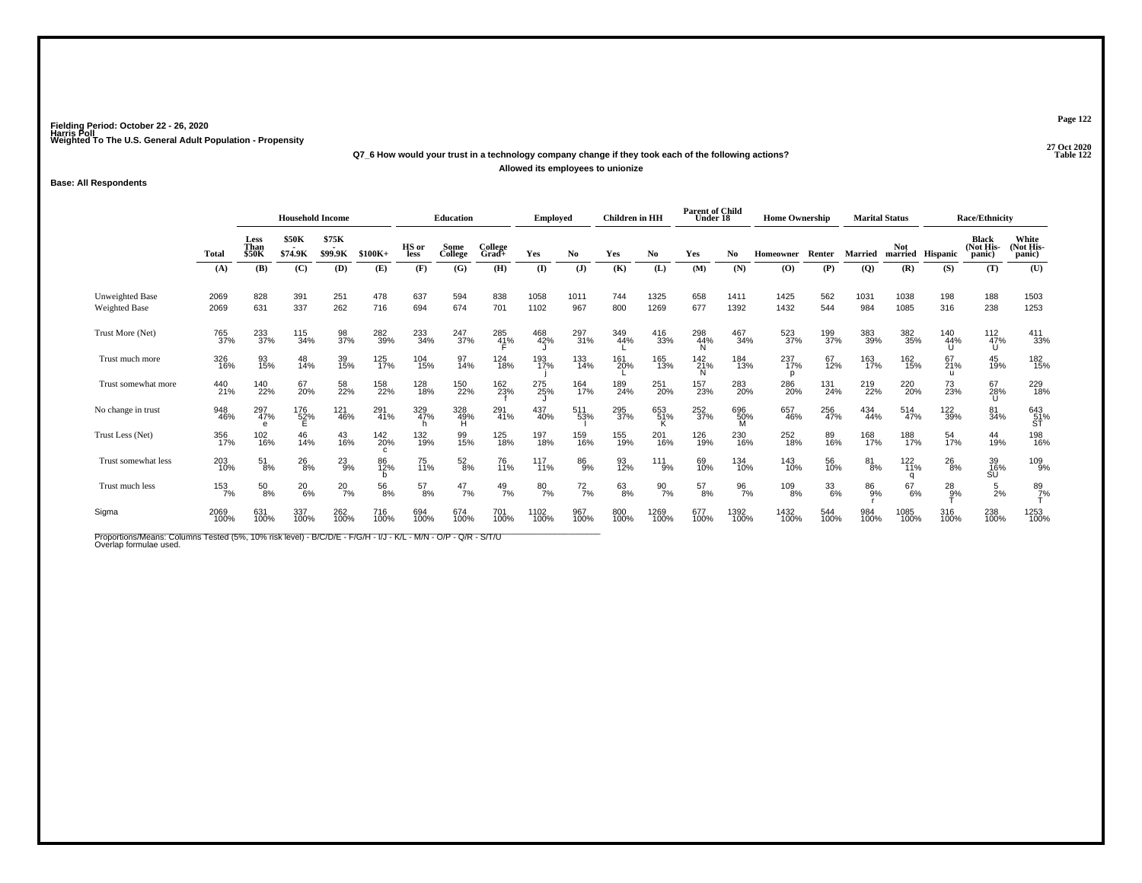# **27 Oct 2020Q7\_6 How would your trust in a technology company change if they took each of the following actions?Allowed its employees to unionize**

## **Base: All Respondents**

|                                                                                                                                          |              | <b>Household Income</b>      |                         |                  | <b>Education</b> |               | <b>Employed</b> |                     | <b>Children</b> in HH |                | <b>Parent of Child</b><br>Under 18 |                  | <b>Home Ownership</b>   |                  |                 | <b>Marital Status</b> |                        | <b>Race/Ethnicity</b> |                 |                              |                              |
|------------------------------------------------------------------------------------------------------------------------------------------|--------------|------------------------------|-------------------------|------------------|------------------|---------------|-----------------|---------------------|-----------------------|----------------|------------------------------------|------------------|-------------------------|------------------|-----------------|-----------------------|------------------------|-----------------------|-----------------|------------------------------|------------------------------|
|                                                                                                                                          | <b>Total</b> | Less<br>Than<br><b>\$50K</b> | <b>\$50K</b><br>\$74.9K | \$75K<br>\$99.9K | $$100K+$         | HS or<br>less | Some<br>College | College<br>$Grad +$ | Yes                   | No.            | Yes                                | No               | Yes                     | No.              | Homeowner       | Renter                | Married                | <b>Not</b><br>married | <b>Hispanic</b> | Black<br>(Not His-<br>panic) | White<br>(Not His-<br>panic) |
|                                                                                                                                          | (A)          | (B)                          | (C)                     | (D)              | (E)              | (F)           | (G)             | (H)                 | $\mathbf{I}$          | $(\mathbf{J})$ | (K)                                | (L)              | (M)                     | (N)              | (0)             | (P)                   | $\overline{Q}$         | (R)                   | (S)             | (T)                          | (U)                          |
| Unweighted Base<br><b>Weighted Base</b>                                                                                                  | 2069<br>2069 | 828<br>631                   | 391<br>337              | 251<br>262       | 478<br>716       | 637<br>694    | 594<br>674      | 838<br>701          | 1058<br>1102          | 1011<br>967    | 744<br>800                         | 1325<br>1269     | 658<br>677              | 1411<br>1392     | 1425<br>1432    | 562<br>544            | 1031<br>984            | 1038<br>1085          | 198<br>316      | 188<br>238                   | 1503<br>1253                 |
| Trust More (Net)                                                                                                                         | 765<br>37%   | 233<br>37%                   | 115<br>34%              | 98<br>37%        | 282<br>39%       | 233<br>34%    | 247<br>37%      | 285<br>41%          | 468<br>42%            | 297<br>31%     | 349<br>44%                         | 416<br>33%       | 298<br>44%<br>N         | 467<br>34%       | 523<br>37%      | 199<br>37%            | 383<br>39%             | 382<br>35%            | 140<br>44%      | $\frac{112}{47\%}$<br>U      | 411<br>33%                   |
| Trust much more                                                                                                                          | 326<br>16%   | 93<br>15%                    | 48<br>14%               | 39<br>15%        | 125<br>17%       | 104<br>15%    | 97<br>14%       | 124<br>18%          | 193<br>17%            | 133<br>14%     | 161<br>20%                         | 165<br>13%       | 142 <sub>21%</sub><br>N | 184<br>13%       | 237<br>17%<br>p | 67<br>12%             | 163<br>17%             | 162<br>15%            | 67<br>21%       | 45<br>19%                    | 182<br>15%                   |
| Trust somewhat more                                                                                                                      | 440<br>21%   | 140<br>22%                   | 67<br>20%               | 58<br>22%        | 158<br>22%       | 128<br>18%    | 150<br>22%      | 162<br>23%          | 275<br>25%            | 164<br>17%     | 189<br>24%                         | 251<br>20%       | 157<br>23%              | 283<br>20%       | 286<br>20%      | 131<br>24%            | 219<br>22%             | 220 <sub>%</sub>      | 73<br>23%       | 67<br>28%<br>U               | 229<br>18%                   |
| No change in trust                                                                                                                       | 948<br>46%   | 297<br>47%                   | 176<br>52%<br>E         | 121<br>46%       | 291<br>41%       | 329<br>47%    | 328<br>49%      | 291<br>41%          | 437<br>40%            | 511<br>53%     | 295<br>37%                         | 653<br>51%       | 252<br>37%              | 696<br>50%       | 657<br>46%      | 256<br>47%            | 434<br>44%             | 514<br>47%            | 122<br>39%      | 81<br>34%                    | 643<br>51%<br>ST             |
| Trust Less (Net)                                                                                                                         | 356<br>17%   | 102<br>16%                   | 46<br>14%               | 43<br>16%        | 142<br>20%       | 132<br>19%    | 99<br>15%       | 125<br>18%          | 197<br>18%            | 159<br>16%     | 155<br>19%                         | 201<br>16%       | 126<br>19%              | 230<br>16%       | 252<br>18%      | 89<br>16%             | 168<br>17%             | 188<br>17%            | 54<br>17%       | 44<br>19%                    | 198<br>16%                   |
| Trust somewhat less                                                                                                                      | 203<br>10%   | $^{51}_{8\%}$                | $^{26}_{8\%}$           | $^{23}_{9%}$     | 86<br>12%        | 75<br>11%     | $^{52}_{8\%}$   | 76<br>11%           | 117<br>11%            | 86<br>9%       | 93<br>12%                          | $^{111}_{9\%}$   | 69<br>10%               | 134<br>10%       | 143<br>10%      | 56<br>10%             | $\substack{81 \\ 8\%}$ | $^{122}_{11\%}$       | $^{26}_{8\%}$   | 39<br>16%<br>ŚŬ              | 109 <sub>%</sub>             |
| Trust much less                                                                                                                          | 153<br>7%    | $^{50}_{8\%}$                | $^{20}_{6\%}$           | $^{20}_{7\%}$    | 56<br>8%         | $^{57}_{8\%}$ | $^{47}_{7\%}$   | $^{49}_{7\%}$       | 807%                  | $^{72}_{7\%}$  | $63\atop8\%$                       | $\frac{90}{7\%}$ | $^{57}_{8\%}$           | $\frac{96}{7\%}$ | $^{109}_{8\%}$  | 33<br>6%              | 86<br>9%               | 67<br>6%              | $^{28}_{9%}$    | $\frac{5}{2}$ %              | $\frac{89}{7}\%$             |
| Sigma                                                                                                                                    | 2069<br>100% | 631<br>100%                  | 337<br>100%             | 262<br>100%      | 716<br>100%      | 694<br>100%   | 674<br>100%     | 701<br>100%         | 1102<br>100%          | 967<br>100%    | 800<br>100%                        | 1269<br>100%     | 677<br>100%             | 1392<br>100%     | 1432<br>100%    | 544<br>100%           | 984<br>100%            | 1085<br>100%          | 316<br>100%     | 238<br>100%                  | 1253<br>100%                 |
| Proportions/Means: Columns Tested (5%, 10% risk level) - B/C/D/E - F/G/H - I/J - K/L - M/N - O/P - Q/R - S/T/U<br>Overlap formulae used. |              |                              |                         |                  |                  |               |                 |                     |                       |                |                                    |                  |                         |                  |                 |                       |                        |                       |                 |                              |                              |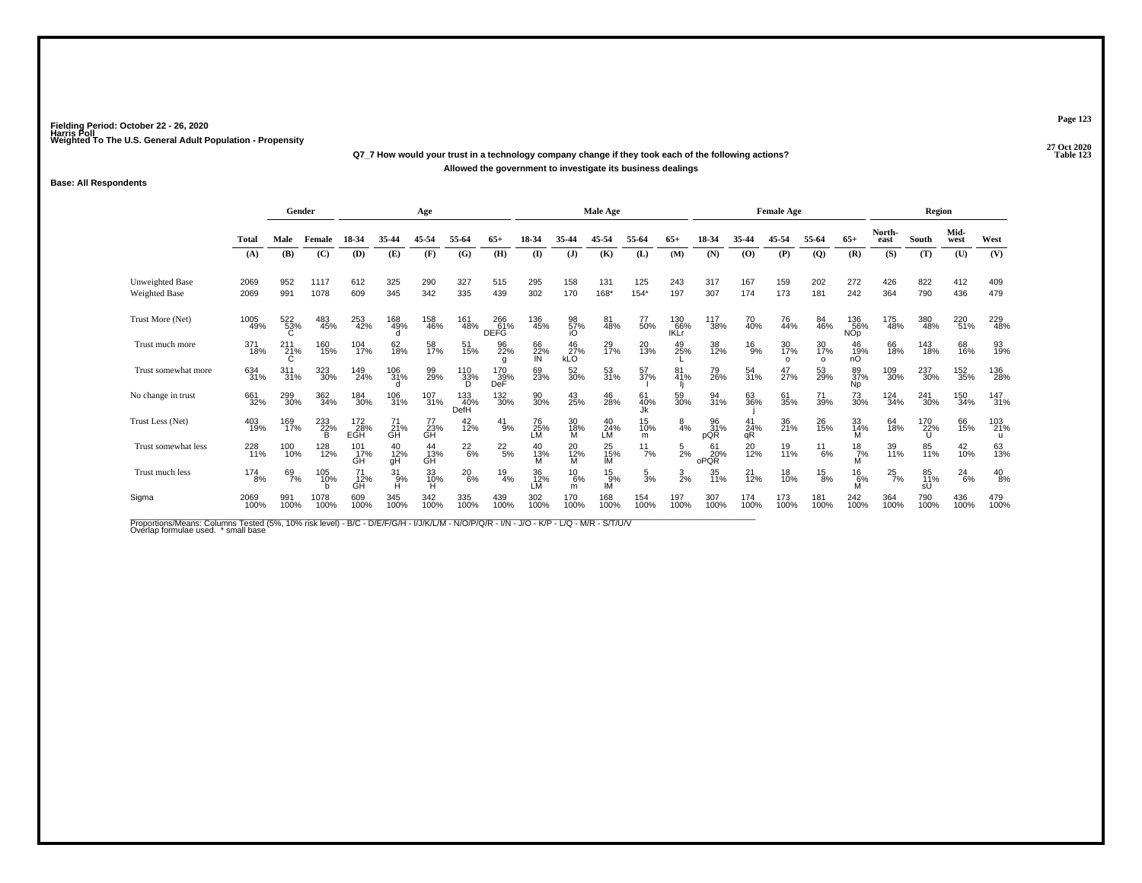#### **27 Oct 2020Q7\_7 How would your trust in a technology company change if they took each of the following actions? Table 123 Allowed the government to investigate its business dealings**

### **Base: All Respondents**

|                                         |                | Gender             |                 |                   |                 | Age             |                    |                    |                 |                    | <b>Male Age</b>   |                 |                           |                   |                       | <b>Female Age</b>     |                       |                               |                | Region          |               |               |
|-----------------------------------------|----------------|--------------------|-----------------|-------------------|-----------------|-----------------|--------------------|--------------------|-----------------|--------------------|-------------------|-----------------|---------------------------|-------------------|-----------------------|-----------------------|-----------------------|-------------------------------|----------------|-----------------|---------------|---------------|
|                                         | <b>Total</b>   | Male               | Female          | 18-34             | 35-44           | 45-54           | 55-64              | 65+                |                 | 35-44              | 45-54             | 55-64           | $65+$                     | 18-34             | 35-44                 | 45-54                 | 55-64                 | $65+$                         | North-<br>east | South           | Mid-<br>west  | West          |
|                                         | (A)            | (B)                | (C)             | (D)               | (E)             | (F)             | (G)                | (H)                | $($ I           | $\mathbf{J}$       | (K)               | (L)             | (M)                       | (N)               | (0)                   | (P)                   | $\overline{Q}$        | (R)                           | (S)            | (T)             | (U)           | (V)           |
| <b>Unweighted Base</b><br>Weighted Base | 2069<br>2069   | 952<br>991         | 1117<br>1078    | 612<br>609        | 325<br>345      | 290<br>342      | 327<br>335         | 515<br>439         | 295<br>302      | 158<br>170         | 131<br>$168*$     | 125<br>$154*$   | 243<br>197                | 317<br>307        | 167<br>174            | 159<br>173            | 202<br>181            | 272<br>242                    | 426<br>364     | 822<br>790      | 412<br>436    | 409<br>479    |
| Trust More (Net)                        | 1005<br>49%    | 522<br>53%         | 483<br>45%      | 253<br>42%        | 168<br>49%      | 158<br>46%      | 161<br>48%         | 266<br>61%<br>DEFG | 136<br>45%      | 98<br>57%<br>iO    | 81<br>48%         | 77<br>50%       | 130<br>66%<br><b>IKLT</b> | 117<br>38%        | 70<br>40%             | 76<br>44%             | 84<br>46%             | 136<br>56%<br>NO <sub>p</sub> | 175<br>48%     | 380<br>48%      | 220<br>51%    | 229<br>48%    |
| Trust much more                         | 371<br>18%     | $^{211}_{21\%}$    | 160<br>15%      | 104<br>17%        | 62<br>18%       | 58<br>17%       | 51<br>15%          | 96<br>22%<br>a     | 66<br>22%<br>IN | $^{46}_{27\%}$ kLO | 29<br>17%         | 20<br>13%       | 49<br>25%                 | 38<br>12%         | $^{16}_{9\%}$         | 30<br>17%<br>$\Omega$ | 30<br>17%<br>$\Omega$ | 46<br>19%<br>nÓ               | 66<br>18%      | 143<br>18%      | 68<br>16%     | 93<br>19%     |
| Trust somewhat more                     | 634<br>31%     | $\frac{311}{31\%}$ | 323<br>30%      | 149<br>24%        | 106<br>31%      | 99%             | 110<br>33%         | 170<br>39%<br>DeF  | 69<br>23%       | 52<br>30%          | 53<br>31%         | 57 <sub>%</sub> | 81<br>41%                 | 79<br>26%         | 54<br>31%             | 47<br>27%             | 53<br>29%             | 89<br>37%<br>N <sub>p</sub>   | 109<br>30%     | 237<br>30%      | 152<br>35%    | 136<br>28%    |
| No change in trust                      | 661<br>32%     | 299<br>30%         | 362<br>34%      | 184<br>30%        | 106<br>31%      | $^{107}_{31\%}$ | 133<br>40%<br>DefH | 132<br>30%         | 90<br>30%       | 43<br>25%          | 46<br>28%         | 61<br>40%<br>Jk | 59<br>30%                 | 94<br>31%         | 63<br>36%             | 61<br>35%             | 71<br>39%             | 73<br>30%                     | 124<br>34%     | 241<br>30%      | 150<br>34%    | 147<br>31%    |
| Trust Less (Net)                        | 403<br>19%     | 169<br>17%         | 233<br>22%<br>R | 172<br>28%<br>EGH | 71<br>21%<br>GH | 77<br>23%<br>GH | 42<br>12%          | $^{41}_{9\%}$      | 76<br>25%<br>LM | 30<br>18%<br>м     | $^{40}_{24\%}$ LM | 15<br>10%<br>m  | $\frac{8}{4%}$            | 96<br>31%<br>pQR  | 41<br>24%<br>αR       | 36<br>21%             | 26<br>15%             | 33<br>14%<br>м                | 64<br>18%      | 170<br>22%<br>U | 66<br>15%     | 103<br>21%    |
| Trust somewhat less                     | 228<br>11%     | 100<br>10%         | 128<br>12%      | 101<br>17%<br>GH  | 40<br>12%<br>qΗ | 44<br>13%<br>GĤ | $^{22}_{6\%}$      | $^{22}_{5\%}$      | 40<br>13%<br>м  | 20<br>12%<br>м     | 25<br>15%<br>IМ   | $^{11}_{7\%}$   | $\frac{5}{2\%}$           | 61<br>20%<br>oPQR | 20 <sub>12%</sub>     | 19<br>11%             | $^{11}_{6\%}$         | $\frac{18}{7%}$<br>м          | 39<br>11%      | 85<br>11%       | 42<br>10%     | 63<br>13%     |
| Trust much less                         | $^{174}_{8\%}$ | 69<br>7%           | 105<br>10%      | 71<br>12%<br>GĤ   | 31<br>9%<br>Ĥ   | 33<br>10%<br>н  | $^{20}_{6\%}$      | $^{19}_{4\%}$      | 36<br>12%<br>LM | $^{10}_{6\%}$<br>m | 15<br>9%<br>IM    | $\frac{5}{3}$ % | $\frac{3}{2%}$            | 35<br>11%         | 21<br>$\frac{1}{2}$ % | 18<br>10%             | 15<br>8%              | $^{16}_{6\%}$<br>M            | $^{25}_{7\%}$  | 85<br>11%<br>sU | $^{24}_{6\%}$ | $^{40}_{8\%}$ |
| Sigma                                   | 2069<br>100%   | 991<br>100%        | 1078<br>100%    | 609<br>100%       | 345<br>100%     | 342<br>100%     | 335<br>100%        | 439<br>100%        | 302<br>100%     | 170<br>100%        | 168<br>100%       | 154<br>100%     | 197<br>100%               | 307<br>100%       | 174<br>100%           | 173<br>100%           | 181<br>100%           | 242<br>100%                   | 364<br>100%    | 790<br>100%     | 436<br>100%   | 479<br>100%   |

Proportions/Means: Columns Tested (5%, 10% risk level) - B/C - D/E/F/G/H - I/J/K/L/M - N/O/P/Q/R - I/N - J/O - K/P - L/Q - M/R - S/T/U/V<br>Overlap formulae used. \*small base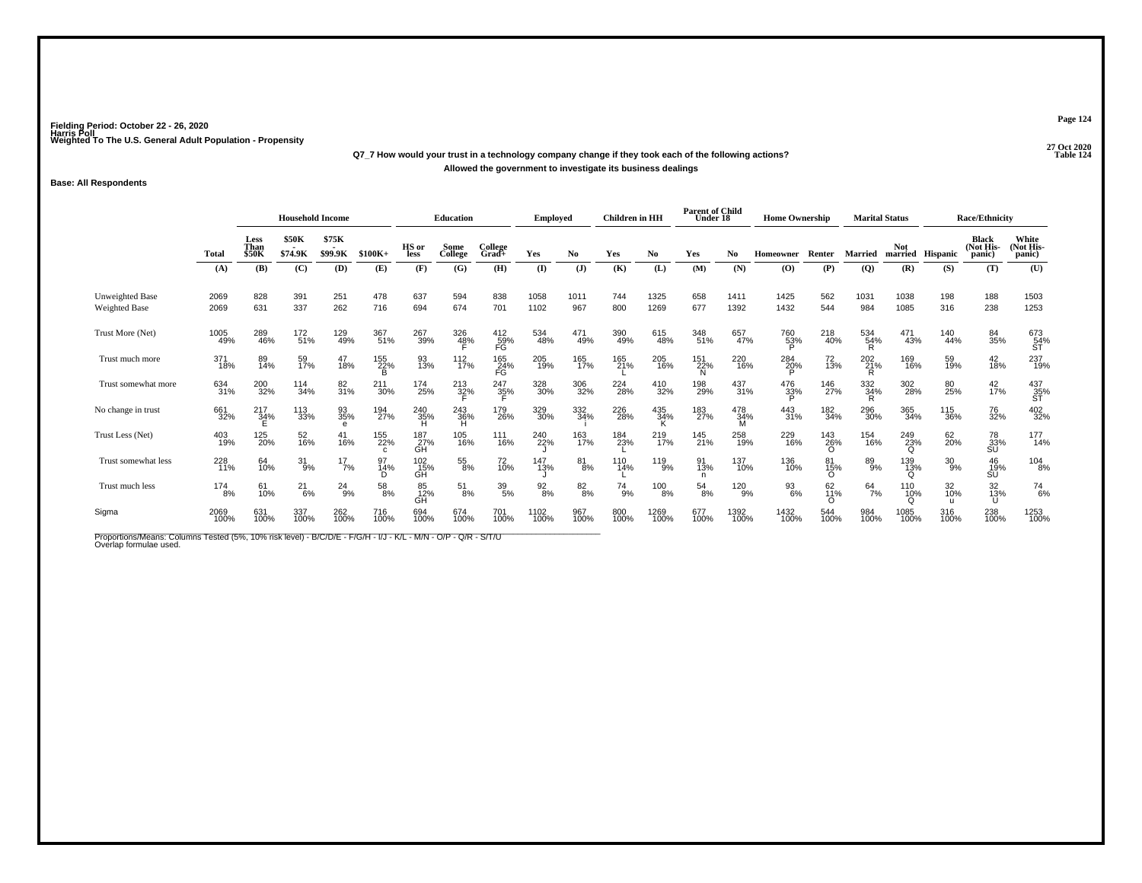# **27 Oct 2020Q7\_7 How would your trust in a technology company change if they took each of the following actions?Allowed the government to investigate its business dealings**

### **Base: All Respondents**

|                                                                                                                                          |              | <b>Household Income</b>      |                         |                  |                 | <b>Education</b> |                     | Emploved            |                 | <b>Children</b> in HH  |               | <b>Parent of Child</b><br>Under 18 |                 | <b>Home Ownership</b> |                  |                        | <b>Marital Status</b> |                        | <b>Race/Ethnicity</b> |                                     |                                             |
|------------------------------------------------------------------------------------------------------------------------------------------|--------------|------------------------------|-------------------------|------------------|-----------------|------------------|---------------------|---------------------|-----------------|------------------------|---------------|------------------------------------|-----------------|-----------------------|------------------|------------------------|-----------------------|------------------------|-----------------------|-------------------------------------|---------------------------------------------|
|                                                                                                                                          | <b>Total</b> | Less<br>Than<br><b>\$50K</b> | <b>\$50K</b><br>\$74.9K | \$75K<br>\$99.9K | $$100K+$        | HS or<br>less    | Some<br>College     | College<br>Grad+    | Yes             | No                     | Yes           | No.                                | Yes             | No.                   | Homeowner        | Renter                 | <b>Married</b>        | <b>Not</b>             | married Hispanic      | <b>Black</b><br>(Not His-<br>panic) | White<br>(Not His-<br>panic)                |
|                                                                                                                                          | (A)          | (B)                          | (C)                     | (D)              | (E)             | (F)              | (G)                 | (H)                 | $($ I           | $\mathbf{J}$           | (K)           | (L)                                | (M)             | (N)                   | $\bf{(0)}$       | (P)                    | $\overline{Q}$        | (R)                    | (S)                   | (T)                                 | (U)                                         |
| <b>Unweighted Base</b><br><b>Weighted Base</b>                                                                                           | 2069<br>2069 | 828<br>631                   | 391<br>337              | 251<br>262       | 478<br>716      | 637<br>694       | 594<br>674          | 838<br>701          | 1058<br>1102    | 1011<br>967            | 744<br>800    | 1325<br>1269                       | 658<br>677      | 1411<br>1392          | 1425<br>1432     | 562<br>544             | 1031<br>984           | 1038<br>1085           | 198<br>316            | 188<br>238                          | 1503<br>1253                                |
| Trust More (Net)                                                                                                                         | 1005<br>49%  | 289<br>46%                   | 172<br>51%              | 129<br>49%       | 367<br>51%      | 267<br>39%       | 326<br>4 <u>8</u> % | $^{412}_{~59\%}$ FG | 534<br>48%      | 471<br>49%             | 390<br>49%    | 615<br>48%                         | 348<br>51%      | 657<br>47%            | 760<br>53%       | 218<br>40%             | 534<br>54%<br>R       | 471<br>43%             | 140<br>44%            | 84<br>35%                           | 673<br>54%<br>ST                            |
| Trust much more                                                                                                                          | 371<br>18%   | 89<br>14%                    | 59<br>17%               | 47<br>18%        | 155<br>22%<br>Ē | 93<br>13%        | $^{112}_{17\%}$     | 165<br>24%<br>FG    | 205<br>19%      | 165<br>17%             | 165<br>21%    | 205<br>16%                         | 151<br>22%<br>N | 220<br>16%            | 284<br>20%<br>P  | 72<br>13%              | 202<br>21%<br>R.      | 169<br>16%             | 59<br>19%             | $^{42}_{18\%}$                      | 237<br>19%                                  |
| Trust somewhat more                                                                                                                      | 634<br>31%   | 200<br>32%                   | 114<br>34%              | 82<br>31%        | 211<br>30%      | 174<br>25%       | $^{213}_{32\%}$     | $\frac{247}{35\%}$  | 328<br>30%      | 306<br>32%             | 224<br>28%    | 410<br>32%                         | 198<br>29%      | $^{437}_{31\%}$       | 476<br>33%<br>Þ  | 146<br>27%             | 332<br>34%<br>R       | 302<br>28%             | 80<br>25%             | $^{42}_{17\%}$                      | $\overset{437}{\underset{\text{ST}}{35\%}}$ |
| No change in trust                                                                                                                       | 661<br>32%   | $^{217}_{34\%}$              | 113<br>33%              | 93<br>35%<br>e   | 194<br>27%      | $^{240}_{35\%}$  | 243<br>36%<br>Ĥ.    | 179<br>26%          | 329<br>30%      | 332<br>34%             | 226<br>28%    | 435<br>34%                         | 183<br>27%      | 478<br>34%            | 443<br>31%       | 182<br>34%             | 296<br>30%            | 365<br>34%             | 115<br>36%            | 76<br>32%                           | 402<br>32%                                  |
| Trust Less (Net)                                                                                                                         | 403<br>19%   | 125<br>20%                   | 52<br>16%               | 41<br>16%        | 155<br>22%      | 187<br>27%<br>GH | 105<br>16%          | 111<br>16%          | 240<br>22%      | 163<br>17%             | 184<br>23%    | 219<br>17%                         | 145<br>21%      | 258<br>19%            | 229<br>16%       | 143<br>26%<br>$\Omega$ | 154<br>16%            | 249<br>23%<br>$\Omega$ | 62<br>20%             | 78<br>33%<br>SU                     | 177<br>14%                                  |
| Trust somewhat less                                                                                                                      | 228<br>11%   | 64<br>10%                    | $^{31}_{9\%}$           | $^{17}_{7\%}$    | 97<br>14%<br>D  | 102<br>15%<br>GH | 55<br>8%            | 72<br>10%           | 147<br>13%      | $\substack{81 \\ 8\%}$ | 110<br>14%    | 119<br>9%                          | 91<br>13%<br>n  | 137<br>10%            | 136<br>10%       | 81<br>15%<br>$\Omega$  | 89<br>9%              | 139<br>13%<br>Ω        | $^{30}_{9\%}$         | $^{46}_{19\%}$<br>SU                | $\frac{104}{8%}$                            |
| Trust much less                                                                                                                          | 174<br>8%    | 61<br>10%                    | $^{21}_{6\%}$           | $^{24}_{9\%}$    | 58<br>8%        | 85<br>12%<br>GH  | $^{51}_{8\%}$       | $^{39}_{5\%}$       | $\frac{92}{8%}$ | $8^{2}_{8\%}$          | $^{74}_{9\%}$ | 100<br>8%                          | $^{54}_{8\%}$   | 120<br>9%             | $\frac{93}{6\%}$ | 62<br>11%<br>∩         | 64<br>7%              | 110<br>10%<br>∩        | 32<br>10%             | $\frac{32}{13\%}$                   | $^{74}_{6\%}$                               |
| Sigma                                                                                                                                    | 2069<br>100% | 631<br>100%                  | 337<br>100%             | 262<br>100%      | 716<br>100%     | 694<br>100%      | 674<br>100%         | 701<br>100%         | 1102<br>100%    | 967<br>100%            | 800<br>100%   | 1269<br>100%                       | 677<br>100%     | 1392<br>100%          | 1432<br>100%     | 544<br>100%            | 984<br>100%           | 1085<br>100%           | 316<br>100%           | 238<br>100%                         | 1253<br>100%                                |
| Proportions/Means: Columns Tested (5%, 10% risk level) - B/C/D/E - F/G/H - I/J - K/L - M/N - O/P - Q/R - S/T/U<br>Overlap formulae used. |              |                              |                         |                  |                 |                  |                     |                     |                 |                        |               |                                    |                 |                       |                  |                        |                       |                        |                       |                                     |                                             |

**Page 124**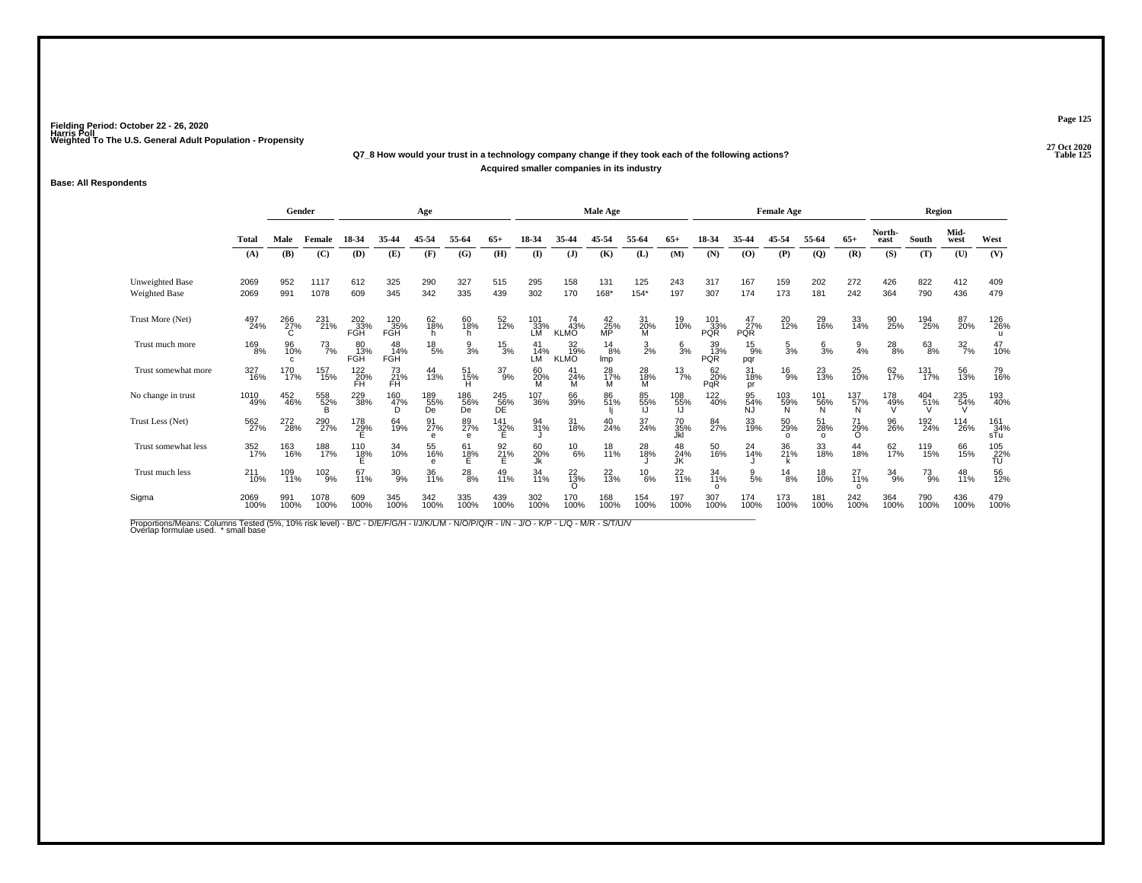# **27 Oct 2020Q7\_8 How would your trust in a technology company change if they took each of the following actions?Acquired smaller companies in its industry**

### **Base: All Respondents**

|                                         |                 | Gender         |               |                     |                   | Age               |                  |                    |                  |                          | <b>Male Age</b>   |                 |                  |                         |                     | <b>Female Age</b>     |                       |                            |                 | Region        |                  |                   |
|-----------------------------------------|-----------------|----------------|---------------|---------------------|-------------------|-------------------|------------------|--------------------|------------------|--------------------------|-------------------|-----------------|------------------|-------------------------|---------------------|-----------------------|-----------------------|----------------------------|-----------------|---------------|------------------|-------------------|
|                                         | Total           | Male           | Female        | 18-34               | 35-44             | 45-54             | 55-64            | 65+                | $18-34$          | 35-44                    | 45-54             | 55-64           | 65+              | 18-34                   | 35-44               | 45-54                 | 55-64                 | $65+$                      | North-<br>east  | <b>South</b>  | Mid-<br>west     | West              |
|                                         | (A)             | (B)            | (C)           | (D)                 | (E)               | (F)               | (G)              | (H)                | $($ I            | $\mathbf{J}$             | (K)               | (L)             | (M)              | (N)                     | (O)                 | (P)                   | $\mathbf{Q}$          | (R)                        | (S)             | (T)           | (U)              | (V)               |
| Unweighted Base<br><b>Weighted Base</b> | 2069<br>2069    | 952<br>991     | 1117<br>1078  | 612<br>609          | 325<br>345        | 290<br>342        | 327<br>335       | 515<br>439         | 295<br>302       | 158<br>170               | 131<br>168*       | 125<br>$154*$   | 243<br>197       | 317<br>307              | 167<br>174          | 159<br>173            | 202<br>181            | 272<br>242                 | 426<br>364      | 822<br>790    | 412<br>436       | 409<br>479        |
| Trust More (Net)                        | 497<br>24%      | 266<br>27%     | 231<br>21%    | $^{202}_{33\%}$ FGH | 120<br>35%<br>FGH | 62<br>18%<br>h.   | 60<br>18%        | 52<br>12%          | 101<br>33%<br>LM | 74<br>43%<br><b>KLMO</b> | $^{42}_{25\%}$ MP | 31<br>20%<br>M  | 19<br>10%        | $^{101}_{33\%}$<br>PQŘ  | $^{47}_{27\%}$ PQR  | 20<br>12%             | 29<br>16%             | 33<br>14%                  | 90<br>25%       | 194<br>25%    | 87<br>20%        | 126<br>26%        |
| Trust much more                         | 169<br>8%       | 96<br>10%<br>c | 73<br>7%      | 80<br>13%<br>FGH    | 48<br>14%<br>FGH  | $^{18}_{\ 5\%}$   | $\frac{9}{3%}$   | $\frac{15}{3%}$    | 41<br>14%<br>LM  | 32<br>19%<br><b>KLMO</b> | 14<br>8%<br>Imp   | $\frac{3}{2\%}$ | $\frac{6}{3}$ %  | 39<br>13%<br><b>PQR</b> | $^{15}_{9%}$<br>pqr | $\frac{5}{3%}$        | $\frac{6}{3}$ %       | $\frac{9}{4%}$             | $^{28}_{8\%}$   | $63\atop8\%$  | $\frac{32}{7\%}$ | 47<br>10%         |
| Trust somewhat more                     | 327<br>16%      | 170<br>17%     | 157<br>15%    | $^{122}_{20\%}$     | 73<br>21%<br>FH   | 44<br>13%         | 51<br>15%        | $^{37}_{9\%}$      | 60<br>20%<br>M   | $^{41}_{24\%}$           | 28<br>17%         | 28<br>18%<br>M  | $^{13}_{7\%}$    | 62<br>20%<br>PqR        | 31<br>18%<br>pr     | $^{16}_{9\%}$         | 23<br>13%             | 25<br>10%                  | 62 <sub>%</sub> | 131<br>17%    | 56<br>13%        | 79<br>16%         |
| No change in trust                      | 1010<br>49%     | 452<br>46%     | 558<br>52%    | 229<br>38%          | 160<br>47%        | 189<br>55%<br>De  | 186<br>56%<br>De | 245<br>56%<br>DE   | 107<br>36%       | 66<br>39%                | 86<br>51%         | 85<br>55%       | 108<br>55%       | 122<br>40%              | 95<br>54%<br>NJ     | 103<br>59%<br>N       | 101<br>56%<br>N       | 137 <sub>%</sub><br>N      | 178<br>49%      | 404<br>51%    | 235<br>54%       | 193<br>40%        |
| Trust Less (Net)                        | 562<br>27%      | 272<br>28%     | 290<br>27%    | 178<br>29%<br>E     | 64<br>19%         | 91 <sub>27%</sub> | 89<br>27%<br>e   | $\frac{141}{32\%}$ | 94<br>31%        | 31<br>18%                | 40<br>24%         | 37<br>24%       | 70<br>35%<br>JkI | 84<br>27%               | 33<br>19%           | 50<br>29%<br>$\Omega$ | 51<br>28%<br>$\Omega$ | 71<br>29%<br>$\Omega$      | 96<br>26%       | 192<br>24%    | 114<br>26%       | 161<br>34%<br>sTu |
| Trust somewhat less                     | 352<br>17%      | 163<br>16%     | 188<br>17%    | $^{110}_{18\%}$     | 34<br>10%         | 55<br>16%<br>e    | 61<br>18%<br>E   | $^{92}_{21\%}$     | 60<br>20%<br>Jk  | $^{10}_{6\%}$            | 18<br>11%         | 28<br>18%       | 48<br>24%<br>JK  | 50<br>16%               | 24<br>14%           | 36<br>21%             | 33<br>18%             | 44<br>18%                  | 62<br>17%       | 119<br>15%    | 66<br>15%        | $^{105}_{22\%}$   |
| Trust much less                         | $^{211}_{10\%}$ | 109<br>11%     | $^{102}_{9%}$ | 67<br>11%           | $^{30}_{9\%}$     | 36<br>11%         | $^{28}_{8\%}$    | 49<br>11%          | 34<br>11%        | $^{22}_{13\%}$           | 22<br>13%         | $^{10}_{6\%}$   | 22 <sub>0%</sub> | 34<br>11%<br>$\Omega$   | 9<br>5%             | $^{14}_{8\%}$         | 18<br>10%             | $^{27}_{11\%}$<br>$\Omega$ | 34<br>9%        | $^{73}_{9\%}$ | 48<br>11%        | 56<br>12%         |
| Sigma                                   | 2069<br>100%    | 991<br>100%    | 1078<br>100%  | 609<br>100%         | 345<br>100%       | 342<br>100%       | 335<br>100%      | 439<br>100%        | 302<br>100%      | 170<br>100%              | 168<br>100%       | 154<br>100%     | 197<br>100%      | 307<br>100%             | 174<br>100%         | 173<br>100%           | 181<br>100%           | 242<br>100%                | 364<br>100%     | 790<br>100%   | 436<br>100%      | 479<br>100%       |

Proportions/Means: Columns Tested (5%, 10% risk level) - B/C - D/E/F/G/H - I/J/K/L/M - N/O/P/Q/R - I/N - J/O - K/P - L/Q - M/R - S/T/U/V<br>Overlap formulae used. \*small base

**Page 125**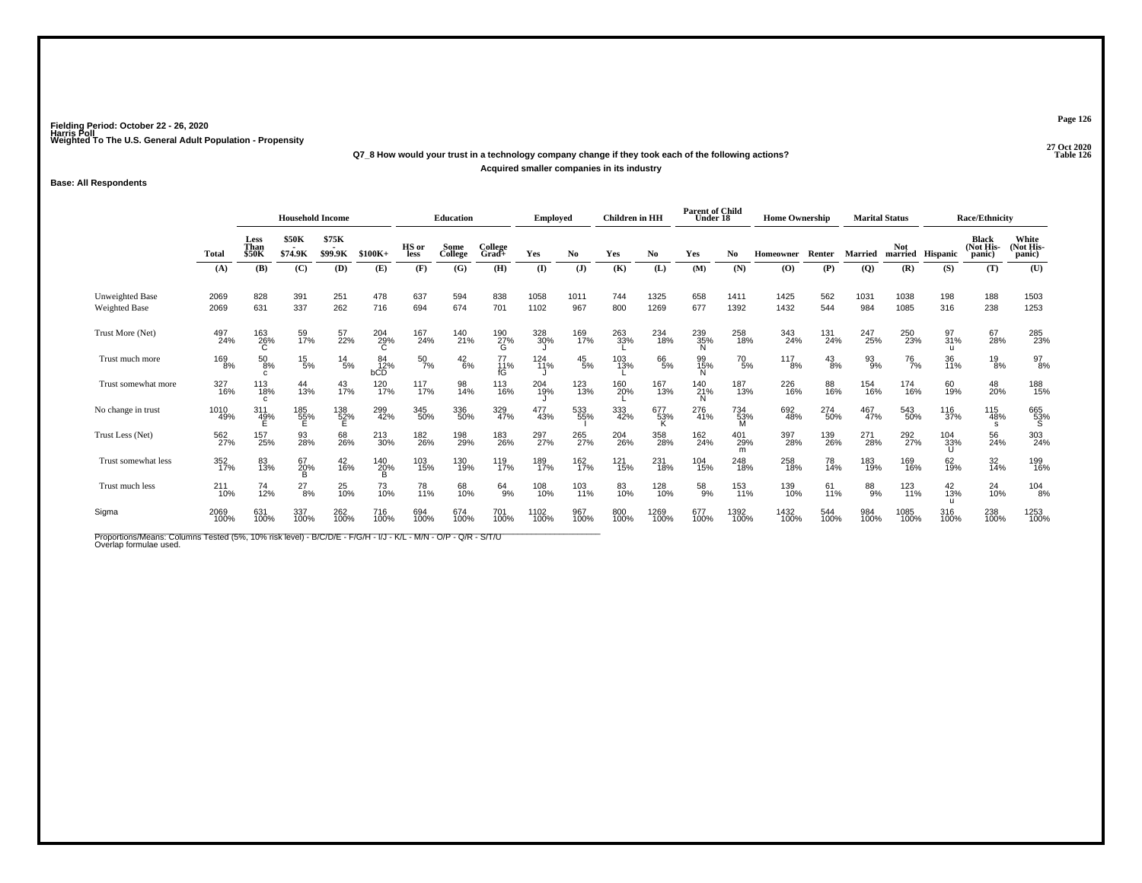# **27 Oct 2020Q7\_8 How would your trust in a technology company change if they took each of the following actions?Acquired smaller companies in its industry**

## **Base: All Respondents**

|                                                                                                                                          |              | <b>Household Income</b>      |                         |                  |                  | <b>Education</b> |                 | <b>Employed</b>     |                          | <b>Children</b> in HH |             | <b>Parent of Child</b><br>Under 18 |                 | <b>Home Ownership</b> |              |                 | <b>Marital Status</b> |                       | <b>Race/Ethnicity</b> |                              |                              |
|------------------------------------------------------------------------------------------------------------------------------------------|--------------|------------------------------|-------------------------|------------------|------------------|------------------|-----------------|---------------------|--------------------------|-----------------------|-------------|------------------------------------|-----------------|-----------------------|--------------|-----------------|-----------------------|-----------------------|-----------------------|------------------------------|------------------------------|
|                                                                                                                                          | <b>Total</b> | Less<br>Than<br><b>\$50K</b> | <b>\$50K</b><br>\$74.9K | \$75K<br>\$99.9K | $$100K+$         | HS or<br>less    | Some<br>College | College<br>$Grad +$ | Yes                      | No.                   | Yes         | No                                 | Yes             | No.                   | Homeowner    | Renter          | Married               | <b>Not</b><br>married | <b>Hispanic</b>       | Black<br>(Not His-<br>panic) | White<br>(Not His-<br>panic) |
|                                                                                                                                          | (A)          | (B)                          | (C)                     | (D)              | (E)              | (F)              | (G)             | (H)                 | (I)                      | $(\mathbf{J})$        | (K)         | (L)                                | (M)             | (N)                   | (0)          | (P)             | $\overline{Q}$        | (R)                   | (S)                   | (T)                          | (U)                          |
| Unweighted Base<br><b>Weighted Base</b>                                                                                                  | 2069<br>2069 | 828<br>631                   | 391<br>337              | 251<br>262       | 478<br>716       | 637<br>694       | 594<br>674      | 838<br>701          | 1058<br>1102             | 1011<br>967           | 744<br>800  | 1325<br>1269                       | 658<br>677      | 1411<br>1392          | 1425<br>1432 | 562<br>544      | 1031<br>984           | 1038<br>1085          | 198<br>316            | 188<br>238                   | 1503<br>1253                 |
| Trust More (Net)                                                                                                                         | 497<br>24%   | 163<br>26%                   | 59<br>17%               | 57<br>22%        | 204<br>29%       | 167<br>24%       | 140<br>21%      | 190<br>27%<br>G     | 328<br>30%               | 169<br>17%            | 263<br>33%  | 234<br>18%                         | 239<br>35%<br>N | 258<br>18%            | 343<br>24%   | 131<br>24%      | 247<br>25%            | 250<br>23%            | 97<br>31%             | 67<br>28%                    | 285<br>23%                   |
| Trust much more                                                                                                                          | 169<br>8%    | $^{50}_{\ 8\%}$              | $^{15}_{5\%}$           | $^{14}_{5\%}$    | 84<br>12%<br>bCD | $^{50}_{7\%}$    | $^{42}_{6\%}$   | 77<br>11%<br>fG     | 124<br>$\overline{1}$ 1% | $^{45}_{\ 5\%}$       | 103<br>13%  | 66<br>5%                           | 99<br>15%       | $^{70}_{5\%}$         | 117<br>8%    | $^{43}_{8\%}$   | 93 <sub>9%</sub>      | <sup>76</sup> 7%      | 36<br>11%             | $^{19}_{8\%}$                | $^{97}_{8\%}$                |
| Trust somewhat more                                                                                                                      | 327<br>16%   | 113<br>18%<br>$\mathbf{c}$   | 44<br>13%               | 43<br>17%        | 120<br>17%       | 117<br>17%       | 98<br>14%       | 113<br>16%          | 204<br>19%               | 123<br>13%            | 160<br>20%  | 167<br>13%                         | 140<br>21%<br>N | 187<br>13%            | 226<br>16%   | 88<br>16%       | 154<br>16%            | 174<br>16%            | 60<br>19%             | 48<br>20%                    | 188<br>15%                   |
| No change in trust                                                                                                                       | 1010<br>49%  | $\frac{311}{49\%}$           | 185<br>55%<br>E         | 138<br>52%<br>E  | 299<br>42%       | 345<br>50%       | 336<br>50%      | 329<br>47%          | 477<br>43%               | 533<br>55%            | 333<br>42%  | 677<br>53%                         | 276<br>41%      | 734<br>53%<br>M       | 692<br>48%   | 274<br>50%      | 467<br>47%            | 543<br>50%            | 116<br>37%            | 115<br>48%<br>s              | 665<br>53%<br>S              |
| Trust Less (Net)                                                                                                                         | 562<br>27%   | 157<br>25%                   | 93<br>28%               | 68<br>26%        | 213<br>30%       | 182<br>26%       | 198<br>29%      | 183<br>26%          | 297<br>27%               | 265<br>27%            | 204<br>26%  | 358<br>28%                         | 162<br>24%      | 401<br>29%<br>m       | 397<br>28%   | 139<br>26%      | 271<br>28%            | 292<br>27%            | 104<br>33%            | 56<br>24%                    | 303<br>24%                   |
| Trust somewhat less                                                                                                                      | 352<br>17%   | 83<br>13%                    | $^{67}_{20\%}$          | 42<br>16%        | 140<br>20%       | 103<br>15%       | 130<br>19%      | 119<br>17%          | 189<br>17%               | 162<br>17%            | 121<br>15%  | 231<br>18%                         | 104<br>15%      | 248<br>18%            | 258<br>18%   | 78<br>14%       | 183<br>19%            | 169<br>16%            | 62<br>19%             | 32<br>14%                    | 199<br>16%                   |
| Trust much less                                                                                                                          | 211<br>10%   | 74<br>12%                    | $^{27}_{8\%}$           | 25<br>10%        | 73<br>10%        | 78<br>11%        | 68<br>10%       | 64<br>9%            | 108<br>10%               | 103<br>11%            | 83<br>10%   | 128<br>10%                         | 58<br>9%        | 153<br>11%            | 139<br>10%   | 61 <sub>%</sub> | $^{88}_{9%}$          | 123<br>11%            | 42<br>13%             | 24<br>10%                    | $\frac{104}{8%}$             |
| Sigma                                                                                                                                    | 2069<br>100% | 631<br>100%                  | 337<br>100%             | 262<br>100%      | 716<br>100%      | 694<br>100%      | 674<br>100%     | 701<br>100%         | 1102<br>100%             | 967<br>100%           | 800<br>100% | 1269<br>100%                       | 677<br>100%     | 1392<br>100%          | 1432<br>100% | 544<br>100%     | 984<br>100%           | 1085<br>100%          | 316<br>100%           | 238<br>100%                  | 1253<br>100%                 |
| Proportions/Means: Columns Tested (5%, 10% risk level) - B/C/D/E - F/G/H - I/J - K/L - M/N - O/P - Q/R - S/T/U<br>Overlap formulae used. |              |                              |                         |                  |                  |                  |                 |                     |                          |                       |             |                                    |                 |                       |              |                 |                       |                       |                       |                              |                              |

**Page 126**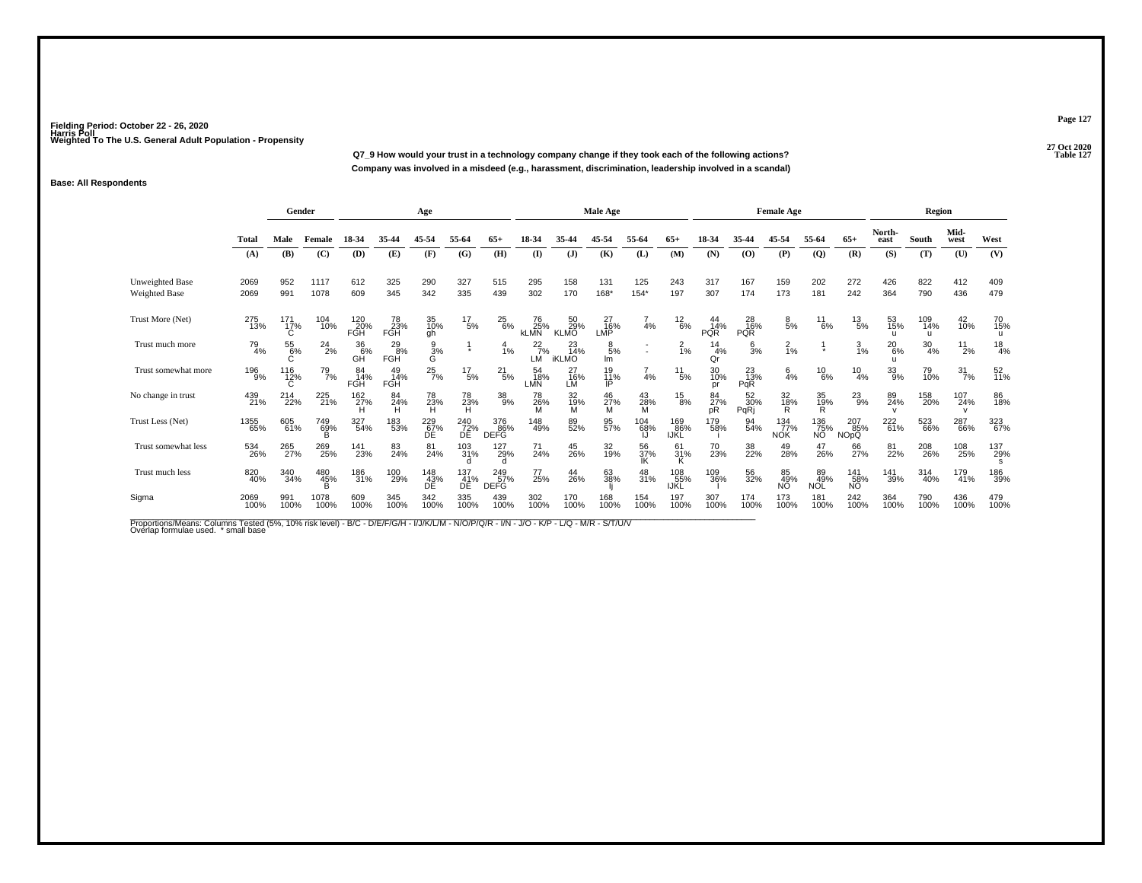**27 Oct 2020Q7\_9 How would your trust in a technology company change if they took each of the following actions?Company was involved in a misdeed (e.g., harassment, discrimination, leadership involved in a scandal)**

## **Base: All Respondents**

|                                                |              | Gender          |                 |                          |                             | Age               |                         |                           |                          |                           | <b>Male Age</b>      |                          |                    |                              |                         | <b>Female Age</b>        |                         |                                 |                               | Region           |                            |                 |
|------------------------------------------------|--------------|-----------------|-----------------|--------------------------|-----------------------------|-------------------|-------------------------|---------------------------|--------------------------|---------------------------|----------------------|--------------------------|--------------------|------------------------------|-------------------------|--------------------------|-------------------------|---------------------------------|-------------------------------|------------------|----------------------------|-----------------|
|                                                | <b>Total</b> | Male            | Female          | 18-34                    | 35-44                       | 45-54             | 55-64                   | $65+$                     | 18-34                    | 35-44                     | 45-54                | 55-64                    | $65+$              | 18-34                        | 35-44                   | 45-54                    | 55-64                   | $65+$                           | North-<br>east                | South            | Mid-<br>west               | West            |
|                                                | (A)          | (B)             | (C)             | (D)                      | (E)                         | (F)               | (G)                     | (H)                       | (I)                      | $(\mathbf{J})$            | (K)                  | (L)                      | (M)                | (N)                          | (O)                     | (P)                      | $\overline{Q}$          | (R)                             | (S)                           | (T)              | (U)                        | (V)             |
| <b>Unweighted Base</b><br><b>Weighted Base</b> | 2069<br>2069 | 952<br>991      | 1117<br>1078    | 612<br>609               | 325<br>345                  | 290<br>342        | 327<br>335              | 515<br>439                | 295<br>302               | 158<br>170                | 131<br>168*          | 125<br>$154*$            | 243<br>197         | 317<br>307                   | 167<br>174              | 159<br>173               | 202<br>181              | 272<br>242                      | 426<br>364                    | 822<br>790       | 412<br>436                 | 409<br>479      |
| Trust More (Net)                               | 275<br>13%   | $^{171}_{17\%}$ | 104<br>10%      | 120<br>20%<br><b>FGH</b> | 78<br>23%<br><b>FGH</b>     | 35<br>10%<br>gh   | $^{17}_{\ 5\%}$         | $^{25}_{6\%}$             | 76<br>25%<br><b>KLMN</b> | 50<br>29%<br><b>KLMO</b>  | 27<br>16%<br>LMP     | 4%                       | $^{12}_{6\%}$      | $^{44}_{14\%}$<br><b>PQR</b> | 28<br>16%<br><b>PQR</b> | $\frac{8}{5%}$           | $^{11}_{6\%}$           | $^{13}_{5\%}$                   | 53<br>15%<br>$\mathbf{H}$     | 109<br>14%<br>u  | 42<br>10%                  | 70<br>15%<br>u  |
| Trust much more                                | 79<br>4%     | 55<br>6%        | $^{24}_{2\%}$   | 36 <sub>0%</sub><br>GĤ   | $^{29}_{8\%}$<br><b>FGH</b> | $\frac{9}{6}$ %   | $\star$                 | $\frac{4}{1%}$            | $^{22}_{7\%}$<br>LM      | 23<br>14%<br><b>iKLMO</b> | $\frac{8}{5%}$<br>lm | $\overline{\phantom{a}}$ | $\frac{2}{1%}$     | $\frac{14}{4%}$<br>Qr        | $\frac{6}{3}$ %         | $\frac{2}{1}$ %          |                         | $\frac{3}{1\%}$                 | $^{20}_{6\%}$<br>$\mathbf{H}$ | $\frac{30}{4\%}$ | $^{11}_{2\%}$              | $\frac{18}{4%}$ |
| Trust somewhat more                            | 196<br>9%    | 116<br>12%      | 79<br>7%        | 84<br>14%<br><b>FGH</b>  | 49<br>14%<br>FGH            | $^{25}_{7\%}$     | $^{17}_{5\%}$           | $^{21}_{5\%}$             | 54<br>18%<br><b>LMN</b>  | 27<br>16%<br>LM           | 19<br>11%<br>IP      | $\frac{7}{4}$ %          | $^{11}_{5\%}$      | 30<br>10%<br>pr              | 23<br>13%<br>PqR        | $\frac{6}{4%}$           | $^{10}_{6\%}$           | $^{10}_{4\%}$                   | $^{33}_{9\%}$                 | 79<br>10%        | $\frac{31}{7\%}$           | 52<br>11%       |
| No change in trust                             | 439<br>21%   | 214<br>22%      | 225<br>21%      | 162<br>27%               | 84<br>24%<br>н              | 78<br>23%<br>н    | 78<br>23%<br>н          | $^{38}_{9\%}$             | 78<br>26%<br>M           | 32<br>19%<br>М            | 46<br>27%<br>M       | 43<br>28%<br>M           | $^{15}_{8\%}$      | 84<br>27%<br>pR              | 52<br>30%<br>PqRj       | 32<br>18%<br>R           | 35<br>19%<br>R          | $^{23}_{9\%}$                   | 89<br>24%<br>$\mathsf{v}$     | 158<br>20%       | 107<br>24%<br>$\mathsf{v}$ | 86<br>18%       |
| Trust Less (Net)                               | 1355<br>65%  | 605<br>61%      | 749<br>69%<br>B | 327<br>54%               | 183<br>53%                  | 229<br>67%<br>DE. | 240<br>72%<br>DE        | 376<br>86%<br><b>DEFG</b> | 148<br>49%               | 89<br>52%                 | 95<br>57%            | 104<br>68%<br>IJ         | 169<br>86%<br>IJKL | 179<br>58%                   | 94<br>54%               | 134<br>77%<br><b>NOK</b> | 136<br>75%<br>NÓ.       | 207<br>85%<br>NO <sub>p</sub> Q | 222<br>61%                    | 523<br>66%       | 287<br>66%                 | 323<br>67%      |
| Trust somewhat less                            | 534<br>26%   | 265<br>27%      | 269<br>25%      | 141<br>23%               | 83<br>24%                   | 81<br>24%         | 103<br>31%              | 127<br>29%<br>d           | 24%                      | 45<br>26%                 | 32<br>19%            | 56<br>37%                | 61<br>31%<br>N     | 70<br>23%                    | 38<br>22%               | 49<br>28%                | 47<br>26%               | 66<br>27%                       | 81<br>22%                     | 208<br>26%       | 108<br>25%                 | 137<br>29%      |
| Trust much less                                | 820<br>40%   | 340<br>34%      | 480<br>45%      | 186<br>31%               | 100<br>29%                  | 148<br>43%<br>DÉ  | $\frac{137}{41%}$<br>DE | 249<br>57%<br><b>DEFG</b> | 77<br>25%                | $^{44}_{26\%}$            | 63<br>38%            | 48<br>31%                | 108<br>55%<br>IJKL | 109<br>36%                   | 56<br>32%               | 85<br>49%<br>NÓ.         | 89<br>49%<br><b>NOL</b> | 141<br>58%<br>NO.               | 141<br>39%                    | 314<br>40%       | 179<br>41%                 | 186<br>39%      |
| Sigma                                          | 2069<br>100% | 991<br>100%     | 1078<br>100%    | 609<br>100%              | 345<br>100%                 | 342<br>100%       | 335<br>100%             | 439<br>100%               | 302<br>100%              | 170<br>100%               | 168<br>100%          | 154<br>100%              | 197<br>100%        | 307<br>100%                  | 174<br>100%             | 173<br>100%              | 181<br>100%             | 242<br>100%                     | 364<br>100%                   | 790<br>100%      | 436<br>100%                | 479<br>100%     |

Proportions/Means: Columns Tested (5%, 10% risk level) - B/C - D/E/F/G/H - I/J/K/L/M - N/O/P/Q/R - I/N - J/O - K/P - L/Q - M/R - S/T/U/V<br>Overlap formulae used. \*small base

**Page 127**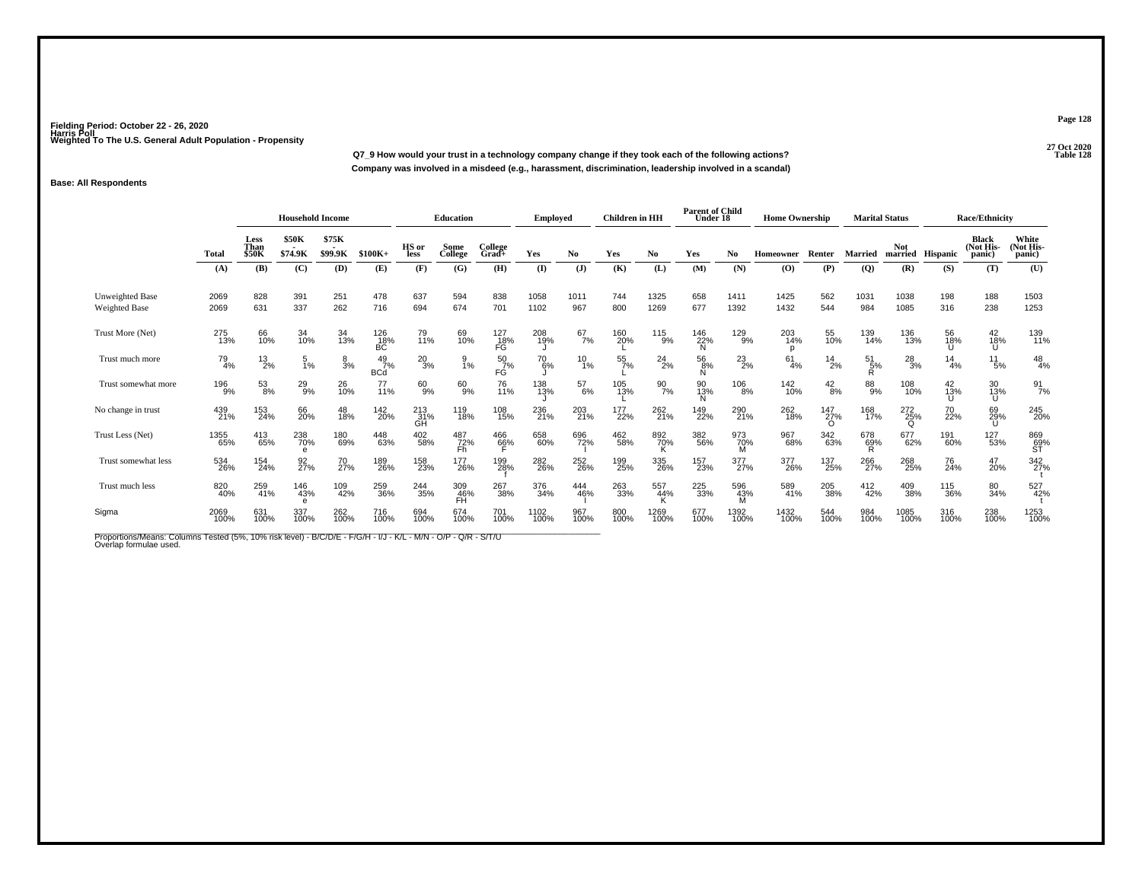**27 Oct 2020Q7\_9 How would your trust in a technology company change if they took each of the following actions? Table 128 Company was involved in a misdeed (e.g., harassment, discrimination, leadership involved in a scandal)**

## **Base: All Respondents**

|                                                                                                                                          |              | <b>Household Income</b>      |                         |                  |                             | <b>Education</b> |                  | Employed            |               | <b>Children</b> in HH |                  | <b>Parent of Child</b><br>Under 18 |                 | <b>Home Ownership</b> |                  |                             | <b>Marital Status</b> |                        | <b>Race/Ethnicity</b> |                                     |                              |
|------------------------------------------------------------------------------------------------------------------------------------------|--------------|------------------------------|-------------------------|------------------|-----------------------------|------------------|------------------|---------------------|---------------|-----------------------|------------------|------------------------------------|-----------------|-----------------------|------------------|-----------------------------|-----------------------|------------------------|-----------------------|-------------------------------------|------------------------------|
|                                                                                                                                          | <b>Total</b> | <b>Less</b><br>Than<br>\$50K | <b>\$50K</b><br>\$74.9K | \$75K<br>\$99.9K | $$100K+$                    | HS or<br>less    | Some<br>College  | College<br>Grad+    | Yes           | N <sub>0</sub>        | Yes              | No                                 | Yes             | No                    | <b>Homeowner</b> | Renter                      | <b>Married</b>        | <b>Not</b>             | married Hispanic      | <b>Black</b><br>(Not His-<br>panic) | White<br>(Not His-<br>panic) |
|                                                                                                                                          | (A)          | (B)                          | (C)                     | (D)              | (E)                         | (F)              | (G)              | (H)                 | (I)           | $\mathbf{J}$          | (K)              | (L)                                | (M)             | (N)                   | (0)              | (P)                         | $\overline{Q}$        | (R)                    | (S)                   | (T)                                 | (U)                          |
| <b>Unweighted Base</b><br><b>Weighted Base</b>                                                                                           | 2069<br>2069 | 828<br>631                   | 391<br>337              | 251<br>262       | 478<br>716                  | 637<br>694       | 594<br>674       | 838<br>701          | 1058<br>1102  | 1011<br>967           | 744<br>800       | 1325<br>1269                       | 658<br>677      | 1411<br>1392          | 1425<br>1432     | 562<br>544                  | 1031<br>984           | 1038<br>1085           | 198<br>316            | 188<br>238                          | 1503<br>1253                 |
| Trust More (Net)                                                                                                                         | 275<br>13%   | 66<br>10%                    | 34<br>10%               | 34<br>13%        | 126<br>18%<br>BC            | 79<br>11%        | 69<br>10%        | $^{127}_{18\%}$ FG  | 208<br>19%    | $^{67}_{7\%}$         | 160<br>20%       | $^{115}_{9\%}$                     | 146<br>22%<br>N | 129<br>9%             | 203<br>14%<br>p  | 55<br>10%                   | 139<br>14%            | 136<br>13%             | 56<br>18%             | 42<br>18%<br>U                      | 139<br>11%                   |
| Trust much more                                                                                                                          | 79<br>4%     | $^{13}_{2\%}$                | 5<br>1%                 | $\frac{8}{3}$ %  | $^{49}_{7\%}$<br><b>BCd</b> | $^{20}_{3\%}$    | 1%               | $^{50}_{7\%}$<br>FĠ | $^{70}_{6\%}$ | $^{10}_{1\%}$         | $\frac{55}{7\%}$ | $^{24}_{2\%}$                      | 56<br>8%<br>N   | $^{23}_{2\%}$         | 61<br>4%         | $^{14}_{2\%}$               | 51<br>5%<br>R.        | $^{28}_{3\%}$          | 14<br>4%              | 11<br>5%                            | $^{48}_{4\%}$                |
| Trust somewhat more                                                                                                                      | 196<br>9%    | $^{53}_{8\%}$                | $^{29}_{9\%}$           | 26<br>10%        | 77<br>11%                   | 60<br>9%         | 60<br>9%         | 76<br>11%           | 138<br>13%    | $^{57}_{6\%}$         | 105<br>13%       | 90%                                | 90<br>13%<br>N  | 106<br>8%             | 142<br>10%       | $^{42}_{8\%}$               | 88%                   | 108<br>10%             | 42<br>13%             | 30<br>13%<br>U                      | $\frac{91}{7\%}$             |
| No change in trust                                                                                                                       | 439<br>21%   | 153<br>24%                   | 66<br>20%               | 48<br>18%        | 142<br>20%                  | 213<br>31%<br>GH | 119<br>18%       | 108<br>15%          | 236<br>21%    | 203<br>21%            | 177<br>22%       | 262<br>21%                         | 149<br>22%      | 290<br>21%            | 262<br>18%       | $^{147}_{27\%}$<br>$\Omega$ | 168<br>17%            | 272<br>25%<br>$\Omega$ | 70<br>22%             | 69<br>29%<br>U                      | 245<br>20%                   |
| Trust Less (Net)                                                                                                                         | 1355<br>65%  | 413<br>65%                   | 238<br>70%<br>e         | 180<br>69%       | 448<br>63%                  | 402<br>58%       | 487<br>72%<br>Fh | 466<br>66%          | 658<br>60%    | 696<br>72%            | 462<br>58%       | 892<br>70%                         | 382<br>56%      | 973<br>70%<br>M       | 967<br>68%       | 342<br>63%                  | 678<br>69%            | 677<br>62%             | 191<br>60%            | 127<br>53%                          | 869<br>69%<br>ST             |
| Trust somewhat less                                                                                                                      | 534<br>26%   | 154<br>24%                   | 92<br>27%               | 70<br>27%        | 189<br>26%                  | 158<br>23%       | 177<br>26%       | 199<br>28%          | 282<br>26%    | 252<br>26%            | 199<br>25%       | 335<br>26%                         | 157<br>23%      | 377<br>27%            | 377<br>26%       | 137<br>25%                  | 266<br>27%            | 268<br>25%             | 76<br>24%             | 47<br>20%                           | 342<br>27%                   |
| Trust much less                                                                                                                          | 820<br>40%   | 259<br>41%                   | 146<br>43%<br>e         | 109<br>42%       | 259<br>36%                  | $^{244}_{35\%}$  | 309<br>46%<br>FĤ | 267<br>38%          | 376<br>34%    | 444<br>46%            | 263<br>33%       | 557<br>44%                         | 225<br>33%      | 596<br>43%<br>м       | 589<br>41%       | 205<br>38%                  | 412<br>42%            | 409<br>38%             | 115<br>36%            | 80<br>34%                           | 527<br>42%                   |
| Sigma                                                                                                                                    | 2069<br>100% | 631<br>100%                  | 337<br>100%             | 262<br>100%      | 716<br>100%                 | 694<br>100%      | 674<br>100%      | 701<br>100%         | 1102<br>100%  | 967<br>100%           | 800<br>100%      | 1269<br>100%                       | 677<br>100%     | 1392<br>100%          | 1432<br>100%     | 544<br>100%                 | 984<br>100%           | 1085<br>100%           | 316<br>100%           | 238<br>100%                         | 1253<br>100%                 |
| Proportions/Means: Columns Tested (5%, 10% risk level) - B/C/D/E - F/G/H - I/J - K/L - M/N - O/P - Q/R - S/T/U<br>Overlap formulae used. |              |                              |                         |                  |                             |                  |                  |                     |               |                       |                  |                                    |                 |                       |                  |                             |                       |                        |                       |                                     |                              |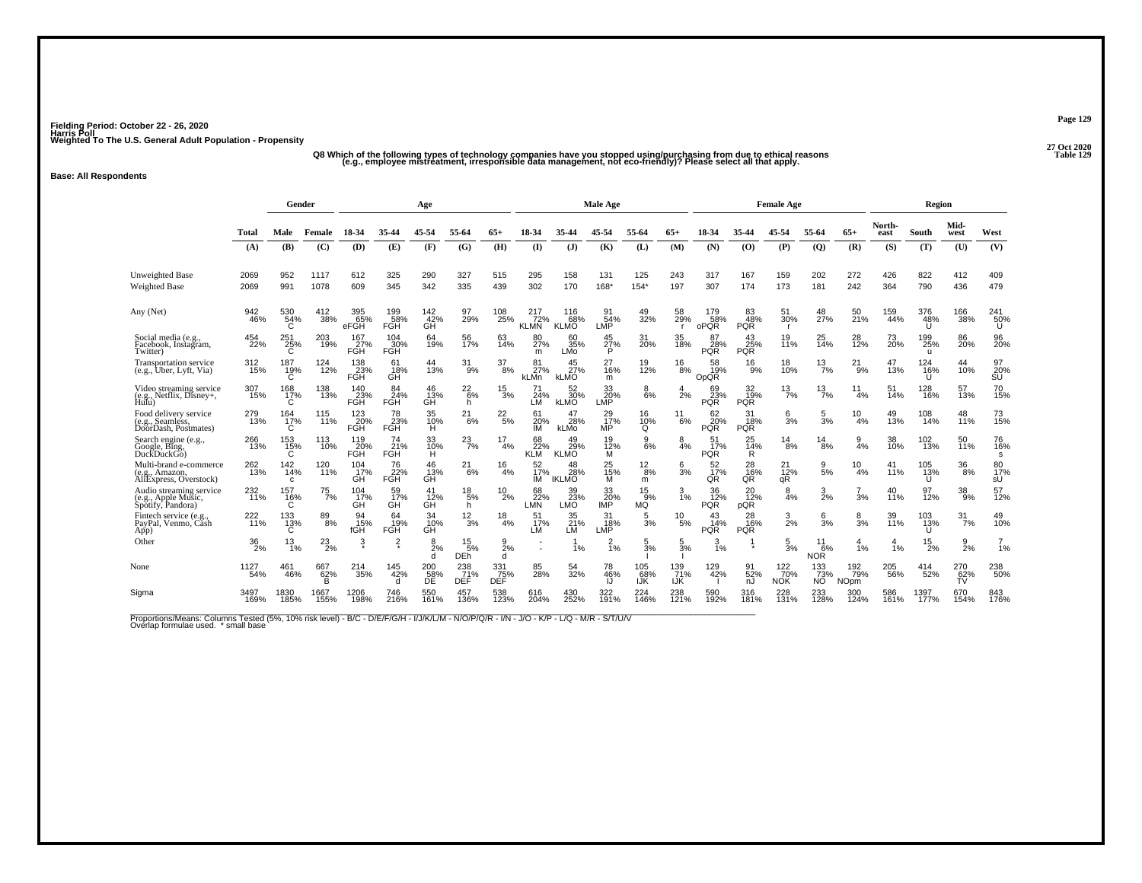.<br>"Q8 Which of the following types of technology companies have you stopped using/purchasing from due to ethical reasons<br>(e.g., employee mistreatment, irresponsible data management, not eco-friendly)? Please select all th

### **Base: All Respondents**

|                                                                     |                    | Gender                  |                        |                    |                         | Age                       |                             |                   |                           |                               | <b>Male Age</b>               |                       |                   |                         |                              | <b>Female Age</b>         |                                       |                           |                | Region                     |                  |                       |
|---------------------------------------------------------------------|--------------------|-------------------------|------------------------|--------------------|-------------------------|---------------------------|-----------------------------|-------------------|---------------------------|-------------------------------|-------------------------------|-----------------------|-------------------|-------------------------|------------------------------|---------------------------|---------------------------------------|---------------------------|----------------|----------------------------|------------------|-----------------------|
|                                                                     | Total              | Male                    | Female                 | 18-34              | 35-44                   | 45-54                     | 55-64                       | $65+$             | 18-34                     | 35-44                         | 45-54                         | 55-64                 | $65+$             | 18-34                   | 35-44                        | 45-54                     | 55-64                                 | $65+$                     | North-<br>east | South                      | Mid-<br>west     | West                  |
|                                                                     | (A)                | (B)                     | (C)                    | (D)                | (E)                     | (F)                       | (G)                         | (H)               | (I)                       | (J)                           | (K)                           | (L)                   | (M)               | (N)                     | (0)                          | (P)                       | $\mathbf{Q}$                          | (R)                       | (S)            | (T)                        | (U)              | (V)                   |
| <b>Unweighted Base</b><br><b>Weighted Base</b>                      | 2069<br>2069       | 952<br>991              | 1117<br>1078           | 612<br>609         | 325<br>345              | 290<br>342                | 327<br>335                  | 515<br>439        | 295<br>302                | 158<br>170                    | 131<br>168*                   | 125<br>$154*$         | 243<br>197        | 317<br>307              | 167<br>174                   | 159<br>173                | 202<br>181                            | 272<br>242                | 426<br>364     | 822<br>790                 | 412<br>436       | 409<br>479            |
| Any (Net)                                                           | 942<br>46%         | 530<br>54%<br>C         | 412<br>38%             | 395<br>65%<br>eFGH | 199<br>58%<br>FGH       | 142 <sub>42</sub> %<br>GH | 97<br>29%                   | 108<br>25%        | 217<br>72%<br><b>KLMN</b> | 116<br>68%<br><b>KLMO</b>     | 91<br>54%<br>LMP <sup>®</sup> | 49<br>32%             | 58<br><b>29%</b>  | 179<br>58%<br>oPQR      | 83<br>48%<br><b>PQR</b>      | 51<br>30%<br>$\mathbf{r}$ | 48<br>27%                             | 50<br>21%                 | 159<br>44%     | 376<br>48%<br>U            | 166<br>38%       | 241<br>-50%<br>Ū      |
| Social media (e.g.<br>Facebook, Instagram,<br>Twitter)              | 454<br>22%         | 251<br>25%<br>C         | 203<br>19%             | 167<br>27%<br>FGH  | 104<br>30%<br>FGH       | 64<br>19%                 | 56<br>17%                   | 63<br>14%         | 80<br>27%<br>m            | 60<br>35%<br><b>LMo</b>       | 45<br>27%<br>P                | 31<br><b>20%</b>      | 35<br>18%         | 87<br>28%<br>POR        | 43<br>25%<br><b>PQR</b>      | 19<br>11%                 | 25<br>14%                             | 28<br>12%                 | 73<br>20%      | 199<br>25%<br>$\mathbf{u}$ | 86<br>20%        | 96<br>20%             |
| Transportation service<br>(e.g., Uber, Lyft, Via)                   | $\frac{312}{15\%}$ | 187<br>$^{19}_{C}$      | 124<br>12%             | 138<br>23%<br>FGH  | 61<br>18%<br>GĤ         | 44<br>13%                 | $31_{9\%}$                  | $^{37}_{\ 8\%}$   | 81<br>27%<br>kLMn         | 45<br>27%<br><b>KLMO</b>      | 27<br>16%<br>m                | 19<br>12%             | 16<br>8%          | 58<br>19%<br>OpQR       | 16<br>9%                     | 18<br>10%                 | $^{13}_{7\%}$                         | $^{21}_{9\%}$             | 47<br>13%      | 124<br>16%                 | 44<br>10%        | 97<br>$\frac{20}{50}$ |
| Video streaming service<br>(e.g., Netflix, Disney+,<br>Hulu)        | $\frac{307}{15\%}$ | 168<br>17%<br>C         | 138<br>13%             | 140<br>23%<br>FGH  | 84<br>24%<br><b>FGH</b> | 46<br>13%<br>GH           | $^{22}_{6\%}$<br>h.         | $^{15}_{3\%}$     | 71<br>24%<br>LM           | 52<br>30%<br><b>kLMO</b>      | 33<br>20%<br>LMP.             | 8<br>6%               | 2%                | 69<br>23%<br>PQR        | 32<br>19%<br><b>PQR</b>      | $^{13}_{7\%}$             | $^{13}_{7\%}$                         | 11<br>4%                  | 51<br>14%      | 128<br>16%                 | 57<br>13%        | 70<br>15%             |
| Food delivery service<br>(e.g., Seamless, DoorDash, Postmates)      | 279<br>13%         | 164<br>17%<br>С         | 115<br>11%             | 123<br>20%<br>FGH  | 78<br>23%<br>FGH        | 35<br>10%<br>H.           | 21<br>6%                    | $^{22}_{\ 5\%}$   | 61<br>20%<br>ıм           | 47<br>28%<br>kLMo             | 29<br>17%<br>MP <sup>1</sup>  | 16<br>10%<br>Q        | 11<br>6%          | 62<br>20%<br>PQR        | 31<br>18%<br><b>PQR</b>      | 6<br>3%                   | 5<br>3%                               | 10<br>4%                  | 49<br>13%      | 108<br>14%                 | 48<br>11%        | 73<br>15%             |
| Search engine (e.g.,<br>Google, Bing,<br>DuckDuckGo)                | 266<br>13%         | $^{153}_{15\%}$         | 113<br>10%             | 119<br>20%<br>FGH  | 74<br>21%<br>FĞH        | 33<br>10%<br>н            | $^{23}_{7\%}$               | 17<br>4%          | 68<br>22%<br><b>KLM</b>   | 49<br>29%<br><b>KLMO</b>      | 19<br>12%<br>м                | 9<br>6%               | 8<br>4%           | 51<br>17%<br><b>PQR</b> | 25<br>$\frac{1}{4}$ %<br>R   | $^{14}_{8\%}$             | $^{14}_{8\%}$                         | $\frac{9}{4%}$            | 38<br>10%      | 102<br>13%                 | 50<br>11%        | 76<br>16%<br>s        |
| Multi-brand e-commerce<br>(e.g., Amazon,<br>AliExpress, Overstock)  | 262<br>13%         | $\frac{142}{14\%}$<br>c | 120<br>11%             | 104<br>17%<br>GĤ   | 76<br>22%<br>FGH        | 46<br>13%<br>GĤ           | $^{21}_{6\%}$               | 16<br>4%          | 52 <sub>%</sub><br>ıм     | 48<br>28%<br><b>IKLMO</b>     | 25<br>15%<br>м                | $^{12}_{8\%}$<br>m    | $\frac{6}{3}$ %   | 52<br>17%<br>QŔ         | 28<br>16%<br>QŘ              | $^{21}_{12\%}$<br>qR      | 9<br>5%                               | $^{10}_{4\%}$             | 41<br>11%      | 105<br>13%                 | $^{36}_{\ 8\%}$  | 80<br>17%<br>sU       |
| Audio streaming service<br>(e.g., Apple Music,<br>Spotify, Pandora) | 232<br>11%         | 157<br>16%<br>Ć         | $^{75}_{7\%}$          | 104<br>17%<br>GĤ   | 59<br>17%<br>GH         | 41<br>12%<br>GH           | $^{18}_{\ 5\%}$<br>h.       | $^{10}_{2\%}$     | 68<br>22%<br><b>LMN</b>   | 39<br>23%<br>LMO <sup>®</sup> | 33<br>20%<br>IMP              | $\frac{15}{9%}$<br>MÕ | $\frac{3}{1%}$    | 36<br>12%<br><b>PQR</b> | 20<br>$\frac{1}{2}$ %<br>pQR | $\frac{8}{4%}$            | $\frac{3}{2\%}$                       | 3%                        | 40<br>11%      | 97<br>12%                  | $\frac{38}{9\%}$ | 57<br>12%             |
| Fintech service (e.g.<br>PayPal, Venmo, Cash<br>App)                | 222<br>11%         | 133<br>13%<br>Ć         | $\substack{89 \\ 8\%}$ | 94<br>15%<br>fGH   | 64<br>19%<br>FGH        | 34<br>10%<br>GĤ           | $\frac{12}{3%}$             | $\frac{18}{4\%}$  | 51<br>17%<br>LM           | 35<br>21%<br>LM               | 31<br>18%<br>LMP              | 5<br>3%               | 10<br>5%          | 43<br>14%<br><b>PQR</b> | 28<br>16%<br><b>PQR</b>      | $\frac{3}{2\%}$           | 6<br>3%                               | $\frac{8}{3%}$            | 39<br>11%      | 103<br>13%                 | 31<br>7%         | 49<br>10%             |
| Other                                                               | $\frac{36}{2\%}$   | 13<br>1%                | $^{23}_{2\%}$          | $\frac{3}{2}$      | $\frac{2}{3}$           | 8<br>2%<br>H              | 15<br>5%<br>DE <sub>h</sub> | 9<br>2%<br>d      | $\sim$                    | 1%                            | 2<br>$\overline{1}\%$         | 5<br>3%               | 5<br>3%           | 3<br>1%                 |                              | $\frac{5}{3%}$            | 11<br>6%<br><b>NOR</b>                | 4<br>1%                   | 1%             | $^{15}_{2\%}$              | $\frac{9}{2}$ %  | $\frac{7}{1%}$        |
| None                                                                | 1127<br>54%        | 461<br>46%              | 667<br>62%<br>в        | 214<br>35%         | 145<br>42%<br>d         | 200<br>58%<br>ĎΕ          | 238<br>71%<br>DEF           | 331<br>75%<br>DEF | 85<br>28%                 | 54<br>32%                     | 78<br>46%                     | 105<br>68%<br>IJŔ     | 139<br>71%<br>IJΚ | 129<br>42%              | 91<br>52%<br>nJ              | 122<br>70%<br><b>NOK</b>  | $\frac{133}{73\%}$<br>NO <sup>1</sup> | 192<br>79%<br><b>NOpm</b> | 205<br>56%     | 414<br>52%                 | 270<br>62%<br>TV | 238<br>50%            |
| Sigma                                                               | 3497<br>169%       | 1830<br>185%            | 1667<br>155%           | 1206<br>198%       | 746<br>216%             | 550<br>161%               | 457<br>136%                 | 538<br>123%       | 616<br>204%               | 430<br>252%                   | 322<br>191%                   | 224<br>146%           | 238<br>121%       | 590<br>192%             | 316<br>181%                  | 228<br>131%               | 233<br>128%                           | 300<br>124%               | 586<br>161%    | 1397<br>177%               | 670<br>154%      | 843<br>176%           |

Proportions/Means: Columns Tested (5%, 10% risk level) - B/C - D/E/F/G/H - I/J/K/L/M - N/O/P/Q/R - I/N - J/O - K/P - L/Q - M/R - S/T/U/V<br>Overlap formulae used. \*small base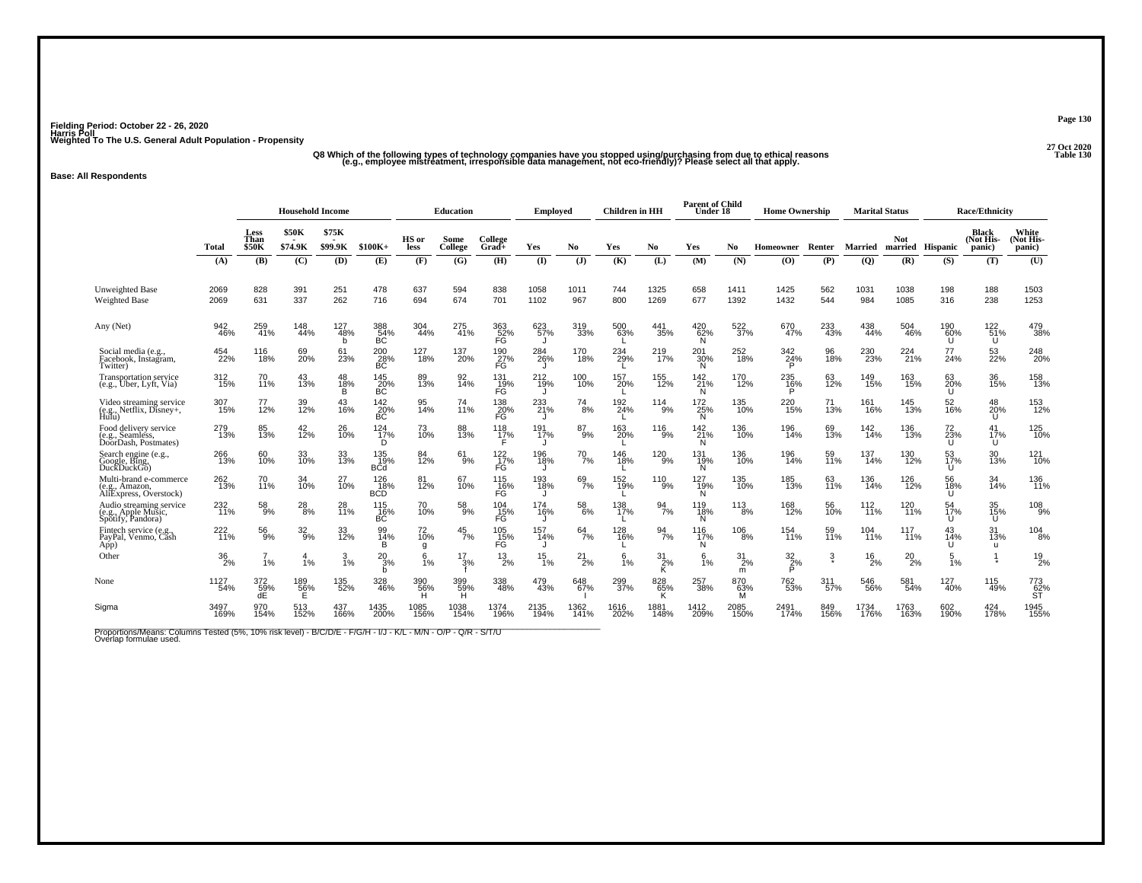.<br>47 Q8 Which of the following types of technology companies have you stopped using/purchasing from due to ethical reasons<br>91 e.g., employee mistreatment, irresponsible data management, not eco-friendly)? Please select al

### **Base: All Respondents**

|                                                                        |                  | <b>Household Income</b>      |                         |                      |                               |                 | <b>Education</b> |                               | <b>Employed</b> |                 | <b>Children</b> in HH |                  | <b>Parent of Child</b><br>Under 18 |                    | <b>Home Ownership</b> |               | <b>Marital Status</b> |                                |                           | <b>Race/Ethnicity</b>               |                              |
|------------------------------------------------------------------------|------------------|------------------------------|-------------------------|----------------------|-------------------------------|-----------------|------------------|-------------------------------|-----------------|-----------------|-----------------------|------------------|------------------------------------|--------------------|-----------------------|---------------|-----------------------|--------------------------------|---------------------------|-------------------------------------|------------------------------|
|                                                                        | Total            | Less<br>Than<br><b>\$50K</b> | <b>\$50K</b><br>\$74.9K | \$75K<br>\$99.9K     | $$100K+$                      | HS or<br>less   | Some<br>College  | College<br>Grad+              | Yes             | No.             | Yes                   | No               | Yes                                | N <sub>0</sub>     | <b>Homeowner</b>      | Renter        | Married               | <b>Not</b><br>married Hispanic |                           | <b>Black</b><br>(Not His-<br>panic) | White<br>(Not His-<br>panic) |
|                                                                        | (A)              | (B)                          | (C)                     | (D)                  | (E)                           | (F)             | (G)              | (H)                           | (I)             | $($ $)$         | (K)                   | (L)              | (M)                                | (N)                | (O)                   | (P)           | (Q)                   | (R)                            | (S)                       | (T)                                 | (U)                          |
| <b>Unweighted Base</b><br><b>Weighted Base</b>                         | 2069<br>2069     | 828<br>631                   | 391<br>337              | 251<br>262           | 478<br>716                    | 637<br>694      | 594<br>674       | 838<br>701                    | 1058<br>1102    | 1011<br>967     | 744<br>800            | 1325<br>1269     | 658<br>677                         | 1411<br>1392       | 1425<br>1432          | 562<br>544    | 1031<br>984           | 1038<br>1085                   | 198<br>316                | 188<br>238                          | 1503<br>1253                 |
| Any (Net)                                                              | 942<br>46%       | 259<br>41%                   | 148<br>44%              | 127<br>$-48%$<br>b   | 388<br>54%<br>БĆ              | 304<br>44%      | 275<br>41%       | 363<br>52%<br>FĞ              | 623<br>57%      | 319<br>33%      | 500<br>63%            | 441<br>35%       | 420<br>62%<br>N.                   | 522<br>37%         | 670<br>47%            | 233<br>43%    | 438<br>44%            | 504<br>46%                     | 190<br>60%<br>U           | 122 <sub>%</sub><br>U               | 479<br>38%                   |
| Social media (e.g.,<br>Facebook, Instagram,<br>Twitter)                | 454<br>22%       | 116<br>18%                   | 69<br>20%               | 61<br>23%            | 200<br>$\frac{28}{\text{BC}}$ | 127<br>18%      | 137<br>20%       | 190<br>$\frac{27}{15}$        | 284<br>26%      | 170<br>18%      | 234<br>29%            | 219<br>17%       | 201<br>30%<br>Ñ                    | 252<br>18%         | 342<br>24%            | 96<br>18%     | 230<br>23%            | 224<br>21%                     | 77<br>24%                 | 53<br>22%                           | 248<br>20%                   |
| Transportation service<br>(e.g., Uber, Lyft, Via)                      | 312<br>15%       | 70<br>11%                    | 43<br>13%               | 48<br>18%            | 145<br>20%<br>БČ              | 89<br>13%       | 92<br>14%        | 131<br>. 19%<br>FG            | $^{212}_{19\%}$ | 100<br>10%      | 157<br>20%            | 155<br>12%       | 142<br>21%<br>N                    | 170<br>12%         | 235<br>16%            | 63<br>12%     | 149<br>15%            | 163<br>15%                     | 63<br><b>20%</b><br>U     | 36<br>15%                           | 158<br>13%                   |
| Video streaming service<br>(e.g., Netflix, Disney+,<br>Hulu)           | 307<br>15%       | 77<br>12%                    | 39<br>12%               | 43<br>16%            | 142<br>$rac{20}{BC}$          | 95<br>14%       | 74<br>11%        | 138<br>$^{20\%}_{\text{FG}}$  | 233<br>21%      | 74<br>8%        | 192<br>24%            | 114<br>9%        | 172<br>25%<br>Ñ                    | 135<br>10%         | 220<br>15%            | 71<br>13%     | 161<br>16%            | 145<br>13%                     | 52<br>16%                 | 48<br>20%<br>U                      | 153<br>12%                   |
| Food delivery service<br>, Seamless,<br>(e.g.,<br>DoorDash, Postmates) | 279<br>13%       | 85<br>13%                    | 42 <sub>%</sub>         | 26<br>$\frac{10}{6}$ | 124<br>$\frac{1}{17\%}$<br>D  | 73<br>10%       | 88<br>13%        | 118<br>17%                    | 191<br>17%      | $^{87}_{9\%}$   | 163<br>20%            | 116<br>9%        | 142<br>21%<br>N                    | 136<br>10%         | 196<br>14%            | 69<br>13%     | 142<br>14%            | 136<br>13%                     | 72<br>23%<br>Ü            | 41<br>17%<br>U                      | 125<br>10%                   |
| Search engine (e.g.,<br>Google, Bing,<br>DuckDuckGo)                   | 266<br>13%       | 60<br>10%                    | 33<br>10%               | 33<br>13%            | 135<br>19%<br><b>B</b> Cd     | 84<br>12%       | 61<br>9%         | 122<br>$\frac{1}{17}\%$<br>FĠ | 196<br>18%      | $^{70}_{7\%}$   | 146<br>18%            | 120<br>9%        | 131<br>19%                         | 136<br>10%         | 196<br>14%            | 59<br>11%     | 137<br>14%            | 130<br>12%                     | 53<br>17%<br>$\mathbf{U}$ | 30<br>13%                           | 121<br>10%                   |
| Multi-brand e-commerce<br>(e.g., Amazon,<br>AliExpress, Overstock)     | 262<br>13%       | 70<br>11%                    | 34<br>10%               | $^{27}_{10\%}$       | 126<br>18%<br><b>BCD</b>      | 81<br>12%       | 67<br>10%        | 115<br>16%<br>FĞ              | 193<br>18%      | $^{69}_{7\%}$   | 152<br>19%            | 110<br>9%        | 127<br>19%<br>N                    | 135<br>10%         | 185<br>13%            | 63<br>11%     | 136<br>14%            | 126<br>12%                     | 56<br>18%<br>U            | 34<br>14%                           | 136<br>11%                   |
| Audio streaming service<br>(e.g., Apple Music,<br>Spotify, Pandora)    | 232<br>11%       | $^{58}_{9\%}$                | $^{28}_{\ 8\%}$         | 28<br>11%            | 115<br>16%<br>ВĆ              | 70<br>10%       | 58<br>9%         | $^{104}_{-15\%}$<br>FĞ        | 174<br>16%      | $^{58}_{\ 6\%}$ | 138<br>17%            | $\frac{94}{7\%}$ | 119<br>18%                         | $\frac{113}{8\%}$  | 168<br>12%            | 56<br>10%     | $^{112}_{11\%}$       | 120<br>11%                     | 54<br>17%<br>U            | 35 <sub>%</sub><br>Ű                | $^{108}_{9\%}$               |
| Fintech service (e.g.,<br>PayPal, Venmo, Cash<br>App)                  | 222<br>11%       | 56<br>9%                     | 32<br>9%                | 33<br>12%            | 99<br>14%<br>в                | 72<br>10%<br>g  | 45<br>7%         | 105<br>15%<br>FĞ              | 157<br>14%      | 64<br>7%        | 128<br>16%            | 94<br>7%         | 116<br>17%<br>N                    | 106<br>8%          | 154<br>11%            | 59<br>11%     | 104<br>11%            | 117<br>11%                     | 43<br>14%<br>U            | 31<br>13%<br>u                      | 104<br>8%                    |
| Other                                                                  | $\frac{36}{2\%}$ | 1%                           | $\overline{A}$<br>1%    | $\frac{3}{1\%}$      | $^{20}_{3\%}$<br>h            | 6<br>1%         | $\frac{17}{3\%}$ | 13<br>2%                      | 15<br>1%        | $^{21}_{2\%}$   | 6<br>1%               | $\frac{31}{2\%}$ | 6<br>1%                            | $^{31}_{2\%}$<br>m | $\frac{32}{2}\%$<br>D | $\frac{3}{2}$ | $^{16}_{2\%}$         | $^{20}_{2\%}$                  | 5<br>1%                   |                                     | $^{19}_{2\%}$                |
| None                                                                   | 1127<br>54%      | 372<br>59%                   | 189<br>56%              | 135<br>52%           | 328<br>46%                    | 390<br>56%<br>н | 399<br>59%<br>н  | 338<br>48%                    | 479<br>43%      | 648<br>67%      | 299<br>37%            | 828<br>65%<br>К  | 257<br>38%                         | 870<br>63%<br>м    | 762<br>53%            | 311<br>57%    | 546<br>56%            | 581<br>54%                     | 127<br>40%                | 115<br>49%                          | 773<br>62%<br>ST             |
| Sigma                                                                  | 3497<br>169%     | 970<br>154%                  | 513<br>152%             | 437<br>166%          | 1435<br>200%                  | 1085<br>156%    | 1038<br>154%     | 1374<br>196%                  | 2135<br>194%    | 1362<br>141%    | 1616<br>202%          | 1881<br>148%     | 1412<br>209%                       | 2085<br>150%       | 2491<br>174%          | 849<br>156%   | 1734<br>176%          | 1763<br>163%                   | 602<br>190%               | 424<br>178%                         | 1945<br>155%                 |

Proportions/Means: Columns Tested (5%, 10% risk level) - B/C/D/E - F/G/H - I/J - K/L - M/N - O/P - Q/R - S/T/U<br>Overlap formulae used.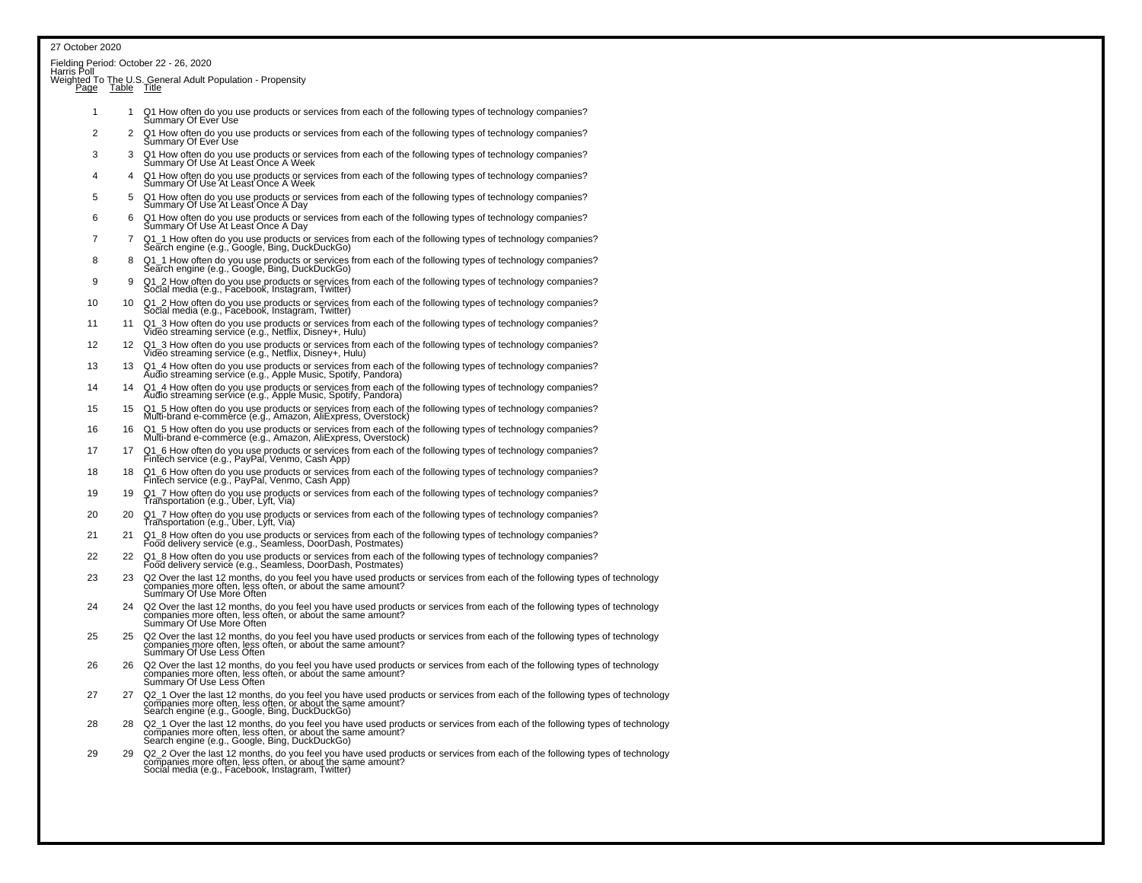|          |     | Fielding Period: October 22 - 26, 2020<br>Harris Poll_____________________________                                                                                                                                                   |
|----------|-----|--------------------------------------------------------------------------------------------------------------------------------------------------------------------------------------------------------------------------------------|
| Page     |     | Weighted To The U.S. General Adult Population - Propensity<br>Page Table Title                                                                                                                                                       |
| 1        | 1   | Q1 How often do you use products or services from each of the following types of technology companies?<br>Summary Of Ever Use                                                                                                        |
| 2        | 2   | Q1 How often do you use products or services from each of the following types of technology companies?<br>Summary Of Ever Use                                                                                                        |
| 3        | 3   | Q1 How often do you use products or services from each of the following types of technology companies?<br>Summary Of Use At Least Once A Week                                                                                        |
| $\Delta$ | 4   | Q1 How often do you use products or services from each of the following types of technology companies?<br>Summary Of Use At Least Once A Week                                                                                        |
| 5        | 5   | Q1 How often do you use products or services from each of the following types of technology companies?<br>Summary Of Use At Least Once A Day                                                                                         |
| 6        | 6   | Q1 How often do you use products or services from each of the following types of technology companies?<br>Summary Of Use At Least Once A Day                                                                                         |
| 7        | 7   | Q1_1 How often do you use products or services from each of the following types of technology companies?<br>Search engine (e.g., Google, Bing, DuckDuckGo)                                                                           |
| 8        | 8   | Q1_1 How often do you use products or services from each of the following types of technology companies?<br>Search engine (e.g., Google, Bing, DuckDuckGo)                                                                           |
| 9        | 9   | Q1_2 How often do you use products or services from each of the following types of technology companies?<br>Social media (e.g., Facebook, Instagram, Twitter)                                                                        |
| 10       | 10  | Q1_2 How often do you use products or services from each of the following types of technology companies?<br>Social media (e.g., Facebook, Instagram, Twitter)                                                                        |
| 11       | 11  | Q1_3 How often do you use products or services from each of the following types of technology companies?<br>Video streaming service (e.g., Netflix, Disney+, Hulu)                                                                   |
| 12       | 12  | Q1_3 How often do you use products or services from each of the following types of technology companies?<br>Video streaming service (e.g., Netflix, Disney+, Hulu)                                                                   |
| 13       | 13  | Q1_4 How often do you use products or services from each of the following types of technology companies?<br>Audio streaming service (e.g., Apple Music, Spotify, Pandora)                                                            |
| 14       | 14  | Q1_4 How often do you use products or services from each of the following types of technology companies?<br>Audio streaming service (e.g., Apple Music, Spotify, Pandora)                                                            |
| 15       | 15  | Q1_5 How often do you use products or services from each of the following types of technology companies?<br>Multi-brand e-commerce (e.g., Amazon, AliExpress, Overstock)                                                             |
| 16       | 16  | Q1_5 How often do you use products or services from each of the following types of technology companies?<br>Multi-brand e-commerce (e.g., Amazon, AliExpress, Overstock)                                                             |
| 17       | 17  | Q1_6 How often do you use products or services from each of the following types of technology companies?<br>Fintech service (e.g., PayPal, Venmo, Cash App)                                                                          |
| 18       | 18  | Q1_6 How often do you use products or services from each of the following types of technology companies?<br>Fintech service (e.g., PayPal, Venmo, Cash App)                                                                          |
| 19       | 19  | Q1_7 How often do you use products or services from each of the following types of technology companies?<br>Transportation (e.g., Uber, Lyft, Via)                                                                                   |
| 20       | 20. | Q1_7 How often do you use products or services from each of the following types of technology companies?<br>Transportation (e.g., Uber, Lyft, Via)                                                                                   |
| 21       | 21  | Q1_8 How often do you use products or services from each of the following types of technology companies?<br>Food delivery service (e.g., Seamless, DoorDash, Postmates)                                                              |
| 22       | 22  | Q1_8 How often do you use products or services from each of the following types of technology companies?<br>Food delivery service (e.g., Seamless, DoorDash, Postmates)                                                              |
| 23       | 23  | Q2 Over the last 12 months, do you feel you have used products or services from each of the following types of technology<br>companies more often, less often, or about the same amount?<br>Summary Of Use More Often                |
| 24       | 24  | Q2 Over the last 12 months, do you feel you have used products or services from each of the following types of technology<br>companies more often, less often, or about the same amount?<br>Summary Of Use More Often                |
| 25       | 25  | Q2 Over the last 12 months, do you feel you have used products or services from each of the following types of technology companies more often, less often, or about the same amount?<br>Summary Of Use Less Often                   |
| 26       | 26  | Q2 Over the last 12 months, do you feel you have used products or services from each of the following types of technology<br>companies more often, less often, or about the same amount?<br>Summary Of Use Less Often                |
| 27       |     | Q2_1 Over the last 12 months, do you feel you have used products or services from each of the following types of technology<br>companies more often, less often, or about the same amount?<br>Search engine (e.g., Google, Bing, Duc |
| 28       | 28. | Q2_1 Over the last 12 months, do you feel you have used products or services from each of the following types of technology<br>companies more often, less often, or about the same amount?<br>Search engine (e.g., Google, Bing, Duc |
| 29       | 29  | Q2_2 Over the last 12 months, do you feel you have used products or services from each of the following types of technology<br>companies more often, less often, or about the same amount?<br>Social media (e.g., Facebook, Instagra |
|          |     |                                                                                                                                                                                                                                      |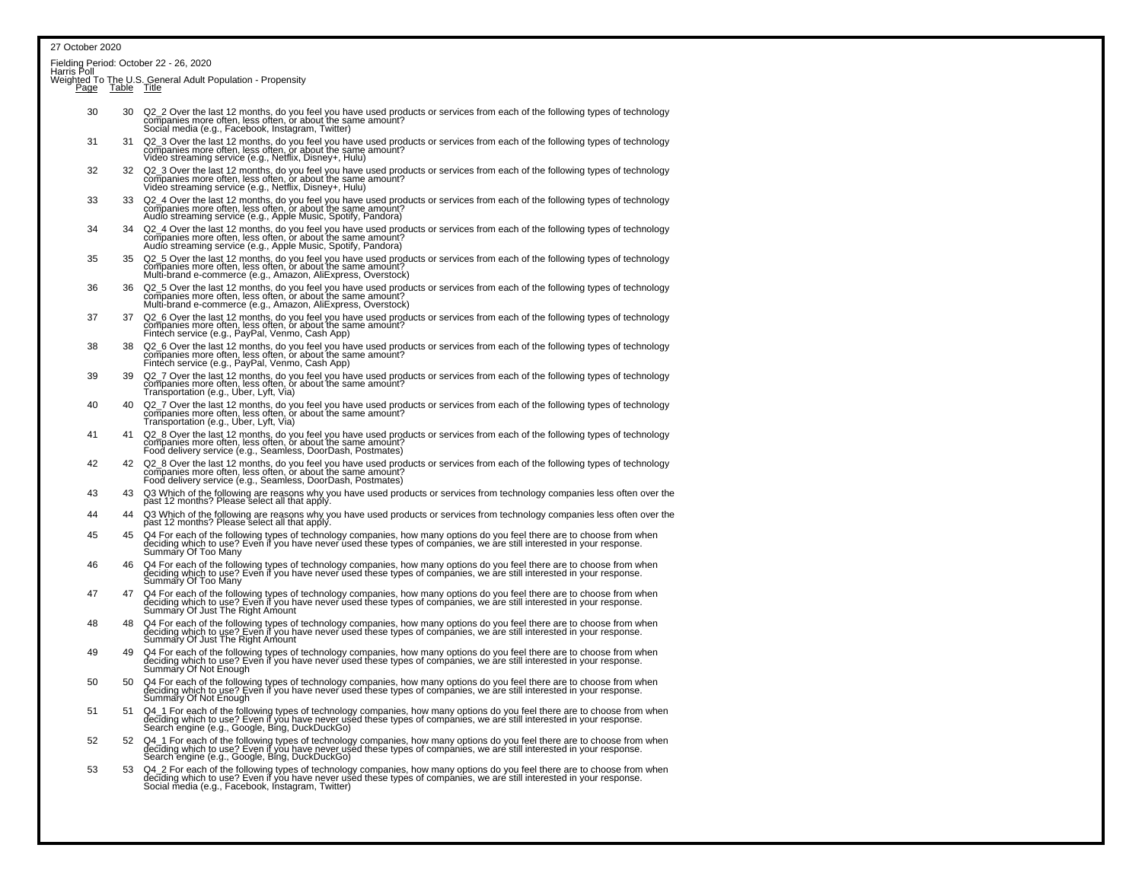Fielding Period: October 22 - 26, 2020

Harris Poll<br>Weighted To The U.S. General Adult Population - Propensity<br>Page Table Title

- 30 30 Q2\_2 Over the last 12 months, do you feel you have used products or services from each of the following types of technology<br>companies more often, less often, or about the same amount? Social media (e.g., Facebook, Instagram, Twitter)
- 31 31 Q2\_3 Over the last 12 months, do you feel you have used products or services from each of the following types of technologycompanies more often, less often, or about the same amount?<br>Video streaming service (e.g., Netflix, Disney+, Hulu)
- 32 32 Q2\_3 Over the last 12 months, do you feel you have used products or services from each of the following types of technologycompanies more often, less often, or about the same amount?<br>Video streaming service (e.g., Netflix, Disney+, Hulu)
- 33 33 Q2\_4 Over the last 12 months, do you feel you have used products or services from each of the following types of technologycompanies more often, less often, or about the same amount?<br>Audio streaming service (e.g., Apple Music, Spotify, Pandora)
- 34 34 Q2\_4 Over the last 12 months, do you feel you have used products or services from each of the following types of technologycompanies more often, less often, or about the same amount?<br>Audio streaming service (e.g., Apple Music, Spotify, Pandora)
- 35 35 Q2\_5 Over the last 12 months, do you feel you have used products or services from each of the following types of technologycompanies more often, less often, or about the same amount?<br>Multi-brand e-commerce (e.g., Amazon, AliExpress, Overstock)
- 36 36 Q2\_5 Over the last 12 months, do you feel you have used products or services from each of the following types of technologycompanies more often, less often, or about the same amount? Multi-brand e-commerce (e.g., Amazon, AliExpress, Overstock)
- 37 Q2\_6 Over the last 12 months, do you feel you have used products or services from each of the following types of technology<br>companies more often, less often, or about the same amount? Fintech service (e.g., PayPal, Venmo, Cash App)
- 38 Q2\_6 Over the last 12 months, do you feel you have used products or services from each of the following types of technology<br>companies more often, less often, or about the same amount? Fintech service (e.g., PayPal, Venmo, Cash App)
- 39 Q2\_7 Over the last 12 months, do you feel you have used products or services from each of the following types of technology<br>companies more often, less often, or about the same amount? Transportation (e.g., Uber, Lyft, Via)
- 40 Q2\_7 Over the last 12 months, do you feel you have used products or services from each of the following types of technology<br>companies more often, less often, or about the same amount?<br>Transportation (e.g., Uber, Lyft, V
- <sup>41</sup> <sup>41</sup> Q2\_8 Over the last 12 months, do you feel you have used products or services from each of the following types of technologycompanies more often, less often, or about the same amount? For a state of the same of the same of the service<br>Food delivery service (e.g., Seamless, DoorDash, Postmates)
- <sup>42</sup> <sup>42</sup> Q2\_8 Over the last 12 months, do you feel you have used products or services from each of the following types of technologycompanies more often, less often, or about the same amount? For a state of the same of the same of the seamles<br>Food delivery service (e.g., Seamless, DoorDash, Postmates)
- 43 43 Q3 Which of the following are reasons why you have used products or services from technology companies less often over thepast 12 months? Please select all that apply.
- 44 44 44 44 44 44 A3 Which of the following are reasons why you have used products or services from technology companies less often over the past 12 months? Please select all that apply.
- 45 45 Q4 For each of the following types of technology companies, how many options do you feel there are to choose from whendeciding which to use? Eveň if you have never úsed these types of companies, we are still interested in your response.<br>Summary Of Too Many
- 46 46 Q4 For each of the following types of technology companies, how many options do you feel there are to choose from whendeciding which to use? Even if you have never used these types of companies, we are still interested in your response.<br>Summary Of Too Many
- 47 Q4 For each of the following types of technology companies, how many options do you feel there are to choose from when<br>deciding which to use? Even if you have never used these types of companies, we are still interested Summary Of Just The Right Amount
- 48 Q4 For each of the following types of technology companies, how many options do you feel there are to choose from when<br>deciding which to use? Even if you have never used these types of companies, we are still interested Summary Of Just The Right Amount
- 49 Q4 For each of the following types of technology companies, how many options do you feel there are to choose from when<br>deciding which to use? Even if you have never used these types of companies, we are still interested Summary Of Not Enough
- 50 G4 For each of the following types of technology companies, how many options do you feel there are to choose from when<br>deciding which to use? Even if you have never used these types of companies, we are still interested Summary Of Not Enough
- 51 Q4\_1 For each of the following types of technology companies, how many options do you feel there are to choose from when<br>deciding which to use? Even if you have never used these types of companies, we are still interest
- 52 G4\_1 For each of the following types of technology companies, how many options do you feel there are to choose from when deciding which to use? Even if you have never used these types of companies, we are still interested in your response.<br>Search engine (e.g., Google, Bing, DuckDuckGo)
- 53 53 Q4\_2 For each of the following types of technology companies, how many options do you feel there are to choose from whendeciding which to use? Even if you have never used these types of companies, we are still interested in your response.<br>Social media (e.g., Facebook, Instagram, Twitter)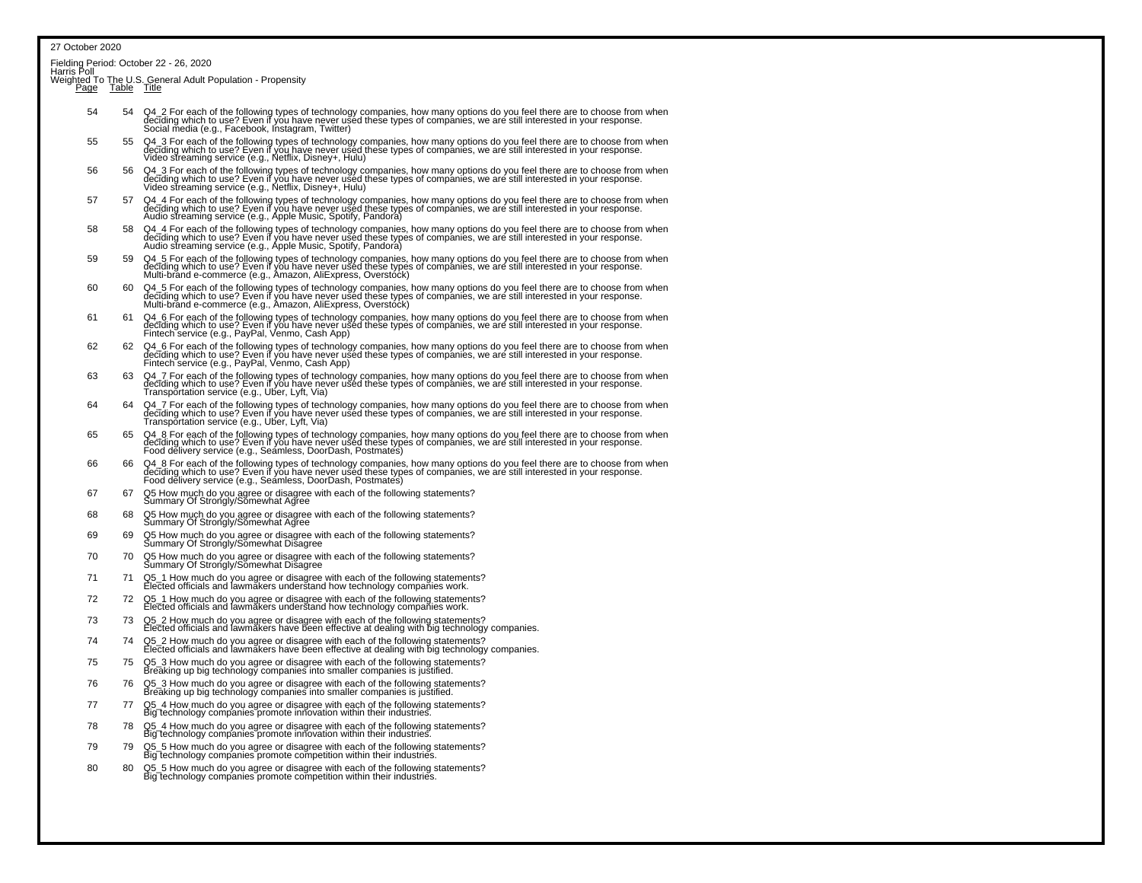Fielding Period: October 22 - 26, 2020<br>Harris Poll

Weighted To The U.S. General Adult Population - Propensity<br>Page Table Title

- 54 C4\_2 For each of the following types of technology companies, how many options do you feel there are to choose from when<br>deciding which to use? Even if you have never used these types of companies, we are still interest Social media (e.g., Facebook, Instagram, Twitter)
- 55 Q4\_3 For each of the following types of technology companies, how many options do you feel there are to choose from when<br>deciding which to use? Even if you have never used these types of companies, we are still interest
- 56 Q4\_3 For each of the following types of technology companies, how many options do you feel there are to choose from when<br>deciding which to use? Even if you have never used these types of companies, we are still interest
- <sup>57</sup> <sup>57</sup> Q4\_4 For each of the following types of technology companies, how many options do you feel there are to choose from whendeciding which to use? Even if you have never used these types of companies, we are still interested in your response.<br>Audio streaming service (e.g., Apple Music, Spotify, Pandora)
- 58 Q4\_4 For each of the following types of technology companies, how many options do you feel there are to choose from when deciding which to use? Even if you have never uséd these types of companies, we are still interested in your response.<br>Audio streaming service (e.g., Apple Music, Spotify, Pandora)
- 59 Q4\_5 For each of the following types of technology companies, how many options do you feel there are to choose from when deciding which to use? Even if you have never used these types of companies, we are still interested in your response.<br>Multi-brand e-commerce (e.g., Amazon, AliExpress, Overstock)
- 60 60 Q4\_5 For each of the following types of technology companies, how many options do you feel there are to choose from when deciding which to use? Even if you have never used these types of companies, we are still interested in your response.Multi-brand e-commerce (e.g., Amazon, AliExpress, Overstock)
- 61 Q4\_6 For each of the following types of technology companies, how many options do you feel there are to choose from when<br>deciding which to use? Even if you have never used these types of companies, we are still interest
- 62 Q4\_6 For each of the following types of technology companies, how many options do you feel there are to choose from when<br>deciding which to use? Even if you have never used these types of companies, we are still interest Fintech service (e.g., PayPal, Venmo, Cash App)
- 63 G4\_7 For each of the following types of technology companies, how many options do you feel there are to choose from when<br>deciding which to use? Even it you have never used these types of companies, we are still interest Transportation service (e.g., Uber, Lyft, Via)
- 64 Q4\_7 For each of the following types of technology companies, how many options do you feel there are to choose from when<br>deciding which to use? Even if you have never used these types of companies, we are still interest
- 65 65 Q4\_8 For each of the following types of technology companies, how many options do you feel there are to choose from whendeciding which to use? Even if you have never used these types of companies, we are still interested in your response.<br>Food delivery service (e.g., Seamless, DoorDash, Postmates)
- 66 66 Q4\_8 For each of the following types of technology companies, how many options do you feel there are to choose from whendeciding which to use? Even if you have never used these types of companies, we are still interested in your response.<br>Food delivery service (e.g., Seamless, DoorDash, Postmates)
- 67 67 Q5 How much do you agree or disagree with each of the following statements? Summary Of Strongly/Somewhat Agree
- 68 68 Q5 How much do you agree or disagree with each of the following statements? Summary Of Strongly/Somewhat Agree
- 69 69 Q5 How much do you agree or disagree with each of the following statements? Summary Of Strongly/Somewhat Disagree
- 70 70 Q5 How much do you agree or disagree with each of the following statements? Summary Of Strongly/Somewhat Disagree
- <sup>71</sup> <sup>71</sup> Q5\_1 How much do you agree or disagree with each of the following statements?Elected officials and lawmakers understand how technology companies work.
- 72 72 Q5\_1 How much do you agree or disagree with each of the following statements? Elected officials and lawmakers understand how technology companies work.
- 73 73 Q5\_2 How much do you agree or disagree with each of the following statements? Elected officials and lawmakers have been effective at dealing with big technology companies.
- <sup>74</sup> <sup>74</sup> Q5\_2 How much do you agree or disagree with each of the following statements?Elected officials and lawmakers have been effective at dealing with big technology companies.
- <sup>75</sup> <sup>75</sup> Q5\_3 How much do you agree or disagree with each of the following statements? Breaking up big technology companies into smaller companies is justified.
- 76 76 Q5\_3 How much do you agree or disagree with each of the following statements?Breaking up big technology companies into smaller companies is justified.
- <sup>77</sup> <sup>77</sup> Q5\_4 How much do you agree or disagree with each of the following statements? Big technology companies promote innovation within their industries.
- 78 78 Q5\_4 How much do you agree or disagree with each of the following statements?Big technology companies promote innovation within their industries.
- 79 79 Q5\_5 How much do you agree or disagree with each of the following statements?Big technology companies promote competition within their industries.
- 80 80 Q5\_5 How much do you agree or disagree with each of the following statements? Big technology companies promote competition within their industries.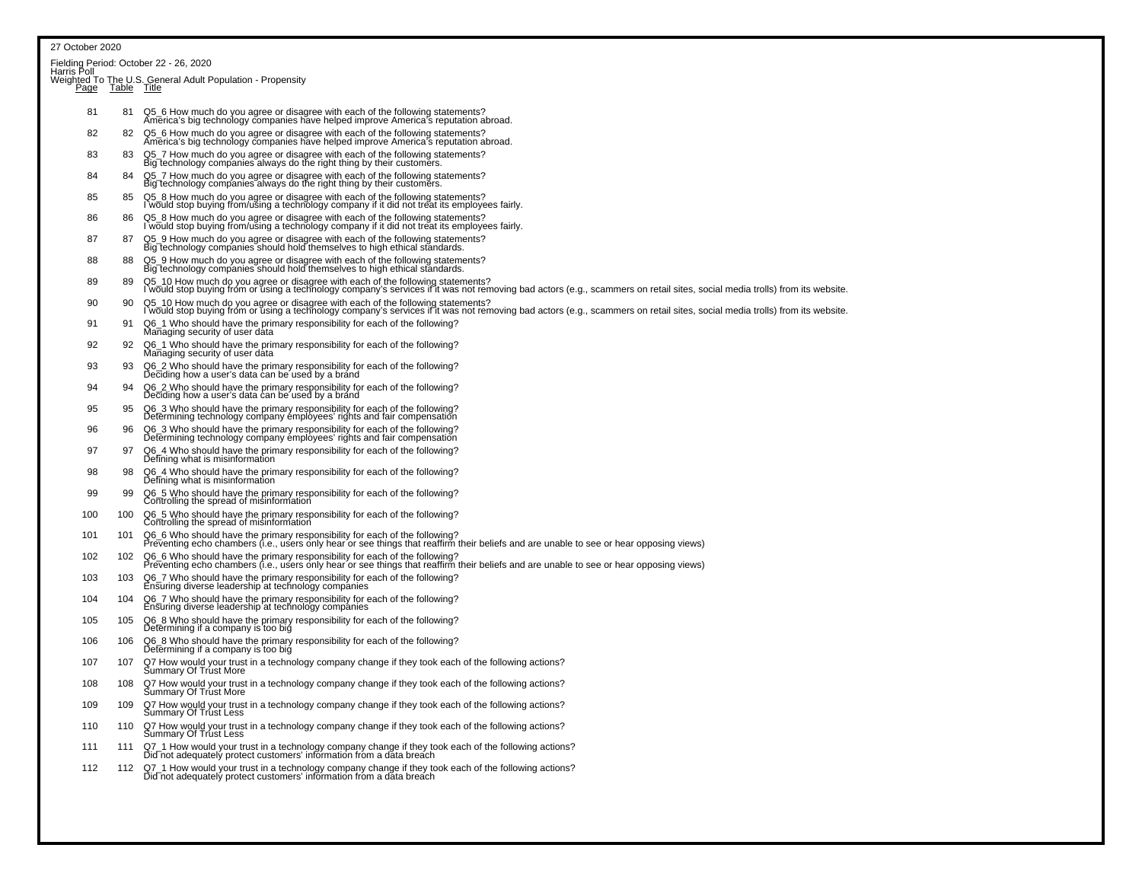|            |                  | Fielding Period: October 22 - 26, 2020<br>Harris Poll                                                                                                                                                                                                                                |
|------------|------------------|--------------------------------------------------------------------------------------------------------------------------------------------------------------------------------------------------------------------------------------------------------------------------------------|
|            | Page Table Title | Weighted To The U.S. General Adult Population - Propensity                                                                                                                                                                                                                           |
| 81         | 81               | Q5_6 How much do you agree or disagree with each of the following statements?<br>America's big technology companies have helped improve America's reputation abroad.                                                                                                                 |
| 82         | 82               | Q5_6 How much do you agree or disagree with each of the following statements?<br>America's big technology companies have helped improve America's reputation abroad.                                                                                                                 |
| 83         | 83               | Q5_7 How much do you agree or disagree with each of the following statements?<br>Big technology companies always do the right thing by their customers.                                                                                                                              |
| 84         | 84               | Q5_7 How much do you agree or disagree with each of the following statements?<br>Big technology companies always do the right thing by their customers.                                                                                                                              |
| 85         | 85               | Q5_8 How much do you agree or disagree with each of the following statements?<br>I would stop buying from/using a technology company if it did not treat its employees fairly.                                                                                                       |
| 86         | 86               | Q5_8 How much do you agree or disagree with each of the following statements?<br>I would stop buying from/ušing a technology company if it did not treat its employees fairly.                                                                                                       |
| 87         | 87               | Q5_9 How much do you agree or disagree with each of the following statements?<br>Big technology companies should hold themselves to high ethical standards.                                                                                                                          |
| 88         | 88               | Q5_9 How much do you agree or disagree with each of the following statements?<br>Big technology companies should hold themselves to high ethical standards.                                                                                                                          |
| 89         | 89               | Q5_10 How much do you agree or disagree with each of the following statements?<br>I would stop buying from or using a technology company's services if it was not removing bad actors (e.g., scammers on retail sites, social med                                                    |
| 90         | 90               | Q5_10 How much do you agree or disagree with each of the following statements?<br>l would stop buying fróm or úsing a technology company's services if it was not removing bad actors (e.g., scammers on retail sites, social media trolls) from its website.                        |
| 91         | 91               | Q6_1 Who should have the primary responsibility for each of the following?<br>Managing security of user data                                                                                                                                                                         |
| 92         | 92               | Q6_1 Who should have the primary responsibility for each of the following?<br>Managing security of user data                                                                                                                                                                         |
| 93         | 93               | Q6_2 Who should have the primary responsibility for each of the following?<br>Deciding how a user's data can be used by a brand                                                                                                                                                      |
| 94         | 94               | Q6_2 Who should have the primary responsibility for each of the following?<br>Deciding how a user's data can be used by a brand                                                                                                                                                      |
| 95         | 95               | Q6_3 Who should have the primary responsibility for each of the following?<br>Determining technology company employees' rights and fair compensation                                                                                                                                 |
| 96         | 96               | Q6_3 Who should have the primary responsibility for each of the following?<br>Determining technology company employees' rights and fair compensation                                                                                                                                 |
| 97         | 97               | Q6_4 Who should have the primary responsibility for each of the following?<br>Defining what is misinformation                                                                                                                                                                        |
| 98         | 98               | Q6_4 Who should have the primary responsibility for each of the following?<br>Defining what is misinformation                                                                                                                                                                        |
| 99         | 99               | Q6_5 Who should have the primary responsibility for each of the following?<br>Controlling the spread of misinformation                                                                                                                                                               |
| 100        | 100              | Q6_5 Who should have the primary responsibility for each of the following?<br>Controlling the spread of misinformation                                                                                                                                                               |
| 101        | 101              | Q6_6 Who should have the primary responsibility for each of the following?<br>Preventing echo chambers (i.e., users only hear or see things that reaffirm their beliefs and are unable to see or hear opposing views)                                                                |
| 102        | 102              | Q6_6 Who should have the primary responsibility for each of the following?<br>Preventing echo chambers (i.e., users only hear or see things that reaffirm their beliefs and are unable to see or hear opposing views)                                                                |
| 103        | 103              | Q6_7 Who should have the primary responsibility for each of the following?<br>Ensuring diverse leadership at technology companies                                                                                                                                                    |
| 104<br>105 | 104<br>105       | Q6_7 Who should have the primary responsibility for each of the following?<br>Ensuring diverse leadership at technology companies                                                                                                                                                    |
| 106        | 106              | Q6_8 Who should have the primary responsibility for each of the following?<br>Determining if a company is too big<br>Q6_8 Who should have the primary responsibility for each of the following?                                                                                      |
| 107        | 107              | Determining if a company is too big                                                                                                                                                                                                                                                  |
| 108        | 108              | Q7 How would your trust in a technology company change if they took each of the following actions?<br>Summary Of Trust More<br>Q7 How would your trust in a technology company change if they took each of the following actions?                                                    |
| 109        | 109              | Summary Of Trust More                                                                                                                                                                                                                                                                |
| 110        | 110              | Q7 How would your trust in a technology company change if they took each of the following actions?<br>Summary Of Trust Less                                                                                                                                                          |
| 111        | 111              | Q7 How would your trust in a technology company change if they took each of the following actions?<br>Summary Of Trust Less                                                                                                                                                          |
| 112        | 112              | Q7_1 How would your trust in a technology company change if they took each of the following actions?<br>Did not adequately protect customers' information from a data breach<br>Q7_1 How would your trust in a technology company change if they took each of the following actions? |
|            |                  | Did not adequatelý protect customers' information from a data breach                                                                                                                                                                                                                 |